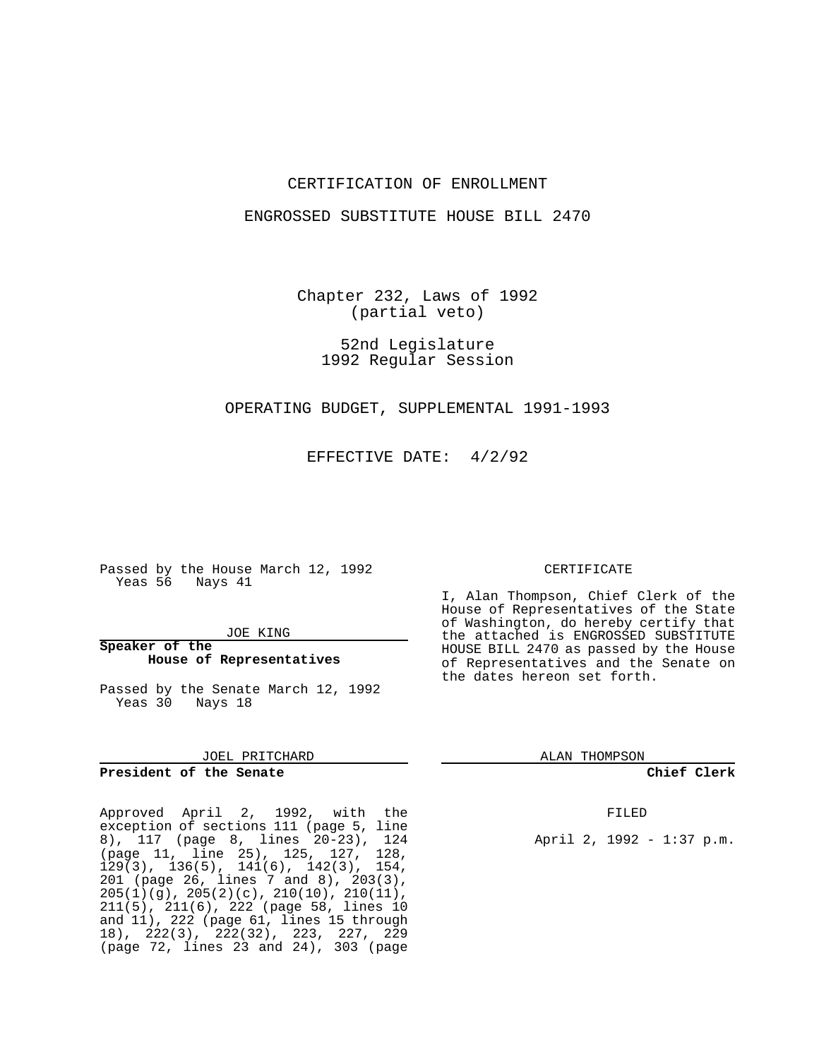## CERTIFICATION OF ENROLLMENT

## ENGROSSED SUBSTITUTE HOUSE BILL 2470

Chapter 232, Laws of 1992 (partial veto)

> 52nd Legislature 1992 Regular Session

OPERATING BUDGET, SUPPLEMENTAL 1991-1993

EFFECTIVE DATE: 4/2/92

Passed by the House March 12, 1992 Yeas 56 Nays 41

JOE KING

**Speaker of the House of Representatives**

Passed by the Senate March 12, 1992 Yeas 30 Nays 18

JOEL PRITCHARD

## **President of the Senate**

Approved April 2, 1992, with the exception of sections 111 (page 5, line 8), 117 (page 8, lines 20-23), 124 (page 11, line 25), 125, 127, 128, 129(3), 136(5), 141(6), 142(3), 154, 201 (page 26, lines 7 and 8), 203(3), 205(1)(g), 205(2)(c), 210(10), 210(11), 211(5), 211(6), 222 (page 58, lines 10 and 11), 222 (page 61, lines 15 through 18), 222(3), 222(32), 223, 227, 229 (page 72, lines 23 and 24), 303 (page

### CERTIFICATE

I, Alan Thompson, Chief Clerk of the House of Representatives of the State of Washington, do hereby certify that the attached is ENGROSSED SUBSTITUTE HOUSE BILL 2470 as passed by the House of Representatives and the Senate on the dates hereon set forth.

ALAN THOMPSON

**Chief Clerk**

FILED

April 2, 1992 - 1:37 p.m.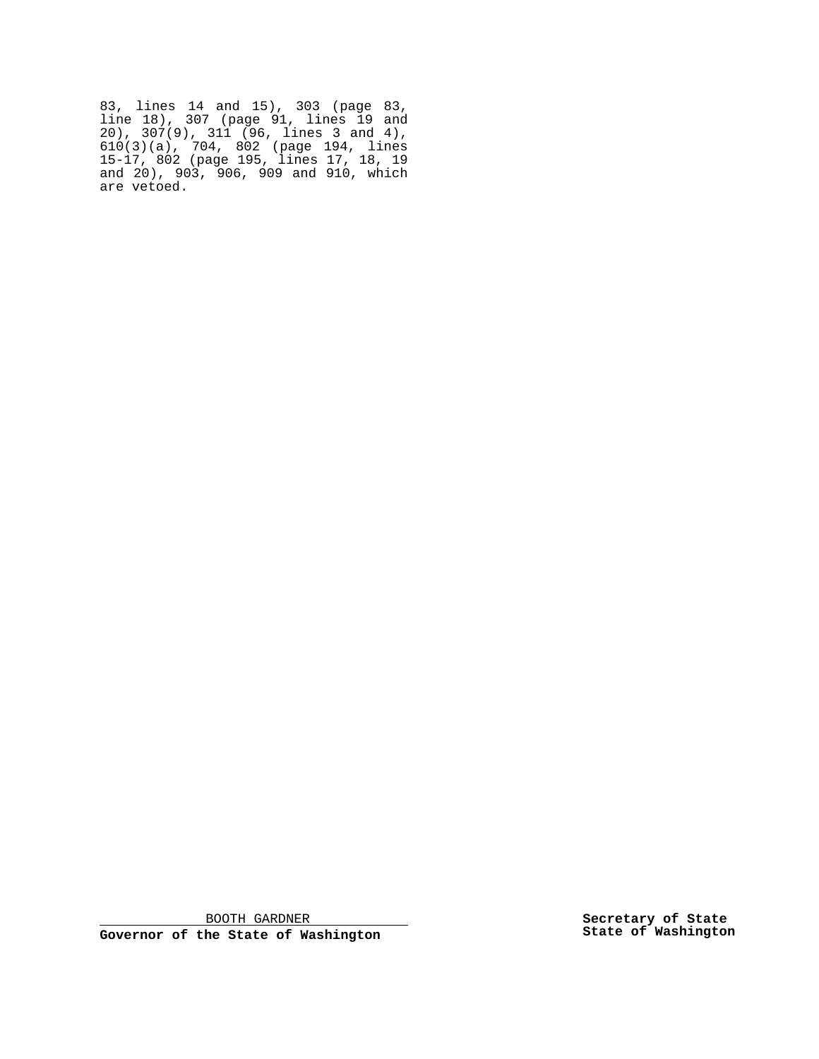83, lines 14 and 15), 303 (page 83, line 18), 307 (page 91, lines 19 and 20), 307(9), 311 (96, lines 3 and 4), 610(3)(a), 704, 802 (page 194, lines 15-17, 802 (page 195, lines 17, 18, 19 and 20), 903, 906, 909 and 910, which are vetoed.

BOOTH GARDNER

**Governor of the State of Washington**

**Secretary of State State of Washington**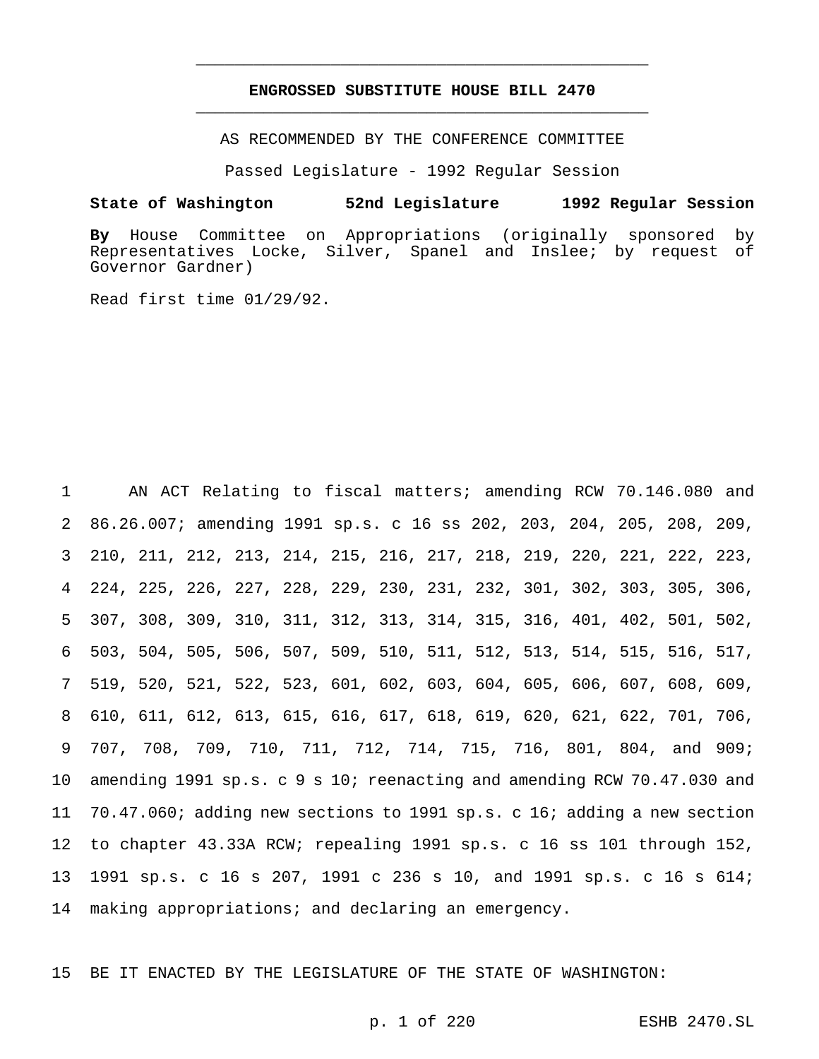## **ENGROSSED SUBSTITUTE HOUSE BILL 2470** \_\_\_\_\_\_\_\_\_\_\_\_\_\_\_\_\_\_\_\_\_\_\_\_\_\_\_\_\_\_\_\_\_\_\_\_\_\_\_\_\_\_\_\_\_\_\_

\_\_\_\_\_\_\_\_\_\_\_\_\_\_\_\_\_\_\_\_\_\_\_\_\_\_\_\_\_\_\_\_\_\_\_\_\_\_\_\_\_\_\_\_\_\_\_

AS RECOMMENDED BY THE CONFERENCE COMMITTEE

Passed Legislature - 1992 Regular Session

### **State of Washington 52nd Legislature 1992 Regular Session**

**By** House Committee on Appropriations (originally sponsored by Representatives Locke, Silver, Spanel and Inslee; by request of Governor Gardner)

Read first time 01/29/92.

 AN ACT Relating to fiscal matters; amending RCW 70.146.080 and 86.26.007; amending 1991 sp.s. c 16 ss 202, 203, 204, 205, 208, 209, 210, 211, 212, 213, 214, 215, 216, 217, 218, 219, 220, 221, 222, 223, 224, 225, 226, 227, 228, 229, 230, 231, 232, 301, 302, 303, 305, 306, 307, 308, 309, 310, 311, 312, 313, 314, 315, 316, 401, 402, 501, 502, 503, 504, 505, 506, 507, 509, 510, 511, 512, 513, 514, 515, 516, 517, 519, 520, 521, 522, 523, 601, 602, 603, 604, 605, 606, 607, 608, 609, 610, 611, 612, 613, 615, 616, 617, 618, 619, 620, 621, 622, 701, 706, 707, 708, 709, 710, 711, 712, 714, 715, 716, 801, 804, and 909; amending 1991 sp.s. c 9 s 10; reenacting and amending RCW 70.47.030 and 70.47.060; adding new sections to 1991 sp.s. c 16; adding a new section to chapter 43.33A RCW; repealing 1991 sp.s. c 16 ss 101 through 152, 1991 sp.s. c 16 s 207, 1991 c 236 s 10, and 1991 sp.s. c 16 s 614; making appropriations; and declaring an emergency.

15 BE IT ENACTED BY THE LEGISLATURE OF THE STATE OF WASHINGTON: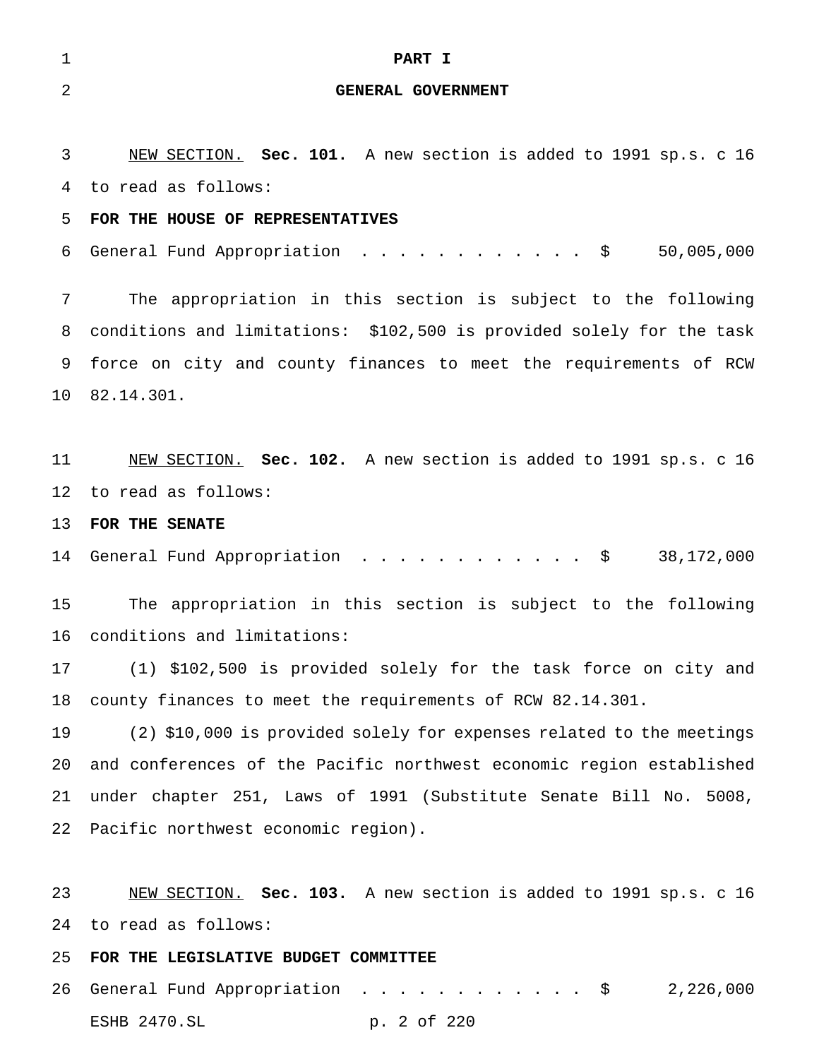| 1               | PART I                                                                |
|-----------------|-----------------------------------------------------------------------|
| $\overline{2}$  | GENERAL GOVERNMENT                                                    |
|                 |                                                                       |
| 3               | NEW SECTION. Sec. 101. A new section is added to 1991 sp.s. c 16      |
| 4               | to read as follows:                                                   |
| 5               | FOR THE HOUSE OF REPRESENTATIVES                                      |
| 6               | General Fund Appropriation \$<br>50,005,000                           |
| 7               | The appropriation in this section is subject to the following         |
| 8               | conditions and limitations: \$102,500 is provided solely for the task |
| 9               | force on city and county finances to meet the requirements of RCW     |
| 10              | 82.14.301.                                                            |
|                 |                                                                       |
| 11 <sub>1</sub> | NEW SECTION. Sec. 102. A new section is added to 1991 sp.s. c 16      |
| 12              | to read as follows:                                                   |
| 13              | FOR THE SENATE                                                        |
| 14              | General Fund Appropriation \$<br>38,172,000                           |
| 15              | The appropriation in this section is subject to the following         |
| 16              | conditions and limitations:                                           |
| 17              | (1) \$102,500 is provided solely for the task force on city and       |
| 18              | county finances to meet the requirements of RCW 82.14.301.            |
| 19              | (2) \$10,000 is provided solely for expenses related to the meetings  |
| 20              | and conferences of the Pacific northwest economic region established  |
| 21              | under chapter 251, Laws of 1991 (Substitute Senate Bill No. 5008,     |
|                 | 22 Pacific northwest economic region).                                |
|                 |                                                                       |
| 23              | NEW SECTION. Sec. 103. A new section is added to 1991 sp.s. c 16      |
| 24              | to read as follows:                                                   |
| 25              | FOR THE LEGISLATIVE BUDGET COMMITTEE                                  |
|                 |                                                                       |

26 General Fund Appropriation . . . . . . . . . . . \$ 2,226,000 ESHB 2470.SL p. 2 of 220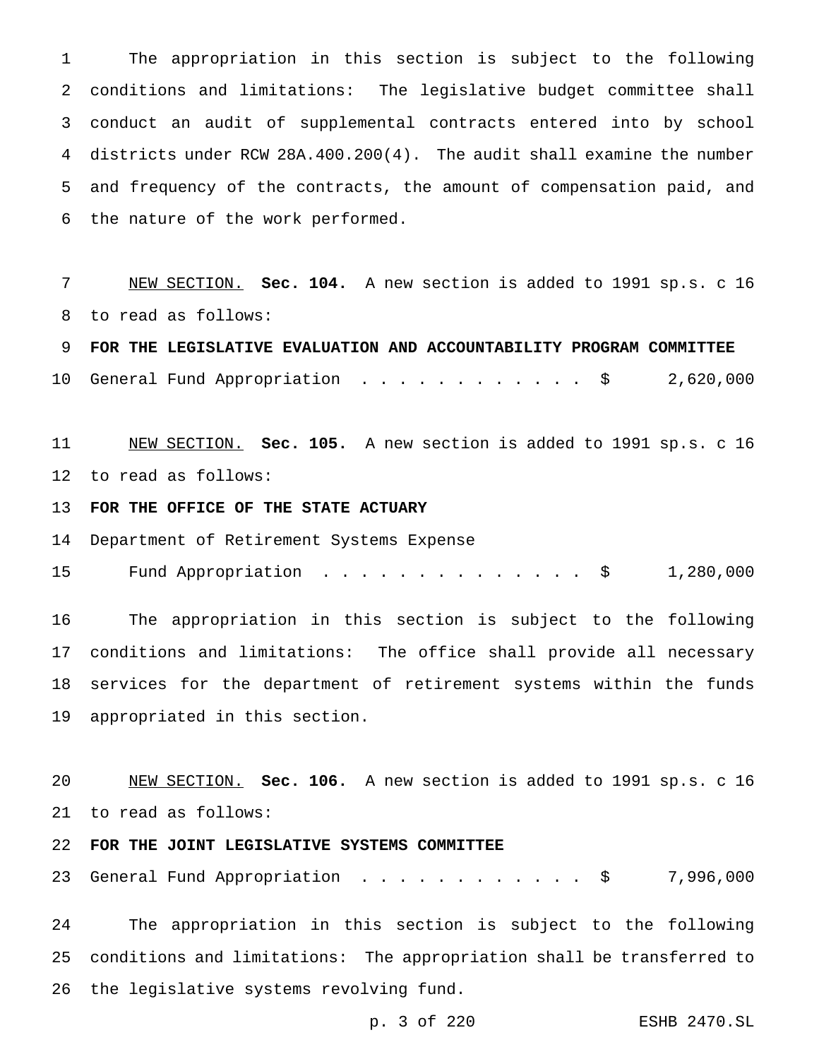The appropriation in this section is subject to the following conditions and limitations: The legislative budget committee shall conduct an audit of supplemental contracts entered into by school districts under RCW 28A.400.200(4). The audit shall examine the number and frequency of the contracts, the amount of compensation paid, and the nature of the work performed.

 NEW SECTION. **Sec. 104.** A new section is added to 1991 sp.s. c 16 to read as follows:

 **FOR THE LEGISLATIVE EVALUATION AND ACCOUNTABILITY PROGRAM COMMITTEE** General Fund Appropriation ............ \$ 2,620,000

 NEW SECTION. **Sec. 105.** A new section is added to 1991 sp.s. c 16 to read as follows:

**FOR THE OFFICE OF THE STATE ACTUARY**

Department of Retirement Systems Expense

15 Fund Appropriation . . . . . . . . . . . . . \$ 1,280,000

 The appropriation in this section is subject to the following conditions and limitations: The office shall provide all necessary services for the department of retirement systems within the funds appropriated in this section.

 NEW SECTION. **Sec. 106.** A new section is added to 1991 sp.s. c 16 to read as follows:

# **FOR THE JOINT LEGISLATIVE SYSTEMS COMMITTEE**

23 General Fund Appropriation . . . . . . . . . . . \$ 7,996,000

 The appropriation in this section is subject to the following conditions and limitations: The appropriation shall be transferred to the legislative systems revolving fund.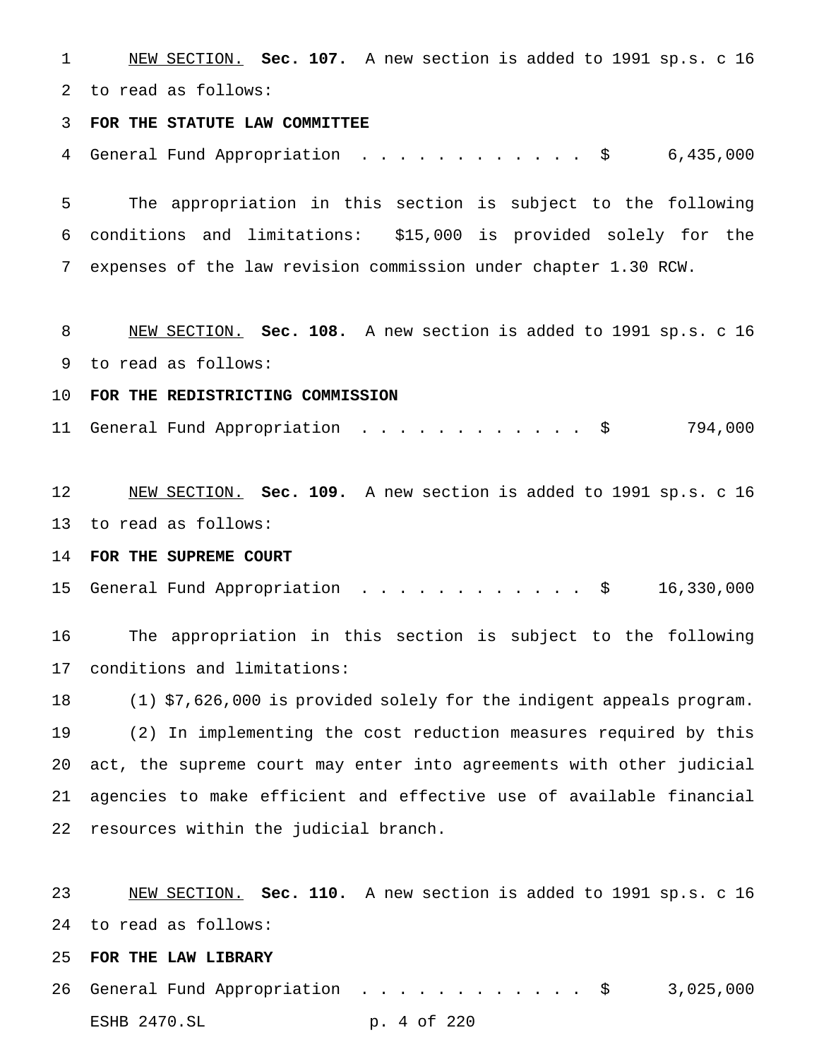NEW SECTION. **Sec. 107.** A new section is added to 1991 sp.s. c 16 to read as follows: **FOR THE STATUTE LAW COMMITTEE** 4 General Fund Appropriation . . . . . . . . . . . \$ 6,435,000 The appropriation in this section is subject to the following conditions and limitations: \$15,000 is provided solely for the expenses of the law revision commission under chapter 1.30 RCW. NEW SECTION. **Sec. 108.** A new section is added to 1991 sp.s. c 16 to read as follows: **FOR THE REDISTRICTING COMMISSION** 11 General Fund Appropriation . . . . . . . . . . . \$ 794,000 NEW SECTION. **Sec. 109.** A new section is added to 1991 sp.s. c 16 to read as follows: **FOR THE SUPREME COURT** General Fund Appropriation ............ \$ 16,330,000 The appropriation in this section is subject to the following conditions and limitations: (1) \$7,626,000 is provided solely for the indigent appeals program. (2) In implementing the cost reduction measures required by this act, the supreme court may enter into agreements with other judicial agencies to make efficient and effective use of available financial resources within the judicial branch. NEW SECTION. **Sec. 110.** A new section is added to 1991 sp.s. c 16 to read as follows:

**FOR THE LAW LIBRARY**

 General Fund Appropriation ............ \$ 3,025,000 ESHB 2470.SL p. 4 of 220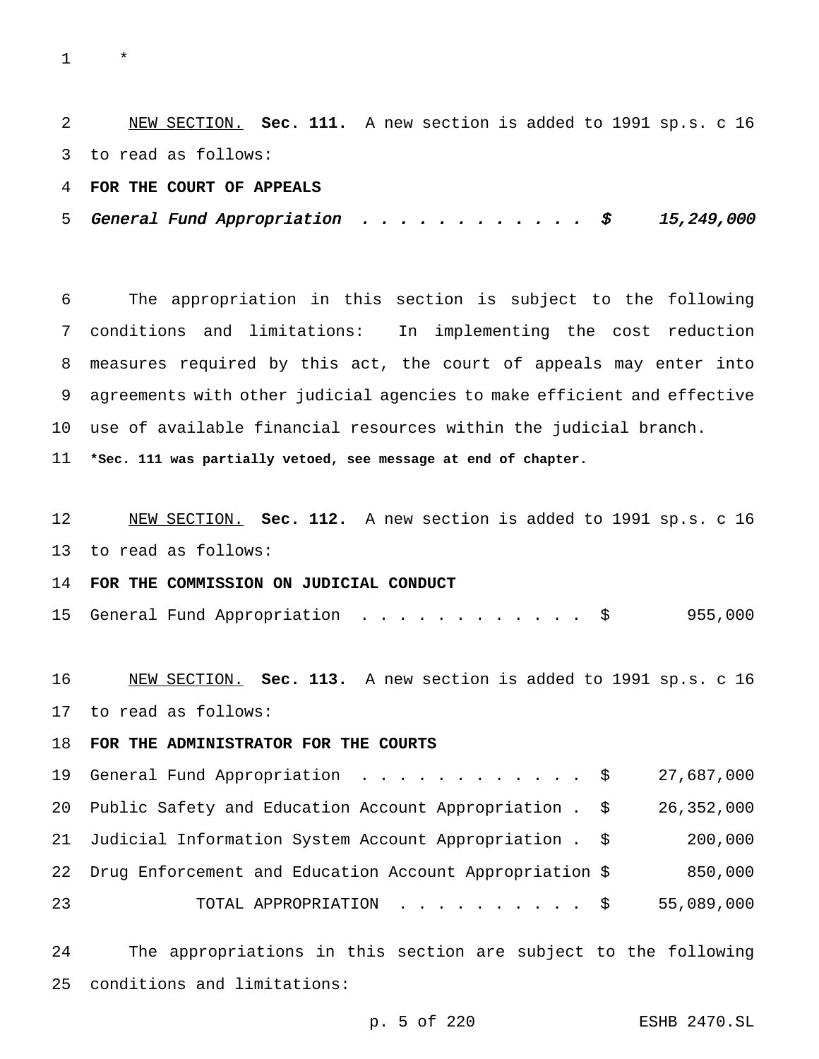\*

 NEW SECTION. **Sec. 111.** A new section is added to 1991 sp.s. c 16 to read as follows:

**FOR THE COURT OF APPEALS**

5 General Fund Appropriation . . . . . . . . . . .  $\zeta$  15,249,000

 The appropriation in this section is subject to the following conditions and limitations: In implementing the cost reduction measures required by this act, the court of appeals may enter into agreements with other judicial agencies to make efficient and effective use of available financial resources within the judicial branch.

**\*Sec. 111 was partially vetoed, see message at end of chapter.**

 NEW SECTION. **Sec. 112.** A new section is added to 1991 sp.s. c 16 to read as follows:

**FOR THE COMMISSION ON JUDICIAL CONDUCT**

|  |  |  | 15 General Fund Appropriation |  |  |  |  |  |  |  |  |  |  |  |  |  | 955,000 |
|--|--|--|-------------------------------|--|--|--|--|--|--|--|--|--|--|--|--|--|---------|
|--|--|--|-------------------------------|--|--|--|--|--|--|--|--|--|--|--|--|--|---------|

 NEW SECTION. **Sec. 113.** A new section is added to 1991 sp.s. c 16 to read as follows:

**FOR THE ADMINISTRATOR FOR THE COURTS**

 General Fund Appropriation ............ \$ 27,687,000 Public Safety and Education Account Appropriation . \$ 26,352,000 Judicial Information System Account Appropriation . \$ 200,000 Drug Enforcement and Education Account Appropriation \$ 850,000 TOTAL APPROPRIATION .......... \$ 55,089,000

 The appropriations in this section are subject to the following conditions and limitations: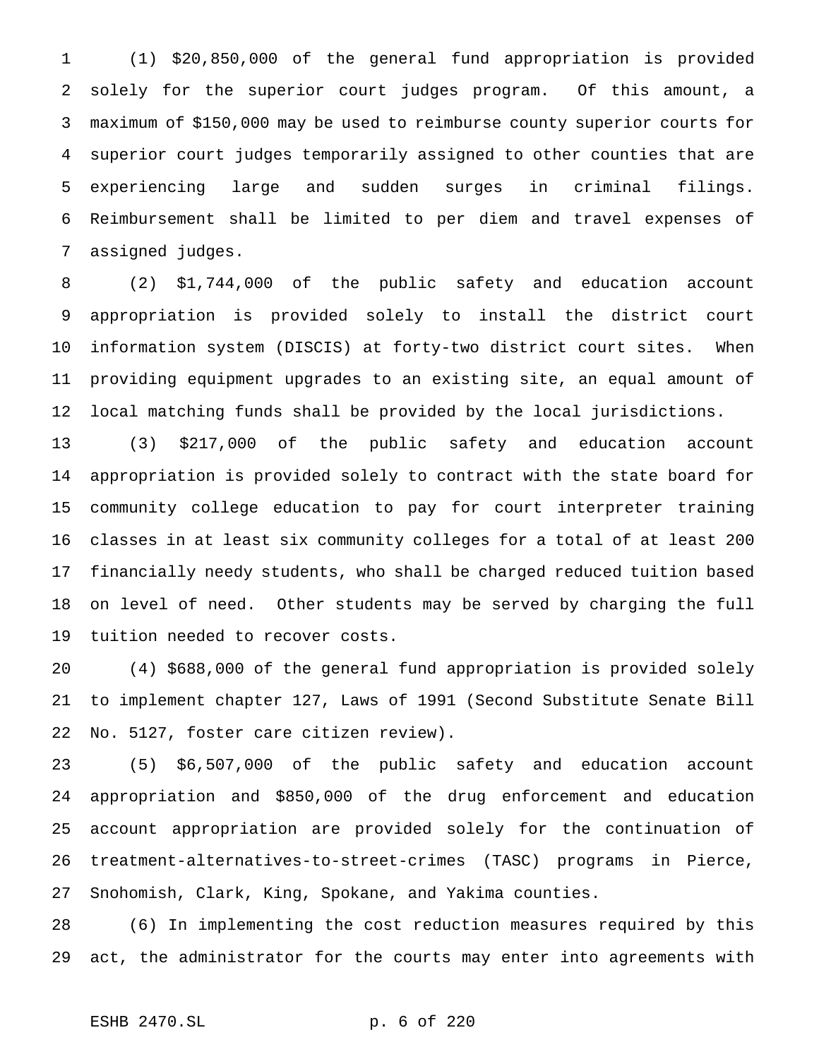(1) \$20,850,000 of the general fund appropriation is provided solely for the superior court judges program. Of this amount, a maximum of \$150,000 may be used to reimburse county superior courts for superior court judges temporarily assigned to other counties that are experiencing large and sudden surges in criminal filings. Reimbursement shall be limited to per diem and travel expenses of assigned judges.

 (2) \$1,744,000 of the public safety and education account appropriation is provided solely to install the district court information system (DISCIS) at forty-two district court sites. When providing equipment upgrades to an existing site, an equal amount of local matching funds shall be provided by the local jurisdictions.

 (3) \$217,000 of the public safety and education account appropriation is provided solely to contract with the state board for community college education to pay for court interpreter training classes in at least six community colleges for a total of at least 200 financially needy students, who shall be charged reduced tuition based on level of need. Other students may be served by charging the full tuition needed to recover costs.

 (4) \$688,000 of the general fund appropriation is provided solely to implement chapter 127, Laws of 1991 (Second Substitute Senate Bill No. 5127, foster care citizen review).

 (5) \$6,507,000 of the public safety and education account appropriation and \$850,000 of the drug enforcement and education account appropriation are provided solely for the continuation of treatment-alternatives-to-street-crimes (TASC) programs in Pierce, Snohomish, Clark, King, Spokane, and Yakima counties.

 (6) In implementing the cost reduction measures required by this act, the administrator for the courts may enter into agreements with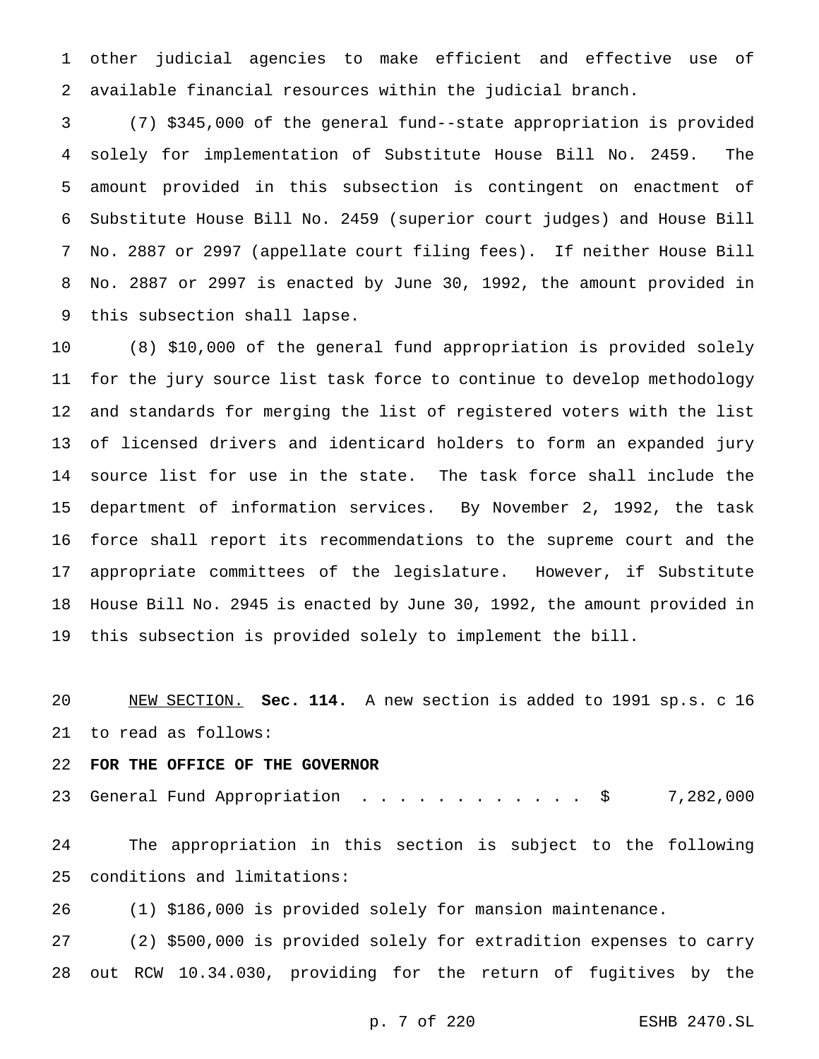other judicial agencies to make efficient and effective use of available financial resources within the judicial branch.

 (7) \$345,000 of the general fund--state appropriation is provided solely for implementation of Substitute House Bill No. 2459. The amount provided in this subsection is contingent on enactment of Substitute House Bill No. 2459 (superior court judges) and House Bill No. 2887 or 2997 (appellate court filing fees). If neither House Bill No. 2887 or 2997 is enacted by June 30, 1992, the amount provided in this subsection shall lapse.

 (8) \$10,000 of the general fund appropriation is provided solely for the jury source list task force to continue to develop methodology and standards for merging the list of registered voters with the list of licensed drivers and identicard holders to form an expanded jury source list for use in the state. The task force shall include the department of information services. By November 2, 1992, the task force shall report its recommendations to the supreme court and the appropriate committees of the legislature. However, if Substitute House Bill No. 2945 is enacted by June 30, 1992, the amount provided in this subsection is provided solely to implement the bill.

 NEW SECTION. **Sec. 114.** A new section is added to 1991 sp.s. c 16 to read as follows:

# **FOR THE OFFICE OF THE GOVERNOR**

23 General Fund Appropriation . . . . . . . . . . . \$ 7,282,000

 The appropriation in this section is subject to the following conditions and limitations:

(1) \$186,000 is provided solely for mansion maintenance.

 (2) \$500,000 is provided solely for extradition expenses to carry out RCW 10.34.030, providing for the return of fugitives by the

p. 7 of 220 ESHB 2470.SL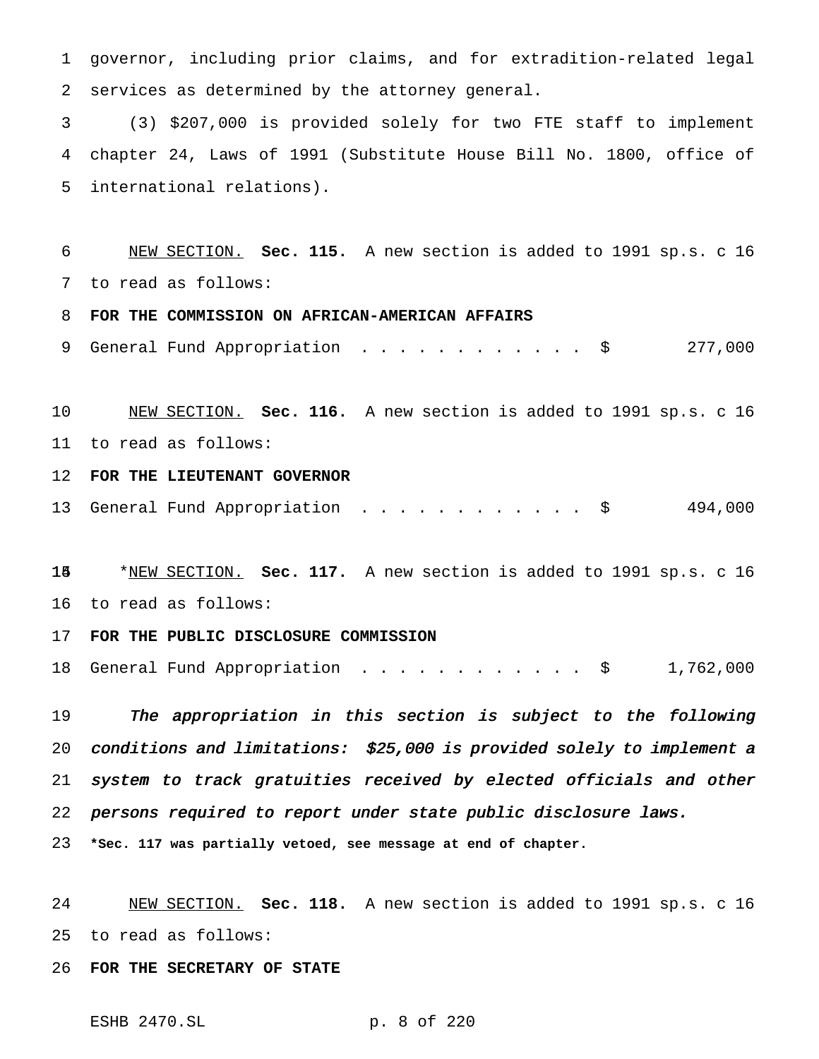governor, including prior claims, and for extradition-related legal services as determined by the attorney general.

 (3) \$207,000 is provided solely for two FTE staff to implement chapter 24, Laws of 1991 (Substitute House Bill No. 1800, office of international relations).

 NEW SECTION. **Sec. 115.** A new section is added to 1991 sp.s. c 16 to read as follows:

**FOR THE COMMISSION ON AFRICAN-AMERICAN AFFAIRS**

9 General Fund Appropriation . . . . . . . . . . . \$ 277,000

 NEW SECTION. **Sec. 116.** A new section is added to 1991 sp.s. c 16 to read as follows:

**FOR THE LIEUTENANT GOVERNOR**

13 General Fund Appropriation . . . . . . . . . . . \$ 494,000

 \*NEW SECTION. **Sec. 117.** A new section is added to 1991 sp.s. c 16 to read as follows:

## **FOR THE PUBLIC DISCLOSURE COMMISSION**

General Fund Appropriation ............ \$ 1,762,000

 The appropriation in this section is subject to the following conditions and limitations: \$25,000 is provided solely to implement <sup>a</sup> system to track gratuities received by elected officials and other persons required to report under state public disclosure laws.

**\*Sec. 117 was partially vetoed, see message at end of chapter.**

 NEW SECTION. **Sec. 118.** A new section is added to 1991 sp.s. c 16 to read as follows:

**FOR THE SECRETARY OF STATE**

ESHB 2470.SL p. 8 of 220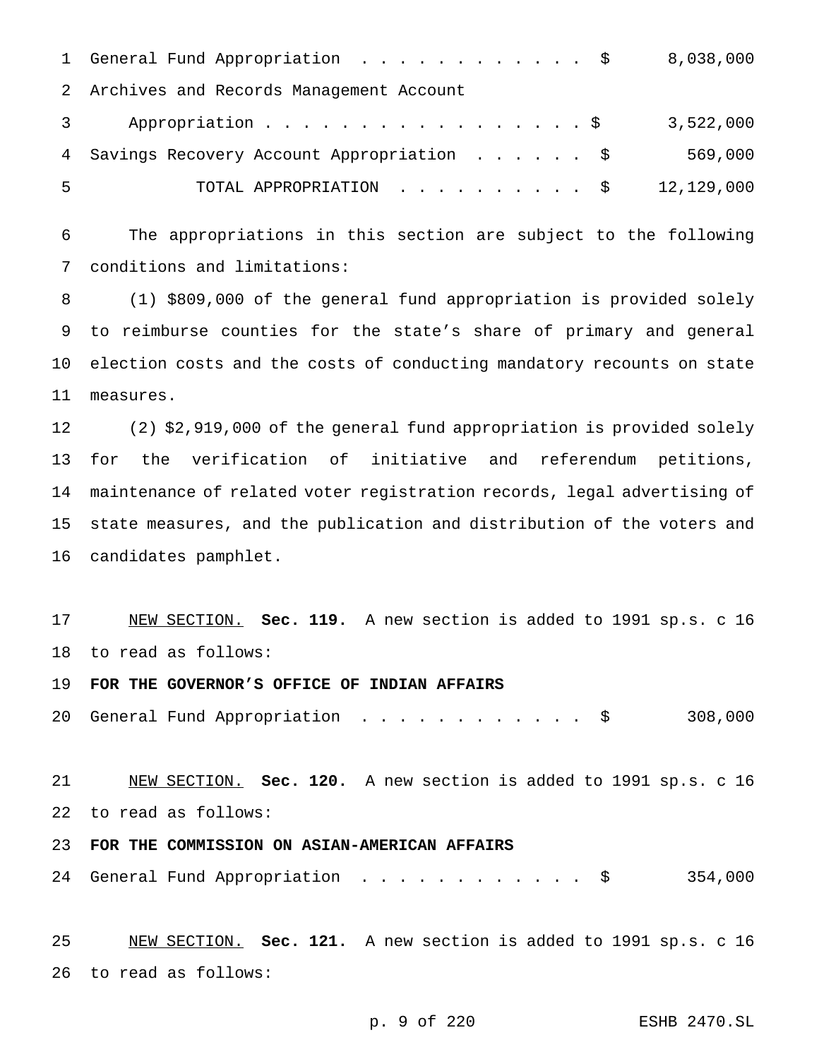|    | 1 General Fund Appropriation \$ 8,038,000    |           |
|----|----------------------------------------------|-----------|
|    | 2 Archives and Records Management Account    |           |
|    | Appropriation \$                             | 3,522,000 |
|    | 4 Savings Recovery Account Appropriation \$  | 569,000   |
| -5 | TOTAL APPROPRIATION $\ldots$ , \$ 12,129,000 |           |

 The appropriations in this section are subject to the following conditions and limitations:

 (1) \$809,000 of the general fund appropriation is provided solely to reimburse counties for the state's share of primary and general election costs and the costs of conducting mandatory recounts on state measures.

 (2) \$2,919,000 of the general fund appropriation is provided solely for the verification of initiative and referendum petitions, maintenance of related voter registration records, legal advertising of state measures, and the publication and distribution of the voters and candidates pamphlet.

 NEW SECTION. **Sec. 119.** A new section is added to 1991 sp.s. c 16 to read as follows:

**FOR THE GOVERNOR'S OFFICE OF INDIAN AFFAIRS**

General Fund Appropriation ............ \$ 308,000

 NEW SECTION. **Sec. 120.** A new section is added to 1991 sp.s. c 16 to read as follows:

# **FOR THE COMMISSION ON ASIAN-AMERICAN AFFAIRS**

24 General Fund Appropriation . . . . . . . . . . . \$ 354,000

 NEW SECTION. **Sec. 121.** A new section is added to 1991 sp.s. c 16 to read as follows: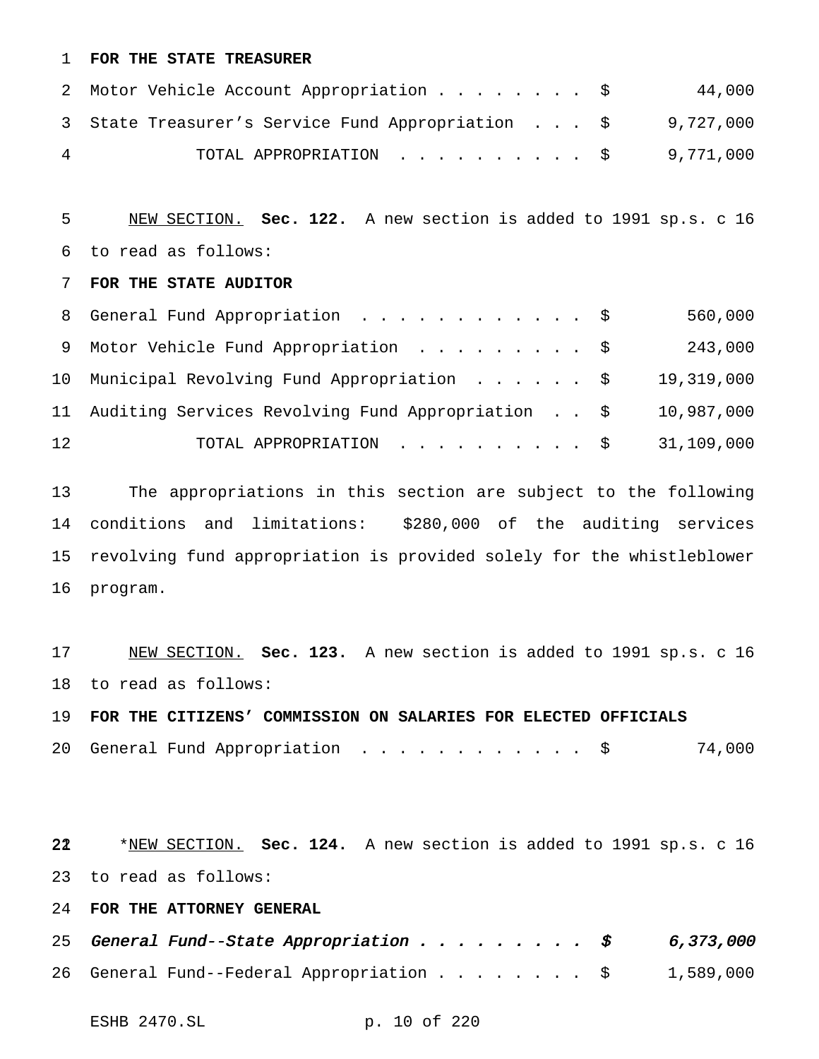## **FOR THE STATE TREASURER**

|   | 2 Motor Vehicle Account Appropriation \$                    | 44,000 |
|---|-------------------------------------------------------------|--------|
|   | 3 State Treasurer's Service Fund Appropriation \$ 9,727,000 |        |
| 4 | TOTAL APPROPRIATION $\ldots$ , \$9,771,000                  |        |

 NEW SECTION. **Sec. 122.** A new section is added to 1991 sp.s. c 16 to read as follows:

## **FOR THE STATE AUDITOR**

|    | 8 General Fund Appropriation \$                      | 560,000    |
|----|------------------------------------------------------|------------|
|    | 9 Motor Vehicle Fund Appropriation \$                | 243,000    |
|    | 10 Municipal Revolving Fund Appropriation \$         | 19,319,000 |
|    | 11 Auditing Services Revolving Fund Appropriation \$ | 10,987,000 |
| 12 | TOTAL APPROPRIATION \$                               | 31,109,000 |

 The appropriations in this section are subject to the following conditions and limitations: \$280,000 of the auditing services revolving fund appropriation is provided solely for the whistleblower program.

 NEW SECTION. **Sec. 123.** A new section is added to 1991 sp.s. c 16 to read as follows:

 **FOR THE CITIZENS' COMMISSION ON SALARIES FOR ELECTED OFFICIALS** 20 General Fund Appropriation . . . . . . . . . . . \$ 74,000

 \*NEW SECTION. **Sec. 124.** A new section is added to 1991 sp.s. c 16 to read as follows:

**FOR THE ATTORNEY GENERAL**

|  |  |  |  |  |  | 25 General Fund--State Appropriation \$ 6,373,000            |
|--|--|--|--|--|--|--------------------------------------------------------------|
|  |  |  |  |  |  | 26 General Fund--Federal Appropriation $\ldots$ \$ 1,589,000 |

ESHB 2470.SL p. 10 of 220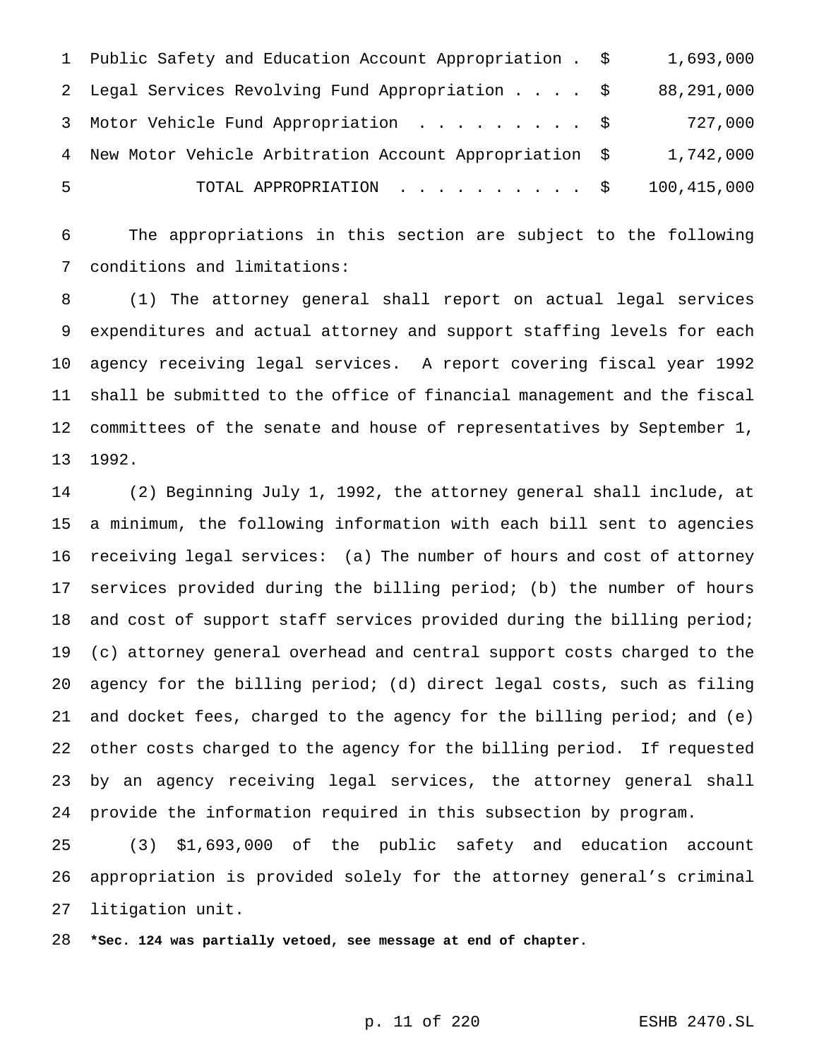|    | 1 Public Safety and Education Account Appropriation . \$ | 1,693,000   |
|----|----------------------------------------------------------|-------------|
|    | 2 Legal Services Revolving Fund Appropriation \$         | 88,291,000  |
|    | 3 Motor Vehicle Fund Appropriation \$                    | 727,000     |
|    | 4 New Motor Vehicle Arbitration Account Appropriation \$ | 1,742,000   |
| .5 | TOTAL APPROPRIATION \$                                   | 100,415,000 |

 The appropriations in this section are subject to the following conditions and limitations:

 (1) The attorney general shall report on actual legal services expenditures and actual attorney and support staffing levels for each agency receiving legal services. A report covering fiscal year 1992 shall be submitted to the office of financial management and the fiscal committees of the senate and house of representatives by September 1, 1992.

 (2) Beginning July 1, 1992, the attorney general shall include, at a minimum, the following information with each bill sent to agencies receiving legal services: (a) The number of hours and cost of attorney services provided during the billing period; (b) the number of hours 18 and cost of support staff services provided during the billing period; (c) attorney general overhead and central support costs charged to the agency for the billing period; (d) direct legal costs, such as filing and docket fees, charged to the agency for the billing period; and (e) other costs charged to the agency for the billing period. If requested by an agency receiving legal services, the attorney general shall provide the information required in this subsection by program.

 (3) \$1,693,000 of the public safety and education account appropriation is provided solely for the attorney general's criminal litigation unit.

**\*Sec. 124 was partially vetoed, see message at end of chapter.**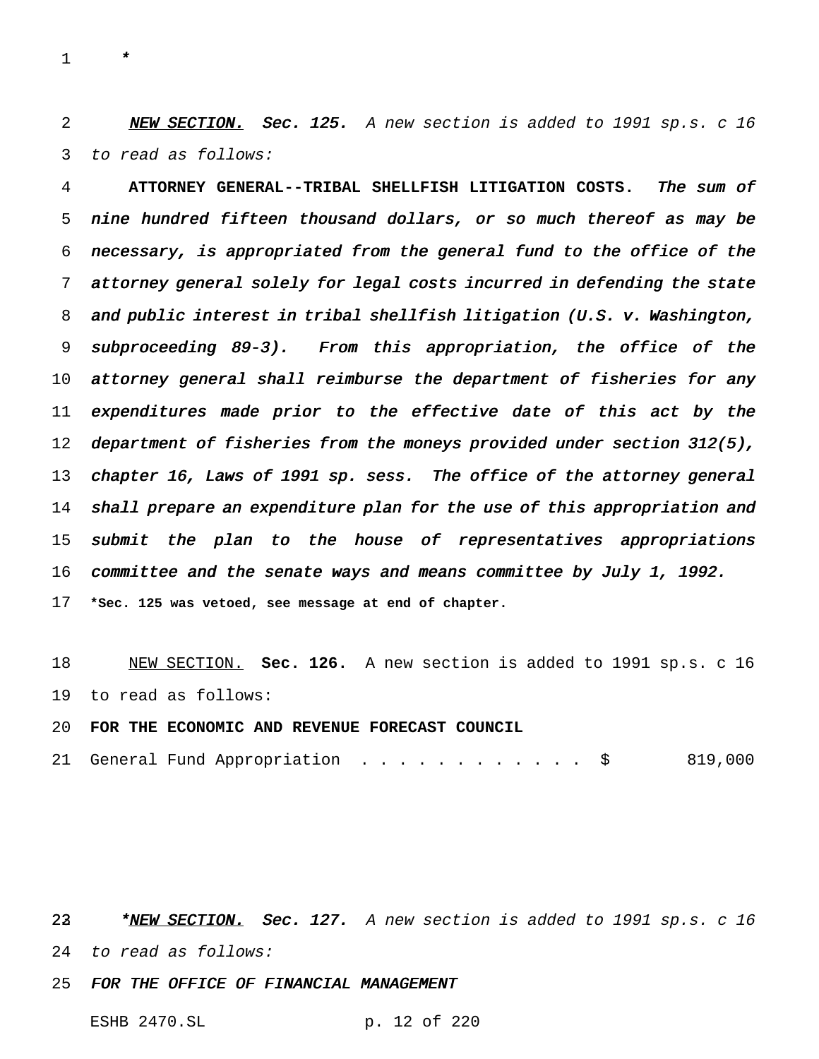\*

2 NEW SECTION. Sec. 125. A new section is added to 1991 sp.s. c 16 to read as follows:

 **ATTORNEY GENERAL--TRIBAL SHELLFISH LITIGATION COSTS.** The sum of nine hundred fifteen thousand dollars, or so much thereof as may be necessary, is appropriated from the general fund to the office of the attorney general solely for legal costs incurred in defending the state and public interest in tribal shellfish litigation (U.S. v. Washington, subproceeding 89-3). From this appropriation, the office of the attorney general shall reimburse the department of fisheries for any 11 expenditures made prior to the effective date of this act by the department of fisheries from the moneys provided under section 312(5), chapter 16, Laws of <sup>1991</sup> sp. sess. The office of the attorney general shall prepare an expenditure plan for the use of this appropriation and submit the plan to the house of representatives appropriations 16 committee and the senate ways and means committee by July 1, 1992. **\*Sec. 125 was vetoed, see message at end of chapter.**

 NEW SECTION. **Sec. 126.** A new section is added to 1991 sp.s. c 16 to read as follows:

# **FOR THE ECONOMIC AND REVENUE FORECAST COUNCIL**

|  |  |  | 21 General Fund Appropriation |  |  |  |  |  |  |  |  |  |  |  |  |  |  | 819,000 |  |  |
|--|--|--|-------------------------------|--|--|--|--|--|--|--|--|--|--|--|--|--|--|---------|--|--|
|--|--|--|-------------------------------|--|--|--|--|--|--|--|--|--|--|--|--|--|--|---------|--|--|

22 \*NEW SECTION. Sec. 127. A new section is added to 1991 sp.s. c 16 to read as follows:

FOR THE OFFICE OF FINANCIAL MANAGEMENT

ESHB 2470.SL p. 12 of 220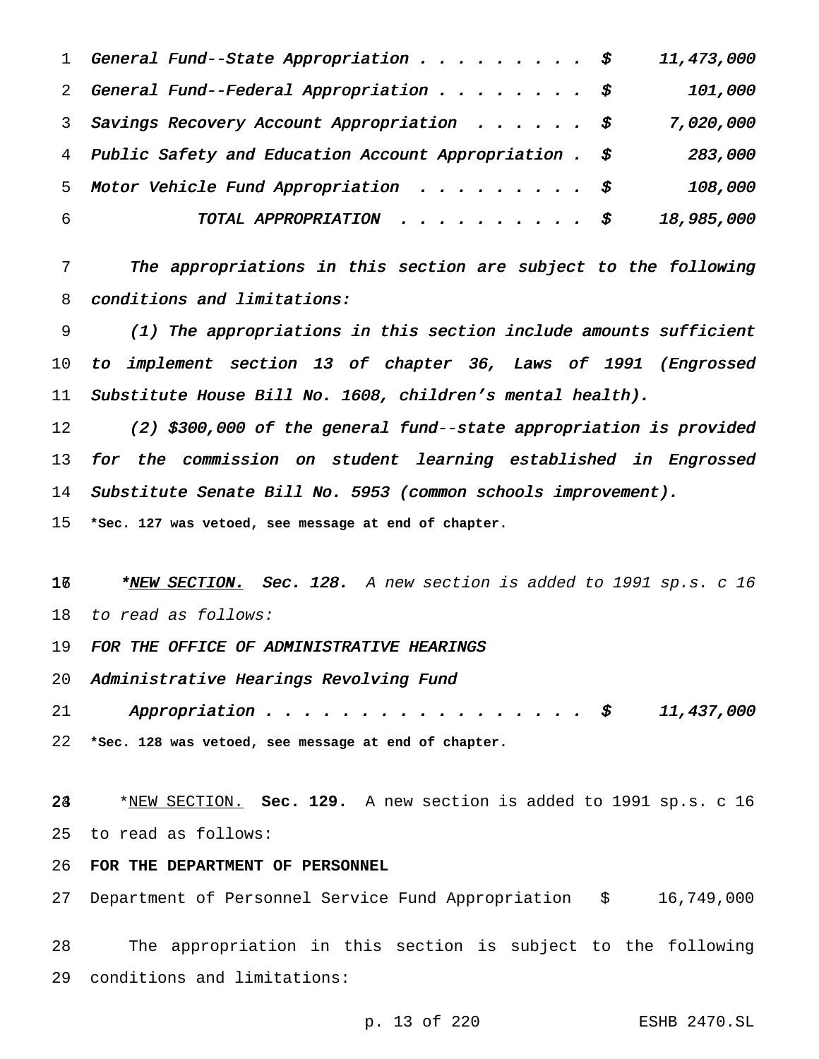|   | 1 General Fund--State Appropriation \$                      | 11,473,000 |
|---|-------------------------------------------------------------|------------|
|   | 2 General Fund--Federal Appropriation $\sharp$              | 101,000    |
|   | 3 Savings Recovery Account Appropriation $\oint$            | 7,020,000  |
| 4 | Public Safety and Education Account Appropriation . $\oint$ | 283,000    |
|   | 5 Motor Vehicle Fund Appropriation \$                       | 108,000    |
| 6 | TOTAL APPROPRIATION $\hat{S}$                               | 18,985,000 |

 The appropriations in this section are subject to the following conditions and limitations:

 (1) The appropriations in this section include amounts sufficient to implement section <sup>13</sup> of chapter 36, Laws of <sup>1991</sup> (Engrossed Substitute House Bill No. 1608, children's mental health).

 (2) \$300,000 of the general fund--state appropriation is provided for the commission on student learning established in Engrossed Substitute Senate Bill No. <sup>5953</sup> (common schools improvement).

**\*Sec. 127 was vetoed, see message at end of chapter.**

17 \* NEW SECTION. Sec. 128. A new section is added to 1991 sp.s. c 16 to read as follows:

19 FOR THE OFFICE OF ADMINISTRATIVE HEARINGS

Administrative Hearings Revolving Fund

21 Appropriation . . . . . . . . . . . . . . . . \$ 11,437,000 **\*Sec. 128 was vetoed, see message at end of chapter.**

 \*NEW SECTION. **Sec. 129.** A new section is added to 1991 sp.s. c 16 to read as follows:

**FOR THE DEPARTMENT OF PERSONNEL**

Department of Personnel Service Fund Appropriation \$ 16,749,000

 The appropriation in this section is subject to the following conditions and limitations:

p. 13 of 220 ESHB 2470.SL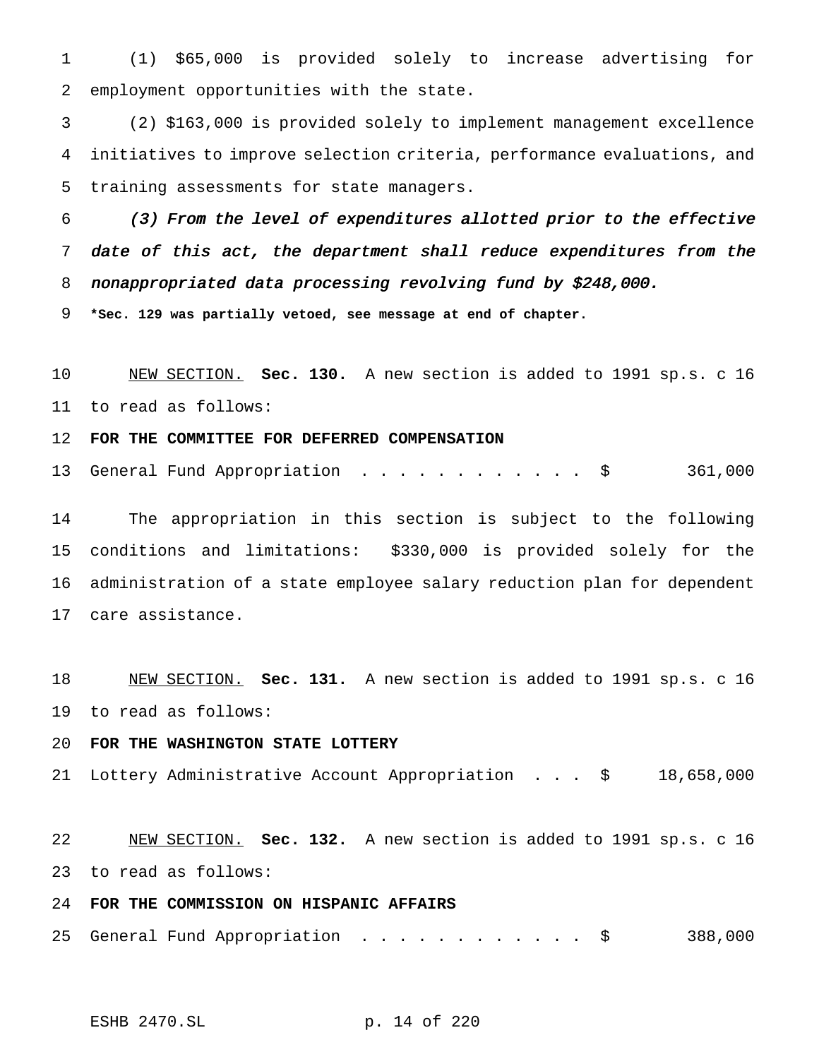(1) \$65,000 is provided solely to increase advertising for employment opportunities with the state.

 (2) \$163,000 is provided solely to implement management excellence initiatives to improve selection criteria, performance evaluations, and training assessments for state managers.

 (3) From the level of expenditures allotted prior to the effective date of this act, the department shall reduce expenditures from the nonappropriated data processing revolving fund by \$248,000.

**\*Sec. 129 was partially vetoed, see message at end of chapter.**

 NEW SECTION. **Sec. 130.** A new section is added to 1991 sp.s. c 16 to read as follows:

**FOR THE COMMITTEE FOR DEFERRED COMPENSATION**

13 General Fund Appropriation . . . . . . . . . . . \$ 361,000

 The appropriation in this section is subject to the following conditions and limitations: \$330,000 is provided solely for the administration of a state employee salary reduction plan for dependent care assistance.

 NEW SECTION. **Sec. 131.** A new section is added to 1991 sp.s. c 16 to read as follows:

**FOR THE WASHINGTON STATE LOTTERY**

Lottery Administrative Account Appropriation . . . \$ 18,658,000

 NEW SECTION. **Sec. 132.** A new section is added to 1991 sp.s. c 16 to read as follows:

# **FOR THE COMMISSION ON HISPANIC AFFAIRS**

25 General Fund Appropriation . . . . . . . . . . . \$ 388,000

ESHB 2470.SL p. 14 of 220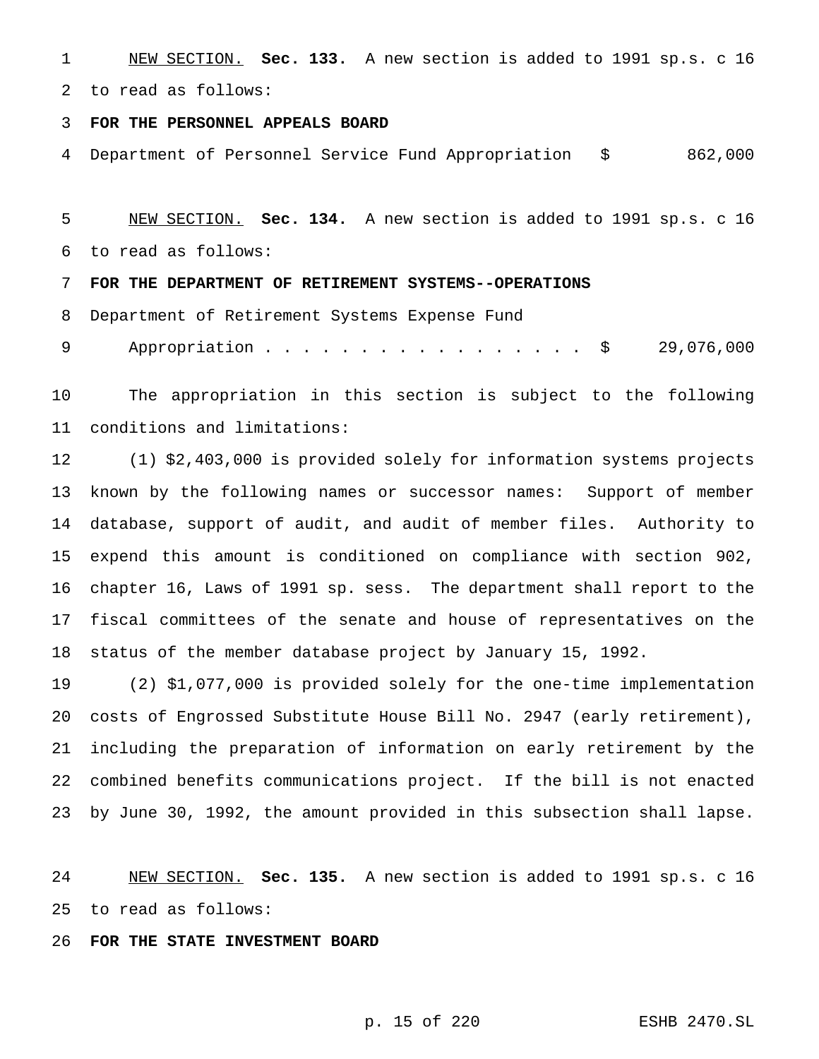NEW SECTION. **Sec. 133.** A new section is added to 1991 sp.s. c 16 to read as follows:

### **FOR THE PERSONNEL APPEALS BOARD**

Department of Personnel Service Fund Appropriation \$ 862,000

 NEW SECTION. **Sec. 134.** A new section is added to 1991 sp.s. c 16 to read as follows:

**FOR THE DEPARTMENT OF RETIREMENT SYSTEMS--OPERATIONS**

Department of Retirement Systems Expense Fund

9 Appropriation . . . . . . . . . . . . . . . \$ 29,076,000

 The appropriation in this section is subject to the following conditions and limitations:

 (1) \$2,403,000 is provided solely for information systems projects known by the following names or successor names: Support of member database, support of audit, and audit of member files. Authority to expend this amount is conditioned on compliance with section 902, chapter 16, Laws of 1991 sp. sess. The department shall report to the fiscal committees of the senate and house of representatives on the status of the member database project by January 15, 1992.

 (2) \$1,077,000 is provided solely for the one-time implementation costs of Engrossed Substitute House Bill No. 2947 (early retirement), including the preparation of information on early retirement by the combined benefits communications project. If the bill is not enacted by June 30, 1992, the amount provided in this subsection shall lapse.

 NEW SECTION. **Sec. 135.** A new section is added to 1991 sp.s. c 16 to read as follows:

**FOR THE STATE INVESTMENT BOARD**

p. 15 of 220 ESHB 2470.SL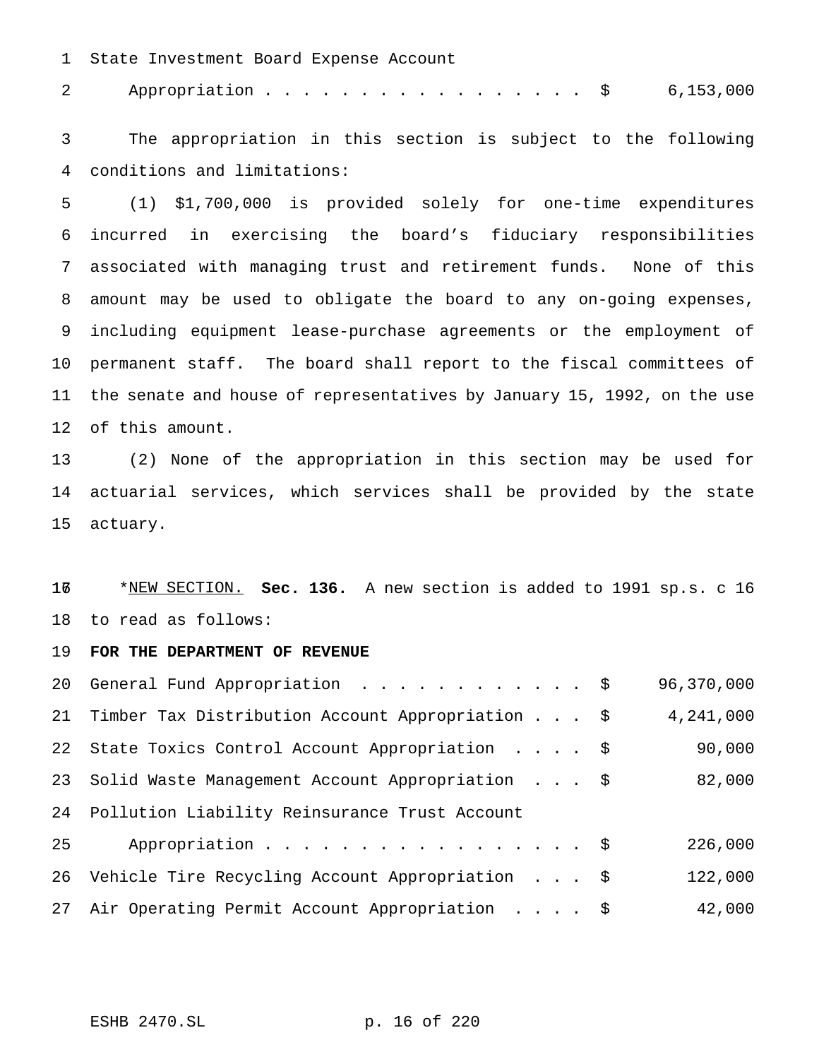State Investment Board Expense Account

2 Appropriation . . . . . . . . . . . . . . . . \$ 6,153,000

 The appropriation in this section is subject to the following conditions and limitations:

 (1) \$1,700,000 is provided solely for one-time expenditures incurred in exercising the board's fiduciary responsibilities associated with managing trust and retirement funds. None of this amount may be used to obligate the board to any on-going expenses, including equipment lease-purchase agreements or the employment of permanent staff. The board shall report to the fiscal committees of the senate and house of representatives by January 15, 1992, on the use of this amount.

 (2) None of the appropriation in this section may be used for actuarial services, which services shall be provided by the state actuary.

16 \*NEW SECTION. **Sec. 136.** A new section is added to 1991 sp.s. c 16 to read as follows:

**FOR THE DEPARTMENT OF REVENUE**

|    | 20 General Fund Appropriation \$                    | 96,370,000 |
|----|-----------------------------------------------------|------------|
|    | 21 Timber Tax Distribution Account Appropriation \$ | 4,241,000  |
|    | 22 State Toxics Control Account Appropriation \$    | 90,000     |
|    | 23 Solid Waste Management Account Appropriation \$  | 82,000     |
|    | 24 Pollution Liability Reinsurance Trust Account    |            |
| 25 | Appropriation \$                                    | 226,000    |
|    | 26 Vehicle Tire Recycling Account Appropriation \$  | 122,000    |
|    | 27 Air Operating Permit Account Appropriation \$    | 42,000     |

ESHB 2470.SL p. 16 of 220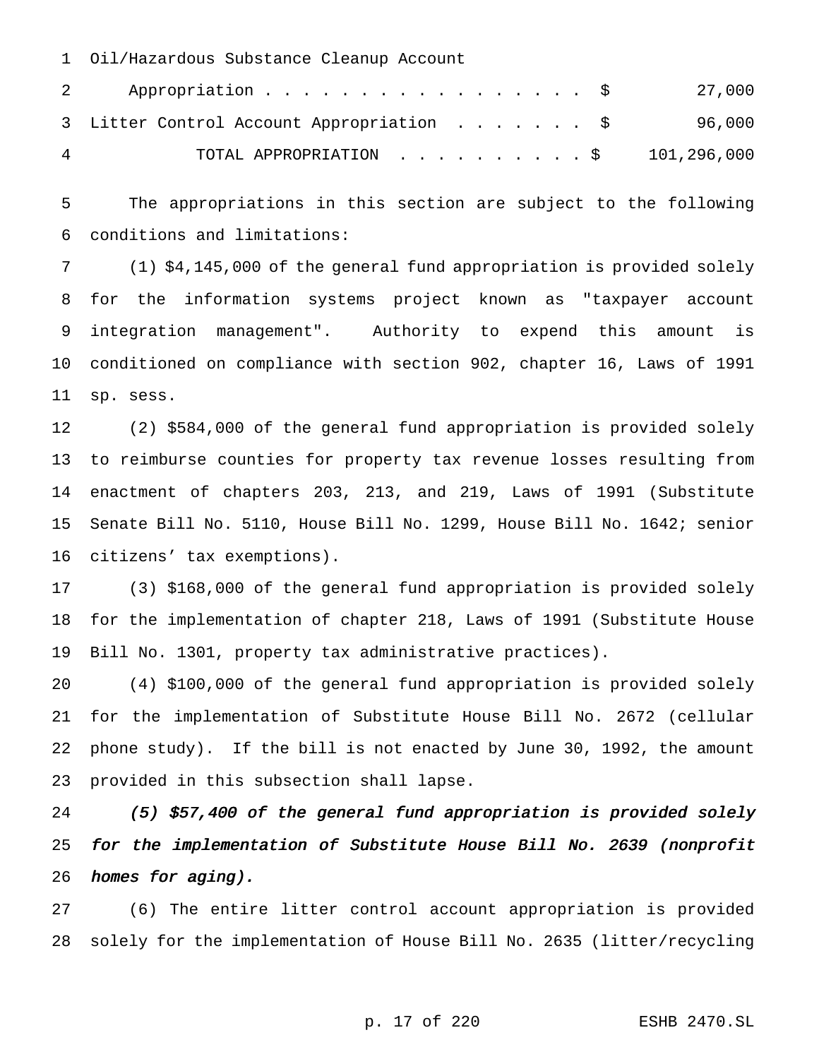Oil/Hazardous Substance Cleanup Account

|   | Appropriation $\frac{1}{27,000}$<br>$\mathbf{2}$ |  |
|---|--------------------------------------------------|--|
|   | 3 Litter Control Account Appropriation \$ 96,000 |  |
| 4 | TOTAL APPROPRIATION $\ldots$ , \$ 101,296,000    |  |

 The appropriations in this section are subject to the following conditions and limitations:

 (1) \$4,145,000 of the general fund appropriation is provided solely for the information systems project known as "taxpayer account integration management". Authority to expend this amount is conditioned on compliance with section 902, chapter 16, Laws of 1991 sp. sess.

 (2) \$584,000 of the general fund appropriation is provided solely to reimburse counties for property tax revenue losses resulting from enactment of chapters 203, 213, and 219, Laws of 1991 (Substitute Senate Bill No. 5110, House Bill No. 1299, House Bill No. 1642; senior citizens' tax exemptions).

 (3) \$168,000 of the general fund appropriation is provided solely for the implementation of chapter 218, Laws of 1991 (Substitute House Bill No. 1301, property tax administrative practices).

 (4) \$100,000 of the general fund appropriation is provided solely for the implementation of Substitute House Bill No. 2672 (cellular phone study). If the bill is not enacted by June 30, 1992, the amount provided in this subsection shall lapse.

 (5) \$57,400 of the general fund appropriation is provided solely for the implementation of Substitute House Bill No. <sup>2639</sup> (nonprofit homes for aging).

 (6) The entire litter control account appropriation is provided solely for the implementation of House Bill No. 2635 (litter/recycling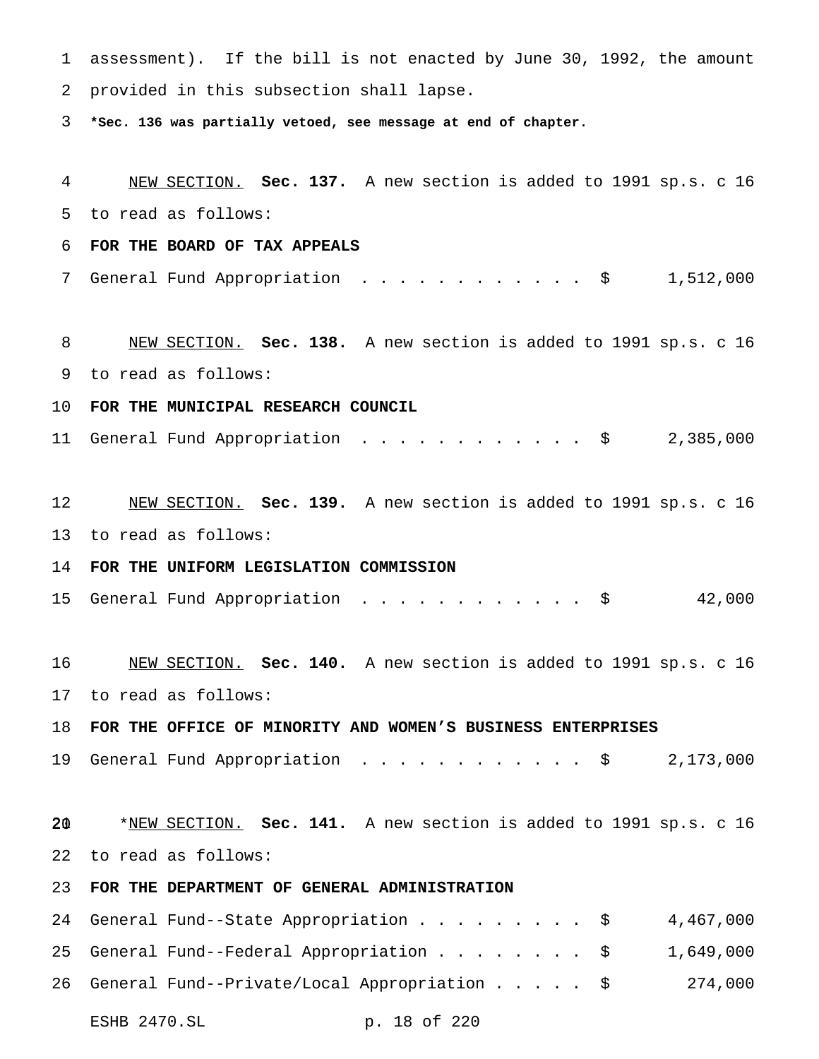assessment). If the bill is not enacted by June 30, 1992, the amount provided in this subsection shall lapse. **\*Sec. 136 was partially vetoed, see message at end of chapter.** NEW SECTION. **Sec. 137.** A new section is added to 1991 sp.s. c 16 to read as follows: **FOR THE BOARD OF TAX APPEALS** 7 General Fund Appropriation . . . . . . . . . . . \$ 1,512,000 NEW SECTION. **Sec. 138.** A new section is added to 1991 sp.s. c 16 to read as follows: **FOR THE MUNICIPAL RESEARCH COUNCIL** General Fund Appropriation ............ \$ 2,385,000 NEW SECTION. **Sec. 139.** A new section is added to 1991 sp.s. c 16 to read as follows: **FOR THE UNIFORM LEGISLATION COMMISSION** General Fund Appropriation ............ \$ 42,000 NEW SECTION. **Sec. 140.** A new section is added to 1991 sp.s. c 16 to read as follows: **FOR THE OFFICE OF MINORITY AND WOMEN'S BUSINESS ENTERPRISES** 19 General Fund Appropriation . . . . . . . . . . . \$ 2,173,000 \*NEW SECTION. **Sec. 141.** A new section is added to 1991 sp.s. c 16 to read as follows: **FOR THE DEPARTMENT OF GENERAL ADMINISTRATION** 24 General Fund--State Appropriation . . . . . . . . \$ 4,467,000 General Fund--Federal Appropriation........ \$ 1,649,000 General Fund--Private/Local Appropriation..... \$ 274,000

ESHB 2470.SL p. 18 of 220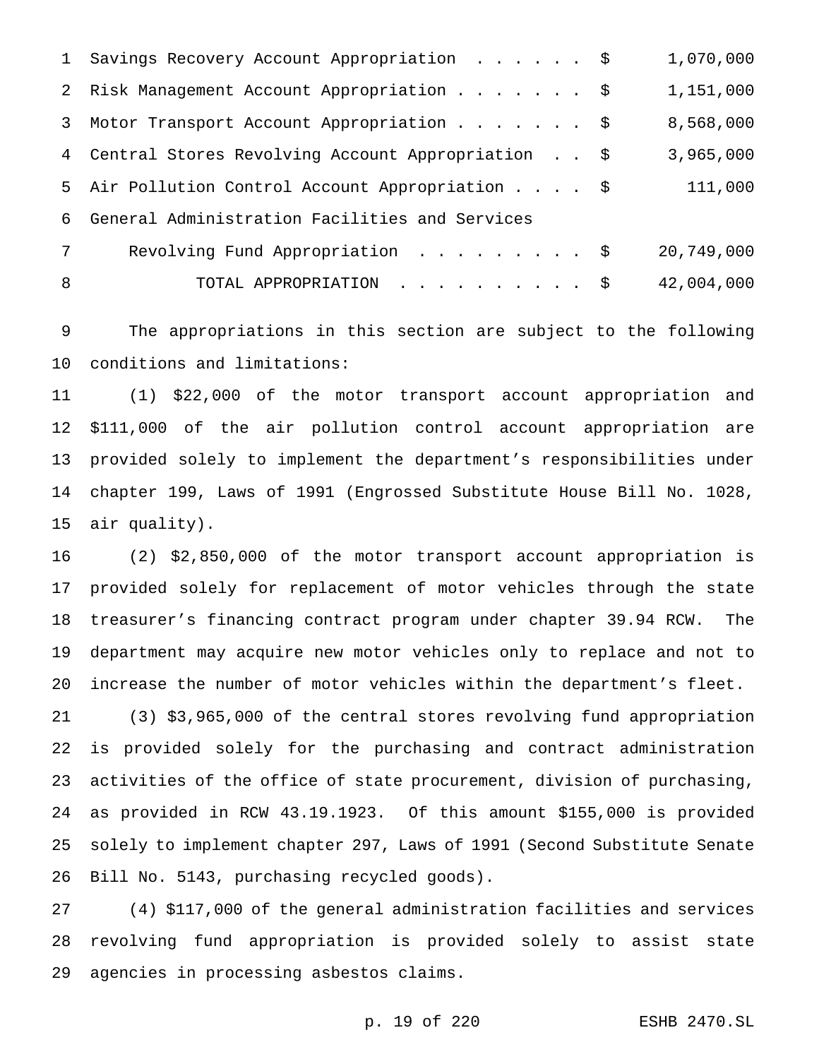|                 | 1 Savings Recovery Account Appropriation \$         | 1,070,000  |
|-----------------|-----------------------------------------------------|------------|
|                 | 2 Risk Management Account Appropriation \$          | 1,151,000  |
|                 | 3 Motor Transport Account Appropriation \$          | 8,568,000  |
|                 | 4 Central Stores Revolving Account Appropriation \$ | 3,965,000  |
|                 | 5 Air Pollution Control Account Appropriation \$    | 111,000    |
| ნ.              | General Administration Facilities and Services      |            |
| $7\overline{ }$ | Revolving Fund Appropriation \$                     | 20,749,000 |
| 8               | TOTAL APPROPRIATION \$                              | 42,004,000 |

 The appropriations in this section are subject to the following conditions and limitations:

 (1) \$22,000 of the motor transport account appropriation and \$111,000 of the air pollution control account appropriation are provided solely to implement the department's responsibilities under chapter 199, Laws of 1991 (Engrossed Substitute House Bill No. 1028, air quality).

 (2) \$2,850,000 of the motor transport account appropriation is provided solely for replacement of motor vehicles through the state treasurer's financing contract program under chapter 39.94 RCW. The department may acquire new motor vehicles only to replace and not to increase the number of motor vehicles within the department's fleet.

 (3) \$3,965,000 of the central stores revolving fund appropriation is provided solely for the purchasing and contract administration activities of the office of state procurement, division of purchasing, as provided in RCW 43.19.1923. Of this amount \$155,000 is provided solely to implement chapter 297, Laws of 1991 (Second Substitute Senate Bill No. 5143, purchasing recycled goods).

 (4) \$117,000 of the general administration facilities and services revolving fund appropriation is provided solely to assist state agencies in processing asbestos claims.

p. 19 of 220 ESHB 2470.SL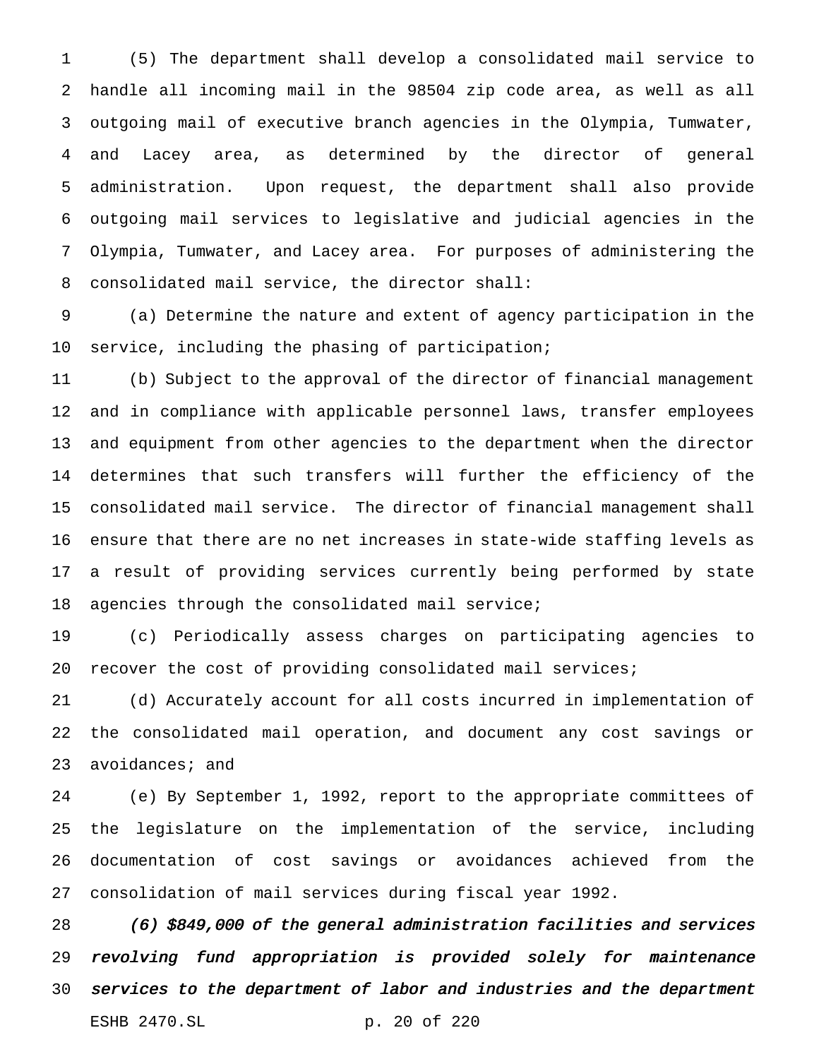(5) The department shall develop a consolidated mail service to handle all incoming mail in the 98504 zip code area, as well as all outgoing mail of executive branch agencies in the Olympia, Tumwater, and Lacey area, as determined by the director of general administration. Upon request, the department shall also provide outgoing mail services to legislative and judicial agencies in the Olympia, Tumwater, and Lacey area. For purposes of administering the consolidated mail service, the director shall:

 (a) Determine the nature and extent of agency participation in the service, including the phasing of participation;

 (b) Subject to the approval of the director of financial management and in compliance with applicable personnel laws, transfer employees and equipment from other agencies to the department when the director determines that such transfers will further the efficiency of the consolidated mail service. The director of financial management shall ensure that there are no net increases in state-wide staffing levels as a result of providing services currently being performed by state agencies through the consolidated mail service;

 (c) Periodically assess charges on participating agencies to recover the cost of providing consolidated mail services;

 (d) Accurately account for all costs incurred in implementation of the consolidated mail operation, and document any cost savings or 23 avoidances; and

 (e) By September 1, 1992, report to the appropriate committees of the legislature on the implementation of the service, including documentation of cost savings or avoidances achieved from the consolidation of mail services during fiscal year 1992.

 (6) \$849,000 of the general administration facilities and services revolving fund appropriation is provided solely for maintenance services to the department of labor and industries and the department ESHB 2470.SL p. 20 of 220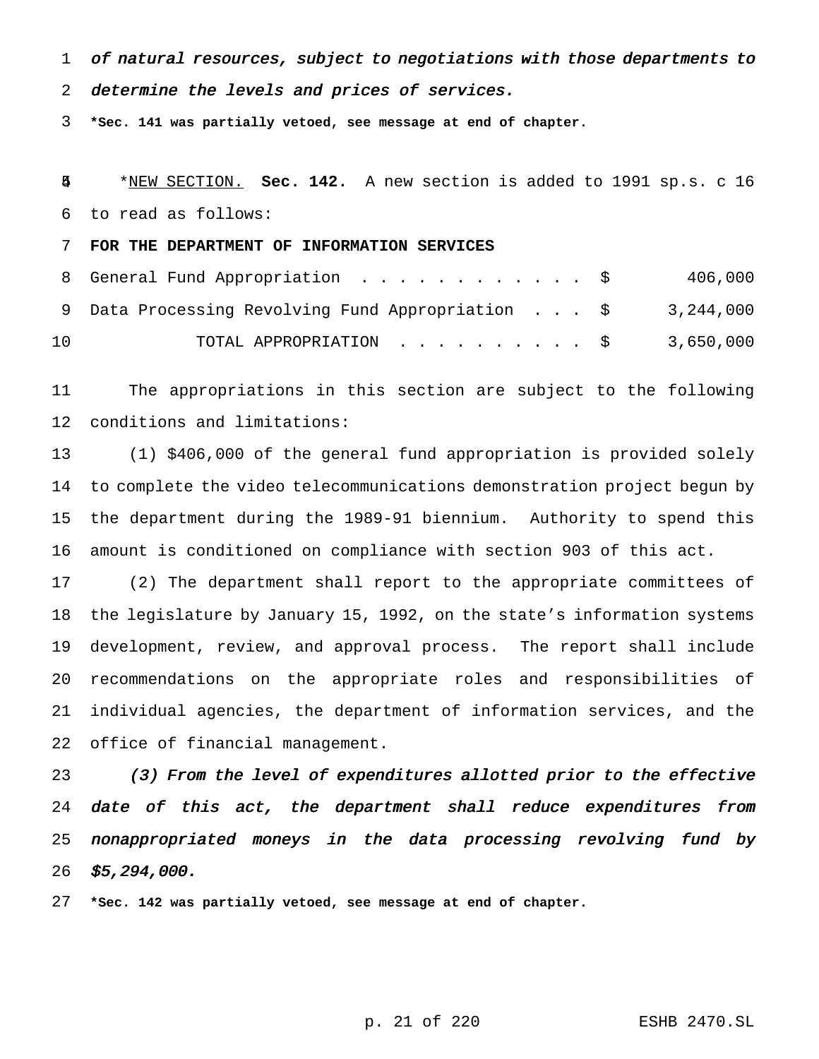of natural resources, subject to negotiations with those departments to

determine the levels and prices of services.

**\*Sec. 141 was partially vetoed, see message at end of chapter.**

 \*NEW SECTION. **Sec. 142.** A new section is added to 1991 sp.s. c 16 to read as follows:

**FOR THE DEPARTMENT OF INFORMATION SERVICES**

|    | 8 General Fund Appropriation \$                             | 406,000 |
|----|-------------------------------------------------------------|---------|
|    | 9 Data Processing Revolving Fund Appropriation \$ 3,244,000 |         |
| 10 | TOTAL APPROPRIATION $\ldots$ , \$ 3,650,000                 |         |

 The appropriations in this section are subject to the following conditions and limitations:

 (1) \$406,000 of the general fund appropriation is provided solely to complete the video telecommunications demonstration project begun by the department during the 1989-91 biennium. Authority to spend this amount is conditioned on compliance with section 903 of this act.

 (2) The department shall report to the appropriate committees of the legislature by January 15, 1992, on the state's information systems development, review, and approval process. The report shall include recommendations on the appropriate roles and responsibilities of individual agencies, the department of information services, and the office of financial management.

 (3) From the level of expenditures allotted prior to the effective 24 date of this act, the department shall reduce expenditures from nonappropriated moneys in the data processing revolving fund by \$5,294,000.

**\*Sec. 142 was partially vetoed, see message at end of chapter.**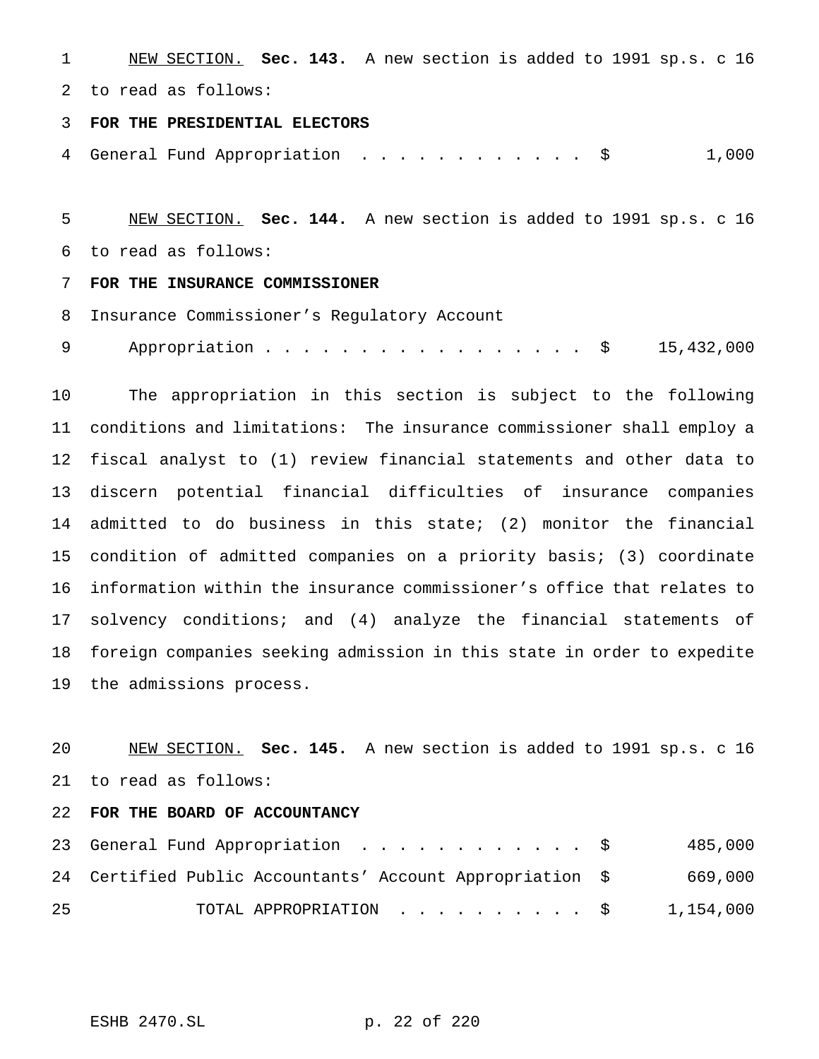NEW SECTION. **Sec. 143.** A new section is added to 1991 sp.s. c 16 to read as follows:

**FOR THE PRESIDENTIAL ELECTORS**

4 General Fund Appropriation . . . . . . . . . . . \$ 1,000

 NEW SECTION. **Sec. 144.** A new section is added to 1991 sp.s. c 16 to read as follows:

## **FOR THE INSURANCE COMMISSIONER**

Insurance Commissioner's Regulatory Account

9 Appropriation . . . . . . . . . . . . . . . \$ 15,432,000

 The appropriation in this section is subject to the following conditions and limitations: The insurance commissioner shall employ a fiscal analyst to (1) review financial statements and other data to discern potential financial difficulties of insurance companies admitted to do business in this state; (2) monitor the financial condition of admitted companies on a priority basis; (3) coordinate information within the insurance commissioner's office that relates to solvency conditions; and (4) analyze the financial statements of foreign companies seeking admission in this state in order to expedite the admissions process.

 NEW SECTION. **Sec. 145.** A new section is added to 1991 sp.s. c 16 to read as follows:

### **FOR THE BOARD OF ACCOUNTANCY**

|    | 23 General Fund Appropriation \$                          | 485,000 |
|----|-----------------------------------------------------------|---------|
|    | 24 Certified Public Accountants' Account Appropriation \$ | 669,000 |
| 25 | TOTAL APPROPRIATION $\ldots$ \$ 1,154,000                 |         |

ESHB 2470.SL p. 22 of 220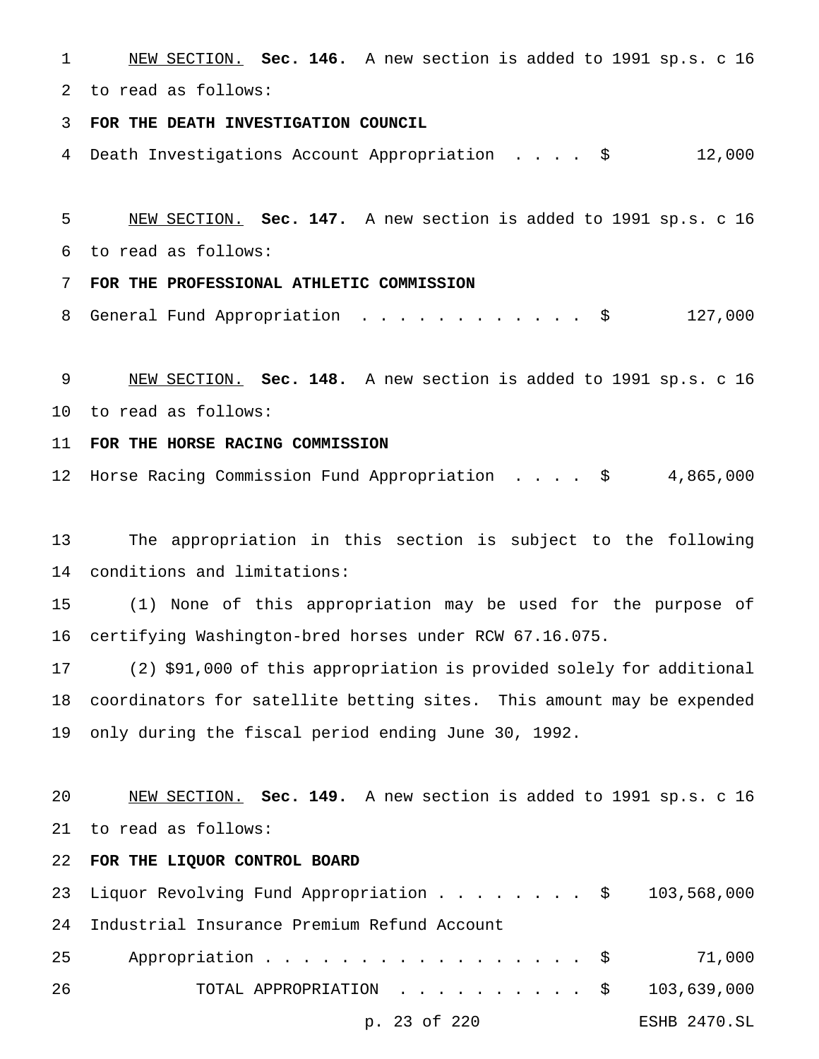NEW SECTION. **Sec. 146.** A new section is added to 1991 sp.s. c 16 to read as follows:

**FOR THE DEATH INVESTIGATION COUNCIL**

Death Investigations Account Appropriation .... \$ 12,000

 NEW SECTION. **Sec. 147.** A new section is added to 1991 sp.s. c 16 to read as follows:

**FOR THE PROFESSIONAL ATHLETIC COMMISSION**

8 General Fund Appropriation . . . . . . . . . . . \$ 127,000

 NEW SECTION. **Sec. 148.** A new section is added to 1991 sp.s. c 16 to read as follows:

**FOR THE HORSE RACING COMMISSION**

Horse Racing Commission Fund Appropriation .... \$ 4,865,000

 The appropriation in this section is subject to the following conditions and limitations:

 (1) None of this appropriation may be used for the purpose of certifying Washington-bred horses under RCW 67.16.075.

 (2) \$91,000 of this appropriation is provided solely for additional coordinators for satellite betting sites. This amount may be expended only during the fiscal period ending June 30, 1992.

 NEW SECTION. **Sec. 149.** A new section is added to 1991 sp.s. c 16 to read as follows:

**FOR THE LIQUOR CONTROL BOARD**

|    | 23 Liquor Revolving Fund Appropriation \$ 103,568,000 |              |
|----|-------------------------------------------------------|--------------|
|    | 24 Industrial Insurance Premium Refund Account        |              |
| 25 | Appropriation $\frac{1}{2}$ 71,000                    |              |
| 26 | TOTAL APPROPRIATION $\ldots$ , \$ 103,639,000         |              |
|    | p. 23 of 220                                          | ESHB 2470.SL |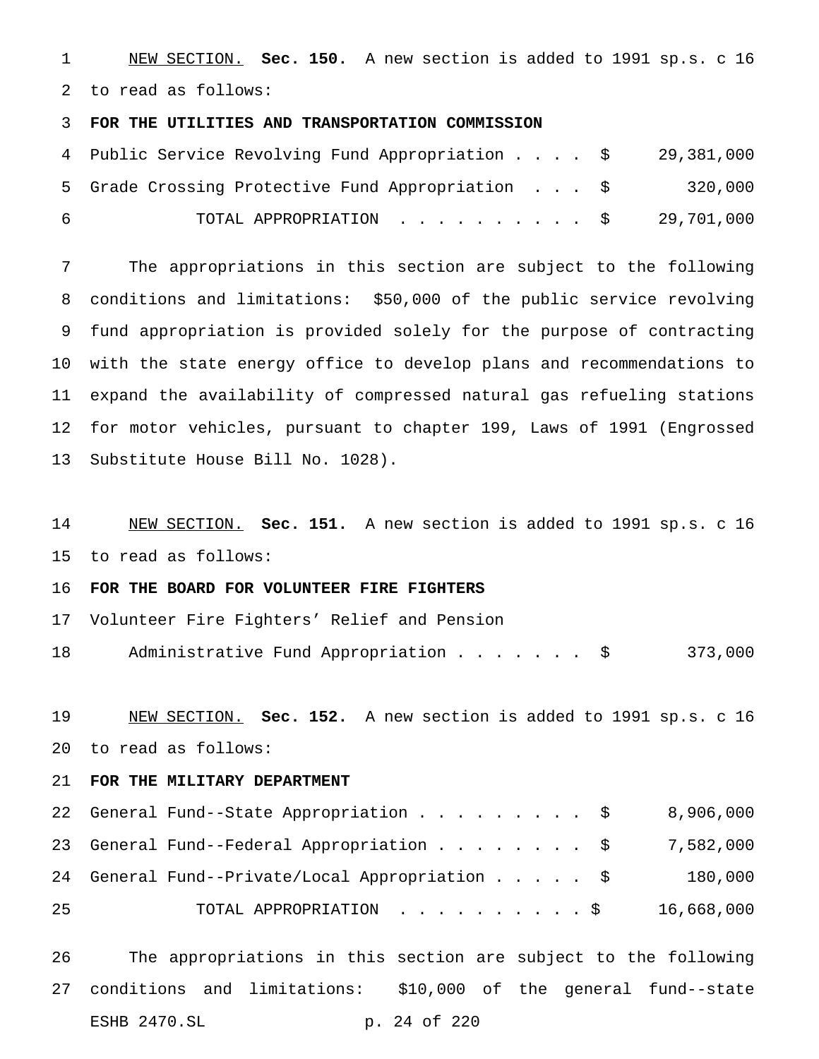NEW SECTION. **Sec. 150.** A new section is added to 1991 sp.s. c 16 to read as follows:

### **FOR THE UTILITIES AND TRANSPORTATION COMMISSION**

|           | 4 Public Service Revolving Fund Appropriation \$ 29,381,000 |         |
|-----------|-------------------------------------------------------------|---------|
|           | 5 Grade Crossing Protective Fund Appropriation \$           | 320,000 |
| <u>പെ</u> | TOTAL APPROPRIATION $\ldots$ , \$ 29,701,000                |         |

 The appropriations in this section are subject to the following conditions and limitations: \$50,000 of the public service revolving fund appropriation is provided solely for the purpose of contracting with the state energy office to develop plans and recommendations to expand the availability of compressed natural gas refueling stations for motor vehicles, pursuant to chapter 199, Laws of 1991 (Engrossed Substitute House Bill No. 1028).

 NEW SECTION. **Sec. 151.** A new section is added to 1991 sp.s. c 16 to read as follows:

## **FOR THE BOARD FOR VOLUNTEER FIRE FIGHTERS**

Volunteer Fire Fighters' Relief and Pension

Administrative Fund Appropriation....... \$ 373,000

 NEW SECTION. **Sec. 152.** A new section is added to 1991 sp.s. c 16 to read as follows:

## **FOR THE MILITARY DEPARTMENT**

|    | 22 General Fund--State Appropriation \$             |  |  |  | 8,906,000  |
|----|-----------------------------------------------------|--|--|--|------------|
|    | 23 General Fund--Federal Appropriation \$ 7,582,000 |  |  |  |            |
|    | 24 General Fund--Private/Local Appropriation \$     |  |  |  | 180,000    |
| 25 | TOTAL APPROPRIATION \$                              |  |  |  | 16,668,000 |

 The appropriations in this section are subject to the following conditions and limitations: \$10,000 of the general fund--state ESHB 2470.SL p. 24 of 220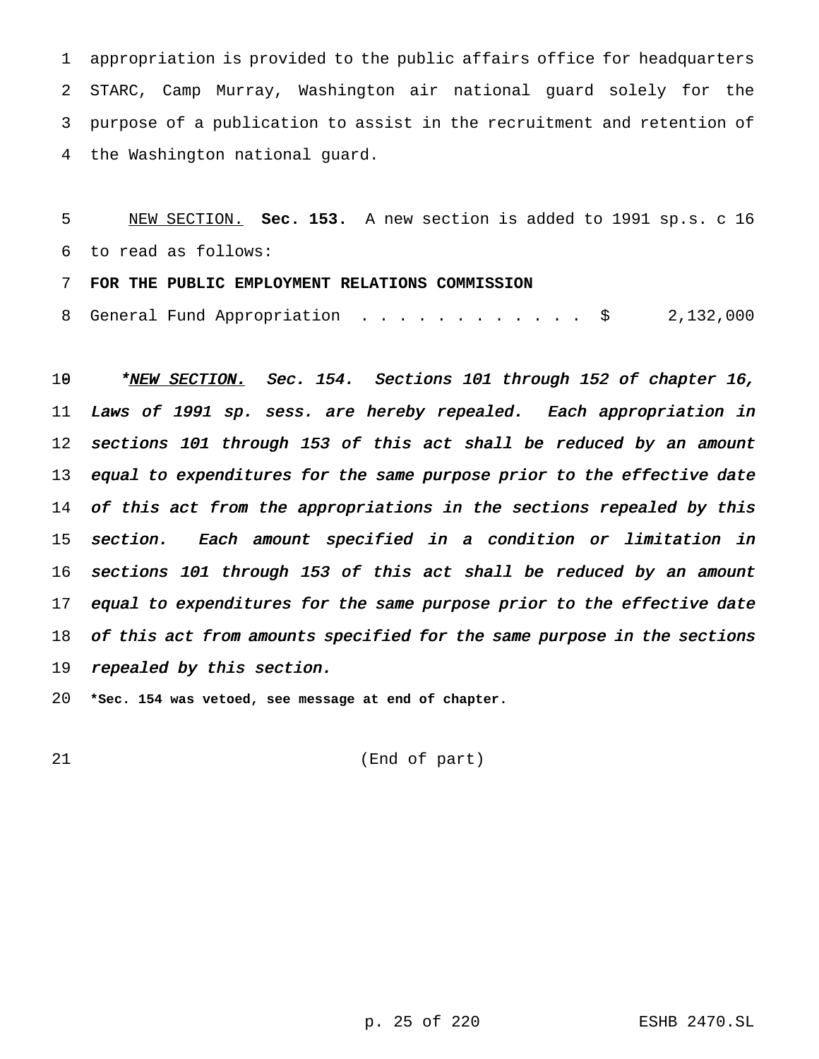appropriation is provided to the public affairs office for headquarters STARC, Camp Murray, Washington air national guard solely for the purpose of a publication to assist in the recruitment and retention of the Washington national guard.

 NEW SECTION. **Sec. 153.** A new section is added to 1991 sp.s. c 16 to read as follows:

**FOR THE PUBLIC EMPLOYMENT RELATIONS COMMISSION**

8 General Fund Appropriation . . . . . . . . . . . \$ 2,132,000

10 \*NEW SECTION. Sec. 154. Sections 101 through 152 of chapter 16, Laws of <sup>1991</sup> sp. sess. are hereby repealed. Each appropriation in sections <sup>101</sup> through <sup>153</sup> of this act shall be reduced by an amount 13 equal to expenditures for the same purpose prior to the effective date 14 of this act from the appropriations in the sections repealed by this section. Each amount specified in <sup>a</sup> condition or limitation in sections <sup>101</sup> through <sup>153</sup> of this act shall be reduced by an amount 17 equal to expenditures for the same purpose prior to the effective date 18 of this act from amounts specified for the same purpose in the sections 19 repealed by this section.

**\*Sec. 154 was vetoed, see message at end of chapter.**

(End of part)

p. 25 of 220 ESHB 2470.SL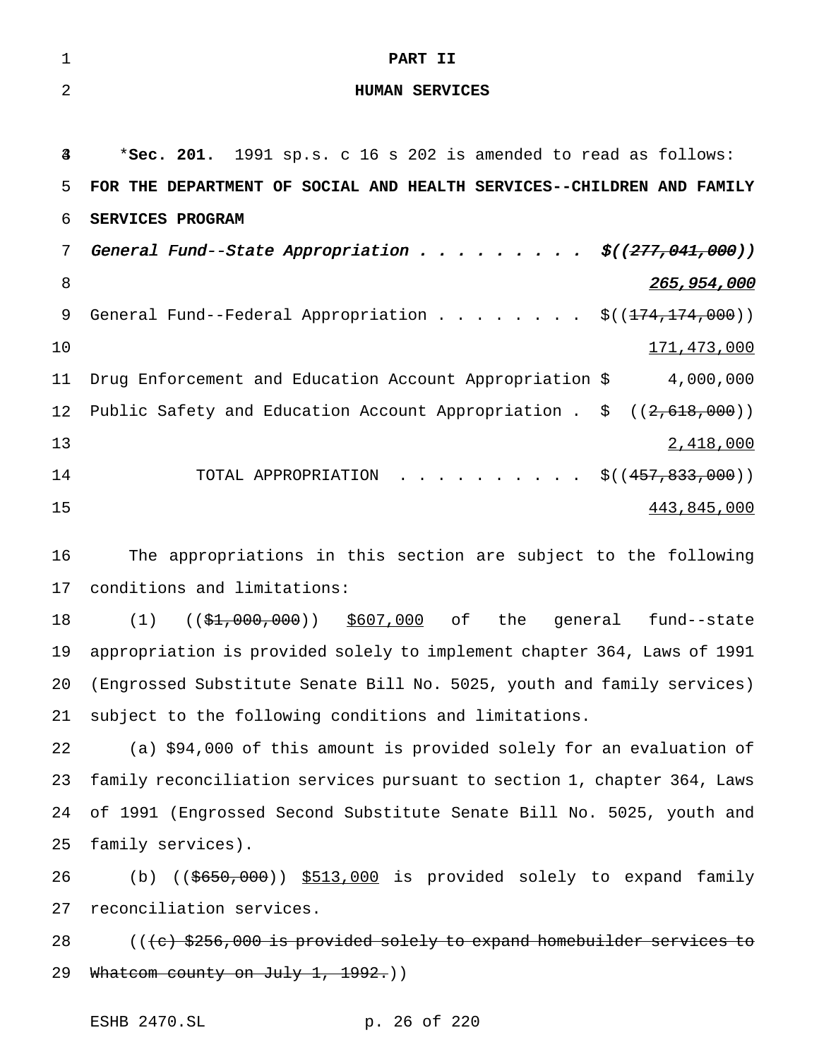| $\mathbf{1}$   | PART II                                                                                               |
|----------------|-------------------------------------------------------------------------------------------------------|
| 2              | <b>HUMAN SERVICES</b>                                                                                 |
|                |                                                                                                       |
| $\overline{4}$ | *Sec. 201. 1991 sp.s. c 16 s 202 is amended to read as follows:                                       |
| 5.             | FOR THE DEPARTMENT OF SOCIAL AND HEALTH SERVICES--CHILDREN AND FAMILY                                 |
| б.             | <b>SERVICES PROGRAM</b>                                                                               |
| 7              | General Fund--State Appropriation $\frac{\xi(277,041,000)}{277}$                                      |
| 8              | 265,954,000                                                                                           |
| 9              | General Fund--Federal Appropriation $\frac{1}{5}$ ( $\left(\frac{174}{174}, \frac{174}{100}\right)$ ) |

 $171,473,000$  Drug Enforcement and Education Account Appropriation \$ 4,000,000 12 Public Safety and Education Account Appropriation .  $\zeta$  ((2,618,000)) 2,418,000 14 TOTAL APPROPRIATION . . . . . . . . . \$((457,833,000))  $443,845,000$ 

 The appropriations in this section are subject to the following conditions and limitations:

18 (1) ((\$1,000,000)) \$607,000 of the general fund--state appropriation is provided solely to implement chapter 364, Laws of 1991 (Engrossed Substitute Senate Bill No. 5025, youth and family services) subject to the following conditions and limitations.

 (a) \$94,000 of this amount is provided solely for an evaluation of family reconciliation services pursuant to section 1, chapter 364, Laws of 1991 (Engrossed Second Substitute Senate Bill No. 5025, youth and family services).

 (b) ((\$650,000)) \$513,000 is provided solely to expand family reconciliation services.

 $($   $($   $\frac{1}{256}$ ,000 is provided solely to expand homebuilder services to 29 Whatcom county on July 1, 1992.))

ESHB 2470.SL p. 26 of 220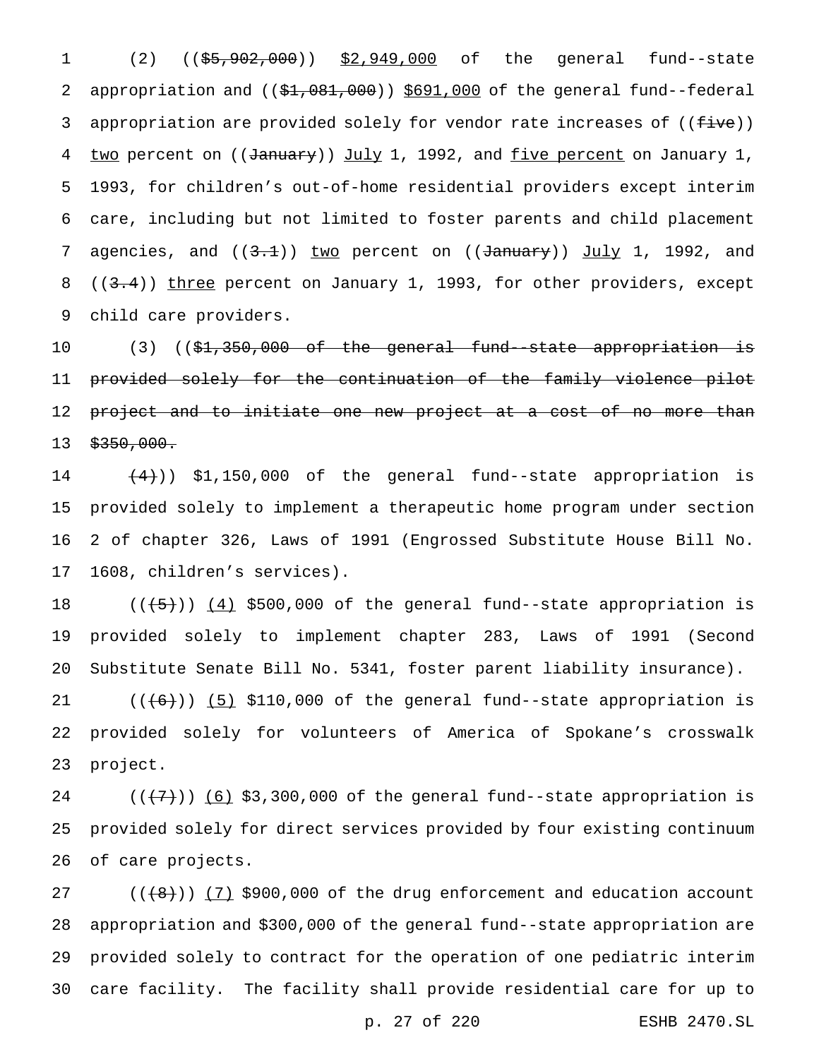1 (2) ((\$5,902,000)) \$2,949,000 of the general fund--state 2 appropriation and ((\$1,081,000)) \$691,000 of the general fund--federal 3 appropriation are provided solely for vendor rate increases of ((five)) 4 two percent on ((January)) July 1, 1992, and five percent on January 1, 1993, for children's out-of-home residential providers except interim care, including but not limited to foster parents and child placement 7 agencies, and  $((3.1))$  two percent on  $((\text{January}))$  July 1, 1992, and 8 ((3.4)) three percent on January 1, 1993, for other providers, except child care providers.

10 (3) ((\$<del>1,350,000 of the general fund-state appropriation is</del> provided solely for the continuation of the family violence pilot 12 <del>project and to initiate one new project at a cost of no more than</del>  $$350,000$ .

 $(4)$ ) \$1,150,000 of the general fund--state appropriation is provided solely to implement a therapeutic home program under section 2 of chapter 326, Laws of 1991 (Engrossed Substitute House Bill No. 1608, children's services).

18  $((+5))$   $(4)$  \$500,000 of the general fund--state appropriation is provided solely to implement chapter 283, Laws of 1991 (Second Substitute Senate Bill No. 5341, foster parent liability insurance).

 $((+6))$   $(5)$  \$110,000 of the general fund--state appropriation is provided solely for volunteers of America of Spokane's crosswalk project.

 $((+7))$   $(6)$  \$3,300,000 of the general fund--state appropriation is provided solely for direct services provided by four existing continuum of care projects.

 $((+8))$   $(7)$  \$900,000 of the drug enforcement and education account appropriation and \$300,000 of the general fund--state appropriation are provided solely to contract for the operation of one pediatric interim care facility. The facility shall provide residential care for up to

p. 27 of 220 ESHB 2470.SL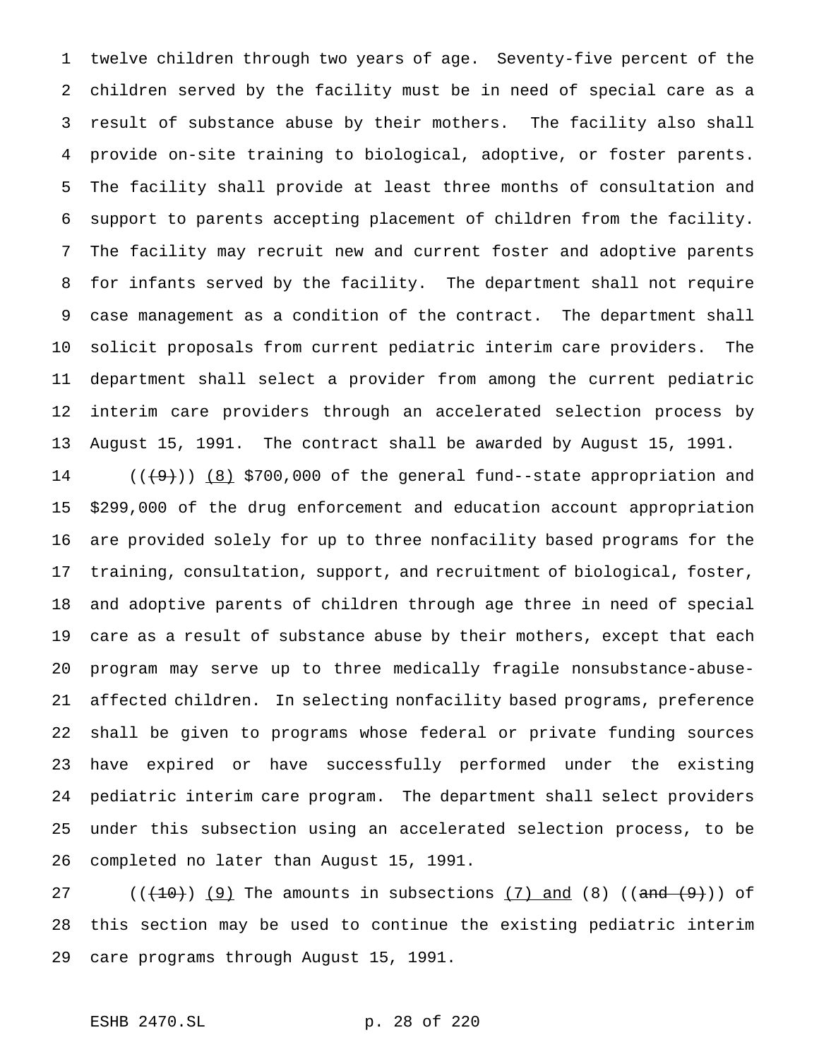twelve children through two years of age. Seventy-five percent of the children served by the facility must be in need of special care as a result of substance abuse by their mothers. The facility also shall provide on-site training to biological, adoptive, or foster parents. The facility shall provide at least three months of consultation and support to parents accepting placement of children from the facility. The facility may recruit new and current foster and adoptive parents for infants served by the facility. The department shall not require case management as a condition of the contract. The department shall solicit proposals from current pediatric interim care providers. The department shall select a provider from among the current pediatric interim care providers through an accelerated selection process by August 15, 1991. The contract shall be awarded by August 15, 1991.

 $((+9))$   $(8)$  \$700,000 of the general fund--state appropriation and \$299,000 of the drug enforcement and education account appropriation are provided solely for up to three nonfacility based programs for the training, consultation, support, and recruitment of biological, foster, and adoptive parents of children through age three in need of special care as a result of substance abuse by their mothers, except that each program may serve up to three medically fragile nonsubstance-abuse- affected children. In selecting nonfacility based programs, preference shall be given to programs whose federal or private funding sources have expired or have successfully performed under the existing pediatric interim care program. The department shall select providers under this subsection using an accelerated selection process, to be completed no later than August 15, 1991.

 $((+10))$   $(9)$  The amounts in subsections  $(7)$  and  $(8)$   $((and (9))$  of this section may be used to continue the existing pediatric interim care programs through August 15, 1991.

# ESHB 2470.SL p. 28 of 220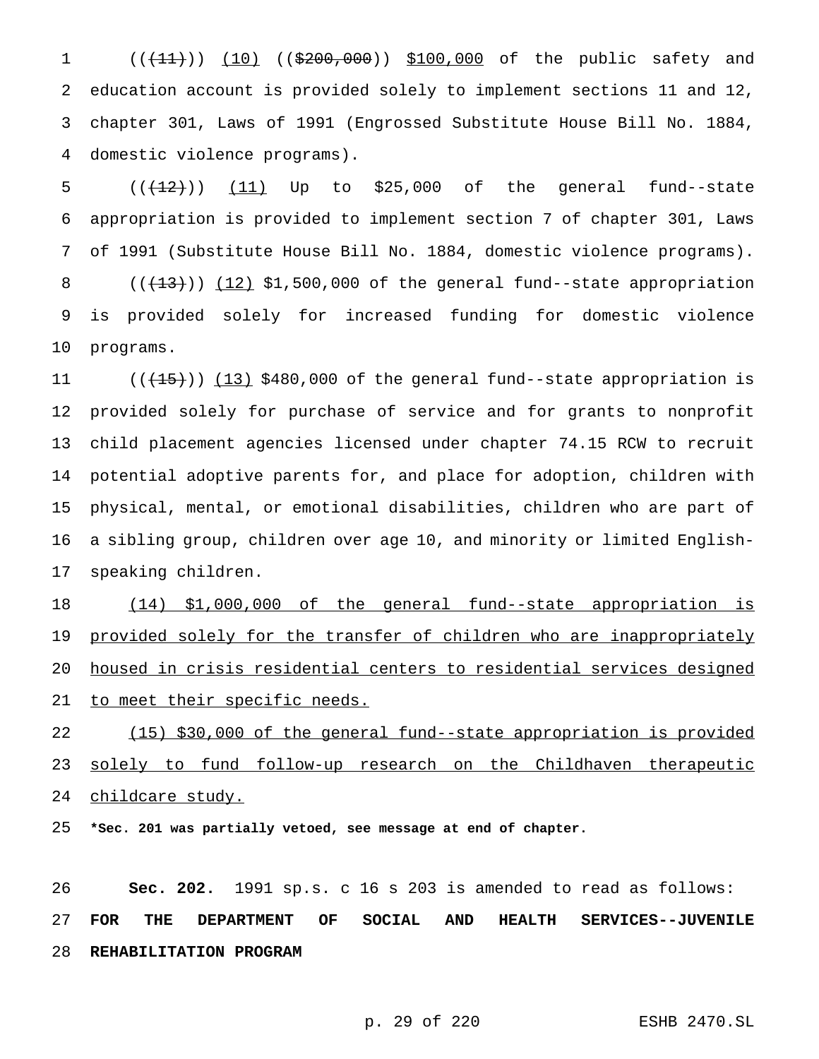1 (((11))) (10) ((\$200,000)) \$100,000 of the public safety and education account is provided solely to implement sections 11 and 12, chapter 301, Laws of 1991 (Engrossed Substitute House Bill No. 1884, domestic violence programs).

 $((+12))$   $(11)$  Up to \$25,000 of the general fund--state appropriation is provided to implement section 7 of chapter 301, Laws of 1991 (Substitute House Bill No. 1884, domestic violence programs).  $((+13))$   $(12)$  \$1,500,000 of the general fund--state appropriation is provided solely for increased funding for domestic violence programs.

 $((+15))$   $(13)$  \$480,000 of the general fund--state appropriation is provided solely for purchase of service and for grants to nonprofit child placement agencies licensed under chapter 74.15 RCW to recruit potential adoptive parents for, and place for adoption, children with physical, mental, or emotional disabilities, children who are part of a sibling group, children over age 10, and minority or limited English-speaking children.

 (14) \$1,000,000 of the general fund--state appropriation is 19 provided solely for the transfer of children who are inappropriately housed in crisis residential centers to residential services designed 21 to meet their specific needs.

 (15) \$30,000 of the general fund--state appropriation is provided 23 solely to fund follow-up research on the Childhaven therapeutic childcare study.

**\*Sec. 201 was partially vetoed, see message at end of chapter.**

 **Sec. 202.** 1991 sp.s. c 16 s 203 is amended to read as follows: **FOR THE DEPARTMENT OF SOCIAL AND HEALTH SERVICES--JUVENILE REHABILITATION PROGRAM**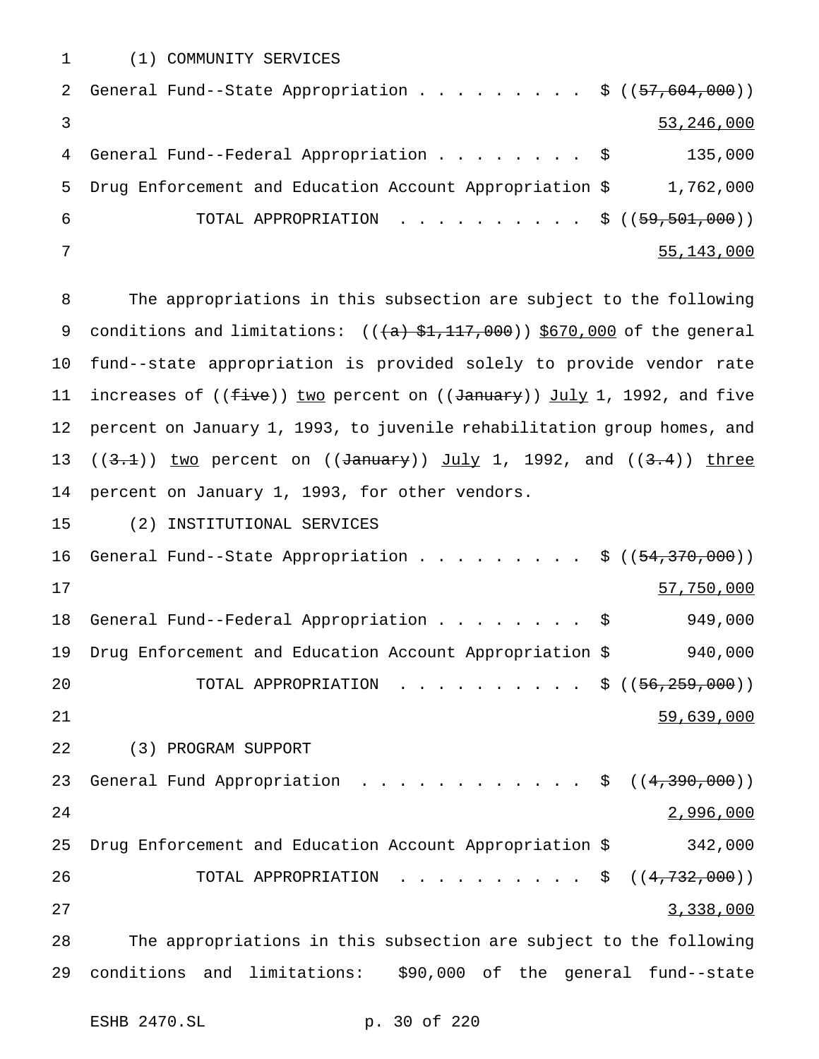(1) COMMUNITY SERVICES

|     | 2 General Fund--State Appropriation \$ ((57,604,000))   |              |
|-----|---------------------------------------------------------|--------------|
|     |                                                         | 53, 246, 000 |
|     | 4 General Fund--Federal Appropriation \$                | 135,000      |
| 5.  | Drug Enforcement and Education Account Appropriation \$ | 1,762,000    |
| - 6 | TOTAL APPROPRIATION \$ $((59, 501, 000))$               |              |
|     |                                                         | 55, 143, 000 |

 The appropriations in this subsection are subject to the following 9 conditions and limitations:  $((+a)$ ,  $(1, 1, 1, 1, 1, 0, 0, 0)$  of the general fund--state appropriation is provided solely to provide vendor rate 11 increases of ((five)) two percent on ((January)) July 1, 1992, and five percent on January 1, 1993, to juvenile rehabilitation group homes, and  $((3.1))$  two percent on  $((\text{January}))$  July 1, 1992, and  $((3.4))$  three percent on January 1, 1993, for other vendors.

(2) INSTITUTIONAL SERVICES

16 General Fund--State Appropriation . . . . . . . . \$ ((<del>54,370,000</del>)) 57,750,000 General Fund--Federal Appropriation........ \$ 949,000 Drug Enforcement and Education Account Appropriation \$ 940,000 20 TOTAL APPROPRIATION ..........\$ ((<del>56,259,000</del>)) 59,639,000 (3) PROGRAM SUPPORT 23 General Fund Appropriation . . . . . . . . . . . \$ ((4,390,000)) 2,996,000 Drug Enforcement and Education Account Appropriation \$ 342,000 26 TOTAL APPROPRIATION . . . . . . . . . \$ ((4,732,000)) 3,338,000 The appropriations in this subsection are subject to the following conditions and limitations: \$90,000 of the general fund--state

ESHB 2470.SL p. 30 of 220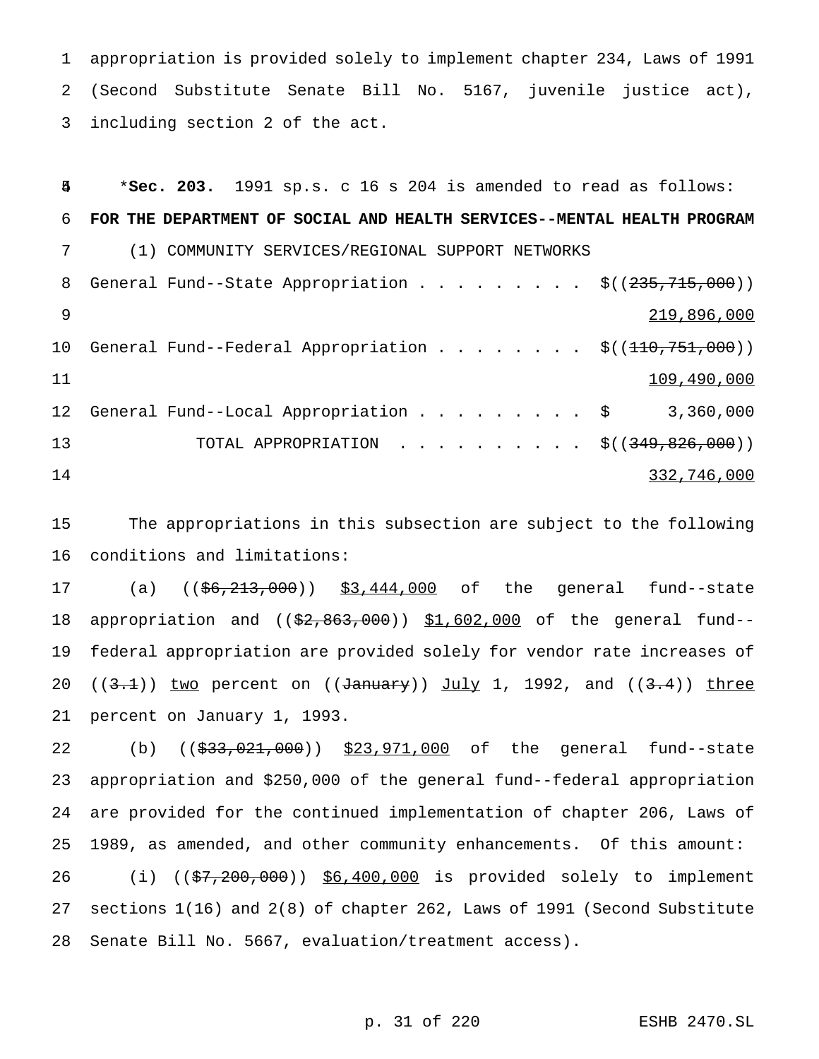appropriation is provided solely to implement chapter 234, Laws of 1991 (Second Substitute Senate Bill No. 5167, juvenile justice act), including section 2 of the act.

 \***Sec. 203.** 1991 sp.s. c 16 s 204 is amended to read as follows: **FOR THE DEPARTMENT OF SOCIAL AND HEALTH SERVICES--MENTAL HEALTH PROGRAM** (1) COMMUNITY SERVICES/REGIONAL SUPPORT NETWORKS 8 General Fund--State Appropriation . . . . . . . .  $\frac{1}{5}$  ( $\left(\frac{235}{715},\frac{715}{000}\right)$ ) 219,896,000 10 General Fund--Federal Appropriation . . . . . . . \$((110,751,000)) 11 12 General Fund--Local Appropriation . . . . . . . . \$ 3,360,000 13 TOTAL APPROPRIATION . . . . . . . . . \$((349,826,000)) 332,746,000

 The appropriations in this subsection are subject to the following conditions and limitations:

17 (a) ((\$6,213,000)) \$3,444,000 of the general fund--state 18 appropriation and ((\$2,863,000)) \$1,602,000 of the general fund-- federal appropriation are provided solely for vendor rate increases of 20 ( $(3.1)$ ) two percent on ( $(d_{\text{annuary}})$ ) July 1, 1992, and ( $(3.4)$ ) three percent on January 1, 1993.

22 (b) ((\$33,021,000)) \$23,971,000 of the general fund--state appropriation and \$250,000 of the general fund--federal appropriation are provided for the continued implementation of chapter 206, Laws of 1989, as amended, and other community enhancements. Of this amount: 26 (i) ((\$7,200,000)) \$6,400,000 is provided solely to implement sections 1(16) and 2(8) of chapter 262, Laws of 1991 (Second Substitute Senate Bill No. 5667, evaluation/treatment access).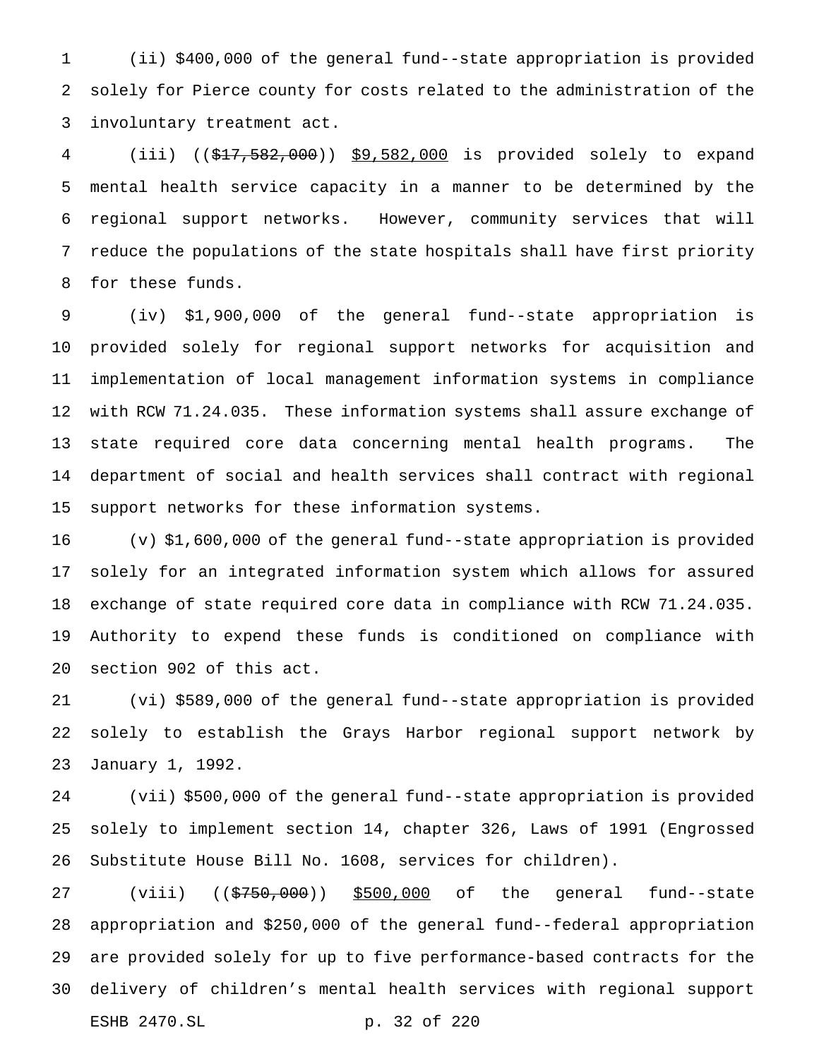(ii) \$400,000 of the general fund--state appropriation is provided solely for Pierce county for costs related to the administration of the involuntary treatment act.

 (iii) ((\$17,582,000)) \$9,582,000 is provided solely to expand mental health service capacity in a manner to be determined by the regional support networks. However, community services that will reduce the populations of the state hospitals shall have first priority for these funds.

 (iv) \$1,900,000 of the general fund--state appropriation is provided solely for regional support networks for acquisition and implementation of local management information systems in compliance with RCW 71.24.035. These information systems shall assure exchange of state required core data concerning mental health programs. The department of social and health services shall contract with regional support networks for these information systems.

 (v) \$1,600,000 of the general fund--state appropriation is provided solely for an integrated information system which allows for assured exchange of state required core data in compliance with RCW 71.24.035. Authority to expend these funds is conditioned on compliance with section 902 of this act.

 (vi) \$589,000 of the general fund--state appropriation is provided solely to establish the Grays Harbor regional support network by January 1, 1992.

 (vii) \$500,000 of the general fund--state appropriation is provided solely to implement section 14, chapter 326, Laws of 1991 (Engrossed Substitute House Bill No. 1608, services for children).

27 (viii) ((\$750,000)) \$500,000 of the general fund--state appropriation and \$250,000 of the general fund--federal appropriation are provided solely for up to five performance-based contracts for the delivery of children's mental health services with regional support ESHB 2470.SL p. 32 of 220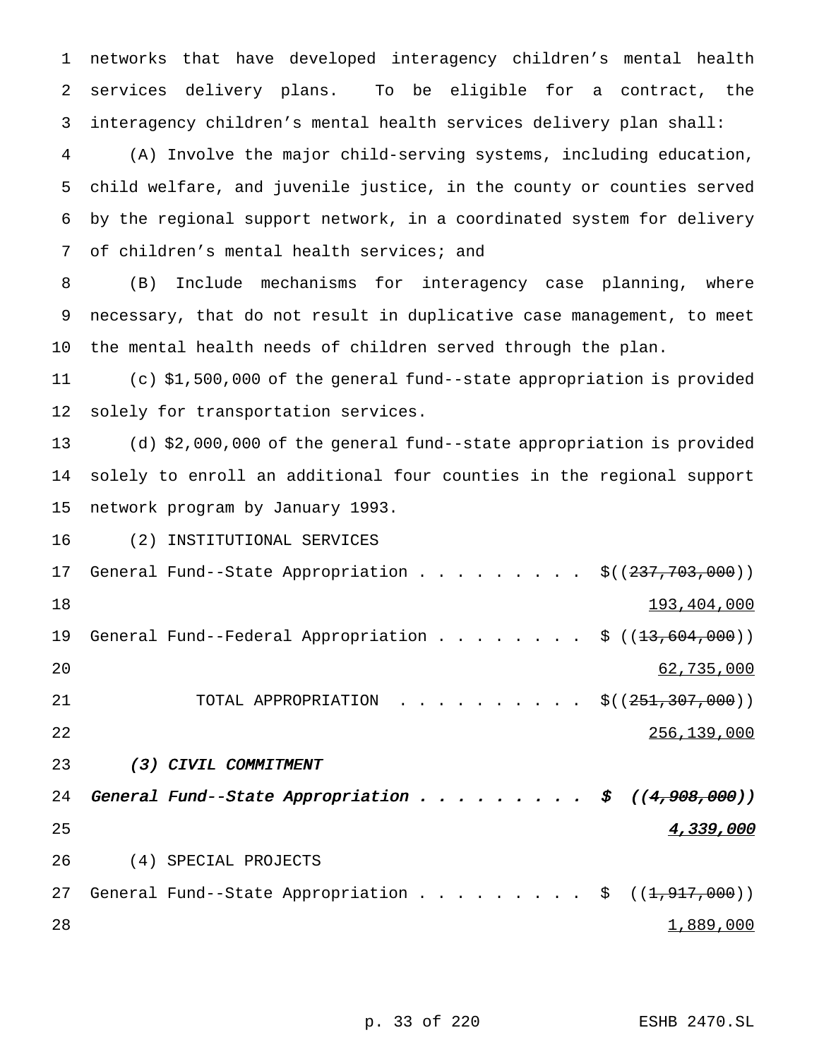networks that have developed interagency children's mental health services delivery plans. To be eligible for a contract, the interagency children's mental health services delivery plan shall:

 (A) Involve the major child-serving systems, including education, child welfare, and juvenile justice, in the county or counties served by the regional support network, in a coordinated system for delivery of children's mental health services; and

 (B) Include mechanisms for interagency case planning, where necessary, that do not result in duplicative case management, to meet the mental health needs of children served through the plan.

 (c) \$1,500,000 of the general fund--state appropriation is provided solely for transportation services.

 (d) \$2,000,000 of the general fund--state appropriation is provided solely to enroll an additional four counties in the regional support network program by January 1993.

(2) INSTITUTIONAL SERVICES

17 General Fund--State Appropriation . . . . . . . . \$((237,703,000)) 193,404,000 19 General Fund--Federal Appropriation . . . . . . . \$ ((<del>13,604,000</del>)) 62,735,000 21 TOTAL APPROPRIATION . . . . . . . . . \$((251,307,000)) 22 22 22 23 23 23 24 256,139,000 (3) CIVIL COMMITMENT 24 General Fund--State Appropriation . . . . . . . . \$  $((4, 908, 000))$ **4,339,000**  (4) SPECIAL PROJECTS 27 General Fund--State Appropriation . . . . . . . . \$ ((<del>1,917,000</del>)) 28  $\frac{1,889,000}{1}$ 

p. 33 of 220 ESHB 2470.SL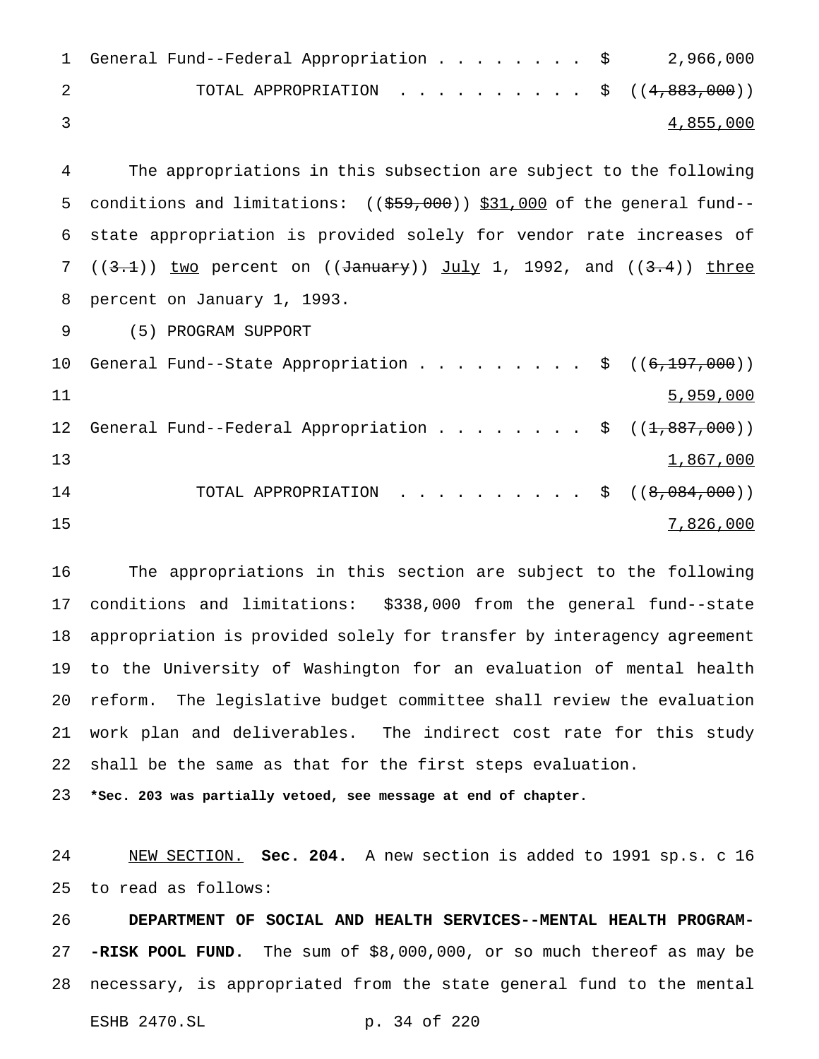| 1 General Fund--Federal Appropriation \$ 2,966,000 |  |  |  |  |                  |
|----------------------------------------------------|--|--|--|--|------------------|
| TOTAL APPROPRIATION \$ $((4,883,000))$             |  |  |  |  |                  |
|                                                    |  |  |  |  | <u>4,855,000</u> |

 The appropriations in this subsection are subject to the following 5 conditions and limitations: ((\$59,000)) \$31,000 of the general fund-- state appropriation is provided solely for vendor rate increases of  $((3.1))$  two percent on  $((\text{January}))$  July 1, 1992, and  $((3.4))$  three percent on January 1, 1993.

(5) PROGRAM SUPPORT

|    | 10 General Fund--State Appropriation \$ $((6,197,000))$ |  |  |  |  |  |                                                        |
|----|---------------------------------------------------------|--|--|--|--|--|--------------------------------------------------------|
| 11 |                                                         |  |  |  |  |  | 5,959,000                                              |
| 12 |                                                         |  |  |  |  |  | General Fund--Federal Appropriation \$ $((1,887,000))$ |
| 13 |                                                         |  |  |  |  |  | 1,867,000                                              |
| 14 |                                                         |  |  |  |  |  | TOTAL APPROPRIATION \$ $((8,084,000))$                 |
| 15 |                                                         |  |  |  |  |  | 7,826,000                                              |

 The appropriations in this section are subject to the following conditions and limitations: \$338,000 from the general fund--state appropriation is provided solely for transfer by interagency agreement to the University of Washington for an evaluation of mental health reform. The legislative budget committee shall review the evaluation work plan and deliverables. The indirect cost rate for this study shall be the same as that for the first steps evaluation.

**\*Sec. 203 was partially vetoed, see message at end of chapter.**

 NEW SECTION. **Sec. 204.** A new section is added to 1991 sp.s. c 16 to read as follows:

 **DEPARTMENT OF SOCIAL AND HEALTH SERVICES--MENTAL HEALTH PROGRAM- -RISK POOL FUND.** The sum of \$8,000,000, or so much thereof as may be necessary, is appropriated from the state general fund to the mental

```
ESHB 2470.SL p. 34 of 220
```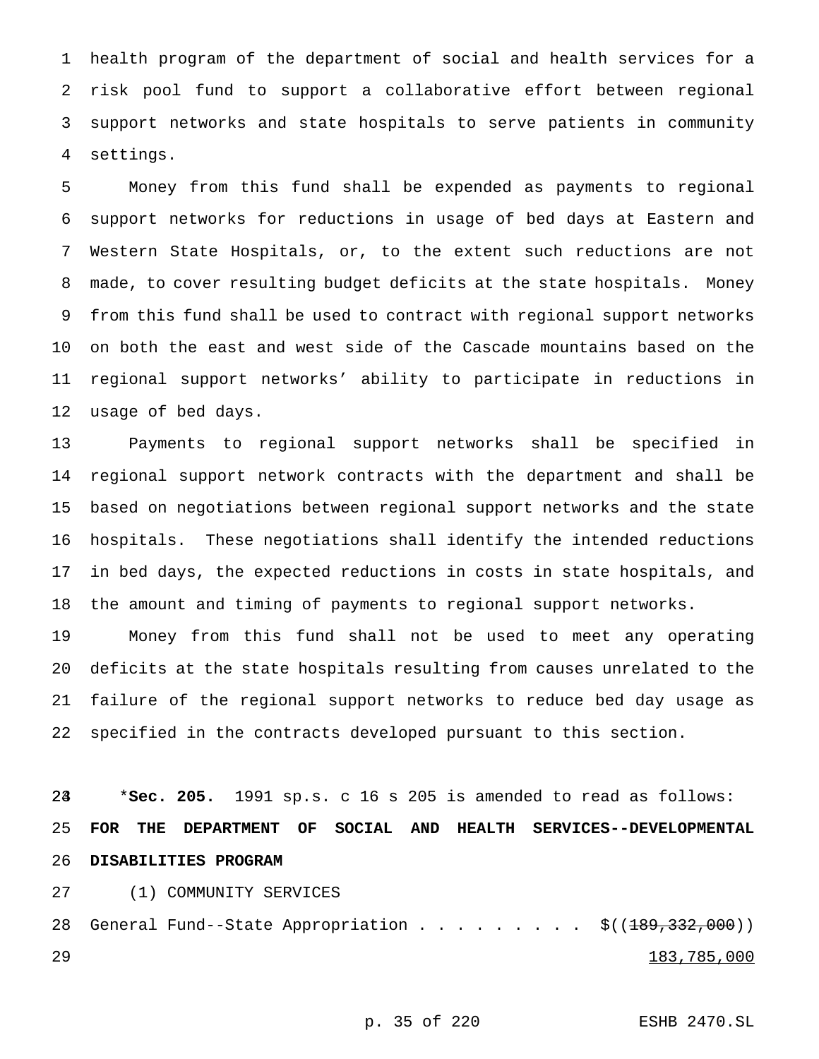health program of the department of social and health services for a risk pool fund to support a collaborative effort between regional support networks and state hospitals to serve patients in community settings.

 Money from this fund shall be expended as payments to regional support networks for reductions in usage of bed days at Eastern and Western State Hospitals, or, to the extent such reductions are not made, to cover resulting budget deficits at the state hospitals. Money from this fund shall be used to contract with regional support networks on both the east and west side of the Cascade mountains based on the regional support networks' ability to participate in reductions in usage of bed days.

 Payments to regional support networks shall be specified in regional support network contracts with the department and shall be based on negotiations between regional support networks and the state hospitals. These negotiations shall identify the intended reductions in bed days, the expected reductions in costs in state hospitals, and the amount and timing of payments to regional support networks.

 Money from this fund shall not be used to meet any operating deficits at the state hospitals resulting from causes unrelated to the failure of the regional support networks to reduce bed day usage as specified in the contracts developed pursuant to this section.

 \***Sec. 205.** 1991 sp.s. c 16 s 205 is amended to read as follows: **FOR THE DEPARTMENT OF SOCIAL AND HEALTH SERVICES--DEVELOPMENTAL DISABILITIES PROGRAM**

(1) COMMUNITY SERVICES

28 General Fund--State Appropriation . . . . . . . . \$((189,332,000)) 183,785,000

p. 35 of 220 ESHB 2470.SL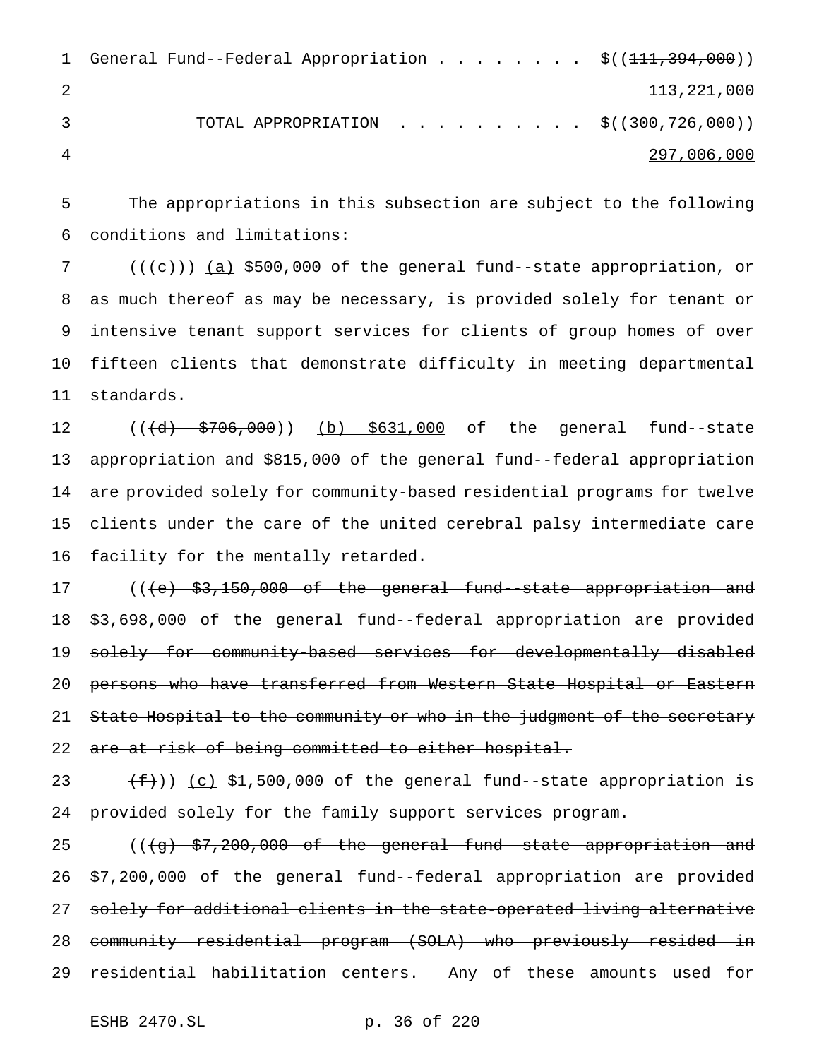1 General Fund--Federal Appropriation . . . . . . . \$((111,394,000)) 2 113,221,000 3 TOTAL APPROPRIATION . . . . . . . . . \$((300,726,000)) 4 297,006,000

5 The appropriations in this subsection are subject to the following 6 conditions and limitations:

 $((+e))$   $(a)$  \$500,000 of the general fund--state appropriation, or as much thereof as may be necessary, is provided solely for tenant or intensive tenant support services for clients of group homes of over fifteen clients that demonstrate difficulty in meeting departmental standards.

12 ((<del>(d) \$706,000</del>)) (b) \$631,000 of the general fund--state appropriation and \$815,000 of the general fund--federal appropriation are provided solely for community-based residential programs for twelve clients under the care of the united cerebral palsy intermediate care facility for the mentally retarded.

17 ((<del>(e) \$3,150,000 of the general fund-state appropriation and</del> 18 \$3,698,000 of the general fund--federal appropriation are provided 19 solely for community-based services for developmentally disabled 20 persons who have transferred from Western State Hospital or Eastern 21 State Hospital to the community or who in the judgment of the secretary 22 are at risk of being committed to either hospital.

23  $(f)$  (c) \$1,500,000 of the general fund--state appropriation is 24 provided solely for the family support services program.

25 (((g) \$7,200,000 of the general fund--state appropriation and 26 \$7,200,000 of the general fund--federal appropriation are provided 27 solely for additional clients in the state-operated living alternative 28 community residential program (SOLA) who previously resided in 29 residential habilitation centers. Any of these amounts used for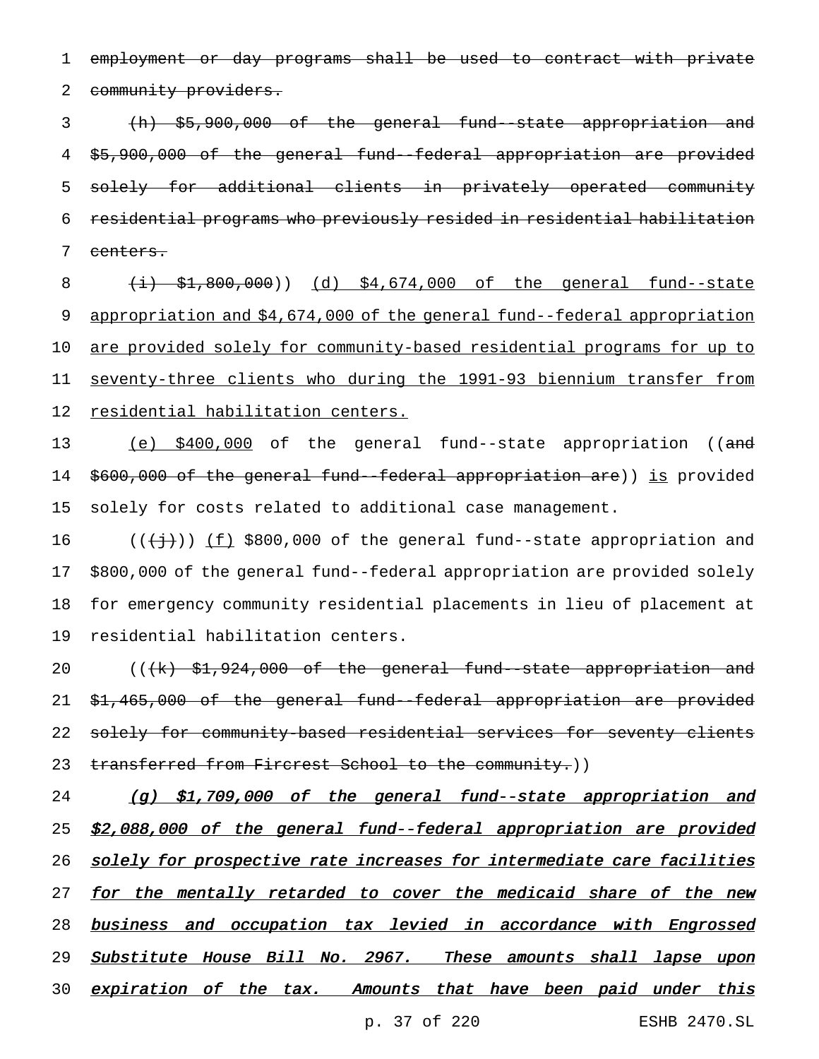1 employment or day programs shall be used to contract with private 2 community providers.

 (h) \$5,900,000 of the general fund--state appropriation and \$5,900,000 of the general fund--federal appropriation are provided solely for additional clients in privately operated community residential programs who previously resided in residential habilitation 7 centers.

 (i) \$1,800,000)) (d) \$4,674,000 of the general fund--state 9 appropriation and \$4,674,000 of the general fund--federal appropriation are provided solely for community-based residential programs for up to seventy-three clients who during the 1991-93 biennium transfer from residential habilitation centers.

13 (e) \$400,000 of the general fund--state appropriation ((and 14 \$600,000 of the general fund--federal appropriation are)) is provided 15 solely for costs related to additional case management.

 $((\{\dagger\}) \cup \{\underline{f}\})$  \$800,000 of the general fund--state appropriation and \$800,000 of the general fund--federal appropriation are provided solely for emergency community residential placements in lieu of placement at residential habilitation centers.

20 (((k) \$1,924,000 of the general fund--state appropriation and 21 \$1,465,000 of the general fund--federal appropriation are provided 22 solely for community-based residential services for seventy clients 23 transferred from Fircrest School to the community.))

24 (g) \$1,709,000 of the general fund--state appropriation and 25 \$2,088,000 of the general fund--federal appropriation are provided 26 solely for prospective rate increases for intermediate care facilities 27 for the mentally retarded to cover the medicaid share of the new 28 business and occupation tax levied in accordance with Engrossed 29 Substitute House Bill No. 2967. These amounts shall lapse upon 30 expiration of the tax. Amounts that have been paid under this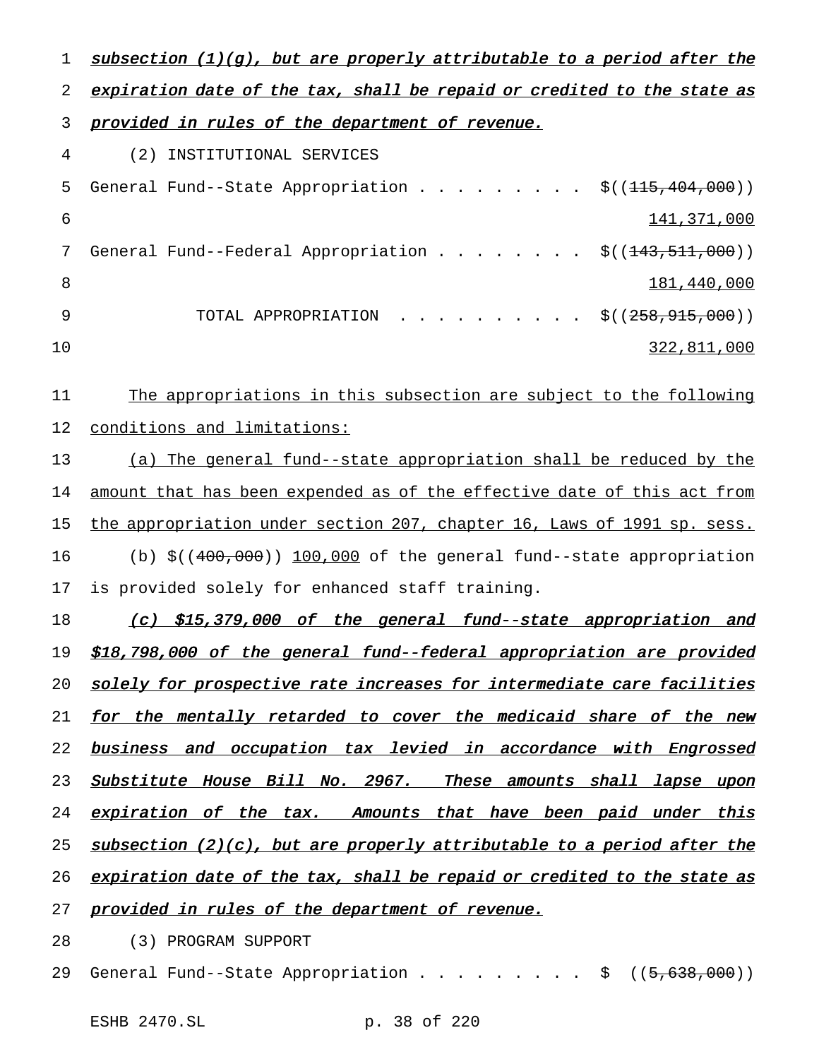1 subsection (1)(g), but are properly attributable to a period after the 2 expiration date of the tax, shall be repaid or credited to the state as 3 provided in rules of the department of revenue. 4 (2) INSTITUTIONAL SERVICES 5 General Fund--State Appropriation . . . . . . . . \$((<del>115,404,000</del>)) 6 141,371,000 7 General Fund--Federal Appropriation . . . . . . . \$((<del>143,511,000</del>)) 8 181,440,000 9 TOTAL APPROPRIATION . . . . . . . . . \$((258,915,000)) 10 322,811,000 11 The appropriations in this subsection are subject to the following 12 conditions and limitations: 13 (a) The general fund--state appropriation shall be reduced by the 14 amount that has been expended as of the effective date of this act from 15 the appropriation under section 207, chapter 16, Laws of 1991 sp. sess. 16 (b) \$((400,000)) 100,000 of the general fund--state appropriation

17 is provided solely for enhanced staff training.

18 (c) \$15,379,000 of the general fund--state appropriation and 19 \$18,798,000 of the general fund--federal appropriation are provided 20 solely for prospective rate increases for intermediate care facilities 21 for the mentally retarded to cover the medicaid share of the new 22 business and occupation tax levied in accordance with Engrossed 23 Substitute House Bill No. 2967. These amounts shall lapse upon 24 expiration of the tax. Amounts that have been paid under this 25 subsection (2)(c), but are properly attributable to a period after the 26 expiration date of the tax, shall be repaid or credited to the state as 27 provided in rules of the department of revenue.

28 (3) PROGRAM SUPPORT

29 General Fund--State Appropriation . . . . . . . . \$ ((5,638,000))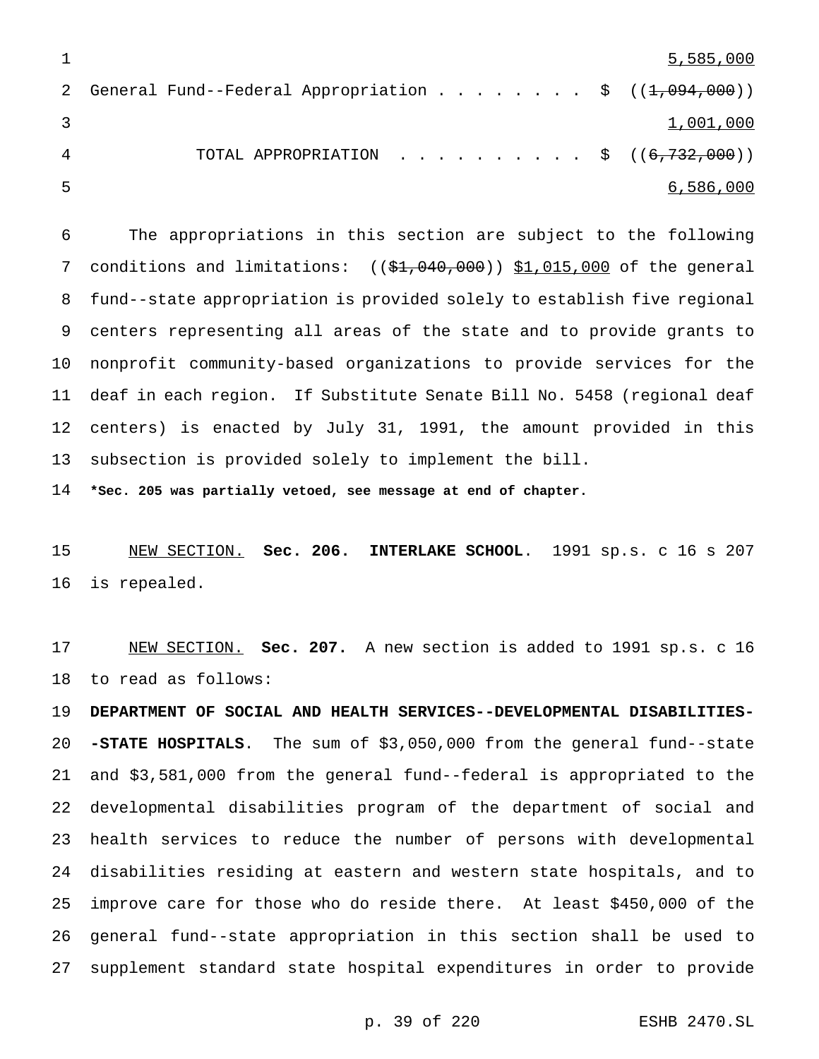|                                                          | 5,585,000 |
|----------------------------------------------------------|-----------|
| General Fund--Federal Appropriation \$ $((1,0.04,0.00))$ |           |
|                                                          | 1,001,000 |
| TOTAL APPROPRIATION \$ $((6,732,000))$                   |           |
|                                                          | 6,586,000 |

 The appropriations in this section are subject to the following 7 conditions and limitations:  $((\frac{61}{100}, 0.000)$   $\frac{51}{015}$ , 000 of the general fund--state appropriation is provided solely to establish five regional centers representing all areas of the state and to provide grants to nonprofit community-based organizations to provide services for the deaf in each region. If Substitute Senate Bill No. 5458 (regional deaf centers) is enacted by July 31, 1991, the amount provided in this subsection is provided solely to implement the bill.

**\*Sec. 205 was partially vetoed, see message at end of chapter.**

 NEW SECTION. **Sec. 206. INTERLAKE SCHOOL**. 1991 sp.s. c 16 s 207 is repealed.

 NEW SECTION. **Sec. 207.** A new section is added to 1991 sp.s. c 16 to read as follows:

 **DEPARTMENT OF SOCIAL AND HEALTH SERVICES--DEVELOPMENTAL DISABILITIES- -STATE HOSPITALS**. The sum of \$3,050,000 from the general fund--state and \$3,581,000 from the general fund--federal is appropriated to the developmental disabilities program of the department of social and health services to reduce the number of persons with developmental disabilities residing at eastern and western state hospitals, and to improve care for those who do reside there. At least \$450,000 of the general fund--state appropriation in this section shall be used to supplement standard state hospital expenditures in order to provide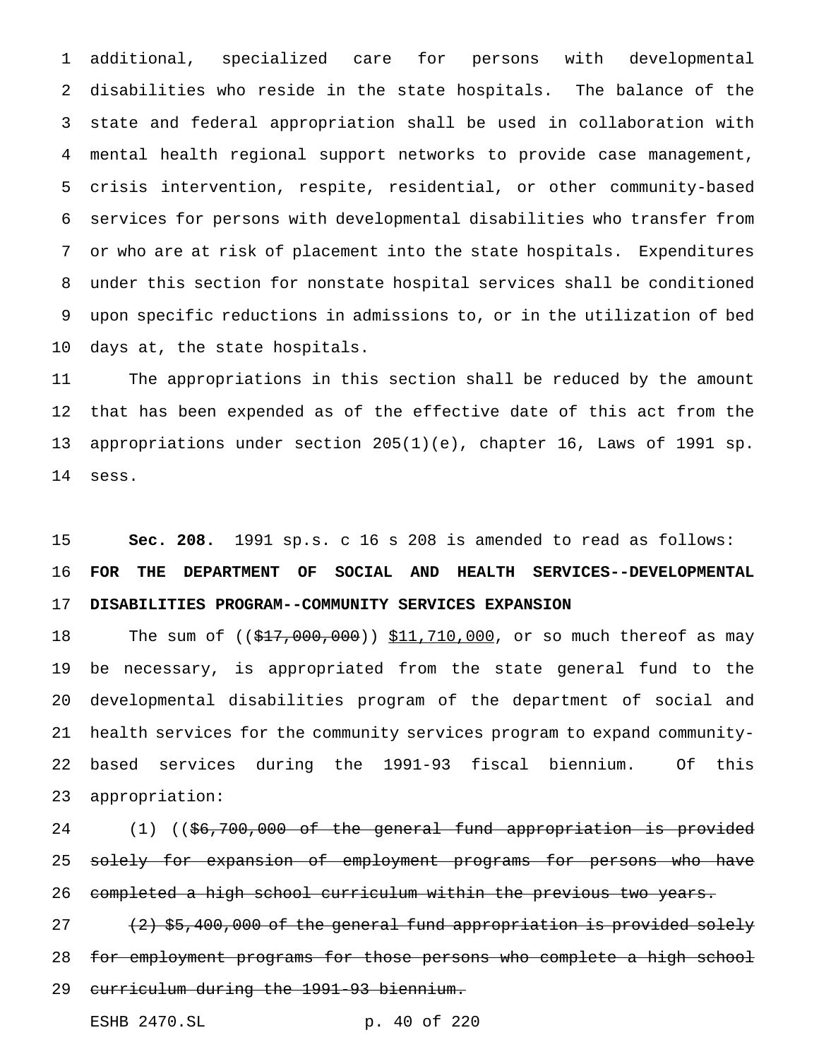additional, specialized care for persons with developmental disabilities who reside in the state hospitals. The balance of the state and federal appropriation shall be used in collaboration with mental health regional support networks to provide case management, crisis intervention, respite, residential, or other community-based services for persons with developmental disabilities who transfer from or who are at risk of placement into the state hospitals. Expenditures under this section for nonstate hospital services shall be conditioned upon specific reductions in admissions to, or in the utilization of bed days at, the state hospitals.

 The appropriations in this section shall be reduced by the amount that has been expended as of the effective date of this act from the appropriations under section 205(1)(e), chapter 16, Laws of 1991 sp. sess.

 **Sec. 208.** 1991 sp.s. c 16 s 208 is amended to read as follows: **FOR THE DEPARTMENT OF SOCIAL AND HEALTH SERVICES--DEVELOPMENTAL DISABILITIES PROGRAM--COMMUNITY SERVICES EXPANSION**

18 The sum of ((\$17,000,000)) \$11,710,000, or so much thereof as may be necessary, is appropriated from the state general fund to the developmental disabilities program of the department of social and health services for the community services program to expand community- based services during the 1991-93 fiscal biennium. Of this appropriation:

24 (1) ((\$6,700,000 of the general fund appropriation is provided 25 solely for expansion of employment programs for persons who have 26 completed a high school curriculum within the previous two years.

 (2) \$5,400,000 of the general fund appropriation is provided solely for employment programs for those persons who complete a high school curriculum during the 1991-93 biennium.

ESHB 2470.SL p. 40 of 220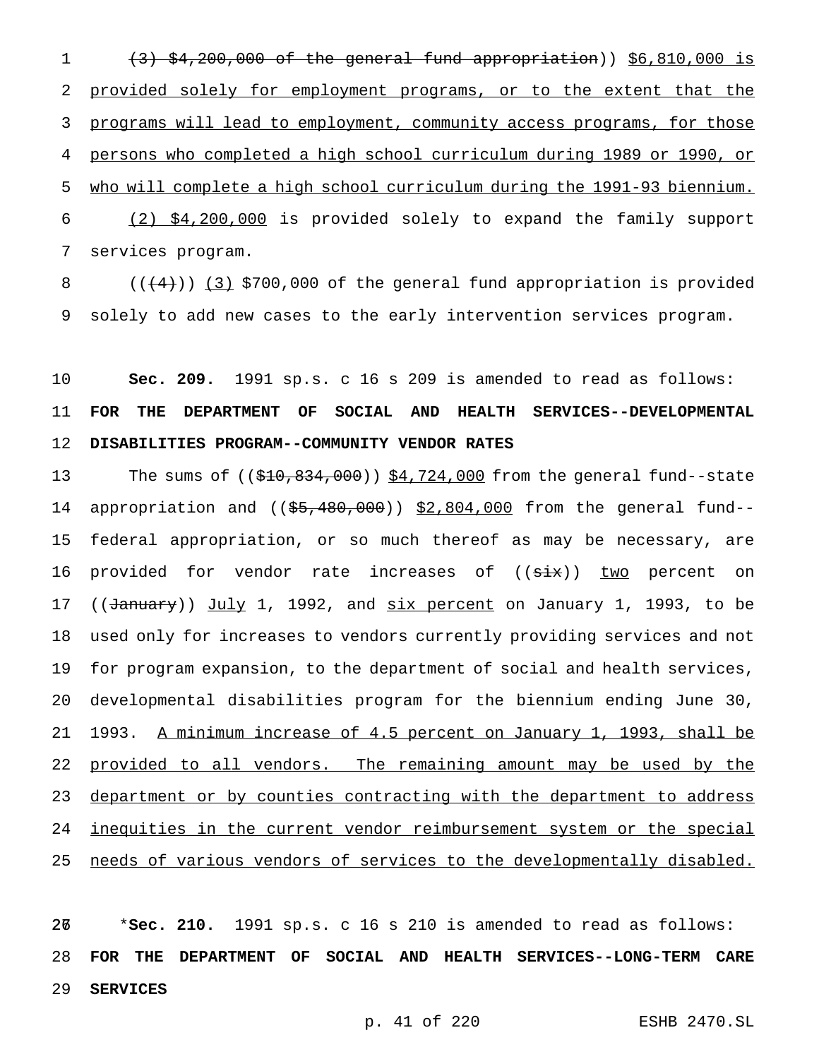$(3)$   $$4,200,000$  of the general fund appropriation))  $$6,810,000$  is 2 provided solely for employment programs, or to the extent that the 3 programs will lead to employment, community access programs, for those persons who completed a high school curriculum during 1989 or 1990, or who will complete a high school curriculum during the 1991-93 biennium. (2) \$4,200,000 is provided solely to expand the family support services program.

8  $((+4))$   $(3)$  \$700,000 of the general fund appropriation is provided 9 solely to add new cases to the early intervention services program.

10 **Sec. 209.** 1991 sp.s. c 16 s 209 is amended to read as follows: 11 **FOR THE DEPARTMENT OF SOCIAL AND HEALTH SERVICES--DEVELOPMENTAL** 12 **DISABILITIES PROGRAM--COMMUNITY VENDOR RATES**

13 The sums of ((\$10,834,000)) \$4,724,000 from the general fund--state 14 appropriation and  $((\frac{55}{66}, \frac{480}{606}))$  \$2,804,000 from the general fund--15 federal appropriation, or so much thereof as may be necessary, are 16 provided for vendor rate increases of ((six)) two percent on 17 ((January)) July 1, 1992, and six percent on January 1, 1993, to be 18 used only for increases to vendors currently providing services and not 19 for program expansion, to the department of social and health services, 20 developmental disabilities program for the biennium ending June 30, 21 1993. A minimum increase of 4.5 percent on January 1, 1993, shall be 22 provided to all vendors. The remaining amount may be used by the 23 department or by counties contracting with the department to address 24 <u>inequities in the current vendor reimbursement system or the special</u> 25 needs of various vendors of services to the developmentally disabled.

267 \***Sec. 210.** 1991 sp.s. c 16 s 210 is amended to read as follows: 28 **FOR THE DEPARTMENT OF SOCIAL AND HEALTH SERVICES--LONG-TERM CARE** 29 **SERVICES**

p. 41 of 220 ESHB 2470.SL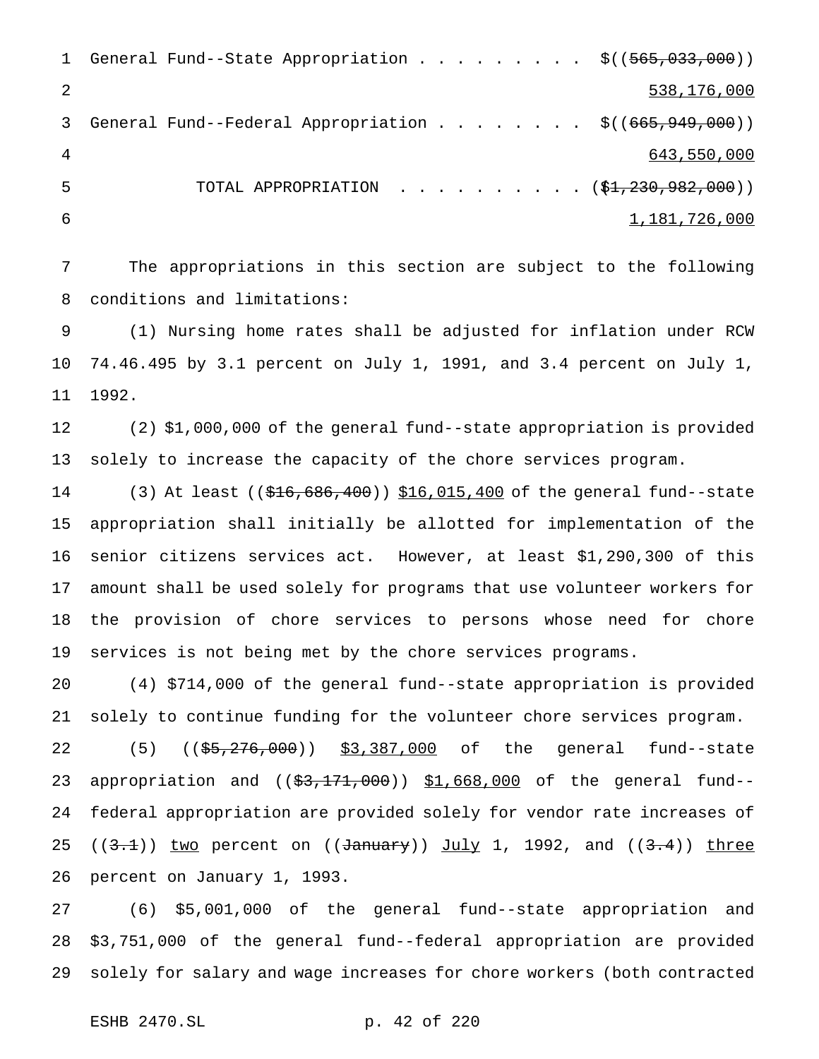|    | 1 General Fund--State Appropriation \$((565,033,000))      |               |
|----|------------------------------------------------------------|---------------|
|    |                                                            | 538,176,000   |
| 3  | General Fund--Federal Appropriation \$ $((665, 949, 000))$ |               |
| -4 |                                                            | 643,550,000   |
| -5 | TOTAL APPROPRIATION $( $1,230,982,000) )$                  |               |
| -6 |                                                            | 1,181,726,000 |

 The appropriations in this section are subject to the following conditions and limitations:

 (1) Nursing home rates shall be adjusted for inflation under RCW 74.46.495 by 3.1 percent on July 1, 1991, and 3.4 percent on July 1, 1992.

 (2) \$1,000,000 of the general fund--state appropriation is provided solely to increase the capacity of the chore services program.

14 (3) At least ((\$16,686,400)) \$16,015,400 of the general fund--state appropriation shall initially be allotted for implementation of the senior citizens services act. However, at least \$1,290,300 of this amount shall be used solely for programs that use volunteer workers for the provision of chore services to persons whose need for chore services is not being met by the chore services programs.

 (4) \$714,000 of the general fund--state appropriation is provided solely to continue funding for the volunteer chore services program.

22 (5) ((\$5,276,000)) \$3,387,000 of the general fund--state 23 appropriation and ((\$3,171,000)) \$1,668,000 of the general fund-- federal appropriation are provided solely for vendor rate increases of 25 ( $(3.1)$ ) two percent on ( $\overline{3.4}$ )  $\overline{3.4}$ )  $\overline{3.4}$ ) three percent on January 1, 1993.

 (6) \$5,001,000 of the general fund--state appropriation and \$3,751,000 of the general fund--federal appropriation are provided solely for salary and wage increases for chore workers (both contracted

ESHB 2470.SL p. 42 of 220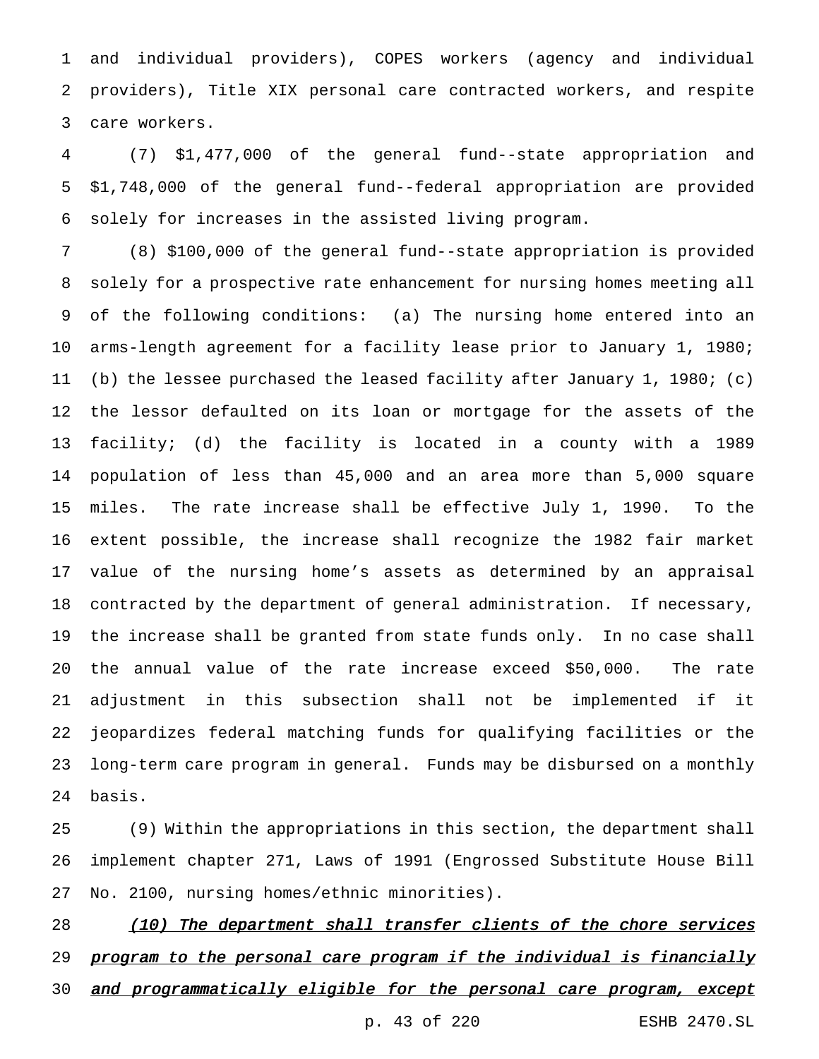and individual providers), COPES workers (agency and individual providers), Title XIX personal care contracted workers, and respite care workers.

 (7) \$1,477,000 of the general fund--state appropriation and \$1,748,000 of the general fund--federal appropriation are provided solely for increases in the assisted living program.

 (8) \$100,000 of the general fund--state appropriation is provided solely for a prospective rate enhancement for nursing homes meeting all of the following conditions: (a) The nursing home entered into an arms-length agreement for a facility lease prior to January 1, 1980; (b) the lessee purchased the leased facility after January 1, 1980; (c) the lessor defaulted on its loan or mortgage for the assets of the facility; (d) the facility is located in a county with a 1989 population of less than 45,000 and an area more than 5,000 square miles. The rate increase shall be effective July 1, 1990. To the extent possible, the increase shall recognize the 1982 fair market value of the nursing home's assets as determined by an appraisal contracted by the department of general administration. If necessary, the increase shall be granted from state funds only. In no case shall the annual value of the rate increase exceed \$50,000. The rate adjustment in this subsection shall not be implemented if it jeopardizes federal matching funds for qualifying facilities or the long-term care program in general. Funds may be disbursed on a monthly basis.

 (9) Within the appropriations in this section, the department shall implement chapter 271, Laws of 1991 (Engrossed Substitute House Bill No. 2100, nursing homes/ethnic minorities).

28 (10) The department shall transfer clients of the chore services 29 program to the personal care program if the individual is financially 30 and programmatically eligible for the personal care program, except p. 43 of 220 ESHB 2470.SL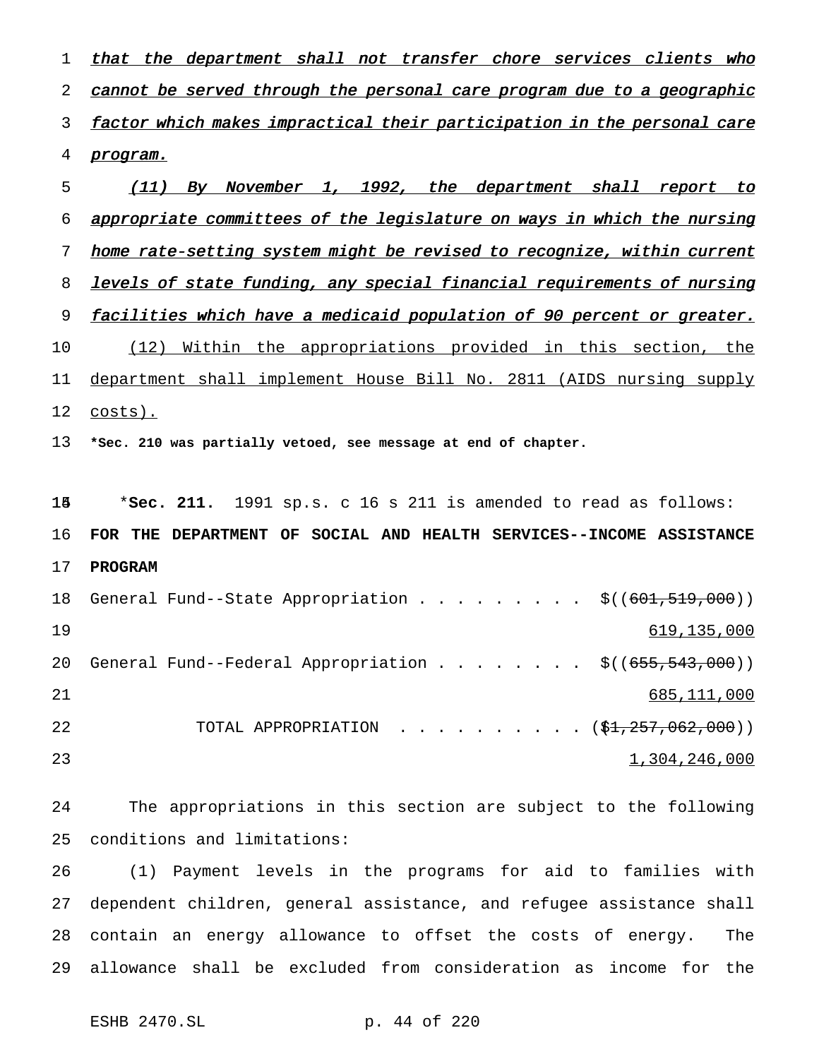1 that the department shall not transfer chore services clients who 2 cannot be served through the personal care program due to a geographic 3 factor which makes impractical their participation in the personal care program. (11) By November 1, 1992, the department shall report to

 appropriate committees of the legislature on ways in which the nursing home rate-setting system might be revised to recognize, within current 8 levels of state funding, any special financial requirements of nursing 9 facilities which have a medicaid population of 90 percent or greater. (12) Within the appropriations provided in this section, the department shall implement House Bill No. 2811 (AIDS nursing supply

costs).

**\*Sec. 210 was partially vetoed, see message at end of chapter.**

 \***Sec. 211.** 1991 sp.s. c 16 s 211 is amended to read as follows: **FOR THE DEPARTMENT OF SOCIAL AND HEALTH SERVICES--INCOME ASSISTANCE PROGRAM** 18 General Fund--State Appropriation . . . . . . . . \$((601,519,000)) 619,135,000 20 General Fund--Federal Appropriation  $\ldots$ ......  $\frac{\xi((655,543,000))}{\xi((655,543,000))}$  685,111,000 22 TOTAL APPROPRIATION . . . . . . . . . (\$<del>1,257,062,000</del>)) 1,304,246,000

 The appropriations in this section are subject to the following conditions and limitations:

 (1) Payment levels in the programs for aid to families with dependent children, general assistance, and refugee assistance shall contain an energy allowance to offset the costs of energy. The allowance shall be excluded from consideration as income for the

ESHB 2470.SL p. 44 of 220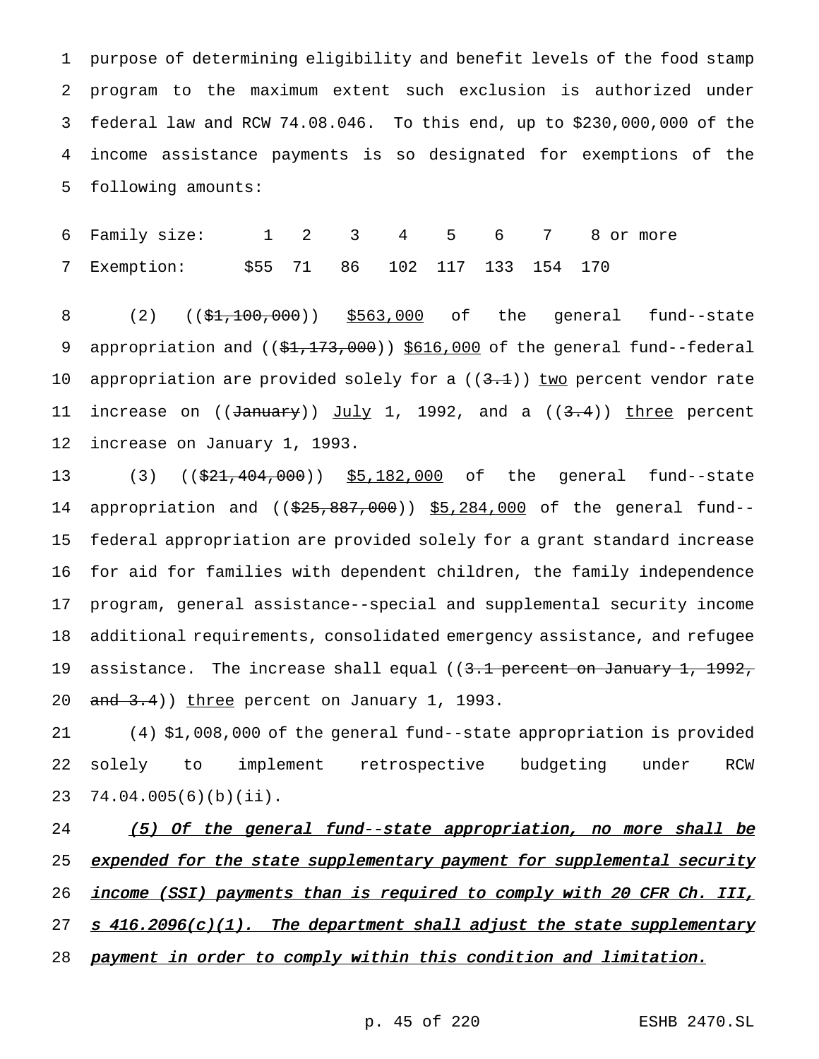purpose of determining eligibility and benefit levels of the food stamp program to the maximum extent such exclusion is authorized under federal law and RCW 74.08.046. To this end, up to \$230,000,000 of the income assistance payments is so designated for exemptions of the following amounts:

6 Family size: 1 2 3 4 5 6 7 8 or more 7 Exemption: \$55 71 86 102 117 133 154 170

8 (2) ((\$1,100,000)) \$563,000 of the general fund--state 9 appropriation and ((\$1,173,000)) \$616,000 of the general fund--federal 10 appropriation are provided solely for a  $((3.1))$  two percent vendor rate 11 increase on  $((\text{January}))$   $\underline{\text{July}}$  1, 1992, and a  $((3.4))$  three percent 12 increase on January 1, 1993.

13 (3) ((\$21,404,000)) \$5,182,000 of the general fund--state 14 appropriation and ((\$25,887,000)) \$5,284,000 of the general fund--15 federal appropriation are provided solely for a grant standard increase 16 for aid for families with dependent children, the family independence 17 program, general assistance--special and supplemental security income 18 additional requirements, consolidated emergency assistance, and refugee 19 assistance. The increase shall equal ((3.1 percent on January 1, 1992, 20 and 3.4)) three percent on January 1, 1993.

21 (4) \$1,008,000 of the general fund--state appropriation is provided 22 solely to implement retrospective budgeting under RCW 23 74.04.005(6)(b)(ii).

24 (5) Of the general fund--state appropriation, no more shall be 25 expended for the state supplementary payment for supplemental security 26 income (SSI) payments than is required to comply with 20 CFR Ch. III, 27  $s$  416.2096(c)(1). The department shall adjust the state supplementary 28 payment in order to comply within this condition and limitation.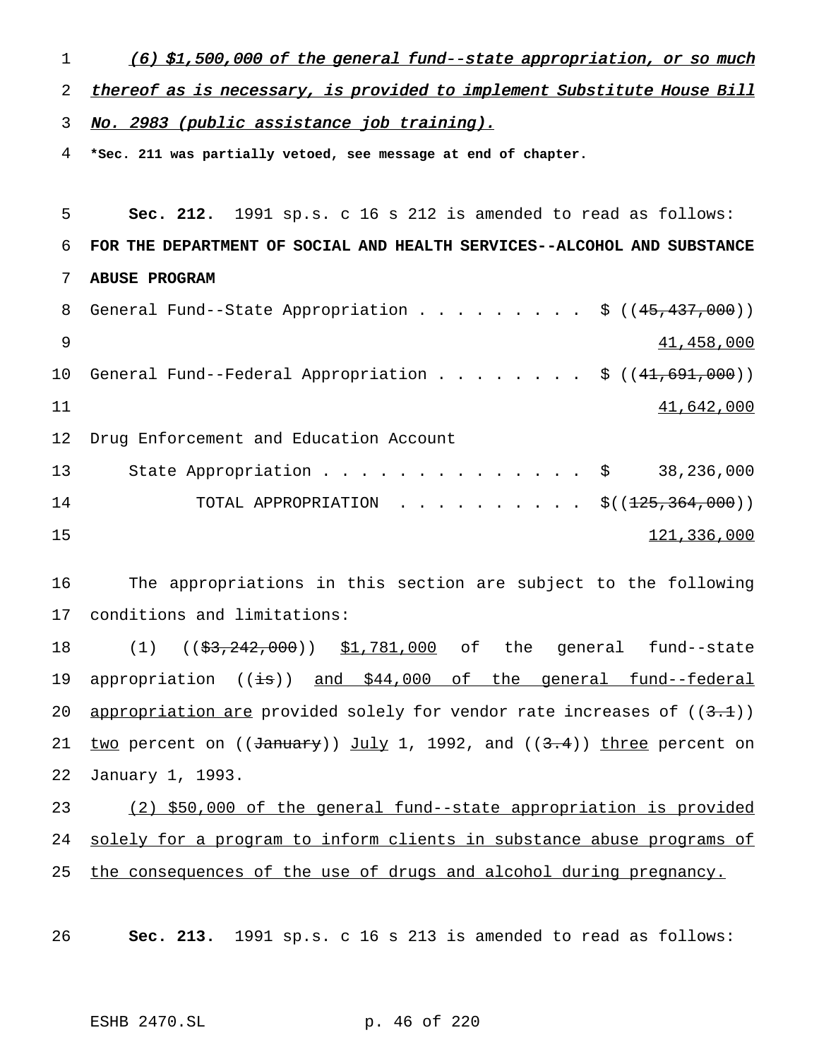1 (6) \$1,500,000 of the general fund--state appropriation, or so much

2 thereof as is necessary, is provided to implement Substitute House Bill

3 No. 2983 (public assistance job training).

4 **\*Sec. 211 was partially vetoed, see message at end of chapter.**

 **Sec. 212.** 1991 sp.s. c 16 s 212 is amended to read as follows: **FOR THE DEPARTMENT OF SOCIAL AND HEALTH SERVICES--ALCOHOL AND SUBSTANCE ABUSE PROGRAM** 8 General Fund--State Appropriation . . . . . . . . \$ ((45,437,000)) 41,458,000 10 General Fund--Federal Appropriation . . . . . . . \$ ((41,691,000)) 41,642,000 Drug Enforcement and Education Account 13 State Appropriation . . . . . . . . . . . . . \$ 38,236,000 14 TOTAL APPROPRIATION . . . . . . . . . \$((<del>125,364,000</del>)) 121,336,000

16 The appropriations in this section are subject to the following 17 conditions and limitations:

18 (1) ((<del>\$3,242,000</del>)) \$1,781,000 of the general fund--state 19 appropriation  $((\pm s))$  and \$44,000 of the general fund--federal 20 appropriation are provided solely for vendor rate increases of  $((3.1))$ 21 two percent on  $((\frac{\text{January}}{\text{July 1, 1992, and } ((3.4))})$  three percent on 22 January 1, 1993.

23 (2) \$50,000 of the general fund--state appropriation is provided 24 solely for a program to inform clients in substance abuse programs of 25 the consequences of the use of drugs and alcohol during pregnancy.

26 **Sec. 213.** 1991 sp.s. c 16 s 213 is amended to read as follows:

ESHB 2470.SL p. 46 of 220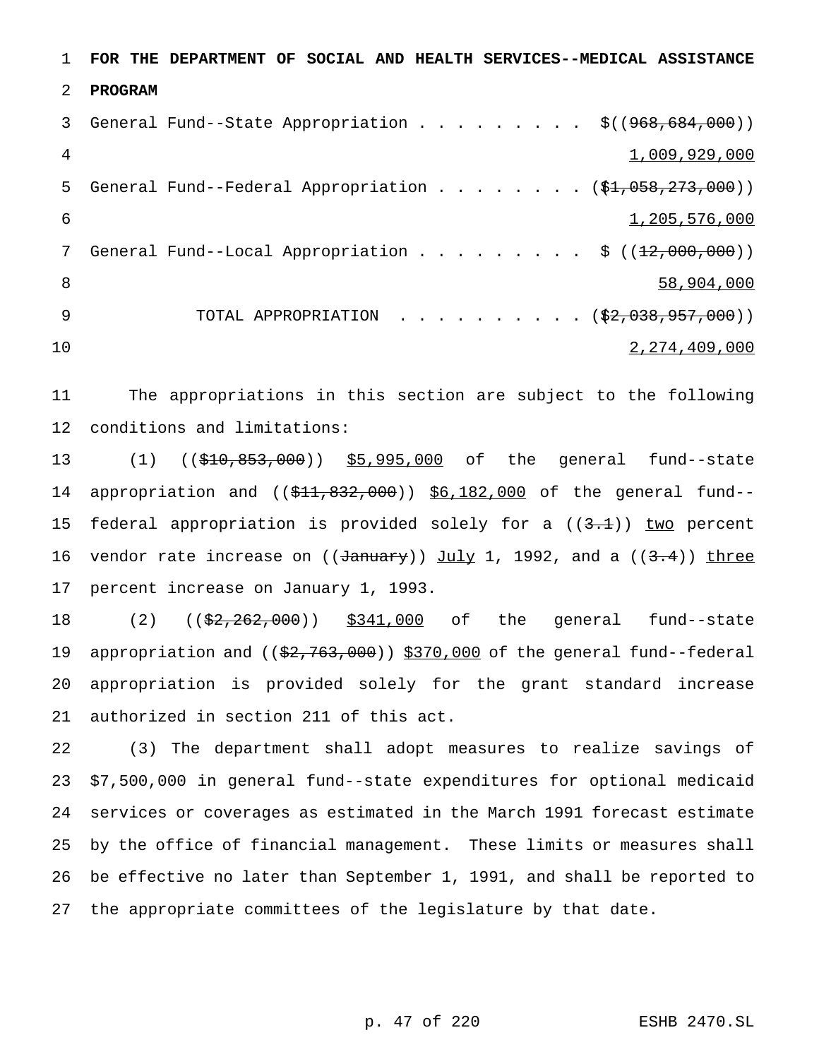**FOR THE DEPARTMENT OF SOCIAL AND HEALTH SERVICES--MEDICAL ASSISTANCE PROGRAM** 3 General Fund--State Appropriation . . . . . . . . \$((968,684,000)) 1,009,929,000 5 General Fund--Federal Appropriation . . . . . . . (\$1,058,273,000)) 1,205,576,000 7 General Fund--Local Appropriation . . . . . . . . \$ ((12,000,000)) 58,904,000 9 TOTAL APPROPRIATION . . . . . . . . . (\$2,038,957,000)) 2,274,409,000

 The appropriations in this section are subject to the following conditions and limitations:

13 (1) ((\$10,853,000)) \$5,995,000 of the general fund--state 14 appropriation and ((\$11,832,000)) \$6,182,000 of the general fund--15 federal appropriation is provided solely for a  $((3.1))$  two percent 16 vendor rate increase on ( $(\text{January})$ ) July 1, 1992, and a ( $(\text{3.4})$ ) three percent increase on January 1, 1993.

18 (2) ((\$2,262,000)) \$341,000 of the general fund--state 19 appropriation and ((\$2,763,000)) \$370,000 of the general fund--federal appropriation is provided solely for the grant standard increase authorized in section 211 of this act.

 (3) The department shall adopt measures to realize savings of \$7,500,000 in general fund--state expenditures for optional medicaid services or coverages as estimated in the March 1991 forecast estimate by the office of financial management. These limits or measures shall be effective no later than September 1, 1991, and shall be reported to the appropriate committees of the legislature by that date.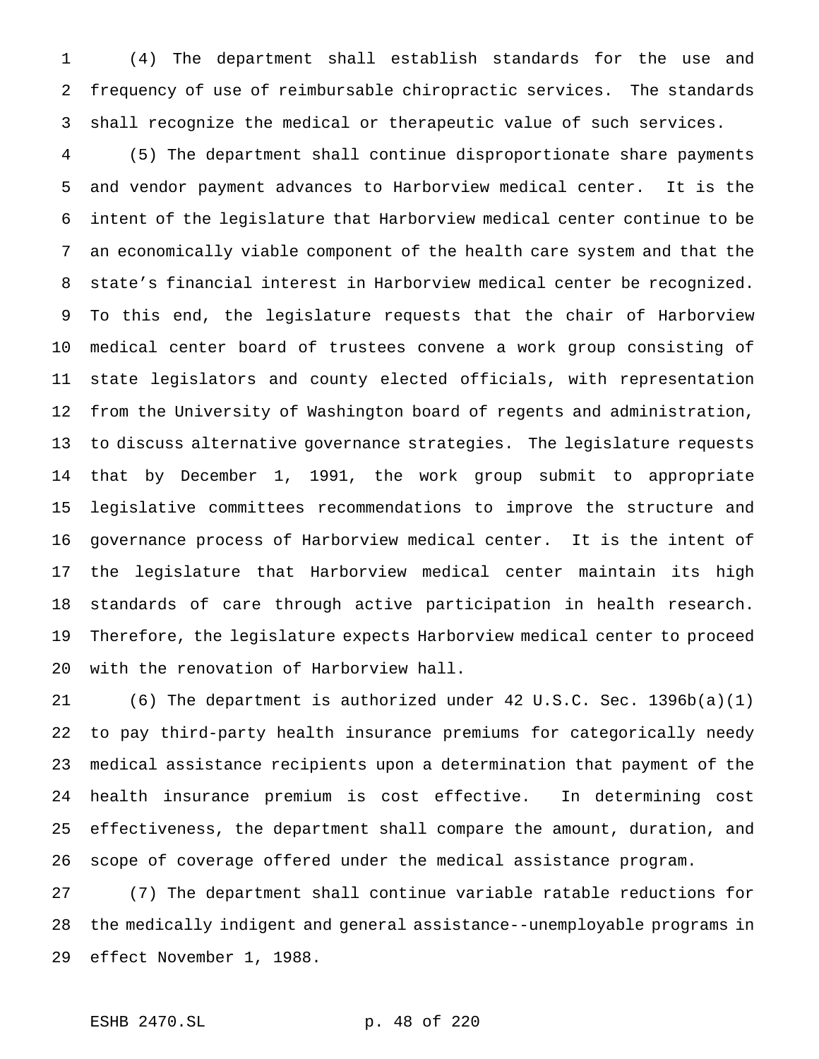(4) The department shall establish standards for the use and frequency of use of reimbursable chiropractic services. The standards shall recognize the medical or therapeutic value of such services.

 (5) The department shall continue disproportionate share payments and vendor payment advances to Harborview medical center. It is the intent of the legislature that Harborview medical center continue to be an economically viable component of the health care system and that the state's financial interest in Harborview medical center be recognized. To this end, the legislature requests that the chair of Harborview medical center board of trustees convene a work group consisting of state legislators and county elected officials, with representation from the University of Washington board of regents and administration, to discuss alternative governance strategies. The legislature requests that by December 1, 1991, the work group submit to appropriate legislative committees recommendations to improve the structure and governance process of Harborview medical center. It is the intent of the legislature that Harborview medical center maintain its high standards of care through active participation in health research. Therefore, the legislature expects Harborview medical center to proceed with the renovation of Harborview hall.

 (6) The department is authorized under 42 U.S.C. Sec. 1396b(a)(1) to pay third-party health insurance premiums for categorically needy medical assistance recipients upon a determination that payment of the health insurance premium is cost effective. In determining cost effectiveness, the department shall compare the amount, duration, and scope of coverage offered under the medical assistance program.

 (7) The department shall continue variable ratable reductions for the medically indigent and general assistance--unemployable programs in effect November 1, 1988.

## ESHB 2470.SL p. 48 of 220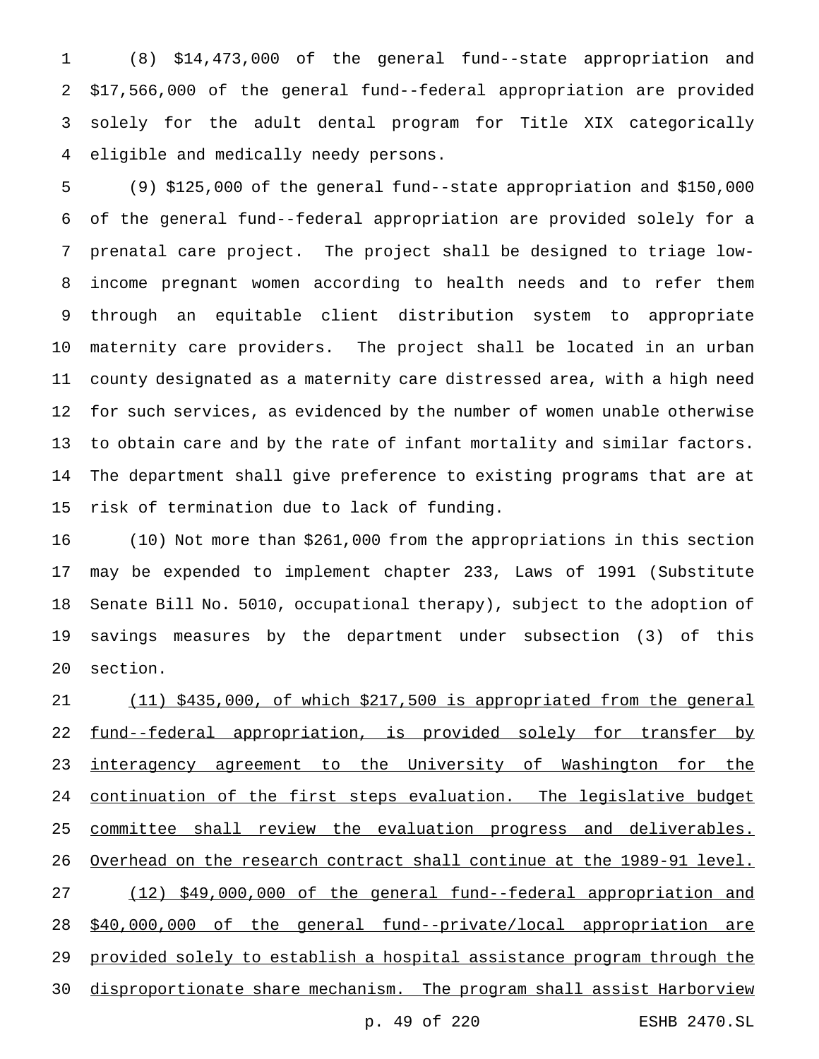(8) \$14,473,000 of the general fund--state appropriation and \$17,566,000 of the general fund--federal appropriation are provided solely for the adult dental program for Title XIX categorically eligible and medically needy persons.

 (9) \$125,000 of the general fund--state appropriation and \$150,000 of the general fund--federal appropriation are provided solely for a prenatal care project. The project shall be designed to triage low- income pregnant women according to health needs and to refer them through an equitable client distribution system to appropriate maternity care providers. The project shall be located in an urban county designated as a maternity care distressed area, with a high need for such services, as evidenced by the number of women unable otherwise to obtain care and by the rate of infant mortality and similar factors. The department shall give preference to existing programs that are at risk of termination due to lack of funding.

 (10) Not more than \$261,000 from the appropriations in this section may be expended to implement chapter 233, Laws of 1991 (Substitute Senate Bill No. 5010, occupational therapy), subject to the adoption of savings measures by the department under subsection (3) of this section.

 (11) \$435,000, of which \$217,500 is appropriated from the general 22 fund--federal appropriation, is provided solely for transfer by 23 interagency agreement to the University of Washington for the 24 continuation of the first steps evaluation. The legislative budget committee shall review the evaluation progress and deliverables. Overhead on the research contract shall continue at the 1989-91 level. (12) \$49,000,000 of the general fund--federal appropriation and \$40,000,000 of the general fund--private/local appropriation are provided solely to establish a hospital assistance program through the disproportionate share mechanism. The program shall assist Harborview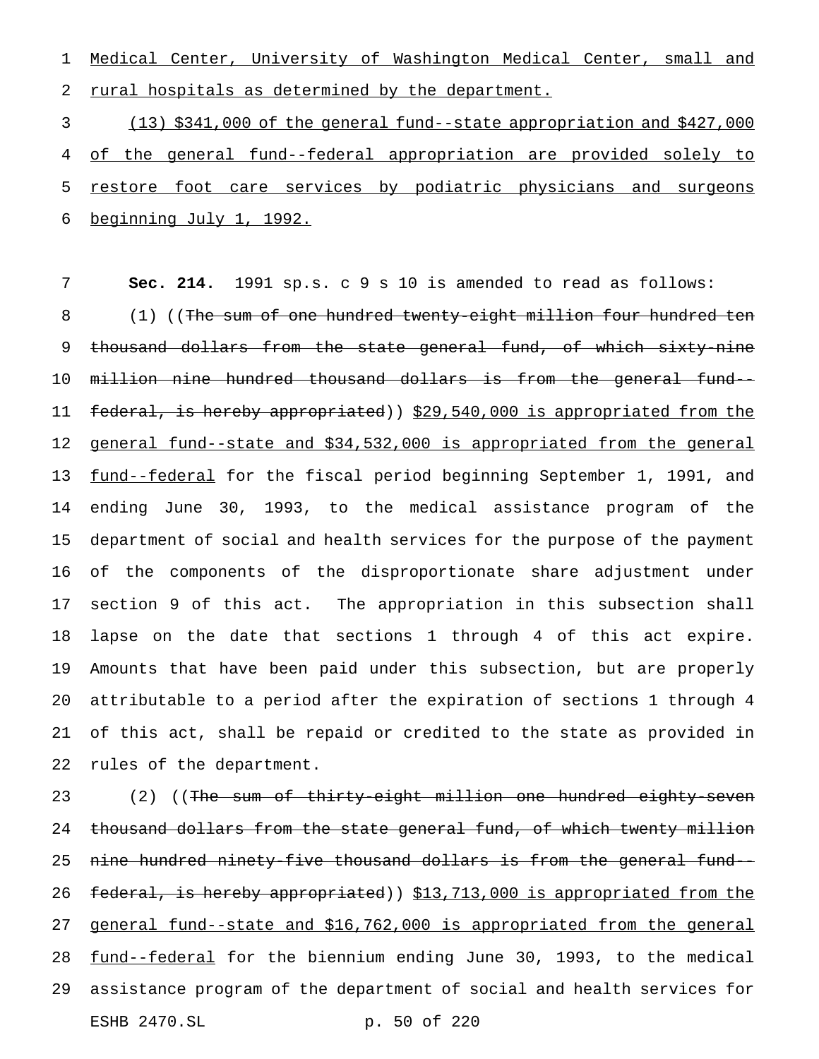Medical Center, University of Washington Medical Center, small and 2 rural hospitals as determined by the department.

 (13) \$341,000 of the general fund--state appropriation and \$427,000 of the general fund--federal appropriation are provided solely to 5 restore foot care services by podiatric physicians and surgeons beginning July 1, 1992.

 **Sec. 214.** 1991 sp.s. c 9 s 10 is amended to read as follows: 8 (1) ((The sum of one hundred twenty-eight million four hundred ten 9 thousand dollars from the state general fund, of which sixty-nine million nine hundred thousand dollars is from the general fund-- 11 federal, is hereby appropriated)) \$29,540,000 is appropriated from the general fund--state and \$34,532,000 is appropriated from the general 13 <u>fund--federal</u> for the fiscal period beginning September 1, 1991, and ending June 30, 1993, to the medical assistance program of the department of social and health services for the purpose of the payment of the components of the disproportionate share adjustment under section 9 of this act. The appropriation in this subsection shall lapse on the date that sections 1 through 4 of this act expire. Amounts that have been paid under this subsection, but are properly attributable to a period after the expiration of sections 1 through 4 of this act, shall be repaid or credited to the state as provided in rules of the department.

23 (2) ((The sum of thirty-eight million one hundred eighty-seven 24 thousand dollars from the state general fund, of which twenty million nine hundred ninety-five thousand dollars is from the general fund-- 26 federal, is hereby appropriated)) \$13,713,000 is appropriated from the general fund--state and \$16,762,000 is appropriated from the general 28 fund--federal for the biennium ending June 30, 1993, to the medical assistance program of the department of social and health services for ESHB 2470.SL p. 50 of 220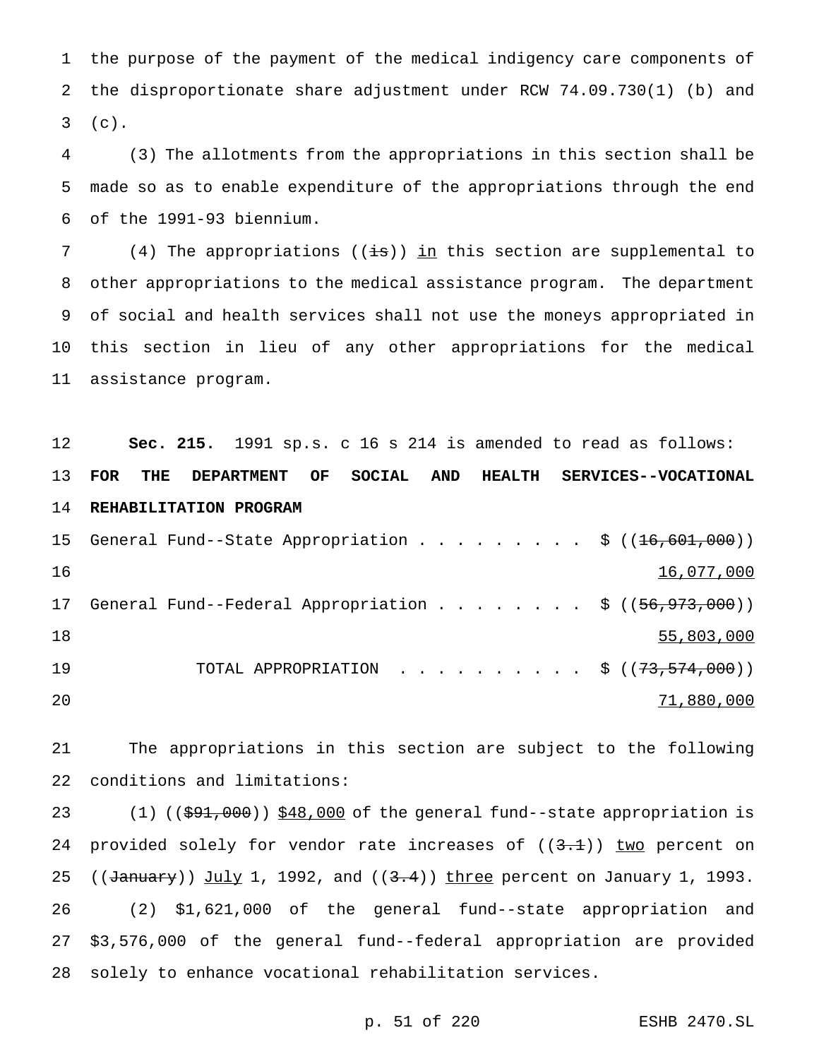the purpose of the payment of the medical indigency care components of the disproportionate share adjustment under RCW 74.09.730(1) (b) and (c).

 (3) The allotments from the appropriations in this section shall be made so as to enable expenditure of the appropriations through the end of the 1991-93 biennium.

7 (4) The appropriations ( $(i\text{is})$ ) in this section are supplemental to other appropriations to the medical assistance program. The department of social and health services shall not use the moneys appropriated in this section in lieu of any other appropriations for the medical assistance program.

 **Sec. 215.** 1991 sp.s. c 16 s 214 is amended to read as follows: **FOR THE DEPARTMENT OF SOCIAL AND HEALTH SERVICES--VOCATIONAL REHABILITATION PROGRAM** 15 General Fund--State Appropriation . . . . . . . . \$ ((16,601,000)) 16,077,000 17 General Fund--Federal Appropriation . . . . . . . \$ ((56,973,000)) 18 55,803,000 55,803,000 55,803,000 55,803,000 55,803,000 55,803,000 55,803,000 55,803,000 55,803,000 55,000 5 19 TOTAL APPROPRIATION . . . . . . . . . \$ ((73,574,000)) 71,880,000

 The appropriations in this section are subject to the following conditions and limitations:

23 (1) (( $\frac{691,000}{180,000}$ ) \$48,000 of the general fund--state appropriation is 24 provided solely for vendor rate increases of  $((3.1))$  two percent on 25 (( $\frac{1}{\text{January}}$ ) July 1, 1992, and ( $(3.4)$ ) three percent on January 1, 1993. (2) \$1,621,000 of the general fund--state appropriation and \$3,576,000 of the general fund--federal appropriation are provided solely to enhance vocational rehabilitation services.

p. 51 of 220 ESHB 2470.SL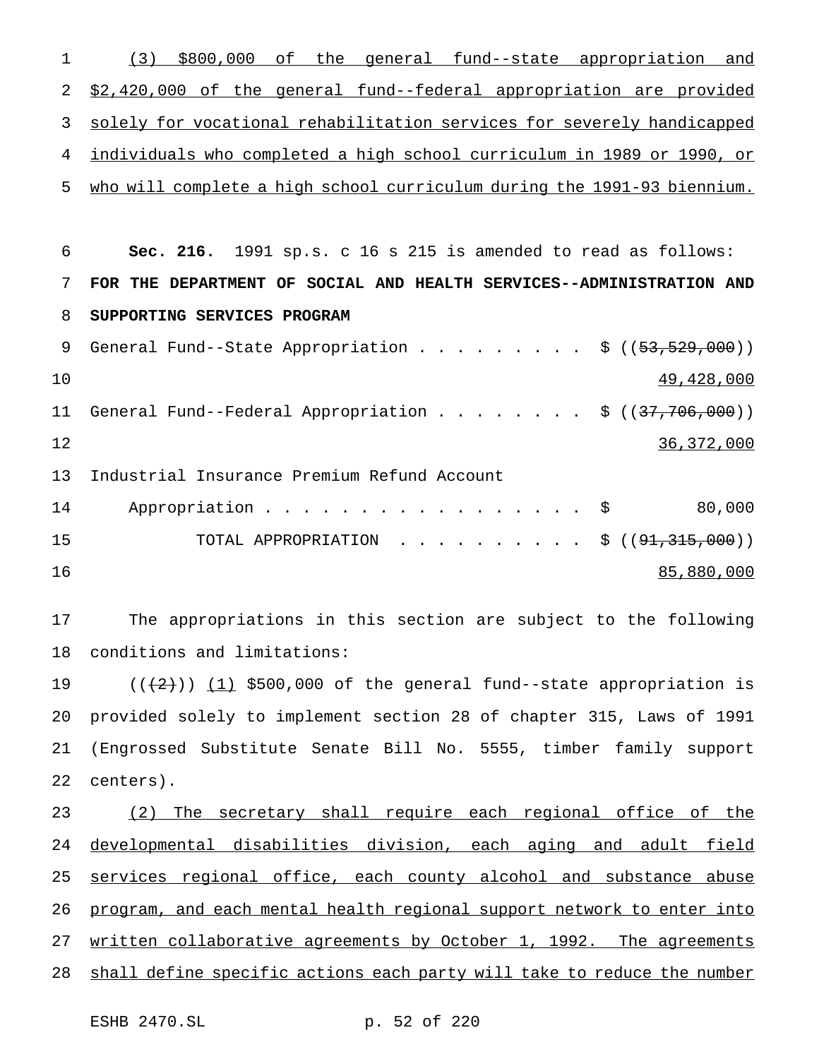(3) \$800,000 of the general fund--state appropriation and \$2,420,000 of the general fund--federal appropriation are provided solely for vocational rehabilitation services for severely handicapped individuals who completed a high school curriculum in 1989 or 1990, or who will complete a high school curriculum during the 1991-93 biennium.

 **Sec. 216.** 1991 sp.s. c 16 s 215 is amended to read as follows: **FOR THE DEPARTMENT OF SOCIAL AND HEALTH SERVICES--ADMINISTRATION AND SUPPORTING SERVICES PROGRAM** 9 General Fund--State Appropriation . . . . . . . . \$ ((53,529,000))  $49,428,000$ 11 General Fund--Federal Appropriation . . . . . . . \$ ((37,706,000)) 36,372,000 Industrial Insurance Premium Refund Account 14 Appropriation . . . . . . . . . . . . . . . \$ 80,000 TOTAL APPROPRIATION .......... \$ ((91,315,000)) 85,880,000

 The appropriations in this section are subject to the following conditions and limitations:

 $((2))$   $(1)$  \$500,000 of the general fund--state appropriation is provided solely to implement section 28 of chapter 315, Laws of 1991 (Engrossed Substitute Senate Bill No. 5555, timber family support centers).

 (2) The secretary shall require each regional office of the developmental disabilities division, each aging and adult field services regional office, each county alcohol and substance abuse program, and each mental health regional support network to enter into 27 written collaborative agreements by October 1, 1992. The agreements shall define specific actions each party will take to reduce the number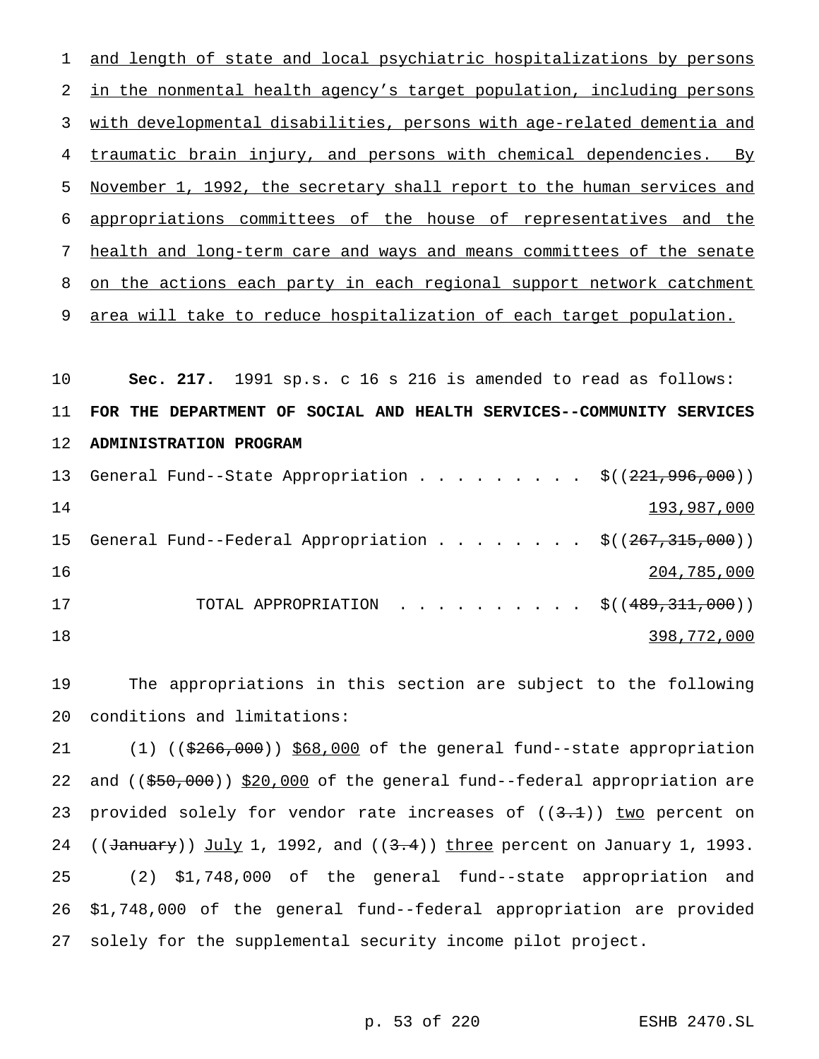and length of state and local psychiatric hospitalizations by persons in the nonmental health agency's target population, including persons with developmental disabilities, persons with age-related dementia and traumatic brain injury, and persons with chemical dependencies. By November 1, 1992, the secretary shall report to the human services and appropriations committees of the house of representatives and the health and long-term care and ways and means committees of the senate 8 on the actions each party in each regional support network catchment 9 area will take to reduce hospitalization of each target population. **Sec. 217.** 1991 sp.s. c 16 s 216 is amended to read as follows: **FOR THE DEPARTMENT OF SOCIAL AND HEALTH SERVICES--COMMUNITY SERVICES ADMINISTRATION PROGRAM** 13 General Fund--State Appropriation . . . . . . . . \$((221,996,000)) 193,987,000 15 General Fund--Federal Appropriation . . . . . . . \$((267,315,000)) 204,785,000

17 TOTAL APPROPRIATION . . . . . . . . . \$((489,311,000)) 398,772,000

 The appropriations in this section are subject to the following conditions and limitations:

21 (1) ((\$266,000)) \$68,000 of the general fund--state appropriation 22 and ((\$50,000)) \$20,000 of the general fund--federal appropriation are 23 provided solely for vendor rate increases of  $((3.1))$  two percent on 24 (( $\frac{1}{\text{January}}$ ) July 1, 1992, and ( $(3.4)$ ) three percent on January 1, 1993. (2) \$1,748,000 of the general fund--state appropriation and \$1,748,000 of the general fund--federal appropriation are provided solely for the supplemental security income pilot project.

p. 53 of 220 ESHB 2470.SL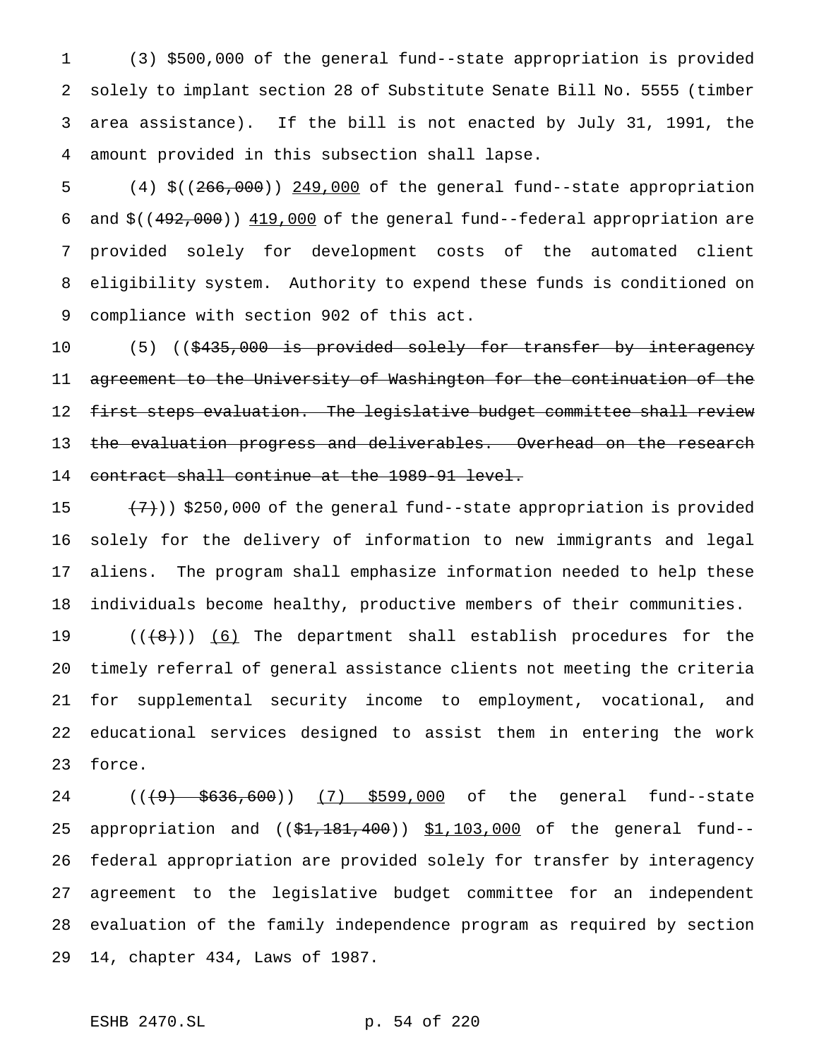(3) \$500,000 of the general fund--state appropriation is provided solely to implant section 28 of Substitute Senate Bill No. 5555 (timber area assistance). If the bill is not enacted by July 31, 1991, the amount provided in this subsection shall lapse.

 (4) \$((266,000)) 249,000 of the general fund--state appropriation and \$((492,000)) 419,000 of the general fund--federal appropriation are provided solely for development costs of the automated client eligibility system. Authority to expend these funds is conditioned on compliance with section 902 of this act.

10 (5) ((\$435,000 is provided solely for transfer by interagency agreement to the University of Washington for the continuation of the first steps evaluation. The legislative budget committee shall review 13 the evaluation progress and deliverables. Overhead on the research contract shall continue at the 1989-91 level.

 $(7)$ ) \$250,000 of the general fund--state appropriation is provided solely for the delivery of information to new immigrants and legal aliens. The program shall emphasize information needed to help these individuals become healthy, productive members of their communities.

 $((+8))$   $(6)$  The department shall establish procedures for the timely referral of general assistance clients not meeting the criteria for supplemental security income to employment, vocational, and educational services designed to assist them in entering the work force.

24 ((<del>(9) \$636,600</del>)) (7) \$599,000 of the general fund--state 25 appropriation and ((\$1,181,400)) \$1,103,000 of the general fund-- federal appropriation are provided solely for transfer by interagency agreement to the legislative budget committee for an independent evaluation of the family independence program as required by section 14, chapter 434, Laws of 1987.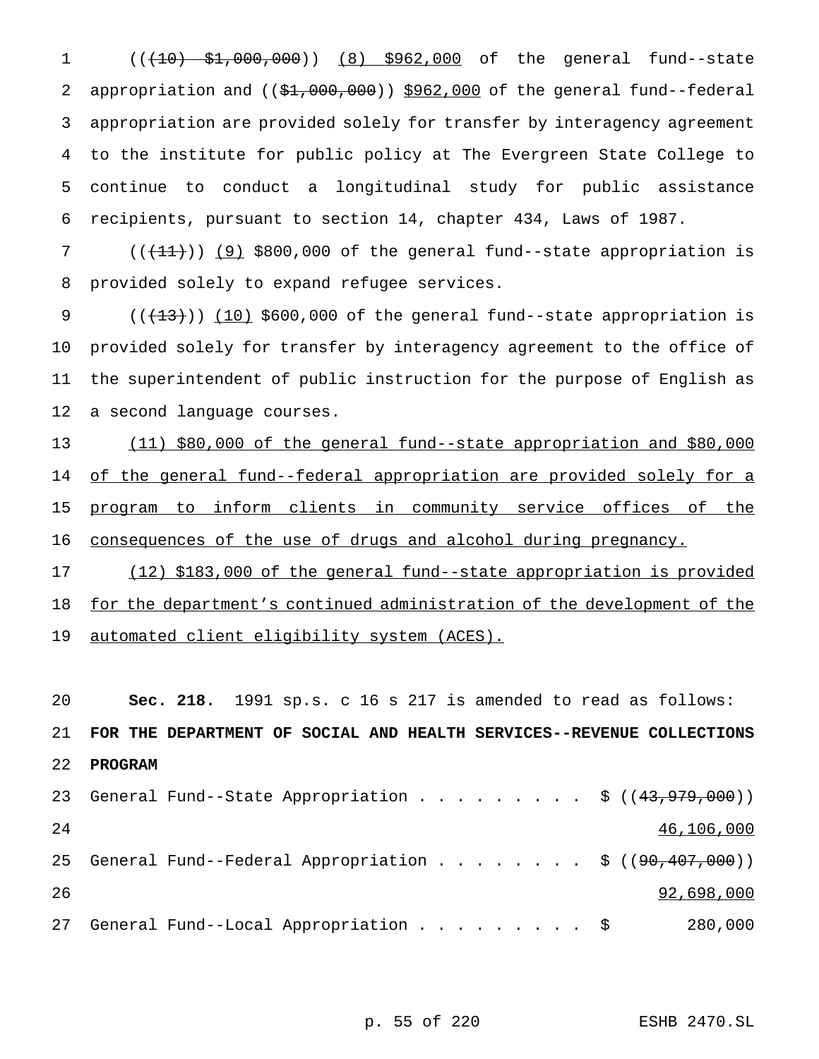1 (( $(10)$  \$1,000,000)) (8) \$962,000 of the general fund--state 2 appropriation and  $((\frac{21}{1000},000))$  \$962,000 of the general fund--federal appropriation are provided solely for transfer by interagency agreement to the institute for public policy at The Evergreen State College to continue to conduct a longitudinal study for public assistance recipients, pursuant to section 14, chapter 434, Laws of 1987.

7  $((+11))$   $(9)$  \$800,000 of the general fund--state appropriation is 8 provided solely to expand refugee services.

 $((+13))$   $(10)$  \$600,000 of the general fund--state appropriation is provided solely for transfer by interagency agreement to the office of the superintendent of public instruction for the purpose of English as a second language courses.

13 (11) \$80,000 of the general fund--state appropriation and \$80,000 14 of the general fund--federal appropriation are provided solely for a 15 program to inform clients in community service offices of the 16 consequences of the use of drugs and alcohol during pregnancy.

17 (12) \$183,000 of the general fund--state appropriation is provided 18 for the department's continued administration of the development of the 19 automated client eligibility system (ACES).

20 **Sec. 218.** 1991 sp.s. c 16 s 217 is amended to read as follows: 21 **FOR THE DEPARTMENT OF SOCIAL AND HEALTH SERVICES--REVENUE COLLECTIONS** 22 **PROGRAM** 23 General Fund--State Appropriation . . . . . . . . \$ ((43,979,000))  $24$   $46,106,000$ 25 General Fund--Federal Appropriation . . . . . . . \$ ((<del>90,407,000</del>))  $26$  92,698,000 27 General Fund--Local Appropriation . . . . . . . . \$ 280,000

p. 55 of 220 ESHB 2470.SL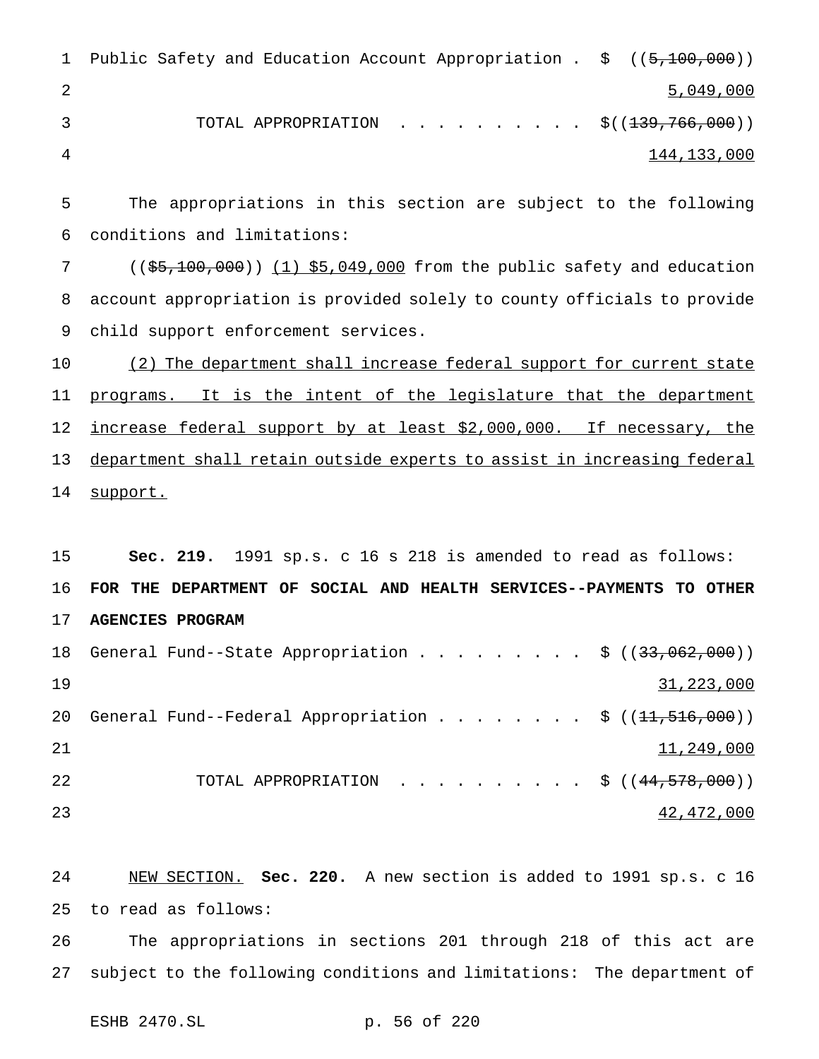| 1 Public Safety and Education Account Appropriation . \$ ((5,100,000)) |             |
|------------------------------------------------------------------------|-------------|
|                                                                        | 5,049,000   |
| TOTAL APPROPRIATION $\frac{1}{5}$ ((139,766,000))                      |             |
|                                                                        | 144,133,000 |

 The appropriations in this section are subject to the following conditions and limitations:

 ((\$5,100,000)) (1) \$5,049,000 from the public safety and education account appropriation is provided solely to county officials to provide child support enforcement services.

 (2) The department shall increase federal support for current state 11 programs. It is the intent of the legislature that the department 12 increase federal support by at least \$2,000,000. If necessary, the department shall retain outside experts to assist in increasing federal 14 support.

 **Sec. 219.** 1991 sp.s. c 16 s 218 is amended to read as follows: **FOR THE DEPARTMENT OF SOCIAL AND HEALTH SERVICES--PAYMENTS TO OTHER AGENCIES PROGRAM** 18 General Fund--State Appropriation . . . . . . . . \$ ((33,062,000)) 31,223,000 20 General Fund--Federal Appropriation . . . . . . . \$ ((<del>11,516,000</del>))  $11,249,000$ 22 TOTAL APPROPRIATION . . . . . . . . . \$ ((44,578,000))  $\frac{42,472,000}{ }$ 

 NEW SECTION. **Sec. 220.** A new section is added to 1991 sp.s. c 16 to read as follows:

 The appropriations in sections 201 through 218 of this act are subject to the following conditions and limitations: The department of

ESHB 2470.SL p. 56 of 220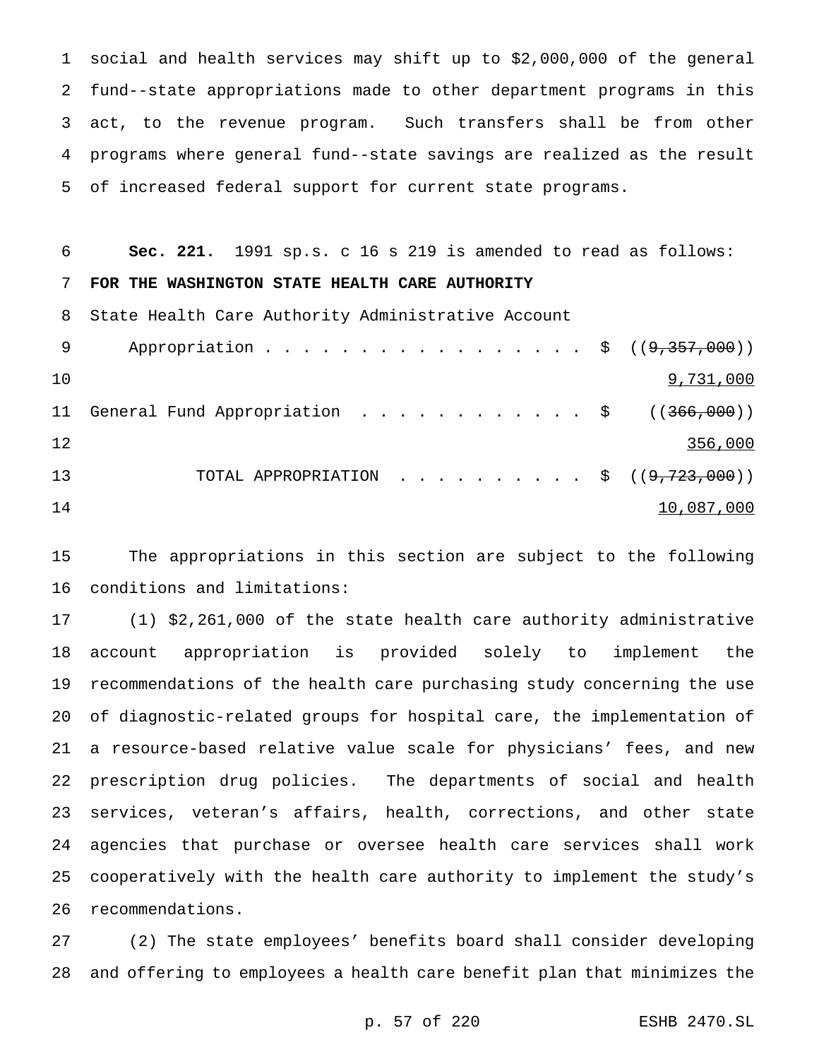social and health services may shift up to \$2,000,000 of the general fund--state appropriations made to other department programs in this act, to the revenue program. Such transfers shall be from other programs where general fund--state savings are realized as the result of increased federal support for current state programs.

 **Sec. 221.** 1991 sp.s. c 16 s 219 is amended to read as follows: **FOR THE WASHINGTON STATE HEALTH CARE AUTHORITY** State Health Care Authority Administrative Account 9 Appropriation . . . . . . . . . . . . . . . . \$ ((9,357,000))  $\frac{9,731,000}{2}$ 11 General Fund Appropriation . . . . . . . . . . . \$ ((366,000)) 12 356,000 13 TOTAL APPROPRIATION . . . . . . . . . \$ ((<del>9,723,000</del>)) 14

 The appropriations in this section are subject to the following conditions and limitations:

 (1) \$2,261,000 of the state health care authority administrative account appropriation is provided solely to implement the recommendations of the health care purchasing study concerning the use of diagnostic-related groups for hospital care, the implementation of a resource-based relative value scale for physicians' fees, and new prescription drug policies. The departments of social and health services, veteran's affairs, health, corrections, and other state agencies that purchase or oversee health care services shall work cooperatively with the health care authority to implement the study's recommendations.

 (2) The state employees' benefits board shall consider developing and offering to employees a health care benefit plan that minimizes the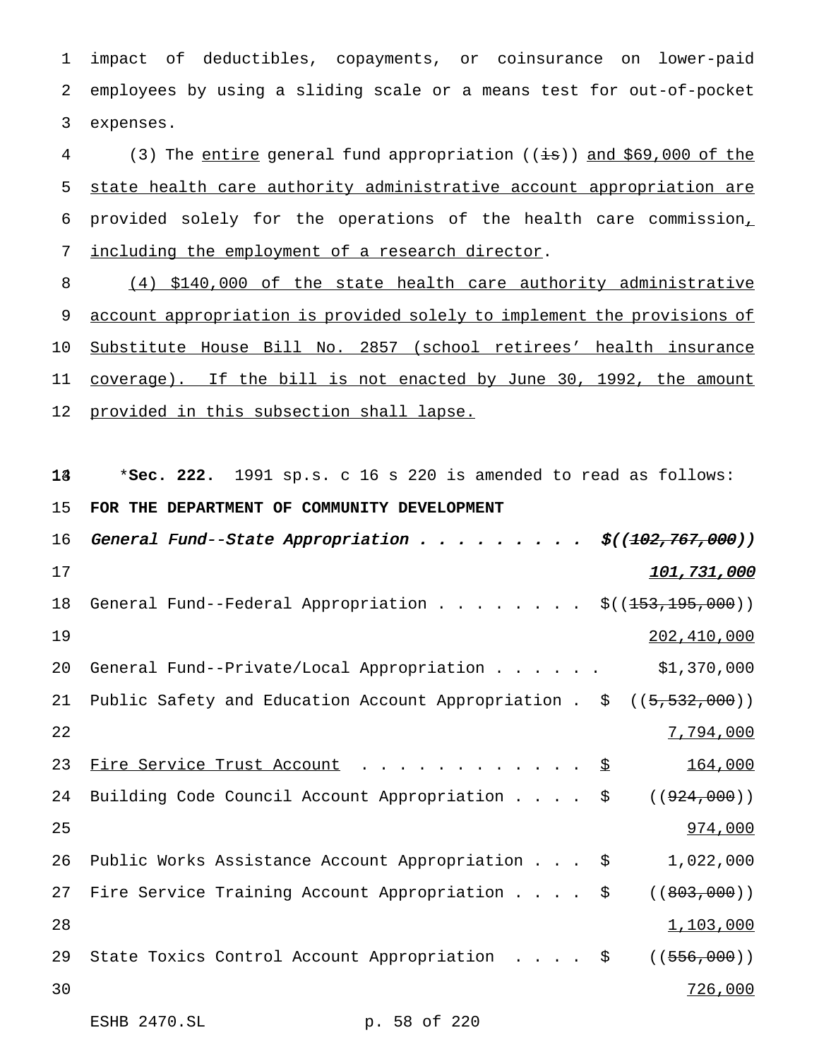1 impact of deductibles, copayments, or coinsurance on lower-paid 2 employees by using a sliding scale or a means test for out-of-pocket 3 expenses.

4 (3) The entire general fund appropriation ((is)) and \$69,000 of the state health care authority administrative account appropriation are provided solely for the operations of the health care commission, including the employment of a research director.

8 (4) \$140,000 of the state health care authority administrative 9 account appropriation is provided solely to implement the provisions of 10 Substitute House Bill No. 2857 (school retirees' health insurance 11 coverage). If the bill is not enacted by June 30, 1992, the amount 12 provided in this subsection shall lapse.

134 \***Sec. 222.** 1991 sp.s. c 16 s 220 is amended to read as follows:

## 15 **FOR THE DEPARTMENT OF COMMUNITY DEVELOPMENT**

16 General Fund--State Appropriation . . . . . . . . \$((102,767,000))  $17$  and  $101,731,000$ 18 General Fund--Federal Appropriation  $\ldots$ ......  $\frac{\xi(153,195,000)}{\xi(153,195,000)}$ 19 202,410,000 20 General Fund--Private/Local Appropriation...... \$1,370,000 21 Public Safety and Education Account Appropriation . \$ ((5,532,000)) 22  $\overline{7,794,000}$ 23 Fire Service Trust Account . . . . . . . . . . . \$ 164,000 24 Building Code Council Account Appropriation . . . \$ ((924,000)) 25 25 26 274,000 26 Public Works Assistance Account Appropriation . . . \$ 1,022,000 27 Fire Service Training Account Appropriation . . . \$ ((803,000)) 28  $1,103,000$ 29 State Toxics Control Account Appropriation . . . . \$ ((556,000)) 30 726,000

```
ESHB 2470.SL p. 58 of 220
```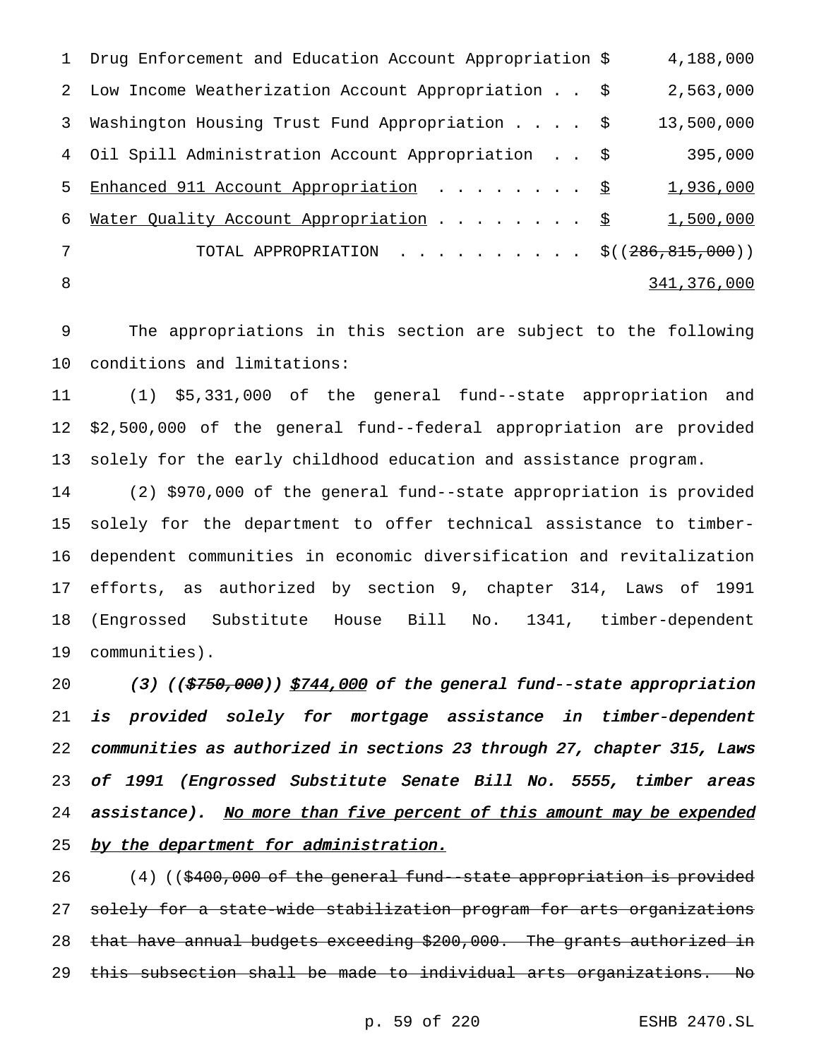1 Drug Enforcement and Education Account Appropriation \$ 4,188,000 2 Low Income Weatherization Account Appropriation . . \$ 2,563,000 3 Washington Housing Trust Fund Appropriation.... \$ 13,500,000 4 Oil Spill Administration Account Appropriation . . \$ 395,000 5 Enhanced 911 Account Appropriation . . . . . . . \$ 1,936,000 6 Mater Quality Account Appropriation . . . . . . . \$ 1,500,000 7 TOTAL APPROPRIATION . . . . . . . . . \$((286,815,000)) 8 341,376,000

9 The appropriations in this section are subject to the following 10 conditions and limitations:

11 (1) \$5,331,000 of the general fund--state appropriation and 12 \$2,500,000 of the general fund--federal appropriation are provided 13 solely for the early childhood education and assistance program.

 (2) \$970,000 of the general fund--state appropriation is provided solely for the department to offer technical assistance to timber- dependent communities in economic diversification and revitalization efforts, as authorized by section 9, chapter 314, Laws of 1991 (Engrossed Substitute House Bill No. 1341, timber-dependent communities).

20 (3) ((\$750,000)) \$744,000 of the general fund--state appropriation 21 is provided solely for mortgage assistance in timber-dependent 22 communities as authorized in sections <sup>23</sup> through 27, chapter 315, Laws 23 of <sup>1991</sup> (Engrossed Substitute Senate Bill No. 5555, timber areas 24 assistance). No more than five percent of this amount may be expended 25 by the department for administration.

26 (4) ((\$400,000 of the general fund--state appropriation is provided 27 solely for a state-wide stabilization program for arts organizations 28 that have annual budgets exceeding \$200,000. The grants authorized in 29 this subsection shall be made to individual arts organizations. No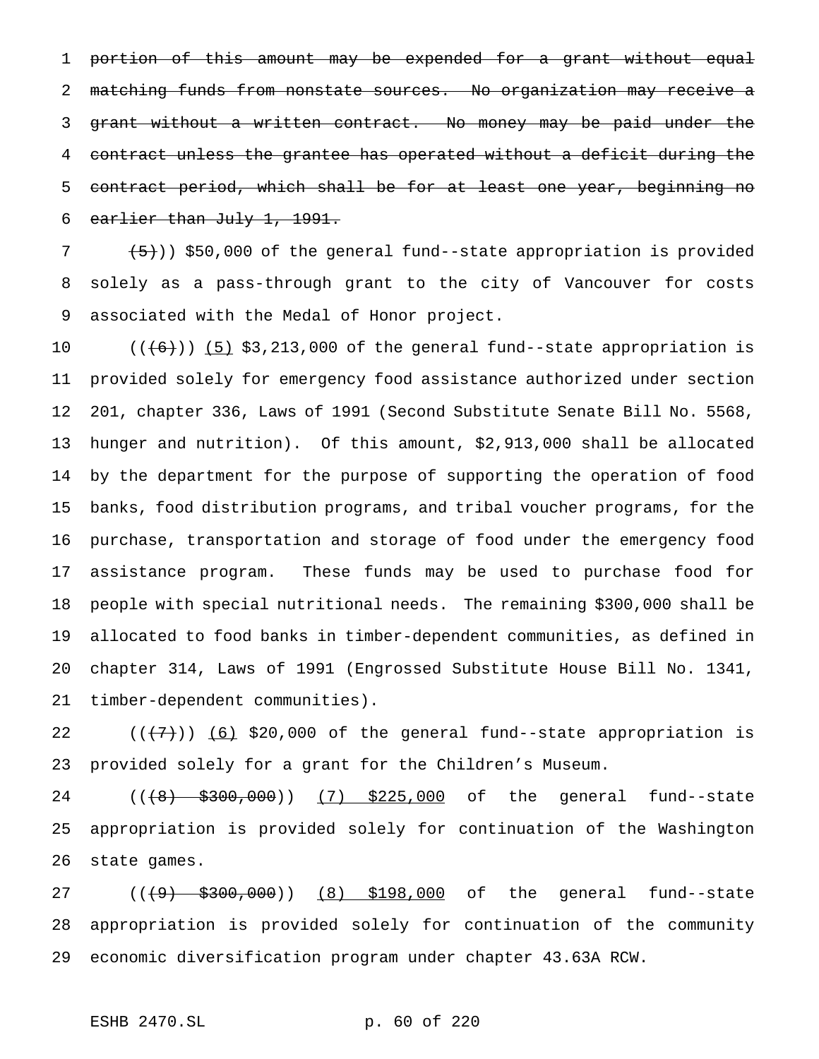portion of this amount may be expended for a grant without equal 2 matching funds from nonstate sources. No organization may receive a grant without a written contract. No money may be paid under the contract unless the grantee has operated without a deficit during the contract period, which shall be for at least one year, beginning no earlier than July 1, 1991.

  $(5)$ )) \$50,000 of the general fund--state appropriation is provided solely as a pass-through grant to the city of Vancouver for costs associated with the Medal of Honor project.

 $((+6))$   $(5)$  \$3,213,000 of the general fund--state appropriation is provided solely for emergency food assistance authorized under section 201, chapter 336, Laws of 1991 (Second Substitute Senate Bill No. 5568, hunger and nutrition). Of this amount, \$2,913,000 shall be allocated by the department for the purpose of supporting the operation of food banks, food distribution programs, and tribal voucher programs, for the purchase, transportation and storage of food under the emergency food assistance program. These funds may be used to purchase food for people with special nutritional needs. The remaining \$300,000 shall be allocated to food banks in timber-dependent communities, as defined in chapter 314, Laws of 1991 (Engrossed Substitute House Bill No. 1341, timber-dependent communities).

 $((+7))$  (6) \$20,000 of the general fund--state appropriation is provided solely for a grant for the Children's Museum.

24 ((<del>(8) \$300,000</del>)) <u>(7) \$225,000</u> of the general fund--state appropriation is provided solely for continuation of the Washington state games.

27 ((<del>(9) \$300,000</del>)) (8) \$198,000 of the general fund--state appropriation is provided solely for continuation of the community economic diversification program under chapter 43.63A RCW.

## ESHB 2470.SL p. 60 of 220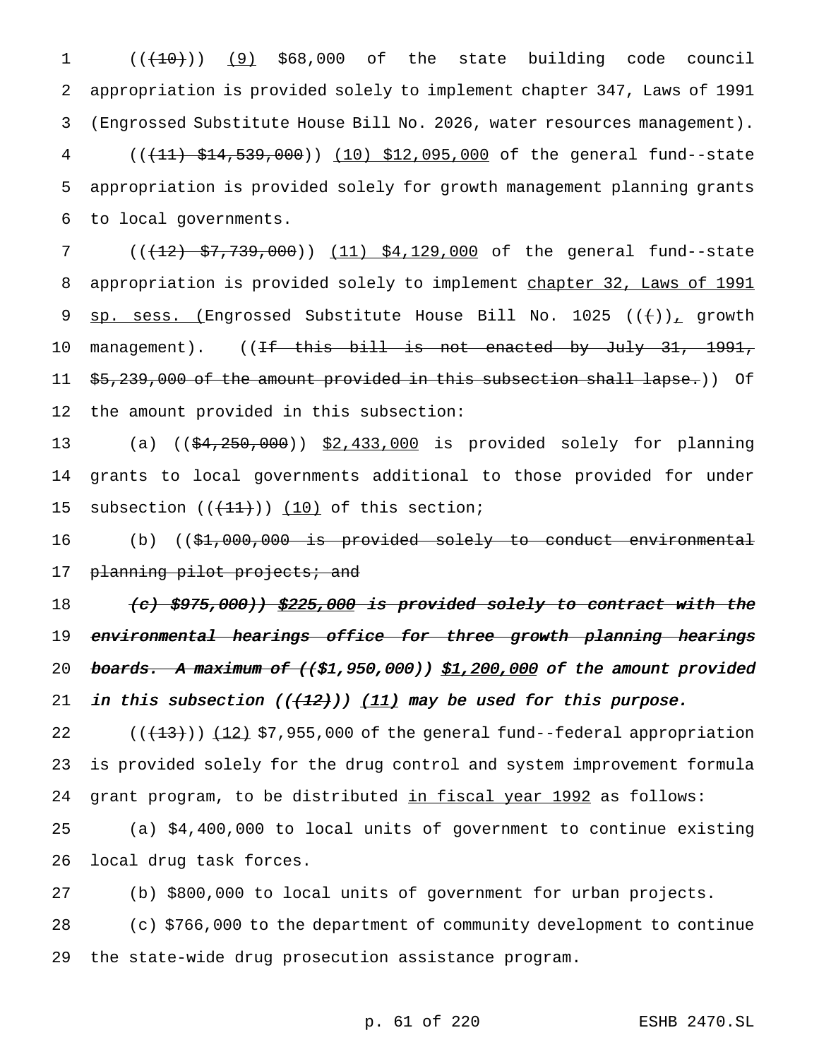1 (( $(10)$ ) (9) \$68,000 of the state building code council appropriation is provided solely to implement chapter 347, Laws of 1991 (Engrossed Substitute House Bill No. 2026, water resources management). 4 (( $(11)$  \$14,539,000)) (10) \$12,095,000 of the general fund--state appropriation is provided solely for growth management planning grants to local governments.

7 (( $(12)$  \$7,739,000)) (11) \$4,129,000 of the general fund--state 8 appropriation is provided solely to implement chapter 32, Laws of 1991 9 sp. sess. (Engrossed Substitute House Bill No. 1025  $((+))_{\text{L}}$  growth 10 management). ((If this bill is not enacted by July 31, 1991, 11 \$5,239,000 of the amount provided in this subsection shall lapse.)) Of 12 the amount provided in this subsection:

13 (a) ((\$4,250,000)) \$2,433,000 is provided solely for planning 14 grants to local governments additional to those provided for under 15 subsection  $((+11))$   $(10)$  of this section;

16 (b) ((\$<del>1,000,000 is provided solely to conduct environmental</del> 17 planning pilot projects; and

18 (c) \$975,000)) \$225,000 is provided solely to contract with the 19 <del>environmental hearings office for three growth planning hearings</del> 20 boards. A maximum of  $({\xi}1,950,000)$  \$1,200,000 of the amount provided 21 in this subsection  $((+12))$   $(11)$  may be used for this purpose.

22  $((+13))$   $(12)$  \$7,955,000 of the general fund--federal appropriation 23 is provided solely for the drug control and system improvement formula 24 grant program, to be distributed in fiscal year 1992 as follows:

25 (a) \$4,400,000 to local units of government to continue existing 26 local drug task forces.

27 (b) \$800,000 to local units of government for urban projects.

28 (c) \$766,000 to the department of community development to continue 29 the state-wide drug prosecution assistance program.

p. 61 of 220 ESHB 2470.SL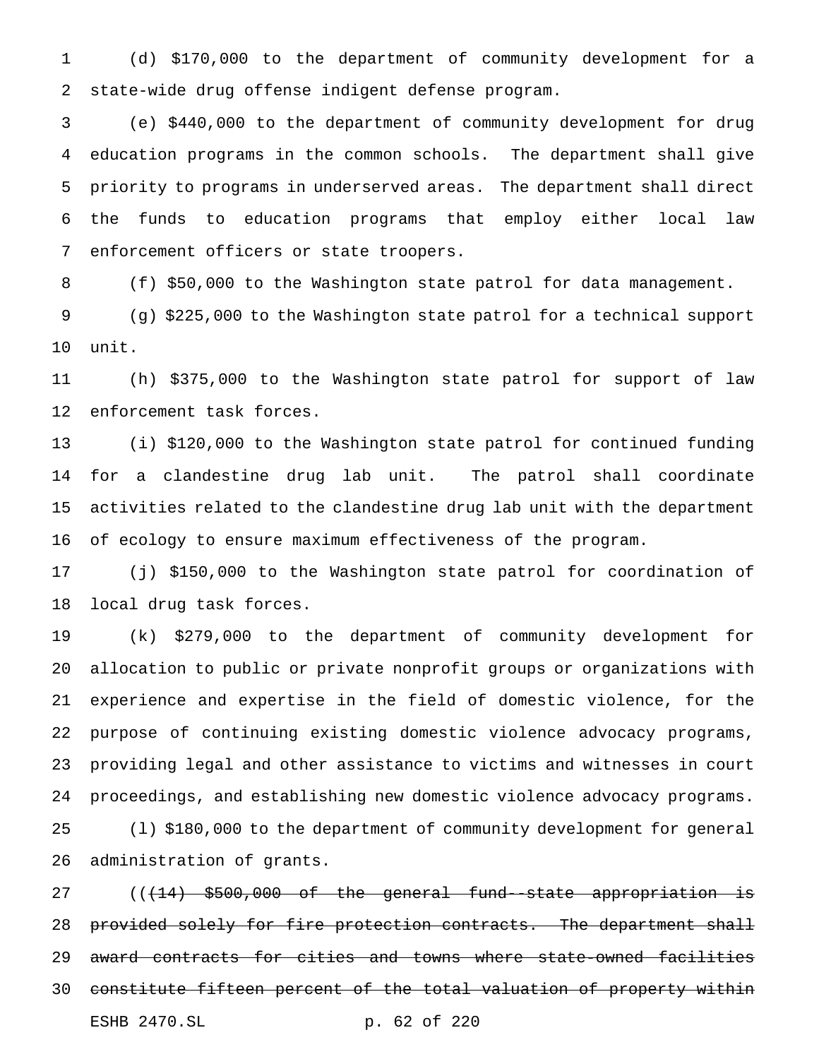(d) \$170,000 to the department of community development for a state-wide drug offense indigent defense program.

 (e) \$440,000 to the department of community development for drug education programs in the common schools. The department shall give priority to programs in underserved areas. The department shall direct the funds to education programs that employ either local law enforcement officers or state troopers.

(f) \$50,000 to the Washington state patrol for data management.

 (g) \$225,000 to the Washington state patrol for a technical support unit.

 (h) \$375,000 to the Washington state patrol for support of law enforcement task forces.

 (i) \$120,000 to the Washington state patrol for continued funding for a clandestine drug lab unit. The patrol shall coordinate activities related to the clandestine drug lab unit with the department of ecology to ensure maximum effectiveness of the program.

 (j) \$150,000 to the Washington state patrol for coordination of local drug task forces.

 (k) \$279,000 to the department of community development for allocation to public or private nonprofit groups or organizations with experience and expertise in the field of domestic violence, for the purpose of continuing existing domestic violence advocacy programs, providing legal and other assistance to victims and witnesses in court proceedings, and establishing new domestic violence advocacy programs. (l) \$180,000 to the department of community development for general administration of grants.

27 ((<del>(14) \$500,000 of the general fund-state appropriation is</del> 28 provided solely for fire protection contracts. The department shall award contracts for cities and towns where state-owned facilities constitute fifteen percent of the total valuation of property within ESHB 2470.SL p. 62 of 220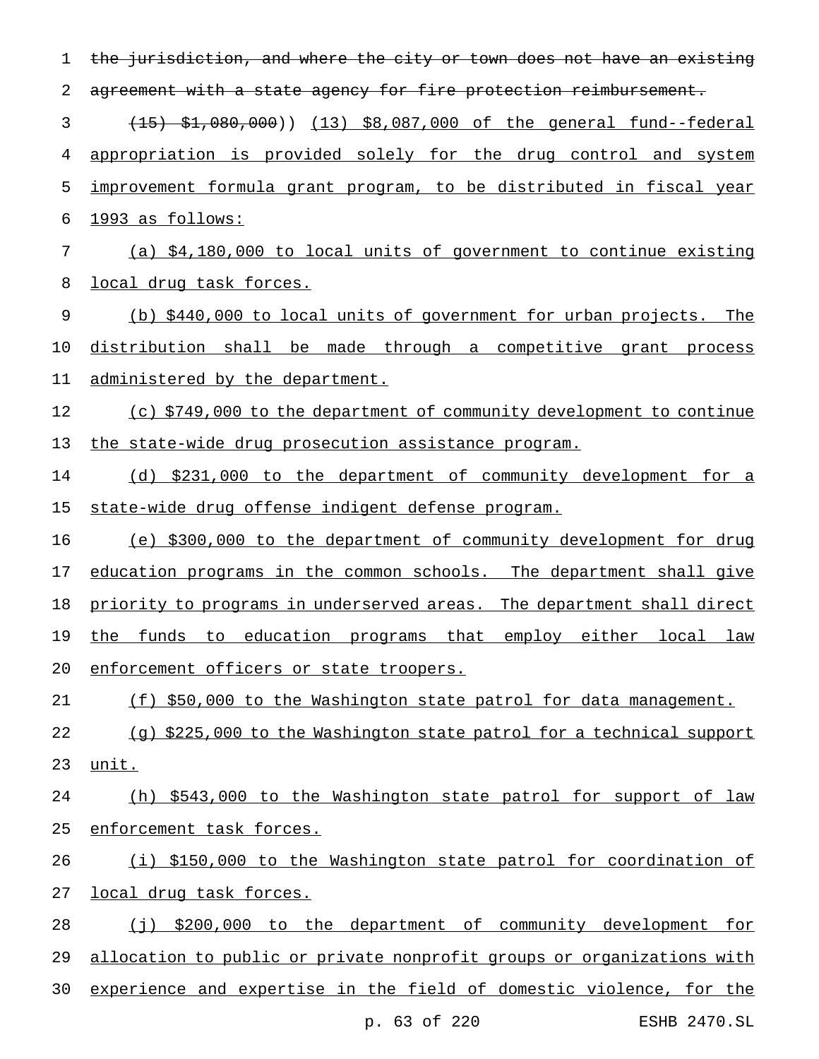| 1  | the jurisdiction, and where the city or town does not have an existing |
|----|------------------------------------------------------------------------|
| 2  | agreement with a state agency for fire protection reimbursement.       |
| 3  | (15) \$1,080,000)) (13) \$8,087,000 of the general fund--federal       |
| 4  | appropriation is provided solely for the drug control and system       |
| 5  | improvement formula grant program, to be distributed in fiscal year    |
| 6  | 1993 as follows:                                                       |
| 7  | (a) \$4,180,000 to local units of government to continue existing      |
| 8  | <u>local drug task forces.</u>                                         |
| 9  | (b) \$440,000 to local units of government for urban projects. The     |
| 10 | distribution shall be made through a competitive grant process         |
| 11 | administered by the department.                                        |
| 12 | (c) \$749,000 to the department of community development to continue   |
| 13 | the state-wide drug prosecution assistance program.                    |
| 14 | \$231,000 to the department of community development for a<br>(d)      |
| 15 | state-wide drug offense indigent defense program.                      |
| 16 | (e) \$300,000 to the department of community development for drug      |
| 17 | education programs in the common schools. The department shall give    |
| 18 | priority to programs in underserved areas. The department shall direct |
| 19 | the funds to education programs that employ either local law           |
| 20 | enforcement officers or state troopers.                                |
| 21 | (f) \$50,000 to the Washington state patrol for data management.       |
| 22 | (g) \$225,000 to the Washington state patrol for a technical support   |
| 23 | unit.                                                                  |
| 24 | (h) \$543,000 to the Washington state patrol for support of law        |
| 25 | enforcement task forces.                                               |
| 26 | (i) \$150,000 to the Washington state patrol for coordination of       |
| 27 | local drug task forces.                                                |
| 28 | (j) \$200,000 to the department of community development for           |
| 29 | allocation to public or private nonprofit groups or organizations with |
| 30 | experience and expertise in the field of domestic violence, for the    |
|    | p. 63 of 220<br>ESHB 2470.SL                                           |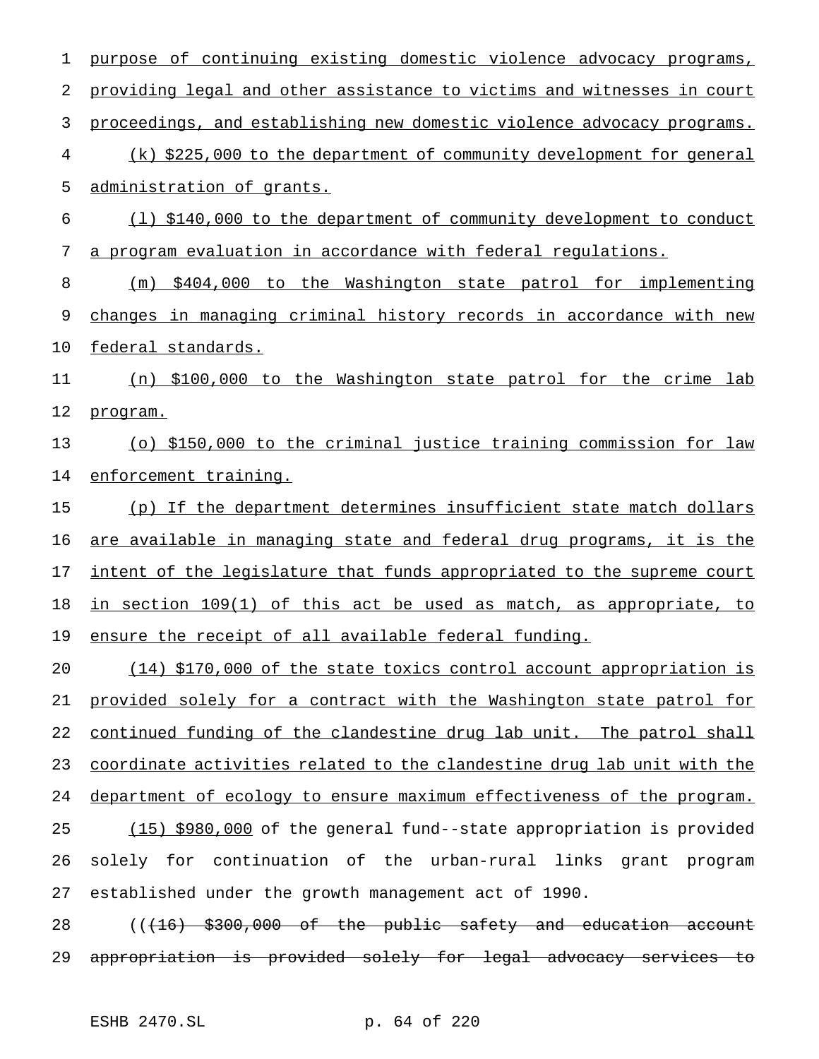purpose of continuing existing domestic violence advocacy programs, providing legal and other assistance to victims and witnesses in court proceedings, and establishing new domestic violence advocacy programs. (k) \$225,000 to the department of community development for general administration of grants. (l) \$140,000 to the department of community development to conduct a program evaluation in accordance with federal regulations. (m) \$404,000 to the Washington state patrol for implementing changes in managing criminal history records in accordance with new federal standards. (n) \$100,000 to the Washington state patrol for the crime lab program. (o) \$150,000 to the criminal justice training commission for law enforcement training. (p) If the department determines insufficient state match dollars are available in managing state and federal drug programs, it is the 17 intent of the legislature that funds appropriated to the supreme court in section 109(1) of this act be used as match, as appropriate, to ensure the receipt of all available federal funding. (14) \$170,000 of the state toxics control account appropriation is provided solely for a contract with the Washington state patrol for 22 continued funding of the clandestine drug lab unit. The patrol shall coordinate activities related to the clandestine drug lab unit with the department of ecology to ensure maximum effectiveness of the program. (15) \$980,000 of the general fund--state appropriation is provided solely for continuation of the urban-rural links grant program established under the growth management act of 1990.

28 (((16) \$300,000 of the public safety and education account appropriation is provided solely for legal advocacy services to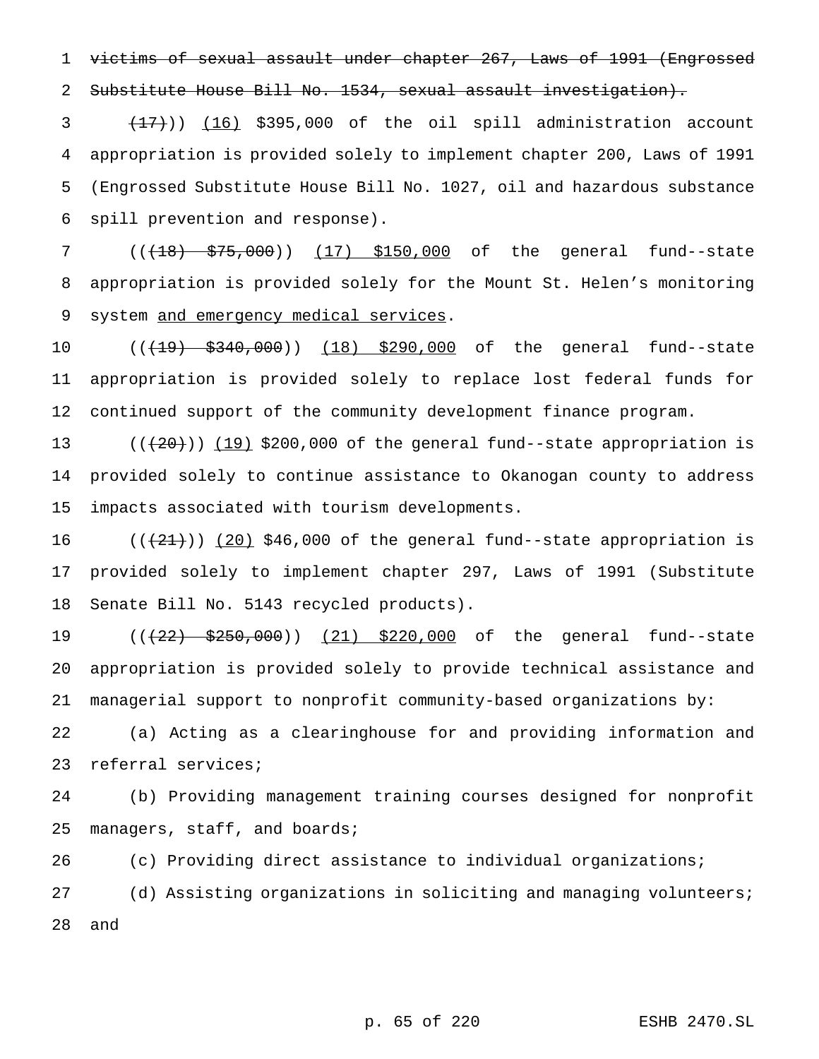victims of sexual assault under chapter 267, Laws of 1991 (Engrossed Substitute House Bill No. 1534, sexual assault investigation).

 $(17)$ )  $(16)$  \$395,000 of the oil spill administration account appropriation is provided solely to implement chapter 200, Laws of 1991 (Engrossed Substitute House Bill No. 1027, oil and hazardous substance spill prevention and response).

7 ((<del>(18) \$75,000</del>)) (17) \$150,000 of the general fund--state appropriation is provided solely for the Mount St. Helen's monitoring 9 system and emergency medical services.

10 (( $\left(19\right)$  \$340,000)) (18) \$290,000 of the general fund--state appropriation is provided solely to replace lost federal funds for continued support of the community development finance program.

13  $((+20))$   $(19)$  \$200,000 of the general fund--state appropriation is provided solely to continue assistance to Okanogan county to address impacts associated with tourism developments.

 $((+21+))$  (20) \$46,000 of the general fund--state appropriation is provided solely to implement chapter 297, Laws of 1991 (Substitute Senate Bill No. 5143 recycled products).

19 (( $\left(\frac{22}{22}, \frac{250}{900}\right)$ ) (21) \$220,000 of the general fund--state appropriation is provided solely to provide technical assistance and managerial support to nonprofit community-based organizations by:

 (a) Acting as a clearinghouse for and providing information and referral services;

 (b) Providing management training courses designed for nonprofit managers, staff, and boards;

 (c) Providing direct assistance to individual organizations; (d) Assisting organizations in soliciting and managing volunteers; and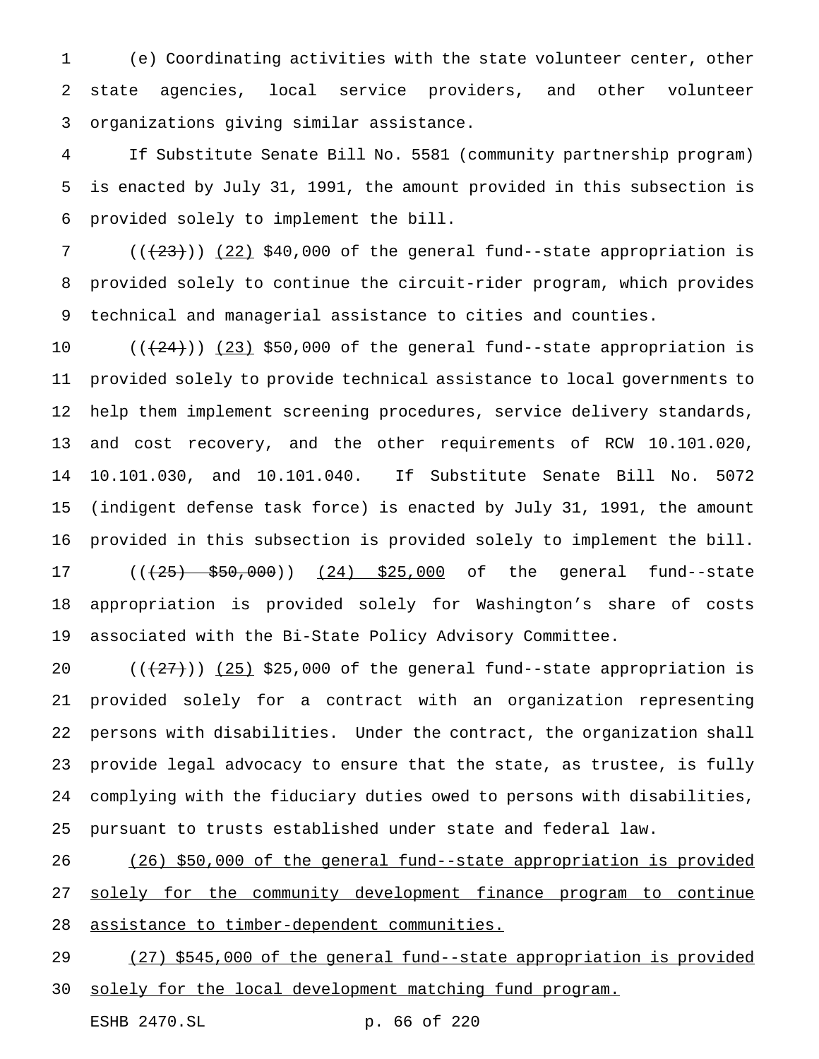(e) Coordinating activities with the state volunteer center, other state agencies, local service providers, and other volunteer organizations giving similar assistance.

 If Substitute Senate Bill No. 5581 (community partnership program) is enacted by July 31, 1991, the amount provided in this subsection is provided solely to implement the bill.

 $((+23))$   $(22)$  \$40,000 of the general fund--state appropriation is provided solely to continue the circuit-rider program, which provides technical and managerial assistance to cities and counties.

 $((+24))$   $(23)$  \$50,000 of the general fund--state appropriation is provided solely to provide technical assistance to local governments to help them implement screening procedures, service delivery standards, and cost recovery, and the other requirements of RCW 10.101.020, 10.101.030, and 10.101.040. If Substitute Senate Bill No. 5072 (indigent defense task force) is enacted by July 31, 1991, the amount provided in this subsection is provided solely to implement the bill. 17 (( $\left(\frac{25}{25}, \frac{550}{200}\right)$ ) (24) \$25,000 of the general fund--state appropriation is provided solely for Washington's share of costs associated with the Bi-State Policy Advisory Committee.

 $((+27))$   $(25)$  \$25,000 of the general fund--state appropriation is provided solely for a contract with an organization representing persons with disabilities. Under the contract, the organization shall provide legal advocacy to ensure that the state, as trustee, is fully complying with the fiduciary duties owed to persons with disabilities, pursuant to trusts established under state and federal law.

 (26) \$50,000 of the general fund--state appropriation is provided 27 solely for the community development finance program to continue assistance to timber-dependent communities.

 (27) \$545,000 of the general fund--state appropriation is provided 30 solely for the local development matching fund program.

ESHB 2470.SL p. 66 of 220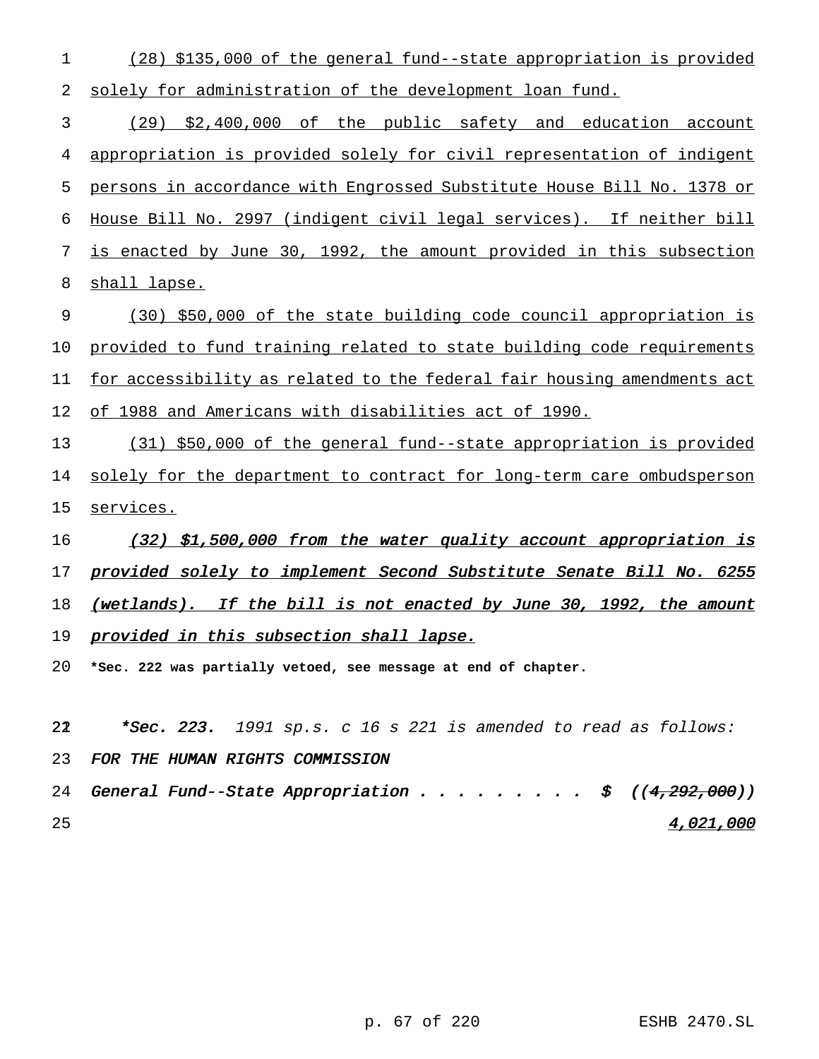(28) \$135,000 of the general fund--state appropriation is provided solely for administration of the development loan fund.

 (29) \$2,400,000 of the public safety and education account appropriation is provided solely for civil representation of indigent persons in accordance with Engrossed Substitute House Bill No. 1378 or House Bill No. 2997 (indigent civil legal services). If neither bill is enacted by June 30, 1992, the amount provided in this subsection shall lapse.

 (30) \$50,000 of the state building code council appropriation is provided to fund training related to state building code requirements for accessibility as related to the federal fair housing amendments act of 1988 and Americans with disabilities act of 1990.

 (31) \$50,000 of the general fund--state appropriation is provided 14 solely for the department to contract for long-term care ombudsperson 15 services.

16 (32) \$1,500,000 from the water quality account appropriation is 17 provided solely to implement Second Substitute Senate Bill No. 6255 18 (wetlands). If the bill is not enacted by June 30, 1992, the amount 19 provided in this subsection shall lapse.

**\*Sec. 222 was partially vetoed, see message at end of chapter.**

22  $*Sec. 223. 1991 sp.s. c 16 s 221 is amended to read as follows:$ 

FOR THE HUMAN RIGHTS COMMISSION

24 General Fund--State Appropriation . . . . . . . . \$  $((4,292,000))$ 4,021,000

p. 67 of 220 ESHB 2470.SL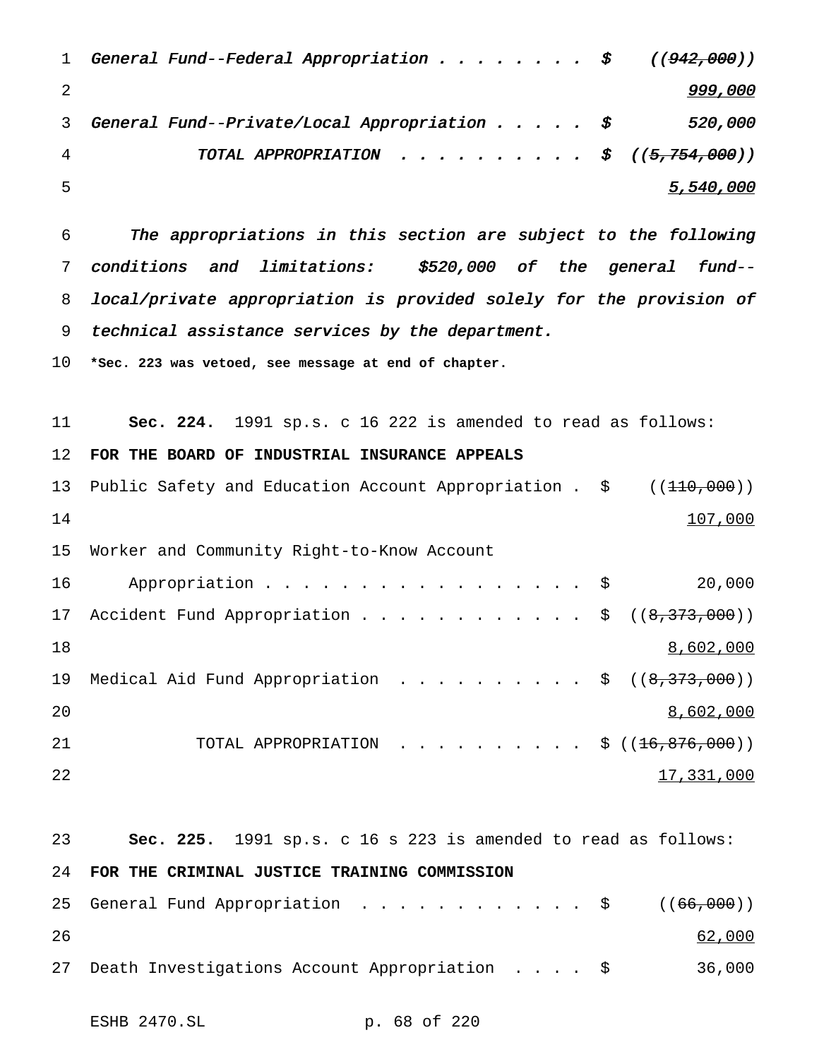| $\mathbf{1}$ | General Fund--Federal Appropriation $\sharp$ ((942,000)) |           |
|--------------|----------------------------------------------------------|-----------|
|              |                                                          | 999,000   |
| 3            | General Fund--Private/Local Appropriation $\$\,$         | 520,000   |
| 4            | TOTAL APPROPRIATION $\sharp$ $((5, 754, 000))$           |           |
| - 5          |                                                          | 5,540,000 |

 The appropriations in this section are subject to the following conditions and limitations: \$520,000 of the general fund-- local/private appropriation is provided solely for the provision of technical assistance services by the department.

**\*Sec. 223 was vetoed, see message at end of chapter.**

 **Sec. 224.** 1991 sp.s. c 16 222 is amended to read as follows: **FOR THE BOARD OF INDUSTRIAL INSURANCE APPEALS** 13 Public Safety and Education Account Appropriation .  $\zeta$  ((110,000))

 107,000 Worker and Community Right-to-Know Account 16 Appropriation . . . . . . . . . . . . . . . \$ 20,000 17 Accident Fund Appropriation . . . . . . . . . . . \$ ((8,373,000))  $\frac{8}{602}$ ,000 19 Medical Aid Fund Appropriation . . . . . . . . . \$ ((8,373,000)) 8,602,000 21 TOTAL APPROPRIATION ..........\$ ((<del>16,876,000</del>)) 17,331,000

```
23 Sec. 225. 1991 sp.s. c 16 s 223 is amended to read as follows:
24 FOR THE CRIMINAL JUSTICE TRAINING COMMISSION
25 General Fund Appropriation . . . . . . . . . . . $ ((66,000))
26 62,000
27 Death Investigations Account Appropriation .... $ 36,000
```
ESHB 2470.SL p. 68 of 220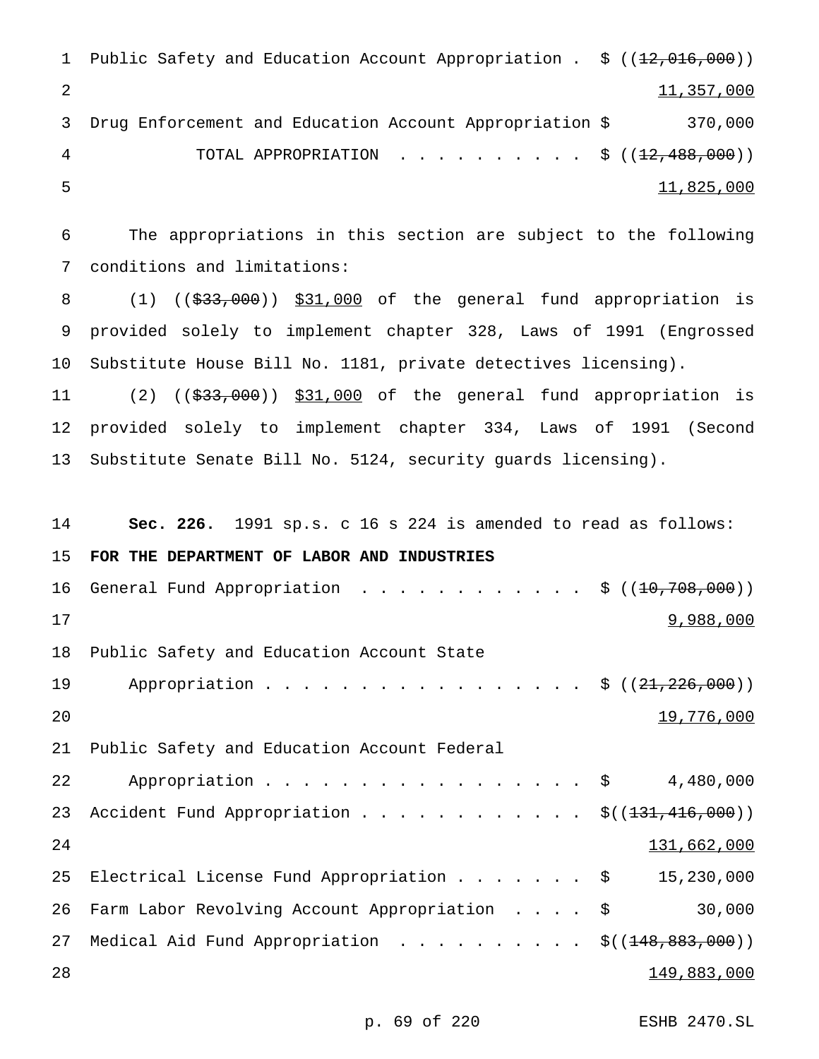```
1 Public Safety and Education Account Appropriation . $ ((12,016,000))
2 11,357,000
3 Drug Enforcement and Education Account Appropriation $ 370,000
4 TOTAL APPROPRIATION . . . . . . . . . $ ((<del>12,488,000</del>))
5 11,825,000
```
6 The appropriations in this section are subject to the following 7 conditions and limitations:

8 (1) ((\$33,000)) \$31,000 of the general fund appropriation is 9 provided solely to implement chapter 328, Laws of 1991 (Engrossed 10 Substitute House Bill No. 1181, private detectives licensing).

11 (2) ((\$33,000)) \$31,000 of the general fund appropriation is 12 provided solely to implement chapter 334, Laws of 1991 (Second 13 Substitute Senate Bill No. 5124, security guards licensing).

```
14 Sec. 226. 1991 sp.s. c 16 s 224 is amended to read as follows:
15 FOR THE DEPARTMENT OF LABOR AND INDUSTRIES
16 General Fund Appropriation . . . . . . . . . . . $ ((<del>10,708,000</del>))
17 9,988,000
18 Public Safety and Education Account State
19 Appropriation . . . . . . . . . . . . . . . $ ((21,226,000))
20 and 19,776,00021 Public Safety and Education Account Federal
22 Appropriation . . . . . . . . . . . . . . . $ 4,480,000
23 Accident Fund Appropriation . . . . . . . . . . . $((<del>131,416,000</del>))
24 131,662,000
25 Electrical License Fund Appropriation....... $ 15,230,000
26 Farm Labor Revolving Account Appropriation .... $ 30,000
27 Medical Aid Fund Appropriation . . . . . . . . . $((148,883,000))
28 149,883,000
```
p. 69 of 220 ESHB 2470.SL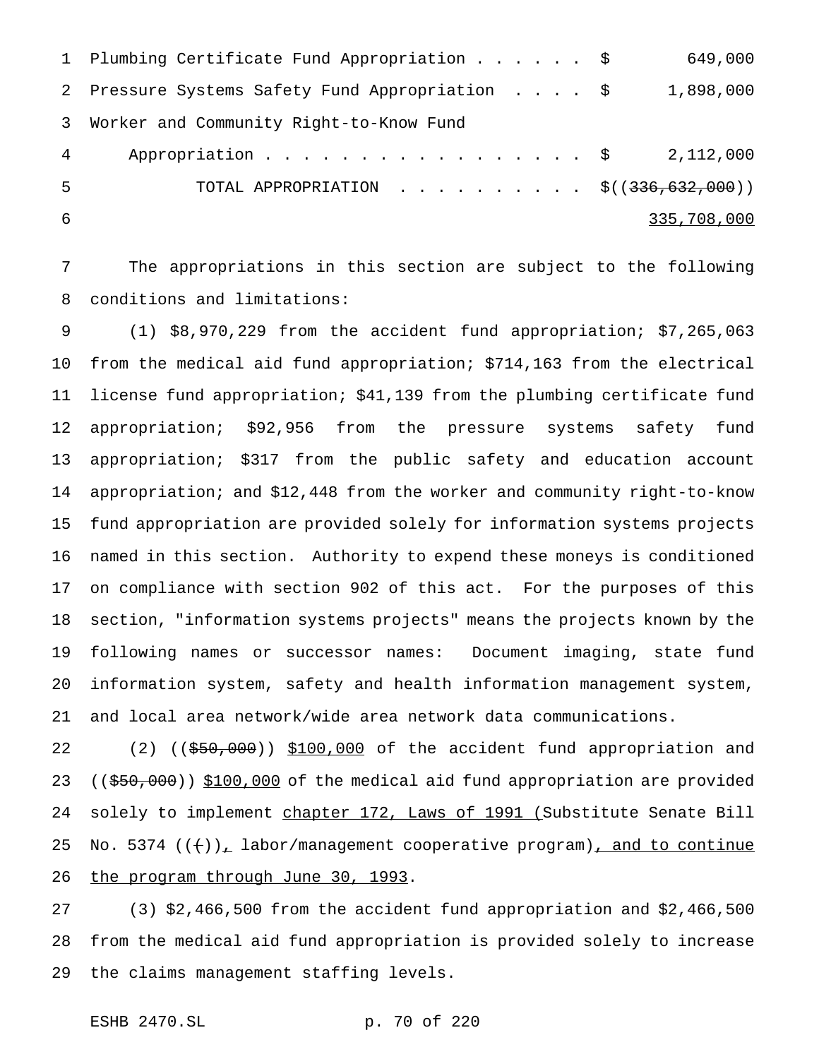|                | 1 Plumbing Certificate Fund Appropriation \$    | 649,000     |
|----------------|-------------------------------------------------|-------------|
|                | 2 Pressure Systems Safety Fund Appropriation \$ | 1,898,000   |
| 3              | Worker and Community Right-to-Know Fund         |             |
| $\overline{4}$ | Appropriation \$ 2,112,000                      |             |
| -5             | TOTAL APPROPRIATION \$( $(336, 632, 000)$ )     |             |
| -6             |                                                 | 335,708,000 |

 The appropriations in this section are subject to the following conditions and limitations:

 (1) \$8,970,229 from the accident fund appropriation; \$7,265,063 from the medical aid fund appropriation; \$714,163 from the electrical license fund appropriation; \$41,139 from the plumbing certificate fund appropriation; \$92,956 from the pressure systems safety fund appropriation; \$317 from the public safety and education account appropriation; and \$12,448 from the worker and community right-to-know fund appropriation are provided solely for information systems projects named in this section. Authority to expend these moneys is conditioned on compliance with section 902 of this act. For the purposes of this section, "information systems projects" means the projects known by the following names or successor names: Document imaging, state fund information system, safety and health information management system, and local area network/wide area network data communications.

22 (2) ((\$50,000)) \$100,000 of the accident fund appropriation and 23 ((\$50,000)) \$100,000 of the medical aid fund appropriation are provided 24 solely to implement chapter 172, Laws of 1991 (Substitute Senate Bill 25 No. 5374  $((+))_L$  labor/management cooperative program), and to continue the program through June 30, 1993.

 (3) \$2,466,500 from the accident fund appropriation and \$2,466,500 from the medical aid fund appropriation is provided solely to increase the claims management staffing levels.

ESHB 2470.SL p. 70 of 220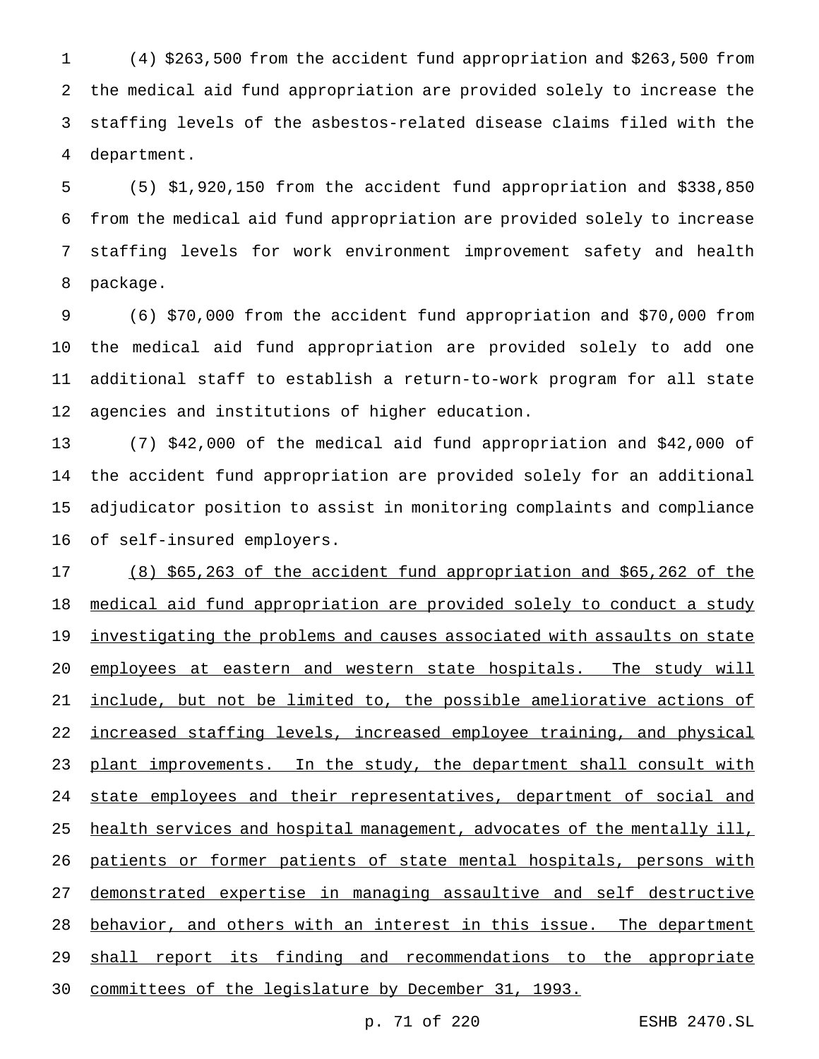(4) \$263,500 from the accident fund appropriation and \$263,500 from the medical aid fund appropriation are provided solely to increase the staffing levels of the asbestos-related disease claims filed with the department.

 (5) \$1,920,150 from the accident fund appropriation and \$338,850 from the medical aid fund appropriation are provided solely to increase staffing levels for work environment improvement safety and health package.

 (6) \$70,000 from the accident fund appropriation and \$70,000 from the medical aid fund appropriation are provided solely to add one additional staff to establish a return-to-work program for all state agencies and institutions of higher education.

 (7) \$42,000 of the medical aid fund appropriation and \$42,000 of the accident fund appropriation are provided solely for an additional adjudicator position to assist in monitoring complaints and compliance of self-insured employers.

 (8) \$65,263 of the accident fund appropriation and \$65,262 of the medical aid fund appropriation are provided solely to conduct a study 19 <u>investigating the problems and causes associated with assaults on state</u> 20 employees at eastern and western state hospitals. The study will include, but not be limited to, the possible ameliorative actions of increased staffing levels, increased employee training, and physical 23 plant improvements. In the study, the department shall consult with 24 state employees and their representatives, department of social and 25 health services and hospital management, advocates of the mentally ill, patients or former patients of state mental hospitals, persons with demonstrated expertise in managing assaultive and self destructive 28 behavior, and others with an interest in this issue. The department 29 shall report its finding and recommendations to the appropriate committees of the legislature by December 31, 1993.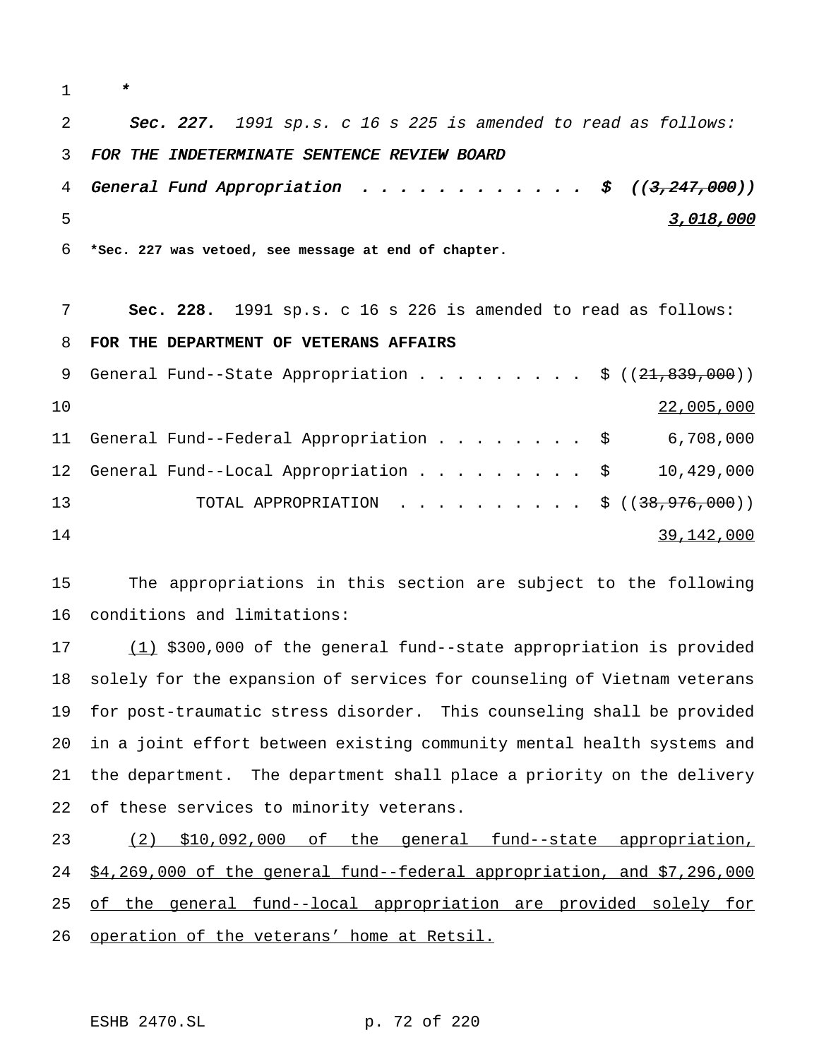\* 2 Sec. 227. 1991 sp.s. c 16 s 225 is amended to read as follows: FOR THE INDETERMINATE SENTENCE REVIEW BOARD 4 General Fund Appropriation  $\ldots \ldots \ldots \ldots$ . \$  $((3,247,000))$  3,018,000 **\*Sec. 227 was vetoed, see message at end of chapter. Sec. 228.** 1991 sp.s. c 16 s 226 is amended to read as follows: **FOR THE DEPARTMENT OF VETERANS AFFAIRS** 9 General Fund--State Appropriation . . . . . . . . \$ ((21,839,000)) 22,005,000 General Fund--Federal Appropriation........ \$ 6,708,000 General Fund--Local Appropriation......... \$ 10,429,000 13 TOTAL APPROPRIATION . . . . . . . . . \$ ((<del>38,976,000</del>)) 39,142,000

 The appropriations in this section are subject to the following conditions and limitations:

17 (1) \$300,000 of the general fund--state appropriation is provided solely for the expansion of services for counseling of Vietnam veterans for post-traumatic stress disorder. This counseling shall be provided in a joint effort between existing community mental health systems and the department. The department shall place a priority on the delivery of these services to minority veterans.

 (2) \$10,092,000 of the general fund--state appropriation, \$4,269,000 of the general fund--federal appropriation, and \$7,296,000 25 of the general fund--local appropriation are provided solely for operation of the veterans' home at Retsil.

ESHB 2470.SL p. 72 of 220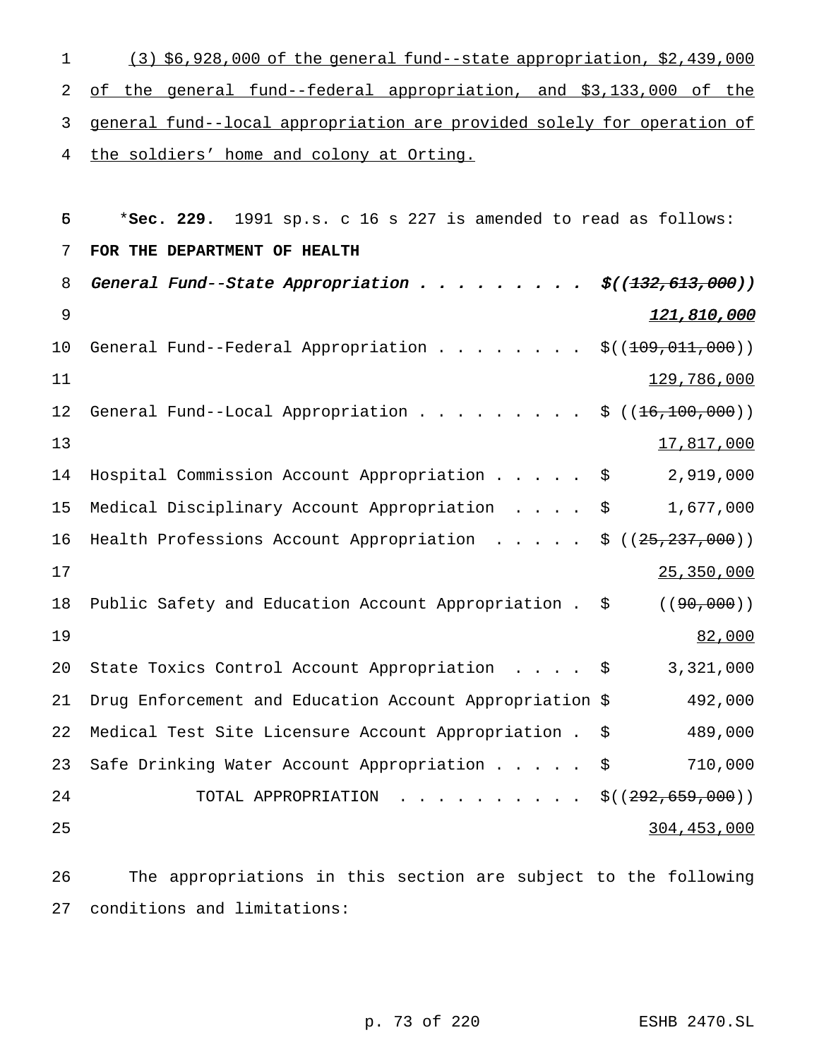(3) \$6,928,000 of the general fund--state appropriation, \$2,439,000 of the general fund--federal appropriation, and \$3,133,000 of the general fund--local appropriation are provided solely for operation of 4 the soldiers' home and colony at Orting.

| 5  | *Sec. 229. 1991 sp.s. c 16 s 227 is amended to read as follows: |                     |
|----|-----------------------------------------------------------------|---------------------|
| 7  | FOR THE DEPARTMENT OF HEALTH                                    |                     |
| 8  | General Fund--State Appropriation $\cdots$                      | \$((132, 613, 000)) |
| 9  |                                                                 | 121,810,000         |
| 10 | General Fund--Federal Appropriation                             | \$((109, 011, 000)) |
| 11 |                                                                 | 129,786,000         |
| 12 | General Fund--Local Appropriation                               | \$((16, 100, 000))  |
| 13 |                                                                 | 17,817,000          |
| 14 | Hospital Commission Account Appropriation                       | 2,919,000<br>\$     |
| 15 | Medical Disciplinary Account Appropriation                      | 1,677,000<br>\$     |
| 16 | Health Professions Account Appropriation                        | \$((25, 237, 000))  |
| 17 |                                                                 | 25, 350, 000        |
| 18 | Public Safety and Education Account Appropriation . \$          | ( (90, 000))        |
| 19 |                                                                 | 82,000              |
| 20 | State Toxics Control Account Appropriation                      | 3,321,000<br>\$     |
| 21 | Drug Enforcement and Education Account Appropriation \$         | 492,000             |
| 22 | Medical Test Site Licensure Account Appropriation .             | \$<br>489,000       |
| 23 | Safe Drinking Water Account Appropriation                       | 710,000<br>\$       |
| 24 | TOTAL APPROPRIATION                                             | \$((292, 659, 000)) |
| 25 |                                                                 | 304,453,000         |
|    |                                                                 |                     |

 The appropriations in this section are subject to the following conditions and limitations:

p. 73 of 220 ESHB 2470.SL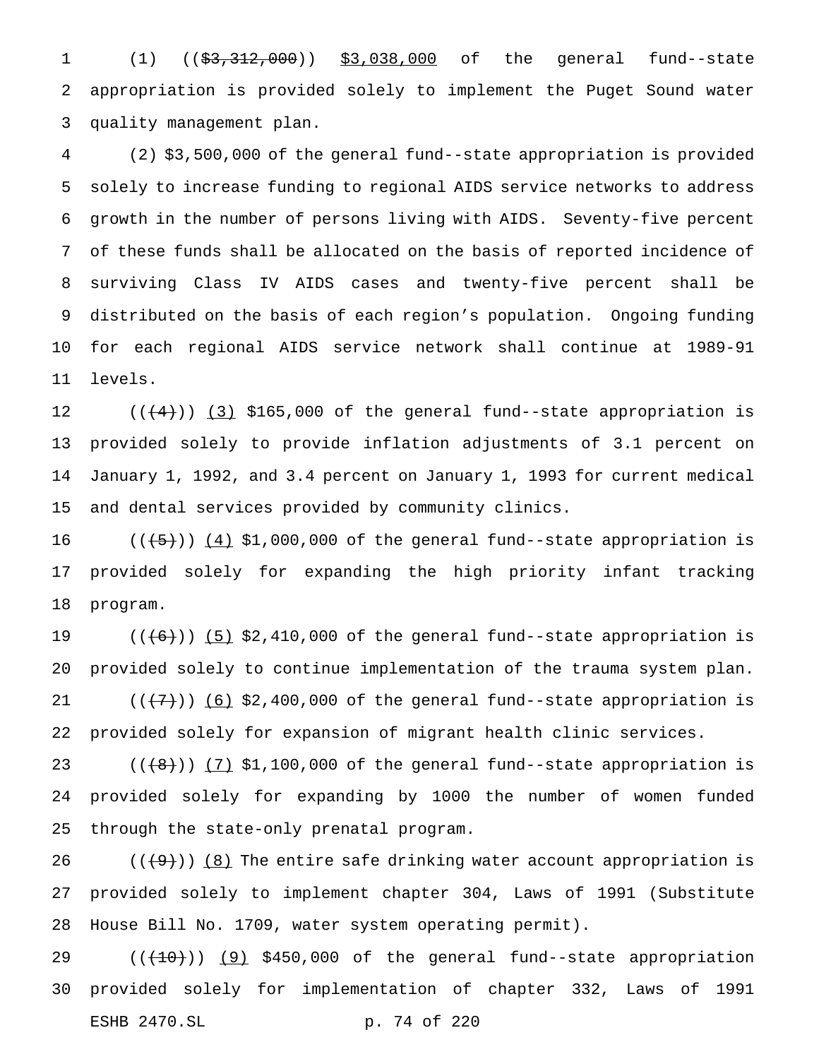1 (1) ((\$3,312,000)) \$3,038,000 of the general fund--state appropriation is provided solely to implement the Puget Sound water quality management plan.

 (2) \$3,500,000 of the general fund--state appropriation is provided solely to increase funding to regional AIDS service networks to address growth in the number of persons living with AIDS. Seventy-five percent of these funds shall be allocated on the basis of reported incidence of surviving Class IV AIDS cases and twenty-five percent shall be distributed on the basis of each region's population. Ongoing funding for each regional AIDS service network shall continue at 1989-91 levels.

 $((+4))$   $(3)$  \$165,000 of the general fund--state appropriation is provided solely to provide inflation adjustments of 3.1 percent on January 1, 1992, and 3.4 percent on January 1, 1993 for current medical and dental services provided by community clinics.

 $((+5))$   $(4)$  \$1,000,000 of the general fund--state appropriation is provided solely for expanding the high priority infant tracking program.

 $((+6))$   $(5)$  \$2,410,000 of the general fund--state appropriation is provided solely to continue implementation of the trauma system plan.  $((+7))$   $(6)$  \$2,400,000 of the general fund--state appropriation is provided solely for expansion of migrant health clinic services.

 $((+8))$   $(7)$  \$1,100,000 of the general fund--state appropriation is provided solely for expanding by 1000 the number of women funded through the state-only prenatal program.

 $((+9))$  (8) The entire safe drinking water account appropriation is provided solely to implement chapter 304, Laws of 1991 (Substitute House Bill No. 1709, water system operating permit).

 ( $(\overline{+10})$ )  $(9)$  \$450,000 of the general fund--state appropriation provided solely for implementation of chapter 332, Laws of 1991 ESHB 2470.SL p. 74 of 220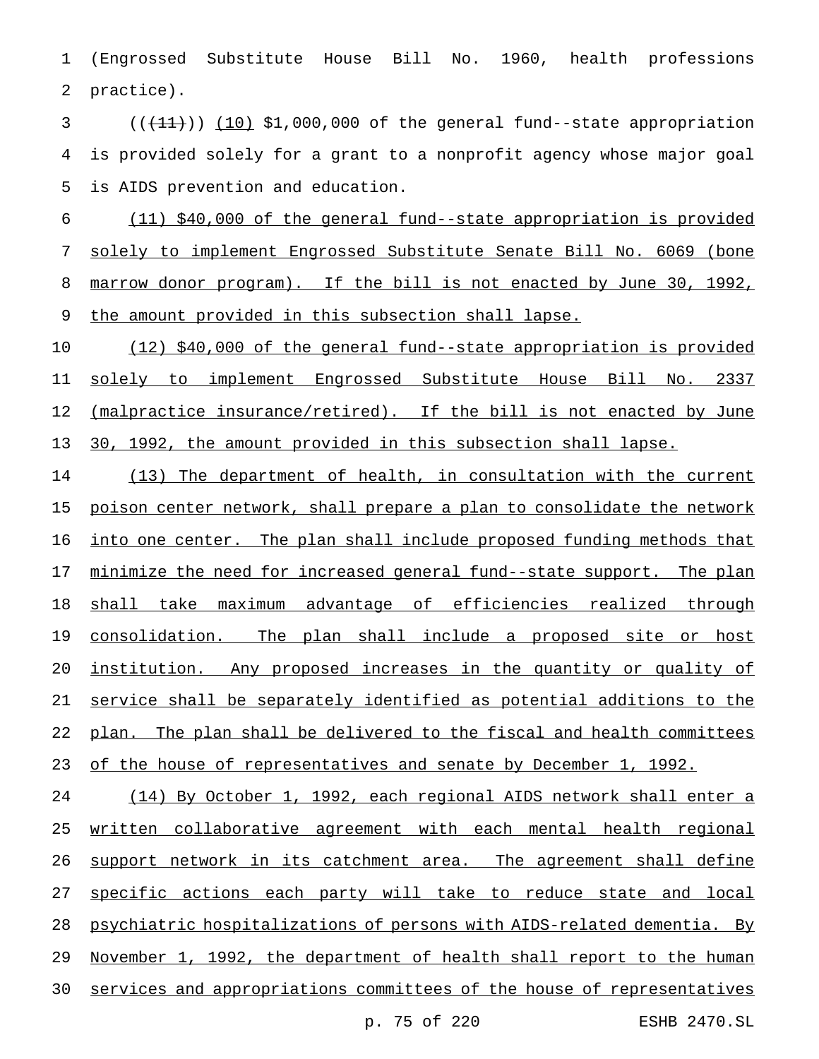(Engrossed Substitute House Bill No. 1960, health professions practice).

 $(1)$   $(1)$   $(10)$  \$1,000,000 of the general fund--state appropriation is provided solely for a grant to a nonprofit agency whose major goal is AIDS prevention and education.

 (11) \$40,000 of the general fund--state appropriation is provided solely to implement Engrossed Substitute Senate Bill No. 6069 (bone marrow donor program). If the bill is not enacted by June 30, 1992, the amount provided in this subsection shall lapse.

 (12) \$40,000 of the general fund--state appropriation is provided solely to implement Engrossed Substitute House Bill No. 2337 12 (malpractice insurance/retired). If the bill is not enacted by June 30, 1992, the amount provided in this subsection shall lapse.

 (13) The department of health, in consultation with the current poison center network, shall prepare a plan to consolidate the network into one center. The plan shall include proposed funding methods that 17 minimize the need for increased general fund--state support. The plan shall take maximum advantage of efficiencies realized through consolidation. The plan shall include a proposed site or host institution. Any proposed increases in the quantity or quality of service shall be separately identified as potential additions to the plan. The plan shall be delivered to the fiscal and health committees 23 of the house of representatives and senate by December 1, 1992.

 (14) By October 1, 1992, each regional AIDS network shall enter a written collaborative agreement with each mental health regional 26 support network in its catchment area. The agreement shall define specific actions each party will take to reduce state and local psychiatric hospitalizations of persons with AIDS-related dementia. By November 1, 1992, the department of health shall report to the human services and appropriations committees of the house of representatives

p. 75 of 220 ESHB 2470.SL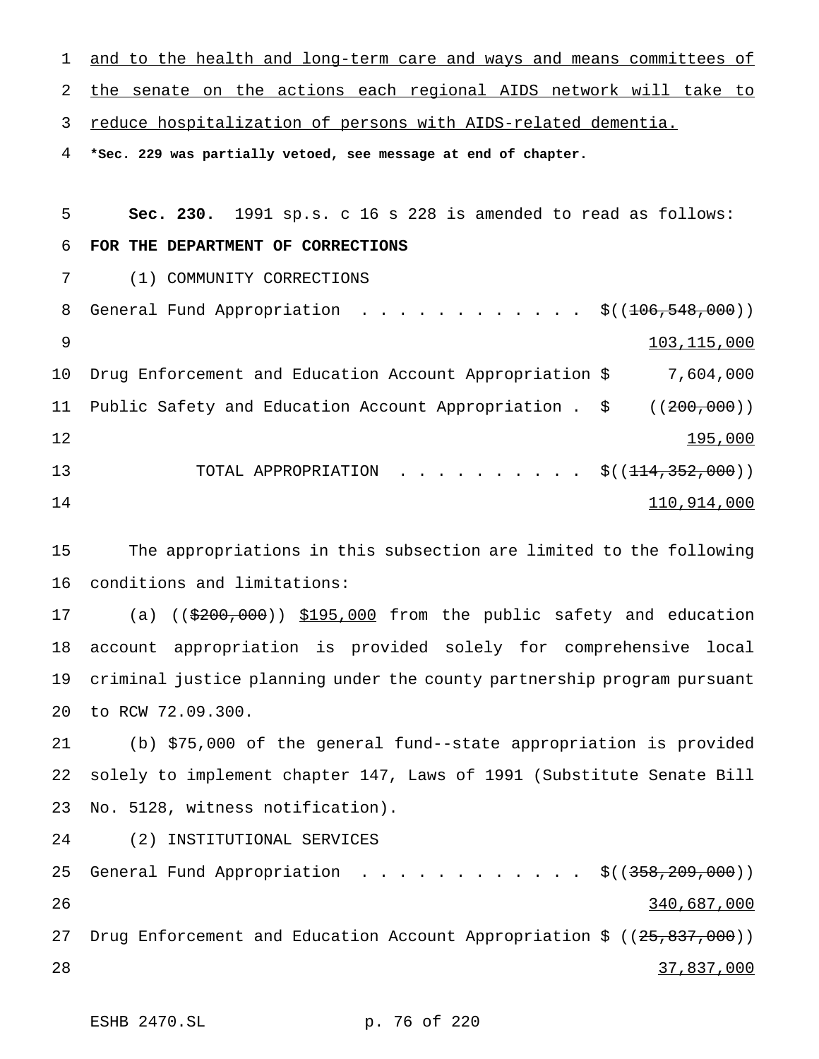1 and to the health and long-term care and ways and means committees of the senate on the actions each regional AIDS network will take to reduce hospitalization of persons with AIDS-related dementia. **\*Sec. 229 was partially vetoed, see message at end of chapter. Sec. 230.** 1991 sp.s. c 16 s 228 is amended to read as follows: **FOR THE DEPARTMENT OF CORRECTIONS** (1) COMMUNITY CORRECTIONS 8 General Fund Appropriation . . . . . . . . . . . \$((<del>106,548,000</del>)) 103,115,000 Drug Enforcement and Education Account Appropriation \$ 7,604,000 Public Safety and Education Account Appropriation . \$ ((200,000)) 195,000 TOTAL APPROPRIATION .......... \$((114,352,000)) 110,914,000 The appropriations in this subsection are limited to the following

conditions and limitations:

17 (a) ((\$200,000)) \$195,000 from the public safety and education account appropriation is provided solely for comprehensive local criminal justice planning under the county partnership program pursuant to RCW 72.09.300.

 (b) \$75,000 of the general fund--state appropriation is provided solely to implement chapter 147, Laws of 1991 (Substitute Senate Bill No. 5128, witness notification).

(2) INSTITUTIONAL SERVICES

25 General Fund Appropriation . . . . . . . . . . . \$((358,209,000)) 26 340,687,000 27 Drug Enforcement and Education Account Appropriation \$ ((25,837,000)) 28 37,837,000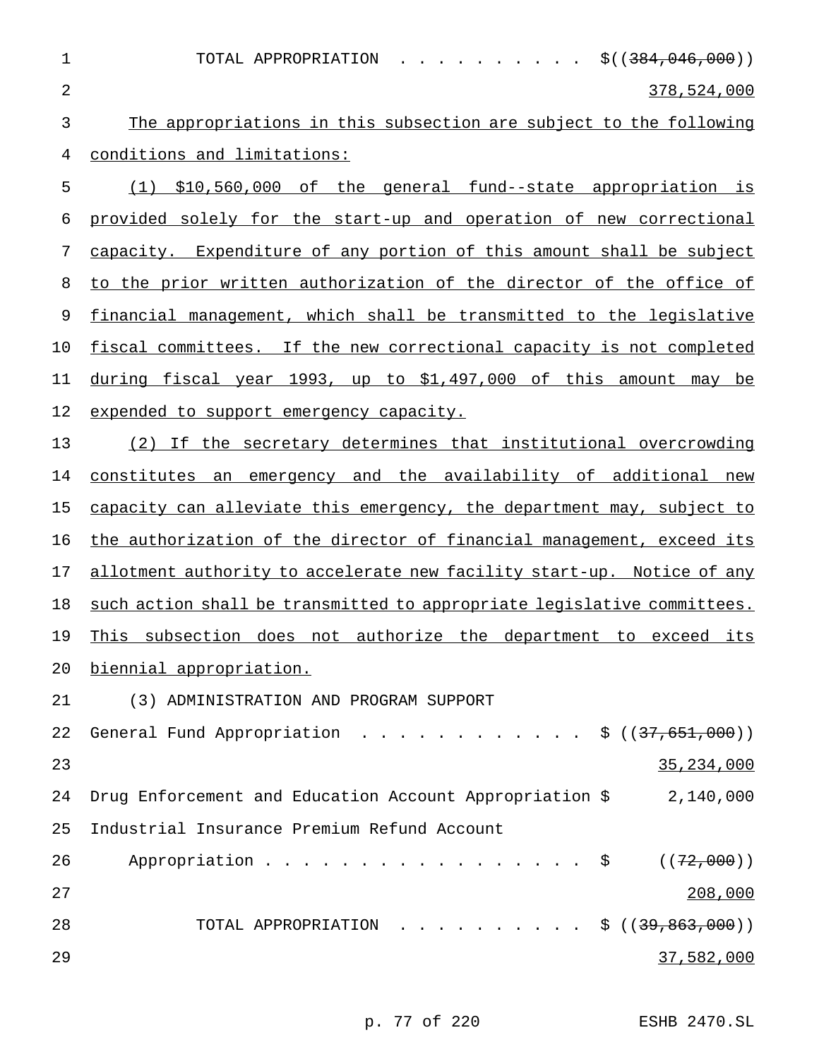| 1              | TOTAL APPROPRIATION<br>\$((384,046,000))<br>$\mathbf{r}$ , and $\mathbf{r}$ , and $\mathbf{r}$ , and $\mathbf{r}$ , and $\mathbf{r}$ |
|----------------|--------------------------------------------------------------------------------------------------------------------------------------|
| $\overline{2}$ | 378,524,000                                                                                                                          |
| 3              | The appropriations in this subsection are subject to the following                                                                   |
| 4              | conditions and limitations:                                                                                                          |
| 5              | (1) \$10,560,000 of the general fund--state appropriation is                                                                         |
| 6              | provided solely for the start-up and operation of new correctional                                                                   |
| 7              | capacity. Expenditure of any portion of this amount shall be subject                                                                 |
| 8              | to the prior written authorization of the director of the office of                                                                  |
| 9              | financial management, which shall be transmitted to the legislative                                                                  |
| 10             | fiscal committees. If the new correctional capacity is not completed                                                                 |
| 11             | during fiscal year 1993, up to \$1,497,000 of this amount<br>may be                                                                  |
| 12             | expended to support emergency capacity.                                                                                              |
| 13             | (2) If the secretary determines that institutional overcrowding                                                                      |
| 14             | constitutes an emergency and the availability of additional new                                                                      |
| 15             | capacity can alleviate this emergency, the department may, subject to                                                                |
| 16             | the authorization of the director of financial management, exceed its                                                                |
| 17             | allotment authority to accelerate new facility start-up. Notice of any                                                               |
| 18             | such action shall be transmitted to appropriate legislative committees.                                                              |
| 19             | subsection does not authorize the department to exceed its<br>This                                                                   |
| 20             | biennial appropriation.                                                                                                              |
| 21             | (3) ADMINISTRATION AND PROGRAM SUPPORT                                                                                               |
| 22             | General Fund Appropriation \$ $((37,651,000))$                                                                                       |
| 23             | 35, 234, 000                                                                                                                         |
| 24             | Drug Enforcement and Education Account Appropriation \$ 2,140,000                                                                    |
| 25             | Industrial Insurance Premium Refund Account                                                                                          |
| 26             | Appropriation $\frac{1}{2}$<br>((72,000))                                                                                            |
| 27             | 208,000                                                                                                                              |
| 28             | TOTAL APPROPRIATION \$ $(39,863,000)$                                                                                                |
| 29             | 37,582,000                                                                                                                           |

p. 77 of 220 ESHB 2470.SL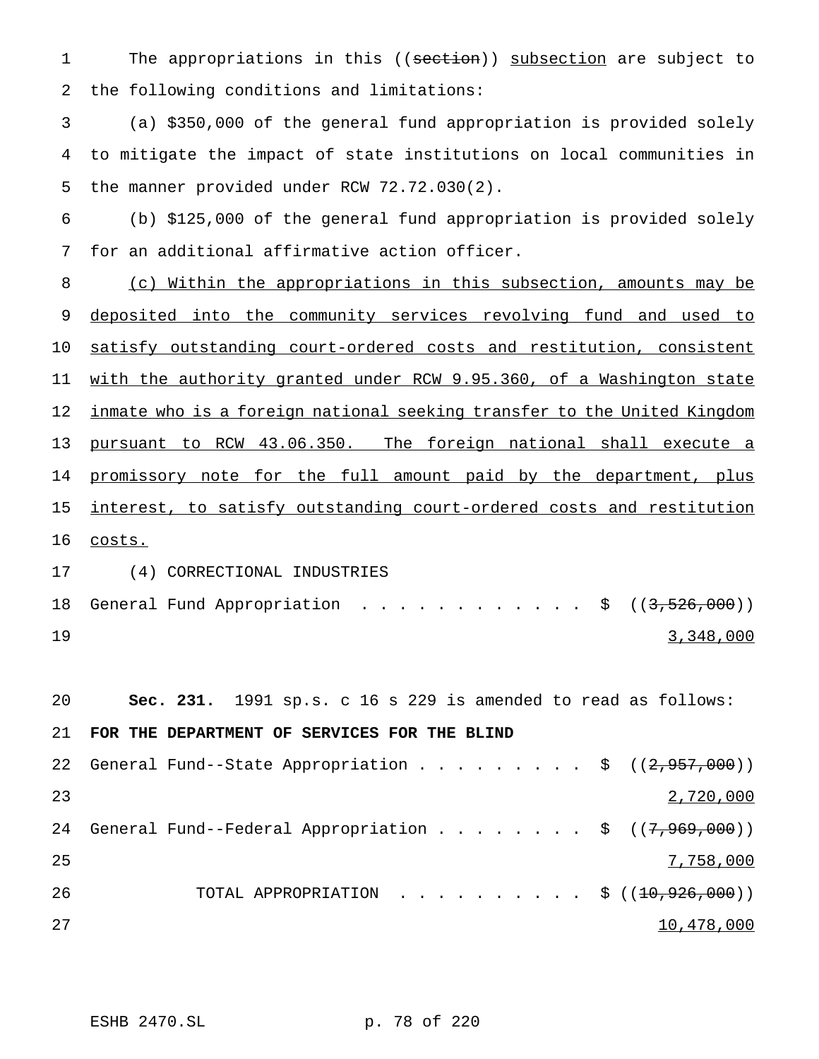1 The appropriations in this ((section)) subsection are subject to the following conditions and limitations:

 (a) \$350,000 of the general fund appropriation is provided solely to mitigate the impact of state institutions on local communities in the manner provided under RCW 72.72.030(2).

 (b) \$125,000 of the general fund appropriation is provided solely for an additional affirmative action officer.

 (c) Within the appropriations in this subsection, amounts may be 9 deposited into the community services revolving fund and used to satisfy outstanding court-ordered costs and restitution, consistent with the authority granted under RCW 9.95.360, of a Washington state inmate who is a foreign national seeking transfer to the United Kingdom pursuant to RCW 43.06.350. The foreign national shall execute a 14 promissory note for the full amount paid by the department, plus interest, to satisfy outstanding court-ordered costs and restitution costs.

 (4) CORRECTIONAL INDUSTRIES 18 General Fund Appropriation . . . . . . . . . . . \$ ((3,526,000)) 3,348,000

 **Sec. 231.** 1991 sp.s. c 16 s 229 is amended to read as follows: **FOR THE DEPARTMENT OF SERVICES FOR THE BLIND** 22 General Fund--State Appropriation . . . . . . . . \$ ((2,957,000)) 2,720,000 24 General Fund--Federal Appropriation . . . . . . . \$ ((7,969,000)) 7,758,000 26 TOTAL APPROPRIATION . . . . . . . . . \$ ((<del>10,926,000</del>)) and  $27$  and  $27$  and  $27$  and  $20,478,000$ 

ESHB 2470.SL p. 78 of 220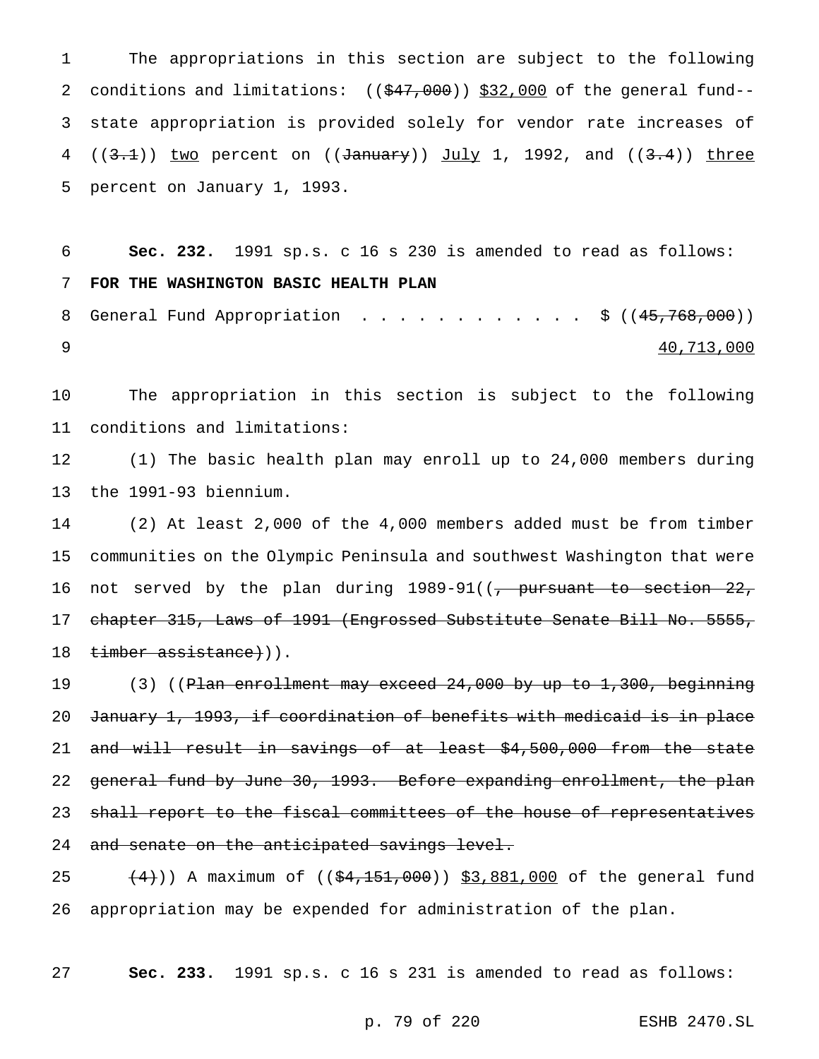The appropriations in this section are subject to the following 2 conditions and limitations: ((\$47,000)) \$32,000 of the general fund-- state appropriation is provided solely for vendor rate increases of  $((3.1))$  two percent on  $((\text{January}))$  July 1, 1992, and  $((3.4))$  three percent on January 1, 1993.

6 **Sec. 232.** 1991 sp.s. c 16 s 230 is amended to read as follows: 7 **FOR THE WASHINGTON BASIC HEALTH PLAN** 8 General Fund Appropriation . . . . . . . . . . . \$ ((45,768,000))

9 40,713,000

10 The appropriation in this section is subject to the following 11 conditions and limitations:

12 (1) The basic health plan may enroll up to 24,000 members during 13 the 1991-93 biennium.

14 (2) At least 2,000 of the 4,000 members added must be from timber 15 communities on the Olympic Peninsula and southwest Washington that were 16 not served by the plan during 1989-91((, pursuant to section 22, 17 chapter 315, Laws of 1991 (Engrossed Substitute Senate Bill No. 5555, 18 timber assistance})).

19 (3) ((<del>Plan enrollment may exceed 24,000 by up to 1,300, beginning</del> 20 January 1, 1993, if coordination of benefits with medicaid is in place 21 and will result in savings of at least \$4,500,000 from the state 22 general fund by June 30, 1993. Before expanding enrollment, the plan 23 shall report to the fiscal committees of the house of representatives 24 and senate on the anticipated savings level.

25  $(4)$ )) A maximum of  $(($4,151,000) ) $3,881,000$  of the general fund 26 appropriation may be expended for administration of the plan.

27 **Sec. 233.** 1991 sp.s. c 16 s 231 is amended to read as follows:

p. 79 of 220 ESHB 2470.SL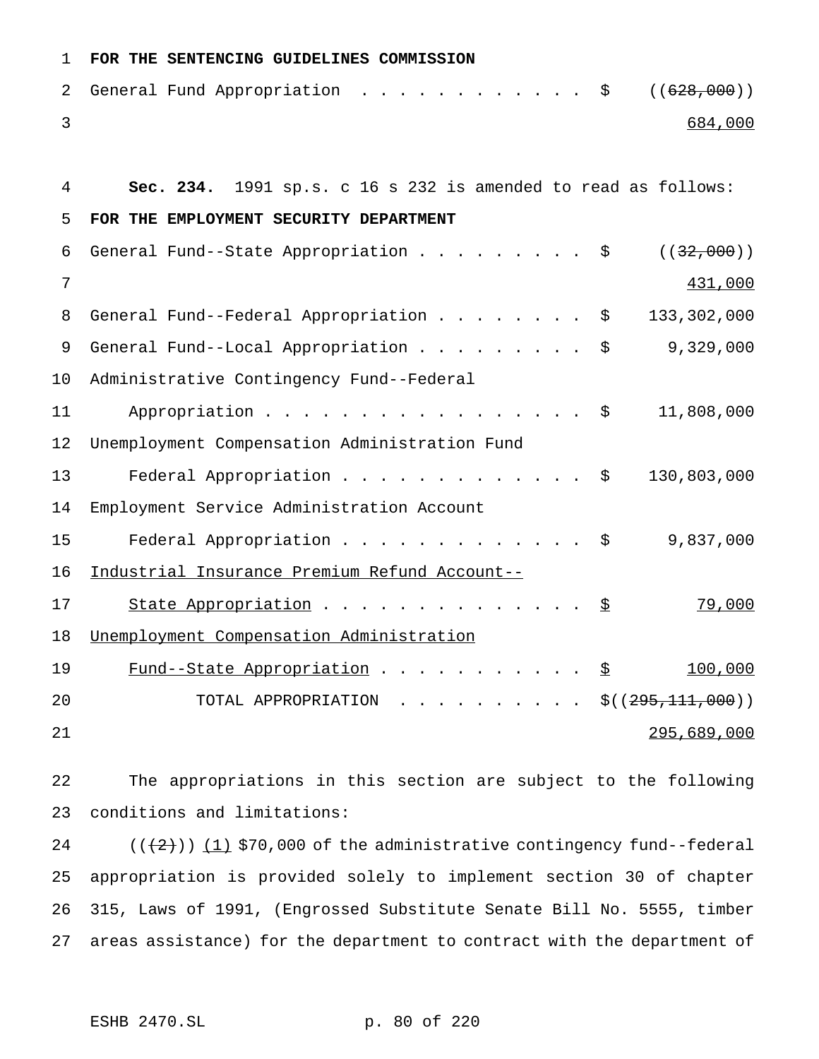| 1  | FOR THE SENTENCING GUIDELINES COMMISSION                                 |
|----|--------------------------------------------------------------------------|
| 2  | General Fund Appropriation<br>((628,000))<br>Ş.                          |
| 3  | 684,000                                                                  |
|    |                                                                          |
| 4  | Sec. 234. 1991 sp.s. c 16 s 232 is amended to read as follows:           |
| 5  | FOR THE EMPLOYMENT SECURITY DEPARTMENT                                   |
| 6  | General Fund--State Appropriation<br>( (32,000))<br>$\ddot{\varepsilon}$ |
| 7  | 431,000                                                                  |
| 8  | 133,302,000<br>General Fund--Federal Appropriation<br>\$                 |
| 9  | 9,329,000<br>General Fund--Local Appropriation<br>\$                     |
| 10 | Administrative Contingency Fund--Federal                                 |
| 11 | Appropriation<br>11,808,000<br>Ş.                                        |
| 12 | Unemployment Compensation Administration Fund                            |
| 13 | Federal Appropriation \$<br>130,803,000                                  |
| 14 | Employment Service Administration Account                                |
| 15 | Federal Appropriation<br>9,837,000<br>\$                                 |
| 16 | Industrial Insurance Premium Refund Account--                            |
| 17 | 79,000<br>State Appropriation<br>\$                                      |
| 18 | Unemployment Compensation Administration                                 |
| 19 | Fund--State Appropriation<br>100,000<br>호                                |
| 20 | TOTAL APPROPRIATION<br>\$((295,111,000))                                 |
| 21 | 295,689,000                                                              |

 The appropriations in this section are subject to the following conditions and limitations:

 $((+2))$   $(1)$  \$70,000 of the administrative contingency fund--federal appropriation is provided solely to implement section 30 of chapter 315, Laws of 1991, (Engrossed Substitute Senate Bill No. 5555, timber areas assistance) for the department to contract with the department of

ESHB 2470.SL p. 80 of 220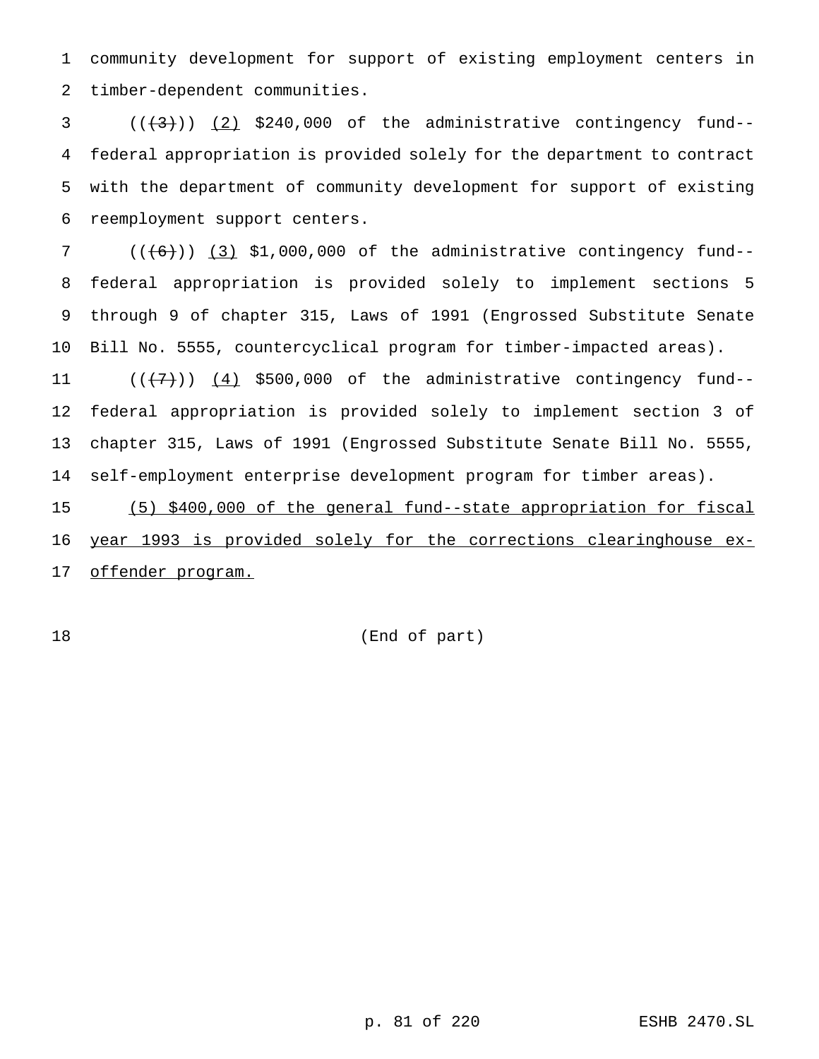community development for support of existing employment centers in timber-dependent communities.

  $((+3))$   $(2)$  \$240,000 of the administrative contingency fund-- federal appropriation is provided solely for the department to contract with the department of community development for support of existing reemployment support centers.

 ( $(\overline{6})$ ) (3) \$1,000,000 of the administrative contingency fund-- federal appropriation is provided solely to implement sections 5 through 9 of chapter 315, Laws of 1991 (Engrossed Substitute Senate Bill No. 5555, countercyclical program for timber-impacted areas).

 $((+7))$   $(4)$  \$500,000 of the administrative contingency fund-- federal appropriation is provided solely to implement section 3 of chapter 315, Laws of 1991 (Engrossed Substitute Senate Bill No. 5555, self-employment enterprise development program for timber areas).

 (5) \$400,000 of the general fund--state appropriation for fiscal year 1993 is provided solely for the corrections clearinghouse ex-17 offender program.

(End of part)

p. 81 of 220 ESHB 2470.SL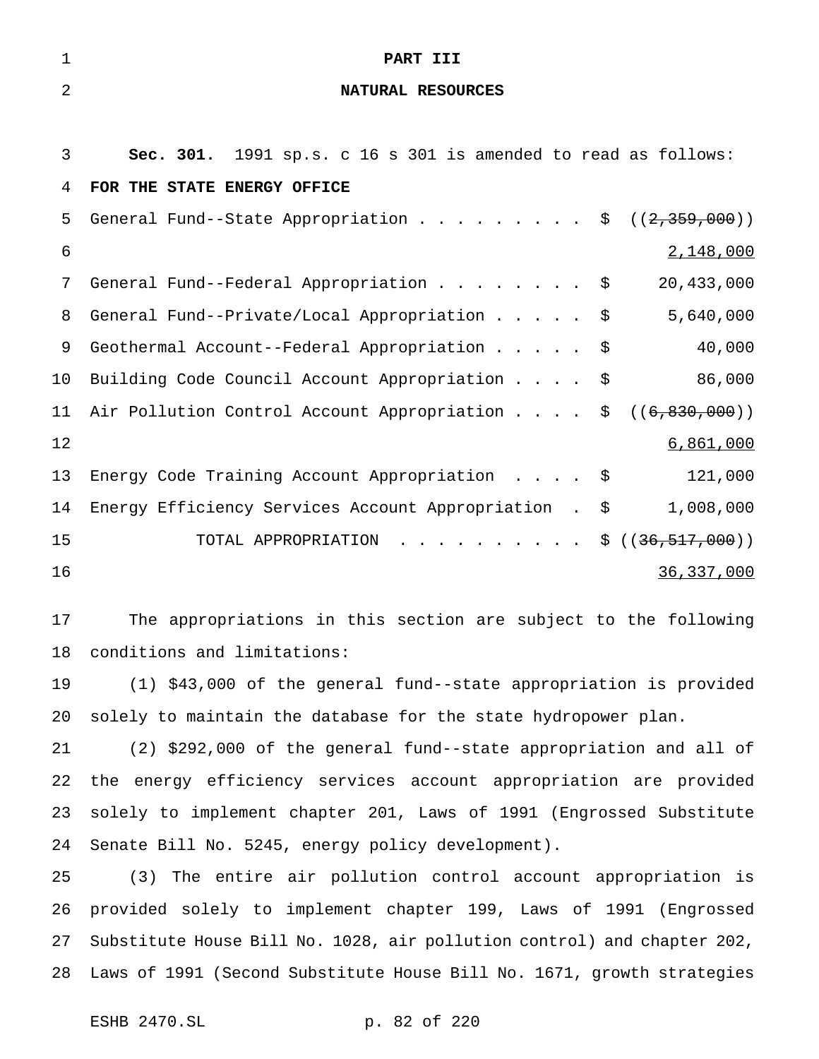| $\mathbf 1$    | PART III                                                             |
|----------------|----------------------------------------------------------------------|
| $\overline{2}$ | NATURAL RESOURCES                                                    |
|                |                                                                      |
| 3              | Sec. 301. 1991 sp.s. c 16 s 301 is amended to read as follows:       |
| 4              | FOR THE STATE ENERGY OFFICE                                          |
| 5              | General Fund--State Appropriation \$ $((2,359,000))$                 |
| 6              | 2,148,000                                                            |
| 7              | General Fund--Federal Appropriation<br>20,433,000<br>Ş.              |
| 8              | 5,640,000<br>General Fund--Private/Local Appropriation<br>\$         |
| 9              | Geothermal Account--Federal Appropriation<br>40,000<br>\$            |
| 10             | 86,000<br>Building Code Council Account Appropriation<br>\$          |
| 11             | Air Pollution Control Account Appropriation<br>((6, 830, 000))<br>\$ |
| 12             | 6,861,000                                                            |
| 13             | Energy Code Training Account Appropriation<br>121,000<br>\$          |
| 14             | Energy Efficiency Services Account Appropriation.<br>1,008,000<br>\$ |
| 15             | TOTAL APPROPRIATION<br>\$((36, 517, 000))                            |
| 16             | 36, 337, 000                                                         |
| 17             | The appropriations in this section are subject to the following      |
|                |                                                                      |
| 18             | conditions and limitations:                                          |
| 19             | (1) \$43,000 of the general fund--state appropriation is provided    |
| 20             | solely to maintain the database for the state hydropower plan.       |

 (2) \$292,000 of the general fund--state appropriation and all of the energy efficiency services account appropriation are provided solely to implement chapter 201, Laws of 1991 (Engrossed Substitute Senate Bill No. 5245, energy policy development).

 (3) The entire air pollution control account appropriation is provided solely to implement chapter 199, Laws of 1991 (Engrossed Substitute House Bill No. 1028, air pollution control) and chapter 202, Laws of 1991 (Second Substitute House Bill No. 1671, growth strategies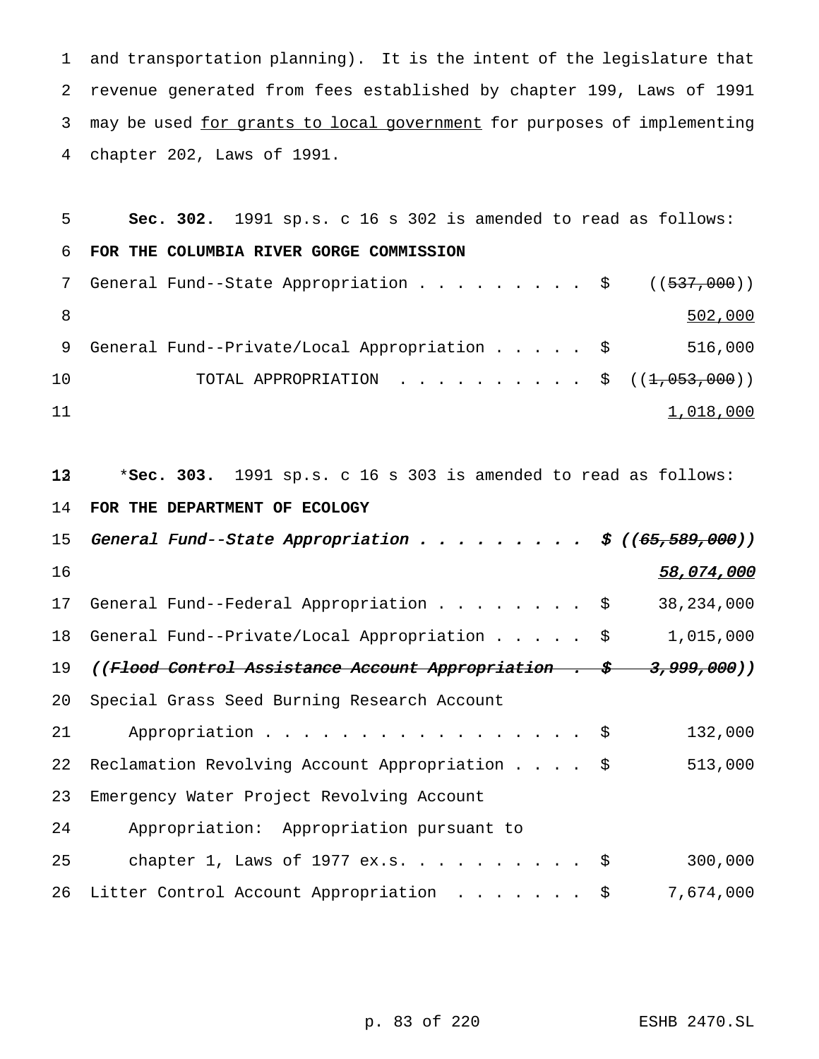and transportation planning). It is the intent of the legislature that revenue generated from fees established by chapter 199, Laws of 1991 3 may be used for grants to local government for purposes of implementing chapter 202, Laws of 1991.

| 5  | Sec. 302. 1991 sp.s. c 16 s 302 is amended to read as follows:    |
|----|-------------------------------------------------------------------|
| 6  | FOR THE COLUMBIA RIVER GORGE COMMISSION                           |
| 7  | General Fund--State Appropriation \$<br>((537,000))               |
| 8  | 502,000                                                           |
| 9  | 516,000<br>General Fund--Private/Local Appropriation \$           |
| 10 | TOTAL APPROPRIATION<br>((1, 053, 000))<br>\$                      |
| 11 | 1,018,000                                                         |
|    |                                                                   |
| 13 | *Sec. 303. 1991 sp.s. c 16 s 303 is amended to read as follows:   |
| 14 | FOR THE DEPARTMENT OF ECOLOGY                                     |
| 15 |                                                                   |
|    |                                                                   |
| 16 | 58,074,000                                                        |
| 17 | General Fund--Federal Appropriation \$<br>38, 234, 000            |
| 18 | General Fund--Private/Local Appropriation \$<br>1,015,000         |
| 19 | ((Flood Control Assistance Account Appropriation . \$ 3,999,000)) |
| 20 | Special Grass Seed Burning Research Account                       |
| 21 | 132,000<br>Appropriation $\frac{1}{5}$                            |
| 22 | Reclamation Revolving Account Appropriation \$<br>513,000         |
| 23 | Emergency Water Project Revolving Account                         |
| 24 | Appropriation: Appropriation pursuant to                          |
| 25 | chapter 1, Laws of 1977 ex.s. \$<br>300,000                       |

p. 83 of 220 ESHB 2470.SL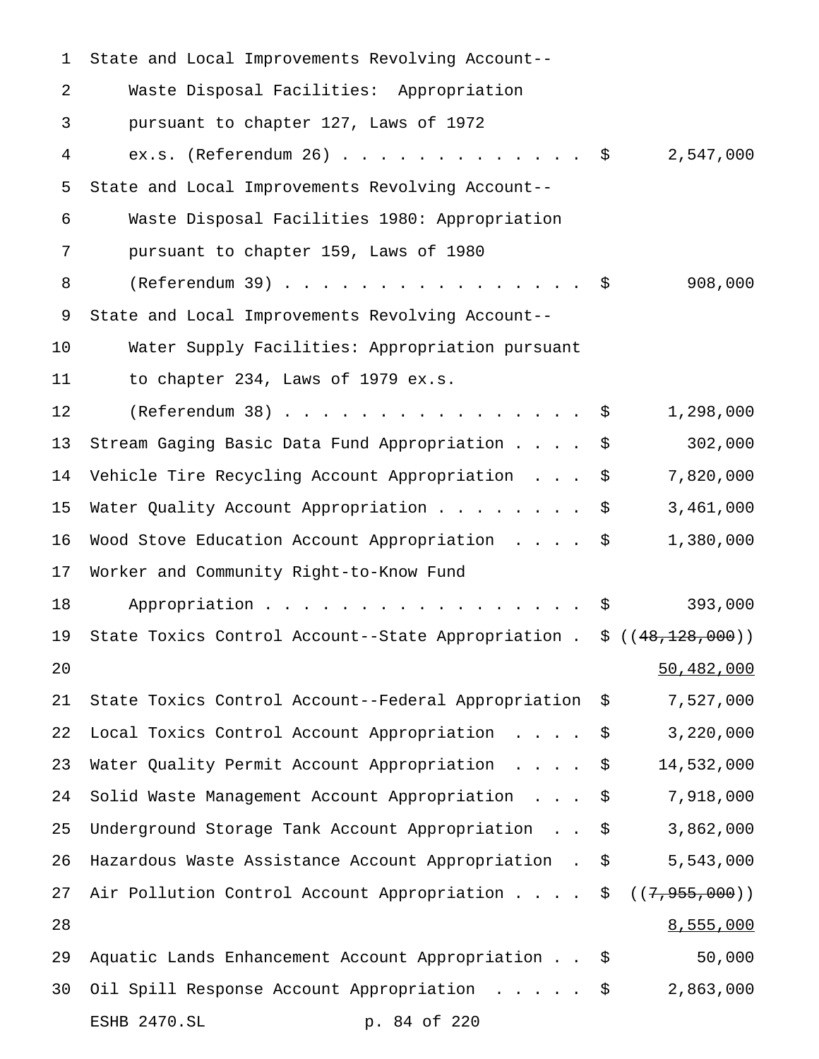| $\mathbf 1$ | State and Local Improvements Revolving Account--                                 |    |                   |
|-------------|----------------------------------------------------------------------------------|----|-------------------|
| 2           | Waste Disposal Facilities: Appropriation                                         |    |                   |
| 3           | pursuant to chapter 127, Laws of 1972                                            |    |                   |
| 4           | ex.s. (Referendum 26) \$                                                         |    | 2,547,000         |
| 5           | State and Local Improvements Revolving Account--                                 |    |                   |
| 6           | Waste Disposal Facilities 1980: Appropriation                                    |    |                   |
| 7           | pursuant to chapter 159, Laws of 1980                                            |    |                   |
| 8           |                                                                                  |    | 908,000           |
| 9           | State and Local Improvements Revolving Account--                                 |    |                   |
| 10          | Water Supply Facilities: Appropriation pursuant                                  |    |                   |
| 11          | to chapter 234, Laws of 1979 ex.s.                                               |    |                   |
| 12          | $(Referendum 38)$                                                                |    | 1,298,000         |
| 13          | Stream Gaging Basic Data Fund Appropriation                                      | -Ş | 302,000           |
| 14          | Vehicle Tire Recycling Account Appropriation                                     | \$ | 7,820,000         |
| 15          | Water Quality Account Appropriation $\frac{1}{5}$                                |    | 3,461,000         |
| 16          | Wood Stove Education Account Appropriation \$                                    |    | 1,380,000         |
| 17          | Worker and Community Right-to-Know Fund                                          |    |                   |
| 18          | Appropriation $\frac{1}{5}$                                                      |    | 393,000           |
| 19          | State Toxics Control Account--State Appropriation . $\frac{2}{3}$ ((48,128,000)) |    |                   |
| 20          |                                                                                  |    | 50,482,000        |
| 21          | State Toxics Control Account--Federal Appropriation \$                           |    | 7,527,000         |
| 22          | Local Toxics Control Account Appropriation                                       | \$ | 3,220,000         |
| 23          | Water Quality Permit Account Appropriation                                       | \$ | 14,532,000        |
| 24          | Solid Waste Management Account Appropriation                                     | \$ | 7,918,000         |
| 25          | Underground Storage Tank Account Appropriation \$                                |    | 3,862,000         |
| 26          | Hazardous Waste Assistance Account Appropriation . \$                            |    | 5,543,000         |
| 27          | Air Pollution Control Account Appropriation                                      |    | \$((7, 955, 000)) |
| 28          |                                                                                  |    | 8,555,000         |
| 29          | Aquatic Lands Enhancement Account Appropriation \$                               |    | 50,000            |
| 30          | Oil Spill Response Account Appropriation \$ 2,863,000                            |    |                   |
|             | ESHB 2470.SL<br>p. 84 of 220                                                     |    |                   |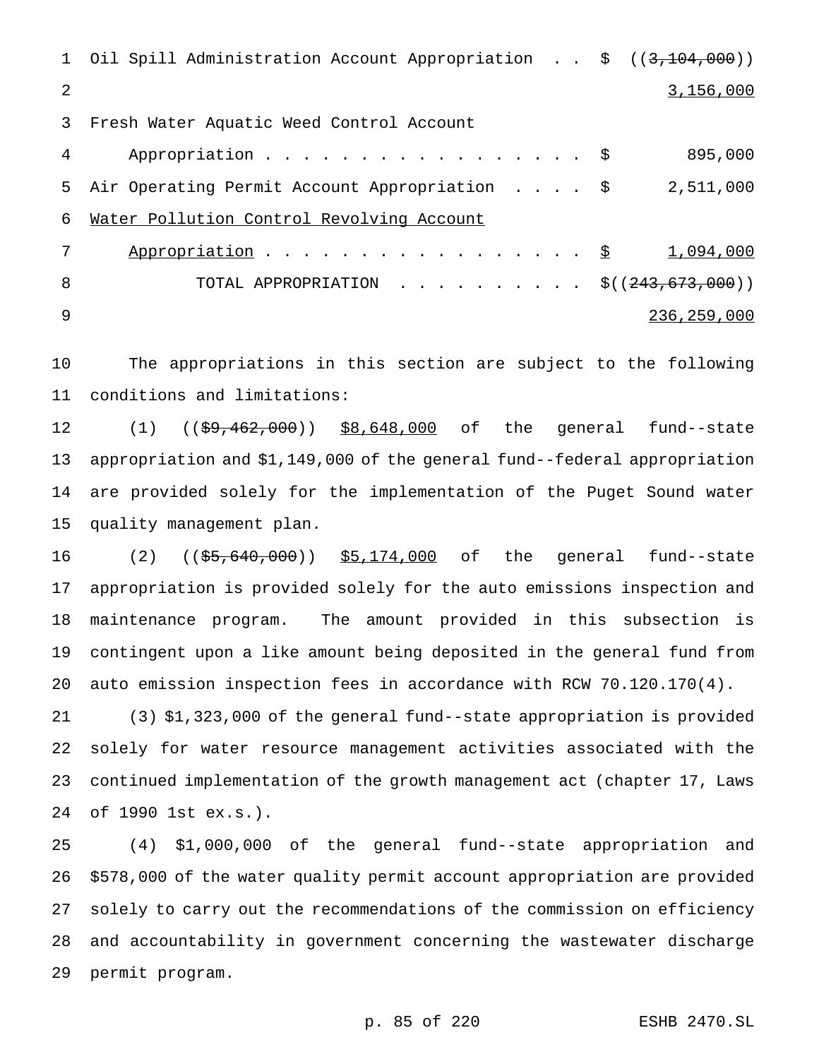|                | 1 Oil Spill Administration Account Appropriation \$ ((3,104,000)) |             |
|----------------|-------------------------------------------------------------------|-------------|
| $\mathfrak{D}$ |                                                                   | 3,156,000   |
| 3              | Fresh Water Aquatic Weed Control Account                          |             |
| 4              | Appropriation $\frac{1}{5}$                                       | 895,000     |
| 5              | Air Operating Permit Account Appropriation \$                     | 2,511,000   |
| 6              | Water Pollution Control Revolving Account                         |             |
| 7              | Appropriation $\frac{S}{S}$                                       | 1,094,000   |
| 8              | TOTAL APPROPRIATION \$( $(243, 673, 000)$ )                       |             |
| 9              |                                                                   | 236,259,000 |

 The appropriations in this section are subject to the following conditions and limitations:

12 (1) ((\$9,462,000)) \$8,648,000 of the general fund--state appropriation and \$1,149,000 of the general fund--federal appropriation are provided solely for the implementation of the Puget Sound water quality management plan.

16 (2) ((\$5,640,000)) \$5,174,000 of the general fund--state appropriation is provided solely for the auto emissions inspection and maintenance program. The amount provided in this subsection is contingent upon a like amount being deposited in the general fund from auto emission inspection fees in accordance with RCW 70.120.170(4).

 (3) \$1,323,000 of the general fund--state appropriation is provided solely for water resource management activities associated with the continued implementation of the growth management act (chapter 17, Laws of 1990 1st ex.s.).

 (4) \$1,000,000 of the general fund--state appropriation and \$578,000 of the water quality permit account appropriation are provided solely to carry out the recommendations of the commission on efficiency and accountability in government concerning the wastewater discharge permit program.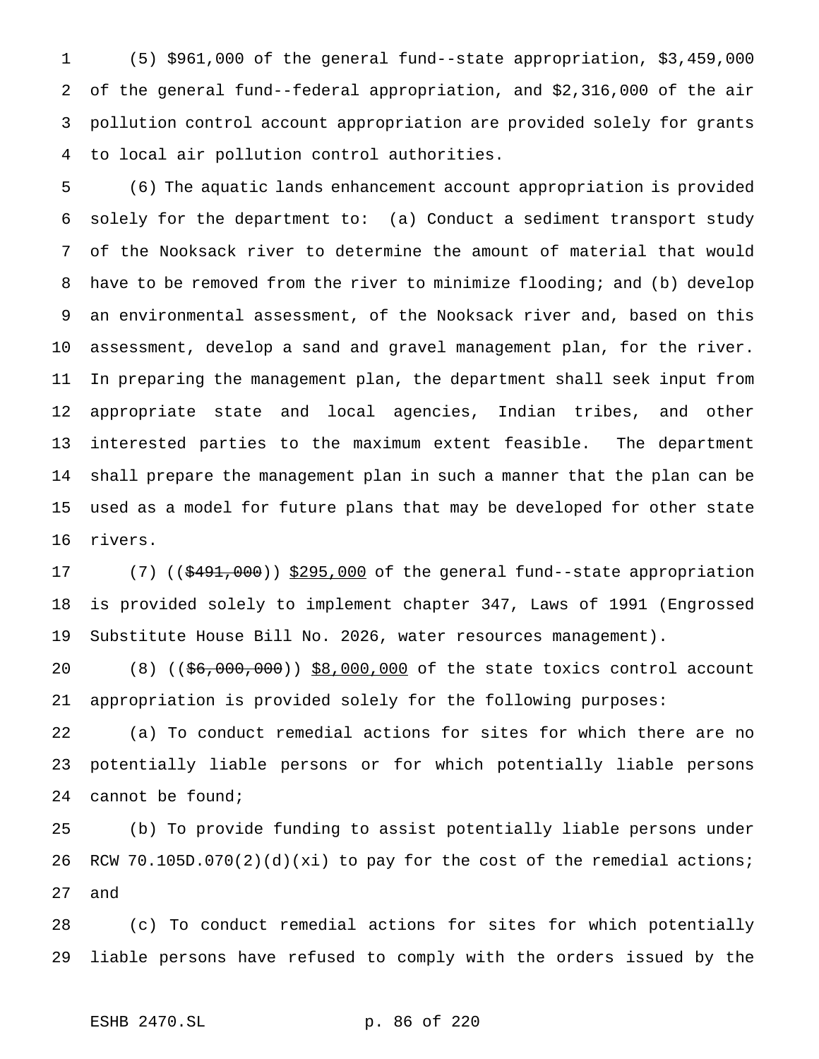(5) \$961,000 of the general fund--state appropriation, \$3,459,000 of the general fund--federal appropriation, and \$2,316,000 of the air pollution control account appropriation are provided solely for grants to local air pollution control authorities.

 (6) The aquatic lands enhancement account appropriation is provided solely for the department to: (a) Conduct a sediment transport study of the Nooksack river to determine the amount of material that would have to be removed from the river to minimize flooding; and (b) develop an environmental assessment, of the Nooksack river and, based on this assessment, develop a sand and gravel management plan, for the river. In preparing the management plan, the department shall seek input from appropriate state and local agencies, Indian tribes, and other interested parties to the maximum extent feasible. The department shall prepare the management plan in such a manner that the plan can be used as a model for future plans that may be developed for other state rivers.

17 (7) ((\$491,000)) \$295,000 of the general fund--state appropriation is provided solely to implement chapter 347, Laws of 1991 (Engrossed Substitute House Bill No. 2026, water resources management).

20 (8) ((\$6,000,000)) \$8,000,000 of the state toxics control account appropriation is provided solely for the following purposes:

 (a) To conduct remedial actions for sites for which there are no potentially liable persons or for which potentially liable persons cannot be found;

 (b) To provide funding to assist potentially liable persons under RCW 70.105D.070(2)(d)(xi) to pay for the cost of the remedial actions; and

 (c) To conduct remedial actions for sites for which potentially liable persons have refused to comply with the orders issued by the

ESHB 2470.SL p. 86 of 220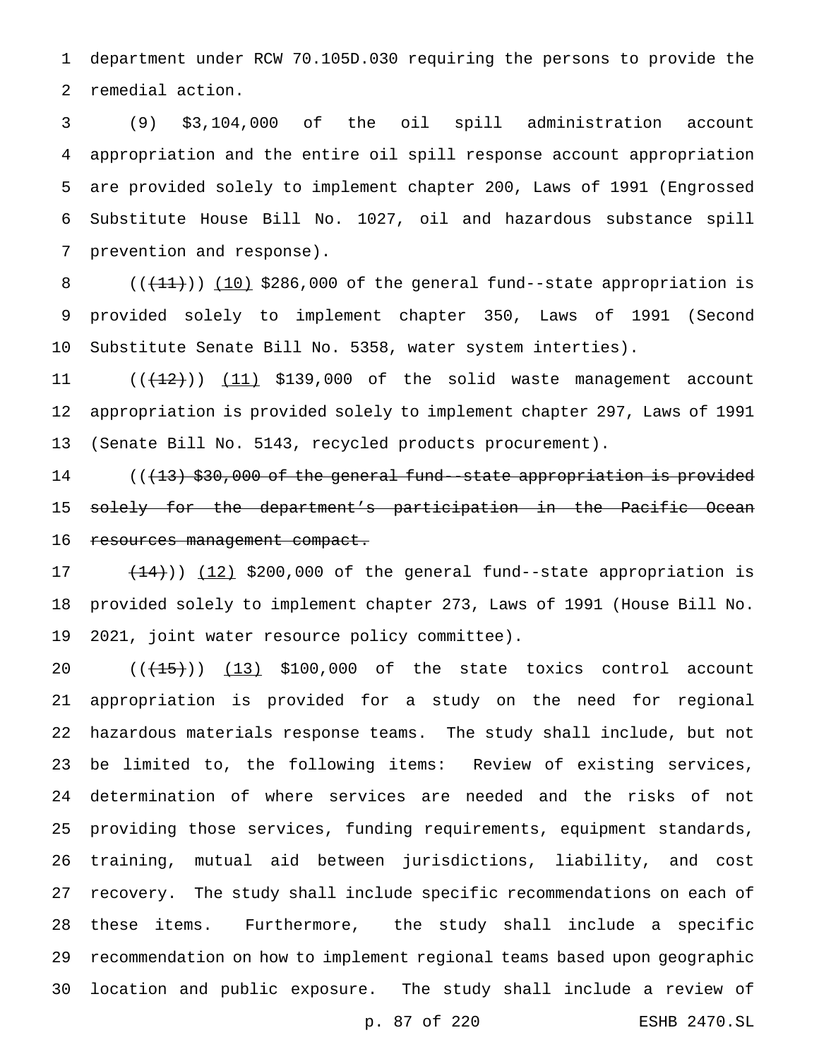department under RCW 70.105D.030 requiring the persons to provide the remedial action.

 (9) \$3,104,000 of the oil spill administration account appropriation and the entire oil spill response account appropriation are provided solely to implement chapter 200, Laws of 1991 (Engrossed Substitute House Bill No. 1027, oil and hazardous substance spill prevention and response).

8  $((+11))$   $(10)$  \$286,000 of the general fund--state appropriation is provided solely to implement chapter 350, Laws of 1991 (Second Substitute Senate Bill No. 5358, water system interties).

11  $((+12))$   $(11)$  \$139,000 of the solid waste management account appropriation is provided solely to implement chapter 297, Laws of 1991 (Senate Bill No. 5143, recycled products procurement).

14 ((<del>(13) \$30,000 of the general fund-state appropriation is provided</del> solely for the department's participation in the Pacific Ocean 16 resources management compact.

17  $(14)$ )  $(12)$  \$200,000 of the general fund--state appropriation is provided solely to implement chapter 273, Laws of 1991 (House Bill No. 2021, joint water resource policy committee).

 $((+15))$   $(13)$  \$100,000 of the state toxics control account appropriation is provided for a study on the need for regional hazardous materials response teams. The study shall include, but not be limited to, the following items: Review of existing services, determination of where services are needed and the risks of not providing those services, funding requirements, equipment standards, training, mutual aid between jurisdictions, liability, and cost recovery. The study shall include specific recommendations on each of these items. Furthermore, the study shall include a specific recommendation on how to implement regional teams based upon geographic location and public exposure. The study shall include a review of

p. 87 of 220 ESHB 2470.SL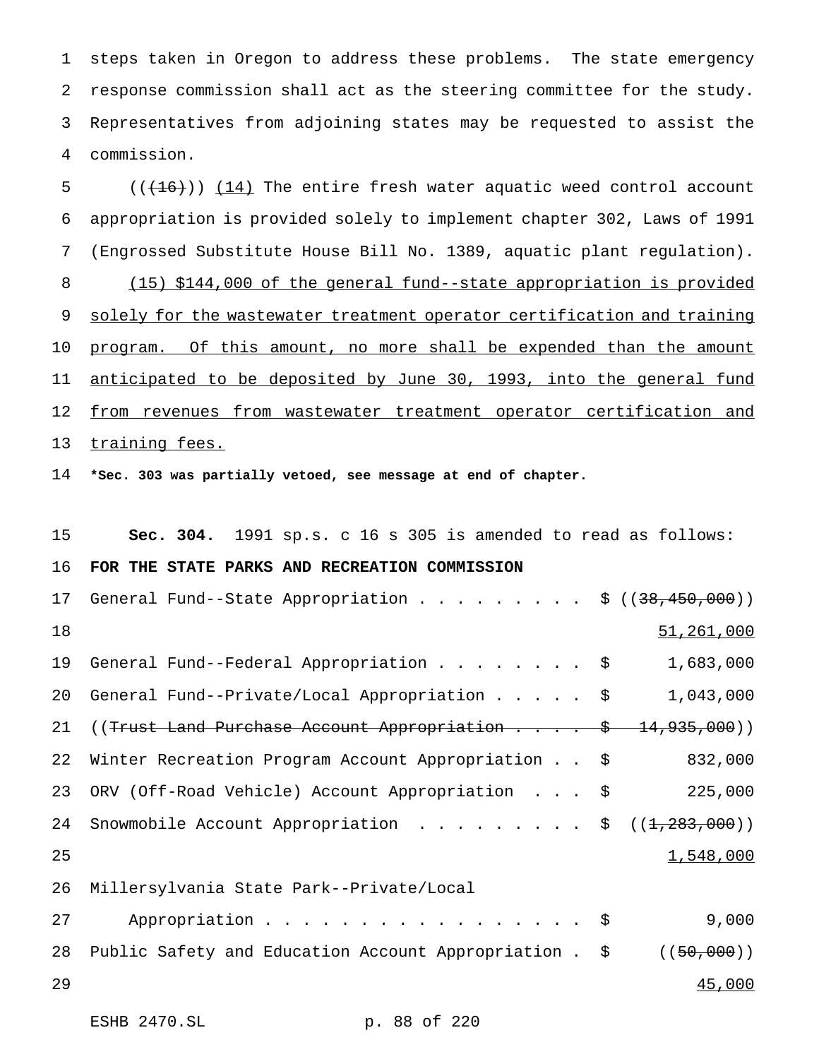steps taken in Oregon to address these problems. The state emergency response commission shall act as the steering committee for the study. Representatives from adjoining states may be requested to assist the commission.

5  $((+16))$   $(14)$  The entire fresh water aquatic weed control account appropriation is provided solely to implement chapter 302, Laws of 1991 (Engrossed Substitute House Bill No. 1389, aquatic plant regulation). (15) \$144,000 of the general fund--state appropriation is provided 9 solely for the wastewater treatment operator certification and training 10 program. Of this amount, no more shall be expended than the amount 11 anticipated to be deposited by June 30, 1993, into the general fund 12 from revenues from wastewater treatment operator certification and 13 training fees.

**\*Sec. 303 was partially vetoed, see message at end of chapter.**

ESHB 2470.SL p. 88 of 220

| 15 | <b>Sec. 304.</b> 1991 sp.s. c 16 s 305 is amended to read as follows: |                 |
|----|-----------------------------------------------------------------------|-----------------|
| 16 | FOR THE STATE PARKS AND RECREATION COMMISSION                         |                 |
| 17 | General Fund--State Appropriation \$ $((38,450,000))$                 |                 |
| 18 |                                                                       | 51,261,000      |
| 19 | General Fund--Federal Appropriation \$                                | 1,683,000       |
| 20 | General Fund--Private/Local Appropriation \$                          | 1,043,000       |
| 21 | ((Trust Land Purchase Account Appropriation \$ 14,935,000))           |                 |
| 22 | Winter Recreation Program Account Appropriation \$                    | 832,000         |
| 23 | ORV (Off-Road Vehicle) Account Appropriation \$                       | 225,000         |
| 24 | Snowmobile Account Appropriation \$                                   | ((1, 283, 000)) |
| 25 |                                                                       | 1,548,000       |
| 26 | Millersylvania State Park--Private/Local                              |                 |
| 27 | Appropriation \$                                                      | 9,000           |
| 28 | Public Safety and Education Account Appropriation . \$                | ((50,000))      |
| 29 |                                                                       | 45,000          |
|    |                                                                       |                 |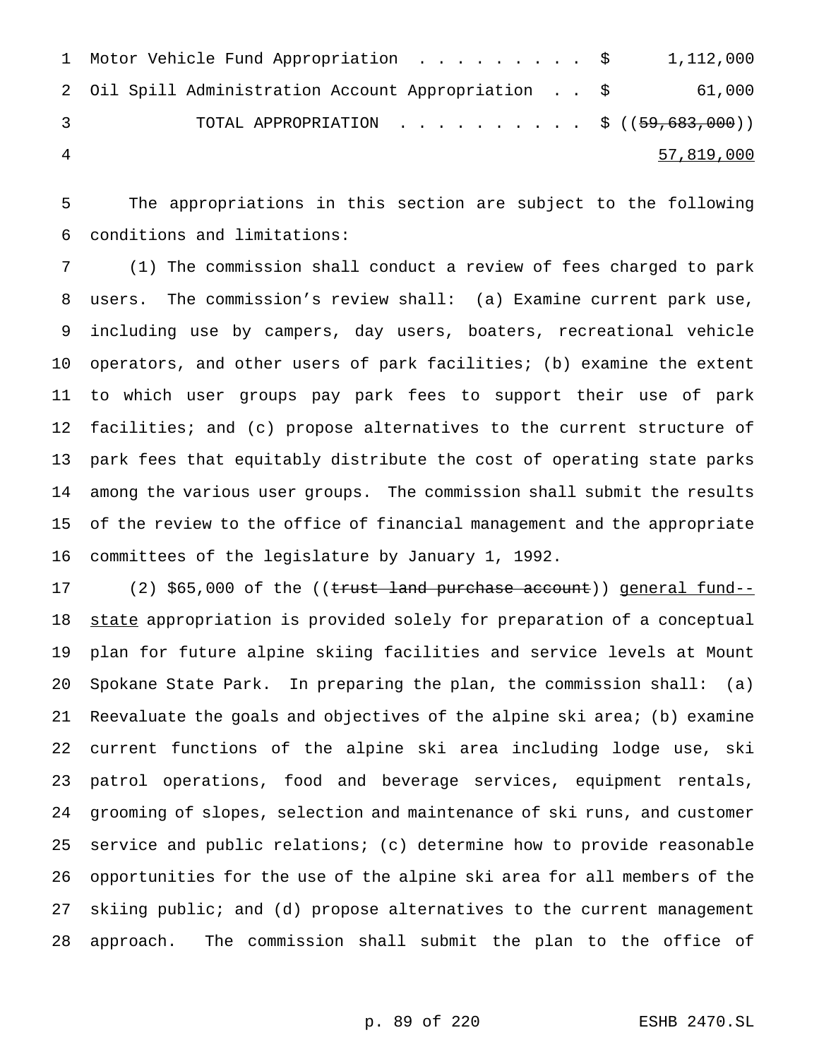| 1 Motor Vehicle Fund Appropriation \$ 1,112,000     |            |
|-----------------------------------------------------|------------|
| 2 Oil Spill Administration Account Appropriation \$ | 61,000     |
| TOTAL APPROPRIATION \$ $((59,683,000))$             |            |
|                                                     | 57,819,000 |

 The appropriations in this section are subject to the following conditions and limitations:

 (1) The commission shall conduct a review of fees charged to park users. The commission's review shall: (a) Examine current park use, including use by campers, day users, boaters, recreational vehicle operators, and other users of park facilities; (b) examine the extent to which user groups pay park fees to support their use of park facilities; and (c) propose alternatives to the current structure of park fees that equitably distribute the cost of operating state parks among the various user groups. The commission shall submit the results of the review to the office of financial management and the appropriate committees of the legislature by January 1, 1992.

17 (2) \$65,000 of the ((trust land purchase account)) general fund--18 state appropriation is provided solely for preparation of a conceptual plan for future alpine skiing facilities and service levels at Mount Spokane State Park. In preparing the plan, the commission shall: (a) Reevaluate the goals and objectives of the alpine ski area; (b) examine current functions of the alpine ski area including lodge use, ski patrol operations, food and beverage services, equipment rentals, grooming of slopes, selection and maintenance of ski runs, and customer service and public relations; (c) determine how to provide reasonable opportunities for the use of the alpine ski area for all members of the skiing public; and (d) propose alternatives to the current management approach. The commission shall submit the plan to the office of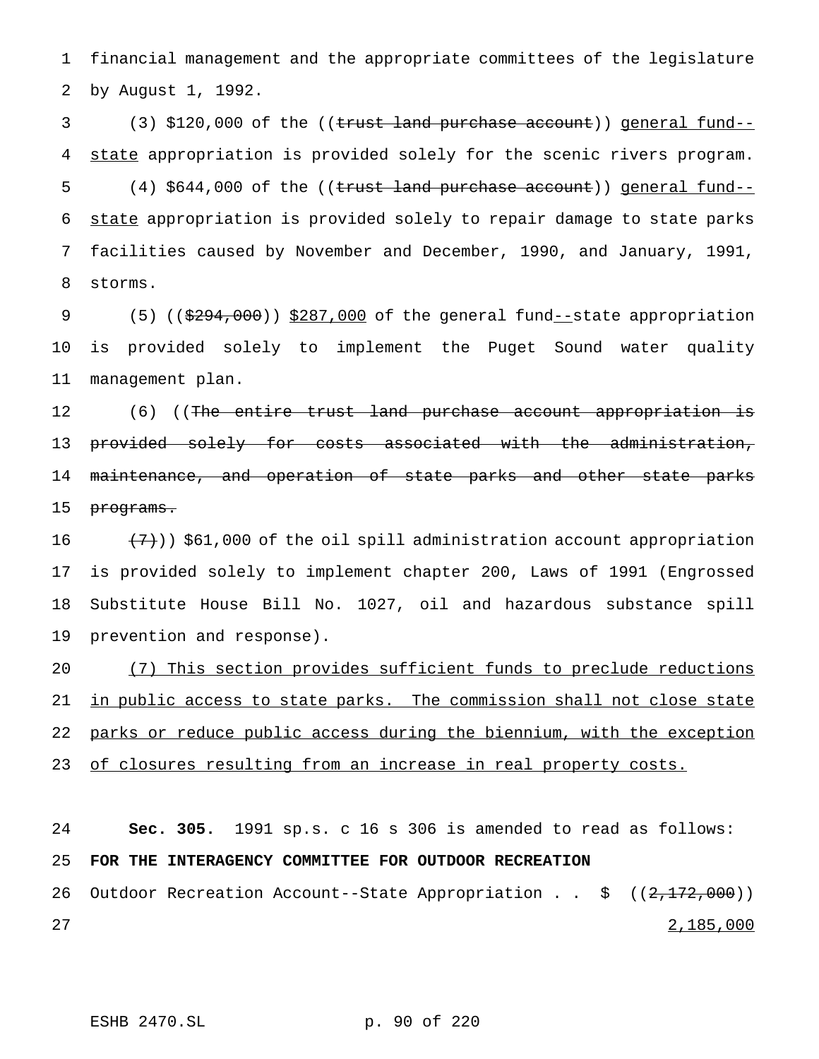1 financial management and the appropriate committees of the legislature 2 by August 1, 1992.

3 (3) \$120,000 of the ((trust land purchase account)) general fund--4 state appropriation is provided solely for the scenic rivers program. 5 (4) \$644,000 of the ((trust land purchase account)) general fund--6 state appropriation is provided solely to repair damage to state parks 7 facilities caused by November and December, 1990, and January, 1991, 8 storms.

9 (5) ((\$294,000)) \$287,000 of the general fund--state appropriation 10 is provided solely to implement the Puget Sound water quality 11 management plan.

12 (6) ((The entire trust land purchase account appropriation is 13 provided solely for costs associated with the administration, 14 maintenance, and operation of state parks and other state parks 15 programs.

 $(7)$ ) \$61,000 of the oil spill administration account appropriation is provided solely to implement chapter 200, Laws of 1991 (Engrossed Substitute House Bill No. 1027, oil and hazardous substance spill prevention and response).

20 (7) This section provides sufficient funds to preclude reductions 21 in public access to state parks. The commission shall not close state 22 parks or reduce public access during the biennium, with the exception 23 of closures resulting from an increase in real property costs.

24 **Sec. 305.** 1991 sp.s. c 16 s 306 is amended to read as follows: 25 **FOR THE INTERAGENCY COMMITTEE FOR OUTDOOR RECREATION** 26 Outdoor Recreation Account--State Appropriation . . \$ ((2,172,000))  $27$  27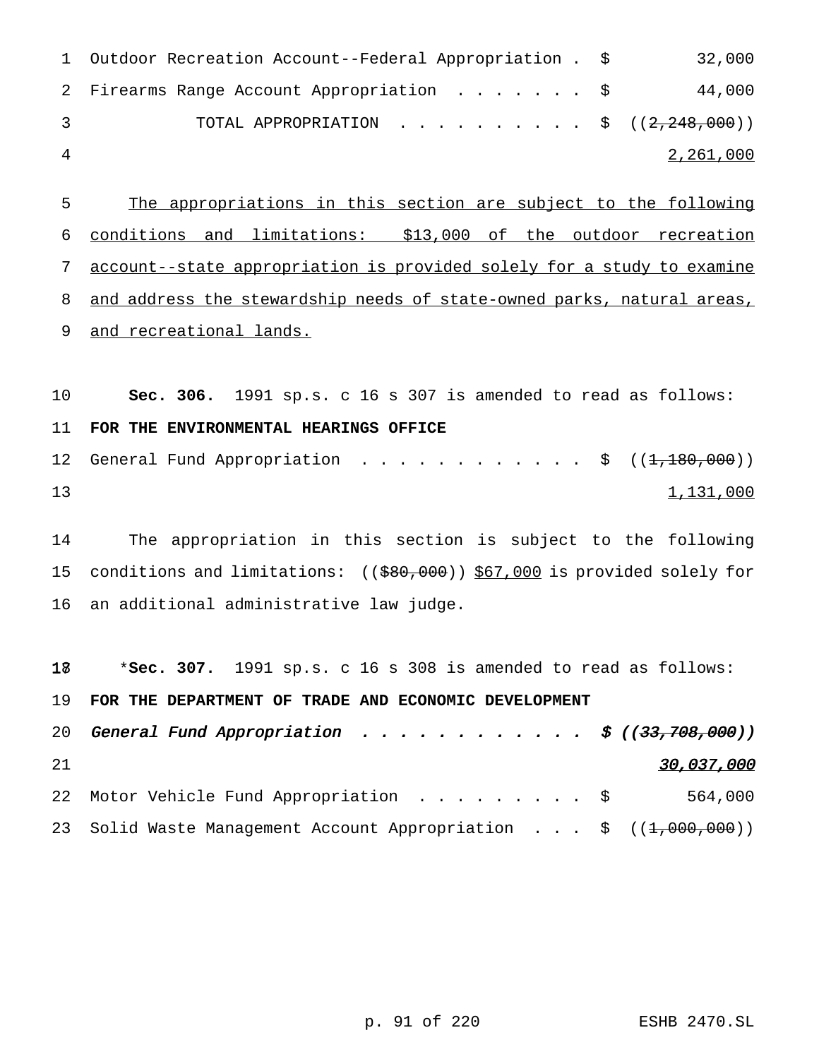| 3 | TOTAL APPROPRIATION \$ $((2,248,000))$    |        |
|---|-------------------------------------------|--------|
|   | 2 Firearms Range Account Appropriation \$ | 44,000 |

 The appropriations in this section are subject to the following conditions and limitations: \$13,000 of the outdoor recreation account--state appropriation is provided solely for a study to examine and address the stewardship needs of state-owned parks, natural areas, 9 and recreational lands.

 **Sec. 306.** 1991 sp.s. c 16 s 307 is amended to read as follows: **FOR THE ENVIRONMENTAL HEARINGS OFFICE** 12 General Fund Appropriation . . . . . . . . . . . \$ ((<del>1,180,000</del>)) 1,131,000

 The appropriation in this section is subject to the following 15 conditions and limitations: ((\$80,000)) \$67,000 is provided solely for an additional administrative law judge.

 \***Sec. 307.** 1991 sp.s. c 16 s 308 is amended to read as follows: **FOR THE DEPARTMENT OF TRADE AND ECONOMIC DEVELOPMENT** 20 General Fund Appropriation . . . . . . . . . . . \$  $((33, 708, 000))$ 21 30,037,000 22 Motor Vehicle Fund Appropriation . . . . . . . . \$ 564,000 23 Solid Waste Management Account Appropriation . . . \$ ((1,000,000))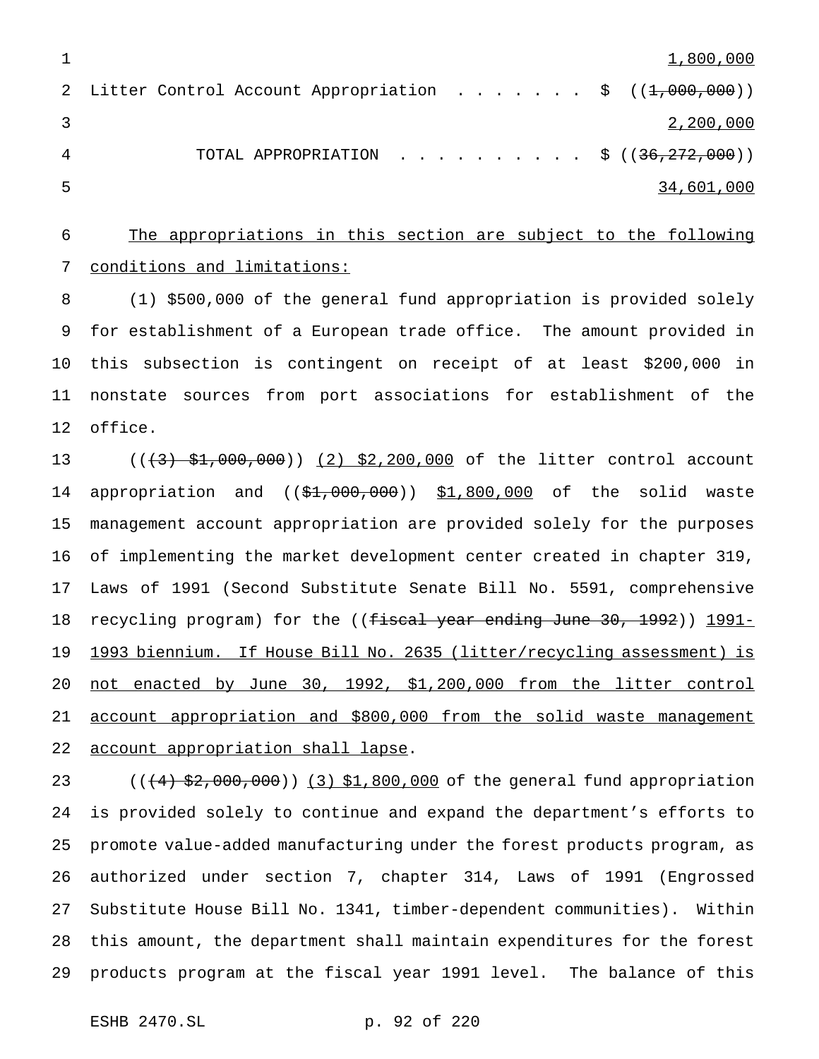| 1,800,000                                                                        |  |
|----------------------------------------------------------------------------------|--|
| 2 Litter Control Account Appropriation $\frac{1}{5}$ ( $(\frac{1}{2},000,000)$ ) |  |
| 2,200,000                                                                        |  |
| TOTAL APPROPRIATION \$ $((36,272,000))$                                          |  |
| 34,601,000                                                                       |  |

 The appropriations in this section are subject to the following conditions and limitations:

 (1) \$500,000 of the general fund appropriation is provided solely for establishment of a European trade office. The amount provided in this subsection is contingent on receipt of at least \$200,000 in nonstate sources from port associations for establishment of the office.

13 ((<del>(3) \$1,000,000</del>)) (2) \$2,200,000 of the litter control account 14 appropriation and ((\$1,000,000)) \$1,800,000 of the solid waste management account appropriation are provided solely for the purposes of implementing the market development center created in chapter 319, Laws of 1991 (Second Substitute Senate Bill No. 5591, comprehensive 18 recycling program) for the ((<del>fiscal year ending June 30, 1992</del>)) <u>1991-</u> 1993 biennium. If House Bill No. 2635 (litter/recycling assessment) is not enacted by June 30, 1992, \$1,200,000 from the litter control account appropriation and \$800,000 from the solid waste management 22 account appropriation shall lapse.

23 (((4) \$2,000,000)) (3) \$1,800,000 of the general fund appropriation is provided solely to continue and expand the department's efforts to promote value-added manufacturing under the forest products program, as authorized under section 7, chapter 314, Laws of 1991 (Engrossed Substitute House Bill No. 1341, timber-dependent communities). Within this amount, the department shall maintain expenditures for the forest products program at the fiscal year 1991 level. The balance of this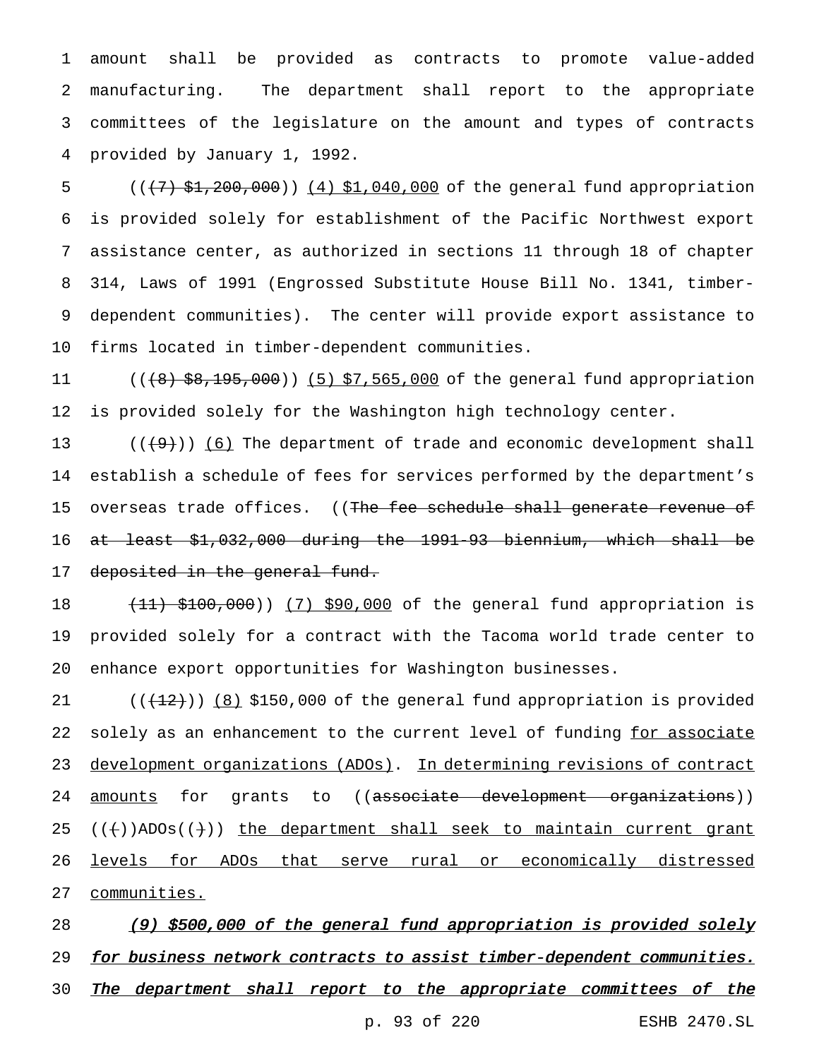amount shall be provided as contracts to promote value-added manufacturing. The department shall report to the appropriate committees of the legislature on the amount and types of contracts provided by January 1, 1992.

5 (( $\left($  ( $\left($   $\frac{1}{2}$   $\frac{1}{200}$ ,  $\frac{1}{200}$ )) (4) \$1,040,000 of the general fund appropriation is provided solely for establishment of the Pacific Northwest export assistance center, as authorized in sections 11 through 18 of chapter 314, Laws of 1991 (Engrossed Substitute House Bill No. 1341, timber- dependent communities). The center will provide export assistance to firms located in timber-dependent communities.

11 ((<del>(8) \$8,195,000</del>)) (5) \$7,565,000 of the general fund appropriation is provided solely for the Washington high technology center.

 $((+9))$   $(6)$  The department of trade and economic development shall establish a schedule of fees for services performed by the department's 15 overseas trade offices. ((The fee schedule shall generate revenue of at least \$1,032,000 during the 1991-93 biennium, which shall be 17 deposited in the general fund.

18 (11) \$100,000)) (7) \$90,000 of the general fund appropriation is provided solely for a contract with the Tacoma world trade center to enhance export opportunities for Washington businesses.

 $((+12))$   $(8)$  \$150,000 of the general fund appropriation is provided 22 solely as an enhancement to the current level of funding for associate development organizations (ADOs). In determining revisions of contract 24 <u>amounts</u> for grants to ((<del>associate development organizations</del>))  $((+)$  ADOs $((+)$  the department shall seek to maintain current grant levels for ADOs that serve rural or economically distressed communities.

28 (9) \$500,000 of the general fund appropriation is provided solely 29 for business network contracts to assist timber-dependent communities. 30 The department shall report to the appropriate committees of the p. 93 of 220 ESHB 2470.SL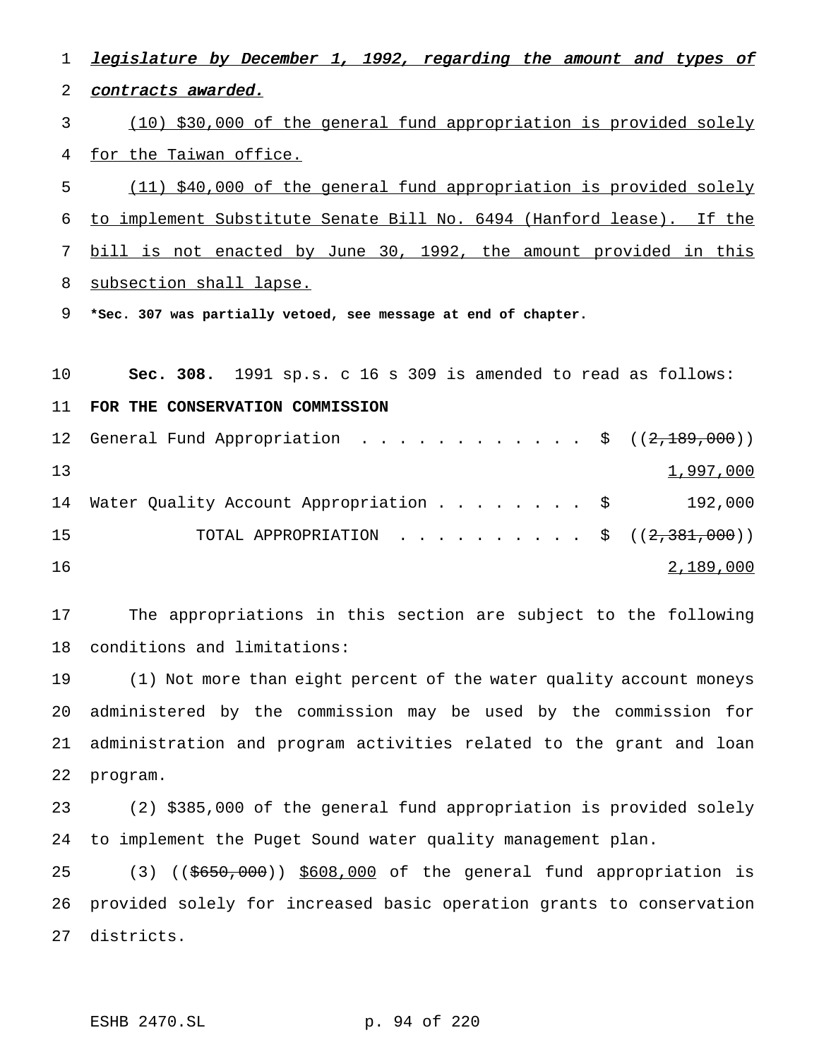1 legislature by December 1, 1992, regarding the amount and types of contracts awarded. (10) \$30,000 of the general fund appropriation is provided solely for the Taiwan office. (11) \$40,000 of the general fund appropriation is provided solely to implement Substitute Senate Bill No. 6494 (Hanford lease). If the bill is not enacted by June 30, 1992, the amount provided in this subsection shall lapse. **\*Sec. 307 was partially vetoed, see message at end of chapter. Sec. 308.** 1991 sp.s. c 16 s 309 is amended to read as follows: **FOR THE CONSERVATION COMMISSION** 12 General Fund Appropriation . . . . . . . . . . . \$ ((2,189,000))  $1,997,000$ 14 Water Quality Account Appropriation . . . . . . . \$ 192,000 15 TOTAL APPROPRIATION . . . . . . . . . \$ ((2,381,000)) 2,189,000 The appropriations in this section are subject to the following conditions and limitations: (1) Not more than eight percent of the water quality account moneys administered by the commission may be used by the commission for administration and program activities related to the grant and loan program. (2) \$385,000 of the general fund appropriation is provided solely to implement the Puget Sound water quality management plan. (3) ((\$650,000)) \$608,000 of the general fund appropriation is provided solely for increased basic operation grants to conservation districts.

ESHB 2470.SL p. 94 of 220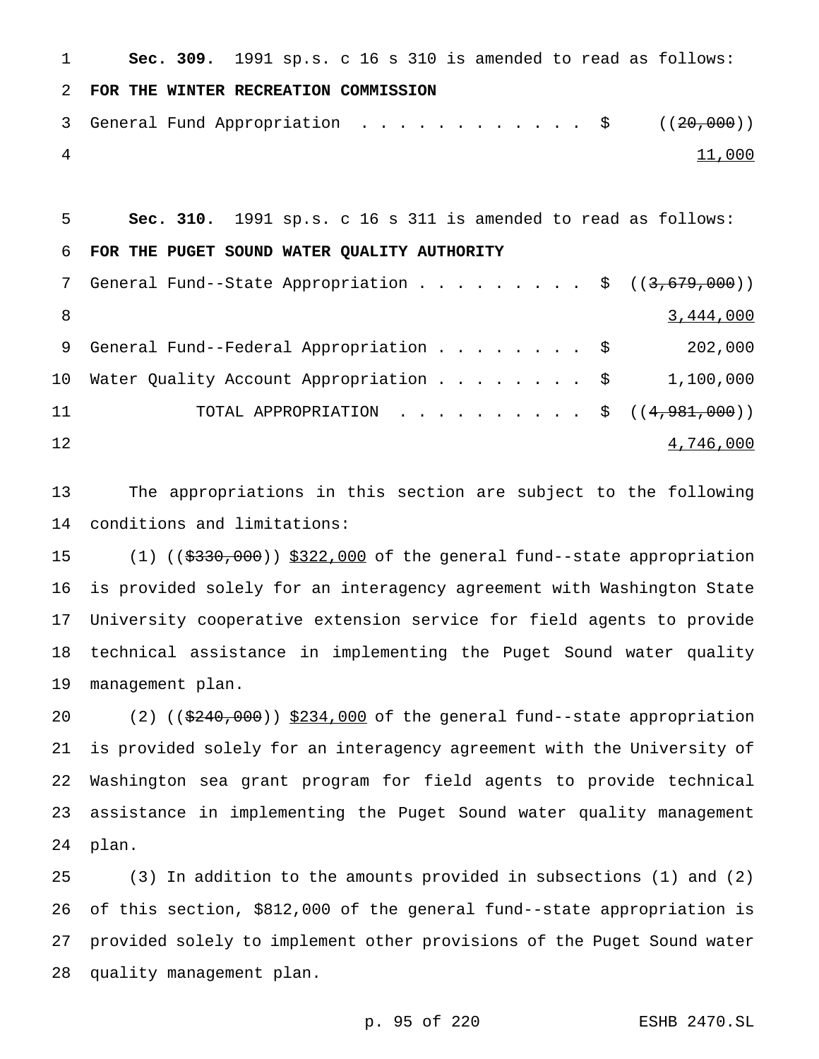| $\mathbf{1}$    | <b>Sec. 309.</b> 1991 sp.s. c 16 s 310 is amended to read as follows: |
|-----------------|-----------------------------------------------------------------------|
| 2               | FOR THE WINTER RECREATION COMMISSION                                  |
| 3               |                                                                       |
| $\overline{4}$  | 11,000                                                                |
|                 |                                                                       |
| 5               | Sec. 310. 1991 sp.s. c 16 s 311 is amended to read as follows:        |
| 6               | FOR THE PUGET SOUND WATER QUALITY AUTHORITY                           |
| $7\overline{ }$ | General Fund--State Appropriation \$ $((3,679,000))$                  |
| 8               | 3,444,000                                                             |
| 9               | General Fund--Federal Appropriation $\frac{1}{5}$<br>202,000          |
|                 |                                                                       |

11 TOTAL APPROPRIATION . . . . . . . . . \$ ((4,981,000)) 4,746,000

Water Quality Account Appropriation........ \$ 1,100,000

 The appropriations in this section are subject to the following conditions and limitations:

15 (1) ((\$330,000)) \$322,000 of the general fund--state appropriation is provided solely for an interagency agreement with Washington State University cooperative extension service for field agents to provide technical assistance in implementing the Puget Sound water quality management plan.

20 (2) ((\$240,000)) \$234,000 of the general fund--state appropriation is provided solely for an interagency agreement with the University of Washington sea grant program for field agents to provide technical assistance in implementing the Puget Sound water quality management plan.

 (3) In addition to the amounts provided in subsections (1) and (2) of this section, \$812,000 of the general fund--state appropriation is provided solely to implement other provisions of the Puget Sound water quality management plan.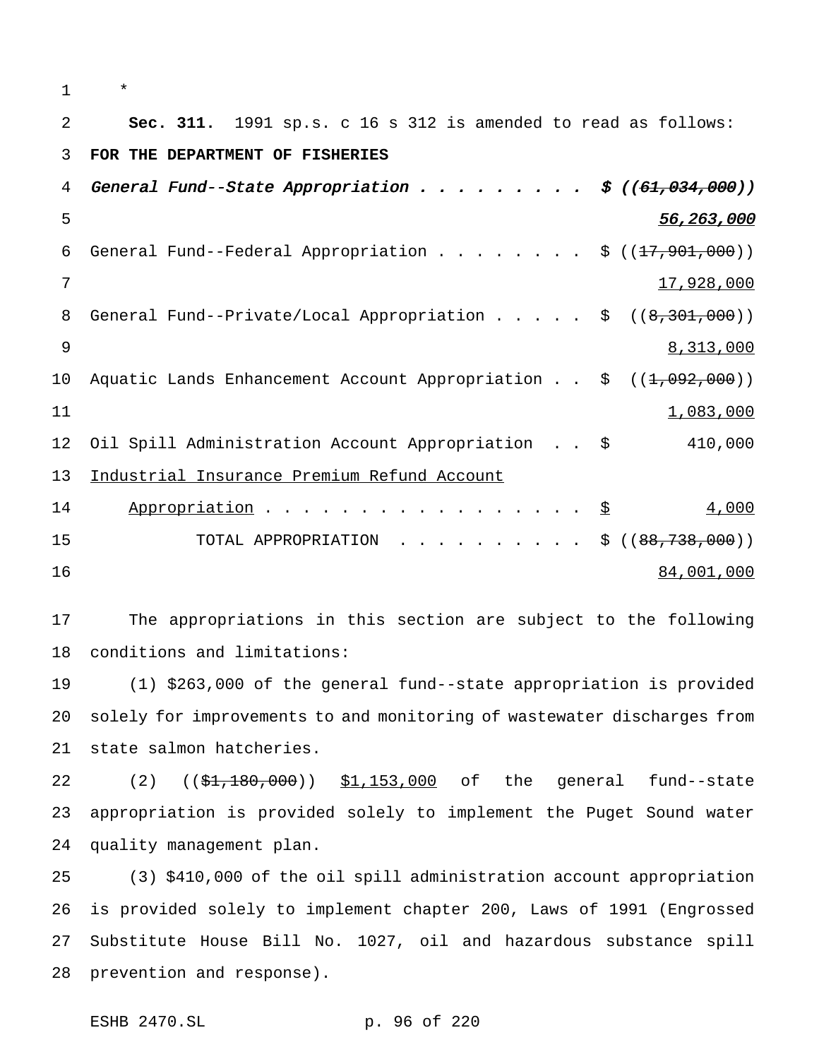| $\mathbf 1$ | $\star$                                                                                              |
|-------------|------------------------------------------------------------------------------------------------------|
| 2           | Sec. 311. 1991 sp.s. c 16 s 312 is amended to read as follows:                                       |
| 3           | FOR THE DEPARTMENT OF FISHERIES                                                                      |
| 4           | General Fund--State Appropriation $\frac{2}{3}$ ((61,034,000))                                       |
| 5           | 56,263,000                                                                                           |
| 6           | General Fund--Federal Appropriation \$ $((17, 901, 000))$                                            |
| 7           | 17,928,000                                                                                           |
| 8           | General Fund--Private/Local Appropriation \$ $((8,301,000))$                                         |
| 9           | 8,313,000                                                                                            |
| 10          | Aquatic Lands Enhancement Account Appropriation $\frac{1}{2}$ ( $(\frac{1}{2}, \frac{0.02}{0.00})$ ) |
| 11          | 1,083,000                                                                                            |
| 12          | 410,000<br>Oil Spill Administration Account Appropriation \$                                         |
| 13          | Industrial Insurance Premium Refund Account                                                          |
| 14          | 4,000<br>Appropriation \$                                                                            |
| 15          | TOTAL APPROPRIATION<br>\$((88, 738, 000))                                                            |
| 16          | 84,001,000                                                                                           |
|             |                                                                                                      |

 The appropriations in this section are subject to the following conditions and limitations:

 (1) \$263,000 of the general fund--state appropriation is provided solely for improvements to and monitoring of wastewater discharges from state salmon hatcheries.

22 (2) ((\$1,180,000)) \$1,153,000 of the general fund--state appropriation is provided solely to implement the Puget Sound water quality management plan.

 (3) \$410,000 of the oil spill administration account appropriation is provided solely to implement chapter 200, Laws of 1991 (Engrossed Substitute House Bill No. 1027, oil and hazardous substance spill prevention and response).

ESHB 2470.SL p. 96 of 220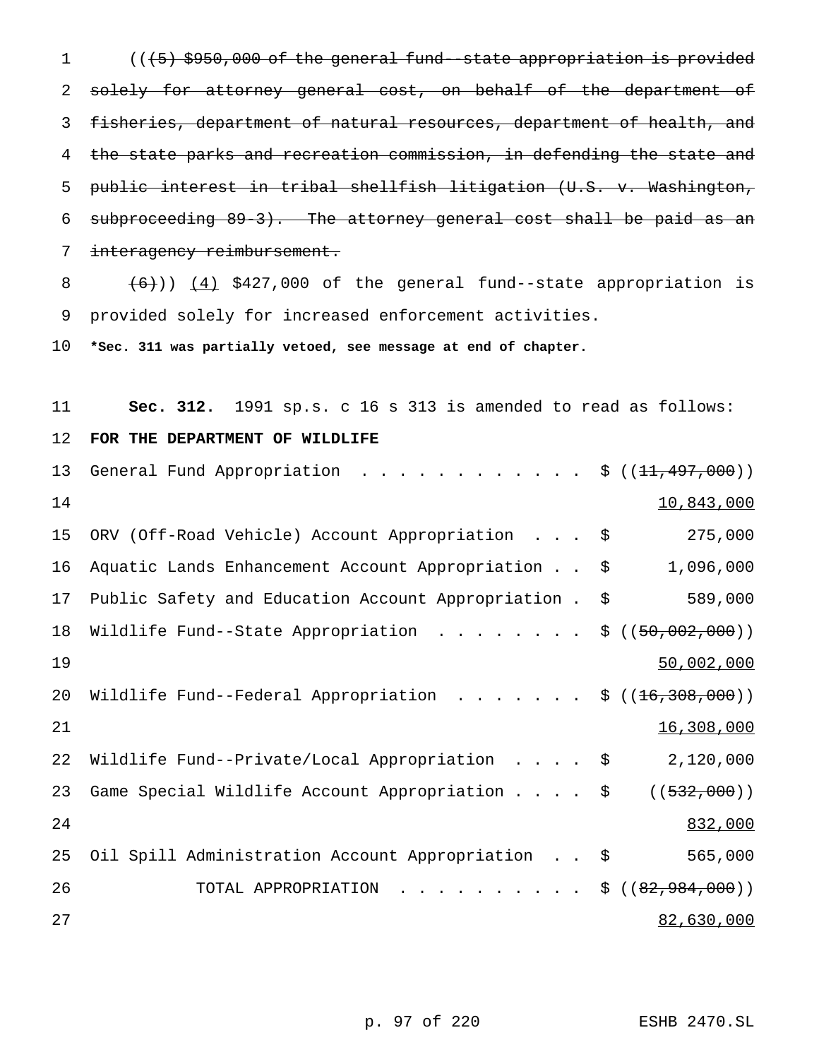(((5) \$950,000 of the general fund--state appropriation is provided solely for attorney general cost, on behalf of the department of fisheries, department of natural resources, department of health, and the state parks and recreation commission, in defending the state and public interest in tribal shellfish litigation (U.S. v. Washington, subproceeding 89-3). The attorney general cost shall be paid as an 7 interagency reimbursement.

8  $(6)$ )) (4) \$427,000 of the general fund--state appropriation is provided solely for increased enforcement activities.

**\*Sec. 311 was partially vetoed, see message at end of chapter.**

| 11 | <b>Sec. 312.</b> 1991 sp.s. c 16 s 313 is amended to read as follows:             |                        |
|----|-----------------------------------------------------------------------------------|------------------------|
| 12 | FOR THE DEPARTMENT OF WILDLIFE                                                    |                        |
| 13 | General Fund Appropriation<br>$\cdot$ $\frac{1}{2}$ (( <del>11, 497, 000</del> )) |                        |
| 14 |                                                                                   | 10,843,000             |
| 15 | ORV (Off-Road Vehicle) Account Appropriation \$                                   | 275,000                |
| 16 | Aquatic Lands Enhancement Account Appropriation \$                                | 1,096,000              |
| 17 | Public Safety and Education Account Appropriation .                               | 589,000<br>\$          |
| 18 | Wildlife Fund--State Appropriation                                                | ((50, 002, 000))<br>\$ |
| 19 |                                                                                   | 50,002,000             |
| 20 | Wildlife Fund--Federal Appropriation \$ $((16,308,000))$                          |                        |
| 21 |                                                                                   | 16,308,000             |
| 22 | Wildlife Fund--Private/Local Appropriation \$                                     | 2,120,000              |
| 23 | Game Special Wildlife Account Appropriation \$                                    | ( (532, 000) )         |
| 24 |                                                                                   | 832,000                |
| 25 | Oil Spill Administration Account Appropriation \$                                 | 565,000                |
| 26 | TOTAL APPROPRIATION                                                               | \$((82, 984, 000))     |
| 27 |                                                                                   | 82,630,000             |

p. 97 of 220 ESHB 2470.SL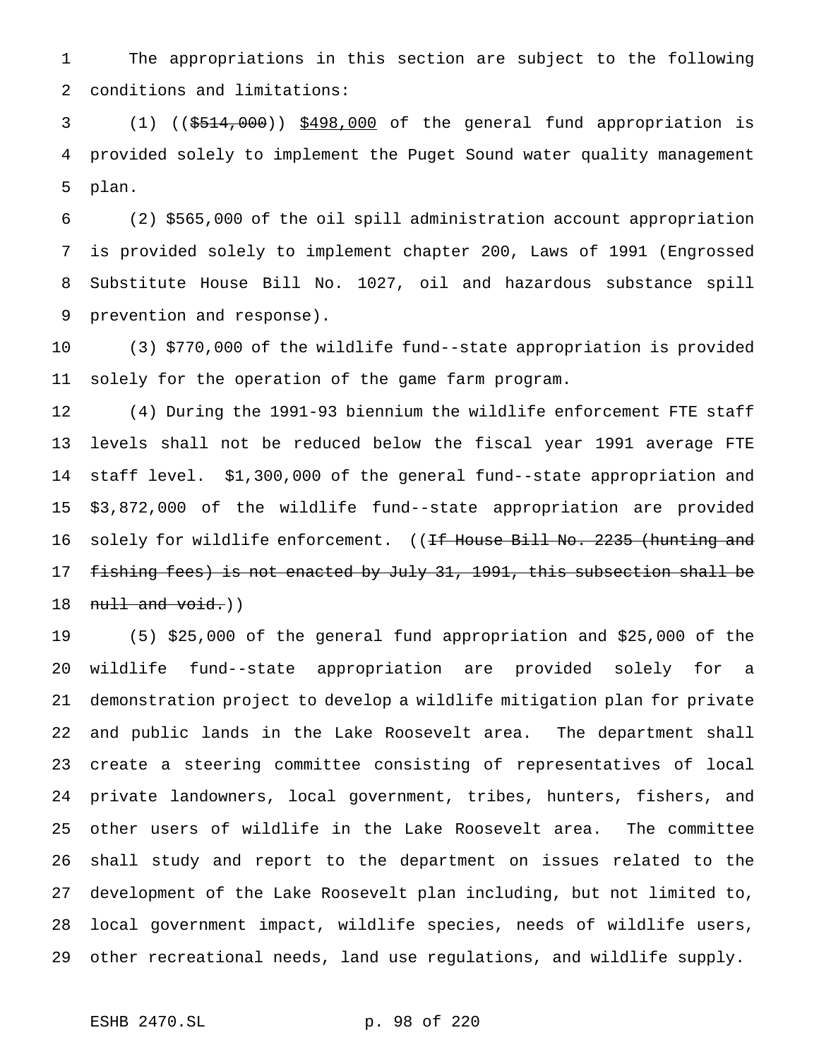The appropriations in this section are subject to the following conditions and limitations:

 (1) ((\$514,000)) \$498,000 of the general fund appropriation is provided solely to implement the Puget Sound water quality management plan.

 (2) \$565,000 of the oil spill administration account appropriation is provided solely to implement chapter 200, Laws of 1991 (Engrossed Substitute House Bill No. 1027, oil and hazardous substance spill prevention and response).

 (3) \$770,000 of the wildlife fund--state appropriation is provided solely for the operation of the game farm program.

 (4) During the 1991-93 biennium the wildlife enforcement FTE staff levels shall not be reduced below the fiscal year 1991 average FTE staff level. \$1,300,000 of the general fund--state appropriation and \$3,872,000 of the wildlife fund--state appropriation are provided 16 solely for wildlife enforcement. ((<del>If House Bill No. 2235 (hunting and</del> fishing fees) is not enacted by July 31, 1991, this subsection shall be  $null$  and  $void.)$ )

 (5) \$25,000 of the general fund appropriation and \$25,000 of the wildlife fund--state appropriation are provided solely for a demonstration project to develop a wildlife mitigation plan for private and public lands in the Lake Roosevelt area. The department shall create a steering committee consisting of representatives of local private landowners, local government, tribes, hunters, fishers, and other users of wildlife in the Lake Roosevelt area. The committee shall study and report to the department on issues related to the development of the Lake Roosevelt plan including, but not limited to, local government impact, wildlife species, needs of wildlife users, other recreational needs, land use regulations, and wildlife supply.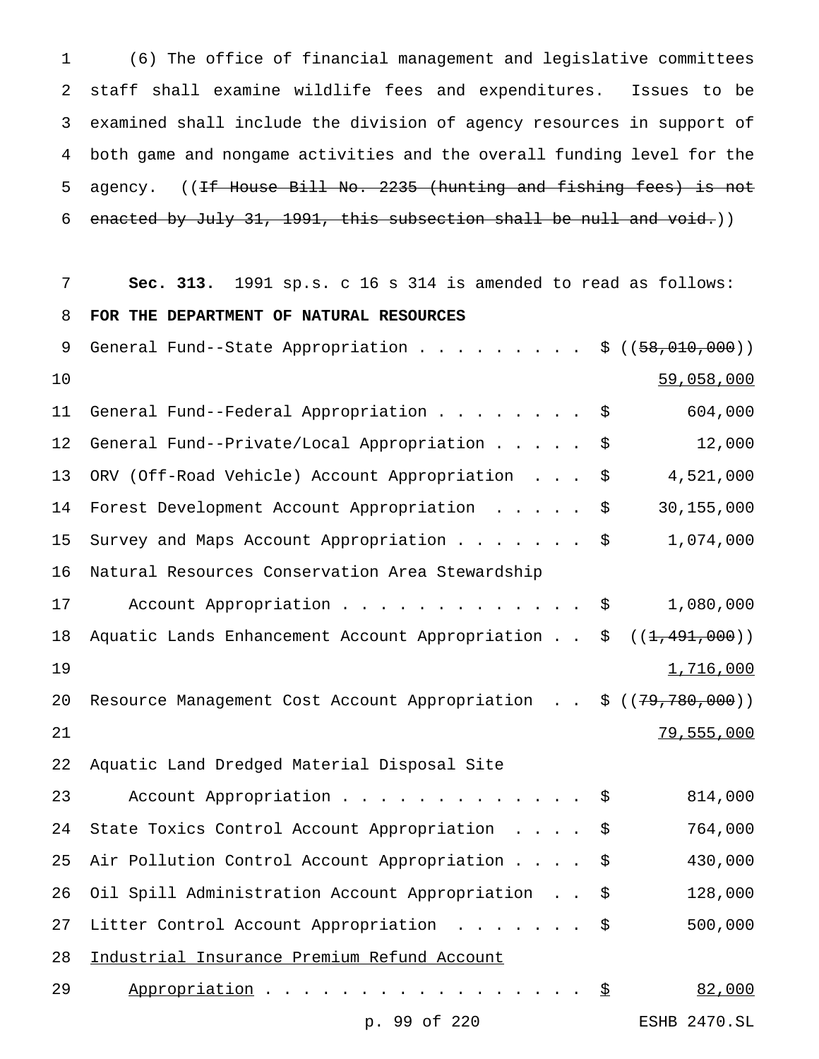(6) The office of financial management and legislative committees staff shall examine wildlife fees and expenditures. Issues to be examined shall include the division of agency resources in support of both game and nongame activities and the overall funding level for the 5 agency. ((If House Bill No. 2235 (hunting and fishing fees) is not enacted by July 31, 1991, this subsection shall be null and void.))

| 7               | Sec. 313. 1991 sp.s. c 16 s 314 is amended to read as follows:          |
|-----------------|-------------------------------------------------------------------------|
| 8               | FOR THE DEPARTMENT OF NATURAL RESOURCES                                 |
| 9               | General Fund--State Appropriation \$ $((58,010,000))$                   |
| 10              | 59,058,000                                                              |
| 11              | 604,000<br>General Fund--Federal Appropriation<br>\$                    |
| 12 <sub>1</sub> | 12,000<br>General Fund--Private/Local Appropriation<br>\$               |
| 13              | ORV (Off-Road Vehicle) Account Appropriation<br>4,521,000<br>\$         |
| 14              | 30, 155, 000<br>Forest Development Account Appropriation<br>\$          |
| 15              | Survey and Maps Account Appropriation<br>1,074,000<br>\$                |
| 16              | Natural Resources Conservation Area Stewardship                         |
| 17              | 1,080,000<br>Account Appropriation \$                                   |
| 18              | Aquatic Lands Enhancement Account Appropriation \$<br>((1, 491, 000))   |
| 19              | 1,716,000                                                               |
| 20              | Resource Management Cost Account Appropriation \$ ((79,780,000))        |
| 21              | 79,555,000                                                              |
| 22              | Aquatic Land Dredged Material Disposal Site                             |
| 23              | 814,000<br>Account Appropriation<br>\$                                  |
| 24              | 764,000<br>State Toxics Control Account Appropriation<br>\$             |
| 25              | 430,000<br>Air Pollution Control Account Appropriation<br>\$            |
| 26              | Oil Spill Administration Account Appropriation \$<br>128,000            |
| 27              | 500,000<br>Litter Control Account Appropriation<br>$\ddot{\varepsilon}$ |
| 28              | Industrial Insurance Premium Refund Account                             |
| 29              | Appropriation $\frac{S}{2}$<br>82,000                                   |

p. 99 of 220 ESHB 2470.SL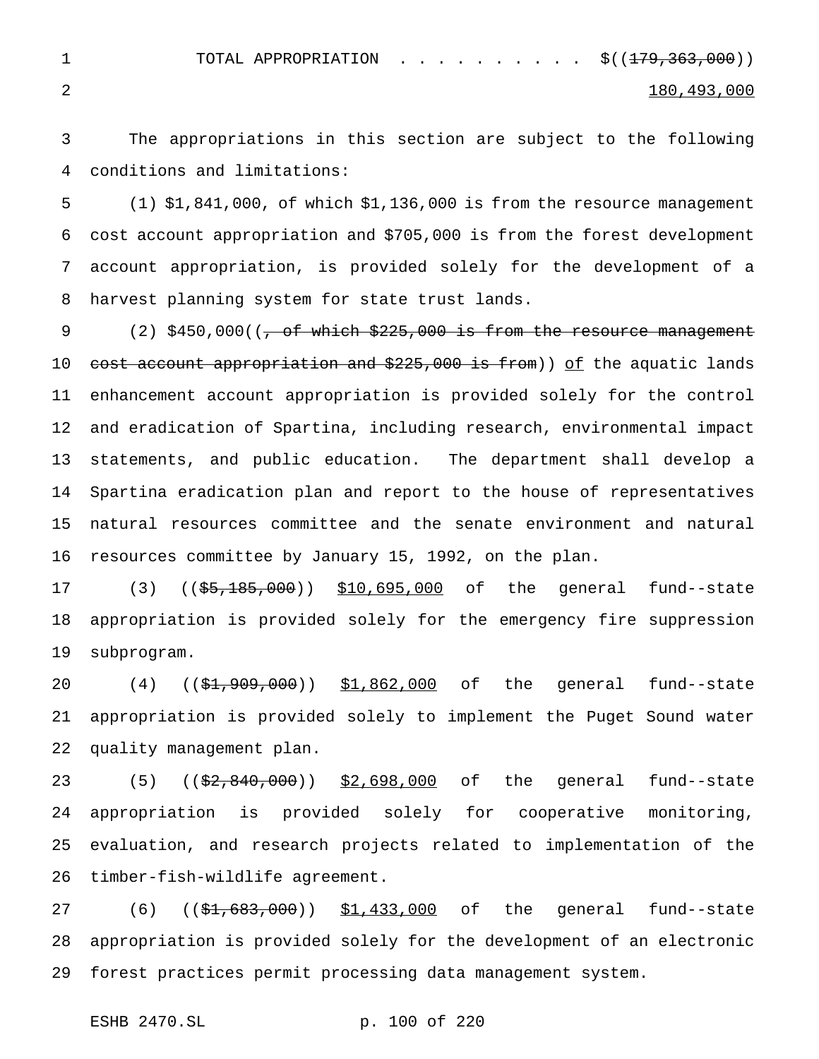1 TOTAL APPROPRIATION . . . . . . . . . \$((<del>179,363,000</del>))

## $2 \hspace{2.5cm} 180$ ,  $493$ ,  $000$

 The appropriations in this section are subject to the following conditions and limitations:

 (1) \$1,841,000, of which \$1,136,000 is from the resource management cost account appropriation and \$705,000 is from the forest development account appropriation, is provided solely for the development of a harvest planning system for state trust lands.

9 (2)  $$450,000$  ( $\rightarrow$  of which  $$225,000$  is from the resource management 10 cost account appropriation and \$225,000 is from)) of the aquatic lands enhancement account appropriation is provided solely for the control and eradication of Spartina, including research, environmental impact statements, and public education. The department shall develop a Spartina eradication plan and report to the house of representatives natural resources committee and the senate environment and natural resources committee by January 15, 1992, on the plan.

17 (3) ((\$5,185,000)) \$10,695,000 of the general fund--state appropriation is provided solely for the emergency fire suppression subprogram.

20 (4) ((\$1,909,000)) \$1,862,000 of the general fund--state appropriation is provided solely to implement the Puget Sound water quality management plan.

23 (5) (( $\frac{23}{7}$ , ( $\frac{27}{7}$ ,  $\frac{240}{7}$ ,  $\frac{000}{7}$ ,  $\frac{52}{7}$ ,  $\frac{698}{7}$ , 000 of the general fund--state appropriation is provided solely for cooperative monitoring, evaluation, and research projects related to implementation of the timber-fish-wildlife agreement.

27 (6) ((\$1,683,000)) \$1,433,000 of the general fund--state appropriation is provided solely for the development of an electronic forest practices permit processing data management system.

ESHB 2470.SL p. 100 of 220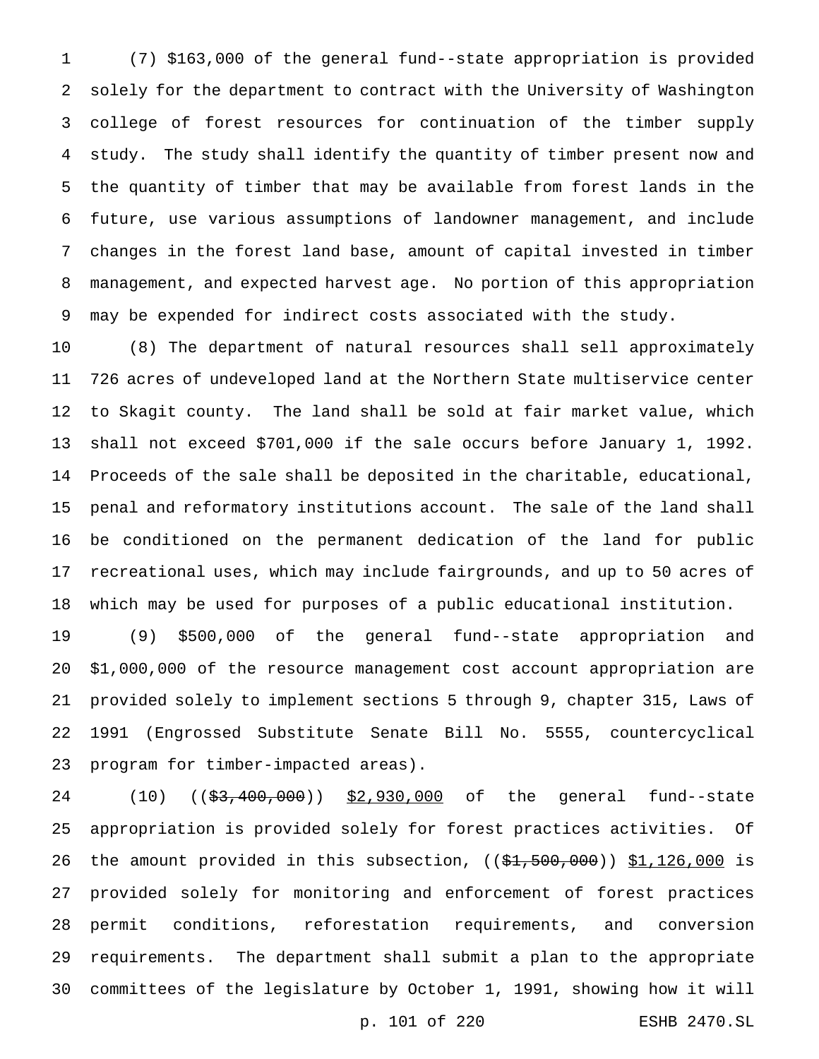(7) \$163,000 of the general fund--state appropriation is provided solely for the department to contract with the University of Washington college of forest resources for continuation of the timber supply study. The study shall identify the quantity of timber present now and the quantity of timber that may be available from forest lands in the future, use various assumptions of landowner management, and include changes in the forest land base, amount of capital invested in timber management, and expected harvest age. No portion of this appropriation may be expended for indirect costs associated with the study.

 (8) The department of natural resources shall sell approximately 726 acres of undeveloped land at the Northern State multiservice center to Skagit county. The land shall be sold at fair market value, which shall not exceed \$701,000 if the sale occurs before January 1, 1992. Proceeds of the sale shall be deposited in the charitable, educational, penal and reformatory institutions account. The sale of the land shall be conditioned on the permanent dedication of the land for public recreational uses, which may include fairgrounds, and up to 50 acres of which may be used for purposes of a public educational institution.

 (9) \$500,000 of the general fund--state appropriation and \$1,000,000 of the resource management cost account appropriation are provided solely to implement sections 5 through 9, chapter 315, Laws of 1991 (Engrossed Substitute Senate Bill No. 5555, countercyclical program for timber-impacted areas).

24 (10) ((\$3,400,000)) \$2,930,000 of the general fund--state appropriation is provided solely for forest practices activities. Of 26 the amount provided in this subsection,  $((\frac{21}{500}, 000)) \frac{1}{1,126,000}$  is provided solely for monitoring and enforcement of forest practices permit conditions, reforestation requirements, and conversion requirements. The department shall submit a plan to the appropriate committees of the legislature by October 1, 1991, showing how it will

p. 101 of 220 ESHB 2470.SL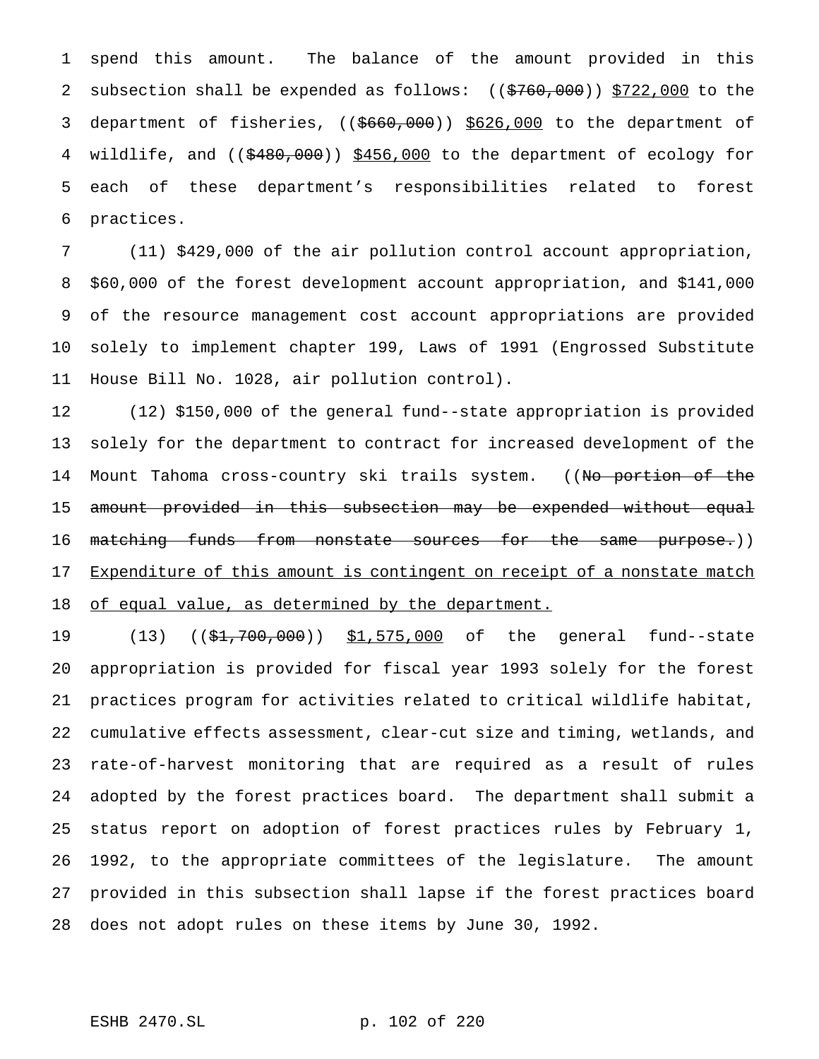spend this amount. The balance of the amount provided in this 2 subsection shall be expended as follows:  $((\frac{2760}{000}) \frac{5722}{000})$  to the 3 department of fisheries, ((\$660,000)) \$626,000 to the department of 4 wildlife, and ((\$480,000)) \$456,000 to the department of ecology for each of these department's responsibilities related to forest practices.

 (11) \$429,000 of the air pollution control account appropriation, \$60,000 of the forest development account appropriation, and \$141,000 of the resource management cost account appropriations are provided solely to implement chapter 199, Laws of 1991 (Engrossed Substitute House Bill No. 1028, air pollution control).

 (12) \$150,000 of the general fund--state appropriation is provided solely for the department to contract for increased development of the 14 Mount Tahoma cross-country ski trails system. ((N<del>o portion of the</del> 15 <del>amount provided in this subsection may be expended without equal</del> 16 <del>matching funds from nonstate sources for the same purpose.</del>)) 17 Expenditure of this amount is contingent on receipt of a nonstate match 18 of equal value, as determined by the department.

 (13) ((\$1,700,000)) \$1,575,000 of the general fund--state appropriation is provided for fiscal year 1993 solely for the forest practices program for activities related to critical wildlife habitat, cumulative effects assessment, clear-cut size and timing, wetlands, and rate-of-harvest monitoring that are required as a result of rules adopted by the forest practices board. The department shall submit a status report on adoption of forest practices rules by February 1, 1992, to the appropriate committees of the legislature. The amount provided in this subsection shall lapse if the forest practices board does not adopt rules on these items by June 30, 1992.

ESHB 2470.SL p. 102 of 220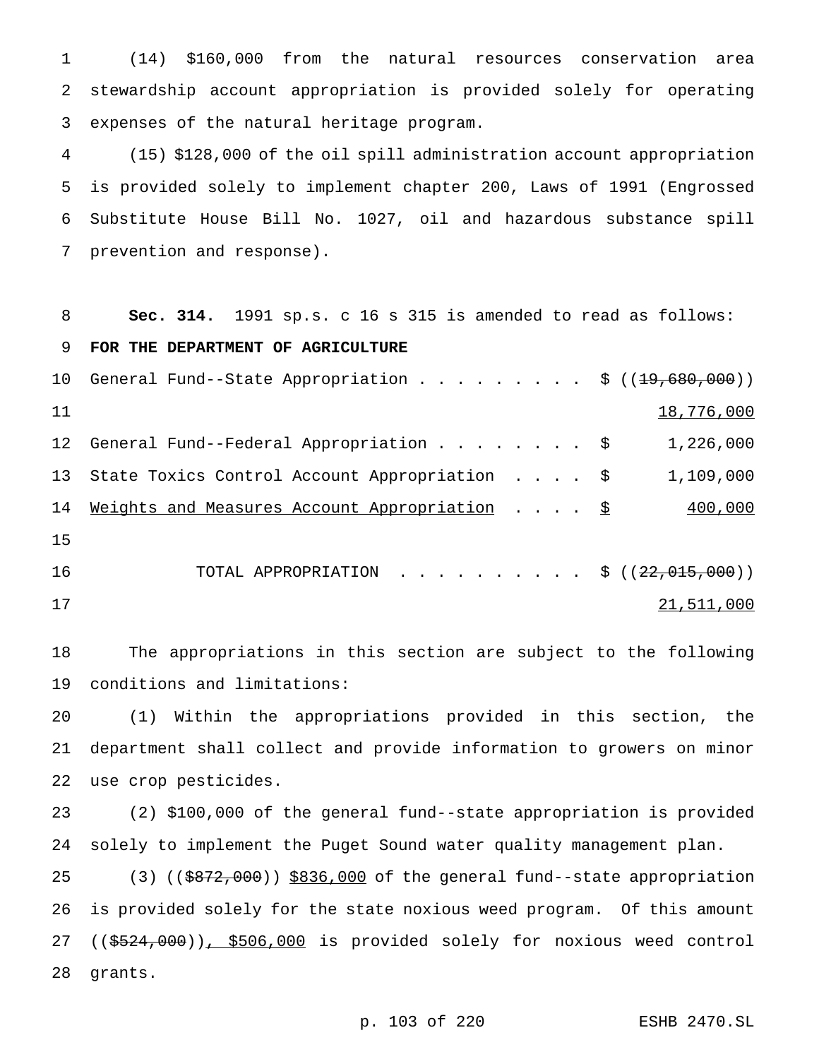(14) \$160,000 from the natural resources conservation area stewardship account appropriation is provided solely for operating expenses of the natural heritage program.

 (15) \$128,000 of the oil spill administration account appropriation is provided solely to implement chapter 200, Laws of 1991 (Engrossed Substitute House Bill No. 1027, oil and hazardous substance spill prevention and response).

**Sec. 314.** 1991 sp.s. c 16 s 315 is amended to read as follows:

**FOR THE DEPARTMENT OF AGRICULTURE**

|    | 10 General Fund--State Appropriation \$ $((19,680,000))$ |            |
|----|----------------------------------------------------------|------------|
| 11 |                                                          | 18,776,000 |
|    | 12 General Fund--Federal Appropriation \$                | 1,226,000  |
|    | 13 State Toxics Control Account Appropriation \$         | 1,109,000  |
| 14 | Weights and Measures Account Appropriation $\S$          | 400,000    |
| 15 |                                                          |            |
| 16 | TOTAL APPROPRIATION \$ $((22,015,000))$                  |            |
| 17 |                                                          | 21,511,000 |

 The appropriations in this section are subject to the following conditions and limitations:

 (1) Within the appropriations provided in this section, the department shall collect and provide information to growers on minor use crop pesticides.

 (2) \$100,000 of the general fund--state appropriation is provided solely to implement the Puget Sound water quality management plan.

25 (3) ((\$872,000)) \$836,000 of the general fund--state appropriation is provided solely for the state noxious weed program. Of this amount 27 ((\$524,000)), \$506,000 is provided solely for noxious weed control grants.

p. 103 of 220 ESHB 2470.SL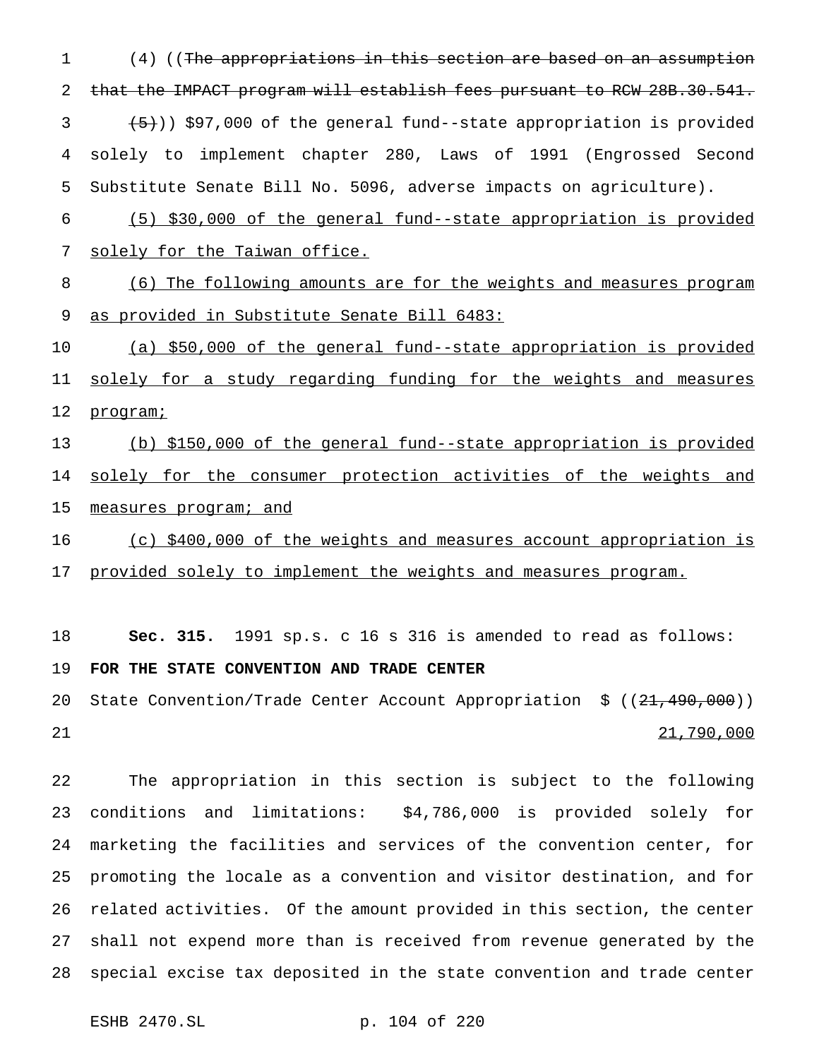(4) ((The appropriations in this section are based on an assumption 2 that the IMPACT program will establish fees pursuant to RCW 28B.30.541.  $(3 \leftarrow \{5\})$  \$97,000 of the general fund--state appropriation is provided solely to implement chapter 280, Laws of 1991 (Engrossed Second Substitute Senate Bill No. 5096, adverse impacts on agriculture).

 (5) \$30,000 of the general fund--state appropriation is provided solely for the Taiwan office.

 (6) The following amounts are for the weights and measures program 9 as provided in Substitute Senate Bill 6483:

 (a) \$50,000 of the general fund--state appropriation is provided 11 solely for a study regarding funding for the weights and measures 12 programi

 (b) \$150,000 of the general fund--state appropriation is provided 14 solely for the consumer protection activities of the weights and 15 measures program; and

16 (c) \$400,000 of the weights and measures account appropriation is 17 provided solely to implement the weights and measures program.

 **Sec. 315.** 1991 sp.s. c 16 s 316 is amended to read as follows: **FOR THE STATE CONVENTION AND TRADE CENTER**

20 State Convention/Trade Center Account Appropriation \$ ((21,490,000)) 21,790,000

 The appropriation in this section is subject to the following conditions and limitations: \$4,786,000 is provided solely for marketing the facilities and services of the convention center, for promoting the locale as a convention and visitor destination, and for related activities. Of the amount provided in this section, the center shall not expend more than is received from revenue generated by the special excise tax deposited in the state convention and trade center

```
ESHB 2470.SL p. 104 of 220
```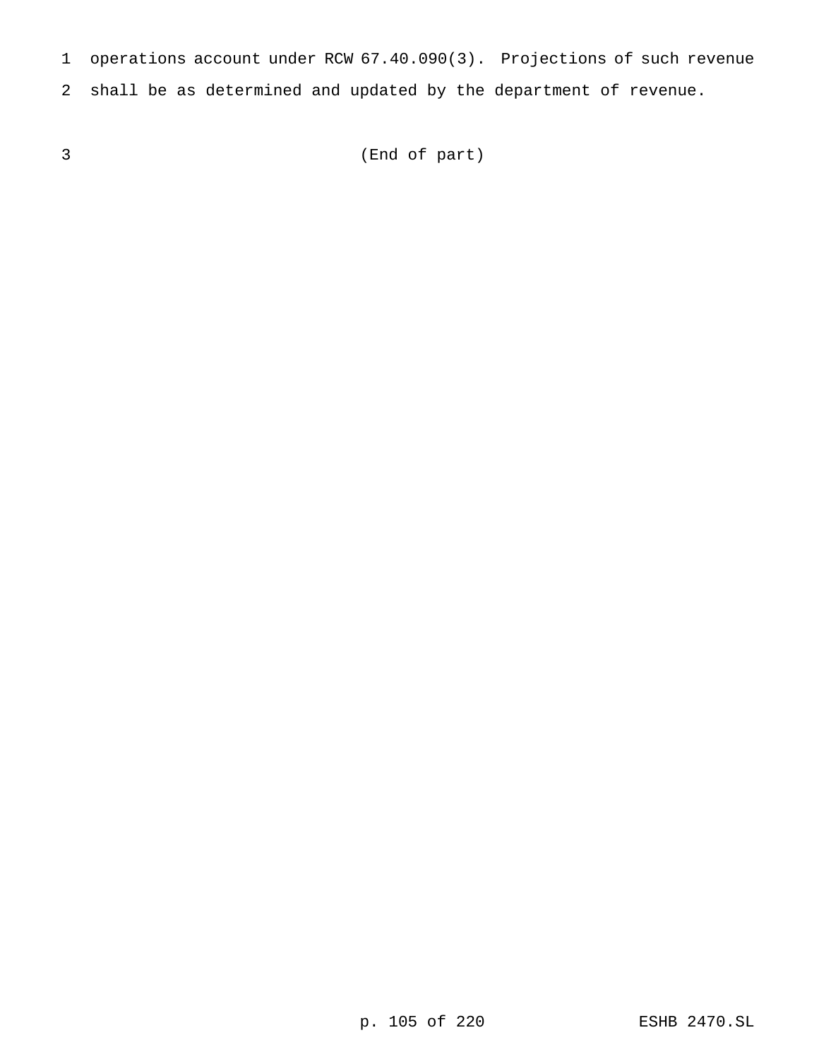operations account under RCW 67.40.090(3). Projections of such revenue

shall be as determined and updated by the department of revenue.

(End of part)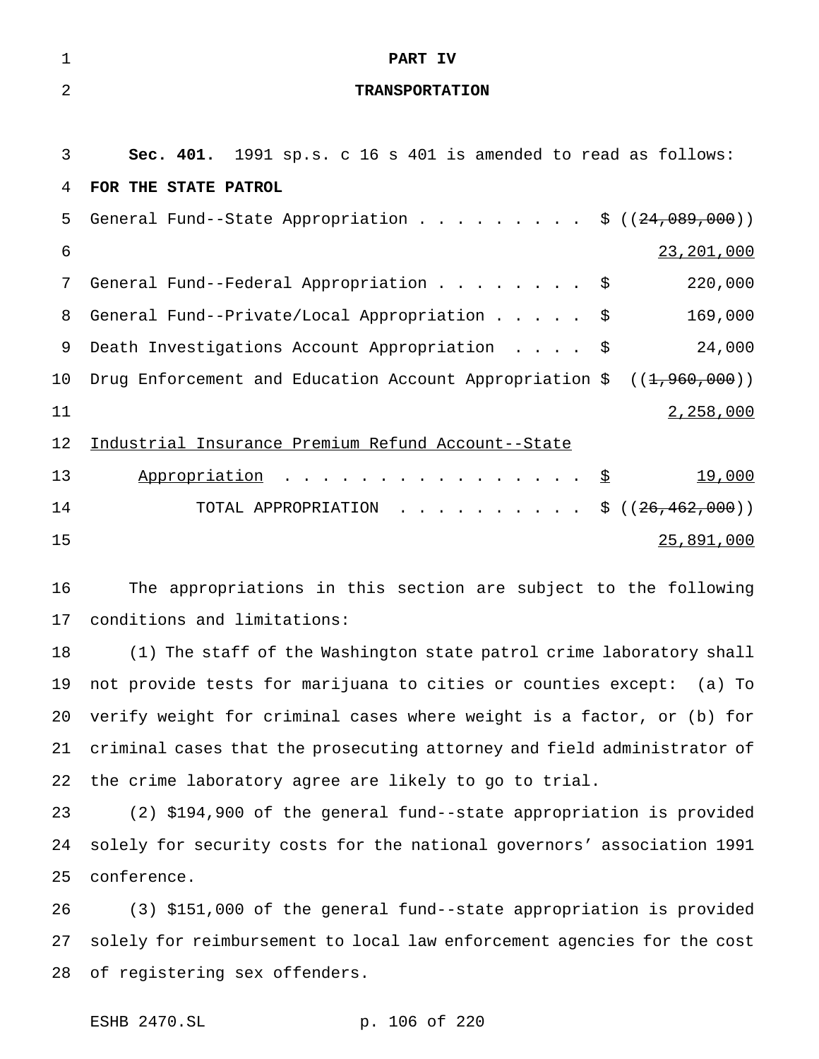| 1              | PART IV                                                                    |
|----------------|----------------------------------------------------------------------------|
| $\overline{2}$ | <b>TRANSPORTATION</b>                                                      |
|                |                                                                            |
| 3              | Sec. 401. 1991 sp.s. c 16 s 401 is amended to read as follows:             |
| 4              | FOR THE STATE PATROL                                                       |
| 5              | General Fund--State Appropriation \$ $((24,089,000))$                      |
| 6              | 23, 201, 000                                                               |
| 7              | 220,000<br>General Fund--Federal Appropriation \$                          |
| 8              | 169,000<br>General Fund--Private/Local Appropriation<br>\$                 |
| 9              | 24,000<br>Death Investigations Account Appropriation<br>- \$               |
| 10             | Drug Enforcement and Education Account Appropriation $\zeta$ ((1,960,000)) |
| 11             | 2,258,000                                                                  |
| 12             | Industrial Insurance Premium Refund Account--State                         |
| 13             | .<br>19,000<br>Appropriation<br>\$                                         |
| 14             | TOTAL APPROPRIATION \$ $((26, 462, 000))$                                  |
| 15             | 25,891,000                                                                 |
|                |                                                                            |

 The appropriations in this section are subject to the following conditions and limitations:

 (1) The staff of the Washington state patrol crime laboratory shall not provide tests for marijuana to cities or counties except: (a) To verify weight for criminal cases where weight is a factor, or (b) for criminal cases that the prosecuting attorney and field administrator of the crime laboratory agree are likely to go to trial.

 (2) \$194,900 of the general fund--state appropriation is provided solely for security costs for the national governors' association 1991 conference.

 (3) \$151,000 of the general fund--state appropriation is provided solely for reimbursement to local law enforcement agencies for the cost of registering sex offenders.

ESHB 2470.SL p. 106 of 220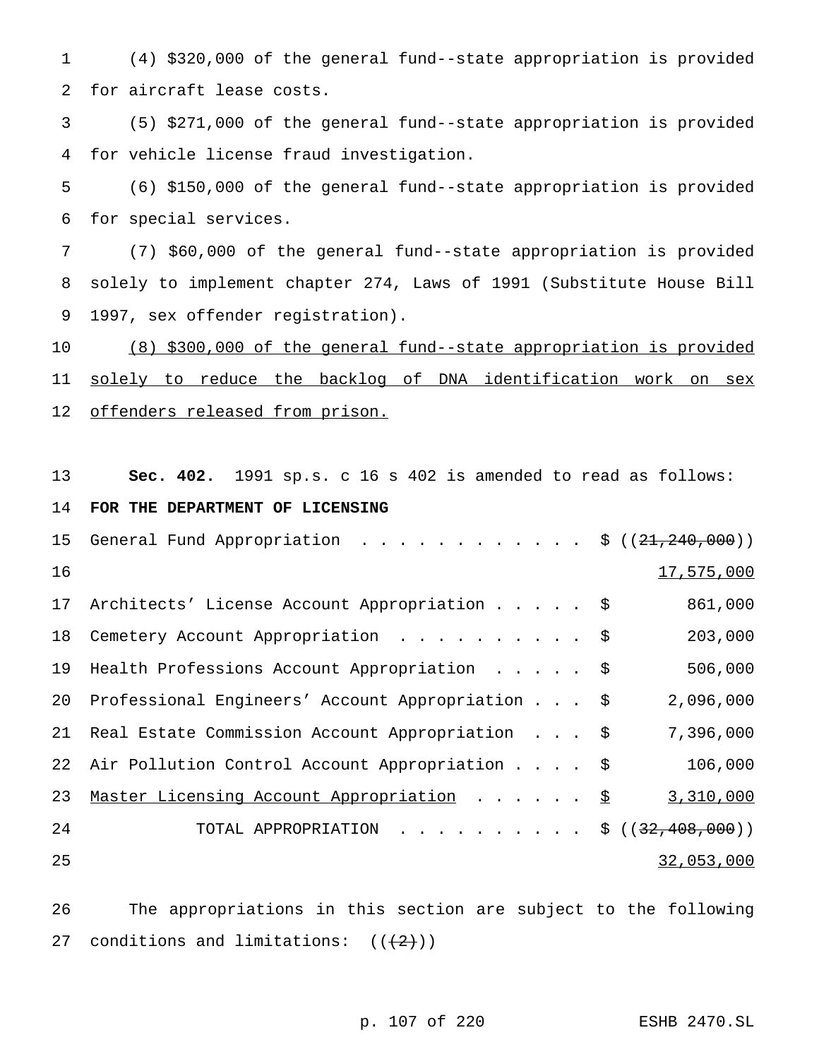(4) \$320,000 of the general fund--state appropriation is provided for aircraft lease costs.

 (5) \$271,000 of the general fund--state appropriation is provided for vehicle license fraud investigation.

 (6) \$150,000 of the general fund--state appropriation is provided for special services.

 (7) \$60,000 of the general fund--state appropriation is provided solely to implement chapter 274, Laws of 1991 (Substitute House Bill 1997, sex offender registration).

 (8) \$300,000 of the general fund--state appropriation is provided 11 solely to reduce the backlog of DNA identification work on sex 12 offenders released from prison.

**Sec. 402.** 1991 sp.s. c 16 s 402 is amended to read as follows:

## **FOR THE DEPARTMENT OF LICENSING**

| 15 | General Fund Appropriation $\frac{1}{5}$ ((21,240,000)) |            |
|----|---------------------------------------------------------|------------|
| 16 |                                                         | 17,575,000 |
| 17 | Architects' License Account Appropriation \$            | 861,000    |
| 18 | Cemetery Account Appropriation \$                       | 203,000    |
| 19 | Health Professions Account Appropriation \$             | 506,000    |
| 20 | Professional Engineers' Account Appropriation \$        | 2,096,000  |
| 21 | Real Estate Commission Account Appropriation \$         | 7,396,000  |
|    | 22 Air Pollution Control Account Appropriation \$       | 106,000    |
| 23 | Master Licensing Account Appropriation \$               | 3,310,000  |
| 24 | TOTAL APPROPRIATION \$ $((32, 408, 000))$               |            |
| 25 |                                                         | 32,053,000 |

 The appropriations in this section are subject to the following 27 conditions and limitations:  $((+2))$ 

p. 107 of 220 ESHB 2470.SL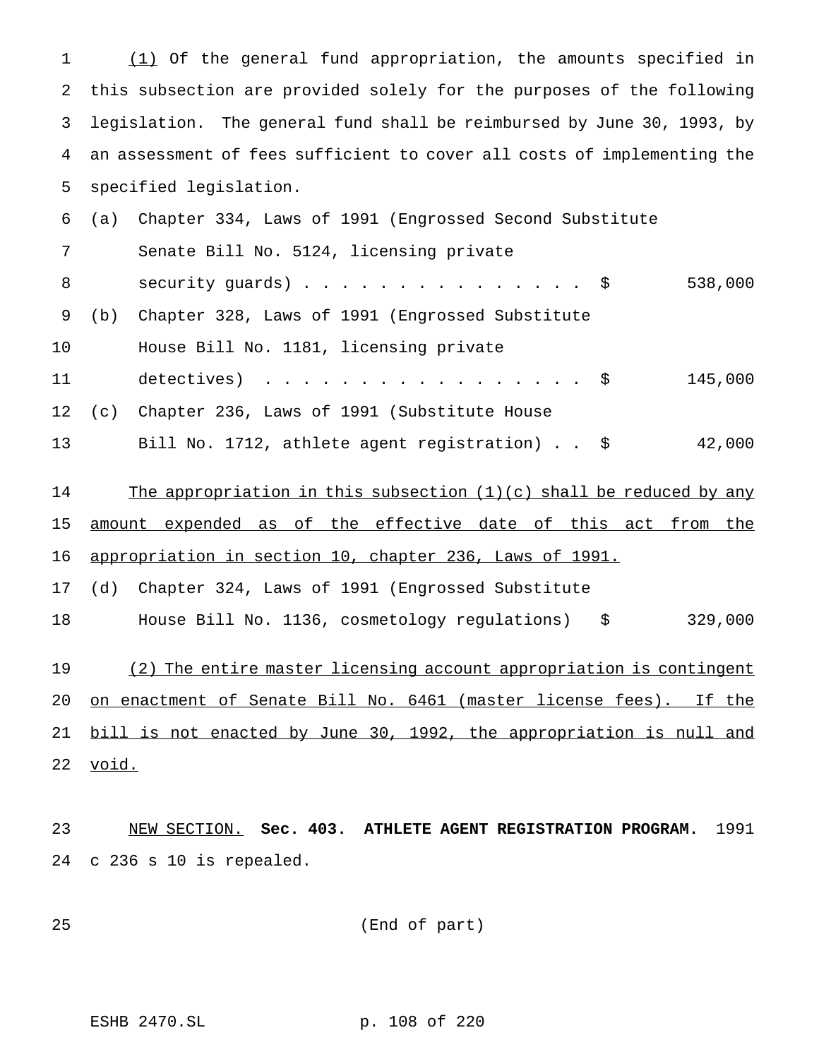(1) Of the general fund appropriation, the amounts specified in this subsection are provided solely for the purposes of the following legislation. The general fund shall be reimbursed by June 30, 1993, by an assessment of fees sufficient to cover all costs of implementing the specified legislation.

| 6  | (a)   | Chapter 334, Laws of 1991 (Engrossed Second Substitute                |
|----|-------|-----------------------------------------------------------------------|
| 7  |       | Senate Bill No. 5124, licensing private                               |
| 8  |       | security guards) $\frac{1}{5}$<br>538,000                             |
| 9  | (b)   | Chapter 328, Laws of 1991 (Engrossed Substitute                       |
| 10 |       | House Bill No. 1181, licensing private                                |
| 11 |       | detectives) $\ldots$ \$<br>145,000                                    |
| 12 | (c)   | Chapter 236, Laws of 1991 (Substitute House                           |
| 13 |       | 42,000<br>Bill No. 1712, athlete agent registration) $\frac{1}{2}$    |
| 14 |       | The appropriation in this subsection $(1)(c)$ shall be reduced by any |
| 15 |       | amount expended as of the effective date of this act from the         |
| 16 |       | appropriation in section 10, chapter 236, Laws of 1991.               |
| 17 | (d)   | Chapter 324, Laws of 1991 (Engrossed Substitute                       |
| 18 |       | 329,000<br>House Bill No. 1136, cosmetology regulations) \$           |
|    |       |                                                                       |
| 19 |       | (2) The entire master licensing account appropriation is contingent   |
| 20 |       | on enactment of Senate Bill No. 6461 (master license fees). If the    |
| 21 |       | bill is not enacted by June 30, 1992, the appropriation is null and   |
| 22 | void. |                                                                       |
|    |       |                                                                       |

 NEW SECTION. **Sec. 403. ATHLETE AGENT REGISTRATION PROGRAM.** 1991 c 236 s 10 is repealed.

(End of part)

ESHB 2470.SL p. 108 of 220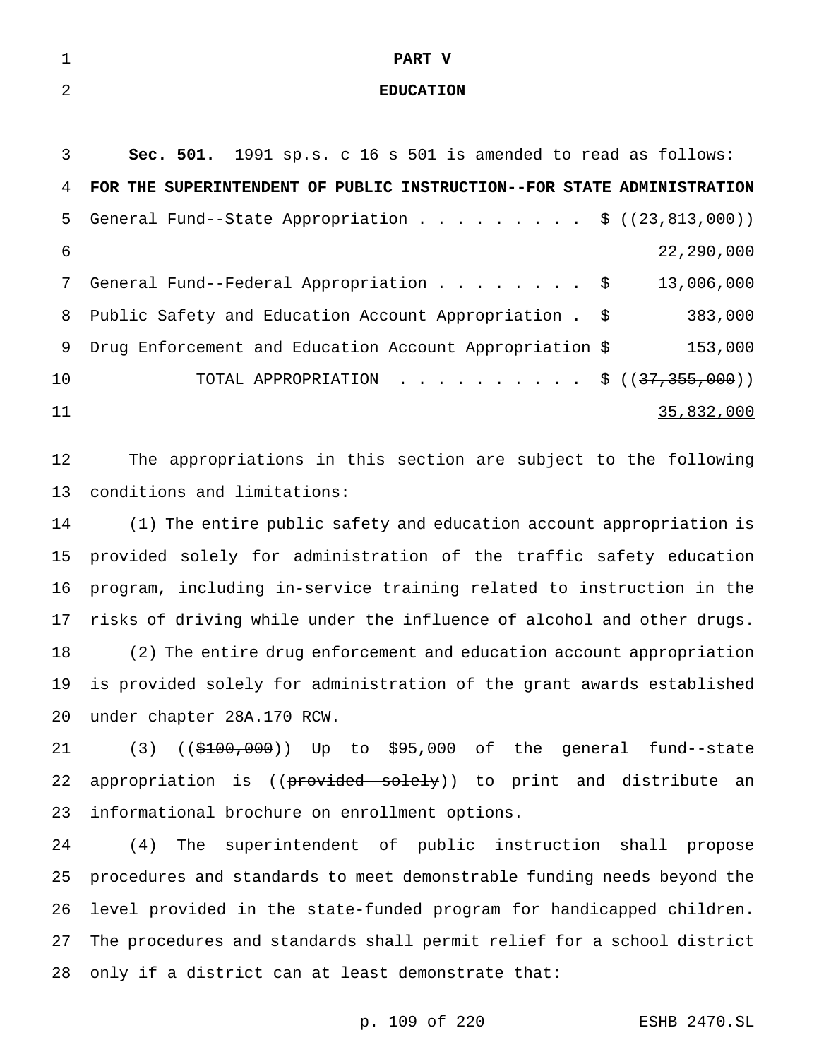## **PART V**

## **EDUCATION**

| 3  | <b>Sec. 501.</b> 1991 sp.s. c 16 s 501 is amended to read as follows:    |            |
|----|--------------------------------------------------------------------------|------------|
|    | 4 FOR THE SUPERINTENDENT OF PUBLIC INSTRUCTION--FOR STATE ADMINISTRATION |            |
| 5. | General Fund--State Appropriation \$ $((23,813,000))$                    |            |
| 6  |                                                                          | 22,290,000 |
| 7  | General Fund--Federal Appropriation \$ 13,006,000                        |            |
|    | 8 Public Safety and Education Account Appropriation . \$                 | 383,000    |
| 9  | Drug Enforcement and Education Account Appropriation \$                  | 153,000    |
| 10 | TOTAL APPROPRIATION \$ $((37,355,000))$                                  |            |
| 11 |                                                                          | 35,832,000 |
|    |                                                                          |            |

 The appropriations in this section are subject to the following conditions and limitations:

 (1) The entire public safety and education account appropriation is provided solely for administration of the traffic safety education program, including in-service training related to instruction in the risks of driving while under the influence of alcohol and other drugs. (2) The entire drug enforcement and education account appropriation is provided solely for administration of the grant awards established under chapter 28A.170 RCW.

21 (3) ((\$100,000)) Up to \$95,000 of the general fund--state 22 appropriation is ((provided solely)) to print and distribute an informational brochure on enrollment options.

 (4) The superintendent of public instruction shall propose procedures and standards to meet demonstrable funding needs beyond the level provided in the state-funded program for handicapped children. The procedures and standards shall permit relief for a school district only if a district can at least demonstrate that:

p. 109 of 220 ESHB 2470.SL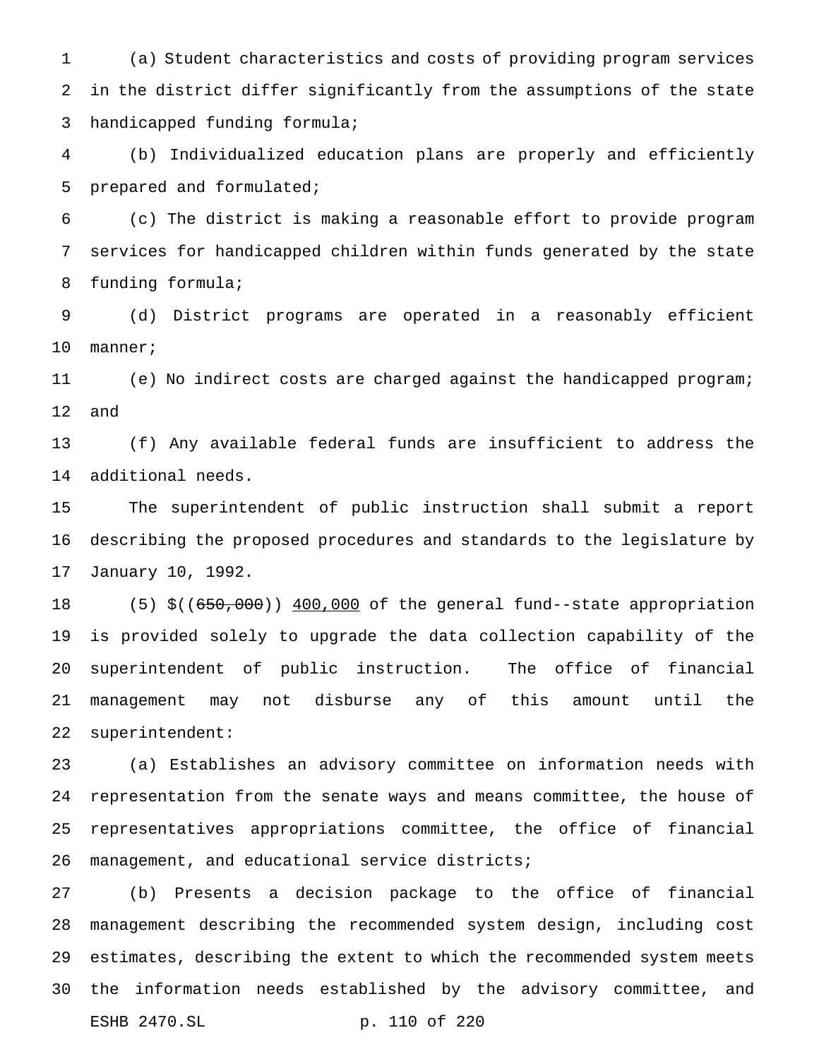(a) Student characteristics and costs of providing program services in the district differ significantly from the assumptions of the state handicapped funding formula;

 (b) Individualized education plans are properly and efficiently prepared and formulated;

 (c) The district is making a reasonable effort to provide program services for handicapped children within funds generated by the state funding formula;

 (d) District programs are operated in a reasonably efficient manner;

 (e) No indirect costs are charged against the handicapped program; and

 (f) Any available federal funds are insufficient to address the additional needs.

 The superintendent of public instruction shall submit a report describing the proposed procedures and standards to the legislature by January 10, 1992.

18 (5) \$((650,000)) 400,000 of the general fund--state appropriation is provided solely to upgrade the data collection capability of the superintendent of public instruction. The office of financial management may not disburse any of this amount until the superintendent:

 (a) Establishes an advisory committee on information needs with representation from the senate ways and means committee, the house of representatives appropriations committee, the office of financial management, and educational service districts;

 (b) Presents a decision package to the office of financial management describing the recommended system design, including cost estimates, describing the extent to which the recommended system meets the information needs established by the advisory committee, and ESHB 2470.SL p. 110 of 220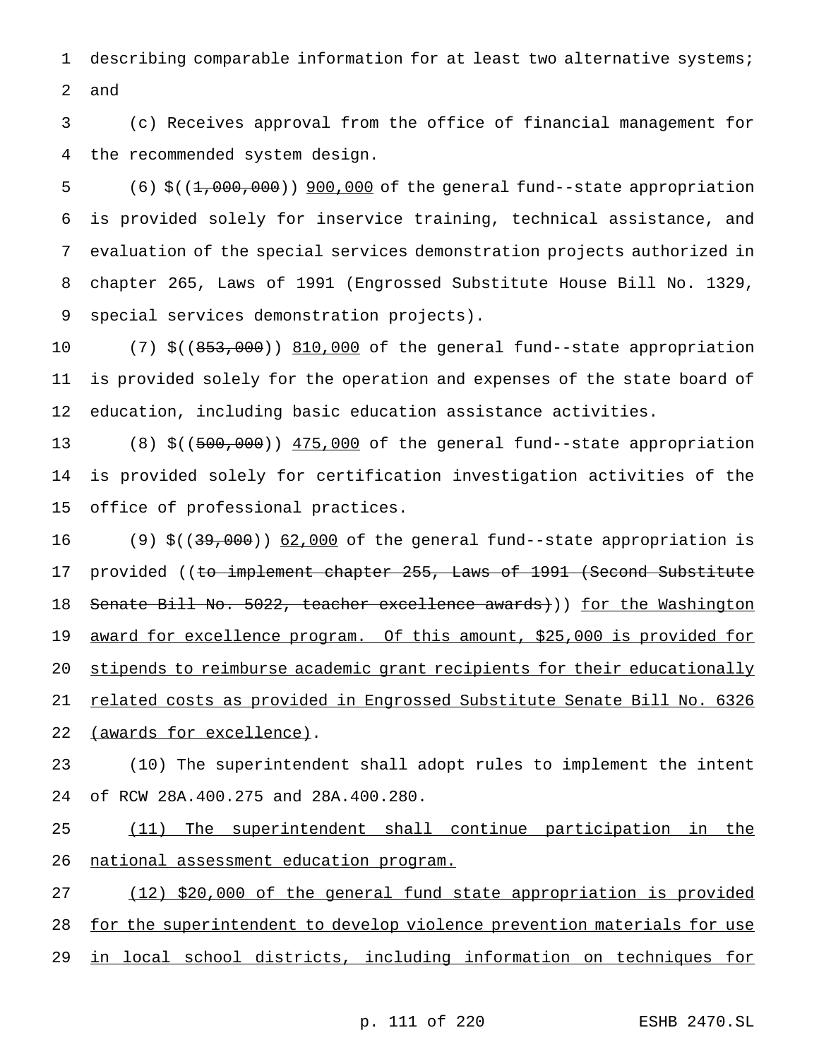describing comparable information for at least two alternative systems; and

 (c) Receives approval from the office of financial management for the recommended system design.

5 (6) \$((1,000,000)) 900,000 of the general fund--state appropriation is provided solely for inservice training, technical assistance, and evaluation of the special services demonstration projects authorized in chapter 265, Laws of 1991 (Engrossed Substitute House Bill No. 1329, special services demonstration projects).

10 (7) \$((853,000)) 810,000 of the general fund--state appropriation is provided solely for the operation and expenses of the state board of education, including basic education assistance activities.

13 (8) \$((500,000)) 475,000 of the general fund--state appropriation is provided solely for certification investigation activities of the office of professional practices.

16 (9) \$((3<del>9,000</del>)) 62,000 of the general fund--state appropriation is 17 provided ((to implement chapter 255, Laws of 1991 (Second Substitute 18 Senate Bill No. 5022, teacher excellence awards))) for the Washington award for excellence program. Of this amount, \$25,000 is provided for stipends to reimburse academic grant recipients for their educationally 21 related costs as provided in Engrossed Substitute Senate Bill No. 6326 (awards for excellence).

 (10) The superintendent shall adopt rules to implement the intent of RCW 28A.400.275 and 28A.400.280.

 (11) The superintendent shall continue participation in the national assessment education program.

 (12) \$20,000 of the general fund state appropriation is provided 28 for the superintendent to develop violence prevention materials for use in local school districts, including information on techniques for

p. 111 of 220 ESHB 2470.SL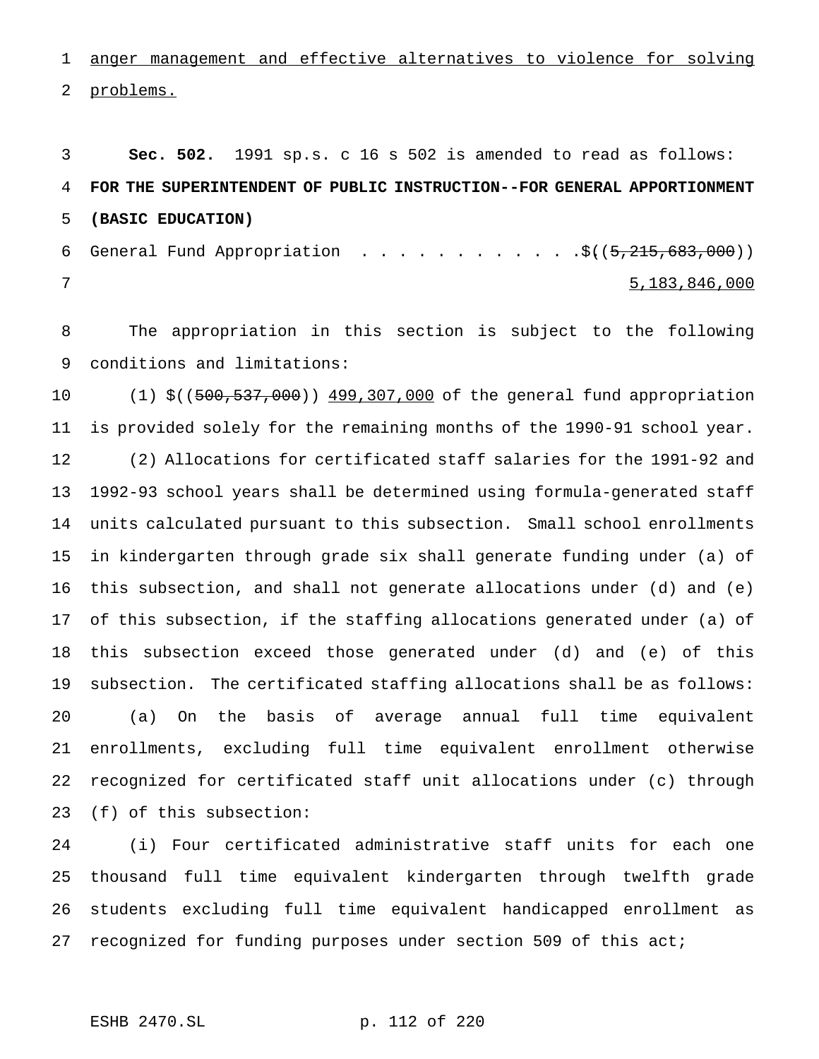anger management and effective alternatives to violence for solving problems.

 **Sec. 502.** 1991 sp.s. c 16 s 502 is amended to read as follows: **FOR THE SUPERINTENDENT OF PUBLIC INSTRUCTION--FOR GENERAL APPORTIONMENT (BASIC EDUCATION)** 6 General Fund Appropriation  $\ldots \ldots \ldots \ldots$ ....... $\frac{1}{5}(15,215,683,000)$ 

5,183,846,000

 The appropriation in this section is subject to the following conditions and limitations:

10 (1) \$((500,537,000)) 499,307,000 of the general fund appropriation is provided solely for the remaining months of the 1990-91 school year. (2) Allocations for certificated staff salaries for the 1991-92 and 1992-93 school years shall be determined using formula-generated staff units calculated pursuant to this subsection. Small school enrollments in kindergarten through grade six shall generate funding under (a) of this subsection, and shall not generate allocations under (d) and (e) of this subsection, if the staffing allocations generated under (a) of this subsection exceed those generated under (d) and (e) of this subsection. The certificated staffing allocations shall be as follows: (a) On the basis of average annual full time equivalent enrollments, excluding full time equivalent enrollment otherwise recognized for certificated staff unit allocations under (c) through (f) of this subsection:

 (i) Four certificated administrative staff units for each one thousand full time equivalent kindergarten through twelfth grade students excluding full time equivalent handicapped enrollment as recognized for funding purposes under section 509 of this act;

ESHB 2470.SL p. 112 of 220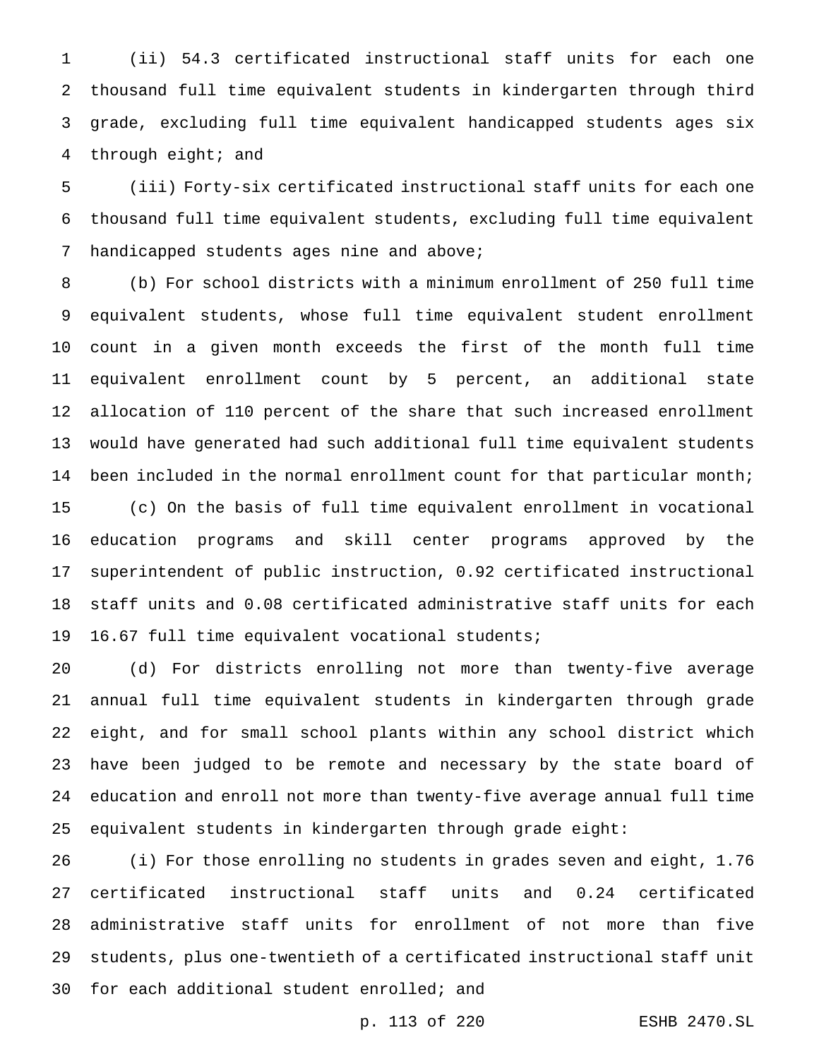(ii) 54.3 certificated instructional staff units for each one thousand full time equivalent students in kindergarten through third grade, excluding full time equivalent handicapped students ages six through eight; and

 (iii) Forty-six certificated instructional staff units for each one thousand full time equivalent students, excluding full time equivalent 7 handicapped students ages nine and above;

 (b) For school districts with a minimum enrollment of 250 full time equivalent students, whose full time equivalent student enrollment count in a given month exceeds the first of the month full time equivalent enrollment count by 5 percent, an additional state allocation of 110 percent of the share that such increased enrollment would have generated had such additional full time equivalent students 14 been included in the normal enrollment count for that particular month; (c) On the basis of full time equivalent enrollment in vocational education programs and skill center programs approved by the superintendent of public instruction, 0.92 certificated instructional staff units and 0.08 certificated administrative staff units for each 16.67 full time equivalent vocational students;

 (d) For districts enrolling not more than twenty-five average annual full time equivalent students in kindergarten through grade eight, and for small school plants within any school district which have been judged to be remote and necessary by the state board of education and enroll not more than twenty-five average annual full time equivalent students in kindergarten through grade eight:

 (i) For those enrolling no students in grades seven and eight, 1.76 certificated instructional staff units and 0.24 certificated administrative staff units for enrollment of not more than five students, plus one-twentieth of a certificated instructional staff unit for each additional student enrolled; and

p. 113 of 220 ESHB 2470.SL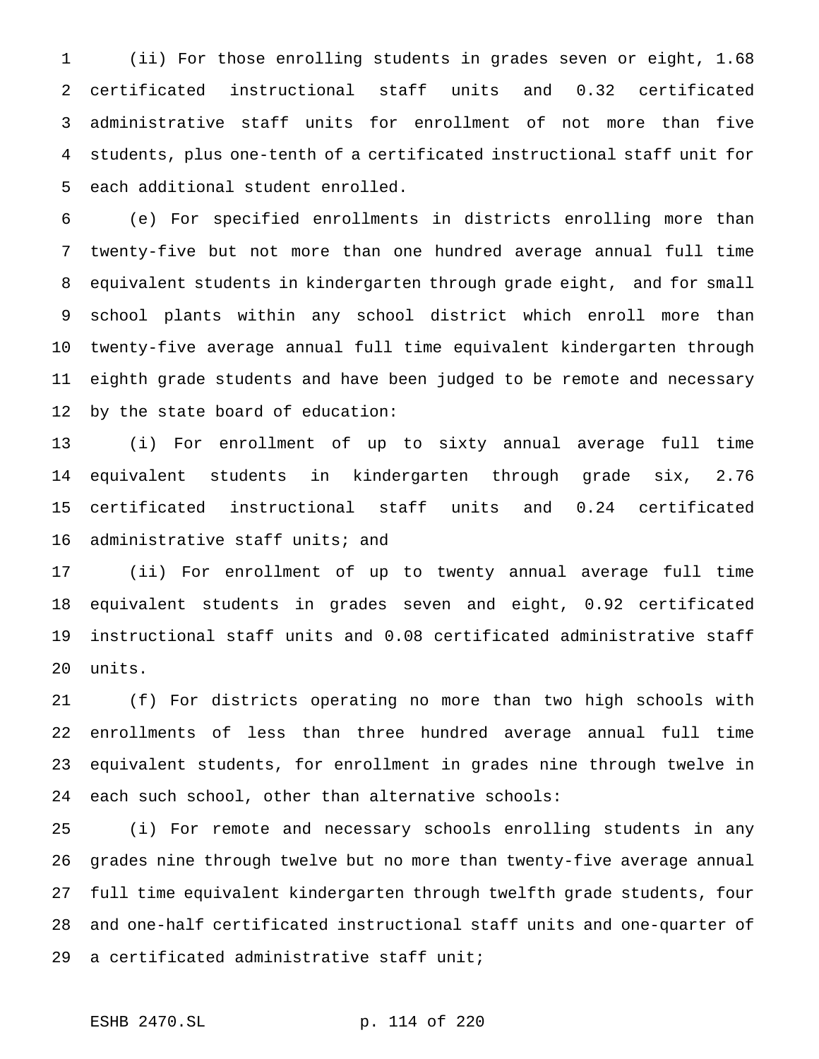(ii) For those enrolling students in grades seven or eight, 1.68 certificated instructional staff units and 0.32 certificated administrative staff units for enrollment of not more than five students, plus one-tenth of a certificated instructional staff unit for each additional student enrolled.

 (e) For specified enrollments in districts enrolling more than twenty-five but not more than one hundred average annual full time equivalent students in kindergarten through grade eight, and for small school plants within any school district which enroll more than twenty-five average annual full time equivalent kindergarten through eighth grade students and have been judged to be remote and necessary by the state board of education:

 (i) For enrollment of up to sixty annual average full time equivalent students in kindergarten through grade six, 2.76 certificated instructional staff units and 0.24 certificated administrative staff units; and

 (ii) For enrollment of up to twenty annual average full time equivalent students in grades seven and eight, 0.92 certificated instructional staff units and 0.08 certificated administrative staff units.

 (f) For districts operating no more than two high schools with enrollments of less than three hundred average annual full time equivalent students, for enrollment in grades nine through twelve in each such school, other than alternative schools:

 (i) For remote and necessary schools enrolling students in any grades nine through twelve but no more than twenty-five average annual full time equivalent kindergarten through twelfth grade students, four and one-half certificated instructional staff units and one-quarter of a certificated administrative staff unit;

ESHB 2470.SL p. 114 of 220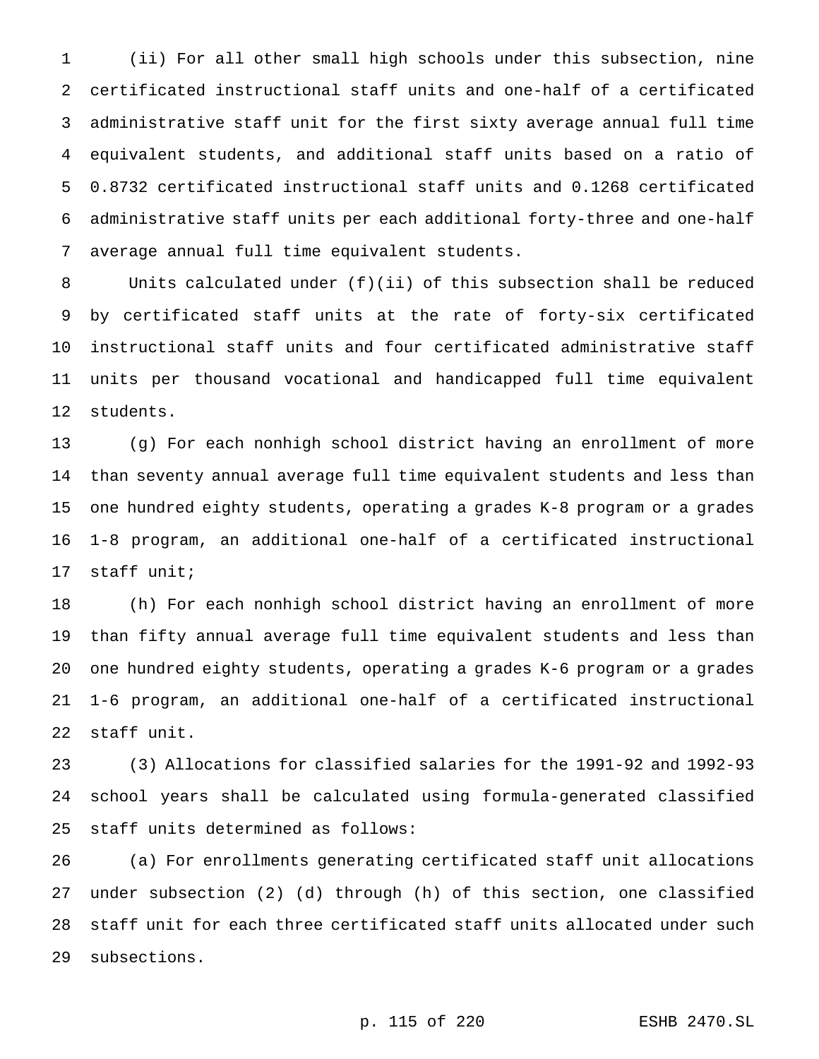(ii) For all other small high schools under this subsection, nine certificated instructional staff units and one-half of a certificated administrative staff unit for the first sixty average annual full time equivalent students, and additional staff units based on a ratio of 0.8732 certificated instructional staff units and 0.1268 certificated administrative staff units per each additional forty-three and one-half average annual full time equivalent students.

 Units calculated under (f)(ii) of this subsection shall be reduced by certificated staff units at the rate of forty-six certificated instructional staff units and four certificated administrative staff units per thousand vocational and handicapped full time equivalent students.

 (g) For each nonhigh school district having an enrollment of more than seventy annual average full time equivalent students and less than one hundred eighty students, operating a grades K-8 program or a grades 1-8 program, an additional one-half of a certificated instructional staff unit;

 (h) For each nonhigh school district having an enrollment of more than fifty annual average full time equivalent students and less than one hundred eighty students, operating a grades K-6 program or a grades 1-6 program, an additional one-half of a certificated instructional staff unit.

 (3) Allocations for classified salaries for the 1991-92 and 1992-93 school years shall be calculated using formula-generated classified staff units determined as follows:

 (a) For enrollments generating certificated staff unit allocations under subsection (2) (d) through (h) of this section, one classified staff unit for each three certificated staff units allocated under such subsections.

p. 115 of 220 ESHB 2470.SL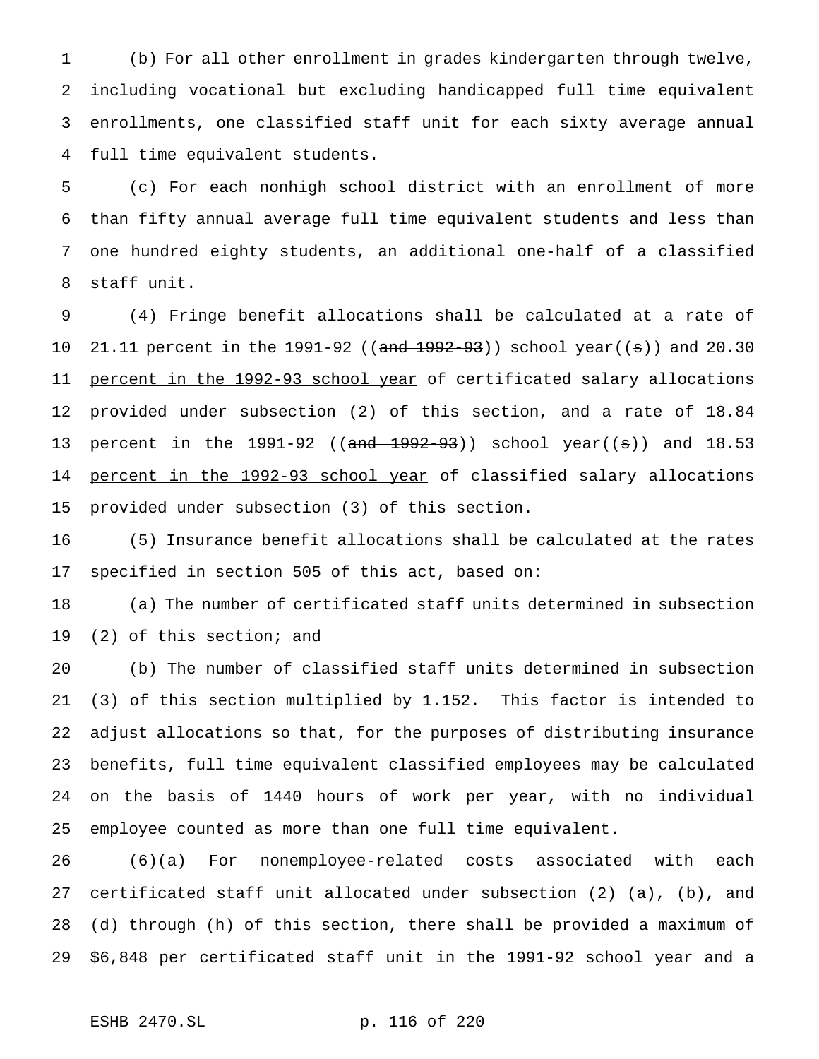(b) For all other enrollment in grades kindergarten through twelve, including vocational but excluding handicapped full time equivalent enrollments, one classified staff unit for each sixty average annual full time equivalent students.

 (c) For each nonhigh school district with an enrollment of more than fifty annual average full time equivalent students and less than one hundred eighty students, an additional one-half of a classified staff unit.

 (4) Fringe benefit allocations shall be calculated at a rate of 10 21.11 percent in the 1991-92 ((and 1992-93)) school year((s)) and 20.30 11 percent in the 1992-93 school year of certificated salary allocations provided under subsection (2) of this section, and a rate of 18.84 13 percent in the 1991-92 ((and 1992-93)) school year((s)) and 18.53 14 percent in the 1992-93 school year of classified salary allocations provided under subsection (3) of this section.

 (5) Insurance benefit allocations shall be calculated at the rates specified in section 505 of this act, based on:

 (a) The number of certificated staff units determined in subsection (2) of this section; and

 (b) The number of classified staff units determined in subsection (3) of this section multiplied by 1.152. This factor is intended to adjust allocations so that, for the purposes of distributing insurance benefits, full time equivalent classified employees may be calculated on the basis of 1440 hours of work per year, with no individual employee counted as more than one full time equivalent.

 (6)(a) For nonemployee-related costs associated with each certificated staff unit allocated under subsection (2) (a), (b), and (d) through (h) of this section, there shall be provided a maximum of \$6,848 per certificated staff unit in the 1991-92 school year and a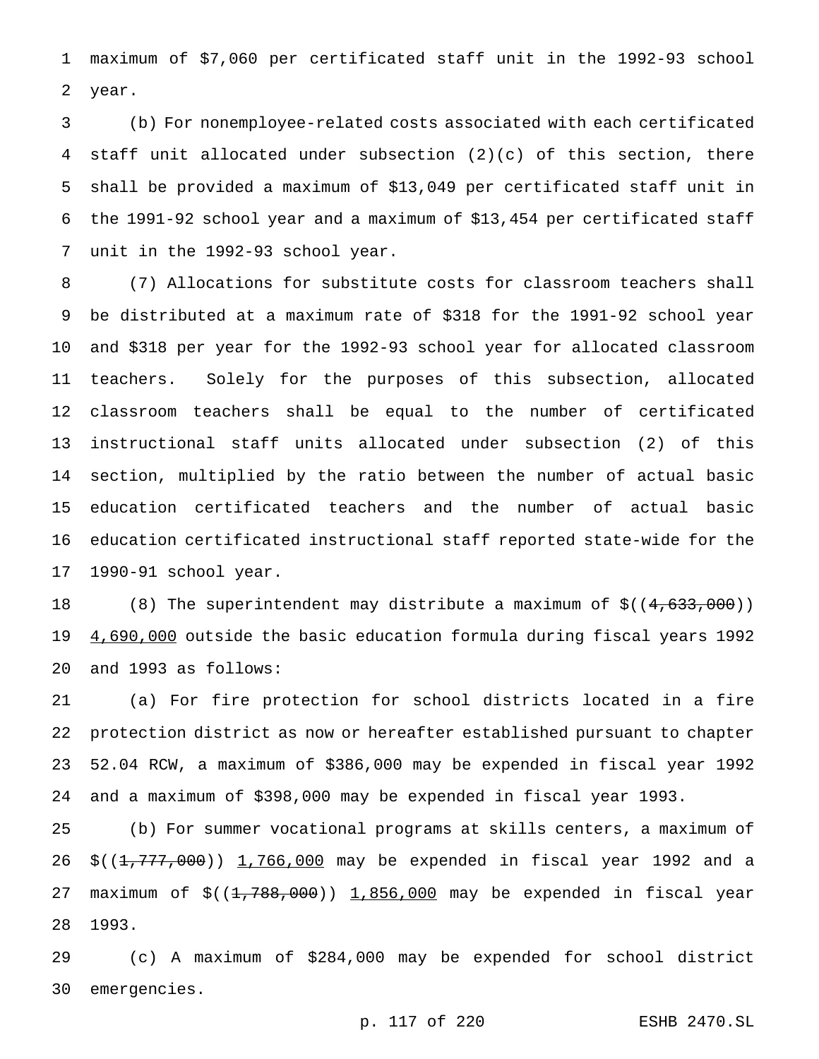maximum of \$7,060 per certificated staff unit in the 1992-93 school year.

 (b) For nonemployee-related costs associated with each certificated staff unit allocated under subsection (2)(c) of this section, there shall be provided a maximum of \$13,049 per certificated staff unit in the 1991-92 school year and a maximum of \$13,454 per certificated staff unit in the 1992-93 school year.

 (7) Allocations for substitute costs for classroom teachers shall be distributed at a maximum rate of \$318 for the 1991-92 school year and \$318 per year for the 1992-93 school year for allocated classroom teachers. Solely for the purposes of this subsection, allocated classroom teachers shall be equal to the number of certificated instructional staff units allocated under subsection (2) of this section, multiplied by the ratio between the number of actual basic education certificated teachers and the number of actual basic education certificated instructional staff reported state-wide for the 1990-91 school year.

18 (8) The superintendent may distribute a maximum of  $\frac{2}{3}((4, 633, 000))$  4,690,000 outside the basic education formula during fiscal years 1992 and 1993 as follows:

 (a) For fire protection for school districts located in a fire protection district as now or hereafter established pursuant to chapter 52.04 RCW, a maximum of \$386,000 may be expended in fiscal year 1992 and a maximum of \$398,000 may be expended in fiscal year 1993.

 (b) For summer vocational programs at skills centers, a maximum of 26 \$((<del>1,777,000</del>)) 1,766,000 may be expended in fiscal year 1992 and a 27 maximum of  $$((1,788,000) )$  1,856,000 may be expended in fiscal year 1993.

 (c) A maximum of \$284,000 may be expended for school district emergencies.

p. 117 of 220 ESHB 2470.SL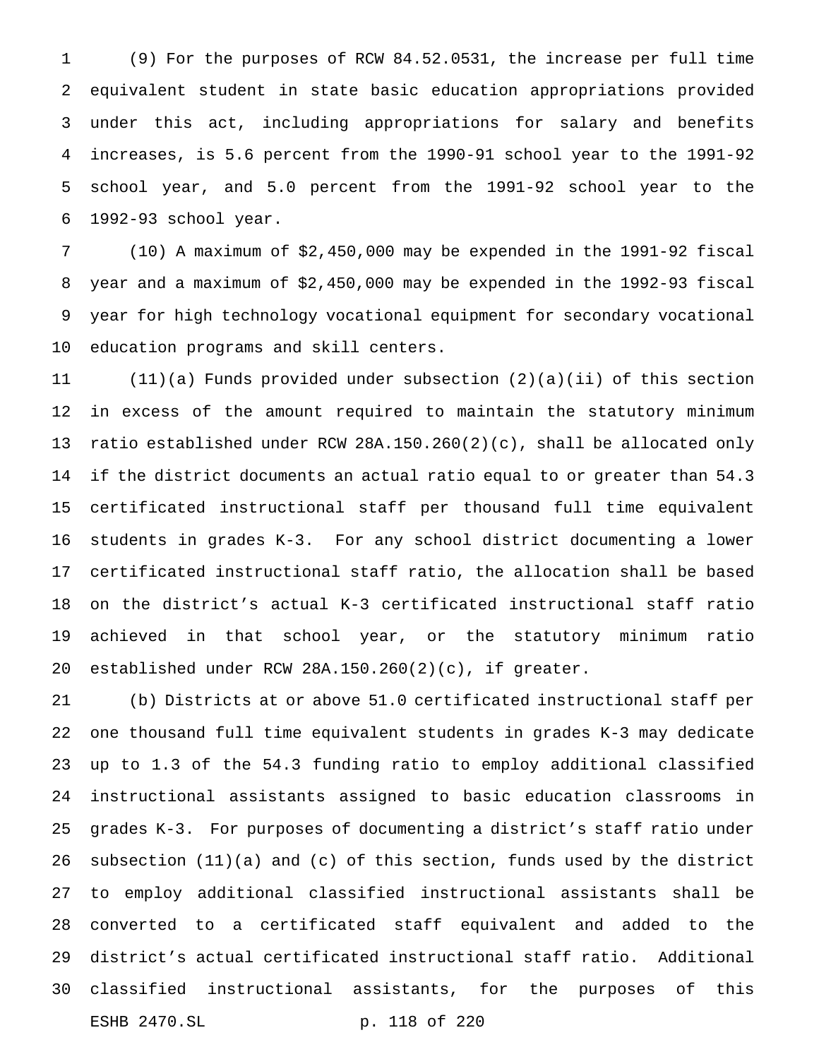(9) For the purposes of RCW 84.52.0531, the increase per full time equivalent student in state basic education appropriations provided under this act, including appropriations for salary and benefits increases, is 5.6 percent from the 1990-91 school year to the 1991-92 school year, and 5.0 percent from the 1991-92 school year to the 1992-93 school year.

 (10) A maximum of \$2,450,000 may be expended in the 1991-92 fiscal year and a maximum of \$2,450,000 may be expended in the 1992-93 fiscal year for high technology vocational equipment for secondary vocational education programs and skill centers.

 (11)(a) Funds provided under subsection (2)(a)(ii) of this section in excess of the amount required to maintain the statutory minimum ratio established under RCW 28A.150.260(2)(c), shall be allocated only if the district documents an actual ratio equal to or greater than 54.3 certificated instructional staff per thousand full time equivalent students in grades K-3. For any school district documenting a lower certificated instructional staff ratio, the allocation shall be based on the district's actual K-3 certificated instructional staff ratio achieved in that school year, or the statutory minimum ratio established under RCW 28A.150.260(2)(c), if greater.

 (b) Districts at or above 51.0 certificated instructional staff per one thousand full time equivalent students in grades K-3 may dedicate up to 1.3 of the 54.3 funding ratio to employ additional classified instructional assistants assigned to basic education classrooms in grades K-3. For purposes of documenting a district's staff ratio under subsection (11)(a) and (c) of this section, funds used by the district to employ additional classified instructional assistants shall be converted to a certificated staff equivalent and added to the district's actual certificated instructional staff ratio. Additional classified instructional assistants, for the purposes of this ESHB 2470.SL p. 118 of 220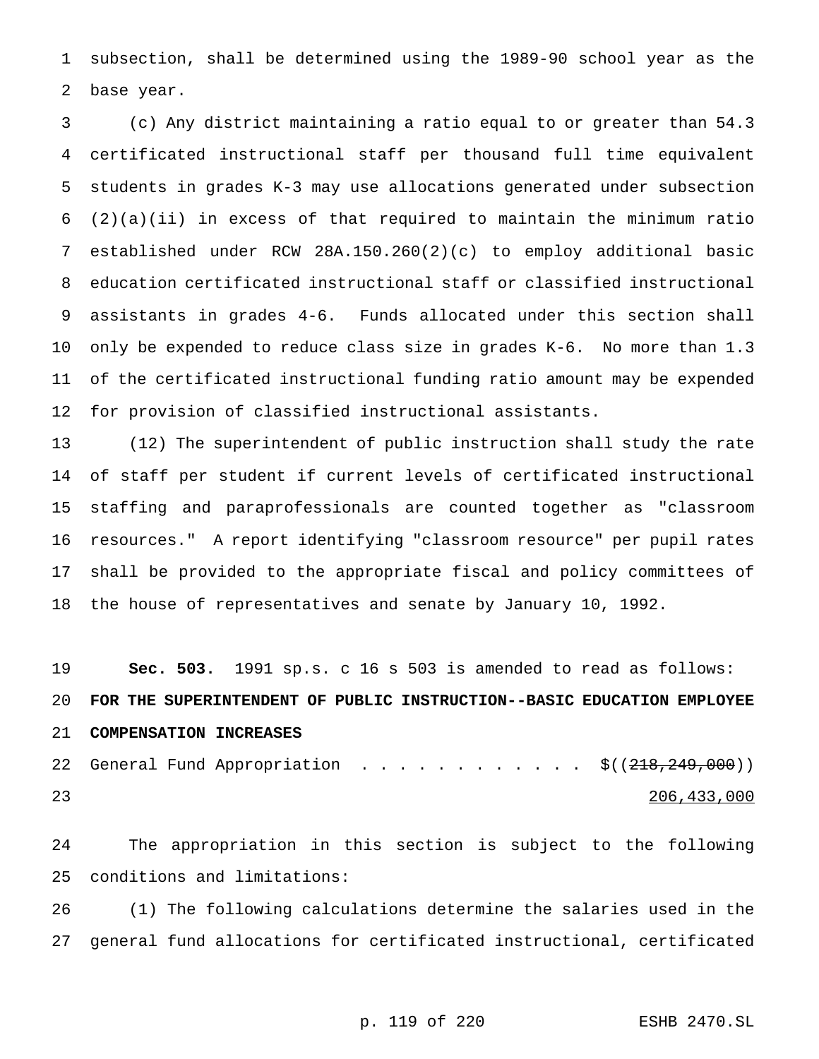subsection, shall be determined using the 1989-90 school year as the base year.

 (c) Any district maintaining a ratio equal to or greater than 54.3 certificated instructional staff per thousand full time equivalent students in grades K-3 may use allocations generated under subsection  $(2)(a)(ii)$  in excess of that required to maintain the minimum ratio established under RCW 28A.150.260(2)(c) to employ additional basic education certificated instructional staff or classified instructional assistants in grades 4-6. Funds allocated under this section shall only be expended to reduce class size in grades K-6. No more than 1.3 of the certificated instructional funding ratio amount may be expended for provision of classified instructional assistants.

 (12) The superintendent of public instruction shall study the rate of staff per student if current levels of certificated instructional staffing and paraprofessionals are counted together as "classroom resources." A report identifying "classroom resource" per pupil rates shall be provided to the appropriate fiscal and policy committees of the house of representatives and senate by January 10, 1992.

 **Sec. 503.** 1991 sp.s. c 16 s 503 is amended to read as follows: **FOR THE SUPERINTENDENT OF PUBLIC INSTRUCTION--BASIC EDUCATION EMPLOYEE COMPENSATION INCREASES** 22 General Fund Appropriation . . . . . . . . . . . . \$((218,249,000)) 206,433,000

 The appropriation in this section is subject to the following conditions and limitations:

 (1) The following calculations determine the salaries used in the general fund allocations for certificated instructional, certificated

p. 119 of 220 ESHB 2470.SL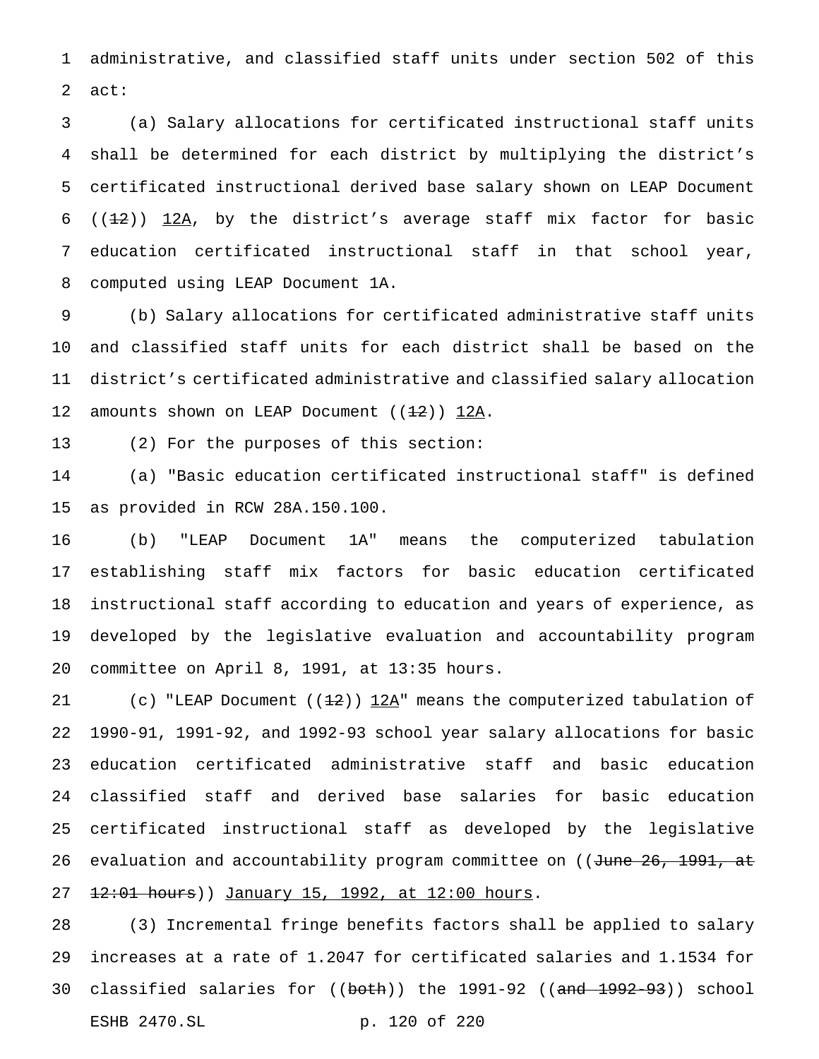administrative, and classified staff units under section 502 of this act:

 (a) Salary allocations for certificated instructional staff units shall be determined for each district by multiplying the district's certificated instructional derived base salary shown on LEAP Document 6 ( $(1-2)$ )  $12A$ , by the district's average staff mix factor for basic education certificated instructional staff in that school year, computed using LEAP Document 1A.

 (b) Salary allocations for certificated administrative staff units and classified staff units for each district shall be based on the district's certificated administrative and classified salary allocation 12 amounts shown on LEAP Document  $((12))$  12A.

(2) For the purposes of this section:

 (a) "Basic education certificated instructional staff" is defined as provided in RCW 28A.150.100.

 (b) "LEAP Document 1A" means the computerized tabulation establishing staff mix factors for basic education certificated instructional staff according to education and years of experience, as developed by the legislative evaluation and accountability program committee on April 8, 1991, at 13:35 hours.

21 (c) "LEAP Document  $(1\frac{1}{2})$  12A" means the computerized tabulation of 1990-91, 1991-92, and 1992-93 school year salary allocations for basic education certificated administrative staff and basic education classified staff and derived base salaries for basic education certificated instructional staff as developed by the legislative 26 evaluation and accountability program committee on ((June 26, 1991, at 27 12:01 hours)) January 15, 1992, at 12:00 hours.

 (3) Incremental fringe benefits factors shall be applied to salary increases at a rate of 1.2047 for certificated salaries and 1.1534 for 30 classified salaries for ((both)) the 1991-92 ((and 1992-93)) school ESHB 2470.SL p. 120 of 220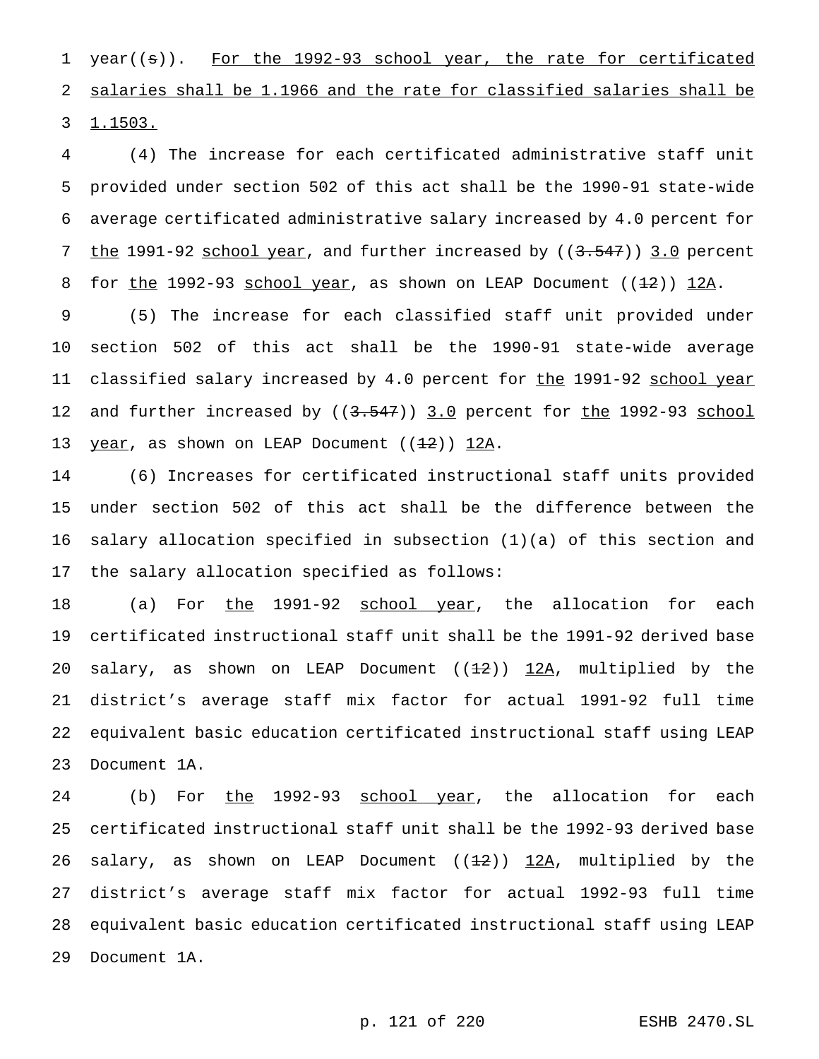1 year((s)). For the 1992-93 school year, the rate for certificated 2 salaries shall be 1.1966 and the rate for classified salaries shall be 3 1.1503.

4 (4) The increase for each certificated administrative staff unit 5 provided under section 502 of this act shall be the 1990-91 state-wide 6 average certificated administrative salary increased by 4.0 percent for 7 the 1991-92 school year, and further increased by ((3.547)) 3.0 percent 8 for the 1992-93 school year, as shown on LEAP Document  $(1+2)$ ) 12A.

9 (5) The increase for each classified staff unit provided under 10 section 502 of this act shall be the 1990-91 state-wide average 11 classified salary increased by 4.0 percent for the 1991-92 school year 12 and further increased by ((3.547)) 3.0 percent for the 1992-93 school 13 year, as shown on LEAP Document  $((12))$  12A.

 (6) Increases for certificated instructional staff units provided under section 502 of this act shall be the difference between the salary allocation specified in subsection (1)(a) of this section and the salary allocation specified as follows:

18 (a) For the 1991-92 school year, the allocation for each certificated instructional staff unit shall be the 1991-92 derived base 20 salary, as shown on LEAP Document  $((12))$  12A, multiplied by the district's average staff mix factor for actual 1991-92 full time equivalent basic education certificated instructional staff using LEAP Document 1A.

24 (b) For the 1992-93 school year, the allocation for each certificated instructional staff unit shall be the 1992-93 derived base 26 salary, as shown on LEAP Document  $((12))$  12A, multiplied by the district's average staff mix factor for actual 1992-93 full time equivalent basic education certificated instructional staff using LEAP Document 1A.

p. 121 of 220 ESHB 2470.SL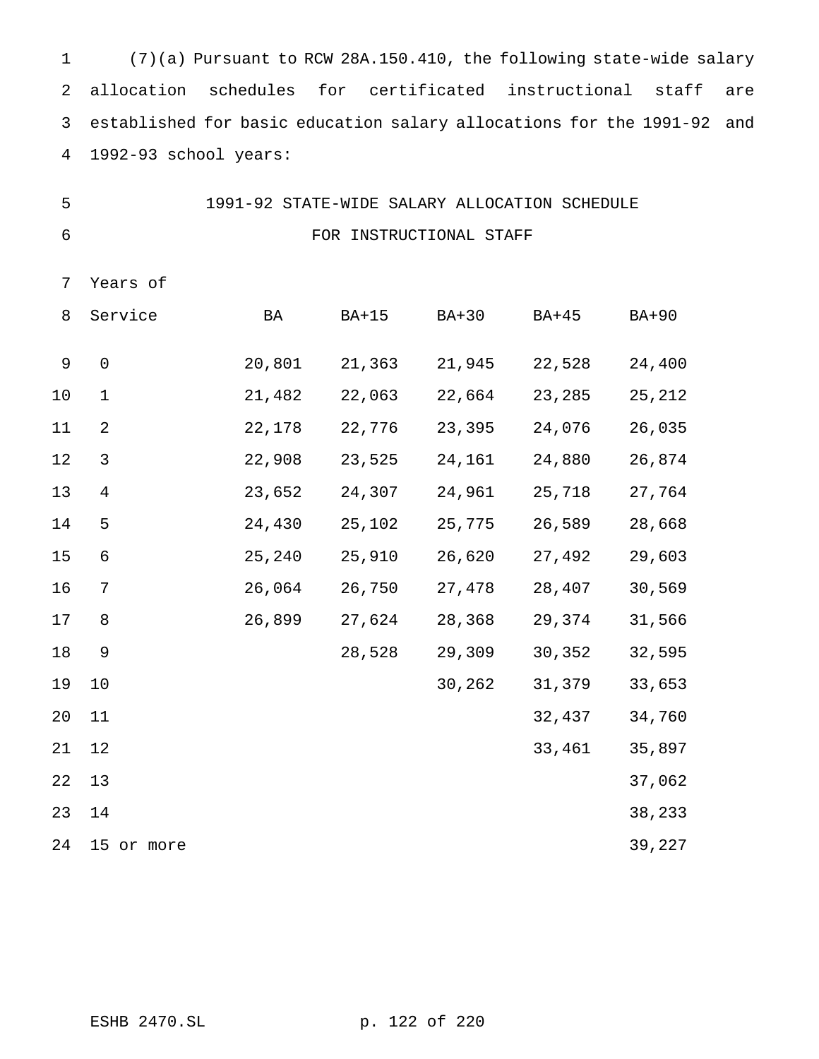(7)(a) Pursuant to RCW 28A.150.410, the following state-wide salary allocation schedules for certificated instructional staff are established for basic education salary allocations for the 1991-92 and 1992-93 school years:

| -5 |  | 1991-92 STATE-WIDE SALARY ALLOCATION SCHEDULE |  |
|----|--|-----------------------------------------------|--|
|    |  | FOR INSTRUCTIONAL STAFF                       |  |

Years of

| 8           | Service             | BA     | $BA+15$ | <b>BA+30</b> | <b>BA+45</b> | <b>BA+90</b> |
|-------------|---------------------|--------|---------|--------------|--------------|--------------|
| $\mathsf 9$ | $\mathsf{O}\xspace$ | 20,801 | 21,363  | 21,945       | 22,528       | 24,400       |
| 10          | $\mathbf 1$         | 21,482 | 22,063  | 22,664       | 23,285       | 25,212       |
| 11          | $\overline{2}$      | 22,178 | 22,776  | 23,395       | 24,076       | 26,035       |
| 12          | $\mathsf{3}$        | 22,908 | 23,525  | 24,161       | 24,880       | 26,874       |
| 13          | $\overline{4}$      | 23,652 | 24,307  | 24,961       | 25,718       | 27,764       |
| 14          | 5                   | 24,430 | 25,102  | 25,775       | 26,589       | 28,668       |
| $15$        | $\epsilon$          | 25,240 | 25,910  | 26,620       | 27,492       | 29,603       |
| 16          | 7                   | 26,064 | 26,750  | 27,478       | 28,407       | 30,569       |
| 17          | 8                   | 26,899 | 27,624  | 28,368       | 29,374       | 31,566       |
| $18\,$      | $\mathsf 9$         |        | 28,528  | 29,309       | 30,352       | 32,595       |
| 19          | 10                  |        |         | 30,262       | 31,379       | 33,653       |
| 20          | 11                  |        |         |              | 32,437       | 34,760       |
| 21          | 12                  |        |         |              | 33,461       | 35,897       |
| 22          | 13                  |        |         |              |              | 37,062       |
| 23          | 14                  |        |         |              |              | 38,233       |
| 24          | 15 or more          |        |         |              |              | 39,227       |

ESHB 2470.SL p. 122 of 220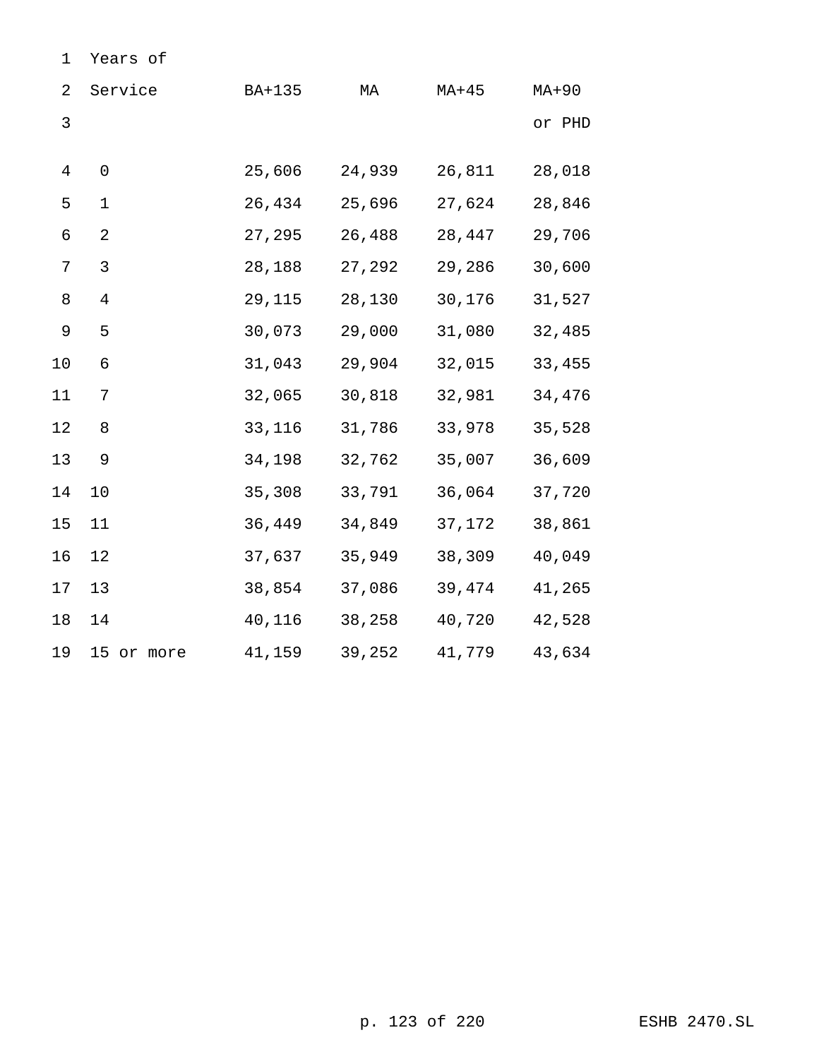| 2       | Service             | BA+135 | МA     | $MA+45$ | $MA+90$ |
|---------|---------------------|--------|--------|---------|---------|
| 3       |                     |        |        |         | or PHD  |
|         |                     |        |        |         |         |
| 4       | $\mathsf{O}\xspace$ | 25,606 | 24,939 | 26,811  | 28,018  |
| 5       | $\mathbf 1$         | 26,434 | 25,696 | 27,624  | 28,846  |
| 6       | $\overline{2}$      | 27,295 | 26,488 | 28,447  | 29,706  |
| 7       | 3                   | 28,188 | 27,292 | 29,286  | 30,600  |
| $\,8\,$ | $\overline{4}$      | 29,115 | 28,130 | 30,176  | 31,527  |
| 9       | 5                   | 30,073 | 29,000 | 31,080  | 32,485  |
| 10      | 6                   | 31,043 | 29,904 | 32,015  | 33,455  |
| 11      | 7                   | 32,065 | 30,818 | 32,981  | 34,476  |
| $12\,$  | 8                   | 33,116 | 31,786 | 33,978  | 35,528  |
| 13      | 9                   | 34,198 | 32,762 | 35,007  | 36,609  |
| 14      | 10                  | 35,308 | 33,791 | 36,064  | 37,720  |
| 15      | 11                  | 36,449 | 34,849 | 37,172  | 38,861  |
| 16      | 12                  | 37,637 | 35,949 | 38,309  | 40,049  |
| 17      | 13                  | 38,854 | 37,086 | 39,474  | 41,265  |
| 18      | 14                  | 40,116 | 38,258 | 40,720  | 42,528  |
| 19      | 15 or more          | 41,159 | 39,252 | 41,779  | 43,634  |

Years of

p. 123 of 220 ESHB 2470.SL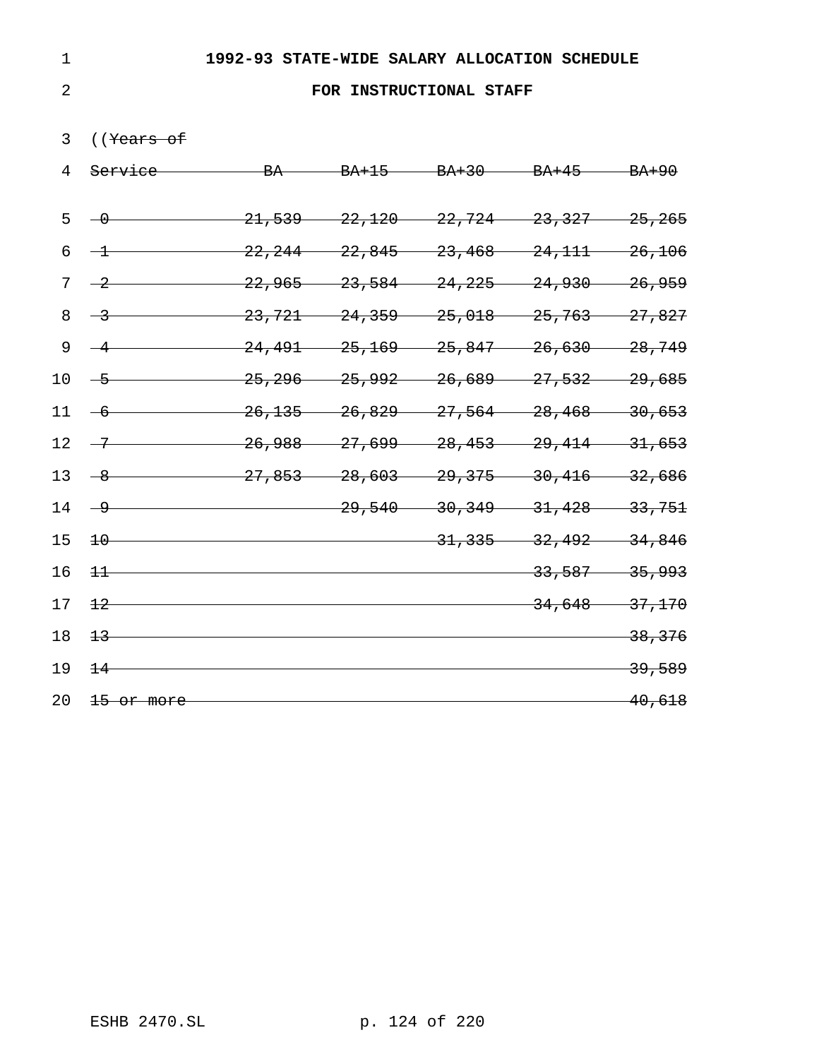## **FOR INSTRUCTIONAL STAFF**

# ((Years of

| 4               | <del>Service -</del>  |                                                                                                 | BA BA+15 BA+30 BA+45 BA+90                        |                                     |                   |
|-----------------|-----------------------|-------------------------------------------------------------------------------------------------|---------------------------------------------------|-------------------------------------|-------------------|
| $5 -$           | $-0$                  |                                                                                                 | $21,539$ $22,120$ $22,724$ $23,327$ $25,265$      |                                     |                   |
| 6               | $\frac{1}{\sqrt{1}}$  |                                                                                                 | $22, 244$ $22, 845$ $23, 468$ $24, 111$ $26, 106$ |                                     |                   |
| 7               | $-2$                  |                                                                                                 | $22,965$ $23,584$ $24,225$ $24,930$ $26,959$      |                                     |                   |
| 8               | $\rightarrow$         | 23,721                                                                                          |                                                   | $24,359$ $25,018$ $25,763$ $27,827$ |                   |
| 9               | $-4$                  |                                                                                                 | $24,491$ $25,169$ $25,847$ $26,630$ $28,749$      |                                     |                   |
| 10 <sup>°</sup> | $-5$                  | $25,296$ —                                                                                      |                                                   | $25,992$ $26,689$ $27,532$ $29,685$ |                   |
|                 | $11 - 6$              | 26, 135                                                                                         |                                                   | $26,829$ $27,564$ $28,468$ $30,653$ |                   |
| 12 <sup>°</sup> | $-7$                  |                                                                                                 | $-26,988$ $-27,699$ $-28,453$ $-29,414$ $-31,653$ |                                     |                   |
| 13              | $-8$                  | $\frac{27,853}{27,853}$ $\frac{28,603}{29,375}$ $\frac{30,416}{29,416}$ $\frac{32,686}{29,416}$ |                                                   |                                     |                   |
| 14              | <u>g</u>              |                                                                                                 |                                                   | $29,540$ $30,349$ $31,428$ $33,751$ |                   |
| 15              | $\pm 0$               |                                                                                                 |                                                   | $31,335$ $32,492$ $34,846$          |                   |
| 16              | $\pm\pm$              |                                                                                                 |                                                   | $-33,587$ 35,993                    |                   |
| 17              | $\pm 2$               |                                                                                                 |                                                   | $34,648 - 37,170$                   |                   |
| 18              | $+3$                  |                                                                                                 |                                                   |                                     | 38, 376           |
| 19              | $+4$                  |                                                                                                 |                                                   |                                     | <del>39,589</del> |
| 20              | <del>15 or more</del> |                                                                                                 |                                                   |                                     | 40,618            |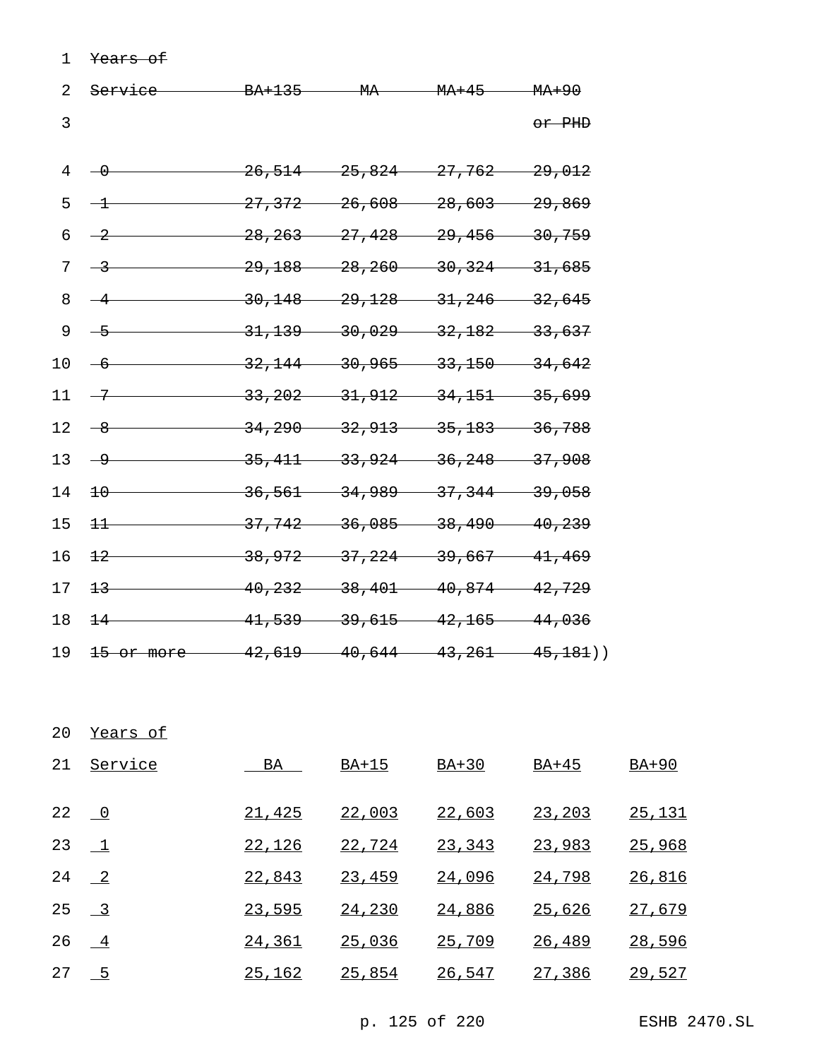Years of

| 2  | <del>Service</del>    |                                                  |                     | BA+135 MA MA+45 MA+90                     |                   |
|----|-----------------------|--------------------------------------------------|---------------------|-------------------------------------------|-------------------|
| 3  |                       |                                                  |                     |                                           | or PHD            |
| 4  | $-\theta$             | 26,514                                           |                     | $-25,824$ $-27,762$ $-29,012$             |                   |
| 5  | $-1$                  | 27,372                                           |                     | $-26,608$ $-28,603$                       | <del>29,869</del> |
| б  | $\rightarrow$         | 28, 263                                          | 27,428              | $-29,456$                                 | $-30,759$         |
| 7  | $\rightarrow$         |                                                  | $29,188$ $28,260$   | $-30,324$                                 | $-31,685$         |
| 8  | $-4$                  |                                                  |                     | $30,148$ $29,128$ $31,246$                | $-32,645$         |
| 9  | $-5$                  |                                                  | $31,139$ $30,029$   | $-32, 182$                                | <del>33,637</del> |
| 10 | $-6$                  |                                                  |                     | $32,144$ $30,965$ $33,150$                | $-34,642$         |
| 11 | $-7$                  |                                                  |                     | $33,202$ $31,912$ $34,151$                | <del>35,699</del> |
| 12 | <u>8</u>              |                                                  |                     | $34,290$ $32,913$ $35,183$ $36,788$       |                   |
| 13 | $-9$                  |                                                  |                     | $35,411$ $33,924$ $36,248$ $37,908$       |                   |
| 14 | $+0$                  | 36,561                                           | <del>34,989 —</del> | $-37, 344$                                | <del>39,058</del> |
| 15 | $+$                   | 37,742                                           |                     | $36,085$ $38,490$                         | $-40, 239$        |
| 16 | $+2$                  | 38,972                                           | 37,224              | 39,667                                    | $-41, 469$        |
| 17 | $+3-$                 |                                                  |                     | $-40, 232$ $-38, 401$ $40, 874$ $42, 729$ |                   |
| 18 | $+4$                  | $-41,539$ $39,615$ $42,165$ $44,036$             |                     |                                           |                   |
| 19 | <del>15 or more</del> | $\frac{42,619}{40,644}$ $\frac{43,261}{45,181})$ |                     |                                           |                   |

Years of

| 21            | <u>Service</u>   | BA     | BA+15  | $BA+30$ | BA+45         | $BA+90$ |
|---------------|------------------|--------|--------|---------|---------------|---------|
| 22 $\sqrt{0}$ |                  | 21,425 | 22,003 | 22,603  | 23,203        | 25,131  |
|               | 23 $1$           | 22,126 | 22,724 | 23,343  | 23,983        | 25,968  |
|               | 24 $\frac{2}{ }$ | 22,843 | 23,459 | 24,096  | <u>24,798</u> | 26,816  |
|               | 25 $-3$          | 23,595 | 24,230 | 24,886  | 25,626        | 27,679  |
| 26            | $\overline{4}$   | 24,361 | 25,036 | 25,709  | 26,489        | 28,596  |
| 27            | $-5$             | 25,162 | 25,854 | 26,547  | 27,386        | 29,527  |

p. 125 of 220 ESHB 2470.SL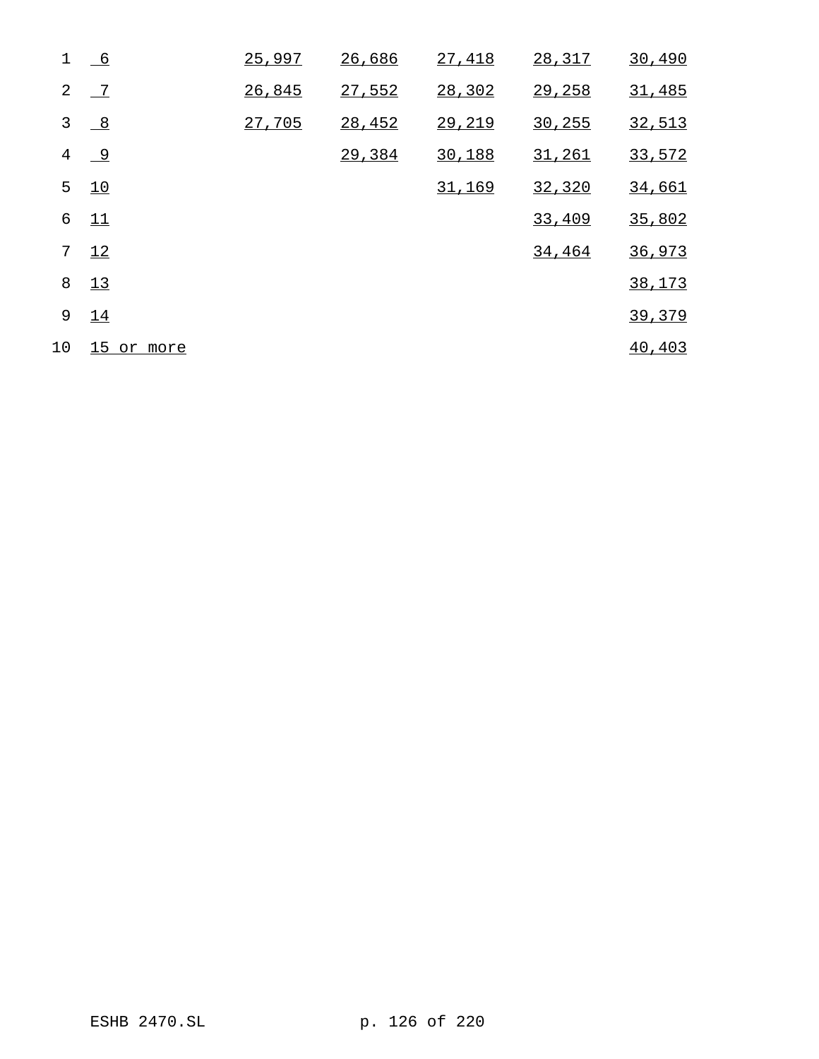| $\mathbf 1$ | 6              | 25,997 | 26,686 | 27,418 | 28,317  | 30,490  |
|-------------|----------------|--------|--------|--------|---------|---------|
| 2           | $-7$           | 26,845 | 27,552 | 28,302 | 29,258  | 31,485  |
| 3           | $\frac{8}{1}$  | 27,705 | 28,452 | 29,219 | 30, 255 | 32,513  |
| 4           | $\overline{9}$ |        | 29,384 | 30,188 | 31,261  | 33,572  |
| 5           | 10             |        |        | 31,169 | 32,320  | 34,661  |
| 6           | 11             |        |        |        | 33,409  | 35,802  |
| 7           | 12             |        |        |        | 34,464  | 36,973  |
| 8           | 13             |        |        |        |         | 38,173  |
| 9           | 14             |        |        |        |         | 39,379  |
| 10          | 15 or more     |        |        |        |         | 40, 403 |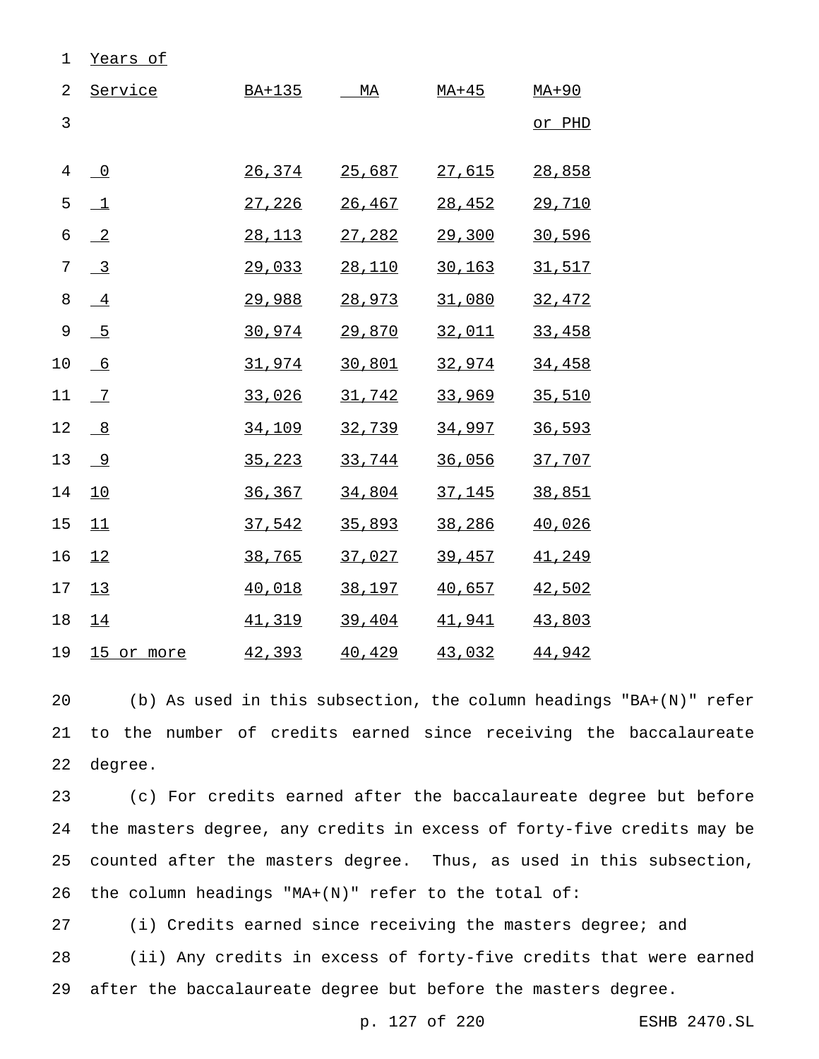| 1              | Years of                  |               |        |         |         |
|----------------|---------------------------|---------------|--------|---------|---------|
| $\overline{2}$ | Service                   | <u>BA+135</u> | MA     | $MA+45$ | $MA+90$ |
| $\overline{3}$ |                           |               |        |         | or PHD  |
| $\overline{4}$ | $\overline{\phantom{0}}$  | 26,374        | 25,687 | 27,615  | 28,858  |
| 5              | $\perp$                   | 27,226        | 26,467 | 28,452  | 29,710  |
| $\epsilon$     | $\overline{-2}$           | 28,113        | 27,282 | 29,300  | 30,596  |
| 7              | $\overline{\phantom{0}3}$ | 29,033        | 28,110 | 30, 163 | 31,517  |
| 8              | $-4$                      | 29,988        | 28,973 | 31,080  | 32,472  |
| 9              | $-5$                      | 30,974        | 29,870 | 32,011  | 33,458  |
| 10             | $-6$                      | 31,974        | 30,801 | 32,974  | 34,458  |
| 11             | $\overline{2}$            | 33,026        | 31,742 | 33,969  | 35,510  |
| 12             | $\frac{8}{1}$             | 34,109        | 32,739 | 34,997  | 36,593  |
| 13             | 9                         | 35,223        | 33,744 | 36,056  | 37,707  |
| 14             | 10                        | 36,367        | 34,804 | 37,145  | 38,851  |
| 15             | 11                        | 37,542        | 35,893 | 38,286  | 40,026  |
| 16             | 12                        | 38,765        | 37,027 | 39,457  | 41,249  |
| 17             | 13                        | 40,018        | 38,197 | 40,657  | 42,502  |
| 18             | 14                        | 41,319        | 39,404 | 41,941  | 43,803  |
| 19             | 15 or more                | 42,393        | 40,429 | 43,032  | 44,942  |

 (b) As used in this subsection, the column headings "BA+(N)" refer to the number of credits earned since receiving the baccalaureate degree.

 (c) For credits earned after the baccalaureate degree but before the masters degree, any credits in excess of forty-five credits may be counted after the masters degree. Thus, as used in this subsection, the column headings "MA+(N)" refer to the total of:

 (i) Credits earned since receiving the masters degree; and (ii) Any credits in excess of forty-five credits that were earned after the baccalaureate degree but before the masters degree.

p. 127 of 220 ESHB 2470.SL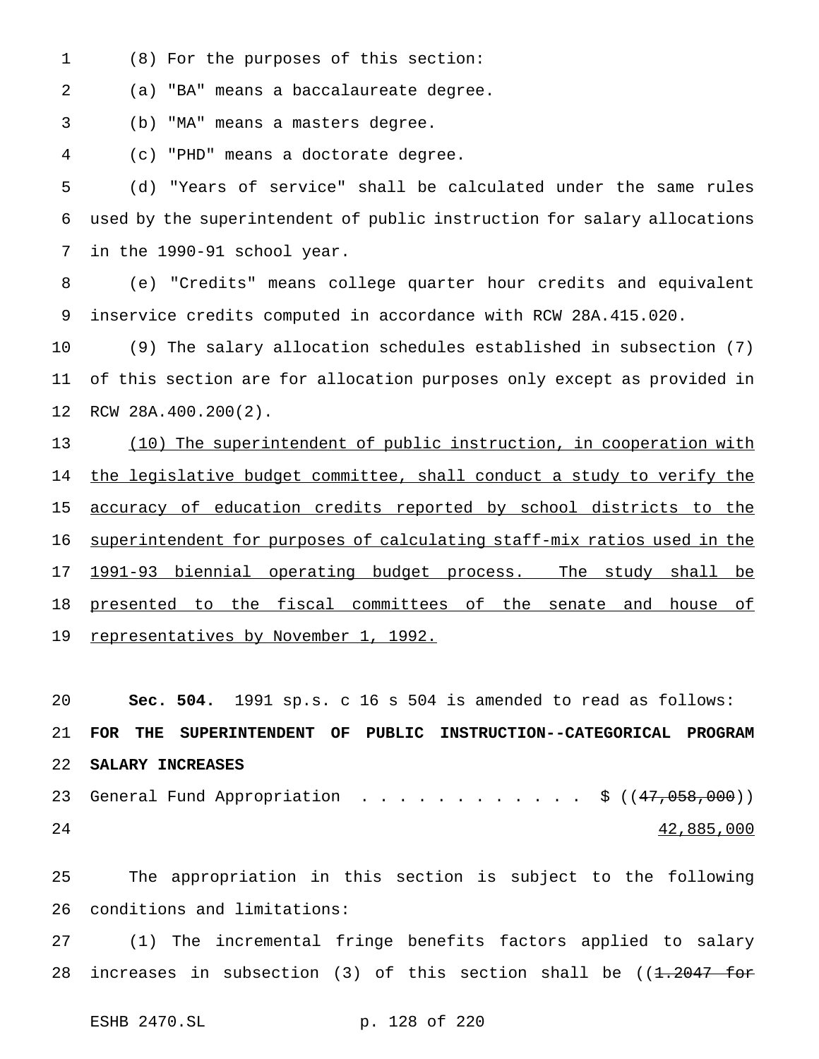(8) For the purposes of this section:

(a) "BA" means a baccalaureate degree.

(b) "MA" means a masters degree.

(c) "PHD" means a doctorate degree.

 (d) "Years of service" shall be calculated under the same rules used by the superintendent of public instruction for salary allocations in the 1990-91 school year.

 (e) "Credits" means college quarter hour credits and equivalent inservice credits computed in accordance with RCW 28A.415.020.

 (9) The salary allocation schedules established in subsection (7) of this section are for allocation purposes only except as provided in RCW 28A.400.200(2).

 (10) The superintendent of public instruction, in cooperation with 14 the legislative budget committee, shall conduct a study to verify the accuracy of education credits reported by school districts to the superintendent for purposes of calculating staff-mix ratios used in the 1991-93 biennial operating budget process. The study shall be presented to the fiscal committees of the senate and house of 19 representatives by November 1, 1992.

 **Sec. 504.** 1991 sp.s. c 16 s 504 is amended to read as follows: **FOR THE SUPERINTENDENT OF PUBLIC INSTRUCTION--CATEGORICAL PROGRAM SALARY INCREASES**

23 General Fund Appropriation . . . . . . . . . . . \$ ((47,058,000)) 42,885,000

 The appropriation in this section is subject to the following conditions and limitations:

 (1) The incremental fringe benefits factors applied to salary 28 increases in subsection (3) of this section shall be  $((1.2047 - for$ 

```
ESHB 2470.SL p. 128 of 220
```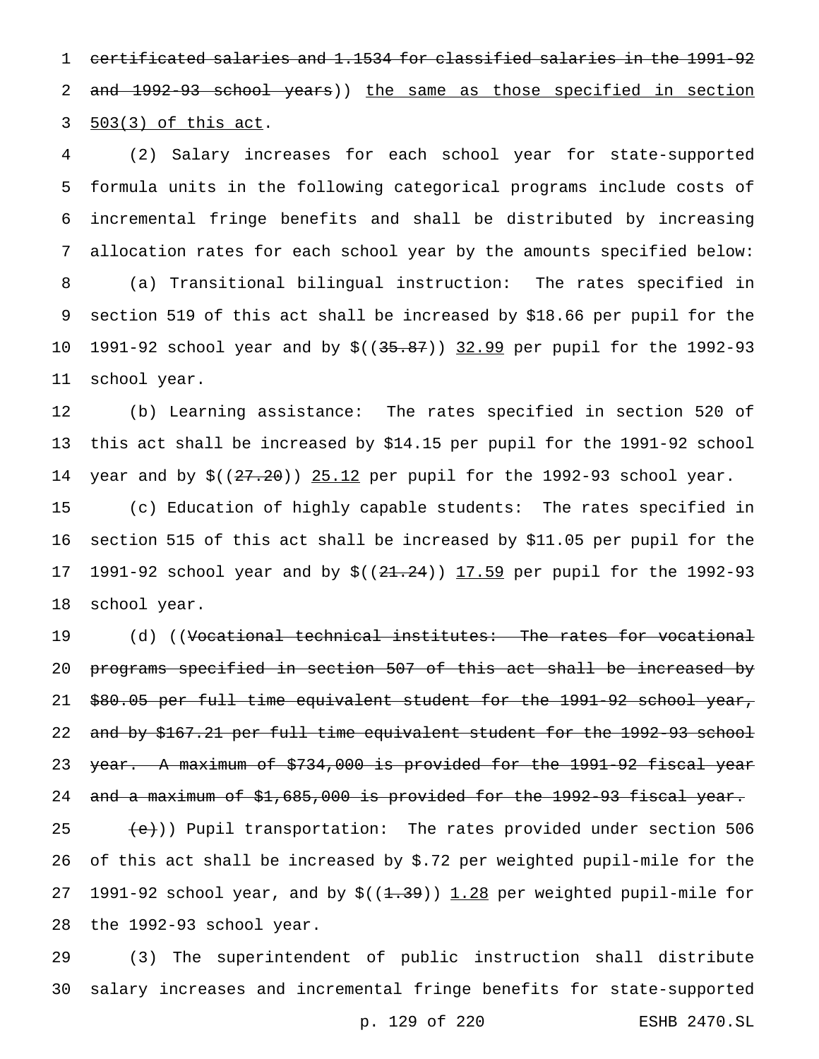certificated salaries and 1.1534 for classified salaries in the 1991-92 2 and 1992-93 school years)) the same as those specified in section 503(3) of this act.

 (2) Salary increases for each school year for state-supported formula units in the following categorical programs include costs of incremental fringe benefits and shall be distributed by increasing allocation rates for each school year by the amounts specified below: (a) Transitional bilingual instruction: The rates specified in section 519 of this act shall be increased by \$18.66 per pupil for the 1991-92 school year and by \$((35.87)) 32.99 per pupil for the 1992-93 school year.

 (b) Learning assistance: The rates specified in section 520 of this act shall be increased by \$14.15 per pupil for the 1991-92 school 14 year and by  $$((27.20))$   $25.12$  per pupil for the 1992-93 school year.

 (c) Education of highly capable students: The rates specified in section 515 of this act shall be increased by \$11.05 per pupil for the 17 1991-92 school year and by \$((21.24)) 17.59 per pupil for the 1992-93 school year.

19 (d) ((<del>Vocational technical institutes: The rates for vocational</del> programs specified in section 507 of this act shall be increased by \$80.05 per full time equivalent student for the 1991-92 school year, and by \$167.21 per full time equivalent student for the 1992-93 school 23 year. A maximum of \$734,000 is provided for the 1991-92 fiscal year 24 and a maximum of \$1,685,000 is provided for the 1992-93 fiscal year.

 $\leftarrow$  (e)) Pupil transportation: The rates provided under section 506 of this act shall be increased by \$.72 per weighted pupil-mile for the 27 1991-92 school year, and by  $\frac{\xi(1.39)}{1.28}$  per weighted pupil-mile for the 1992-93 school year.

 (3) The superintendent of public instruction shall distribute salary increases and incremental fringe benefits for state-supported

p. 129 of 220 ESHB 2470.SL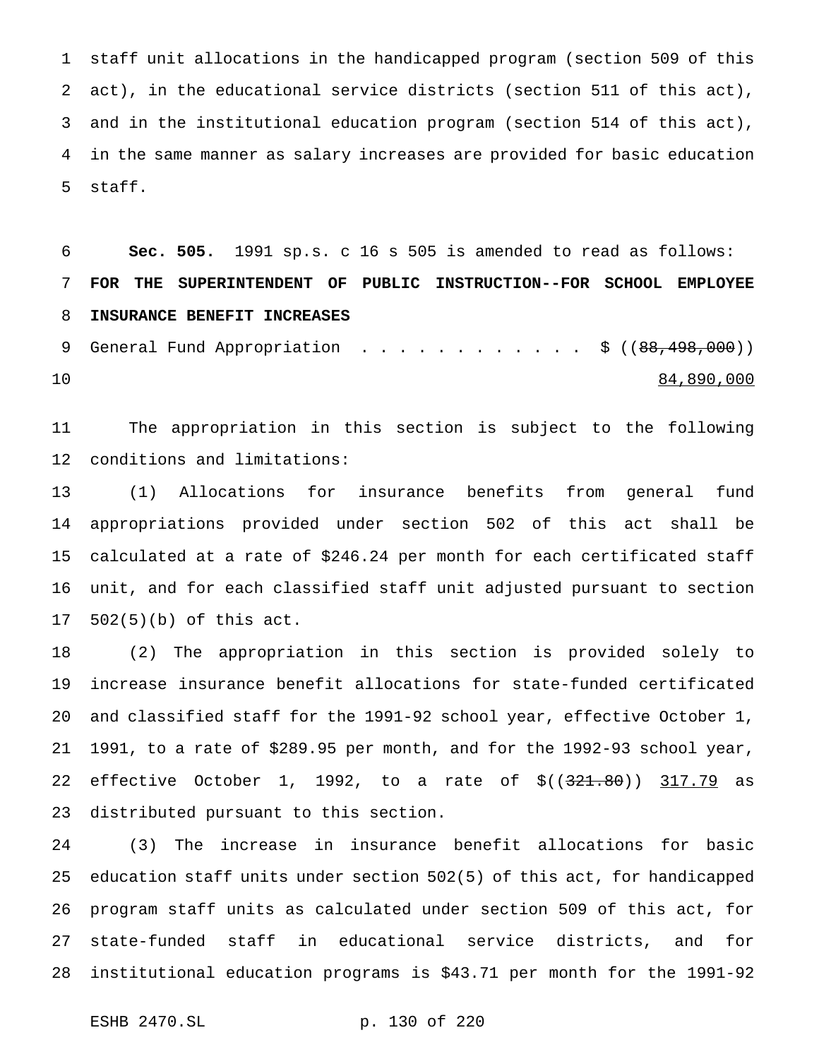staff unit allocations in the handicapped program (section 509 of this act), in the educational service districts (section 511 of this act), and in the institutional education program (section 514 of this act), in the same manner as salary increases are provided for basic education staff.

 **Sec. 505.** 1991 sp.s. c 16 s 505 is amended to read as follows: **FOR THE SUPERINTENDENT OF PUBLIC INSTRUCTION--FOR SCHOOL EMPLOYEE INSURANCE BENEFIT INCREASES**

9 General Fund Appropriation . . . . . . . . . . . \$ ((88,498,000)) 84,890,000

 The appropriation in this section is subject to the following conditions and limitations:

 (1) Allocations for insurance benefits from general fund appropriations provided under section 502 of this act shall be calculated at a rate of \$246.24 per month for each certificated staff unit, and for each classified staff unit adjusted pursuant to section 502(5)(b) of this act.

 (2) The appropriation in this section is provided solely to increase insurance benefit allocations for state-funded certificated and classified staff for the 1991-92 school year, effective October 1, 1991, to a rate of \$289.95 per month, and for the 1992-93 school year, 22 effective October 1, 1992, to a rate of \$((321.80)) 317.79 as distributed pursuant to this section.

 (3) The increase in insurance benefit allocations for basic education staff units under section 502(5) of this act, for handicapped program staff units as calculated under section 509 of this act, for state-funded staff in educational service districts, and for institutional education programs is \$43.71 per month for the 1991-92

ESHB 2470.SL p. 130 of 220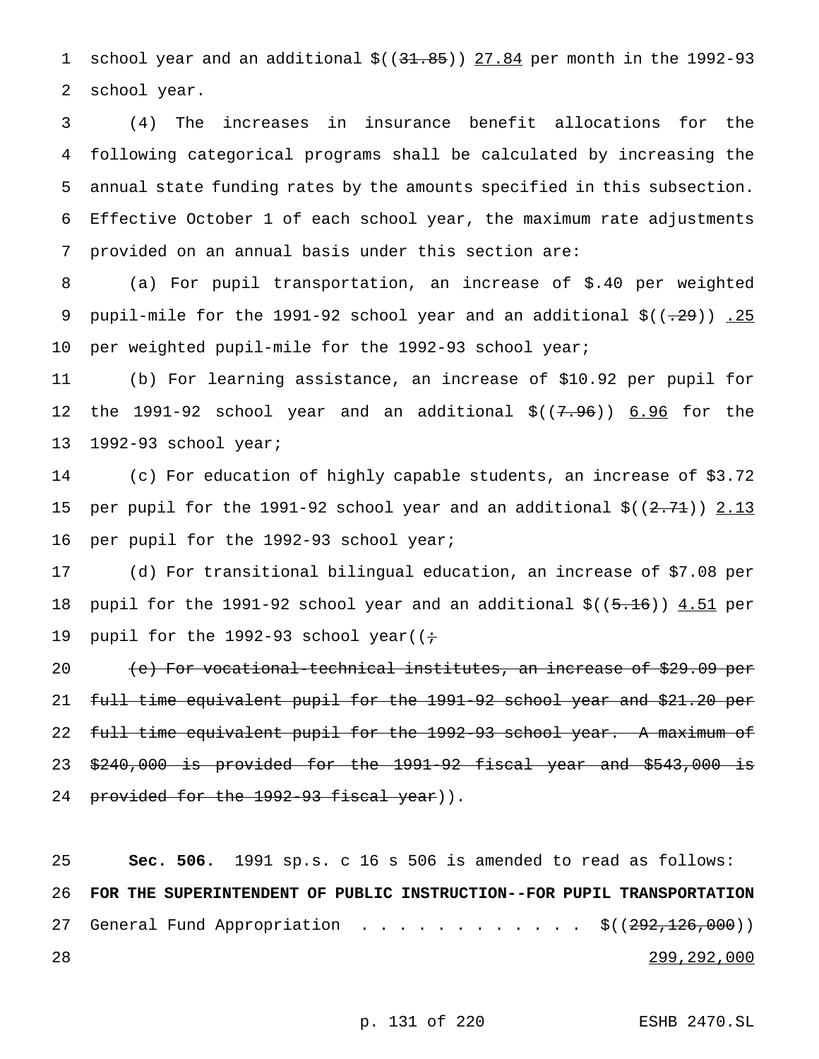1 school year and an additional  $$((31.85))$   $27.84$  per month in the 1992-93 school year.

 (4) The increases in insurance benefit allocations for the following categorical programs shall be calculated by increasing the annual state funding rates by the amounts specified in this subsection. Effective October 1 of each school year, the maximum rate adjustments provided on an annual basis under this section are:

 (a) For pupil transportation, an increase of \$.40 per weighted 9 pupil-mile for the 1991-92 school year and an additional  $\zeta((-29))$  . 25 10 per weighted pupil-mile for the 1992-93 school year;

 (b) For learning assistance, an increase of \$10.92 per pupil for the 1991-92 school year and an additional \$((7.96)) 6.96 for the 1992-93 school year;

 (c) For education of highly capable students, an increase of \$3.72 15 per pupil for the 1991-92 school year and an additional  $\zeta((2.71))$  2.13 per pupil for the 1992-93 school year;

 (d) For transitional bilingual education, an increase of \$7.08 per 18 pupil for the 1991-92 school year and an additional \$((5.16)) 4.51 per 19 pupil for the 1992-93 school year( $(i+$ 

20 (e) For vocational-technical institutes, an increase of \$29.09 per full time equivalent pupil for the 1991-92 school year and \$21.20 per full time equivalent pupil for the 1992-93 school year. A maximum of \$240,000 is provided for the 1991-92 fiscal year and \$543,000 is 24 provided for the 1992-93 fiscal year)).

 **Sec. 506.** 1991 sp.s. c 16 s 506 is amended to read as follows: **FOR THE SUPERINTENDENT OF PUBLIC INSTRUCTION--FOR PUPIL TRANSPORTATION** 27 General Fund Appropriation . . . . . . . . . . . . \$((292,126,000)) 299,292,000

p. 131 of 220 ESHB 2470.SL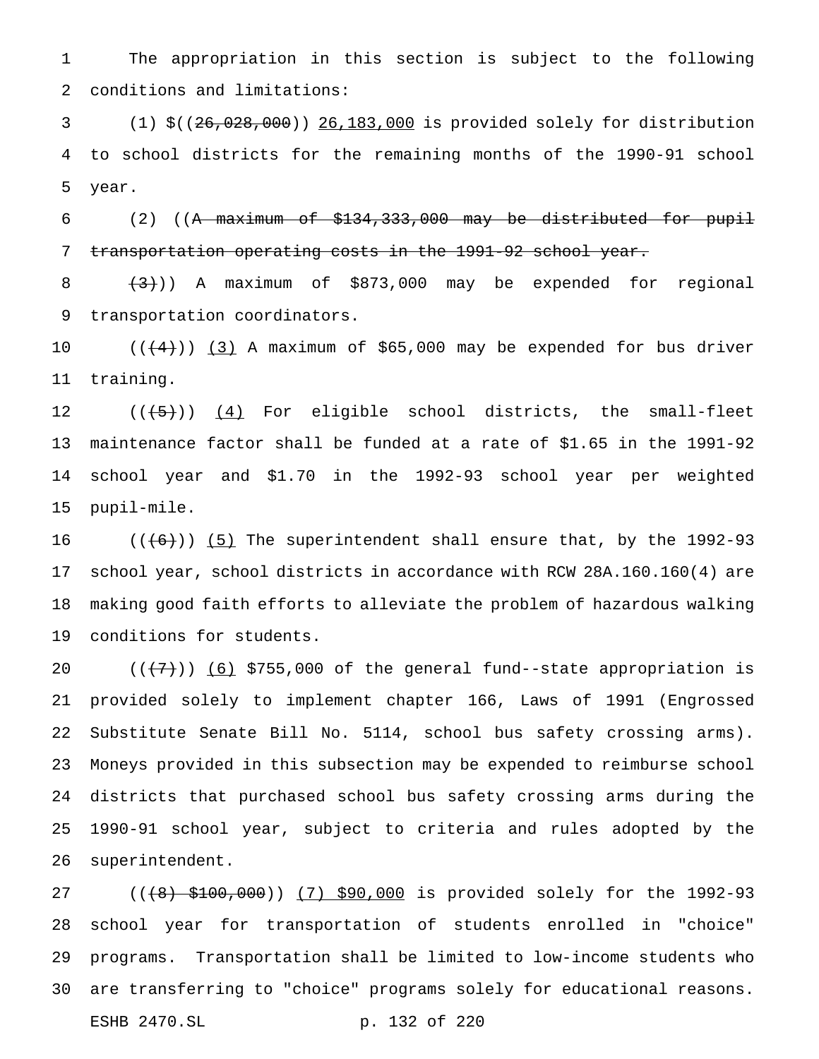The appropriation in this section is subject to the following conditions and limitations:

 (1) \$((26,028,000)) 26,183,000 is provided solely for distribution to school districts for the remaining months of the 1990-91 school year.

 (2) ((A maximum of \$134,333,000 may be distributed for pupil transportation operating costs in the 1991-92 school year.

8  $(3)$ )) A maximum of \$873,000 may be expended for regional transportation coordinators.

 $((4+))$  (3) A maximum of \$65,000 may be expended for bus driver training.

 $((+5))$   $(4)$  For eligible school districts, the small-fleet maintenance factor shall be funded at a rate of \$1.65 in the 1991-92 school year and \$1.70 in the 1992-93 school year per weighted pupil-mile.

 $((+6))$   $(5)$  The superintendent shall ensure that, by the 1992-93 school year, school districts in accordance with RCW 28A.160.160(4) are making good faith efforts to alleviate the problem of hazardous walking conditions for students.

 $((+7))$   $(6)$  \$755,000 of the general fund--state appropriation is provided solely to implement chapter 166, Laws of 1991 (Engrossed Substitute Senate Bill No. 5114, school bus safety crossing arms). Moneys provided in this subsection may be expended to reimburse school districts that purchased school bus safety crossing arms during the 1990-91 school year, subject to criteria and rules adopted by the superintendent.

27 ((<del>(8) \$100,000</del>)) (7) \$90,000 is provided solely for the 1992-93 school year for transportation of students enrolled in "choice" programs. Transportation shall be limited to low-income students who are transferring to "choice" programs solely for educational reasons. ESHB 2470.SL p. 132 of 220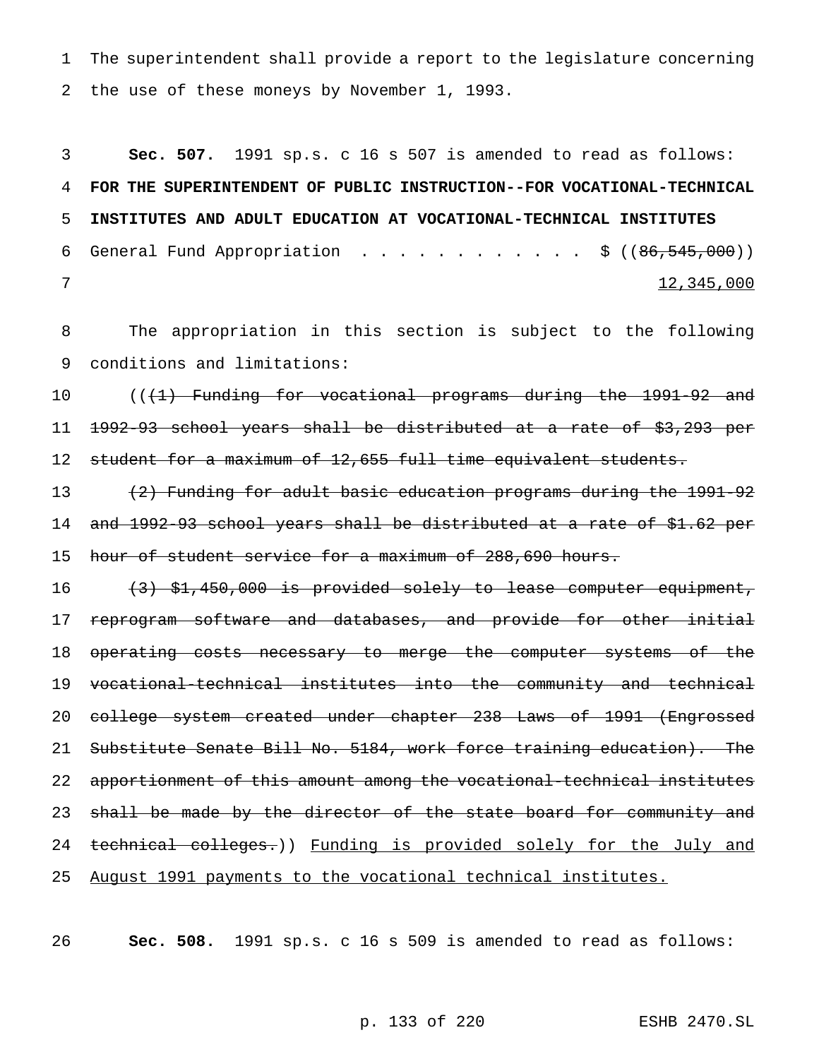The superintendent shall provide a report to the legislature concerning the use of these moneys by November 1, 1993.

 **Sec. 507.** 1991 sp.s. c 16 s 507 is amended to read as follows: **FOR THE SUPERINTENDENT OF PUBLIC INSTRUCTION--FOR VOCATIONAL-TECHNICAL INSTITUTES AND ADULT EDUCATION AT VOCATIONAL-TECHNICAL INSTITUTES** 6 General Fund Appropriation . . . . . . . . . . . \$  $((86, 545, 000))$  $\frac{12}{345}$ , 000

 The appropriation in this section is subject to the following conditions and limitations:

10 (((1) Funding for vocational programs during the 1991-92 and 1992-93 school years shall be distributed at a rate of \$3,293 per 12 student for a maximum of 12,655 full time equivalent students.

 (2) Funding for adult basic education programs during the 1991-92 and 1992-93 school years shall be distributed at a rate of \$1.62 per hour of student service for a maximum of 288,690 hours.

16 (3) \$1,450,000 is provided solely to lease computer equipment, 17 reprogram software and databases, and provide for other initial operating costs necessary to merge the computer systems of the vocational-technical institutes into the community and technical college system created under chapter 238 Laws of 1991 (Engrossed Substitute Senate Bill No. 5184, work force training education). The apportionment of this amount among the vocational-technical institutes 23 shall be made by the director of the state board for community and 24 technical colleges.)) Funding is provided solely for the July and August 1991 payments to the vocational technical institutes.

**Sec. 508.** 1991 sp.s. c 16 s 509 is amended to read as follows: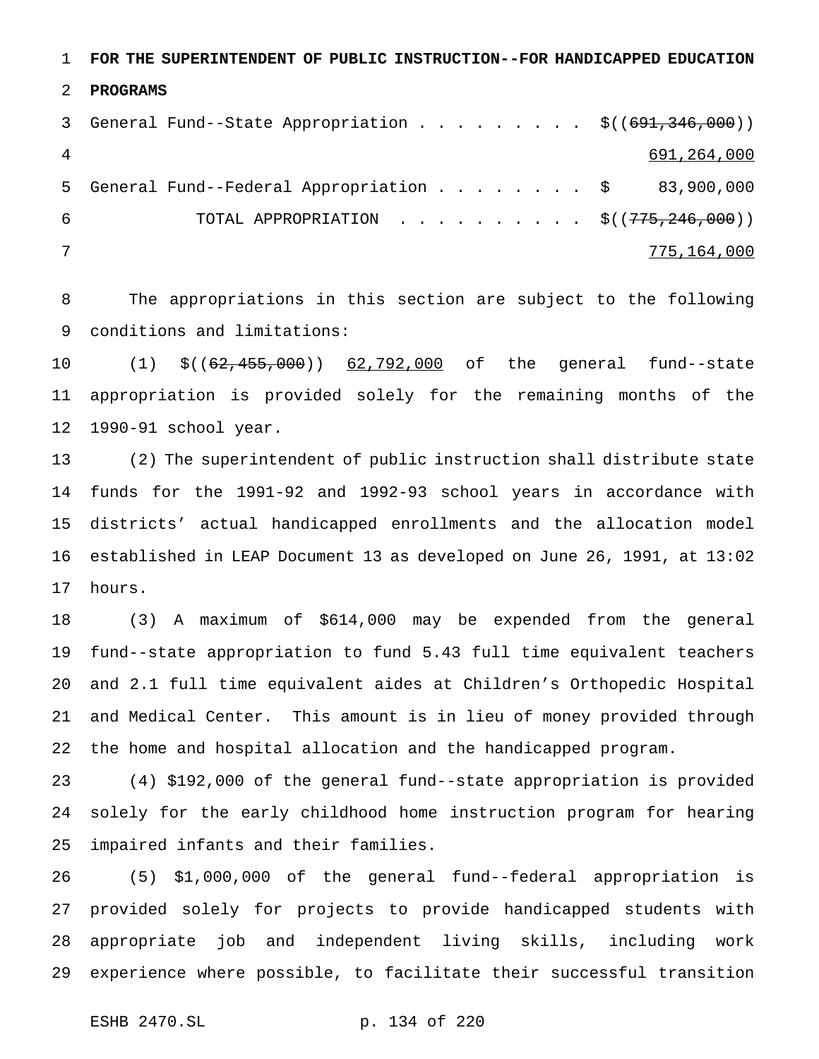**FOR THE SUPERINTENDENT OF PUBLIC INSTRUCTION--FOR HANDICAPPED EDUCATION**

## **PROGRAMS**

|     | 3 General Fund--State Appropriation \$((691,346,000)) |             |
|-----|-------------------------------------------------------|-------------|
|     |                                                       | 691,264,000 |
|     | 5 General Fund--Federal Appropriation \$ 83,900,000   |             |
| - 6 | TOTAL APPROPRIATION \$ $((775, 246, 000))$            |             |
|     |                                                       | 775,164,000 |

 The appropriations in this section are subject to the following conditions and limitations:

10 (1) \$((62,455,000)) 62,792,000 of the general fund--state appropriation is provided solely for the remaining months of the 1990-91 school year.

 (2) The superintendent of public instruction shall distribute state funds for the 1991-92 and 1992-93 school years in accordance with districts' actual handicapped enrollments and the allocation model established in LEAP Document 13 as developed on June 26, 1991, at 13:02 hours.

 (3) A maximum of \$614,000 may be expended from the general fund--state appropriation to fund 5.43 full time equivalent teachers and 2.1 full time equivalent aides at Children's Orthopedic Hospital and Medical Center. This amount is in lieu of money provided through the home and hospital allocation and the handicapped program.

 (4) \$192,000 of the general fund--state appropriation is provided solely for the early childhood home instruction program for hearing impaired infants and their families.

 (5) \$1,000,000 of the general fund--federal appropriation is provided solely for projects to provide handicapped students with appropriate job and independent living skills, including work experience where possible, to facilitate their successful transition

ESHB 2470.SL p. 134 of 220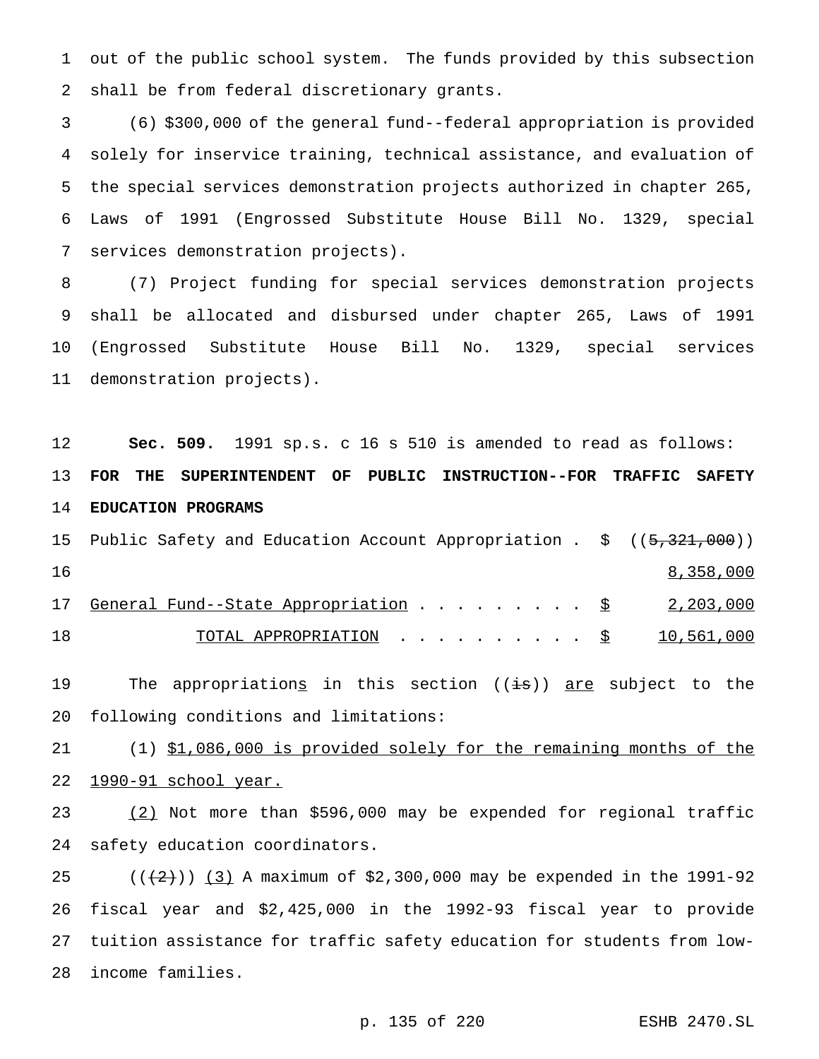out of the public school system. The funds provided by this subsection shall be from federal discretionary grants.

 (6) \$300,000 of the general fund--federal appropriation is provided solely for inservice training, technical assistance, and evaluation of the special services demonstration projects authorized in chapter 265, Laws of 1991 (Engrossed Substitute House Bill No. 1329, special services demonstration projects).

 (7) Project funding for special services demonstration projects shall be allocated and disbursed under chapter 265, Laws of 1991 (Engrossed Substitute House Bill No. 1329, special services demonstration projects).

 **Sec. 509.** 1991 sp.s. c 16 s 510 is amended to read as follows: **FOR THE SUPERINTENDENT OF PUBLIC INSTRUCTION--FOR TRAFFIC SAFETY EDUCATION PROGRAMS**

|     | 15 Public Safety and Education Account Appropriation . \$ ((5,321,000)) |  |           |
|-----|-------------------------------------------------------------------------|--|-----------|
| 16  |                                                                         |  | 8,358,000 |
|     | 17 General Fund--State Appropriation \$ 2,203,000                       |  |           |
| 1 8 | TOTAL APPROPRIATION $\ldots$ , $\S$ 10,561,000                          |  |           |

19 The appropriations in this section ((is)) are subject to the following conditions and limitations:

 (1) \$1,086,000 is provided solely for the remaining months of the 1990-91 school year.

 (2) Not more than \$596,000 may be expended for regional traffic safety education coordinators.

 $((+2))$   $(3)$  A maximum of \$2,300,000 may be expended in the 1991-92 fiscal year and \$2,425,000 in the 1992-93 fiscal year to provide tuition assistance for traffic safety education for students from low-income families.

p. 135 of 220 ESHB 2470.SL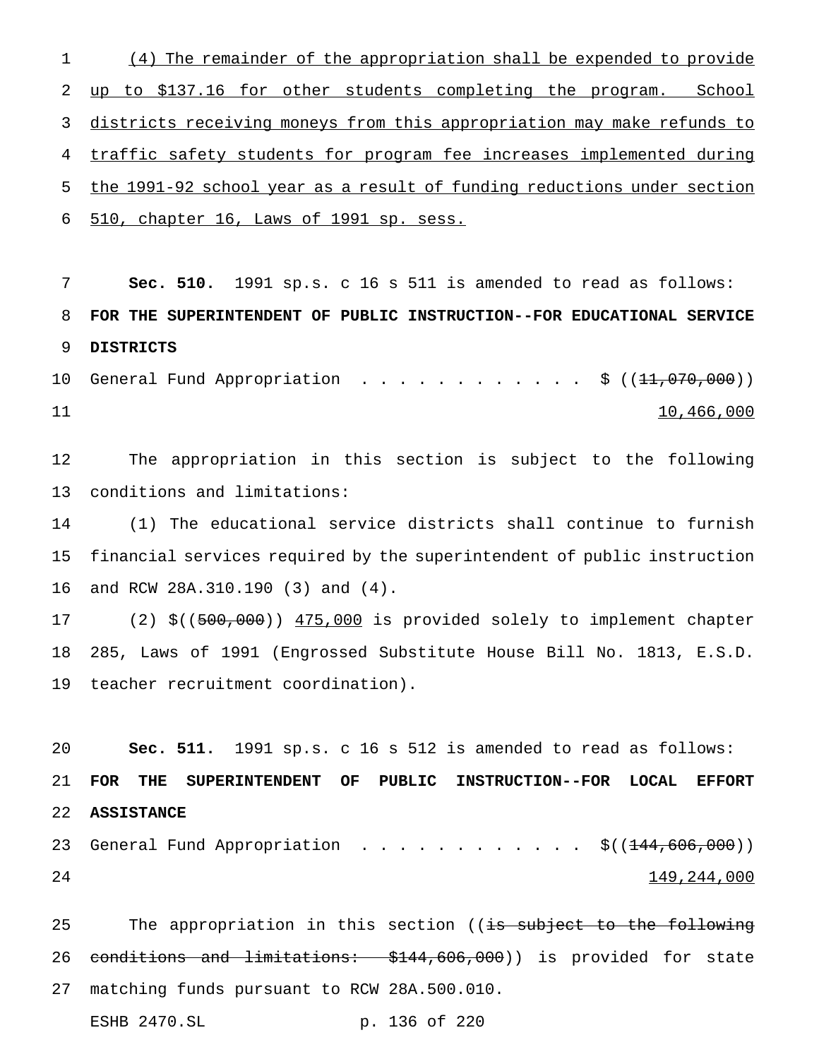(4) The remainder of the appropriation shall be expended to provide 2 up to \$137.16 for other students completing the program. School districts receiving moneys from this appropriation may make refunds to traffic safety students for program fee increases implemented during the 1991-92 school year as a result of funding reductions under section 510, chapter 16, Laws of 1991 sp. sess.

 **Sec. 510.** 1991 sp.s. c 16 s 511 is amended to read as follows: **FOR THE SUPERINTENDENT OF PUBLIC INSTRUCTION--FOR EDUCATIONAL SERVICE DISTRICTS**

10 General Fund Appropriation . . . . . . . . . . . \$ ((<del>11,070,000</del>)) 11

 The appropriation in this section is subject to the following conditions and limitations:

 (1) The educational service districts shall continue to furnish financial services required by the superintendent of public instruction and RCW 28A.310.190 (3) and (4).

17 (2) \$((500,000)) 475,000 is provided solely to implement chapter 285, Laws of 1991 (Engrossed Substitute House Bill No. 1813, E.S.D. teacher recruitment coordination).

 **Sec. 511.** 1991 sp.s. c 16 s 512 is amended to read as follows: **FOR THE SUPERINTENDENT OF PUBLIC INSTRUCTION--FOR LOCAL EFFORT ASSISTANCE** 23 General Fund Appropriation . . . . . . . . . . . \$((<del>144,606,000</del>)) 149,244,000

25 The appropriation in this section ((is subject to the following 26 conditions and limitations: \$144,606,000)) is provided for state matching funds pursuant to RCW 28A.500.010. ESHB 2470.SL p. 136 of 220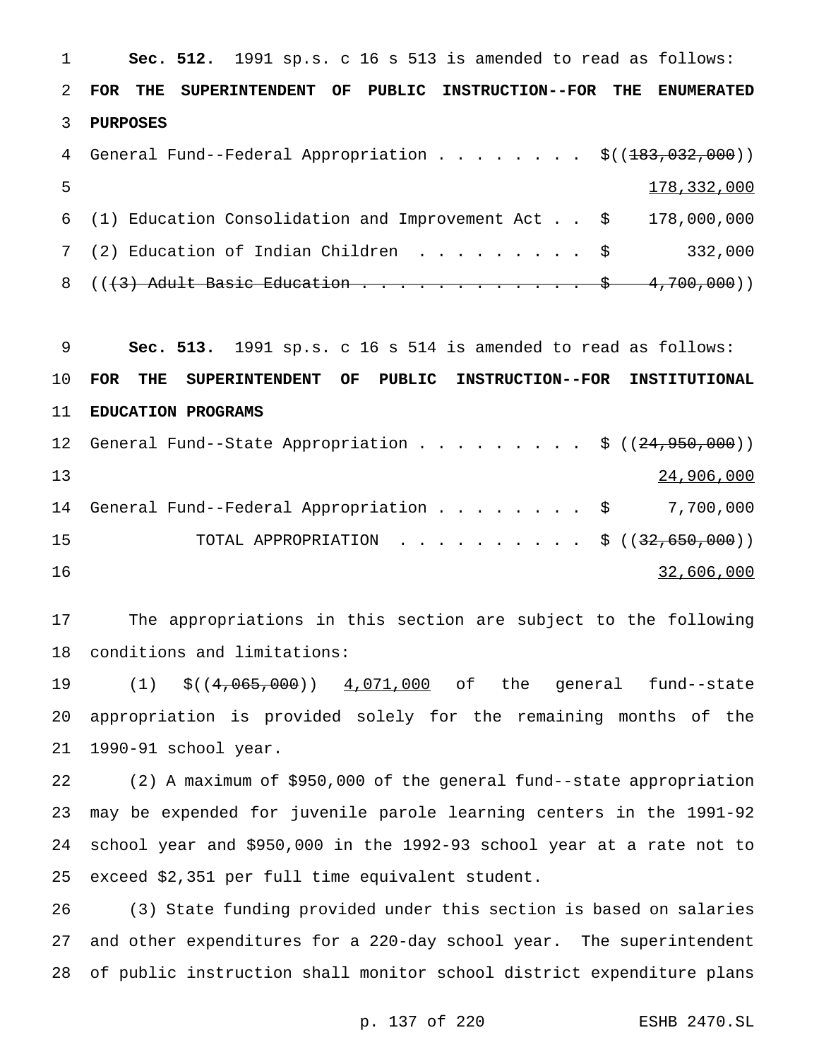**Sec. 512.** 1991 sp.s. c 16 s 513 is amended to read as follows: **FOR THE SUPERINTENDENT OF PUBLIC INSTRUCTION--FOR THE ENUMERATED PURPOSES** 4 General Fund--Federal Appropriation . . . . . . . \$((183,032,000)) 178,332,000 (1) Education Consolidation and Improvement Act . . \$ 178,000,000 7 (2) Education of Indian Children . . . . . . . . \$ 332,000  $((3)$  Adult Basic Education . . . . . . . . . . . \$ 4,700,000))

 **Sec. 513.** 1991 sp.s. c 16 s 514 is amended to read as follows: **FOR THE SUPERINTENDENT OF PUBLIC INSTRUCTION--FOR INSTITUTIONAL EDUCATION PROGRAMS** 12 General Fund--State Appropriation . . . . . . . . \$ ((24,950,000)) 24,906,000 14 General Fund--Federal Appropriation . . . . . . . \$ 7,700,000 15 TOTAL APPROPRIATION . . . . . . . . . \$ ((32,650,000)) 32,606,000

 The appropriations in this section are subject to the following conditions and limitations:

19 (1) \$((4,065,000)) 4,071,000 of the general fund--state appropriation is provided solely for the remaining months of the 1990-91 school year.

 (2) A maximum of \$950,000 of the general fund--state appropriation may be expended for juvenile parole learning centers in the 1991-92 school year and \$950,000 in the 1992-93 school year at a rate not to exceed \$2,351 per full time equivalent student.

 (3) State funding provided under this section is based on salaries and other expenditures for a 220-day school year. The superintendent of public instruction shall monitor school district expenditure plans

p. 137 of 220 ESHB 2470.SL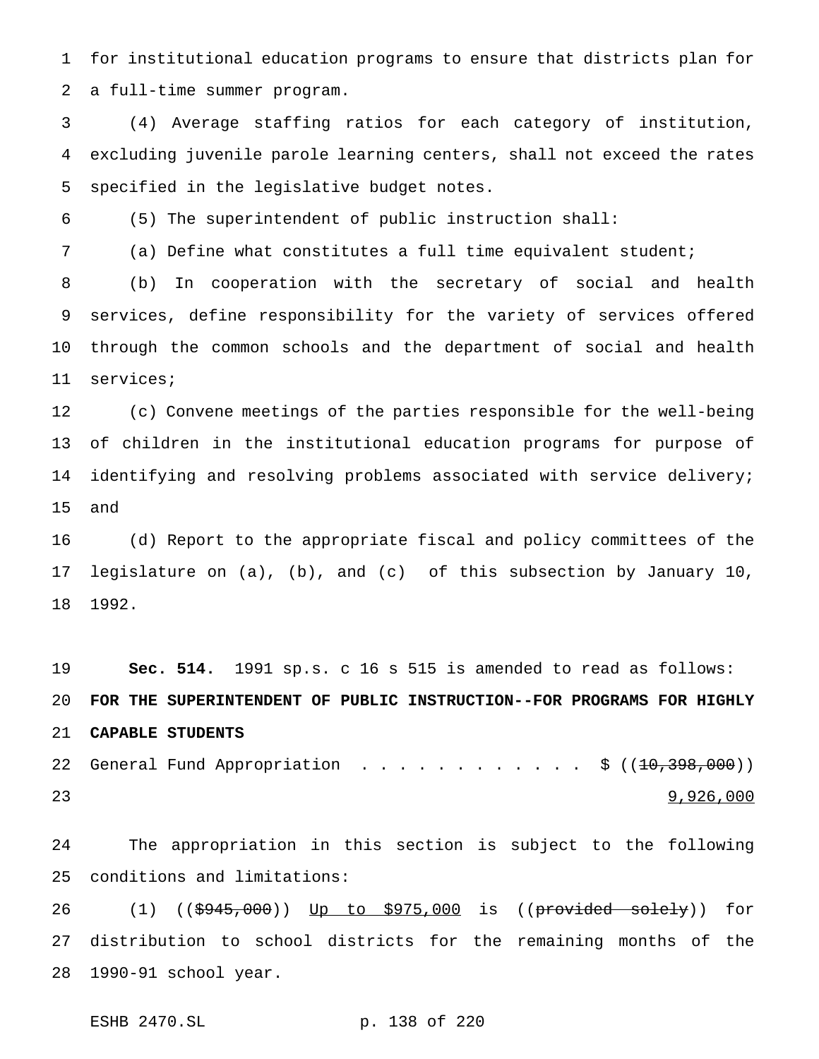for institutional education programs to ensure that districts plan for a full-time summer program.

 (4) Average staffing ratios for each category of institution, excluding juvenile parole learning centers, shall not exceed the rates specified in the legislative budget notes.

(5) The superintendent of public instruction shall:

(a) Define what constitutes a full time equivalent student;

 (b) In cooperation with the secretary of social and health services, define responsibility for the variety of services offered through the common schools and the department of social and health services;

 (c) Convene meetings of the parties responsible for the well-being of children in the institutional education programs for purpose of identifying and resolving problems associated with service delivery; and

 (d) Report to the appropriate fiscal and policy committees of the legislature on (a), (b), and (c) of this subsection by January 10, 1992.

 **Sec. 514.** 1991 sp.s. c 16 s 515 is amended to read as follows: **FOR THE SUPERINTENDENT OF PUBLIC INSTRUCTION--FOR PROGRAMS FOR HIGHLY CAPABLE STUDENTS** 22 General Fund Appropriation . . . . . . . . . . . \$ ((<del>10,398,000</del>)) 23 9,926,000

 The appropriation in this section is subject to the following conditions and limitations:

26 (1) ((\$<del>945,000</del>)) <u>Up to \$975,000</u> is ((<del>provided solely</del>)) for distribution to school districts for the remaining months of the 1990-91 school year.

ESHB 2470.SL p. 138 of 220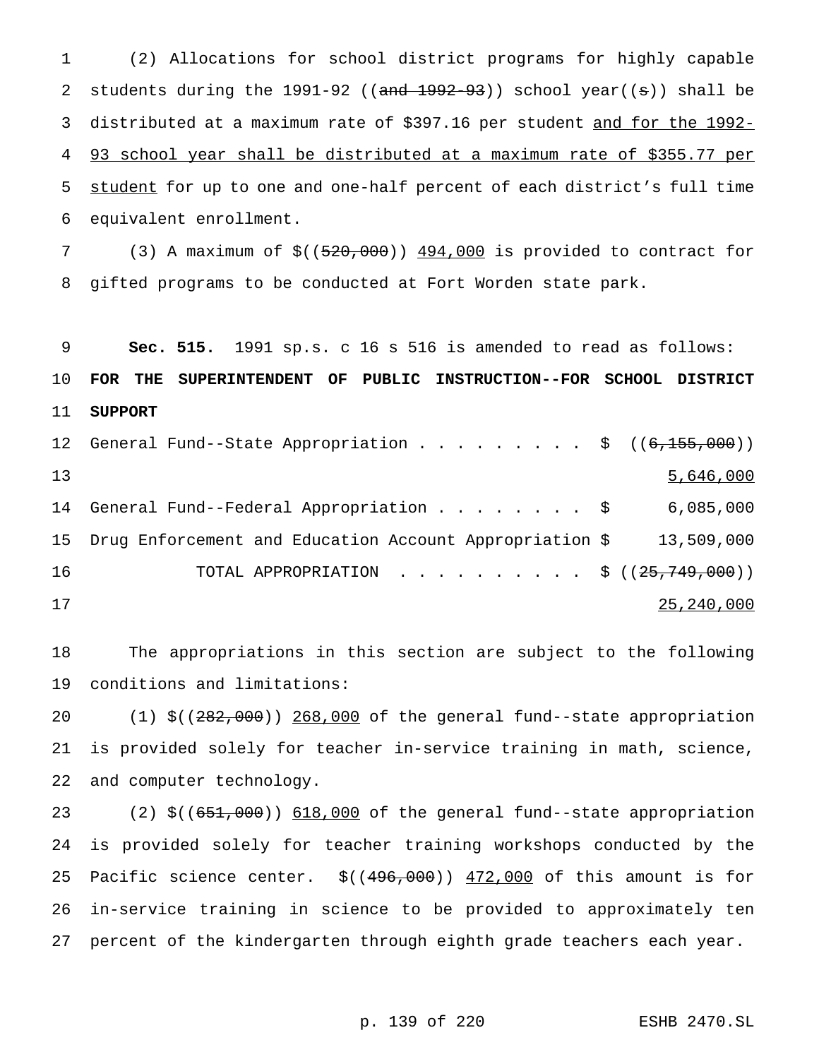(2) Allocations for school district programs for highly capable 2 students during the 1991-92 (( $\frac{and}{1992-93}$ ) school year( $\frac{e}{e}$ ) shall be distributed at a maximum rate of \$397.16 per student and for the 1992- 93 school year shall be distributed at a maximum rate of \$355.77 per 5 student for up to one and one-half percent of each district's full time equivalent enrollment.

 (3) A maximum of \$((520,000)) 494,000 is provided to contract for gifted programs to be conducted at Fort Worden state park.

 **Sec. 515.** 1991 sp.s. c 16 s 516 is amended to read as follows: **FOR THE SUPERINTENDENT OF PUBLIC INSTRUCTION--FOR SCHOOL DISTRICT SUPPORT**

12 General Fund--State Appropriation . . . . . . . . \$ ((6,155,000)) 5,646,000 14 General Fund--Federal Appropriation . . . . . . . \$ 6,085,000 Drug Enforcement and Education Account Appropriation \$ 13,509,000 16 TOTAL APPROPRIATION . . . . . . . . . \$ ((25,749,000)) 25,240,000

 The appropriations in this section are subject to the following conditions and limitations:

 (1) \$((282,000)) 268,000 of the general fund--state appropriation is provided solely for teacher in-service training in math, science, and computer technology.

23 (2) \$((651,000)) 618,000 of the general fund--state appropriation is provided solely for teacher training workshops conducted by the 25 Pacific science center.  $$((496,000))$   $472,000$  of this amount is for in-service training in science to be provided to approximately ten percent of the kindergarten through eighth grade teachers each year.

p. 139 of 220 ESHB 2470.SL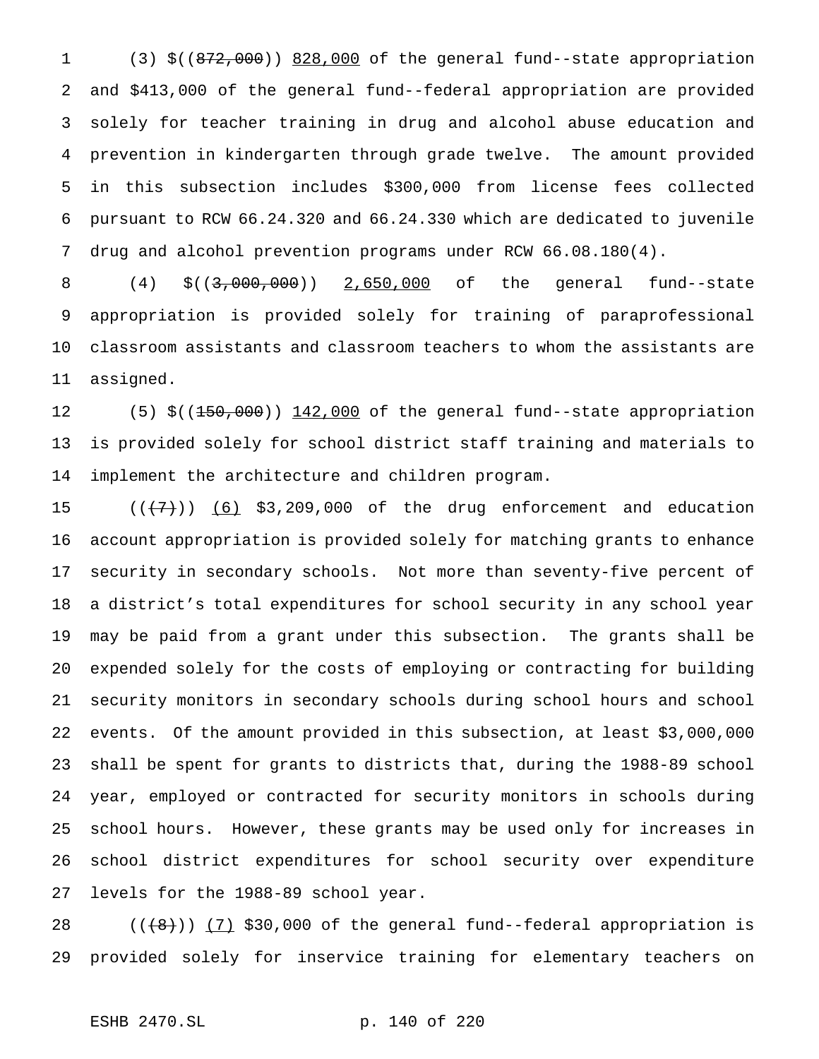(3) \$((872,000)) 828,000 of the general fund--state appropriation and \$413,000 of the general fund--federal appropriation are provided solely for teacher training in drug and alcohol abuse education and prevention in kindergarten through grade twelve. The amount provided in this subsection includes \$300,000 from license fees collected pursuant to RCW 66.24.320 and 66.24.330 which are dedicated to juvenile drug and alcohol prevention programs under RCW 66.08.180(4).

 (4) \$((3,000,000)) 2,650,000 of the general fund--state appropriation is provided solely for training of paraprofessional classroom assistants and classroom teachers to whom the assistants are assigned.

12 (5) \$((150,000)) 142,000 of the general fund--state appropriation is provided solely for school district staff training and materials to implement the architecture and children program.

 $((+7+))$   $(6)$  \$3,209,000 of the drug enforcement and education account appropriation is provided solely for matching grants to enhance security in secondary schools. Not more than seventy-five percent of a district's total expenditures for school security in any school year may be paid from a grant under this subsection. The grants shall be expended solely for the costs of employing or contracting for building security monitors in secondary schools during school hours and school events. Of the amount provided in this subsection, at least \$3,000,000 shall be spent for grants to districts that, during the 1988-89 school year, employed or contracted for security monitors in schools during school hours. However, these grants may be used only for increases in school district expenditures for school security over expenditure levels for the 1988-89 school year.

28  $((+8))$   $(7)$  \$30,000 of the general fund--federal appropriation is provided solely for inservice training for elementary teachers on

```
ESHB 2470.SL p. 140 of 220
```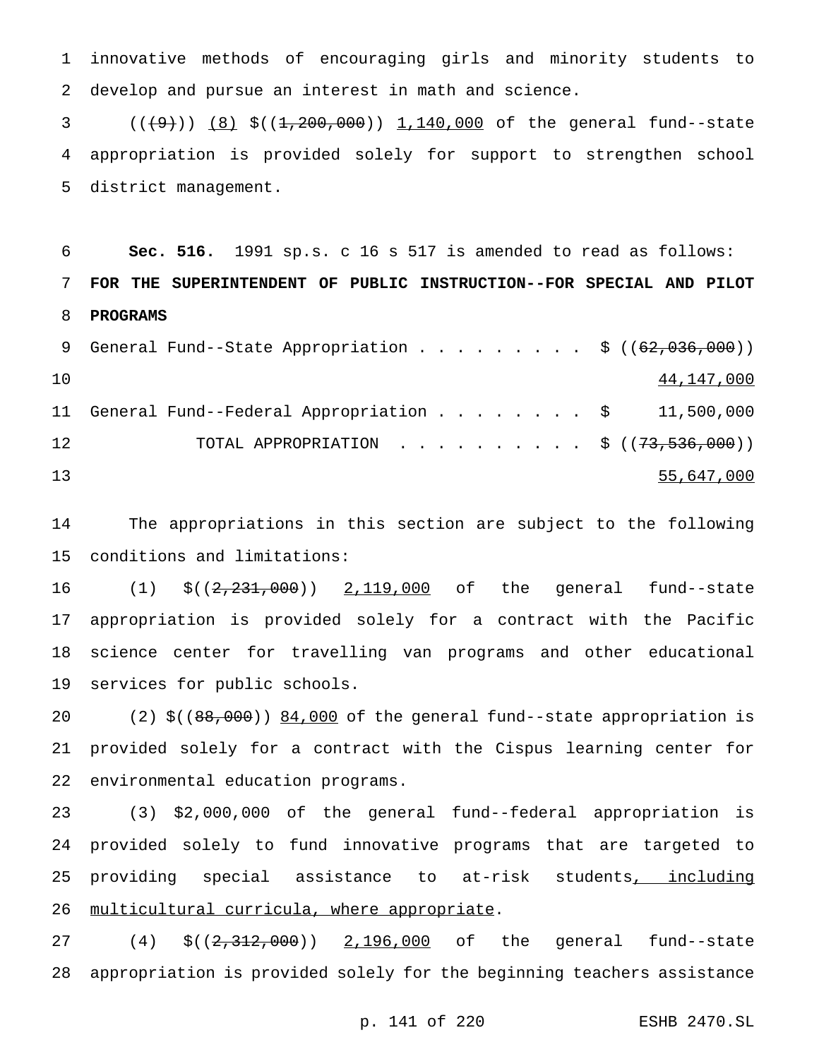innovative methods of encouraging girls and minority students to develop and pursue an interest in math and science.

3  $((+9))$   $(8)$  \$( $(1,200,000)$ ) 1,140,000 of the general fund--state appropriation is provided solely for support to strengthen school district management.

 **Sec. 516.** 1991 sp.s. c 16 s 517 is amended to read as follows: **FOR THE SUPERINTENDENT OF PUBLIC INSTRUCTION--FOR SPECIAL AND PILOT PROGRAMS**

|    |  |  |  |  |  |  |  | 9 General Fund--State Appropriation $\frac{1}{5}$ ( $(62,036,000)$ ) |
|----|--|--|--|--|--|--|--|----------------------------------------------------------------------|
| 10 |  |  |  |  |  |  |  | 44,147,000                                                           |
|    |  |  |  |  |  |  |  | 11 General Fund--Federal Appropriation $\ldots$ \$ 11,500,000        |
| 12 |  |  |  |  |  |  |  | TOTAL APPROPRIATION \$ $((73, 536, 000))$                            |
| 13 |  |  |  |  |  |  |  | 55,647,000                                                           |

 The appropriations in this section are subject to the following conditions and limitations:

16 (1)  $$((2,231,000))$  2,119,000 of the general fund--state appropriation is provided solely for a contract with the Pacific science center for travelling van programs and other educational services for public schools.

20 (2) \$((88,000)) 84,000 of the general fund--state appropriation is provided solely for a contract with the Cispus learning center for environmental education programs.

 (3) \$2,000,000 of the general fund--federal appropriation is provided solely to fund innovative programs that are targeted to providing special assistance to at-risk students, including 26 multicultural curricula, where appropriate.

27 (4) \$((2,312,000)) 2,196,000 of the general fund--state appropriation is provided solely for the beginning teachers assistance

```
p. 141 of 220 ESHB 2470.SL
```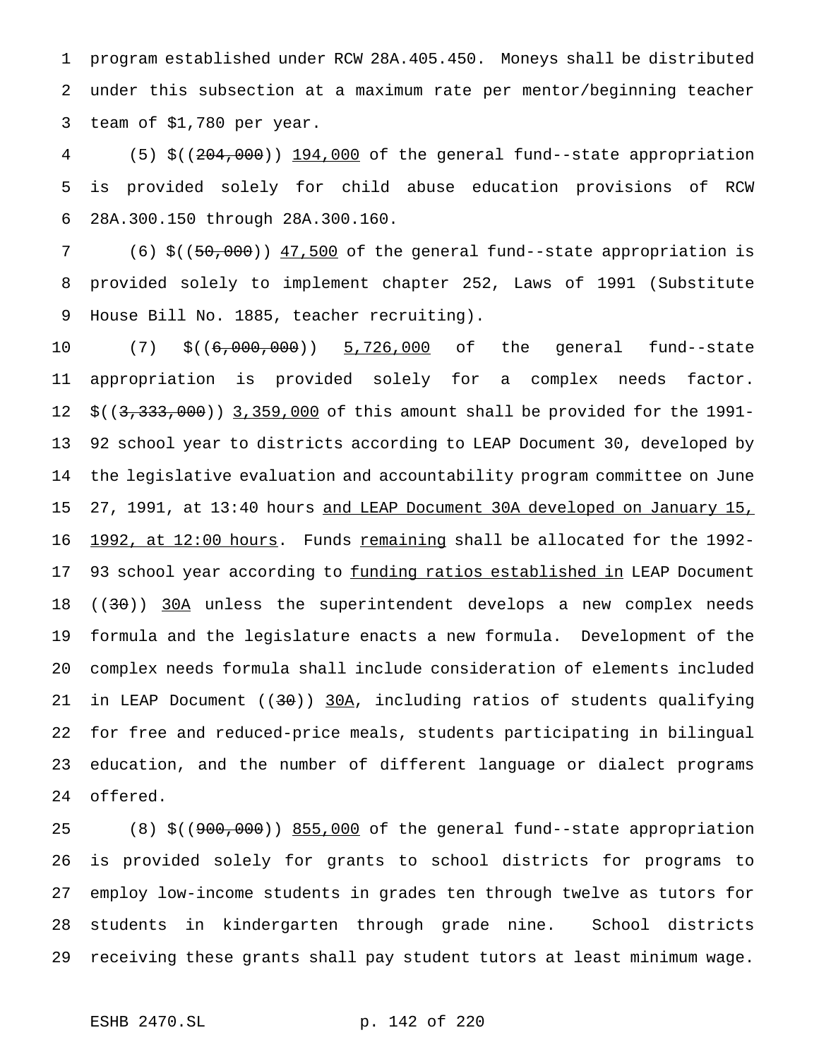program established under RCW 28A.405.450. Moneys shall be distributed under this subsection at a maximum rate per mentor/beginning teacher team of \$1,780 per year.

 (5) \$((204,000)) 194,000 of the general fund--state appropriation is provided solely for child abuse education provisions of RCW 28A.300.150 through 28A.300.160.

 (6) \$((50,000)) 47,500 of the general fund--state appropriation is provided solely to implement chapter 252, Laws of 1991 (Substitute House Bill No. 1885, teacher recruiting).

 (7) \$((6,000,000)) 5,726,000 of the general fund--state appropriation is provided solely for a complex needs factor. 12 \$((3,333,000)) 3,359,000 of this amount shall be provided for the 1991- 92 school year to districts according to LEAP Document 30, developed by the legislative evaluation and accountability program committee on June 15 27, 1991, at 13:40 hours and LEAP Document 30A developed on January 15, 16 1992, at 12:00 hours. Funds remaining shall be allocated for the 1992-17 93 school year according to funding ratios established in LEAP Document 18 ((30)) 30A unless the superintendent develops a new complex needs formula and the legislature enacts a new formula. Development of the complex needs formula shall include consideration of elements included in LEAP Document ((30)) 30A, including ratios of students qualifying for free and reduced-price meals, students participating in bilingual education, and the number of different language or dialect programs offered.

 (8) \$((900,000)) 855,000 of the general fund--state appropriation is provided solely for grants to school districts for programs to employ low-income students in grades ten through twelve as tutors for students in kindergarten through grade nine. School districts receiving these grants shall pay student tutors at least minimum wage.

ESHB 2470.SL p. 142 of 220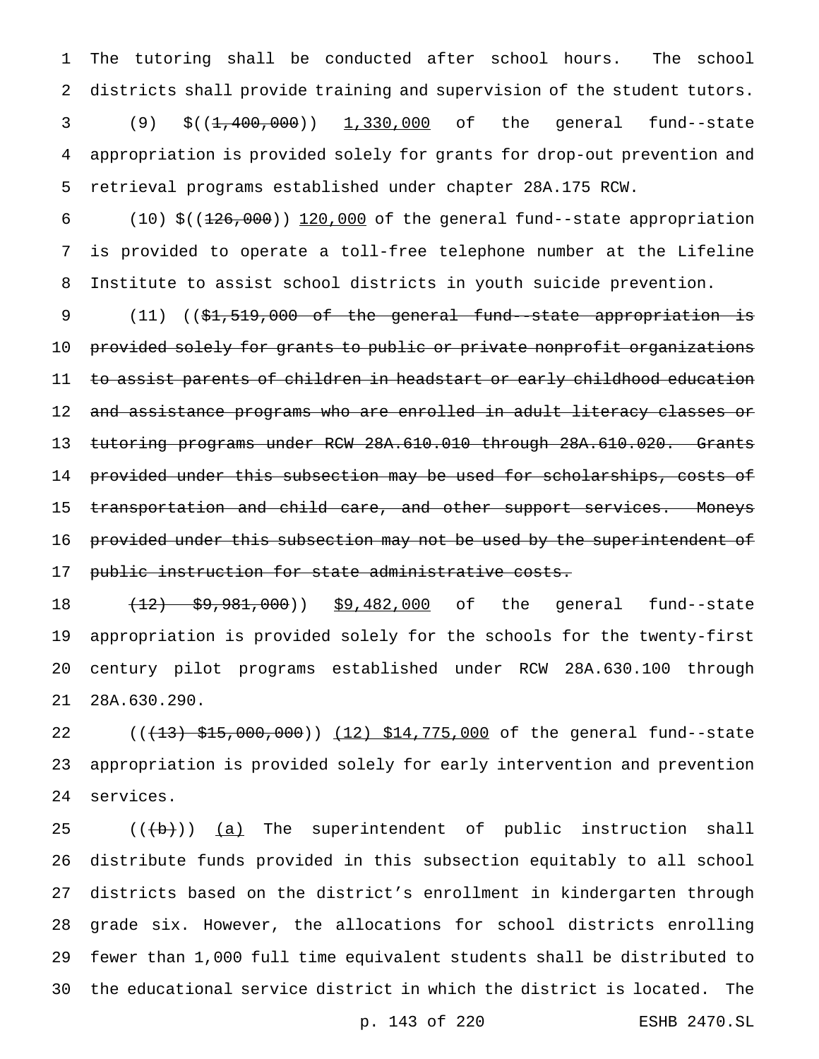The tutoring shall be conducted after school hours. The school districts shall provide training and supervision of the student tutors. 3 (9) \$((<del>1,400,000</del>)) 1,330,000 of the general fund--state appropriation is provided solely for grants for drop-out prevention and retrieval programs established under chapter 28A.175 RCW.

6  $(10)$  \$(( $\frac{126,000}{120,000}$  of the general fund--state appropriation is provided to operate a toll-free telephone number at the Lifeline Institute to assist school districts in youth suicide prevention.

9 (11) ((\$1,519,000 of the general fund--state appropriation is provided solely for grants to public or private nonprofit organizations 11 to assist parents of children in headstart or early childhood education and assistance programs who are enrolled in adult literacy classes or 13 tutoring programs under RCW 28A.610.010 through 28A.610.020. Grants provided under this subsection may be used for scholarships, costs of 15 transportation and child care, and other support services. Moneys 16 provided under this subsection may not be used by the superintendent of public instruction for state administrative costs.

18 (12) \$9,981,000) \$9,482,000 of the general fund--state appropriation is provided solely for the schools for the twenty-first century pilot programs established under RCW 28A.630.100 through 28A.630.290.

22 ((+13) \$15,000,000)) (12) \$14,775,000 of the general fund--state appropriation is provided solely for early intervention and prevention services.

 $((+b))$   $(a)$  The superintendent of public instruction shall distribute funds provided in this subsection equitably to all school districts based on the district's enrollment in kindergarten through grade six. However, the allocations for school districts enrolling fewer than 1,000 full time equivalent students shall be distributed to the educational service district in which the district is located. The

p. 143 of 220 ESHB 2470.SL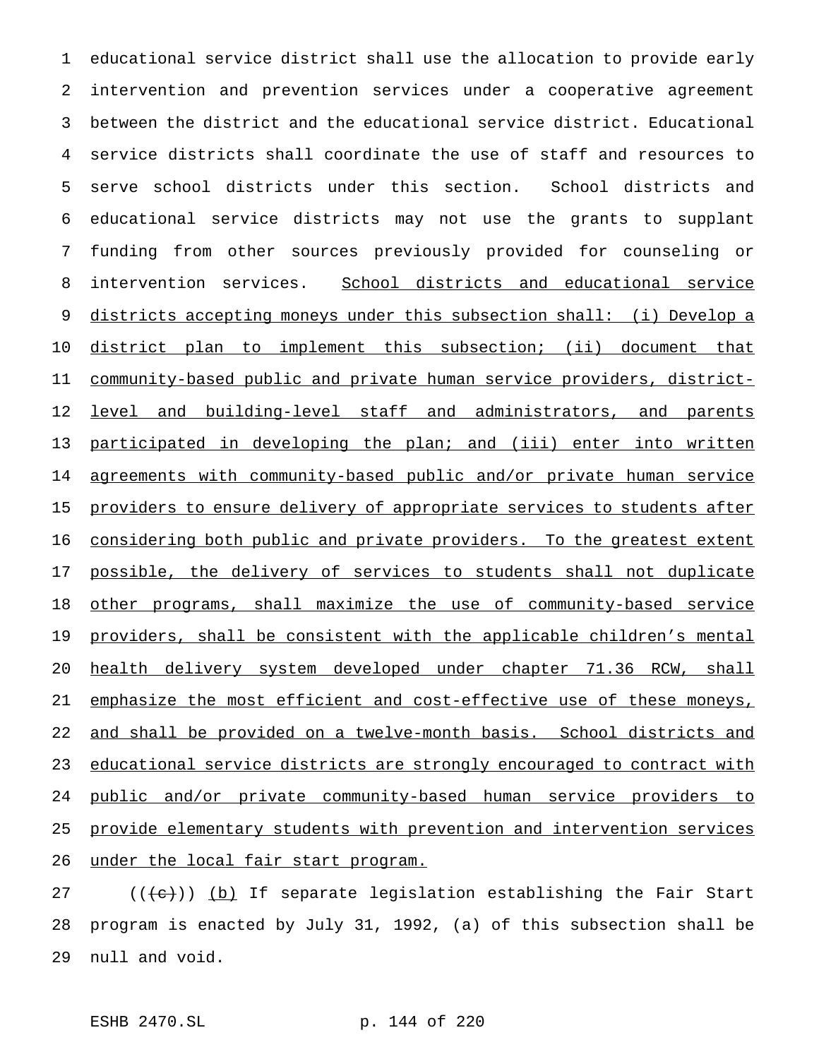educational service district shall use the allocation to provide early intervention and prevention services under a cooperative agreement between the district and the educational service district. Educational service districts shall coordinate the use of staff and resources to serve school districts under this section. School districts and educational service districts may not use the grants to supplant funding from other sources previously provided for counseling or 8 intervention services. School districts and educational service districts accepting moneys under this subsection shall: (i) Develop a district plan to implement this subsection; (ii) document that community-based public and private human service providers, district-12 level and building-level staff and administrators, and parents 13 participated in developing the plan; and (iii) enter into written agreements with community-based public and/or private human service 15 providers to ensure delivery of appropriate services to students after 16 considering both public and private providers. To the greatest extent 17 possible, the delivery of services to students shall not duplicate 18 other programs, shall maximize the use of community-based service 19 providers, shall be consistent with the applicable children's mental health delivery system developed under chapter 71.36 RCW, shall emphasize the most efficient and cost-effective use of these moneys, 22 and shall be provided on a twelve-month basis. School districts and educational service districts are strongly encouraged to contract with public and/or private community-based human service providers to provide elementary students with prevention and intervention services under the local fair start program.

 $((\{e\})$  <u>(b)</u> If separate legislation establishing the Fair Start program is enacted by July 31, 1992, (a) of this subsection shall be null and void.

ESHB 2470.SL p. 144 of 220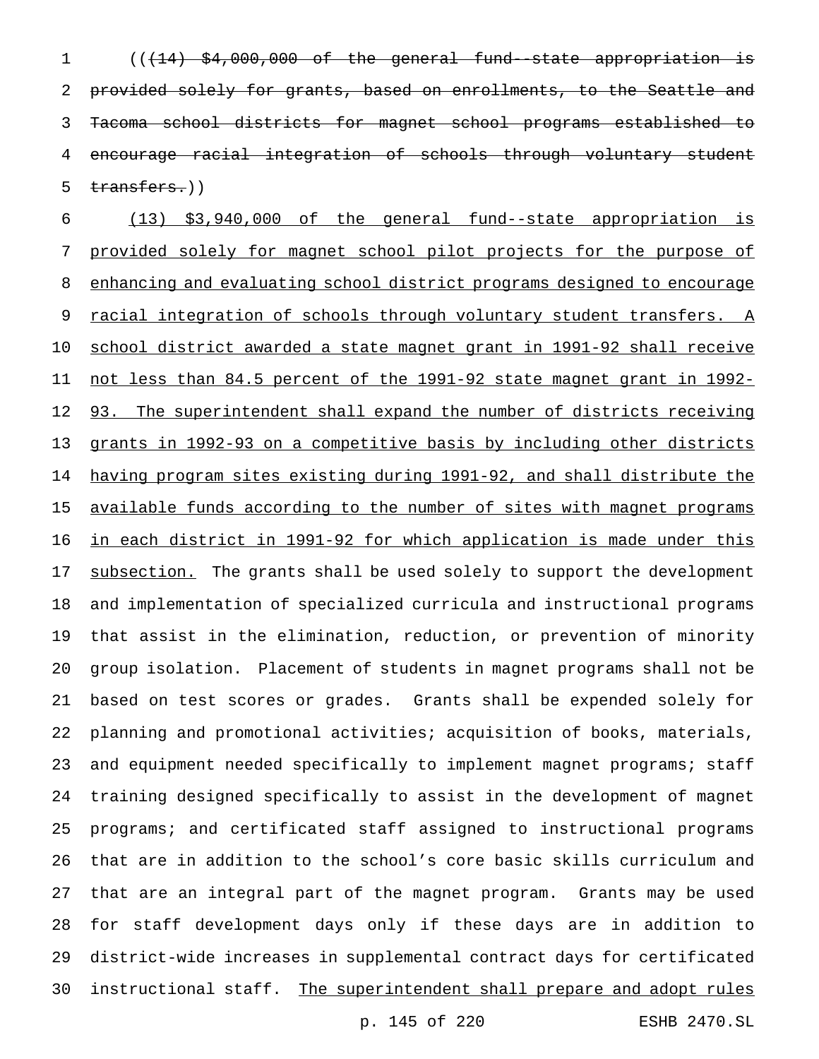(((14) \$4,000,000 of the general fund--state appropriation is 2 provided solely for grants, based on enrollments, to the Seattle and Tacoma school districts for magnet school programs established to encourage racial integration of schools through voluntary student 5 transfers.))

 (13) \$3,940,000 of the general fund--state appropriation is provided solely for magnet school pilot projects for the purpose of enhancing and evaluating school district programs designed to encourage 9 racial integration of schools through voluntary student transfers. A school district awarded a state magnet grant in 1991-92 shall receive not less than 84.5 percent of the 1991-92 state magnet grant in 1992- 12 93. The superintendent shall expand the number of districts receiving grants in 1992-93 on a competitive basis by including other districts having program sites existing during 1991-92, and shall distribute the available funds according to the number of sites with magnet programs in each district in 1991-92 for which application is made under this 17 subsection. The grants shall be used solely to support the development and implementation of specialized curricula and instructional programs that assist in the elimination, reduction, or prevention of minority group isolation. Placement of students in magnet programs shall not be based on test scores or grades. Grants shall be expended solely for planning and promotional activities; acquisition of books, materials, and equipment needed specifically to implement magnet programs; staff training designed specifically to assist in the development of magnet programs; and certificated staff assigned to instructional programs that are in addition to the school's core basic skills curriculum and that are an integral part of the magnet program. Grants may be used for staff development days only if these days are in addition to district-wide increases in supplemental contract days for certificated 30 instructional staff. The superintendent shall prepare and adopt rules

p. 145 of 220 ESHB 2470.SL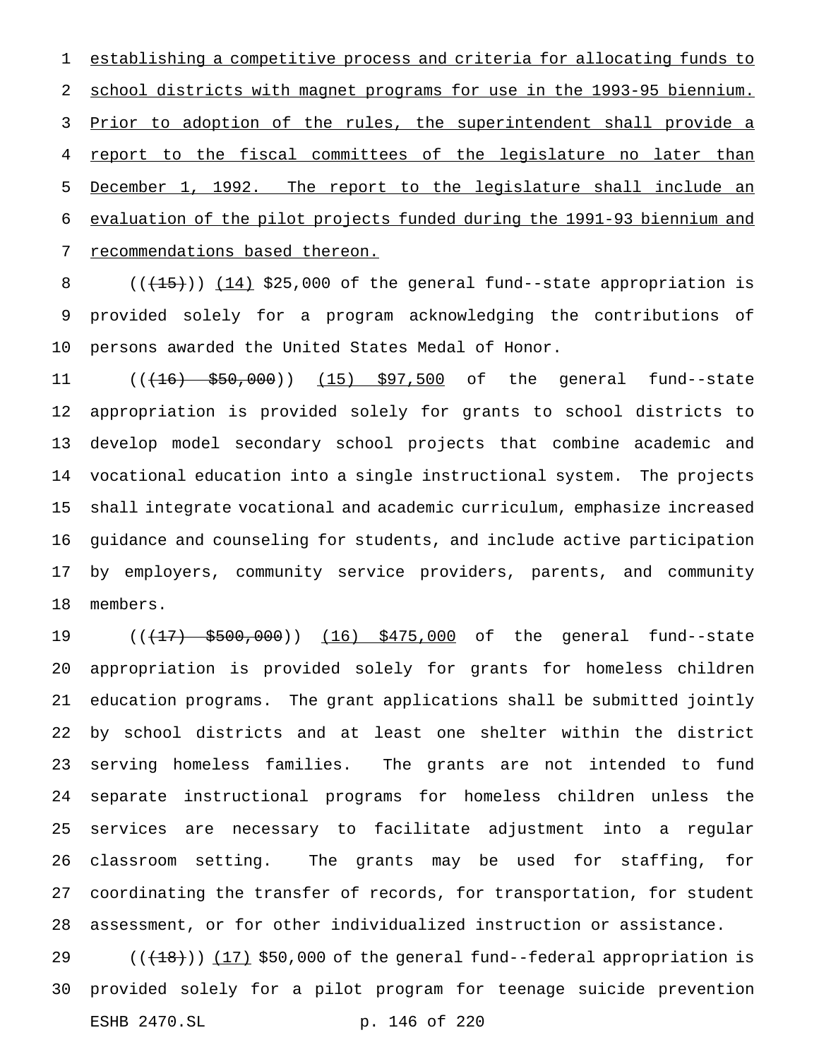establishing a competitive process and criteria for allocating funds to school districts with magnet programs for use in the 1993-95 biennium. 3 Prior to adoption of the rules, the superintendent shall provide a report to the fiscal committees of the legislature no later than December 1, 1992. The report to the legislature shall include an evaluation of the pilot projects funded during the 1991-93 biennium and recommendations based thereon.

8  $((+15))$   $(14)$  \$25,000 of the general fund--state appropriation is provided solely for a program acknowledging the contributions of persons awarded the United States Medal of Honor.

11 ((<del>(16) \$50,000</del>)) (15) \$97,500 of the general fund--state appropriation is provided solely for grants to school districts to develop model secondary school projects that combine academic and vocational education into a single instructional system. The projects shall integrate vocational and academic curriculum, emphasize increased guidance and counseling for students, and include active participation by employers, community service providers, parents, and community members.

19 (( $\left(17\right)$  \$500,000)) (16) \$475,000 of the general fund--state appropriation is provided solely for grants for homeless children education programs. The grant applications shall be submitted jointly by school districts and at least one shelter within the district serving homeless families. The grants are not intended to fund separate instructional programs for homeless children unless the services are necessary to facilitate adjustment into a regular classroom setting. The grants may be used for staffing, for coordinating the transfer of records, for transportation, for student assessment, or for other individualized instruction or assistance.

29  $((+18))$   $(17)$  \$50,000 of the general fund--federal appropriation is provided solely for a pilot program for teenage suicide prevention ESHB 2470.SL p. 146 of 220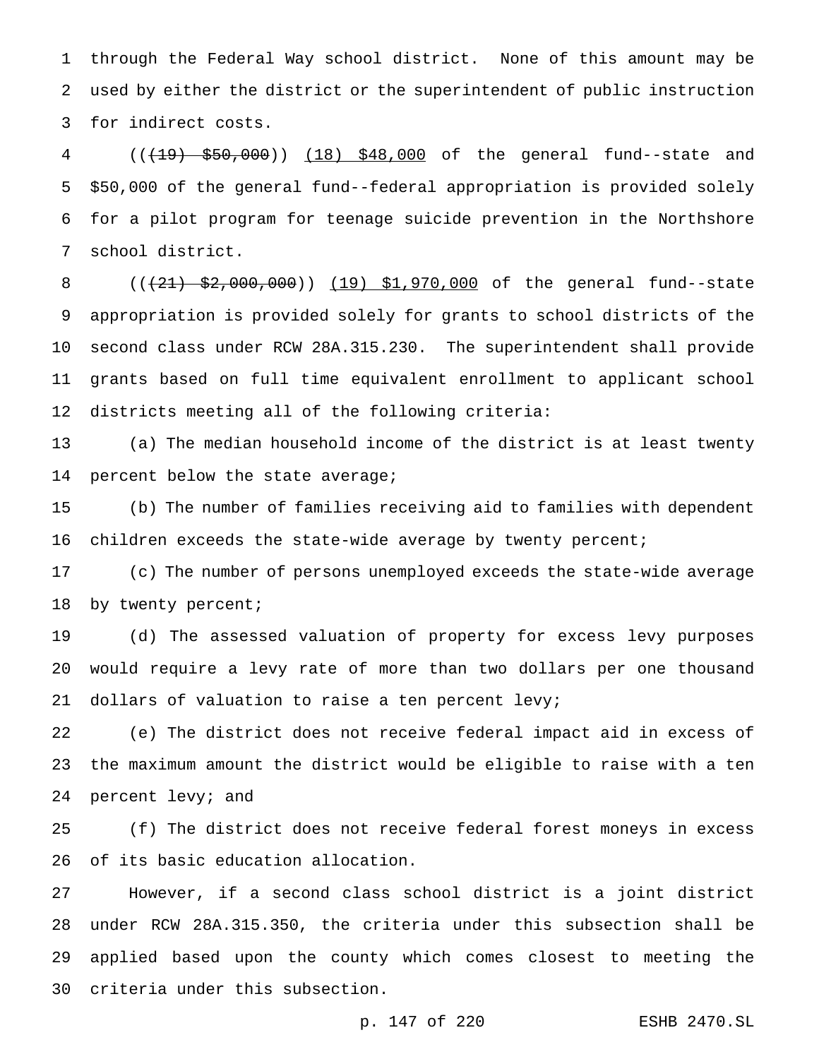through the Federal Way school district. None of this amount may be used by either the district or the superintendent of public instruction for indirect costs.

4 (( $(19)$  \$50,000)) (18) \$48,000 of the general fund--state and \$50,000 of the general fund--federal appropriation is provided solely for a pilot program for teenage suicide prevention in the Northshore school district.

8 (( $(21)$  \$2,000,000)) (19) \$1,970,000 of the general fund--state appropriation is provided solely for grants to school districts of the second class under RCW 28A.315.230. The superintendent shall provide grants based on full time equivalent enrollment to applicant school districts meeting all of the following criteria:

 (a) The median household income of the district is at least twenty percent below the state average;

 (b) The number of families receiving aid to families with dependent 16 children exceeds the state-wide average by twenty percent;

 (c) The number of persons unemployed exceeds the state-wide average 18 by twenty percent;

 (d) The assessed valuation of property for excess levy purposes would require a levy rate of more than two dollars per one thousand dollars of valuation to raise a ten percent levy;

 (e) The district does not receive federal impact aid in excess of the maximum amount the district would be eligible to raise with a ten percent levy; and

 (f) The district does not receive federal forest moneys in excess of its basic education allocation.

 However, if a second class school district is a joint district under RCW 28A.315.350, the criteria under this subsection shall be applied based upon the county which comes closest to meeting the criteria under this subsection.

p. 147 of 220 ESHB 2470.SL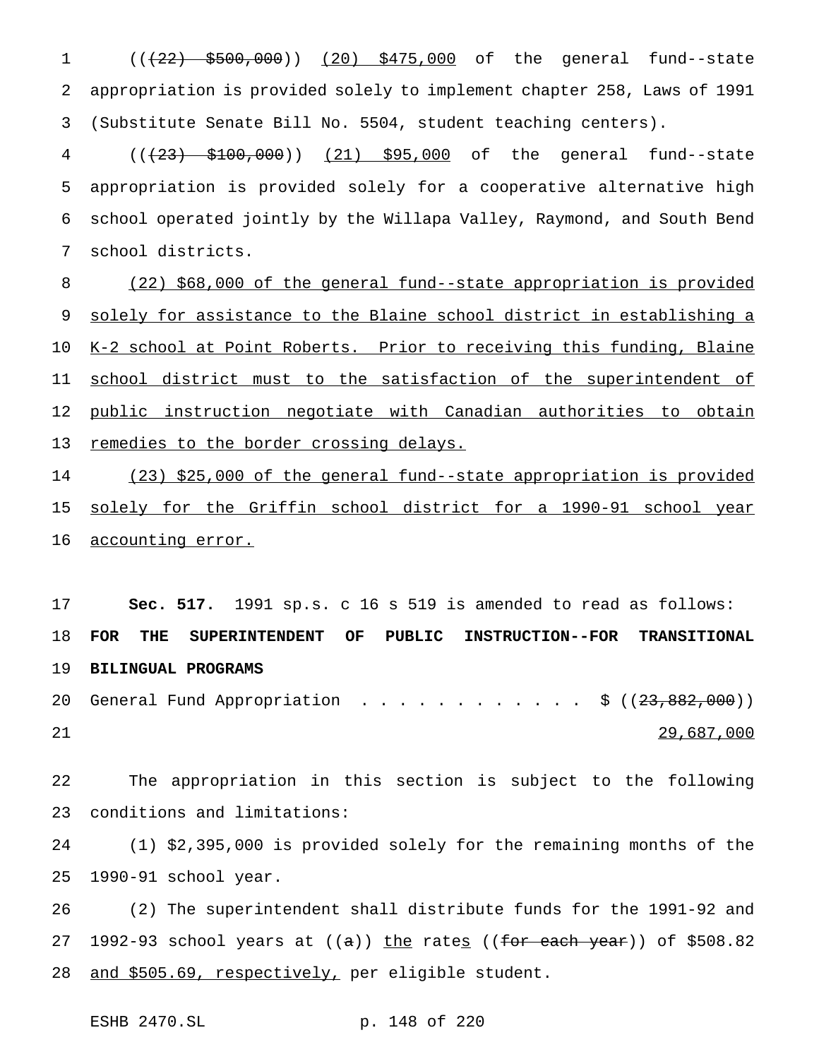1 (( $(22)$  \$500,000)) (20) \$475,000 of the general fund--state appropriation is provided solely to implement chapter 258, Laws of 1991 (Substitute Senate Bill No. 5504, student teaching centers).

 (((23) \$100,000)) (21) \$95,000 of the general fund--state appropriation is provided solely for a cooperative alternative high school operated jointly by the Willapa Valley, Raymond, and South Bend school districts.

 (22) \$68,000 of the general fund--state appropriation is provided solely for assistance to the Blaine school district in establishing a K-2 school at Point Roberts. Prior to receiving this funding, Blaine 11 school district must to the satisfaction of the superintendent of 12 public instruction negotiate with Canadian authorities to obtain 13 remedies to the border crossing delays.

 (23) \$25,000 of the general fund--state appropriation is provided solely for the Griffin school district for a 1990-91 school year 16 accounting error.

 **Sec. 517.** 1991 sp.s. c 16 s 519 is amended to read as follows: **FOR THE SUPERINTENDENT OF PUBLIC INSTRUCTION--FOR TRANSITIONAL BILINGUAL PROGRAMS**

20 General Fund Appropriation . . . . . . . . . . . \$ ((<del>23,882,000</del>)) 21

 The appropriation in this section is subject to the following conditions and limitations:

 (1) \$2,395,000 is provided solely for the remaining months of the 1990-91 school year.

 (2) The superintendent shall distribute funds for the 1991-92 and 27 1992-93 school years at  $((a))$  the rates  $((for each year))$  of \$508.82 28 and \$505.69, respectively, per eligible student.

```
ESHB 2470.SL p. 148 of 220
```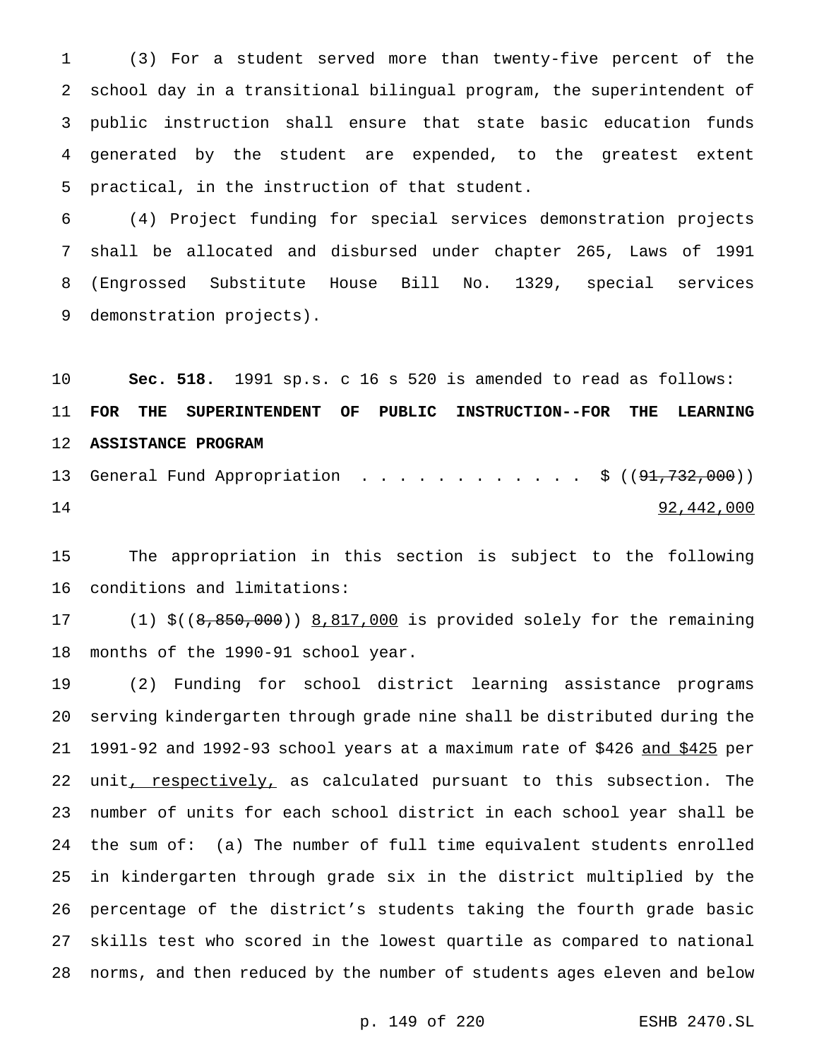(3) For a student served more than twenty-five percent of the school day in a transitional bilingual program, the superintendent of public instruction shall ensure that state basic education funds generated by the student are expended, to the greatest extent practical, in the instruction of that student.

 (4) Project funding for special services demonstration projects shall be allocated and disbursed under chapter 265, Laws of 1991 (Engrossed Substitute House Bill No. 1329, special services demonstration projects).

 **Sec. 518.** 1991 sp.s. c 16 s 520 is amended to read as follows: **FOR THE SUPERINTENDENT OF PUBLIC INSTRUCTION--FOR THE LEARNING ASSISTANCE PROGRAM** 13 General Fund Appropriation . . . . . . . . . . . \$ ((<del>91,732,000</del>))

92,442,000

 The appropriation in this section is subject to the following conditions and limitations:

 (1) \$((8,850,000)) 8,817,000 is provided solely for the remaining months of the 1990-91 school year.

 (2) Funding for school district learning assistance programs serving kindergarten through grade nine shall be distributed during the 1991-92 and 1992-93 school years at a maximum rate of \$426 and \$425 per 22 unit, respectively, as calculated pursuant to this subsection. The number of units for each school district in each school year shall be the sum of: (a) The number of full time equivalent students enrolled in kindergarten through grade six in the district multiplied by the percentage of the district's students taking the fourth grade basic skills test who scored in the lowest quartile as compared to national norms, and then reduced by the number of students ages eleven and below

p. 149 of 220 ESHB 2470.SL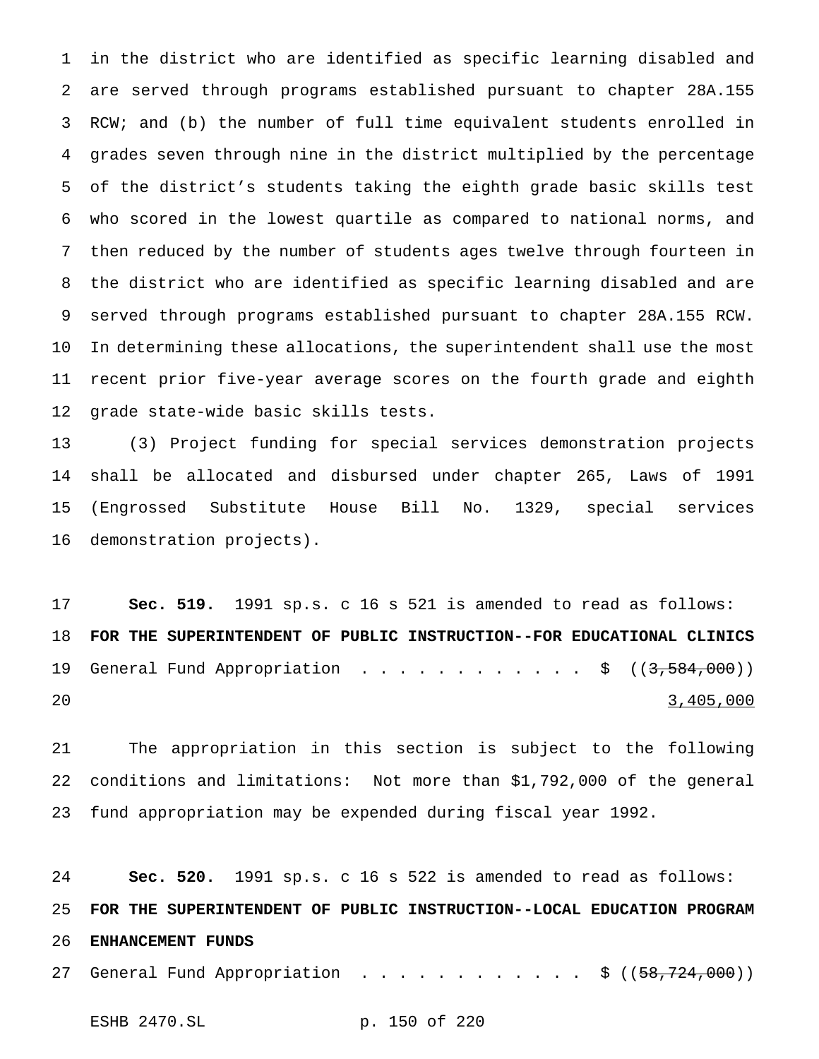in the district who are identified as specific learning disabled and are served through programs established pursuant to chapter 28A.155 RCW; and (b) the number of full time equivalent students enrolled in grades seven through nine in the district multiplied by the percentage of the district's students taking the eighth grade basic skills test who scored in the lowest quartile as compared to national norms, and then reduced by the number of students ages twelve through fourteen in the district who are identified as specific learning disabled and are served through programs established pursuant to chapter 28A.155 RCW. In determining these allocations, the superintendent shall use the most recent prior five-year average scores on the fourth grade and eighth grade state-wide basic skills tests.

 (3) Project funding for special services demonstration projects shall be allocated and disbursed under chapter 265, Laws of 1991 (Engrossed Substitute House Bill No. 1329, special services demonstration projects).

 **Sec. 519.** 1991 sp.s. c 16 s 521 is amended to read as follows: **FOR THE SUPERINTENDENT OF PUBLIC INSTRUCTION--FOR EDUCATIONAL CLINICS** 19 General Fund Appropriation . . . . . . . . . . . \$ ((3,584,000)) 3,405,000

 The appropriation in this section is subject to the following conditions and limitations: Not more than \$1,792,000 of the general fund appropriation may be expended during fiscal year 1992.

 **Sec. 520.** 1991 sp.s. c 16 s 522 is amended to read as follows: **FOR THE SUPERINTENDENT OF PUBLIC INSTRUCTION--LOCAL EDUCATION PROGRAM ENHANCEMENT FUNDS** 27 General Fund Appropriation ..................\$ ((<del>58,724,000</del>))

ESHB 2470.SL p. 150 of 220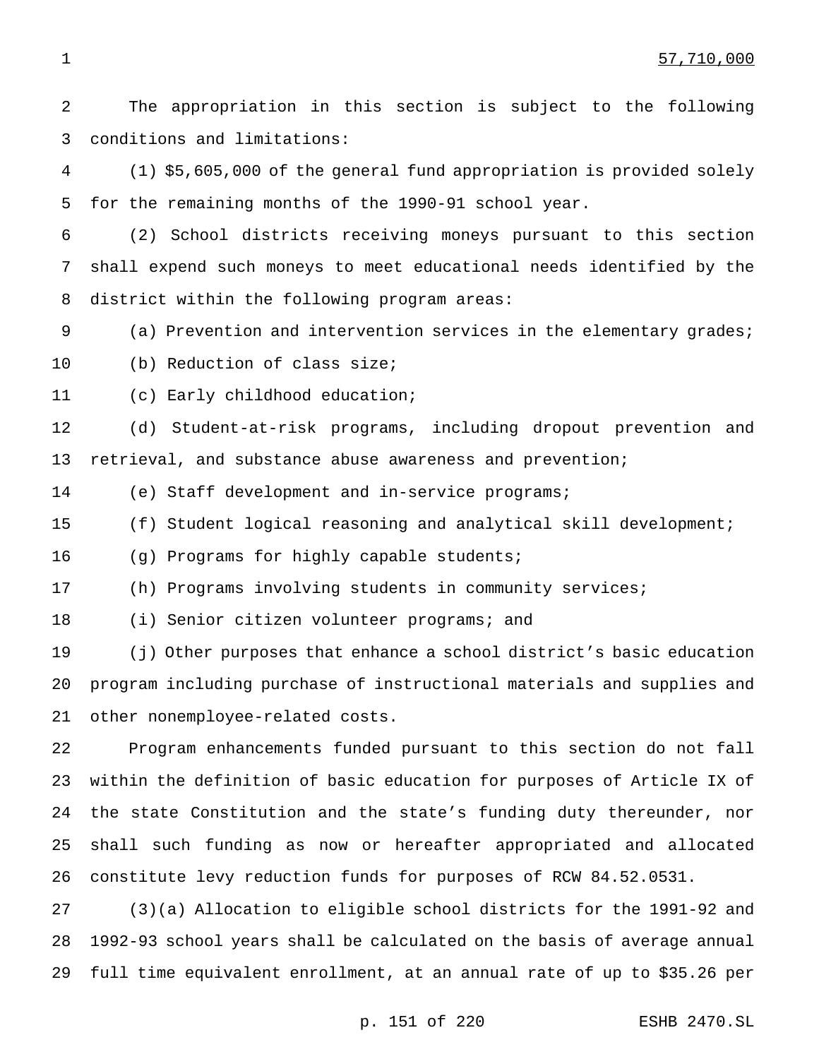The appropriation in this section is subject to the following conditions and limitations:

 (1) \$5,605,000 of the general fund appropriation is provided solely for the remaining months of the 1990-91 school year.

 (2) School districts receiving moneys pursuant to this section shall expend such moneys to meet educational needs identified by the district within the following program areas:

(a) Prevention and intervention services in the elementary grades;

(b) Reduction of class size;

(c) Early childhood education;

 (d) Student-at-risk programs, including dropout prevention and retrieval, and substance abuse awareness and prevention;

(e) Staff development and in-service programs;

(f) Student logical reasoning and analytical skill development;

(g) Programs for highly capable students;

(h) Programs involving students in community services;

(i) Senior citizen volunteer programs; and

 (j) Other purposes that enhance a school district's basic education program including purchase of instructional materials and supplies and other nonemployee-related costs.

 Program enhancements funded pursuant to this section do not fall within the definition of basic education for purposes of Article IX of the state Constitution and the state's funding duty thereunder, nor shall such funding as now or hereafter appropriated and allocated constitute levy reduction funds for purposes of RCW 84.52.0531.

 (3)(a) Allocation to eligible school districts for the 1991-92 and 1992-93 school years shall be calculated on the basis of average annual full time equivalent enrollment, at an annual rate of up to \$35.26 per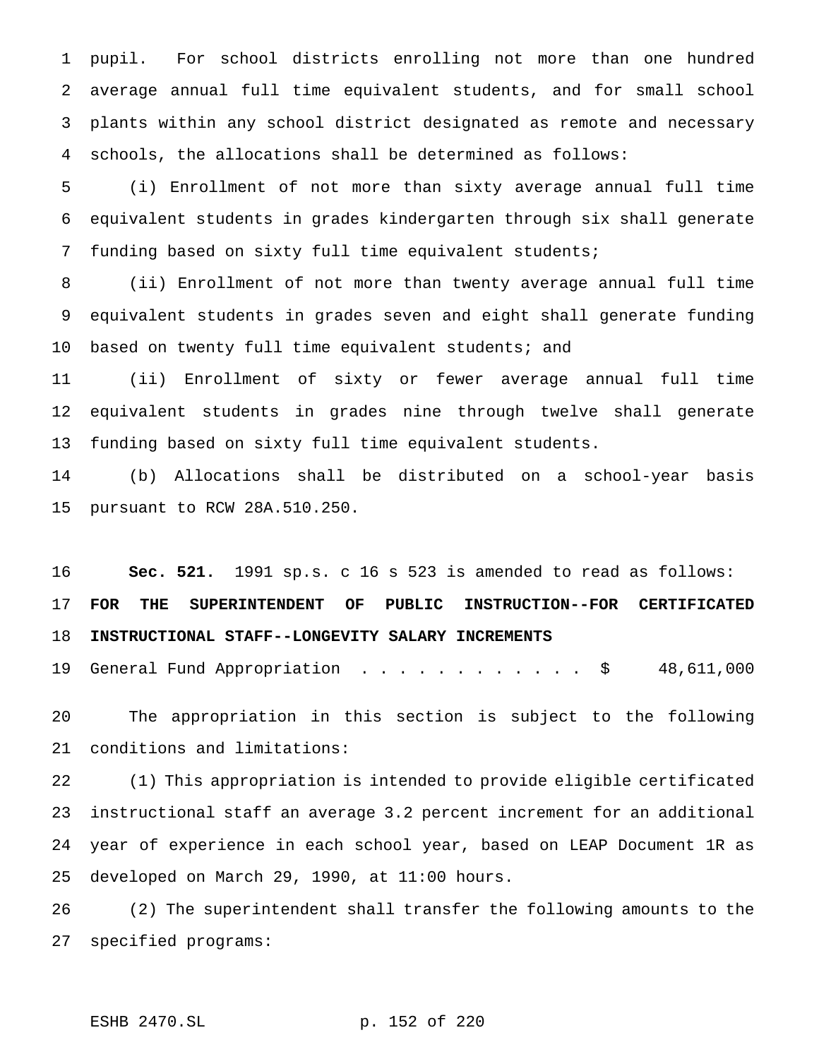pupil. For school districts enrolling not more than one hundred average annual full time equivalent students, and for small school plants within any school district designated as remote and necessary schools, the allocations shall be determined as follows:

 (i) Enrollment of not more than sixty average annual full time equivalent students in grades kindergarten through six shall generate funding based on sixty full time equivalent students;

 (ii) Enrollment of not more than twenty average annual full time equivalent students in grades seven and eight shall generate funding 10 based on twenty full time equivalent students; and

 (ii) Enrollment of sixty or fewer average annual full time equivalent students in grades nine through twelve shall generate funding based on sixty full time equivalent students.

 (b) Allocations shall be distributed on a school-year basis pursuant to RCW 28A.510.250.

 **Sec. 521.** 1991 sp.s. c 16 s 523 is amended to read as follows: **FOR THE SUPERINTENDENT OF PUBLIC INSTRUCTION--FOR CERTIFICATED INSTRUCTIONAL STAFF--LONGEVITY SALARY INCREMENTS**

General Fund Appropriation ............ \$ 48,611,000

 The appropriation in this section is subject to the following conditions and limitations:

 (1) This appropriation is intended to provide eligible certificated instructional staff an average 3.2 percent increment for an additional year of experience in each school year, based on LEAP Document 1R as developed on March 29, 1990, at 11:00 hours.

 (2) The superintendent shall transfer the following amounts to the specified programs:

```
ESHB 2470.SL p. 152 of 220
```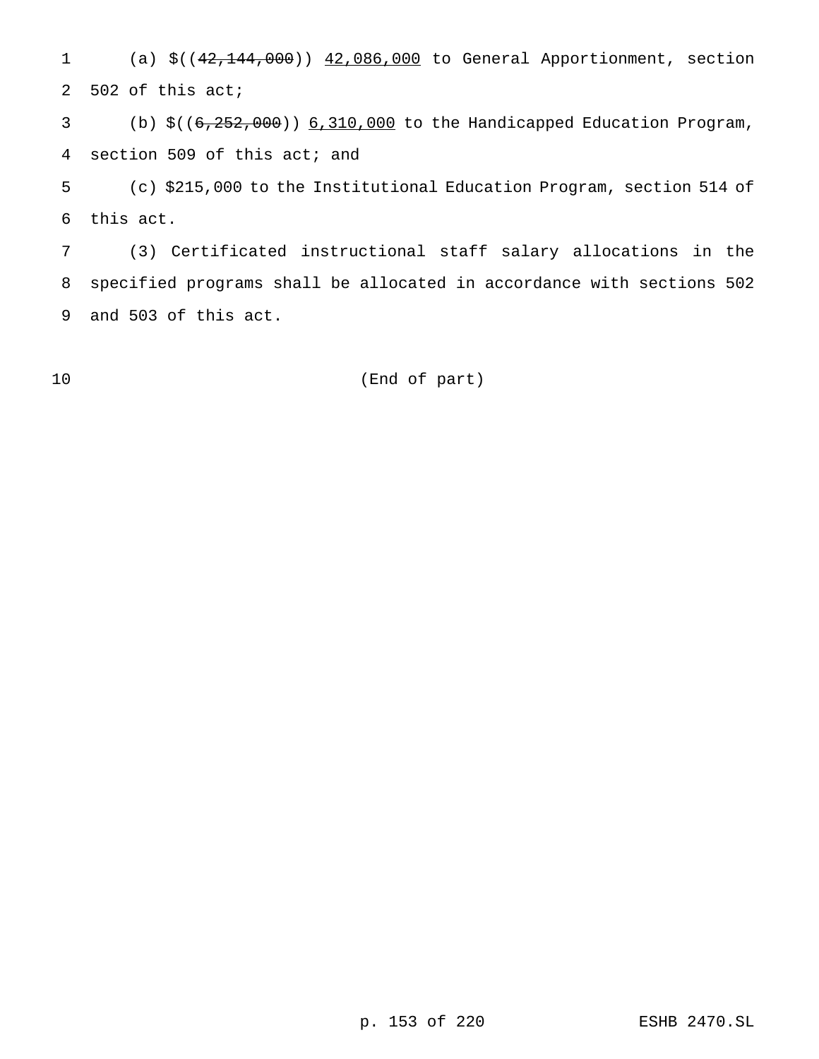(a) \$((42,144,000)) 42,086,000 to General Apportionment, section 502 of this act;

 (b) \$((6,252,000)) 6,310,000 to the Handicapped Education Program, section 509 of this act; and

 (c) \$215,000 to the Institutional Education Program, section 514 of this act.

 (3) Certificated instructional staff salary allocations in the specified programs shall be allocated in accordance with sections 502 and 503 of this act.

(End of part)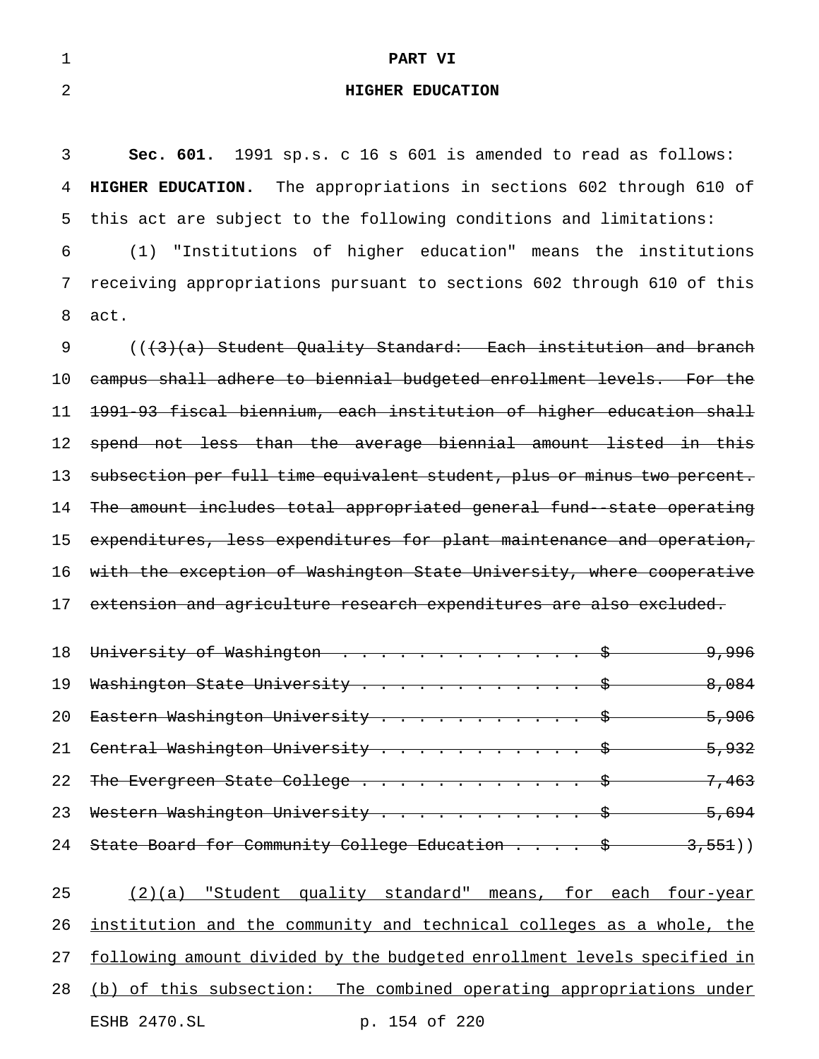### 1 **PART VI**

## 2 **HIGHER EDUCATION**

 **Sec. 601.** 1991 sp.s. c 16 s 601 is amended to read as follows: **HIGHER EDUCATION.** The appropriations in sections 602 through 610 of this act are subject to the following conditions and limitations: (1) "Institutions of higher education" means the institutions receiving appropriations pursuant to sections 602 through 610 of this 8 act.

9 (((3)(a) Student Quality Standard: Each institution and branch campus shall adhere to biennial budgeted enrollment levels. For the 1991-93 fiscal biennium, each institution of higher education shall spend not less than the average biennial amount listed in this subsection per full time equivalent student, plus or minus two percent. The amount includes total appropriated general fund--state operating 15 expenditures, less expenditures for plant maintenance and operation, with the exception of Washington State University, where cooperative 17 extension and agriculture research expenditures are also excluded.

|                  | 18 University of Washington \$                                                                        | <del>9,996</del> |
|------------------|-------------------------------------------------------------------------------------------------------|------------------|
| 19               | Washington State University \$                                                                        | 8,084            |
| 20               | Eastern Washington University \$ 5,906                                                                |                  |
|                  | 21 Central Washington University $\cdots$ $\cdots$ $\cdots$ $\cdots$ $\cdots$ $\cdots$ $\cdots$ 5,932 |                  |
| 2.2 <sub>1</sub> | The Evergreen State College $\frac{1}{5}$ 7,463                                                       |                  |
| 23               | Western Washington University $\frac{1}{9}$ 5,694                                                     |                  |
| 24               | State Board for Community College Education $\frac{1}{5}$ 3,551)                                      |                  |

| 25 | (2)(a) "Student quality standard" means, for each four-year                |               |  |  |  |
|----|----------------------------------------------------------------------------|---------------|--|--|--|
|    | 26 institution and the community and technical colleges as a whole, the    |               |  |  |  |
|    | 27 following amount divided by the budgeted enrollment levels specified in |               |  |  |  |
|    | 28 (b) of this subsection: The combined operating appropriations under     |               |  |  |  |
|    | ESHB 2470.SL                                                               | p. 154 of 220 |  |  |  |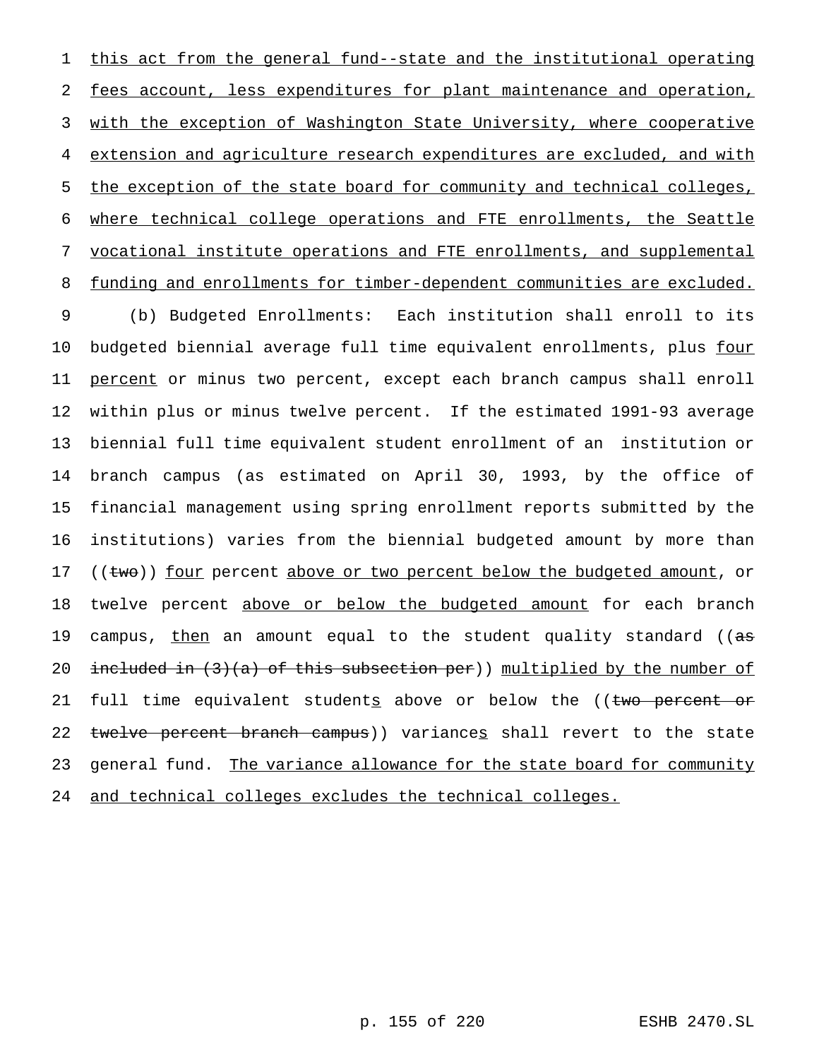this act from the general fund--state and the institutional operating fees account, less expenditures for plant maintenance and operation, with the exception of Washington State University, where cooperative extension and agriculture research expenditures are excluded, and with 5 the exception of the state board for community and technical colleges, where technical college operations and FTE enrollments, the Seattle vocational institute operations and FTE enrollments, and supplemental 8 funding and enrollments for timber-dependent communities are excluded. (b) Budgeted Enrollments: Each institution shall enroll to its budgeted biennial average full time equivalent enrollments, plus four 11 percent or minus two percent, except each branch campus shall enroll within plus or minus twelve percent. If the estimated 1991-93 average biennial full time equivalent student enrollment of an institution or branch campus (as estimated on April 30, 1993, by the office of financial management using spring enrollment reports submitted by the institutions) varies from the biennial budgeted amount by more than 17 ((two)) four percent above or two percent below the budgeted amount, or 18 twelve percent above or below the budgeted amount for each branch

19 campus, <u>then</u> an amount equal to the student quality standard ((as

20 included in (3)(a) of this subsection per)) multiplied by the number of

21 full time equivalent students above or below the ((two percent or

22 twelve percent branch campus)) variances shall revert to the state

23 general fund. The variance allowance for the state board for community

24 and technical colleges excludes the technical colleges.

p. 155 of 220 ESHB 2470.SL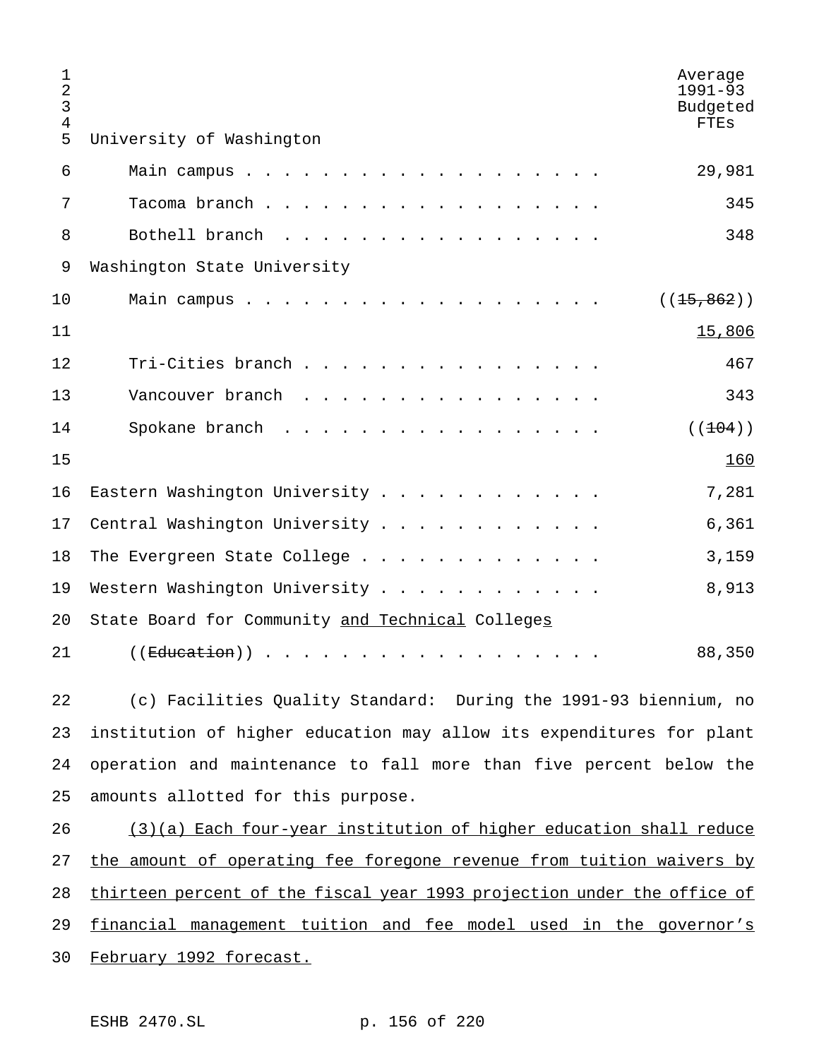| 1<br>2<br>3<br>$\overline{4}$ | Average<br>$1991 - 93$<br>Budgeted<br><b>FTES</b>                       |
|-------------------------------|-------------------------------------------------------------------------|
| 5                             | University of Washington                                                |
| 6                             | 29,981<br>Main campus.                                                  |
| 7                             | Tacoma branch.<br>345                                                   |
| 8                             | 348<br>Bothell branch                                                   |
| 9                             | Washington State University                                             |
| 10                            | Main campus.<br>( (15, 862) )                                           |
| 11                            | 15,806                                                                  |
| 12                            | Tri-Cities branch<br>467                                                |
| 13                            | Vancouver branch<br>343                                                 |
| 14                            | Spokane branch<br>( (104) )                                             |
| 15                            | 160                                                                     |
| 16                            | Eastern Washington University<br>7,281                                  |
| 17                            | Central Washington University<br>6,361                                  |
| 18                            | 3,159<br>The Evergreen State College                                    |
| 19                            | 8,913<br>Western Washington University                                  |
| 20                            | State Board for Community and Technical Colleges                        |
| 21                            | 88,350<br>(( <del>Education</del> ))                                    |
| 22                            | (c) Facilities Quality Standard: During the 1991-93 biennium, no        |
| 23                            | institution of higher education may allow its expenditures for plant    |
| 24                            | operation and maintenance to fall more than five percent below the      |
| 25                            | amounts allotted for this purpose.                                      |
| 26                            | (3)(a) Each four-year institution of higher education shall reduce      |
| 27                            | the amount of operating fee foregone revenue from tuition waivers by    |
| 28                            | thirteen percent of the fiscal year 1993 projection under the office of |
| 29                            | financial management tuition and fee model used in the governor's       |
| 30                            | February 1992 forecast.                                                 |

ESHB 2470.SL p. 156 of 220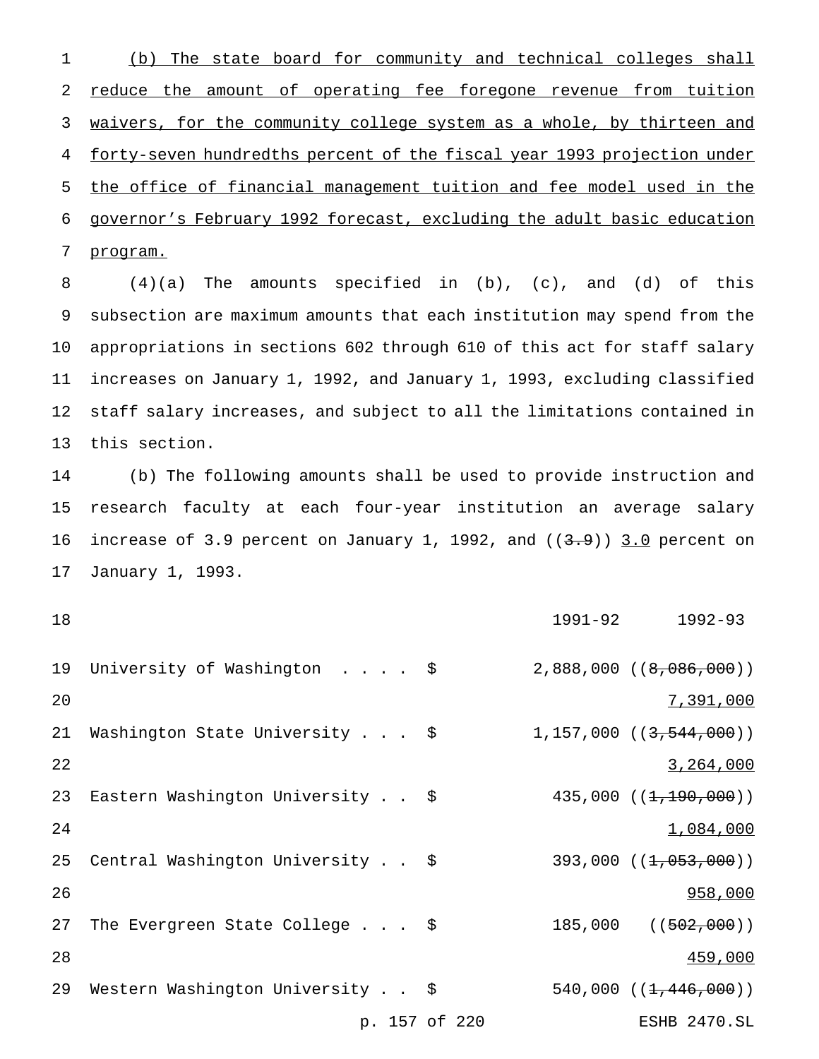1 (b) The state board for community and technical colleges shall 2 reduce the amount of operating fee foregone revenue from tuition 3 waivers, for the community college system as a whole, by thirteen and 4 forty-seven hundredths percent of the fiscal year 1993 projection under 5 the office of financial management tuition and fee model used in the 6 governor's February 1992 forecast, excluding the adult basic education 7 program.

 (4)(a) The amounts specified in (b), (c), and (d) of this subsection are maximum amounts that each institution may spend from the appropriations in sections 602 through 610 of this act for staff salary increases on January 1, 1992, and January 1, 1993, excluding classified staff salary increases, and subject to all the limitations contained in this section.

 (b) The following amounts shall be used to provide instruction and research faculty at each four-year institution an average salary 16 increase of 3.9 percent on January 1, 1992, and  $((3.9))$  3.0 percent on January 1, 1993.

| 18 |                                         | 1991-92 1992-93               |
|----|-----------------------------------------|-------------------------------|
| 19 | University of Washington \$             | $2,888,000$ $(8,086,000)$     |
| 20 |                                         | 7,391,000                     |
| 21 | Washington State University \$          | $1, 157, 000$ $(3, 544, 000)$ |
| 22 |                                         | 3, 264, 000                   |
|    | 23 Eastern Washington University \$     | $435,000$ $(1,190,000)$       |
| 24 |                                         | 1,084,000                     |
| 25 | Central Washington University \$        | $393,000$ $(1,053,000)$       |
| 26 |                                         | 958,000                       |
| 27 | The Evergreen State College $\ldots$ \$ | $185,000$ $(502,000)$         |
| 28 |                                         | 459,000                       |
| 29 | Western Washington University \$        | 540,000 $((1, 446, 000))$     |

p. 157 of 220 ESHB 2470.SL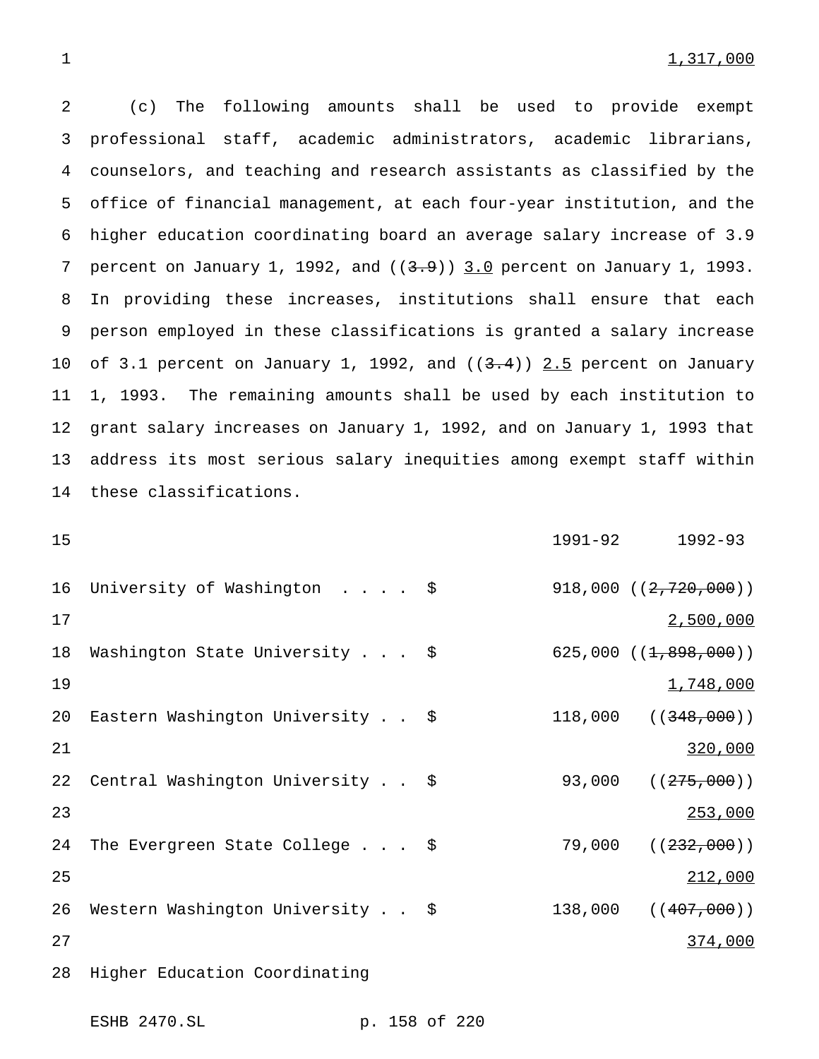(c) The following amounts shall be used to provide exempt professional staff, academic administrators, academic librarians, counselors, and teaching and research assistants as classified by the office of financial management, at each four-year institution, and the higher education coordinating board an average salary increase of 3.9 7 percent on January 1, 1992, and  $((3.9))$  3.0 percent on January 1, 1993. In providing these increases, institutions shall ensure that each person employed in these classifications is granted a salary increase 10 of 3.1 percent on January 1, 1992, and  $((3.4))$  2.5 percent on January 1, 1993. The remaining amounts shall be used by each institution to grant salary increases on January 1, 1992, and on January 1, 1993 that address its most serious salary inequities among exempt staff within these classifications.

15 1991-92 1992-93 16 University of Washington . . . . \$ 918,000 ((2,720,000)) 17 2,500,000 18 Washington State University . . . \$ 625,000 ((1,898,000))  $1,748,000$ 20 Eastern Washington University . . \$ 118,000 ((348,000)) 21 320,000 22 Central Washington University . . \$ 93,000 ((275,000)) 23 23 253,000 24 The Evergreen State College . . . \$ 79,000 ((232,000)) 25 212,000 26 Western Washington University . . \$ 138,000 ((407,000)) 27 374,000 28 Higher Education Coordinating

ESHB 2470.SL p. 158 of 220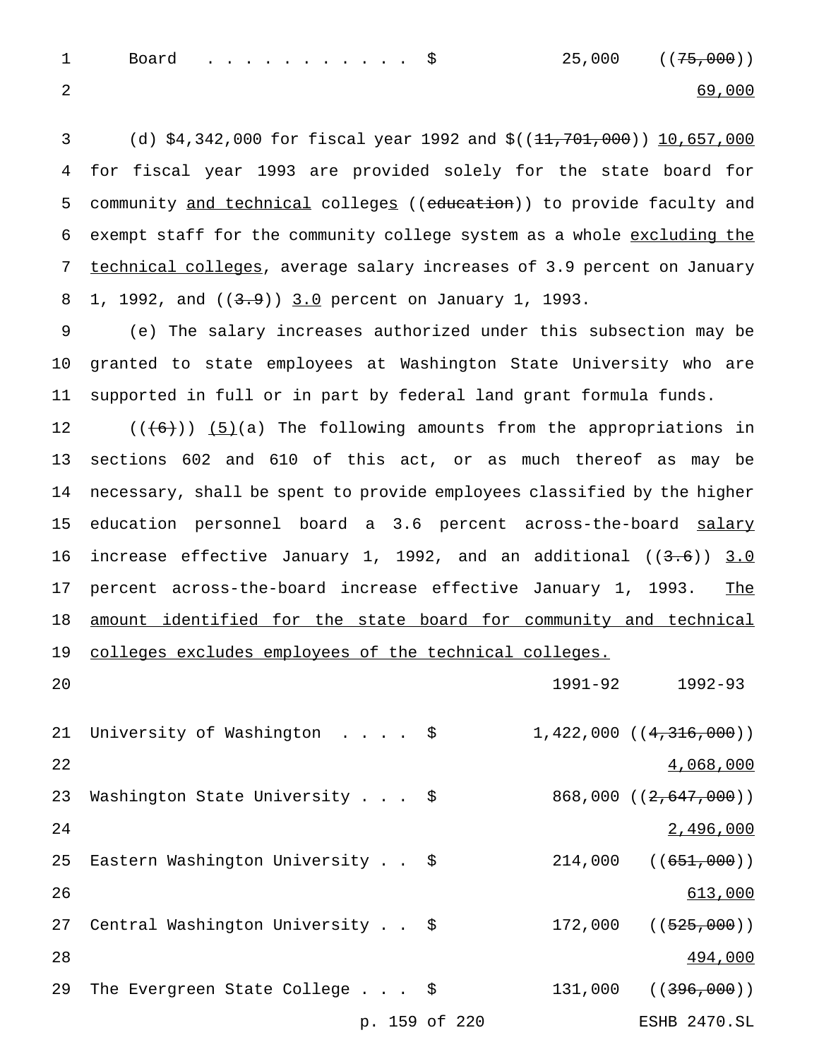1 Board . . . . . . . . . . \$ 25,000 ((75,000)) 2 69,000

3 (d) \$4,342,000 for fiscal year 1992 and \$((11,701,000)) 10,657,000 4 for fiscal year 1993 are provided solely for the state board for 5 community and technical colleges ((education)) to provide faculty and 6 exempt staff for the community college system as a whole excluding the 7 technical colleges, average salary increases of 3.9 percent on January 8 1, 1992, and ((3.9)) 3.0 percent on January 1, 1993.

9 (e) The salary increases authorized under this subsection may be 10 granted to state employees at Washington State University who are 11 supported in full or in part by federal land grant formula funds.

12  $((\{6\})$  (5)(a) The following amounts from the appropriations in 13 sections 602 and 610 of this act, or as much thereof as may be 14 necessary, shall be spent to provide employees classified by the higher 15 education personnel board a 3.6 percent across-the-board salary 16 increase effective January 1, 1992, and an additional ((3.6)) 3.0 17 percent across-the-board increase effective January 1, 1993. The 18 amount identified for the state board for community and technical 19 colleges excludes employees of the technical colleges.

20 1991-92 1992-93

21 University of Washington . . . . \$ 1,422,000 ((4,316,000)) 22  $\frac{4,068,000}{2}$ 23 Washington State University . . . \$ 868,000 ((2,647,000)) 24 2,496,000 25 Eastern Washington University . .  $\frac{1}{2}$   $\frac{214,000}{(651,000)}$ 26 613,000 27 Central Washington University . . \$ 172,000 ((525,000)) 28 **494,000** 29 The Evergreen State College . . . \$ 131,000 ((<del>396,000</del>)) p. 159 of 220 ESHB 2470.SL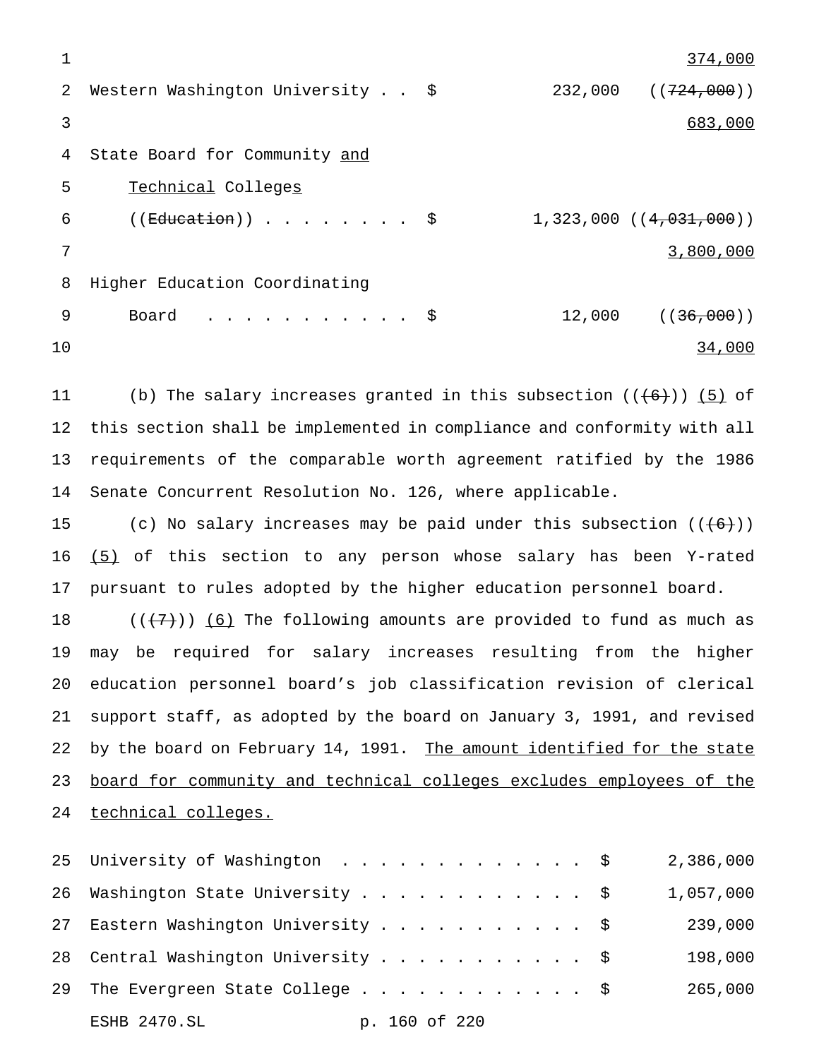1 374,000 2 Western Washington University . . \$ 232,000 ((724,000)) 3 683,000 4 State Board for Community and 5 Technical Colleges 6 ((Education))........  $\frac{1}{323,000}$  ((4,031,000)) 7 3,800,000 8 Higher Education Coordinating 9 Board . . . . . . . . . . \$ 12,000 ((36,000)) 10 34,000

11 (b) The salary increases granted in this subsection  $((+6+))$  (5) of this section shall be implemented in compliance and conformity with all requirements of the comparable worth agreement ratified by the 1986 Senate Concurrent Resolution No. 126, where applicable.

15 (c) No salary increases may be paid under this subsection  $((+6))$ 16  $(5)$  of this section to any person whose salary has been Y-rated 17 pursuant to rules adopted by the higher education personnel board.

 $((\langle 7 \rangle) \rangle$  (6) The following amounts are provided to fund as much as may be required for salary increases resulting from the higher education personnel board's job classification revision of clerical support staff, as adopted by the board on January 3, 1991, and revised 22 by the board on February 14, 1991. The amount identified for the state board for community and technical colleges excludes employees of the technical colleges.

25 University of Washington . . . . . . . . . . . . \$ 2,386,000 26 Washington State University . . . . . . . . . . . \$ 1,057,000 27 Eastern Washington University . . . . . . . . . . \$ 239,000 28 Central Washington University . . . . . . . . . . \$ 198,000 29 The Evergreen State College  $\ldots$ ...............\$ 265,000 ESHB 2470.SL p. 160 of 220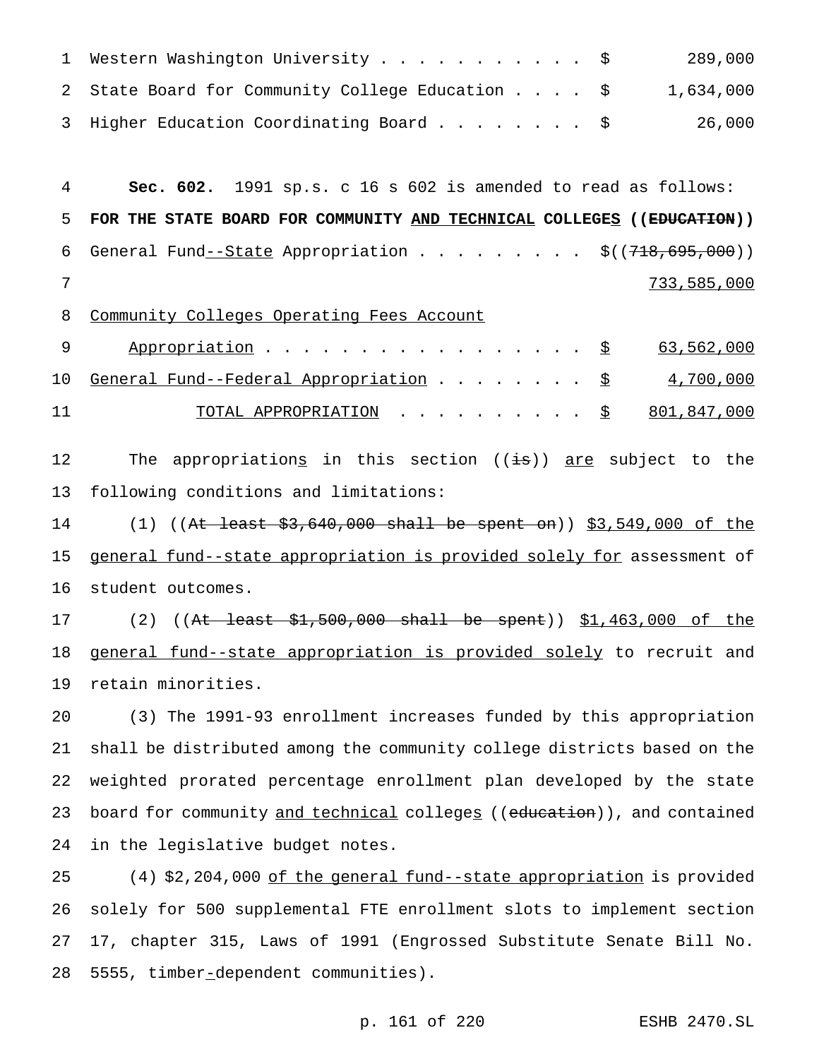| 1 Western Washington University \$               | 289,000   |
|--------------------------------------------------|-----------|
| 2 State Board for Community College Education \$ | 1,634,000 |
| 3 Higher Education Coordinating Board \$         | 26,000    |

 **Sec. 602.** 1991 sp.s. c 16 s 602 is amended to read as follows: **FOR THE STATE BOARD FOR COMMUNITY AND TECHNICAL COLLEGES ((EDUCATION))** 6 General Fund $-$ State Appropriation . . . . . . . . \$((718,695,000)) 733,585,000

8 Community Colleges Operating Fees Account

|    | 9 Appropriation <u>\$</u> 63,562,000                  |  |
|----|-------------------------------------------------------|--|
|    | 10 General Fund--Federal Appropriation \$ 4,700,000   |  |
| 11 | TOTAL APPROPRIATION $\ldots$ , $\lessgtr$ 801,847,000 |  |

12 The appropriation<u>s</u> in this section ((<del>is</del>)) <u>are</u> subject to the following conditions and limitations:

14 (1) ((At least \$3,640,000 shall be spent on)) \$3,549,000 of the general fund--state appropriation is provided solely for assessment of student outcomes.

17 (2) ((At least \$1,500,000 shall be spent)) \$1,463,000 of the 18 general fund--state appropriation is provided solely to recruit and retain minorities.

 (3) The 1991-93 enrollment increases funded by this appropriation shall be distributed among the community college districts based on the weighted prorated percentage enrollment plan developed by the state 23 board for community and technical colleges ((education)), and contained in the legislative budget notes.

 (4) \$2,204,000 of the general fund--state appropriation is provided solely for 500 supplemental FTE enrollment slots to implement section 17, chapter 315, Laws of 1991 (Engrossed Substitute Senate Bill No. 5555, timber-dependent communities).

p. 161 of 220 ESHB 2470.SL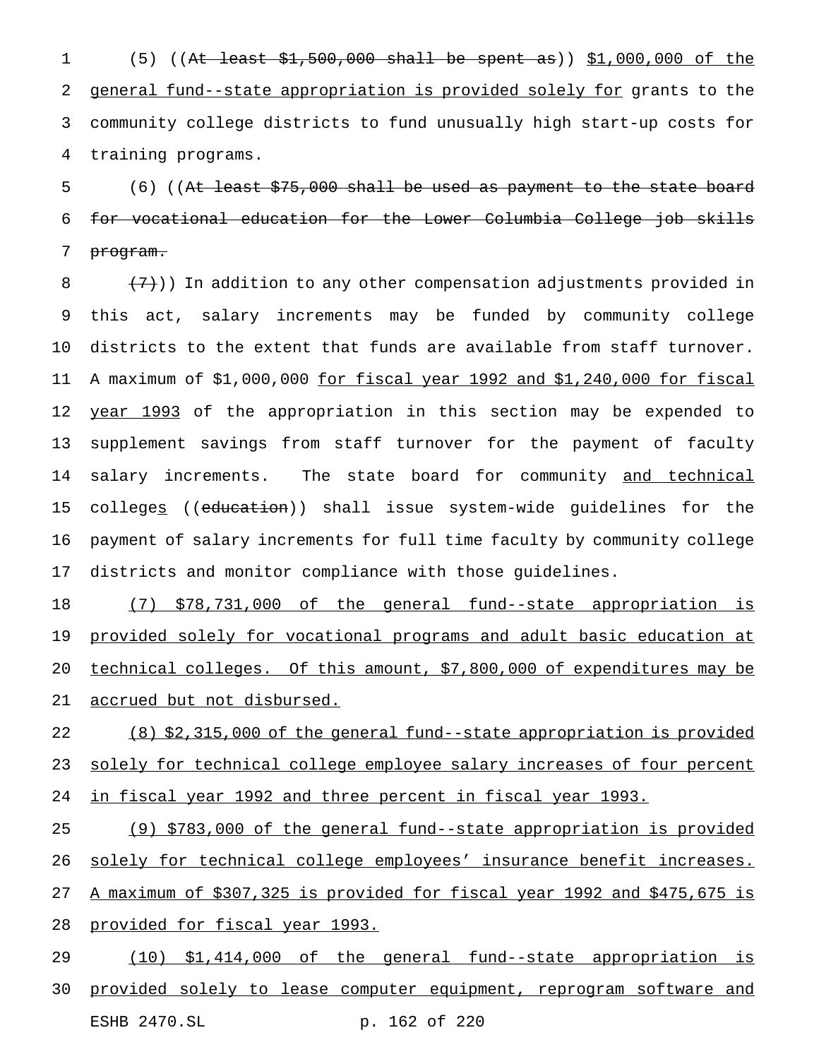(5) ((At least \$1,500,000 shall be spent as)) \$1,000,000 of the general fund--state appropriation is provided solely for grants to the community college districts to fund unusually high start-up costs for training programs.

5 (6) ((At least \$75,000 shall be used as payment to the state board for vocational education for the Lower Columbia College job skills program.

 $(7)$ )) In addition to any other compensation adjustments provided in this act, salary increments may be funded by community college districts to the extent that funds are available from staff turnover. A maximum of \$1,000,000 for fiscal year 1992 and \$1,240,000 for fiscal 12 year 1993 of the appropriation in this section may be expended to supplement savings from staff turnover for the payment of faculty 14 salary increments. The state board for community and technical colleges ((education)) shall issue system-wide guidelines for the payment of salary increments for full time faculty by community college districts and monitor compliance with those guidelines.

 (7) \$78,731,000 of the general fund--state appropriation is 19 provided solely for vocational programs and adult basic education at technical colleges. Of this amount, \$7,800,000 of expenditures may be accrued but not disbursed.

 (8) \$2,315,000 of the general fund--state appropriation is provided 23 solely for technical college employee salary increases of four percent 24 in fiscal year 1992 and three percent in fiscal year 1993.

 (9) \$783,000 of the general fund--state appropriation is provided 26 solely for technical college employees' insurance benefit increases. A maximum of \$307,325 is provided for fiscal year 1992 and \$475,675 is 28 provided for fiscal year 1993.

 (10) \$1,414,000 of the general fund--state appropriation is 30 provided solely to lease computer equipment, reprogram software and ESHB 2470.SL p. 162 of 220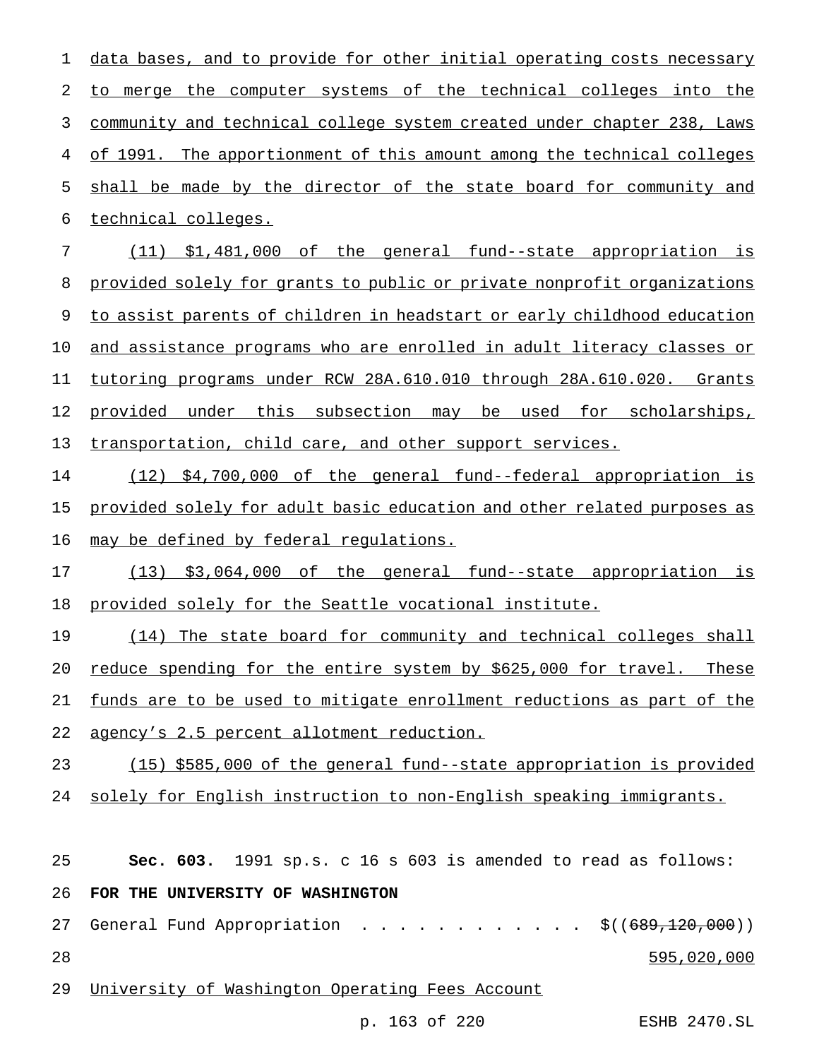data bases, and to provide for other initial operating costs necessary to merge the computer systems of the technical colleges into the community and technical college system created under chapter 238, Laws of 1991. The apportionment of this amount among the technical colleges shall be made by the director of the state board for community and technical colleges.

 (11) \$1,481,000 of the general fund--state appropriation is provided solely for grants to public or private nonprofit organizations 9 to assist parents of children in headstart or early childhood education and assistance programs who are enrolled in adult literacy classes or tutoring programs under RCW 28A.610.010 through 28A.610.020. Grants provided under this subsection may be used for scholarships, transportation, child care, and other support services.

 (12) \$4,700,000 of the general fund--federal appropriation is provided solely for adult basic education and other related purposes as 16 may be defined by federal regulations.

 (13) \$3,064,000 of the general fund--state appropriation is provided solely for the Seattle vocational institute.

 (14) The state board for community and technical colleges shall 20 reduce spending for the entire system by \$625,000 for travel. These funds are to be used to mitigate enrollment reductions as part of the agency's 2.5 percent allotment reduction.

(15) \$585,000 of the general fund--state appropriation is provided

solely for English instruction to non-English speaking immigrants.

**Sec. 603.** 1991 sp.s. c 16 s 603 is amended to read as follows:

### **FOR THE UNIVERSITY OF WASHINGTON**

- 27 General Fund Appropriation . . . . . . . . . . . \$((689,120,000)) 595,020,000
- University of Washington Operating Fees Account

p. 163 of 220 ESHB 2470.SL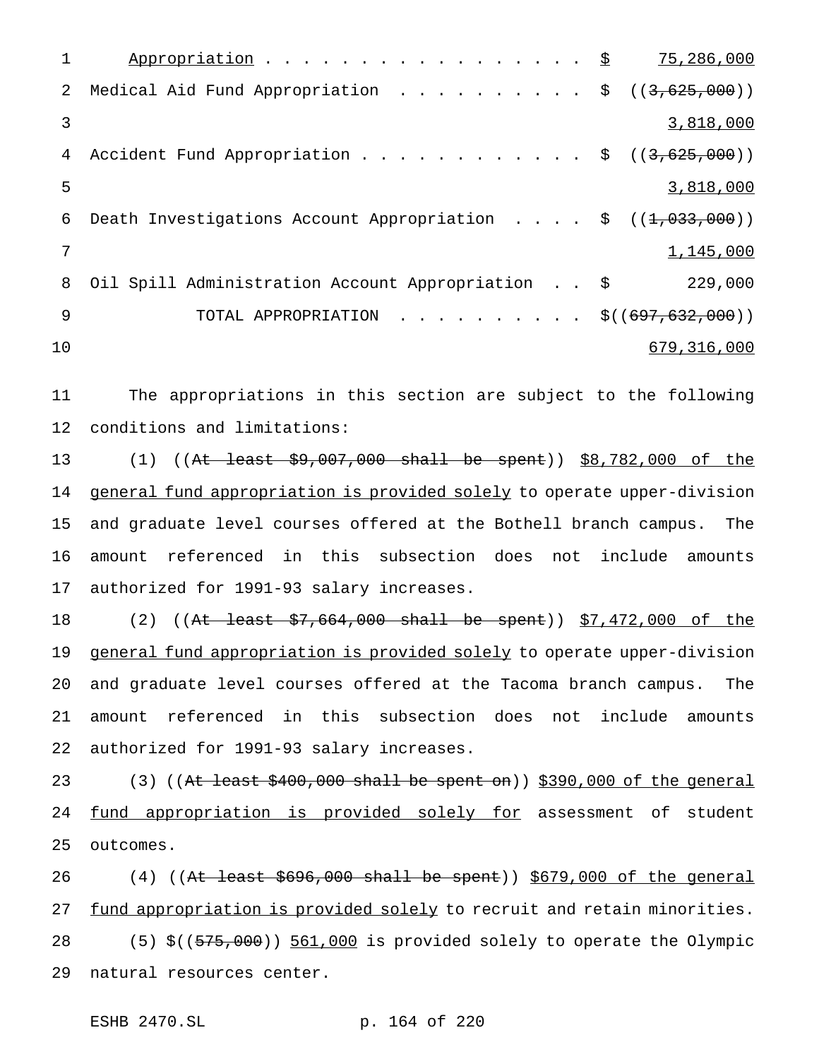1 Appropriation . . . . . . . . . . . . . . . . 9 75,286,000 2 Medical Aid Fund Appropriation . . . . . . . . . \$ ((3,625,000)) 3 3,818,000 4 Accident Fund Appropriation . . . . . . . . . . . \$ ((3,625,000)) 5 3,818,000 6 Death Investigations Account Appropriation . . . .  $\frac{1}{5}$  ((1,033,000))  $\frac{1}{1}$ , 145, 000 8 Oil Spill Administration Account Appropriation . . \$ 229,000 9 TOTAL APPROPRIATION . . . . . . . . . \$((697,632,000)) 10 679,316,000

11 The appropriations in this section are subject to the following 12 conditions and limitations:

13 (1) ((At least \$9,007,000 shall be spent)) \$8,782,000 of the 14 general fund appropriation is provided solely to operate upper-division 15 and graduate level courses offered at the Bothell branch campus. The 16 amount referenced in this subsection does not include amounts 17 authorized for 1991-93 salary increases.

18 (2) ((At least \$7,664,000 shall be spent)) \$7,472,000 of the 19 general fund appropriation is provided solely to operate upper-division 20 and graduate level courses offered at the Tacoma branch campus. The 21 amount referenced in this subsection does not include amounts 22 authorized for 1991-93 salary increases.

23 (3) (( $At least $400,000 shall be spent on$ )) \$390,000 of the general 24 fund appropriation is provided solely for assessment of student 25 outcomes.

26 (4) ((At least \$696,000 shall be spent)) \$679,000 of the general 27 fund appropriation is provided solely to recruit and retain minorities. 28 (5) \$((575,000)) 561,000 is provided solely to operate the Olympic 29 natural resources center.

ESHB 2470.SL p. 164 of 220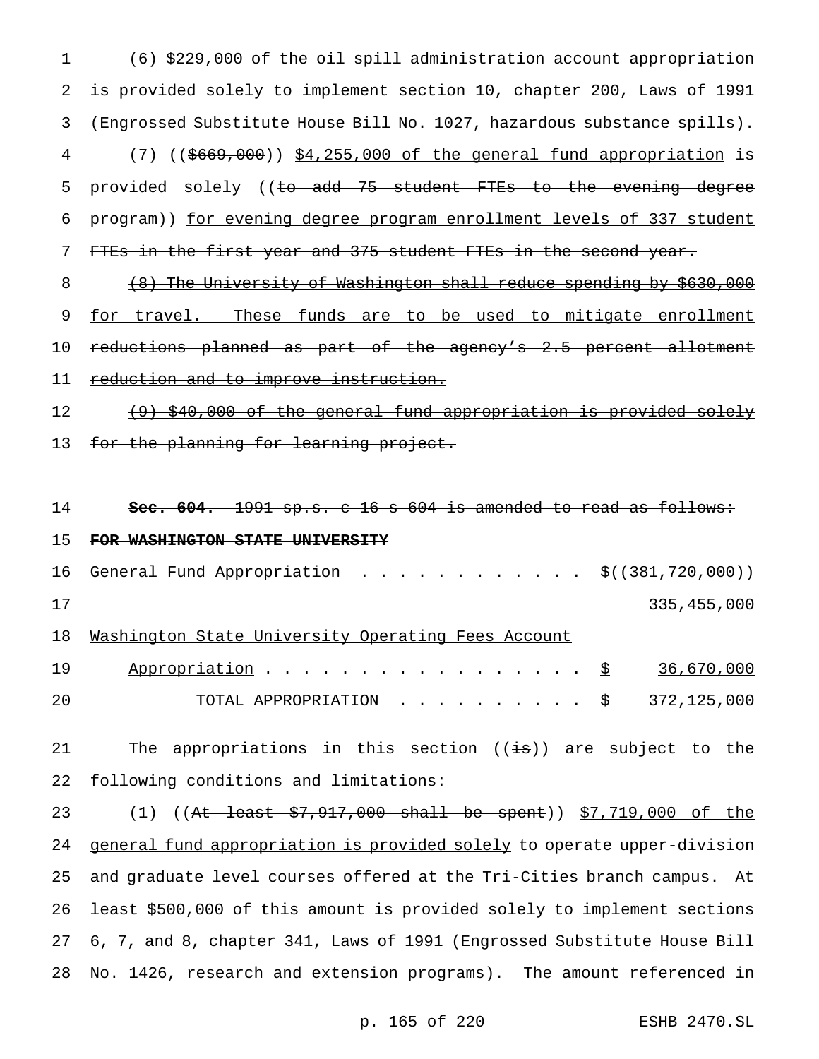1 (6) \$229,000 of the oil spill administration account appropriation 2 is provided solely to implement section 10, chapter 200, Laws of 1991 3 (Engrossed Substitute House Bill No. 1027, hazardous substance spills). 4 (7) ((\$669,000)) \$4,255,000 of the general fund appropriation is 5 provided solely ((to add 75 student FTEs to the evening degree 6 program)) for evening degree program enrollment levels of 337 student 7 FTEs in the first year and 375 student FTEs in the second year. 8 (8) The University of Washington shall reduce spending by \$630,000 9 for travel. These funds are to be used to mitigate enrollment 10 reductions planned as part of the agency's 2.5 percent allotment 11 reduction and to improve instruction. 12 (9) \$40,000 of the general fund appropriation is provided solely 13 for the planning for learning project. 14 **Sec. 604.** 1991 sp.s. c 16 s 604 is amended to read as follows: 15 **FOR WASHINGTON STATE UNIVERSITY** 16 General Fund Appropriation . . . . . . . . . . . . \$((381,720,000)) 17 335,455,000 18 Washington State University Operating Fees Account

19 Appropriation . . . . . . . . . . . . . . . . <u>\$ 36,670,000</u> 20 TOTAL APPROPRIATION .......... \$ 372,125,000

21 The appropriations in this section ((is)) are subject to the 22 following conditions and limitations:

23 (1) ((<del>At least \$7,917,000 shall be spent</del>)) \$7,719,000 of the 24 general fund appropriation is provided solely to operate upper-division and graduate level courses offered at the Tri-Cities branch campus. At least \$500,000 of this amount is provided solely to implement sections 6, 7, and 8, chapter 341, Laws of 1991 (Engrossed Substitute House Bill No. 1426, research and extension programs). The amount referenced in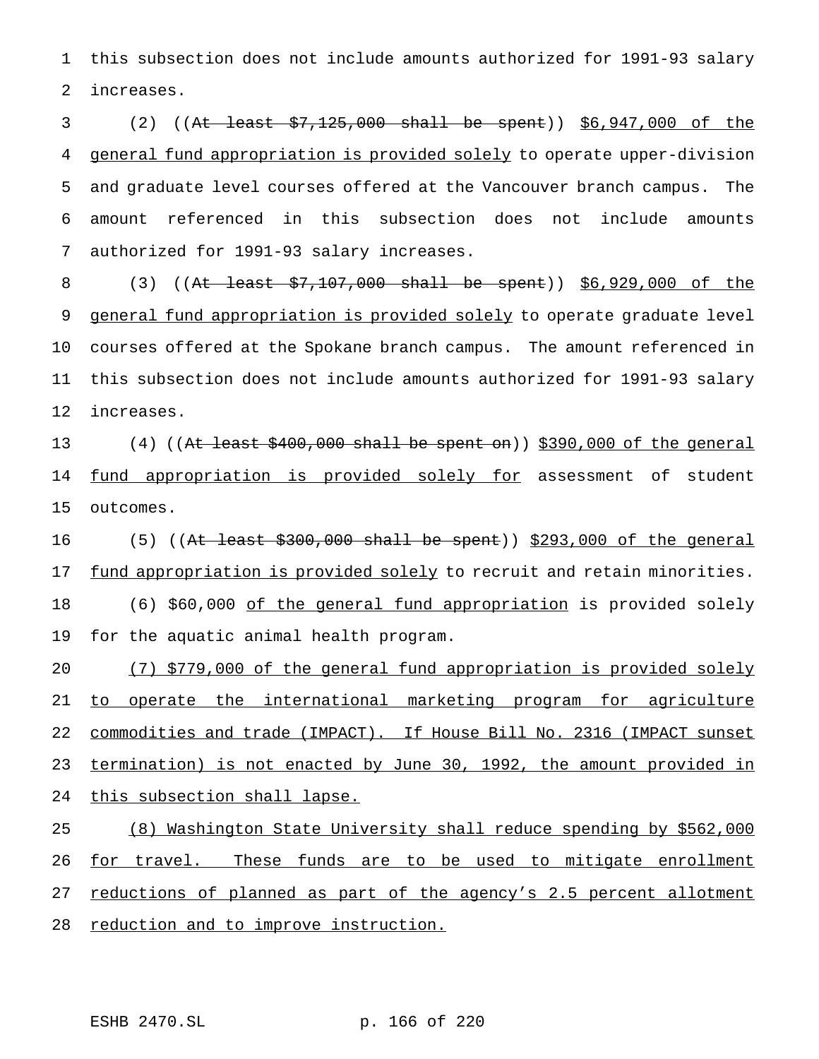this subsection does not include amounts authorized for 1991-93 salary increases.

 (2) ((At least \$7,125,000 shall be spent)) \$6,947,000 of the general fund appropriation is provided solely to operate upper-division and graduate level courses offered at the Vancouver branch campus. The amount referenced in this subsection does not include amounts authorized for 1991-93 salary increases.

8 (3) ((At least \$7,107,000 shall be spent)) \$6,929,000 of the 9 general fund appropriation is provided solely to operate graduate level courses offered at the Spokane branch campus. The amount referenced in this subsection does not include amounts authorized for 1991-93 salary increases.

13 (4) (( $At$  least  $$400,000$  shall be spent on))  $$390,000$  of the general 14 <u>fund appropriation is provided solely for</u> assessment of student outcomes.

 $(5)$  ((At least \$300,000 shall be spent)) \$293,000 of the general 17 fund appropriation is provided solely to recruit and retain minorities. 18 (6) \$60,000 of the general fund appropriation is provided solely for the aquatic animal health program.

 (7) \$779,000 of the general fund appropriation is provided solely to operate the international marketing program for agriculture commodities and trade (IMPACT). If House Bill No. 2316 (IMPACT sunset termination) is not enacted by June 30, 1992, the amount provided in this subsection shall lapse.

 (8) Washington State University shall reduce spending by \$562,000 26 for travel. These funds are to be used to mitigate enrollment 27 reductions of planned as part of the agency's 2.5 percent allotment 28 reduction and to improve instruction.

ESHB 2470.SL p. 166 of 220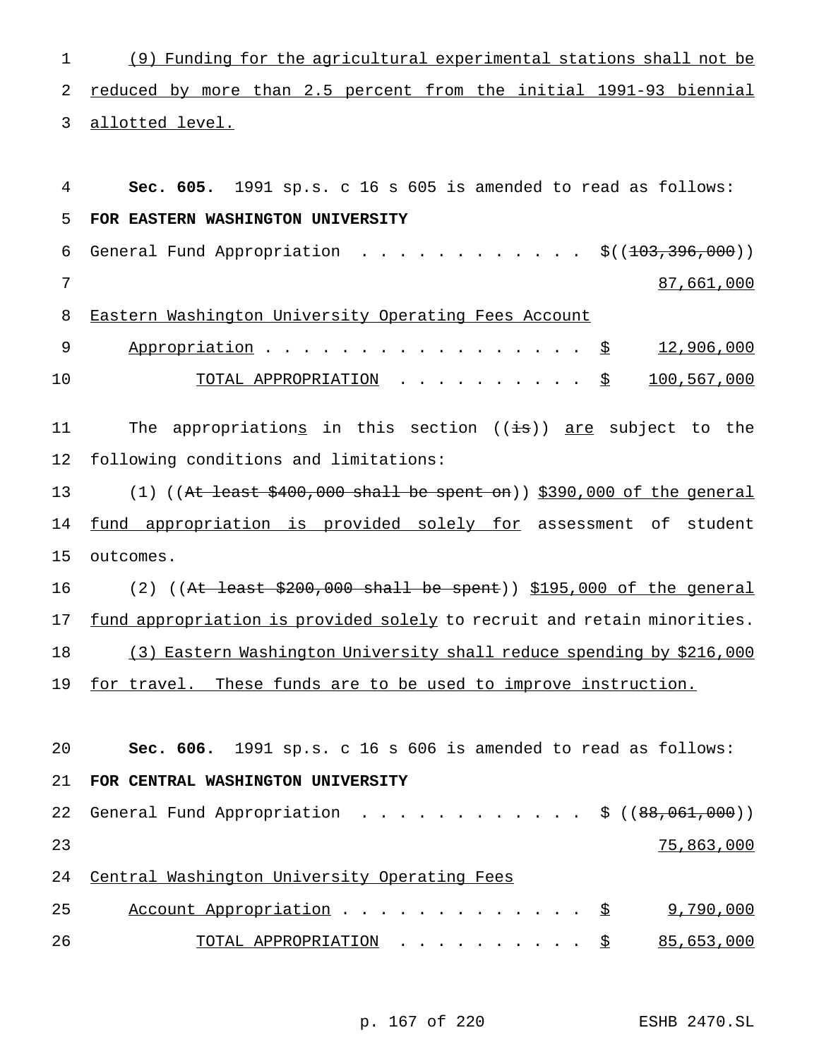| $\mathbf 1$ | (9) Funding for the agricultural experimental stations shall not be                 |
|-------------|-------------------------------------------------------------------------------------|
| 2           | reduced by more than 2.5 percent from the initial 1991-93 biennial                  |
| 3           | allotted level.                                                                     |
|             |                                                                                     |
| 4           | Sec. 605. 1991 sp.s. c 16 s 605 is amended to read as follows:                      |
| 5           | FOR EASTERN WASHINGTON UNIVERSITY                                                   |
| 6           | General Fund Appropriation \$( $(103, 396, 000)$ )                                  |
| 7           | 87,661,000                                                                          |
| 8           | Eastern Washington University Operating Fees Account                                |
| $\mathsf 9$ | 12,906,000<br>Appropriation $\frac{S}{S}$                                           |
| 10          | 100,567,000<br>TOTAL APPROPRIATION \$                                               |
| 11          | The appropriations in this section ((is)) are subject to the                        |
| 12          | following conditions and limitations:                                               |
| 13          | $(1)$ ((At least \$400,000 shall be spent on)) \$390,000 of the general             |
| 14          | fund appropriation is provided solely for assessment of student                     |
| 15          | outcomes.                                                                           |
| 16          | (2) $((At least $200,000 shall be spent)) $195,000 of the general)$                 |
| 17          | fund appropriation is provided solely to recruit and retain minorities.             |
| 18          | (3) Eastern Washington University shall reduce spending by \$216,000                |
| 19          | for travel. These funds are to be used to improve instruction.                      |
|             |                                                                                     |
| 20          | Sec. 606. 1991 sp.s. c 16 s 606 is amended to read as follows:                      |
| 21          | FOR CENTRAL WASHINGTON UNIVERSITY                                                   |
| 22          | General Fund Appropriation \$ $((88,061,000))$                                      |
| 23          | 75,863,000                                                                          |
| 24          | Central Washington University Operating Fees                                        |
| 25          | 9,790,000<br>Account Appropriation<br>- <u>\$</u>                                   |
| 26          | 85,653,000<br>TOTAL APPROPRIATION $\cdot \cdot \cdot \cdot \cdot \cdot \cdot \cdot$ |

p. 167 of 220 ESHB 2470.SL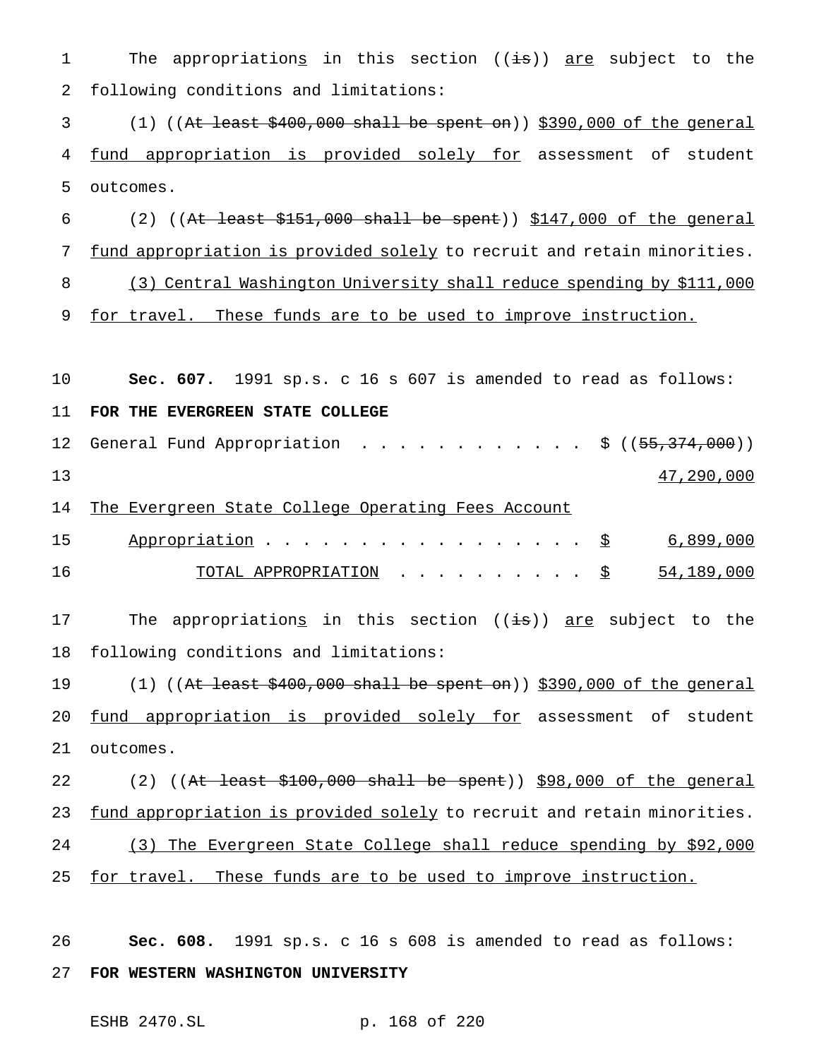1 The appropriations in this section ((is)) are subject to the 2 following conditions and limitations:  $3$  (1) ((At least  $$400,000$  shall be spent on))  $$390,000$  of the general 4 fund appropriation is provided solely for assessment of student 5 outcomes. 6 (2) ((At least  $$151,000$  shall be spent))  $$147,000$  of the general 7 fund appropriation is provided solely to recruit and retain minorities. 8 (3) Central Washington University shall reduce spending by \$111,000 9 for travel. These funds are to be used to improve instruction. 10 **Sec. 607.** 1991 sp.s. c 16 s 607 is amended to read as follows: 11 **FOR THE EVERGREEN STATE COLLEGE** 12 General Fund Appropriation . . . . . . . . . . . \$ ((<del>55,374,000</del>))  $13$   $47,290,000$ 14 The Evergreen State College Operating Fees Account 15 Appropriation . . . . . . . . . . . . . . . . <u>\$ 6,899,000</u> 16 TOTAL APPROPRIATION .......... \$ 54,189,000 17 The appropriations in this section ((is)) are subject to the 18 following conditions and limitations: 19 (1) ((At least \$400,000 shall be spent on)) \$390,000 of the general 20 fund appropriation is provided solely for assessment of student 21 outcomes. 22 (2) ((At least \$100,000 shall be spent)) \$98,000 of the general 23 fund appropriation is provided solely to recruit and retain minorities. 24 (3) The Evergreen State College shall reduce spending by \$92,000 25 for travel. These funds are to be used to improve instruction. 26 **Sec. 608.** 1991 sp.s. c 16 s 608 is amended to read as follows:

27 **FOR WESTERN WASHINGTON UNIVERSITY**

ESHB 2470.SL p. 168 of 220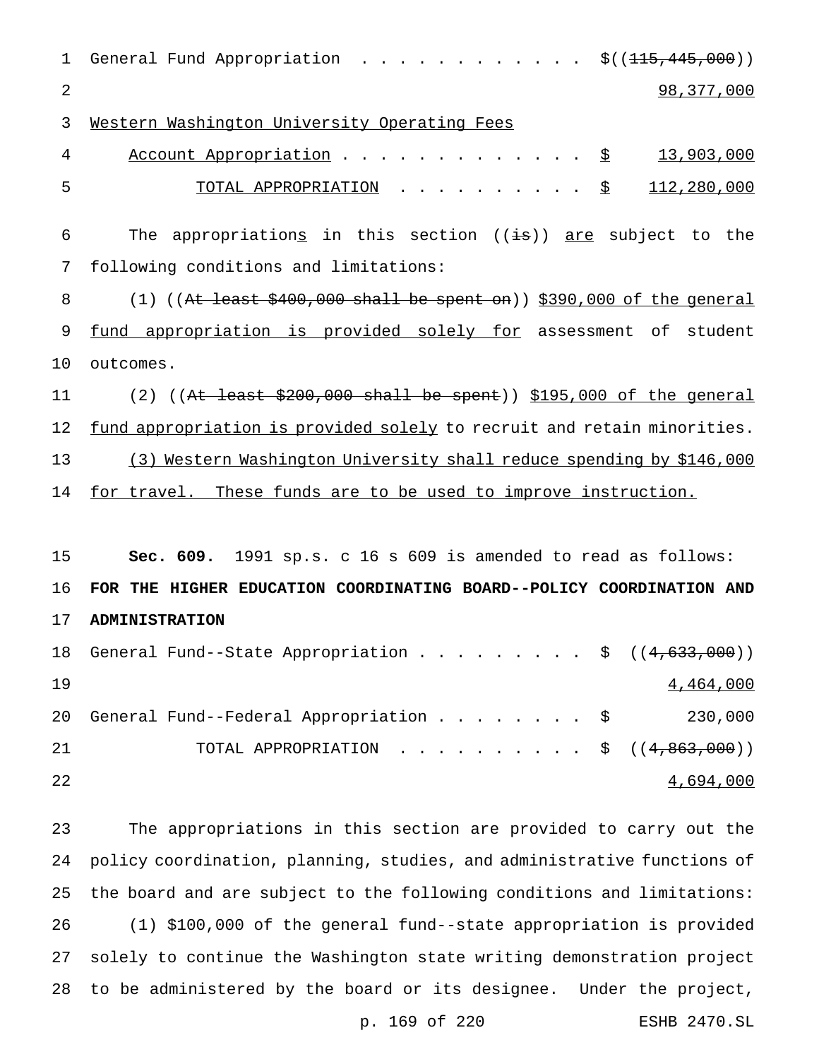| $\mathbf 1$ | General Fund Appropriation $\frac{1}{5}$ ( $(\frac{115}{115}, \frac{445}{100})$ ) |
|-------------|-----------------------------------------------------------------------------------|
| 2           | 98, 377, 000                                                                      |
| 3           | Western Washington University Operating Fees                                      |
| 4           | Account Appropriation \$<br>13,903,000                                            |
| 5           | 112,280,000<br><u>TOTAL APPROPRIATION</u> <u>\$</u>                               |
| 6           | The appropriations in this section (( $\pm$ s)) are subject to the                |
| 7           | following conditions and limitations:                                             |
| 8           | $(1)$ ((At least \$400,000 shall be spent on)) \$390,000 of the general           |
| 9           | fund appropriation is provided solely for assessment of student                   |
| 10          | outcomes.                                                                         |
| 11          | (2) $((At least $200,000 shall be spent)) $195,000 of the general)$               |
| 12          | fund appropriation is provided solely to recruit and retain minorities.           |
| 13          | (3) Western Washington University shall reduce spending by \$146,000              |
| 14          | for travel. These funds are to be used to improve instruction.                    |
|             |                                                                                   |
| 15          | Sec. 609. 1991 sp.s. c 16 s 609 is amended to read as follows:                    |
| 16          | FOR THE HIGHER EDUCATION COORDINATING BOARD--POLICY COORDINATION AND              |
| 17          | <b>ADMINISTRATION</b>                                                             |
| 18          | ( (4, 633, 000) )<br>General Fund--State Appropriation \$                         |
| 19          | 4,464,000                                                                         |
| 20          | General Fund--Federal Appropriation \$<br>230,000                                 |
| 21          | TOTAL APPROPRIATION<br>\$((4, 863, 000))                                          |
| 22          | 4,694,000                                                                         |
| 23          | The appropriations in this section are provided to carry out the                  |
| 24          | policy coordination, planning, studies, and administrative functions of           |
| 25          | the board and are subject to the following conditions and limitations:            |
| 26          | (1) \$100,000 of the general fund--state appropriation is provided                |
| 27          | solely to continue the Washington state writing demonstration project             |

to be administered by the board or its designee. Under the project,

p. 169 of 220 ESHB 2470.SL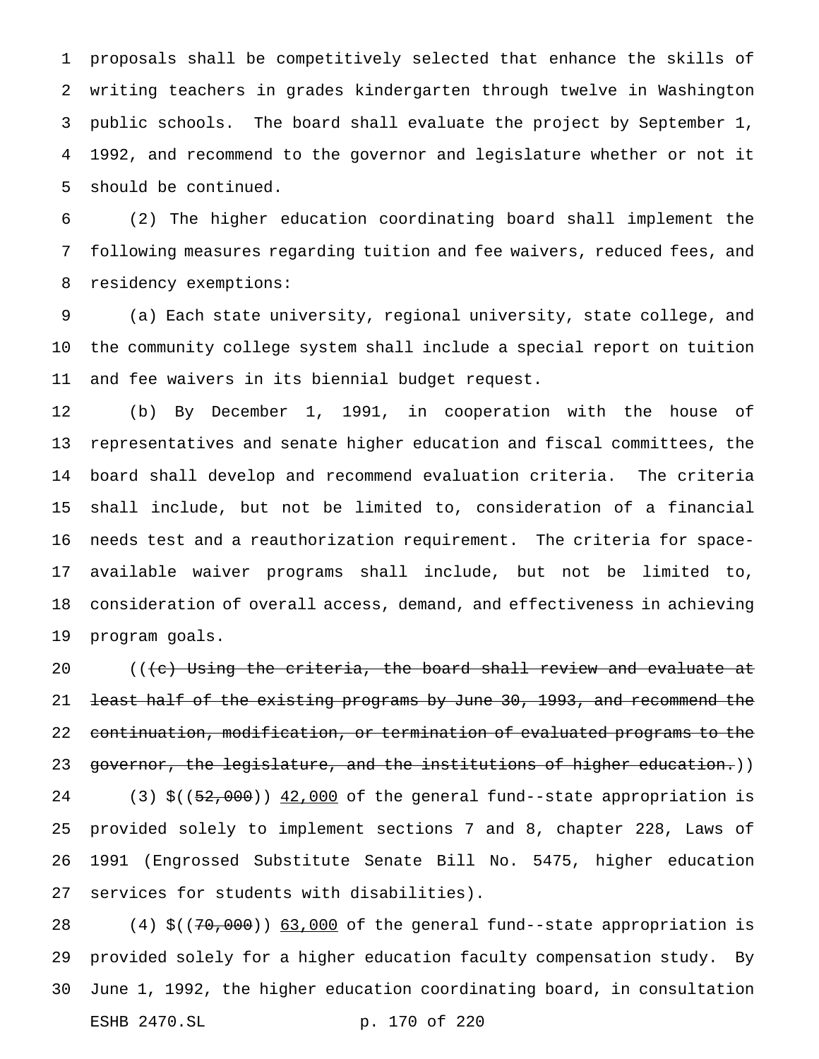proposals shall be competitively selected that enhance the skills of writing teachers in grades kindergarten through twelve in Washington public schools. The board shall evaluate the project by September 1, 1992, and recommend to the governor and legislature whether or not it should be continued.

 (2) The higher education coordinating board shall implement the following measures regarding tuition and fee waivers, reduced fees, and residency exemptions:

 (a) Each state university, regional university, state college, and the community college system shall include a special report on tuition and fee waivers in its biennial budget request.

 (b) By December 1, 1991, in cooperation with the house of representatives and senate higher education and fiscal committees, the board shall develop and recommend evaluation criteria. The criteria shall include, but not be limited to, consideration of a financial needs test and a reauthorization requirement. The criteria for space- available waiver programs shall include, but not be limited to, consideration of overall access, demand, and effectiveness in achieving program goals.

 (((c) Using the criteria, the board shall review and evaluate at 21 <del>least half of the existing programs by June 30, 1993, and recommend the</del> continuation, modification, or termination of evaluated programs to the 23 governor, the legislature, and the institutions of higher education.)) 24 (3) \$((52,000)) 42,000 of the general fund--state appropriation is provided solely to implement sections 7 and 8, chapter 228, Laws of 1991 (Engrossed Substitute Senate Bill No. 5475, higher education services for students with disabilities).

28 (4) \$((70,000)) 63,000 of the general fund--state appropriation is provided solely for a higher education faculty compensation study. By June 1, 1992, the higher education coordinating board, in consultation ESHB 2470.SL p. 170 of 220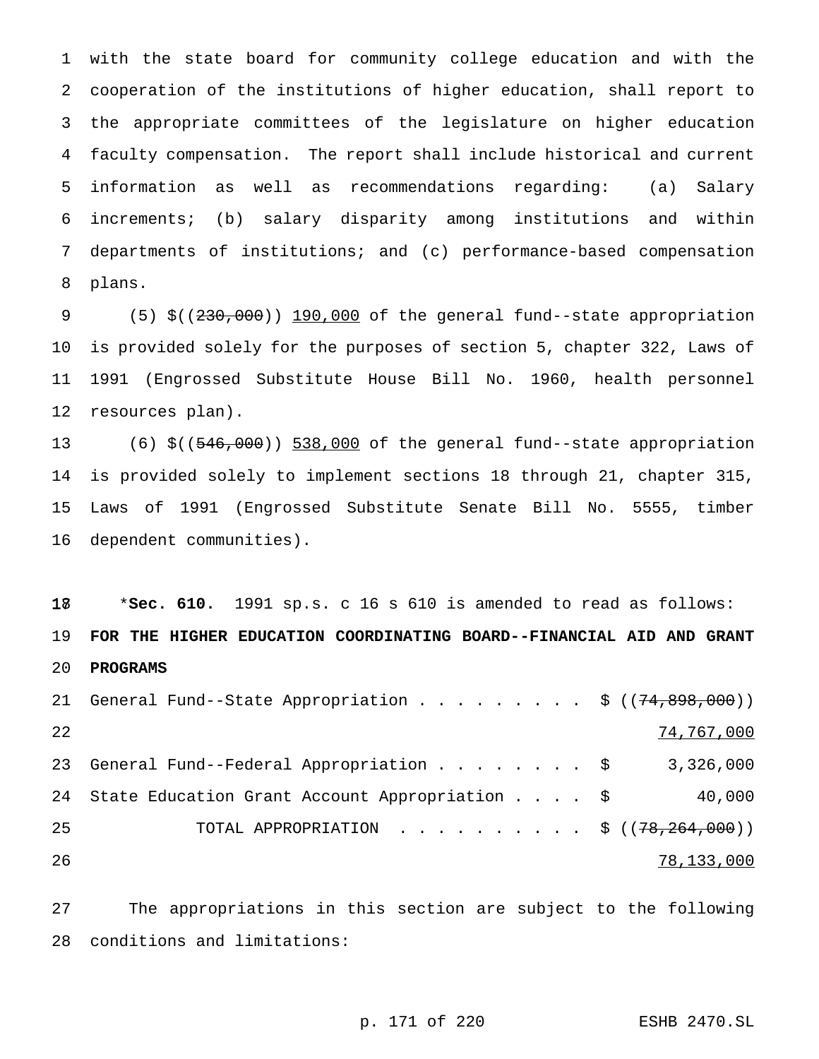with the state board for community college education and with the cooperation of the institutions of higher education, shall report to the appropriate committees of the legislature on higher education faculty compensation. The report shall include historical and current information as well as recommendations regarding: (a) Salary increments; (b) salary disparity among institutions and within departments of institutions; and (c) performance-based compensation plans.

 (5) \$((230,000)) 190,000 of the general fund--state appropriation is provided solely for the purposes of section 5, chapter 322, Laws of 1991 (Engrossed Substitute House Bill No. 1960, health personnel resources plan).

 (6) \$((546,000)) 538,000 of the general fund--state appropriation is provided solely to implement sections 18 through 21, chapter 315, Laws of 1991 (Engrossed Substitute Senate Bill No. 5555, timber dependent communities).

 \***Sec. 610.** 1991 sp.s. c 16 s 610 is amended to read as follows: **FOR THE HIGHER EDUCATION COORDINATING BOARD--FINANCIAL AID AND GRANT PROGRAMS**

21 General Fund--State Appropriation . . . . . . . . \$  $((74,898,000))$  74,767,000 23 General Fund--Federal Appropriation . . . . . . . \$ 3,326,000 24 State Education Grant Account Appropriation . . . . \$ 40,000 25 TOTAL APPROPRIATION . . . . . . . . . \$ ((78,264,000)) 78,133,000

 The appropriations in this section are subject to the following conditions and limitations:

p. 171 of 220 ESHB 2470.SL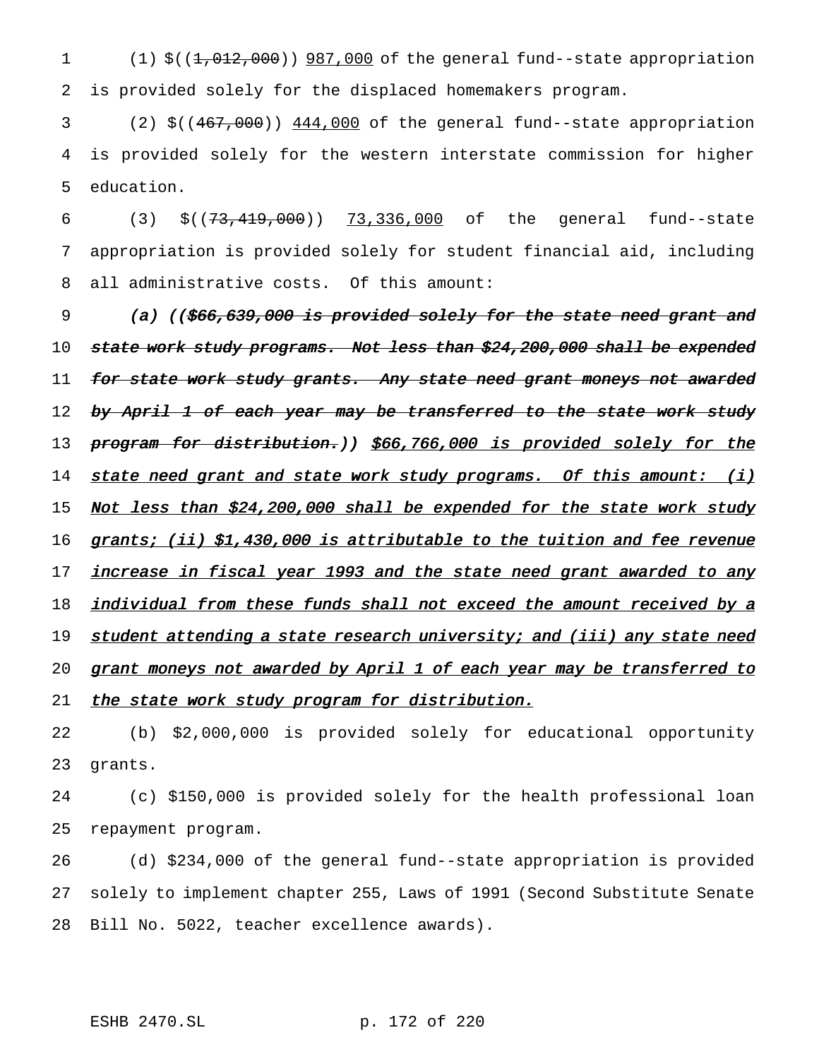1 (1) \$((1,012,000)) 987,000 of the general fund--state appropriation 2 is provided solely for the displaced homemakers program.

3 (2) \$((467,000)) 444,000 of the general fund--state appropriation 4 is provided solely for the western interstate commission for higher 5 education.

6 (3) \$((73,419,000)) 73,336,000 of the general fund--state 7 appropriation is provided solely for student financial aid, including 8 all administrative costs. Of this amount:

9 (a) ((\$66,639,000 is provided solely for the state need grant and 10 state work study programs. Not less than \$24,200,000 shall be expended 11 for state work study grants. Any state need grant moneys not awarded 12 by April 1 of each year may be transferred to the state work study 13 program for distribution.)) \$66,766,000 is provided solely for the 14 state need grant and state work study programs. Of this amount: (i) 15 Not less than \$24,200,000 shall be expended for the state work study 16 grants; (ii) \$1,430,000 is attributable to the tuition and fee revenue 17 increase in fiscal year 1993 and the state need grant awarded to any 18 individual from these funds shall not exceed the amount received by a 19 student attending a state research university; and (iii) any state need 20 grant moneys not awarded by April 1 of each year may be transferred to 21 the state work study program for distribution.

22 (b) \$2,000,000 is provided solely for educational opportunity 23 grants.

24 (c) \$150,000 is provided solely for the health professional loan 25 repayment program.

26 (d) \$234,000 of the general fund--state appropriation is provided 27 solely to implement chapter 255, Laws of 1991 (Second Substitute Senate 28 Bill No. 5022, teacher excellence awards).

ESHB 2470.SL p. 172 of 220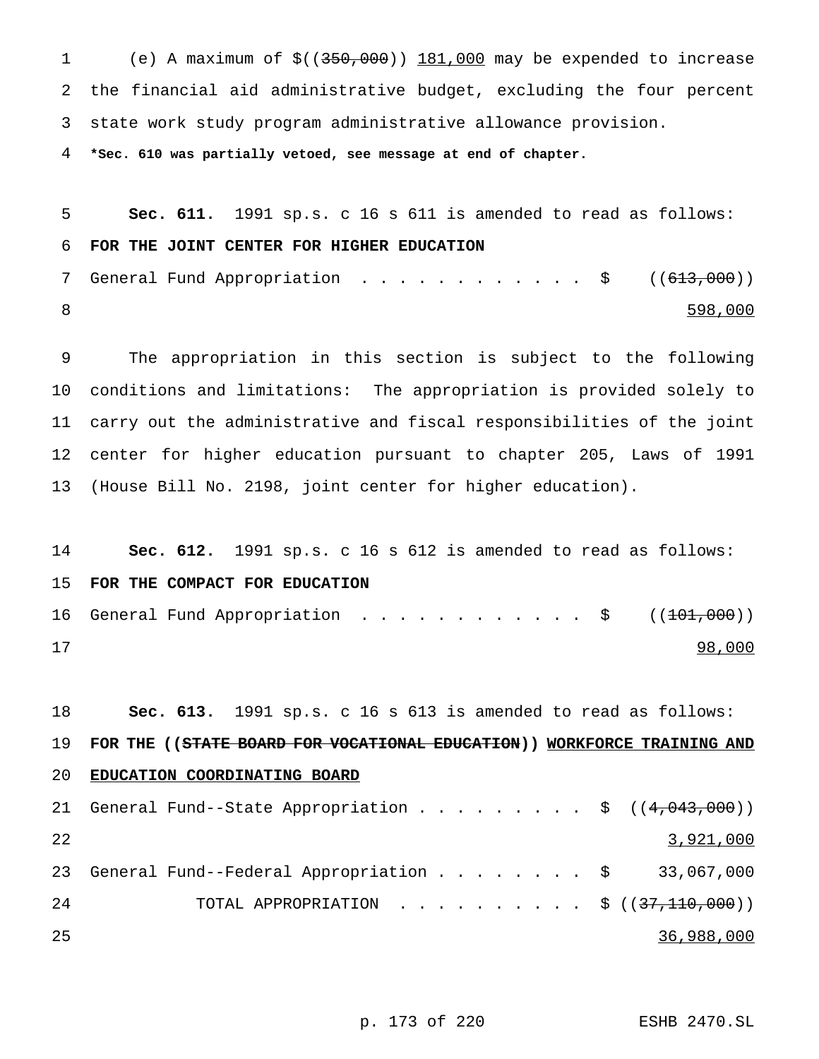(e) A maximum of \$((350,000)) 181,000 may be expended to increase the financial aid administrative budget, excluding the four percent state work study program administrative allowance provision.

**\*Sec. 610 was partially vetoed, see message at end of chapter.**

 **Sec. 611.** 1991 sp.s. c 16 s 611 is amended to read as follows: **FOR THE JOINT CENTER FOR HIGHER EDUCATION** 7 General Fund Appropriation . . . . . . . . . . . \$ ((<del>613,000</del>)) 8 598,000

 The appropriation in this section is subject to the following conditions and limitations: The appropriation is provided solely to carry out the administrative and fiscal responsibilities of the joint center for higher education pursuant to chapter 205, Laws of 1991 (House Bill No. 2198, joint center for higher education).

 **Sec. 612.** 1991 sp.s. c 16 s 612 is amended to read as follows: **FOR THE COMPACT FOR EDUCATION** 16 General Fund Appropriation . . . . . . . . . . . \$ ((<del>101,000</del>)) 17 98,000

 **Sec. 613.** 1991 sp.s. c 16 s 613 is amended to read as follows: **FOR THE ((STATE BOARD FOR VOCATIONAL EDUCATION)) WORKFORCE TRAINING AND EDUCATION COORDINATING BOARD** 21 General Fund--State Appropriation . . . . . . . . \$ ((4,043,000))  $\frac{3,921,000}{2}$ 23 General Fund--Federal Appropriation . . . . . . . \$ 33,067,000 24 TOTAL APPROPRIATION . . . . . . . . . \$ ((37,110,000)) 36,988,000

p. 173 of 220 ESHB 2470.SL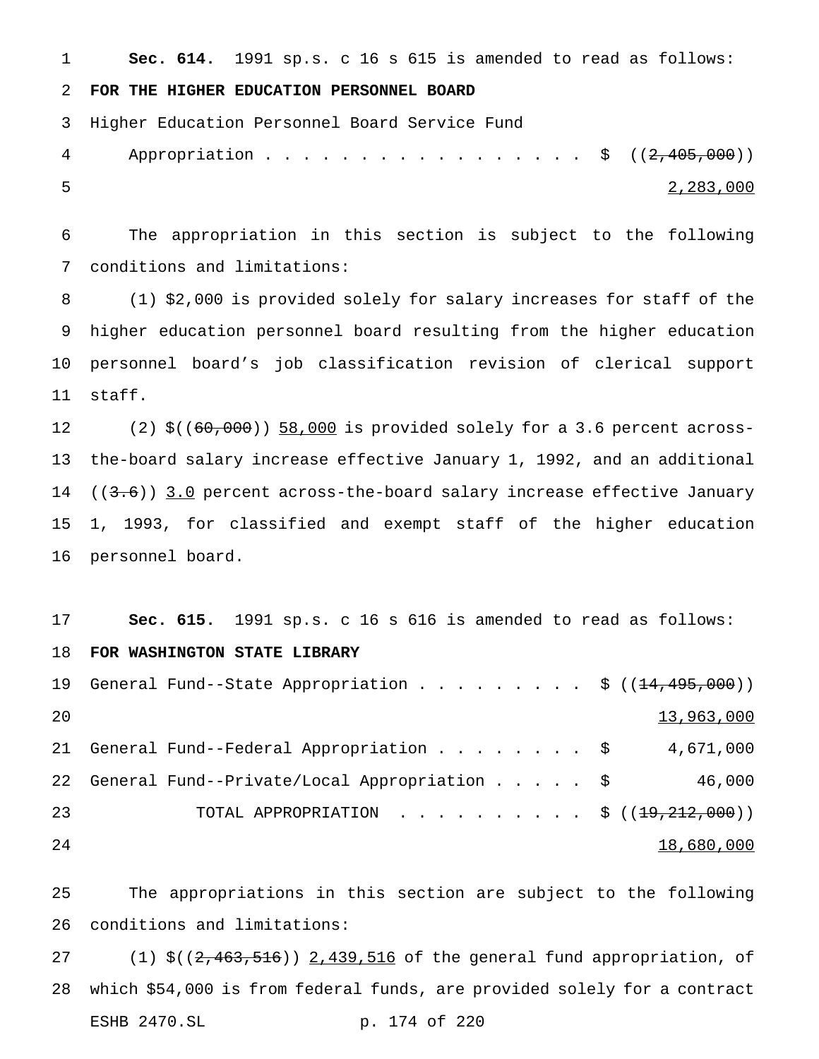**Sec. 614.** 1991 sp.s. c 16 s 615 is amended to read as follows:

# **FOR THE HIGHER EDUCATION PERSONNEL BOARD**

Higher Education Personnel Board Service Fund

```
4 Appropriation . . . . . . . . . . . . . . . $ ((2,405,000))
5 2,283,000
```
 The appropriation in this section is subject to the following conditions and limitations:

 (1) \$2,000 is provided solely for salary increases for staff of the higher education personnel board resulting from the higher education personnel board's job classification revision of clerical support staff.

12 (2) \$((60,000)) 58,000 is provided solely for a 3.6 percent across- the-board salary increase effective January 1, 1992, and an additional 14 ((3.6)) 3.0 percent across-the-board salary increase effective January 1, 1993, for classified and exempt staff of the higher education personnel board.

 **Sec. 615.** 1991 sp.s. c 16 s 616 is amended to read as follows: **FOR WASHINGTON STATE LIBRARY** 19 General Fund--State Appropriation . . . . . . . . \$ ((<del>14,495,000</del>)) and  $13,963,000$ 21 General Fund--Federal Appropriation . . . . . . . \$ 4,671,000 General Fund--Private/Local Appropriation..... \$ 46,000 TOTAL APPROPRIATION .......... \$ ((19,212,000)) 24 18,680,000

 The appropriations in this section are subject to the following conditions and limitations:

27 (1) \$((2,463,516)) 2,439,516 of the general fund appropriation, of which \$54,000 is from federal funds, are provided solely for a contract ESHB 2470.SL p. 174 of 220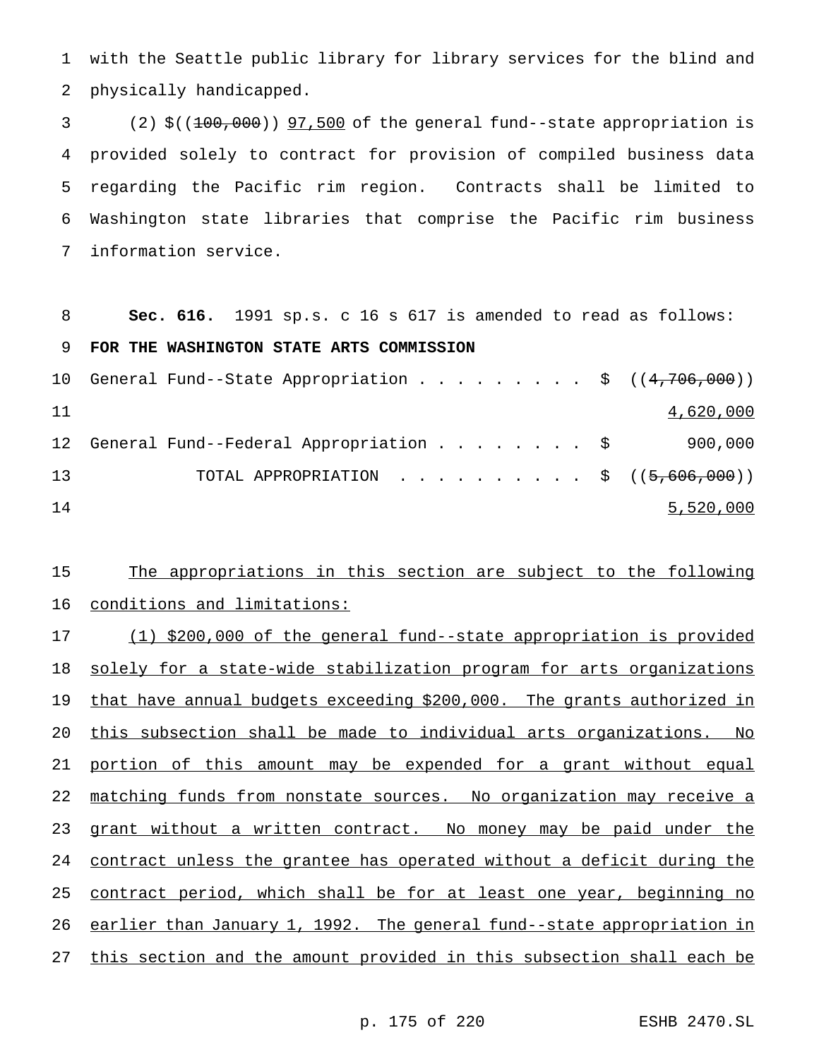with the Seattle public library for library services for the blind and physically handicapped.

 (2) \$((100,000)) 97,500 of the general fund--state appropriation is provided solely to contract for provision of compiled business data regarding the Pacific rim region. Contracts shall be limited to Washington state libraries that comprise the Pacific rim business information service.

**Sec. 616.** 1991 sp.s. c 16 s 617 is amended to read as follows:

**FOR THE WASHINGTON STATE ARTS COMMISSION**

|    | 10 General Fund--State Appropriation \$ $((4,706,000))$ |  |  |  |  |  |                                        |
|----|---------------------------------------------------------|--|--|--|--|--|----------------------------------------|
| 11 |                                                         |  |  |  |  |  | 4,620,000                              |
| 12 | General Fund--Federal Appropriation \$                  |  |  |  |  |  | 900,000                                |
| 13 |                                                         |  |  |  |  |  | TOTAL APPROPRIATION \$ $((5,606,000))$ |
| 14 |                                                         |  |  |  |  |  | 5,520,000                              |

15 The appropriations in this section are subject to the following conditions and limitations:

17 (1) \$200,000 of the general fund--state appropriation is provided 18 solely for a state-wide stabilization program for arts organizations that have annual budgets exceeding \$200,000. The grants authorized in this subsection shall be made to individual arts organizations. No 21 portion of this amount may be expended for a grant without equal matching funds from nonstate sources. No organization may receive a 23 grant without a written contract. No money may be paid under the contract unless the grantee has operated without a deficit during the 25 contract period, which shall be for at least one year, beginning no earlier than January 1, 1992. The general fund--state appropriation in this section and the amount provided in this subsection shall each be

p. 175 of 220 ESHB 2470.SL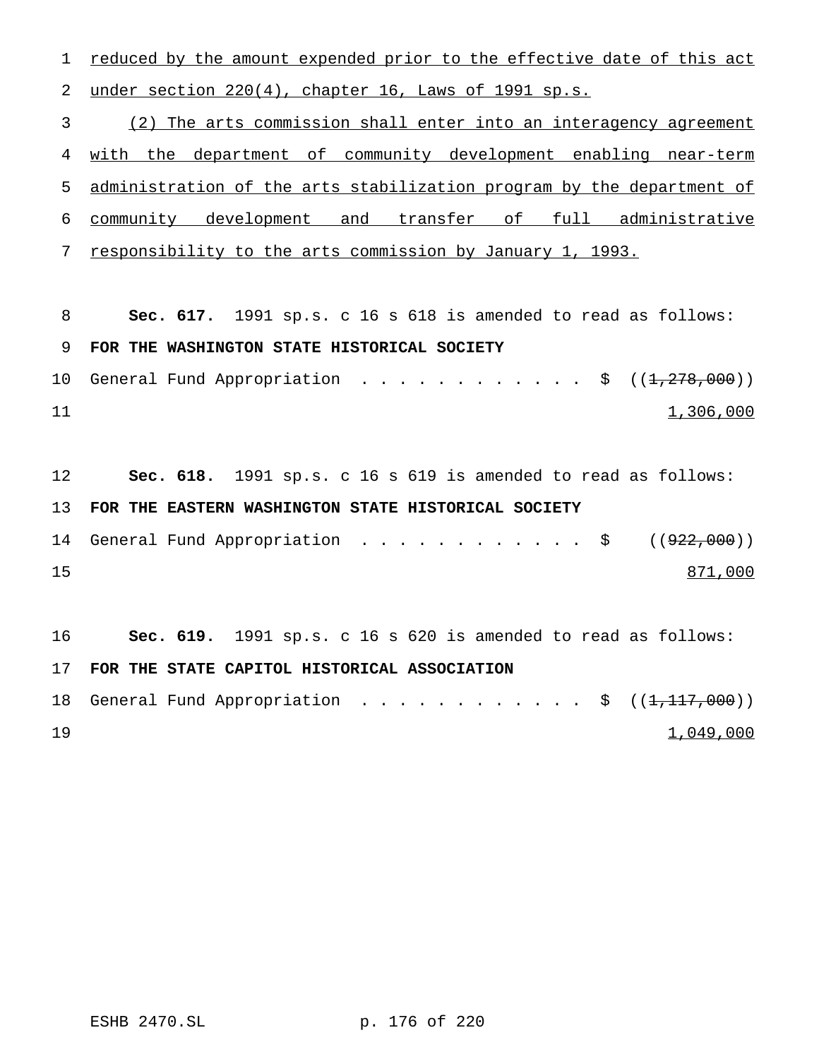1 reduced by the amount expended prior to the effective date of this act under section 220(4), chapter 16, Laws of 1991 sp.s.

 (2) The arts commission shall enter into an interagency agreement with the department of community development enabling near-term administration of the arts stabilization program by the department of community development and transfer of full administrative

responsibility to the arts commission by January 1, 1993.

 **Sec. 617.** 1991 sp.s. c 16 s 618 is amended to read as follows: **FOR THE WASHINGTON STATE HISTORICAL SOCIETY** 10 General Fund Appropriation . . . . . . . . . . . \$ ((1,278,000)) 1,306,000

 **Sec. 618.** 1991 sp.s. c 16 s 619 is amended to read as follows: **FOR THE EASTERN WASHINGTON STATE HISTORICAL SOCIETY**

14 General Fund Appropriation . . . . . . . . . . . \$ ((<del>922,000</del>)) 15 871,000

 **Sec. 619.** 1991 sp.s. c 16 s 620 is amended to read as follows: **FOR THE STATE CAPITOL HISTORICAL ASSOCIATION** 18 General Fund Appropriation . . . . . . . . . . . \$  $((1,117,000))$ 

 $1,049,000$ 

ESHB 2470.SL p. 176 of 220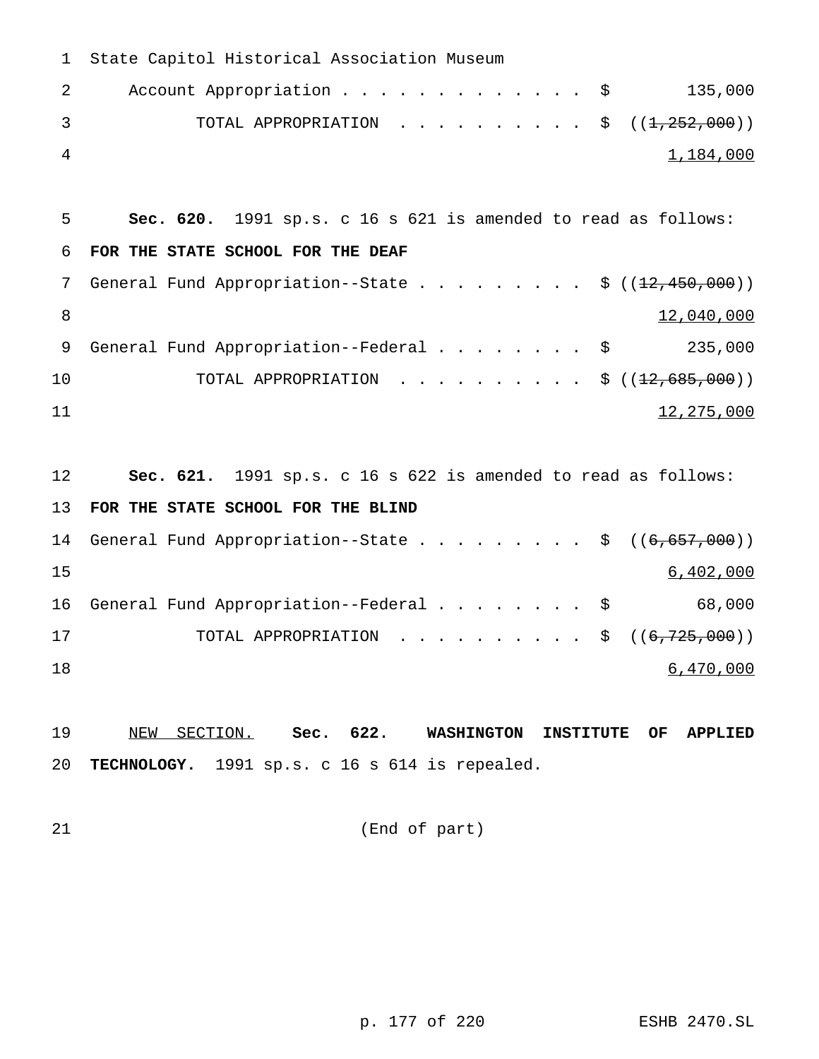| $\mathbf{1}$ | State Capitol Historical Association Museum                                                   |
|--------------|-----------------------------------------------------------------------------------------------|
| 2            | 135,000<br>Account Appropriation \$                                                           |
| 3            | TOTAL APPROPRIATION \$ $((1,252,000))$                                                        |
| 4            | 1,184,000                                                                                     |
|              |                                                                                               |
| 5            | Sec. 620. 1991 sp.s. c 16 s 621 is amended to read as follows:                                |
| 6            | FOR THE STATE SCHOOL FOR THE DEAF                                                             |
| 7            | General Fund Appropriation--State \$ $((12,450,000))$                                         |
| 8            | 12,040,000                                                                                    |
| 9            | General Fund Appropriation--Federal $\ldots$ \$<br>235,000                                    |
| 10           |                                                                                               |
| 11           | 12,275,000                                                                                    |
|              |                                                                                               |
| 12           | Sec. 621. 1991 sp.s. c 16 s 622 is amended to read as follows:                                |
| 13           | FOR THE STATE SCHOOL FOR THE BLIND                                                            |
| 14           | General Fund Appropriation--State \$ $((6,657,000))$                                          |
| 15           | 6,402,000                                                                                     |
| 16           | 68,000<br>General Fund Appropriation--Federal \$                                              |
| 17           | TOTAL APPROPRIATION<br>\$((6, 725, 000))                                                      |
| 18           | 6,470,000                                                                                     |
|              |                                                                                               |
| 19           | 622.<br>SECTION. Sec.<br><b>WASHINGTON</b><br>NEW<br><b>INSTITUTE</b><br>OF<br><b>APPLIED</b> |
| 20           | TECHNOLOGY. 1991 sp.s. c 16 s 614 is repealed.                                                |
|              |                                                                                               |

(End of part)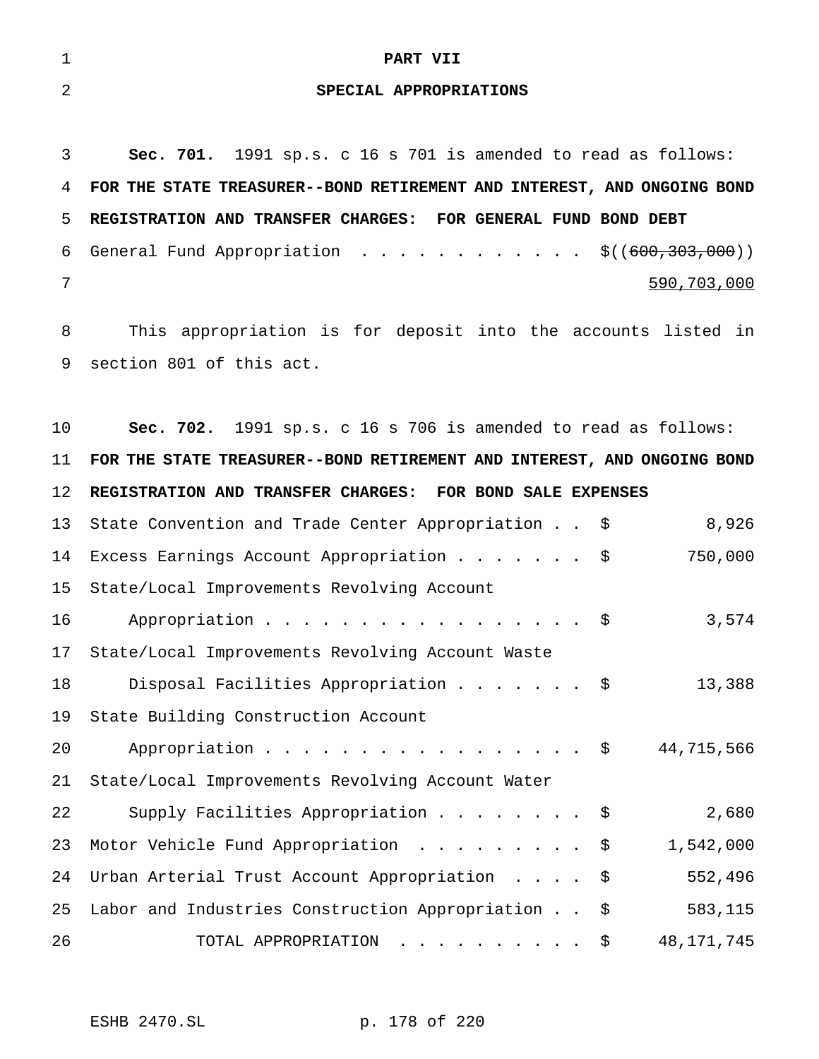| $\overline{1}$ | PART VII                                                                  |
|----------------|---------------------------------------------------------------------------|
| 2              | SPECIAL APPROPRIATIONS                                                    |
|                |                                                                           |
| 3 <sup>7</sup> | <b>Sec. 701.</b> 1991 sp.s. c 16 s 701 is amended to read as follows:     |
|                | 4 FOR THE STATE TREASURER--BOND RETIREMENT AND INTEREST, AND ONGOING BOND |

 **REGISTRATION AND TRANSFER CHARGES: FOR GENERAL FUND BOND DEBT** 6 General Fund Appropriation  $\ldots$ ................  $\frac{\xi((600,303,000))}{\xi((600,303,000))}$ 590,703,000

 This appropriation is for deposit into the accounts listed in section 801 of this act.

 **Sec. 702.** 1991 sp.s. c 16 s 706 is amended to read as follows: **FOR THE STATE TREASURER--BOND RETIREMENT AND INTEREST, AND ONGOING BOND REGISTRATION AND TRANSFER CHARGES: FOR BOND SALE EXPENSES** State Convention and Trade Center Appropriation . . \$ 8,926 Excess Earnings Account Appropriation....... \$ 750,000 State/Local Improvements Revolving Account 16 Appropriation . . . . . . . . . . . . . . . . \$ 3,574 State/Local Improvements Revolving Account Waste Disposal Facilities Appropriation....... \$ 13,388 State Building Construction Account 20 Appropriation . . . . . . . . . . . . . . . . \$ 44,715,566 State/Local Improvements Revolving Account Water Supply Facilities Appropriation........ \$ 2,680 23 Motor Vehicle Fund Appropriation . . . . . . . . \$ 1,542,000 Urban Arterial Trust Account Appropriation .... \$ 552,496 Labor and Industries Construction Appropriation . . \$ 583,115 TOTAL APPROPRIATION .......... \$ 48,171,745

ESHB 2470.SL p. 178 of 220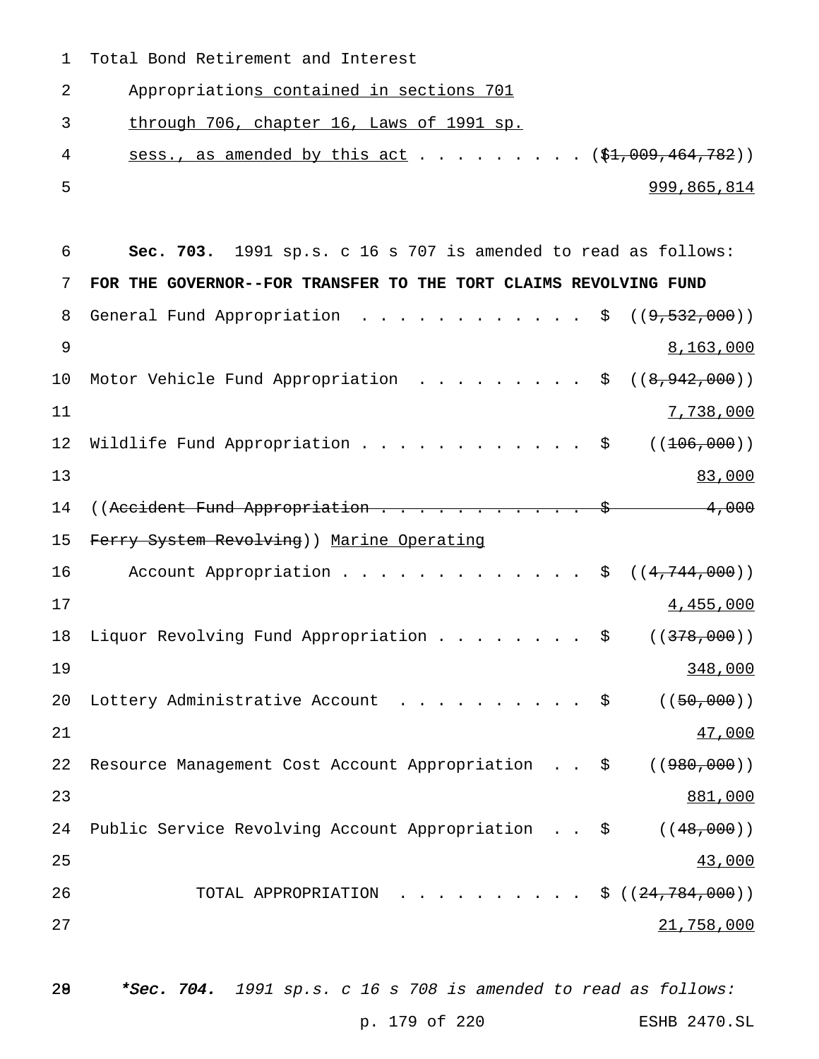Total Bond Retirement and Interest

Appropriations contained in sections 701

through 706, chapter 16, Laws of 1991 sp.

4 sess., as amended by this act . . . . . . . . . (\$1,009,464,782)) 999,865,814

| 6  | 1991 sp.s. c 16 s 707 is amended to read as follows:<br>Sec. 703.                                   |
|----|-----------------------------------------------------------------------------------------------------|
| 7  | FOR THE GOVERNOR--FOR TRANSFER TO THE TORT CLAIMS REVOLVING FUND                                    |
| 8  | General Fund Appropriation<br>( (9, 532, 000) )<br>\$                                               |
| 9  | 8,163,000                                                                                           |
| 10 | ((8, 942, 000))<br>Motor Vehicle Fund Appropriation<br>\$                                           |
| 11 | 7,738,000                                                                                           |
| 12 | ( (106, 000))<br>Wildlife Fund Appropriation<br>\$                                                  |
| 13 | 83,000                                                                                              |
| 14 | ((Accident Fund Appropriation<br>4,000                                                              |
| 15 | Ferry System Revolving)) Marine Operating                                                           |
| 16 | Account Appropriation<br>((4, 744, 000))<br>\$                                                      |
| 17 | 4,455,000                                                                                           |
| 18 | Liquor Revolving Fund Appropriation<br>( (378,000) )<br>\$                                          |
| 19 | 348,000                                                                                             |
| 20 | ( (50, 000) )<br>Lottery Administrative Account<br>\$                                               |
| 21 | 47,000                                                                                              |
| 22 | Resource Management Cost Account Appropriation<br>( (980, 000) )<br>- \$                            |
| 23 | 881,000                                                                                             |
| 24 | Public Service Revolving Account Appropriation<br>( (48,000) )<br>\$<br>$\mathbf{L}^{\text{max}}$ . |
| 25 | 43,000                                                                                              |
| 26 | $\cdot$ \$ ((24,784,000))<br>TOTAL APPROPRIATION                                                    |
| 27 | 21,758,000                                                                                          |
|    |                                                                                                     |
|    |                                                                                                     |

28 \*Sec. 704. 1991 sp.s. c 16 s 708 is amended to read as follows:

p. 179 of 220 ESHB 2470.SL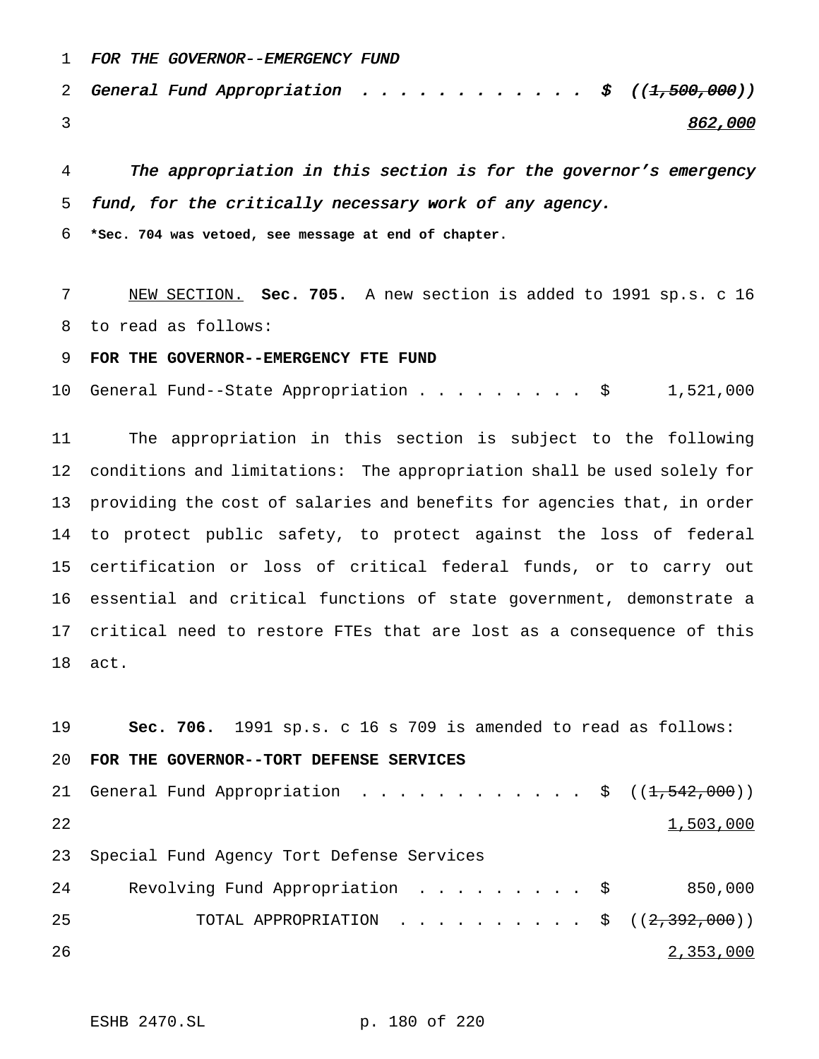FOR THE GOVERNOR--EMERGENCY FUND

2 General Fund Appropriation . . . . . . . . . . .  $\sharp$   $((1,500,000))$ 3 and the state of the state of the state of the state of the state of the state of the state of the state of the state of the state of the state of the state of the state of the state of the state of the state of the stat

 The appropriation in this section is for the governor's emergency fund, for the critically necessary work of any agency.

**\*Sec. 704 was vetoed, see message at end of chapter.**

 NEW SECTION. **Sec. 705.** A new section is added to 1991 sp.s. c 16 to read as follows:

**FOR THE GOVERNOR--EMERGENCY FTE FUND**

General Fund--State Appropriation......... \$ 1,521,000

 The appropriation in this section is subject to the following conditions and limitations: The appropriation shall be used solely for providing the cost of salaries and benefits for agencies that, in order to protect public safety, to protect against the loss of federal certification or loss of critical federal funds, or to carry out essential and critical functions of state government, demonstrate a critical need to restore FTEs that are lost as a consequence of this act.

 **Sec. 706.** 1991 sp.s. c 16 s 709 is amended to read as follows: **FOR THE GOVERNOR--TORT DEFENSE SERVICES** 21 General Fund Appropriation . . . . . . . . . . . \$ ((<del>1,542,000</del>))  $\frac{1}{503,000}$  Special Fund Agency Tort Defense Services Revolving Fund Appropriation ......... \$ 850,000 TOTAL APPROPRIATION .......... \$ ((2,392,000)) 2,353,000

ESHB 2470.SL p. 180 of 220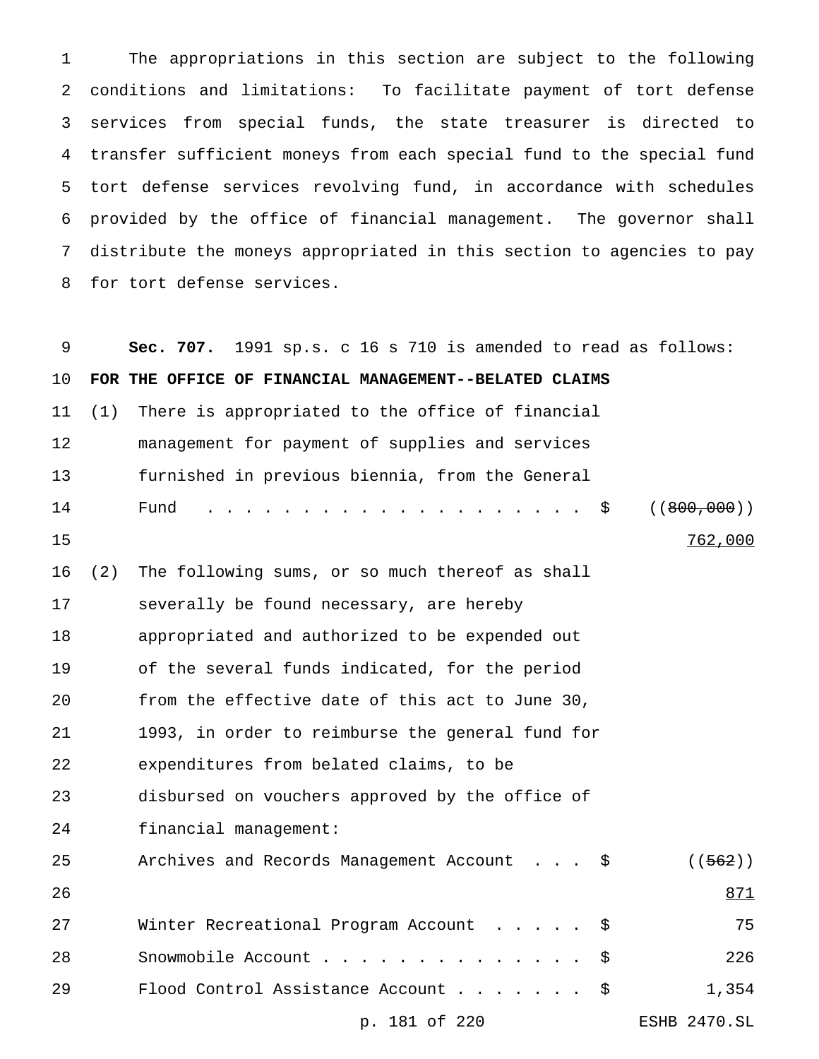The appropriations in this section are subject to the following conditions and limitations: To facilitate payment of tort defense services from special funds, the state treasurer is directed to transfer sufficient moneys from each special fund to the special fund tort defense services revolving fund, in accordance with schedules provided by the office of financial management. The governor shall distribute the moneys appropriated in this section to agencies to pay for tort defense services.

| 9  |     | Sec. 707. 1991 sp.s. c 16 s 710 is amended to read as follows: |                     |
|----|-----|----------------------------------------------------------------|---------------------|
| 10 |     | FOR THE OFFICE OF FINANCIAL MANAGEMENT--BELATED CLAIMS         |                     |
| 11 | (1) | There is appropriated to the office of financial               |                     |
| 12 |     | management for payment of supplies and services                |                     |
| 13 |     | furnished in previous biennia, from the General                |                     |
| 14 |     | Fund<br>. \$                                                   | ( (800, 000) )      |
| 15 |     |                                                                | 762,000             |
| 16 | (2) | The following sums, or so much thereof as shall                |                     |
| 17 |     | severally be found necessary, are hereby                       |                     |
| 18 |     | appropriated and authorized to be expended out                 |                     |
| 19 |     | of the several funds indicated, for the period                 |                     |
| 20 |     | from the effective date of this act to June 30,                |                     |
| 21 |     | 1993, in order to reimburse the general fund for               |                     |
| 22 |     | expenditures from belated claims, to be                        |                     |
| 23 |     | disbursed on vouchers approved by the office of                |                     |
| 24 |     | financial management:                                          |                     |
| 25 |     | Archives and Records Management Account \$                     | ( (562) )           |
| 26 |     |                                                                | 871                 |
| 27 |     | Winter Recreational Program Account<br>\$.                     | 75                  |
| 28 |     | Snowmobile Account<br>\$                                       | 226                 |
| 29 |     | Flood Control Assistance Account<br>\$.                        | 1,354               |
|    |     | p. 181 of 220                                                  | <b>ESHB 2470.SL</b> |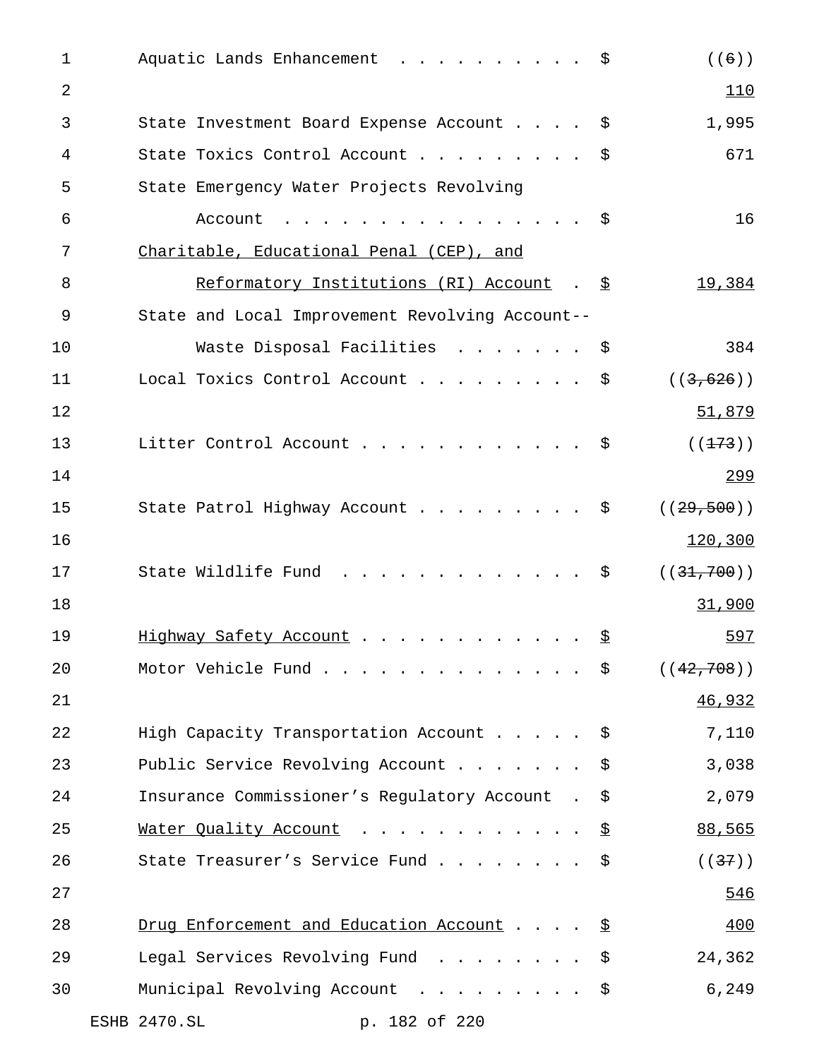| $\mathbf{1}$   | Aquatic Lands Enhancement \$                    |      | $(\mathcal{A}(\mathcal{A}))$ |
|----------------|-------------------------------------------------|------|------------------------------|
| $\overline{2}$ |                                                 |      | 110                          |
| 3              | State Investment Board Expense Account \$       |      | 1,995                        |
| 4              | State Toxics Control Account \$                 |      | 671                          |
| 5              | State Emergency Water Projects Revolving        |      |                              |
| 6              | Account<br>. \$                                 |      | 16                           |
| 7              | Charitable, Educational Penal (CEP), and        |      |                              |
| 8              | Reformatory Institutions (RI) Account . \$      |      | 19,384                       |
| 9              | State and Local Improvement Revolving Account-- |      |                              |
| 10             | Waste Disposal Facilities \$                    |      | 384                          |
| 11             | Local Toxics Control Account \$                 |      | ((3, 626))                   |
| 12             |                                                 |      | 51,879                       |
| 13             | Litter Control Account \$                       |      | ( (173) )                    |
| 14             |                                                 |      | 299                          |
| 15             | State Patrol Highway Account \$                 |      | ((29, 500))                  |
| 16             |                                                 |      | 120,300                      |
| 17             | State Wildlife Fund<br>. \$                     |      | ((31, 700))                  |
| 18             |                                                 |      | 31,900                       |
| 19             | Highway Safety Account \$                       |      | 597                          |
| 20             | Motor Vehicle Fund                              | - \$ | ((42, 708))                  |
| 21             |                                                 |      | 46,932                       |
| 22             | High Capacity Transportation Account \$         |      | 7,110                        |
| 23             | Public Service Revolving Account                | \$   | 3,038                        |
| 24             | Insurance Commissioner's Regulatory Account     | \$   | 2,079                        |
| 25             | Water Quality Account                           | \$   | 88,565                       |
| 26             | State Treasurer's Service Fund                  | \$   | ((37))                       |
| 27             |                                                 |      | 546                          |
| 28             | Drug Enforcement and Education Account          | -\$  | 400                          |
| 29             | Legal Services Revolving Fund                   | \$   | 24,362                       |
| 30             | Municipal Revolving Account                     | \$   | 6,249                        |
|                | ESHB 2470.SL<br>p. 182 of 220                   |      |                              |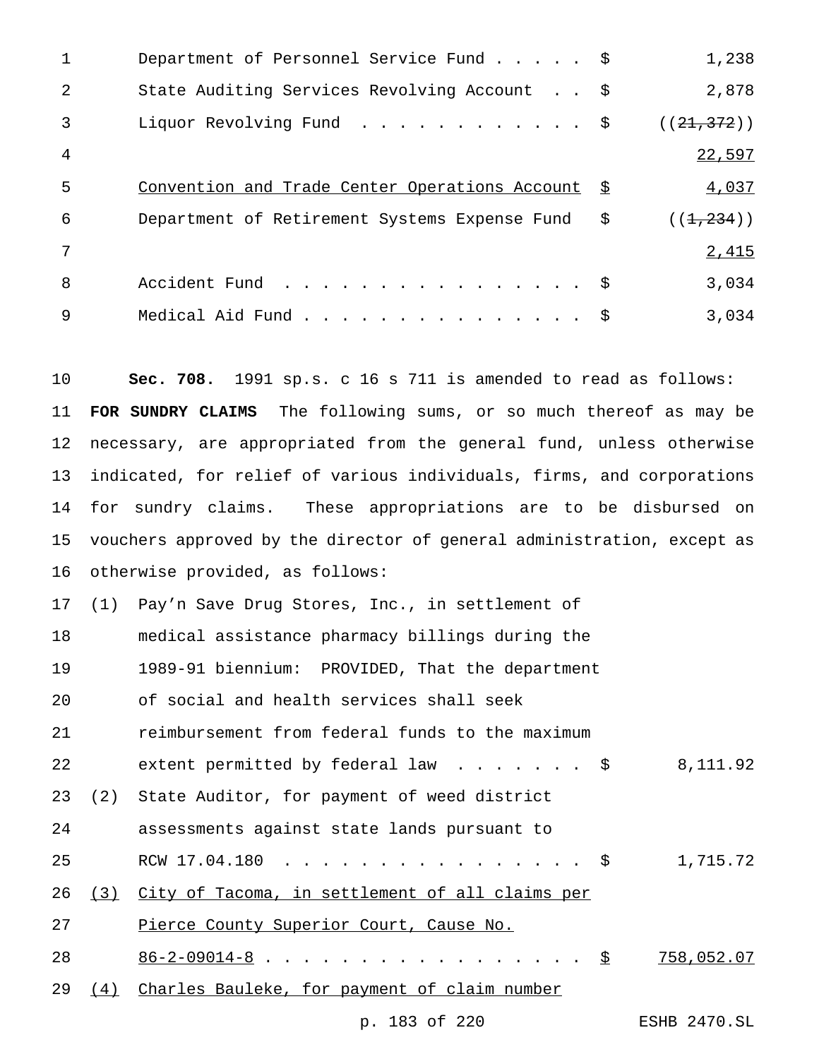| $\mathbf{1}$   | Department of Personnel Service Fund \$           | 1,238            |
|----------------|---------------------------------------------------|------------------|
| 2              | State Auditing Services Revolving Account \$      | 2,878            |
| 3              | Liquor Revolving Fund \$                          | ((21, 372))      |
| $\overline{4}$ |                                                   | 22,597           |
| 5              | Convention and Trade Center Operations Account \$ | 4,037            |
| 6              | Department of Retirement Systems Expense Fund     | \$<br>((1, 234)) |
| 7              |                                                   | 2,415            |
| 8              | Accident Fund \$                                  | 3,034            |
| 9              | Medical Aid Fund                                  | 3,034            |

 **Sec. 708.** 1991 sp.s. c 16 s 711 is amended to read as follows: **FOR SUNDRY CLAIMS** The following sums, or so much thereof as may be necessary, are appropriated from the general fund, unless otherwise indicated, for relief of various individuals, firms, and corporations for sundry claims. These appropriations are to be disbursed on vouchers approved by the director of general administration, except as otherwise provided, as follows:

 (1) Pay'n Save Drug Stores, Inc., in settlement of medical assistance pharmacy billings during the 1989-91 biennium: PROVIDED, That the department of social and health services shall seek

reimbursement from federal funds to the maximum

22 extent permitted by federal law . . . . . . \$ 8,111.92

(2) State Auditor, for payment of weed district

assessments against state lands pursuant to

25 RCW 17.04.180 ..................... \$ 1,715.72

(3) City of Tacoma, in settlement of all claims per

27 Pierce County Superior Court, Cause No.

28 86-2-09014-8 . . . . . . . . . . . . . . . . . <u>\$ 758,052.07</u>

29 (4) Charles Bauleke, for payment of claim number

p. 183 of 220 ESHB 2470.SL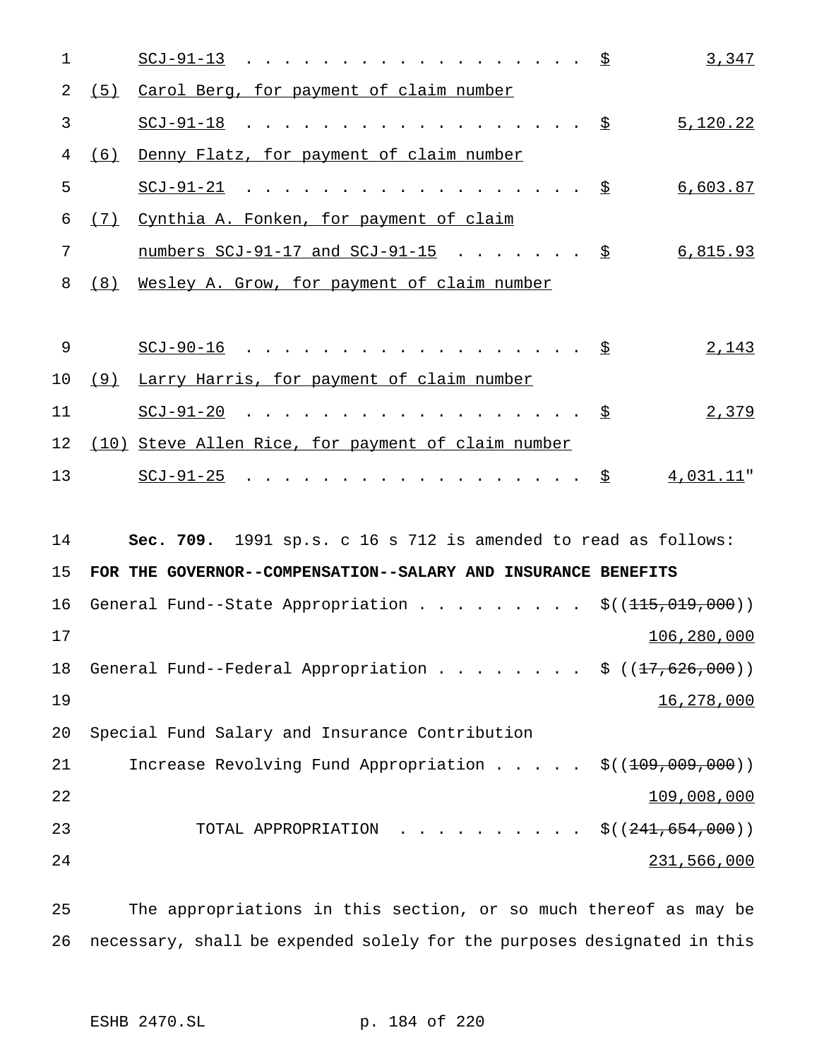| $\mathbf 1$ |     |                                                                  | 3,347                                                |
|-------------|-----|------------------------------------------------------------------|------------------------------------------------------|
| 2           |     | (5) Carol Berg, for payment of claim number                      |                                                      |
| 3           |     | $SCJ-91-18$ $\Sigma$                                             | 5,120.22                                             |
| 4           | (6) | Denny Flatz, for payment of claim number                         |                                                      |
| 5           |     | $SCJ-91-21$ \$                                                   | 6,603.87                                             |
| 6           |     | (7) Cynthia A. Fonken, for payment of claim                      |                                                      |
| 7           |     | <u>numbers SCJ-91-17 and SCJ-91-15</u> $\Sigma$                  | 6,815.93                                             |
| 8           |     | (8) Wesley A. Grow, for payment of claim number                  |                                                      |
|             |     |                                                                  |                                                      |
| 9           |     | $SCJ-90-16$ \$                                                   | 2,143                                                |
| 10          |     | (9) Larry Harris, for payment of claim number                    |                                                      |
| 11          |     | $SCJ-91-20$ \$                                                   | 2,379                                                |
| 12          |     | (10) Steve Allen Rice, for payment of claim number               |                                                      |
| 13          |     | $SCJ-91-25$ $\frac{S}{2}$ 4,031.11"                              |                                                      |
|             |     |                                                                  |                                                      |
| 14          |     | Sec. 709. 1991 sp.s. c 16 s 712 is amended to read as follows:   |                                                      |
| 15          |     | FOR THE GOVERNOR--COMPENSATION--SALARY AND INSURANCE BENEFITS    |                                                      |
| 16          |     | General Fund--State Appropriation $\frac{1}{5}(115,019,000)$     |                                                      |
| 17          |     |                                                                  | 106,280,000                                          |
| 18          |     | General Fund--Federal Appropriation \$ $((17,626,000))$          |                                                      |
| 19          |     |                                                                  | 16,278,000                                           |
| 20          |     | Special Fund Salary and Insurance Contribution                   |                                                      |
| 21          |     | Increase Revolving Fund Appropriation $\frac{1}{9}(109,009,000)$ |                                                      |
| 22          |     |                                                                  | 109,008,000                                          |
| 23          |     | TOTAL APPROPRIATION                                              | $\therefore$ $\therefore$ $\Diamond$ ((241,654,000)) |
| 24          |     |                                                                  | 231,566,000                                          |
|             |     |                                                                  |                                                      |

 The appropriations in this section, or so much thereof as may be necessary, shall be expended solely for the purposes designated in this

ESHB 2470.SL p. 184 of 220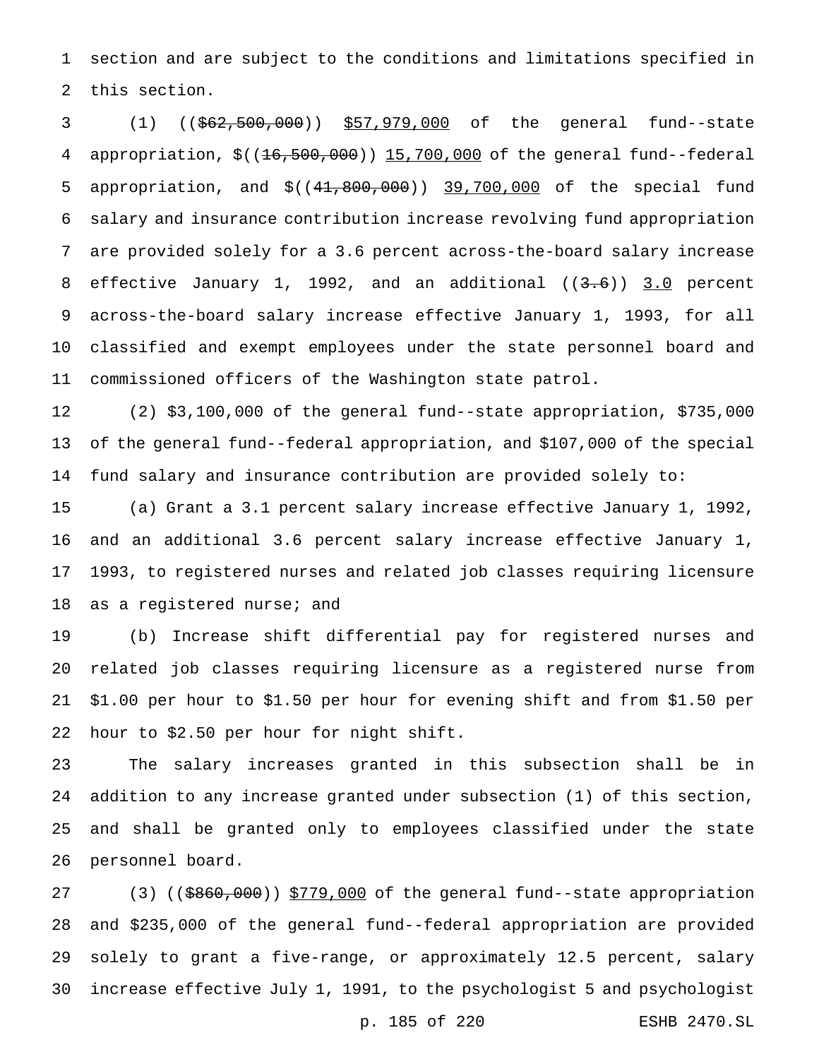section and are subject to the conditions and limitations specified in this section.

 (1) ((\$62,500,000)) \$57,979,000 of the general fund--state appropriation, \$((16,500,000)) 15,700,000 of the general fund--federal 5 appropriation, and  $$((41,800,000))$  39,700,000 of the special fund salary and insurance contribution increase revolving fund appropriation are provided solely for a 3.6 percent across-the-board salary increase 8 effective January 1, 1992, and an additional  $((3.6))$  3.0 percent across-the-board salary increase effective January 1, 1993, for all classified and exempt employees under the state personnel board and commissioned officers of the Washington state patrol.

 (2) \$3,100,000 of the general fund--state appropriation, \$735,000 of the general fund--federal appropriation, and \$107,000 of the special fund salary and insurance contribution are provided solely to:

 (a) Grant a 3.1 percent salary increase effective January 1, 1992, and an additional 3.6 percent salary increase effective January 1, 1993, to registered nurses and related job classes requiring licensure 18 as a registered nurse; and

 (b) Increase shift differential pay for registered nurses and related job classes requiring licensure as a registered nurse from \$1.00 per hour to \$1.50 per hour for evening shift and from \$1.50 per hour to \$2.50 per hour for night shift.

 The salary increases granted in this subsection shall be in addition to any increase granted under subsection (1) of this section, and shall be granted only to employees classified under the state personnel board.

27 (3) ((\$860,000)) \$779,000 of the general fund--state appropriation and \$235,000 of the general fund--federal appropriation are provided solely to grant a five-range, or approximately 12.5 percent, salary increase effective July 1, 1991, to the psychologist 5 and psychologist

p. 185 of 220 ESHB 2470.SL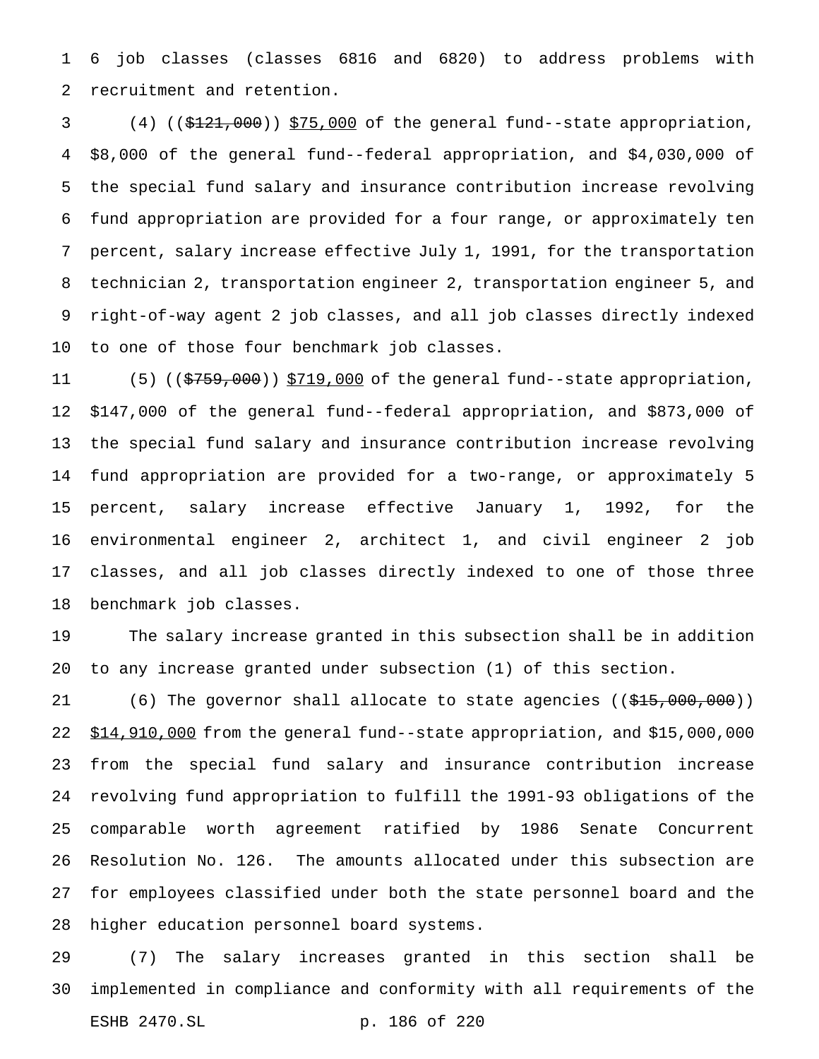6 job classes (classes 6816 and 6820) to address problems with recruitment and retention.

3 (4) ((\$121,000)) \$75,000 of the general fund--state appropriation, \$8,000 of the general fund--federal appropriation, and \$4,030,000 of the special fund salary and insurance contribution increase revolving fund appropriation are provided for a four range, or approximately ten percent, salary increase effective July 1, 1991, for the transportation technician 2, transportation engineer 2, transportation engineer 5, and right-of-way agent 2 job classes, and all job classes directly indexed to one of those four benchmark job classes.

11 (5) ((\$759,000)) \$719,000 of the general fund--state appropriation, \$147,000 of the general fund--federal appropriation, and \$873,000 of the special fund salary and insurance contribution increase revolving fund appropriation are provided for a two-range, or approximately 5 percent, salary increase effective January 1, 1992, for the environmental engineer 2, architect 1, and civil engineer 2 job classes, and all job classes directly indexed to one of those three benchmark job classes.

 The salary increase granted in this subsection shall be in addition to any increase granted under subsection (1) of this section.

21 (6) The governor shall allocate to state agencies ((\$15,000,000)) \$14,910,000 from the general fund--state appropriation, and \$15,000,000 from the special fund salary and insurance contribution increase revolving fund appropriation to fulfill the 1991-93 obligations of the comparable worth agreement ratified by 1986 Senate Concurrent Resolution No. 126. The amounts allocated under this subsection are for employees classified under both the state personnel board and the higher education personnel board systems.

 (7) The salary increases granted in this section shall be implemented in compliance and conformity with all requirements of the ESHB 2470.SL p. 186 of 220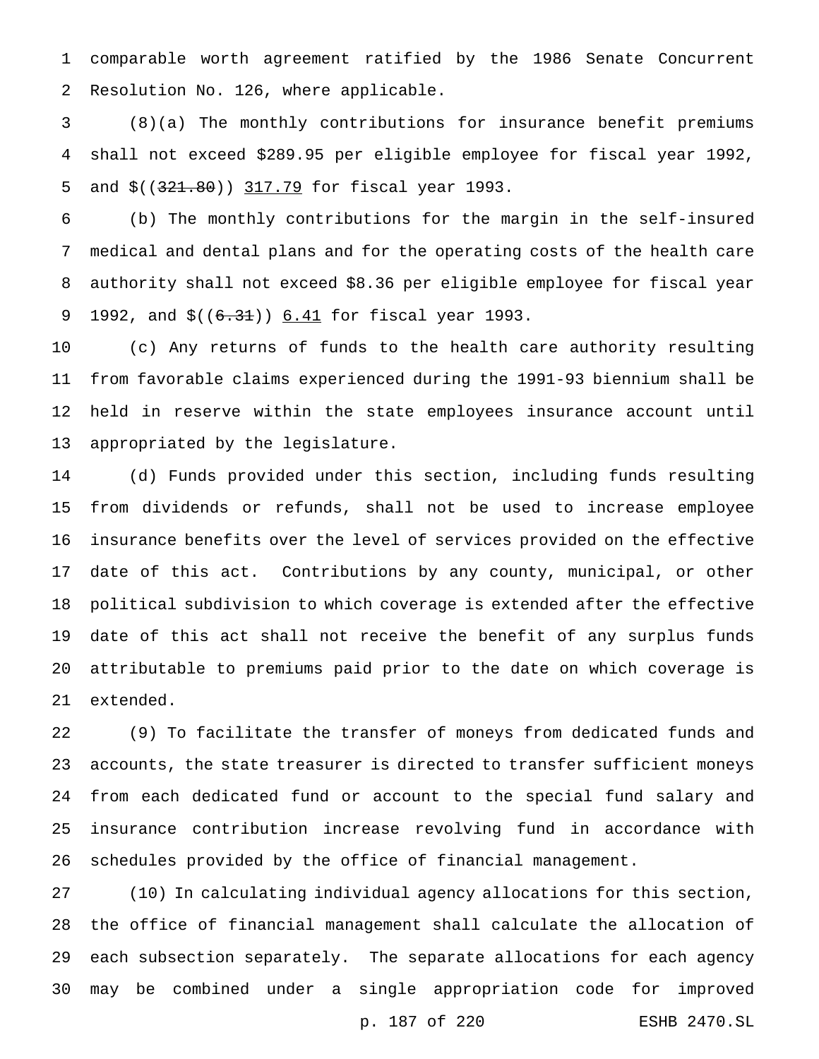comparable worth agreement ratified by the 1986 Senate Concurrent Resolution No. 126, where applicable.

 (8)(a) The monthly contributions for insurance benefit premiums shall not exceed \$289.95 per eligible employee for fiscal year 1992, 5 and \$((321.80)) 317.79 for fiscal year 1993.

 (b) The monthly contributions for the margin in the self-insured medical and dental plans and for the operating costs of the health care authority shall not exceed \$8.36 per eligible employee for fiscal year 9 1992, and  $$((6.31))$  6.41 for fiscal year 1993.

 (c) Any returns of funds to the health care authority resulting from favorable claims experienced during the 1991-93 biennium shall be held in reserve within the state employees insurance account until appropriated by the legislature.

 (d) Funds provided under this section, including funds resulting from dividends or refunds, shall not be used to increase employee insurance benefits over the level of services provided on the effective date of this act. Contributions by any county, municipal, or other political subdivision to which coverage is extended after the effective date of this act shall not receive the benefit of any surplus funds attributable to premiums paid prior to the date on which coverage is extended.

 (9) To facilitate the transfer of moneys from dedicated funds and accounts, the state treasurer is directed to transfer sufficient moneys from each dedicated fund or account to the special fund salary and insurance contribution increase revolving fund in accordance with schedules provided by the office of financial management.

 (10) In calculating individual agency allocations for this section, the office of financial management shall calculate the allocation of each subsection separately. The separate allocations for each agency may be combined under a single appropriation code for improved p. 187 of 220 ESHB 2470.SL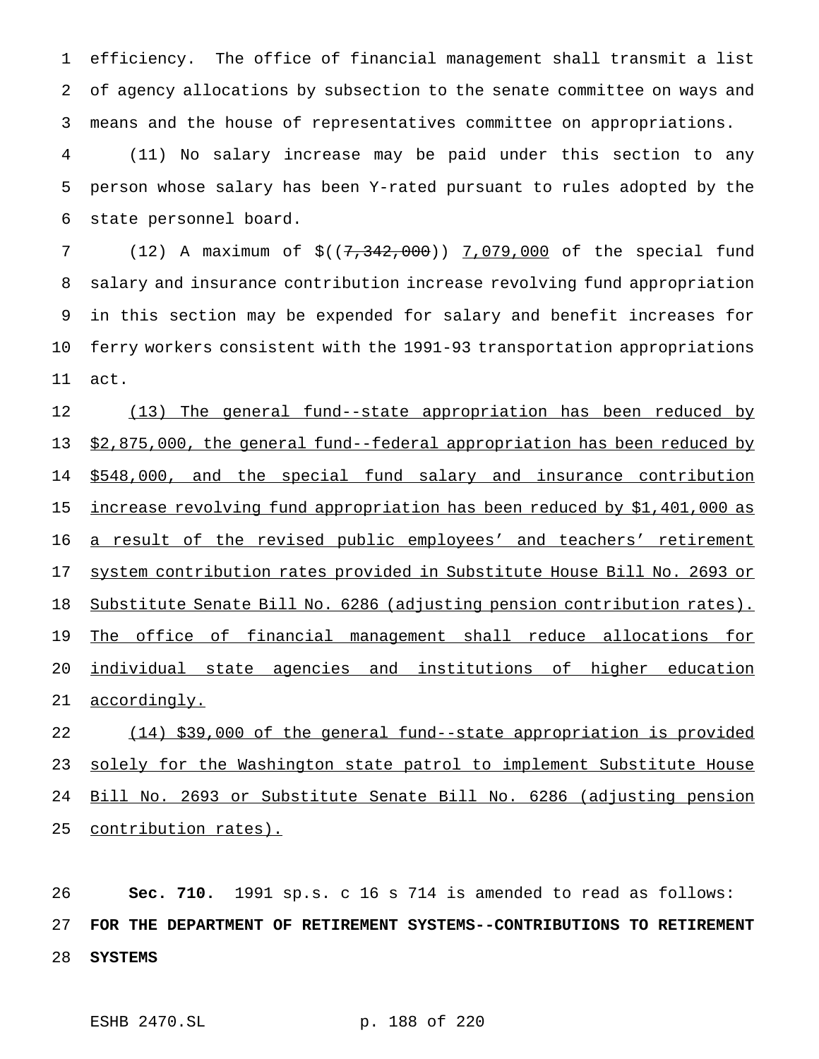efficiency. The office of financial management shall transmit a list of agency allocations by subsection to the senate committee on ways and means and the house of representatives committee on appropriations.

 (11) No salary increase may be paid under this section to any person whose salary has been Y-rated pursuant to rules adopted by the state personnel board.

7 (12) A maximum of  $$((7,342,000))$  7,079,000 of the special fund salary and insurance contribution increase revolving fund appropriation in this section may be expended for salary and benefit increases for ferry workers consistent with the 1991-93 transportation appropriations act.

12 (13) The general fund--state appropriation has been reduced by \$2,875,000, the general fund--federal appropriation has been reduced by 14 \$548,000, and the special fund salary and insurance contribution increase revolving fund appropriation has been reduced by \$1,401,000 as 16 a result of the revised public employees' and teachers' retirement system contribution rates provided in Substitute House Bill No. 2693 or Substitute Senate Bill No. 6286 (adjusting pension contribution rates). 19 The office of financial management shall reduce allocations for individual state agencies and institutions of higher education accordingly.

 (14) \$39,000 of the general fund--state appropriation is provided 23 solely for the Washington state patrol to implement Substitute House Bill No. 2693 or Substitute Senate Bill No. 6286 (adjusting pension contribution rates).

 **Sec. 710.** 1991 sp.s. c 16 s 714 is amended to read as follows: **FOR THE DEPARTMENT OF RETIREMENT SYSTEMS--CONTRIBUTIONS TO RETIREMENT SYSTEMS**

ESHB 2470.SL p. 188 of 220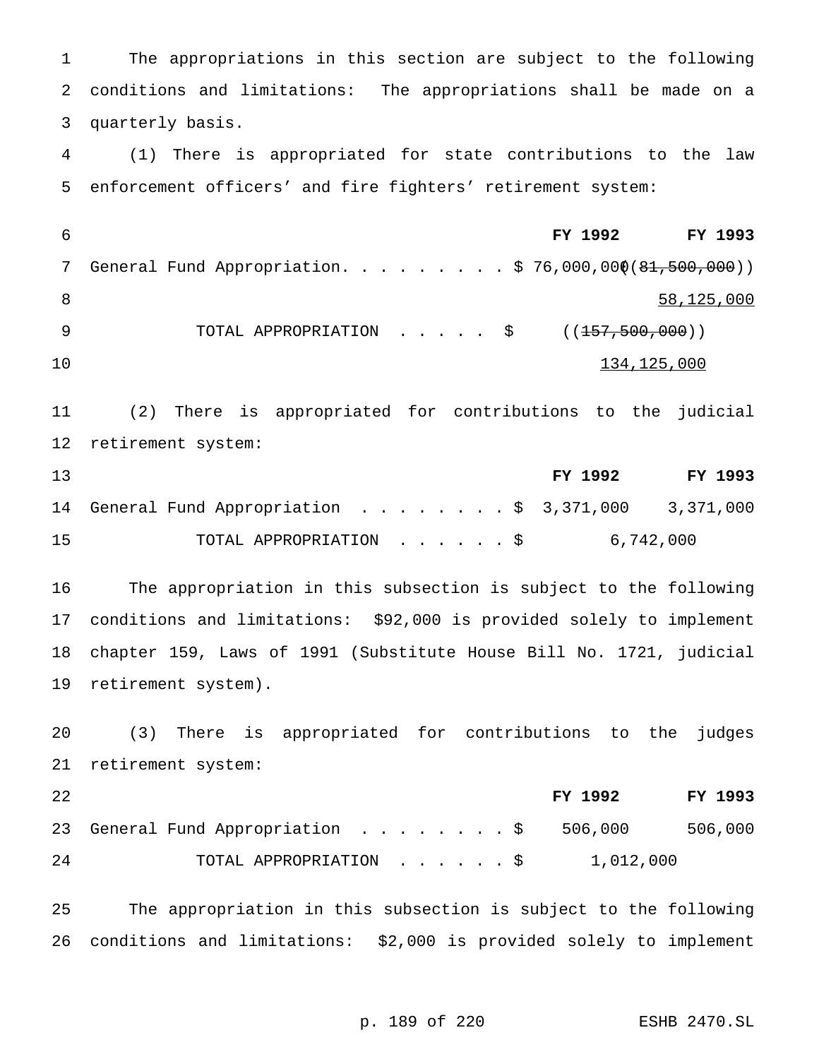The appropriations in this section are subject to the following conditions and limitations: The appropriations shall be made on a quarterly basis.

 (1) There is appropriated for state contributions to the law enforcement officers' and fire fighters' retirement system:

 **FY 1992 FY 1993** 7 General Fund Appropriation. . . . . . . . \$ 76,000,000(81,500,000)) 58,125,000 9 TOTAL APPROPRIATION . . . . \$ ((<del>157,500,000</del>))  $134,125,000$ 

 (2) There is appropriated for contributions to the judicial retirement system:

| 13 |                                                      | FY 1992   | FY 1993 |
|----|------------------------------------------------------|-----------|---------|
|    | 14 General Fund Appropriation \$ 3,371,000 3,371,000 |           |         |
| 15 | TOTAL APPROPRIATION \$                               | 6,742,000 |         |

 The appropriation in this subsection is subject to the following conditions and limitations: \$92,000 is provided solely to implement chapter 159, Laws of 1991 (Substitute House Bill No. 1721, judicial retirement system).

 (3) There is appropriated for contributions to the judges retirement system:

| 22 |                                          | FY 1992   | <b>FY 1993</b> |
|----|------------------------------------------|-----------|----------------|
|    | 23 General Fund Appropriation \$ 506,000 |           | 506,000        |
| 24 | TOTAL APPROPRIATION S                    | 1,012,000 |                |

 The appropriation in this subsection is subject to the following conditions and limitations: \$2,000 is provided solely to implement

p. 189 of 220 ESHB 2470.SL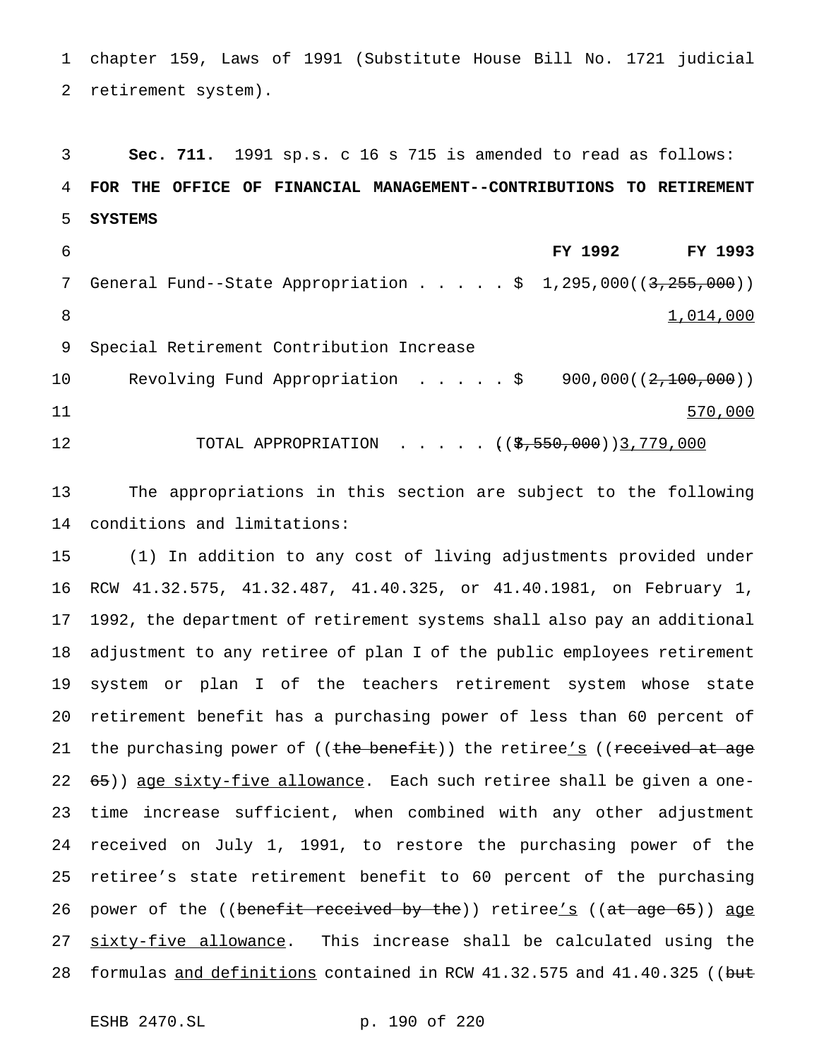chapter 159, Laws of 1991 (Substitute House Bill No. 1721 judicial retirement system).

 **Sec. 711.** 1991 sp.s. c 16 s 715 is amended to read as follows: **FOR THE OFFICE OF FINANCIAL MANAGEMENT--CONTRIBUTIONS TO RETIREMENT SYSTEMS FY 1992 FY 1993** 7 General Fund--State Appropriation . . . . \$ 1,295,000((3,255,000)) 8 1,014,000 Special Retirement Contribution Increase 10 Revolving Fund Appropriation . . . . \$ 900,000((2,100,000)) 11 570,000 12 TOTAL APPROPRIATION . . . . ((<del>\$,550,000</del>))3,779,000

 The appropriations in this section are subject to the following conditions and limitations:

 (1) In addition to any cost of living adjustments provided under RCW 41.32.575, 41.32.487, 41.40.325, or 41.40.1981, on February 1, 1992, the department of retirement systems shall also pay an additional adjustment to any retiree of plan I of the public employees retirement system or plan I of the teachers retirement system whose state retirement benefit has a purchasing power of less than 60 percent of 21 the purchasing power of ((the benefit)) the retiree's ((received at age 22 65)) age sixty-five allowance. Each such retiree shall be given a one- time increase sufficient, when combined with any other adjustment received on July 1, 1991, to restore the purchasing power of the retiree's state retirement benefit to 60 percent of the purchasing 26 power of the ((benefit received by the)) retiree's ((at age 65)) age 27 sixty-five allowance. This increase shall be calculated using the 28 formulas <u>and definitions</u> contained in RCW 41.32.575 and 41.40.325 ((but

ESHB 2470.SL p. 190 of 220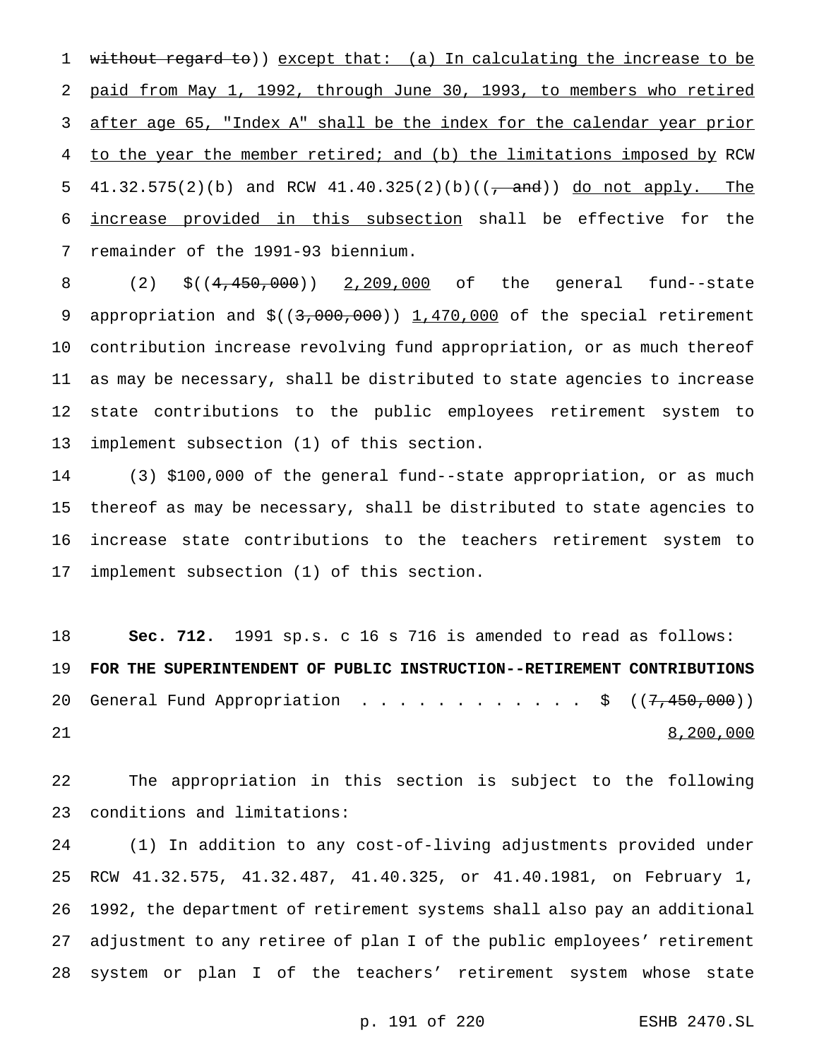without regard to)) except that: (a) In calculating the increase to be paid from May 1, 1992, through June 30, 1993, to members who retired after age 65, "Index A" shall be the index for the calendar year prior to the year the member retired; and (b) the limitations imposed by RCW 5 41.32.575(2)(b) and RCW 41.40.325(2)(b)( $\frac{1}{2}$  and)) do not apply. The increase provided in this subsection shall be effective for the remainder of the 1991-93 biennium.

 (2) \$((4,450,000)) 2,209,000 of the general fund--state 9 appropriation and  $$((3,000,000))$   $1,470,000$  of the special retirement contribution increase revolving fund appropriation, or as much thereof as may be necessary, shall be distributed to state agencies to increase state contributions to the public employees retirement system to implement subsection (1) of this section.

 (3) \$100,000 of the general fund--state appropriation, or as much thereof as may be necessary, shall be distributed to state agencies to increase state contributions to the teachers retirement system to implement subsection (1) of this section.

 **Sec. 712.** 1991 sp.s. c 16 s 716 is amended to read as follows: **FOR THE SUPERINTENDENT OF PUBLIC INSTRUCTION--RETIREMENT CONTRIBUTIONS** 20 General Fund Appropriation . . . . . . . . . . . \$  $((7,450,000))$ 21 8,200,000

 The appropriation in this section is subject to the following conditions and limitations:

 (1) In addition to any cost-of-living adjustments provided under RCW 41.32.575, 41.32.487, 41.40.325, or 41.40.1981, on February 1, 1992, the department of retirement systems shall also pay an additional adjustment to any retiree of plan I of the public employees' retirement system or plan I of the teachers' retirement system whose state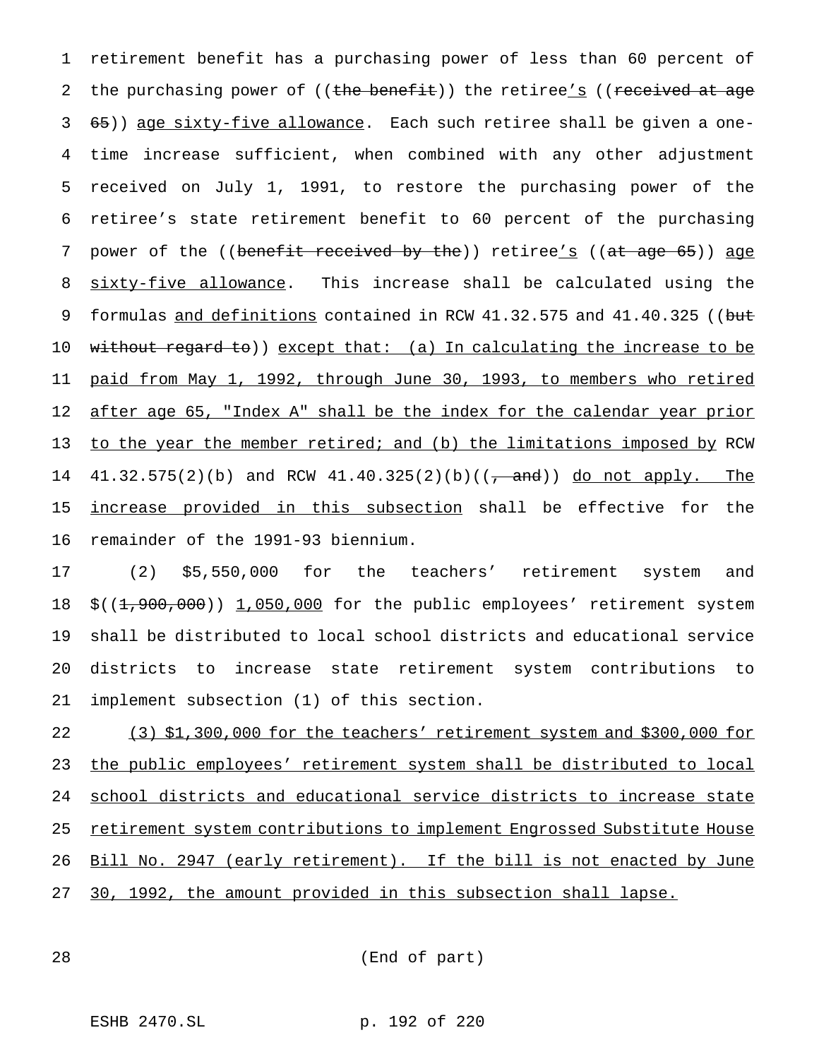retirement benefit has a purchasing power of less than 60 percent of 2 the purchasing power of ((the benefit)) the retiree's ((received at age 65)) age sixty-five allowance. Each such retiree shall be given a one- time increase sufficient, when combined with any other adjustment received on July 1, 1991, to restore the purchasing power of the retiree's state retirement benefit to 60 percent of the purchasing 7 power of the ((benefit received by the)) retiree's ((at age 65)) age 8 sixty-five allowance. This increase shall be calculated using the 9 formulas and definitions contained in RCW 41.32.575 and 41.40.325 ((but 10 without regard to)) except that: (a) In calculating the increase to be paid from May 1, 1992, through June 30, 1993, to members who retired 12 after age 65, "Index A" shall be the index for the calendar year prior to the year the member retired; and (b) the limitations imposed by RCW 14 41.32.575(2)(b) and RCW 41.40.325(2)(b)((<del>, and</del>)) <u>do not apply. The</u> increase provided in this subsection shall be effective for the remainder of the 1991-93 biennium.

 (2) \$5,550,000 for the teachers' retirement system and  $$((1,900,000))$  1,050,000 for the public employees' retirement system shall be distributed to local school districts and educational service districts to increase state retirement system contributions to implement subsection (1) of this section.

 (3) \$1,300,000 for the teachers' retirement system and \$300,000 for the public employees' retirement system shall be distributed to local school districts and educational service districts to increase state 25 retirement system contributions to implement Engrossed Substitute House 26 Bill No. 2947 (early retirement). If the bill is not enacted by June 30, 1992, the amount provided in this subsection shall lapse.

(End of part)

ESHB 2470.SL p. 192 of 220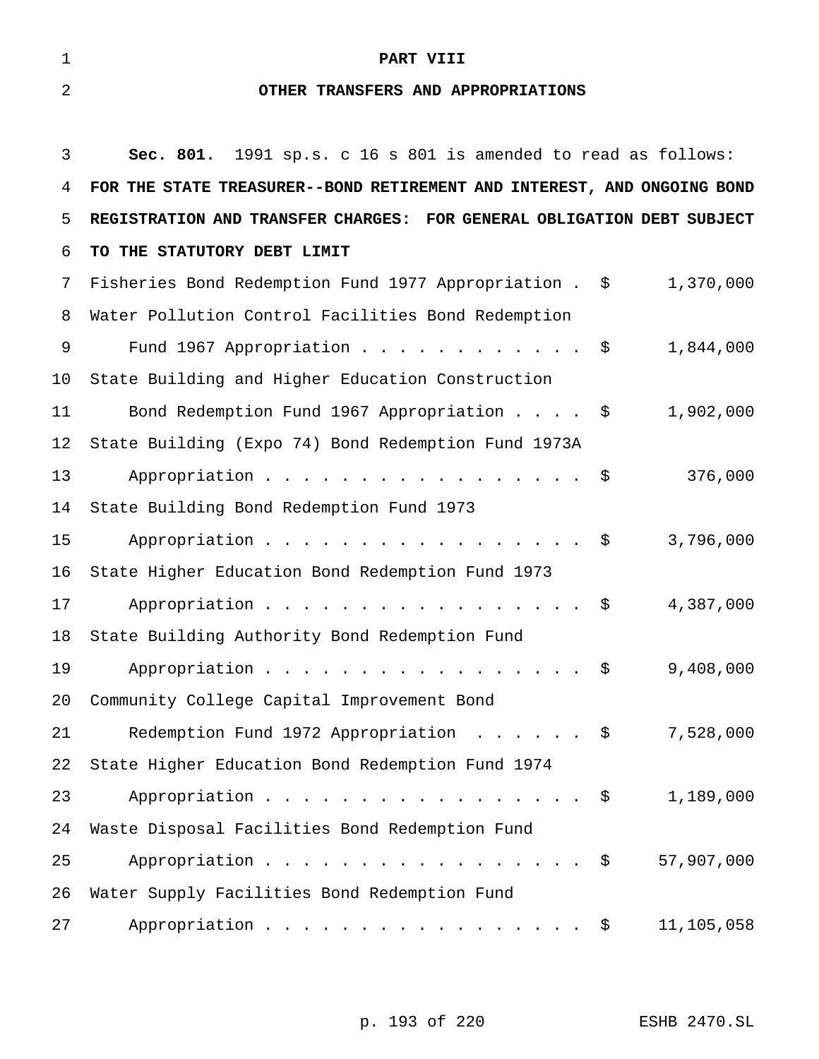# **PART VIII**

# **OTHER TRANSFERS AND APPROPRIATIONS**

| 3  | Sec. 801. 1991 sp.s. c 16 s 801 is amended to read as follows:          |
|----|-------------------------------------------------------------------------|
| 4  | FOR THE STATE TREASURER--BOND RETIREMENT AND INTEREST, AND ONGOING BOND |
| 5  | REGISTRATION AND TRANSFER CHARGES: FOR GENERAL OBLIGATION DEBT SUBJECT  |
| 6  | TO THE STATUTORY DEBT LIMIT                                             |
| 7  | 1,370,000<br>Fisheries Bond Redemption Fund 1977 Appropriation . \$     |
| 8  | Water Pollution Control Facilities Bond Redemption                      |
| 9  | Fund 1967 Appropriation \$<br>1,844,000                                 |
| 10 | State Building and Higher Education Construction                        |
| 11 | Bond Redemption Fund 1967 Appropriation $\ldots$ \$<br>1,902,000        |
| 12 | State Building (Expo 74) Bond Redemption Fund 1973A                     |
| 13 | Appropriation $\frac{1}{5}$<br>376,000                                  |
| 14 | State Building Bond Redemption Fund 1973                                |
| 15 | Appropriation \$<br>3,796,000                                           |
| 16 | State Higher Education Bond Redemption Fund 1973                        |
| 17 | Appropriation $\frac{1}{9}$<br>4,387,000                                |
| 18 | State Building Authority Bond Redemption Fund                           |
| 19 | Appropriation \$<br>9,408,000                                           |
| 20 | Community College Capital Improvement Bond                              |
| 21 | Redemption Fund 1972 Appropriation \$<br>7,528,000                      |
| 22 | State Higher Education Bond Redemption Fund 1974                        |
| 23 | Appropriation $\frac{1}{2}$<br>1,189,000                                |
| 24 | Waste Disposal Facilities Bond Redemption Fund                          |
| 25 | 57,907,000<br>Appropriation $\frac{1}{2}$                               |
| 26 | Water Supply Facilities Bond Redemption Fund                            |
| 27 | Appropriation $\frac{1}{5}$<br>11,105,058                               |

p. 193 of 220 ESHB 2470.SL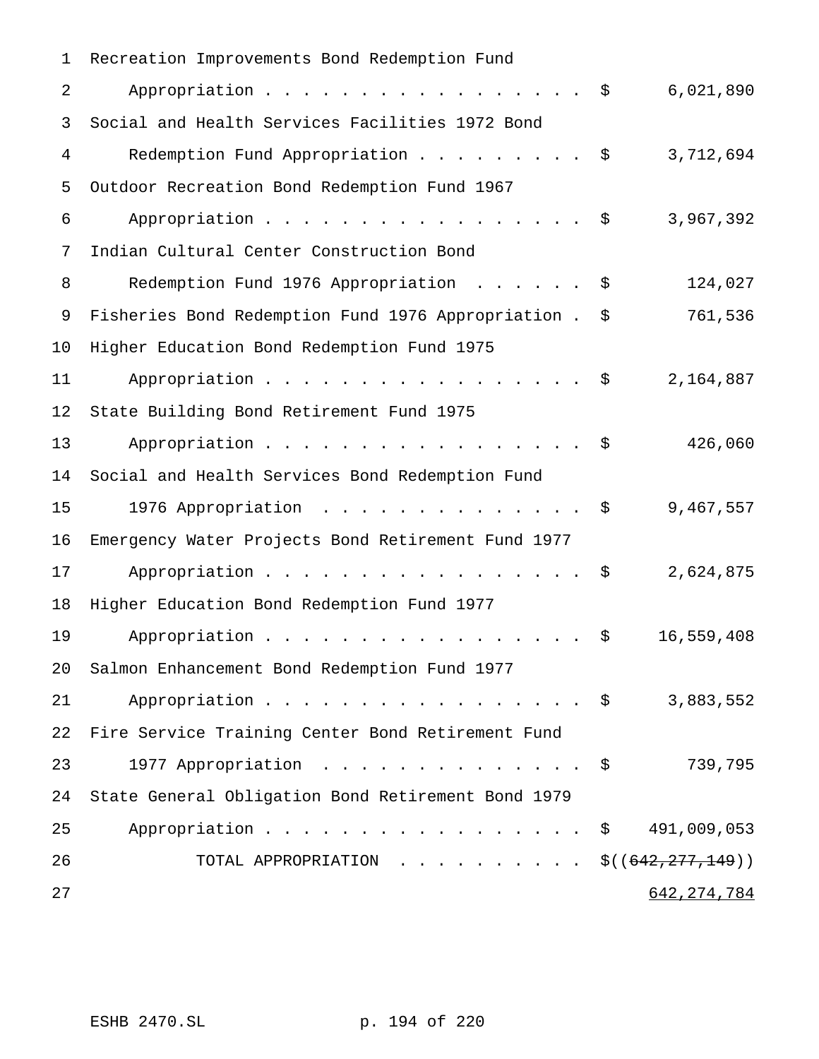| 1  | Recreation Improvements Bond Redemption Fund           |      |               |
|----|--------------------------------------------------------|------|---------------|
| 2  | Appropriation                                          | - \$ | 6,021,890     |
| 3  | Social and Health Services Facilities 1972 Bond        |      |               |
| 4  | Redemption Fund Appropriation \$                       |      | 3,712,694     |
| 5  | Outdoor Recreation Bond Redemption Fund 1967           |      |               |
| 6  | Appropriation                                          | - \$ | 3,967,392     |
| 7  | Indian Cultural Center Construction Bond               |      |               |
| 8  | Redemption Fund 1976 Appropriation                     | \$   | 124,027       |
| 9  | Fisheries Bond Redemption Fund 1976 Appropriation . \$ |      | 761,536       |
| 10 | Higher Education Bond Redemption Fund 1975             |      |               |
| 11 | Appropriation \$                                       |      | 2,164,887     |
| 12 | State Building Bond Retirement Fund 1975               |      |               |
| 13 | Appropriation $\frac{1}{5}$                            |      | 426,060       |
| 14 | Social and Health Services Bond Redemption Fund        |      |               |
| 15 | 1976 Appropriation \$                                  |      | 9,467,557     |
| 16 | Emergency Water Projects Bond Retirement Fund 1977     |      |               |
| 17 | Appropriation                                          | - \$ | 2,624,875     |
| 18 | Higher Education Bond Redemption Fund 1977             |      |               |
| 19 | Appropriation                                          | \$   | 16,559,408    |
| 20 | Salmon Enhancement Bond Redemption Fund 1977           |      |               |
| 21 | Appropriation $\frac{1}{2}$                            |      | 3,883,552     |
| 22 | Fire Service Training Center Bond Retirement Fund      |      |               |
| 23 | 1977 Appropriation \$                                  |      | 739,795       |
| 24 | State General Obligation Bond Retirement Bond 1979     |      |               |
| 25 | Appropriation $\frac{1}{2}$                            |      | 491,009,053   |
| 26 | TOTAL APPROPRIATION \$( $(642, 277, 149)$ )            |      |               |
| 27 |                                                        |      | 642, 274, 784 |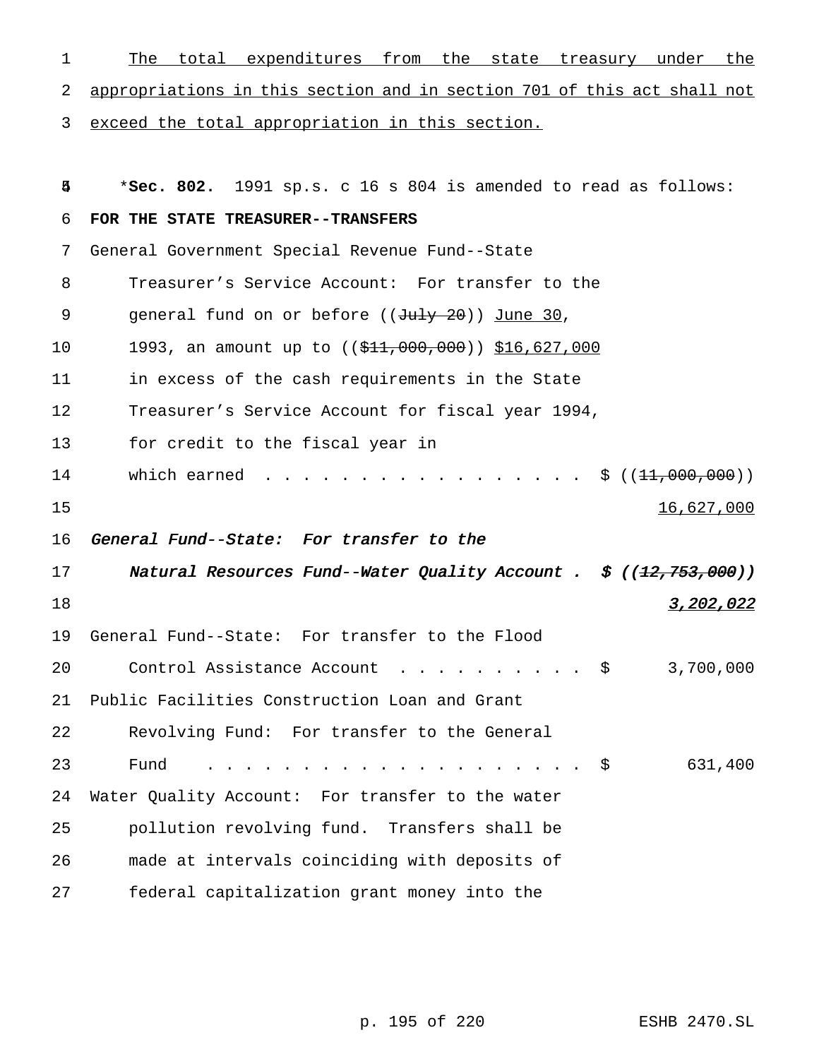| $\mathbf 1$ | total expenditures from the state treasury under the<br>The                     |
|-------------|---------------------------------------------------------------------------------|
| 2           | appropriations in this section and in section 701 of this act shall not         |
| 3           | exceed the total appropriation in this section.                                 |
| 马           | *Sec. 802. 1991 sp.s. c 16 s 804 is amended to read as follows:                 |
| 6           | FOR THE STATE TREASURER--TRANSFERS                                              |
| 7           | General Government Special Revenue Fund--State                                  |
| 8           | Treasurer's Service Account: For transfer to the                                |
| 9           | general fund on or before ((July 20)) June 30,                                  |
| 10          | 1993, an amount up to ((\$11,000,000)) \$16,627,000                             |
| 11          | in excess of the cash requirements in the State                                 |
| 12          | Treasurer's Service Account for fiscal year 1994,                               |
| 13          | for credit to the fiscal year in                                                |
| 14          | which earned $\ldots$ .<br>$\ldots$ , $\frac{1}{2}$ (( <del>11,000,000</del> )) |
| 15          | 16,627,000                                                                      |
| 16          | General Fund--State: For transfer to the                                        |
| 17          | Natural Resources Fund--Water Quality Account . $\sharp$ ((12,753,000))         |
| 18          | 3,202,022                                                                       |
| 19          | General Fund--State: For transfer to the Flood                                  |
| 20          | 3,700,000<br>Control Assistance Account $\ldots$ \$                             |
| 21          | Public Facilities Construction Loan and Grant                                   |
| 22          | Revolving Fund: For transfer to the General                                     |
| 23          | Fund<br>631,400<br>. \$                                                         |
| 24          | Water Quality Account: For transfer to the water                                |
| 25          | pollution revolving fund. Transfers shall be                                    |
| 26          | made at intervals coinciding with deposits of                                   |
| 27          | federal capitalization grant money into the                                     |

p. 195 of 220 ESHB 2470.SL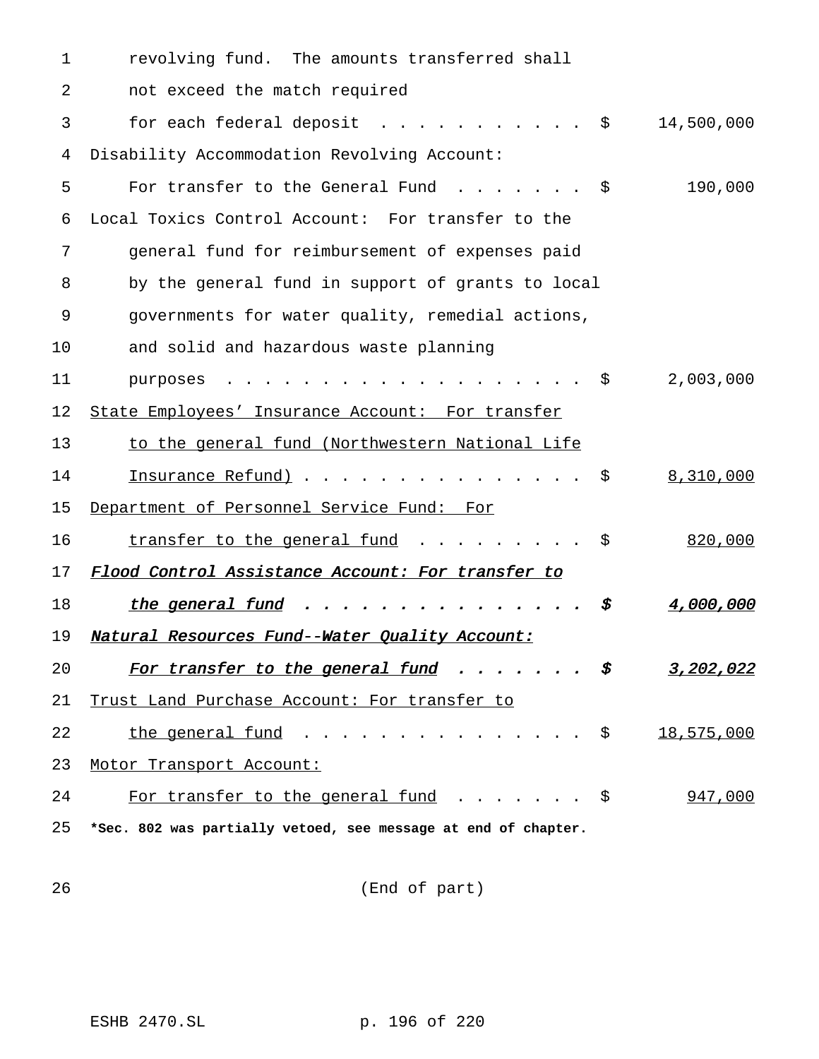| 1  | revolving fund. The amounts transferred shall                                 |                  |
|----|-------------------------------------------------------------------------------|------------------|
| 2  | not exceed the match required                                                 |                  |
| 3  | for each federal deposit $\ldots$ \$                                          | 14,500,000       |
| 4  | Disability Accommodation Revolving Account:                                   |                  |
| 5  | For transfer to the General Fund $\ldots \ldots$                              | 190,000          |
| 6  | Local Toxics Control Account: For transfer to the                             |                  |
| 7  | general fund for reimbursement of expenses paid                               |                  |
| 8  | by the general fund in support of grants to local                             |                  |
| 9  | governments for water quality, remedial actions,                              |                  |
| 10 | and solid and hazardous waste planning                                        |                  |
| 11 | purposes                                                                      | 2,003,000        |
| 12 | State Employees' Insurance Account: For transfer                              |                  |
| 13 | to the general fund (Northwestern National Life                               |                  |
| 14 | Insurance Refund) \$                                                          | 8,310,000        |
| 15 | Department of Personnel Service Fund: For                                     |                  |
| 16 | transfer to the general fund $\ldots$ \$                                      | 820,000          |
| 17 | Flood Control Assistance Account: For transfer to                             |                  |
| 18 | the general fund $\ldots$ $\ddot{s}$                                          | 4,000,000        |
| 19 | Natural Resources Fund--Water Quality Account:                                |                  |
| 20 | <u>For transfer to the general fund</u> $\ldots \ldots$ \$                    | <u>3,202,022</u> |
| 21 | Trust Land Purchase Account: For transfer to                                  |                  |
| 22 | <u>the general fund</u> $\ldots$ $\ldots$ $\ldots$ $\ldots$ $\ddot{\text{S}}$ | 18,575,000       |
| 23 | Motor Transport Account:                                                      |                  |
| 24 | For transfer to the general fund $\ldots \ldots$                              | 947,000          |
| 25 | *Sec. 802 was partially vetoed, see message at end of chapter.                |                  |

(End of part)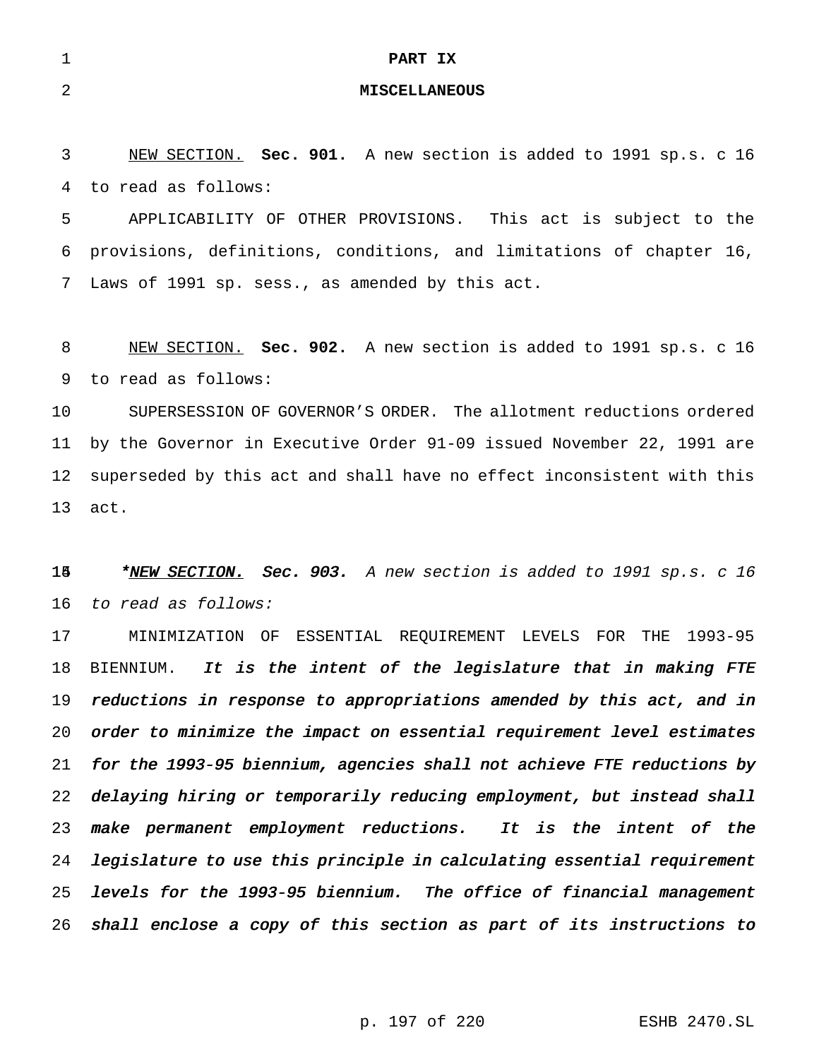|    | PART IX              |
|----|----------------------|
| -2 | <b>MISCELLANEOUS</b> |

 NEW SECTION. **Sec. 901.** A new section is added to 1991 sp.s. c 16 to read as follows:

 APPLICABILITY OF OTHER PROVISIONS. This act is subject to the provisions, definitions, conditions, and limitations of chapter 16, Laws of 1991 sp. sess., as amended by this act.

 NEW SECTION. **Sec. 902.** A new section is added to 1991 sp.s. c 16 to read as follows:

 SUPERSESSION OF GOVERNOR'S ORDER. The allotment reductions ordered by the Governor in Executive Order 91-09 issued November 22, 1991 are superseded by this act and shall have no effect inconsistent with this act.

15 \*NEW SECTION. Sec. 903. A new section is added to 1991 sp.s. c 16 to read as follows:

 MINIMIZATION OF ESSENTIAL REQUIREMENT LEVELS FOR THE 1993-95 18 BIENNIUM. It is the intent of the legislature that in making FTE reductions in response to appropriations amended by this act, and in order to minimize the impact on essential requirement level estimates for the 1993-95 biennium, agencies shall not achieve FTE reductions by delaying hiring or temporarily reducing employment, but instead shall make permanent employment reductions. It is the intent of the legislature to use this principle in calculating essential requirement levels for the 1993-95 biennium. The office of financial management shall enclose <sup>a</sup> copy of this section as part of its instructions to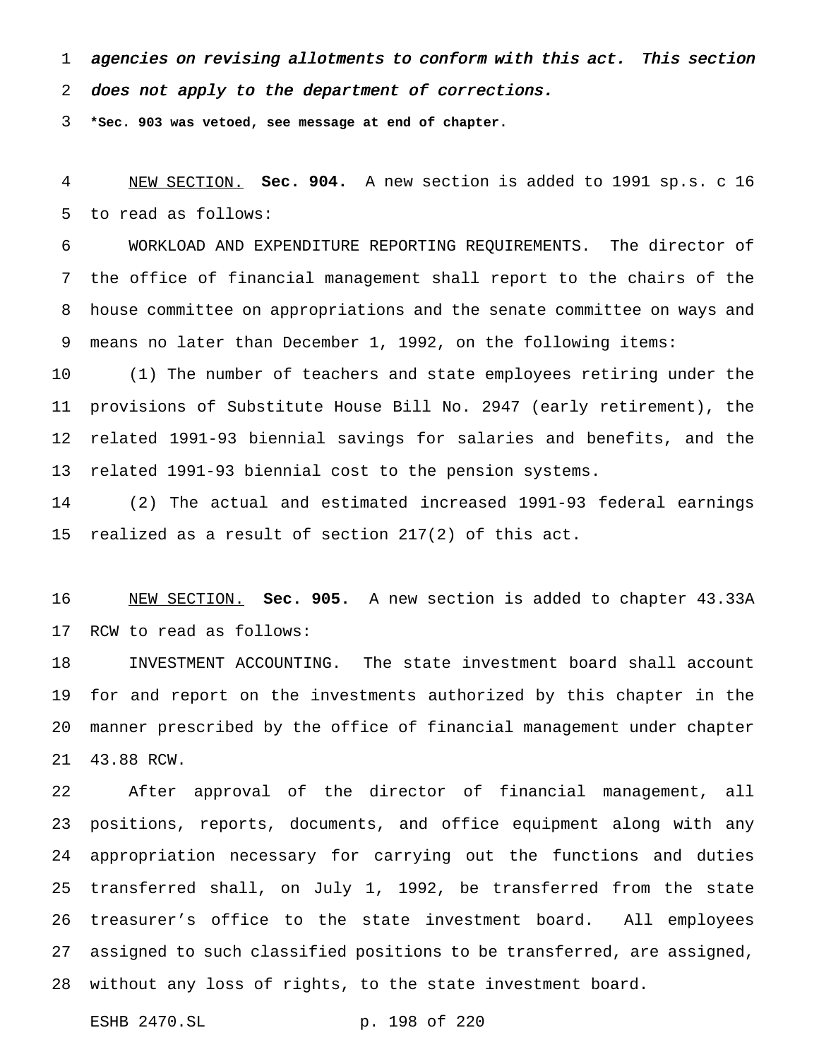agencies on revising allotments to conform with this act. This section

does not apply to the department of corrections.

**\*Sec. 903 was vetoed, see message at end of chapter.**

 NEW SECTION. **Sec. 904.** A new section is added to 1991 sp.s. c 16 to read as follows:

 WORKLOAD AND EXPENDITURE REPORTING REQUIREMENTS. The director of the office of financial management shall report to the chairs of the house committee on appropriations and the senate committee on ways and means no later than December 1, 1992, on the following items:

 (1) The number of teachers and state employees retiring under the provisions of Substitute House Bill No. 2947 (early retirement), the related 1991-93 biennial savings for salaries and benefits, and the related 1991-93 biennial cost to the pension systems.

 (2) The actual and estimated increased 1991-93 federal earnings realized as a result of section 217(2) of this act.

 NEW SECTION. **Sec. 905.** A new section is added to chapter 43.33A RCW to read as follows:

 INVESTMENT ACCOUNTING. The state investment board shall account for and report on the investments authorized by this chapter in the manner prescribed by the office of financial management under chapter 43.88 RCW.

 After approval of the director of financial management, all positions, reports, documents, and office equipment along with any appropriation necessary for carrying out the functions and duties transferred shall, on July 1, 1992, be transferred from the state treasurer's office to the state investment board. All employees assigned to such classified positions to be transferred, are assigned, without any loss of rights, to the state investment board.

ESHB 2470.SL p. 198 of 220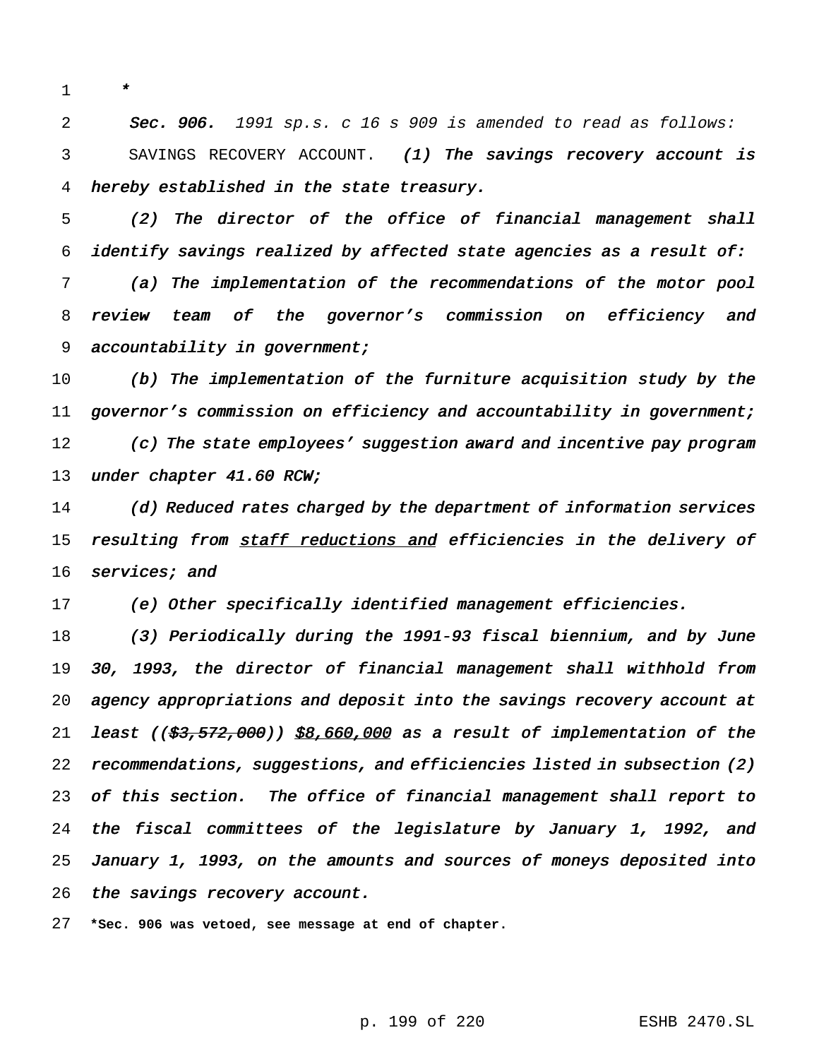\*

2 Sec. 906. 1991 sp.s. c 16 s 909 is amended to read as follows: SAVINGS RECOVERY ACCOUNT. (1) The savings recovery account is hereby established in the state treasury.

 (2) The director of the office of financial management shall identify savings realized by affected state agencies as <sup>a</sup> result of: (a) The implementation of the recommendations of the motor pool review team of the governor's commission on efficiency and 9 accountability in government;

 (b) The implementation of the furniture acquisition study by the governor's commission on efficiency and accountability in government; (c) The state employees' suggestion award and incentive pay program 13 under chapter 41.60 RCW;

 (d) Reduced rates charged by the department of information services 15 resulting from staff reductions and efficiencies in the delivery of 16 services; and

(e) Other specifically identified management efficiencies.

18 (3) Periodically during the 1991-93 fiscal biennium, and by June 30, 1993, the director of financial management shall withhold from agency appropriations and deposit into the savings recovery account at 21 least ( $(\frac{23}{53}, \frac{572}{500})$ )  $\frac{28}{560}$ ,000 as a result of implementation of the recommendations, suggestions, and efficiencies listed in subsection (2) of this section. The office of financial management shall report to the fiscal committees of the legislature by January 1, 1992, and January 1, 1993, on the amounts and sources of moneys deposited into 26 the savings recovery account.

**\*Sec. 906 was vetoed, see message at end of chapter.**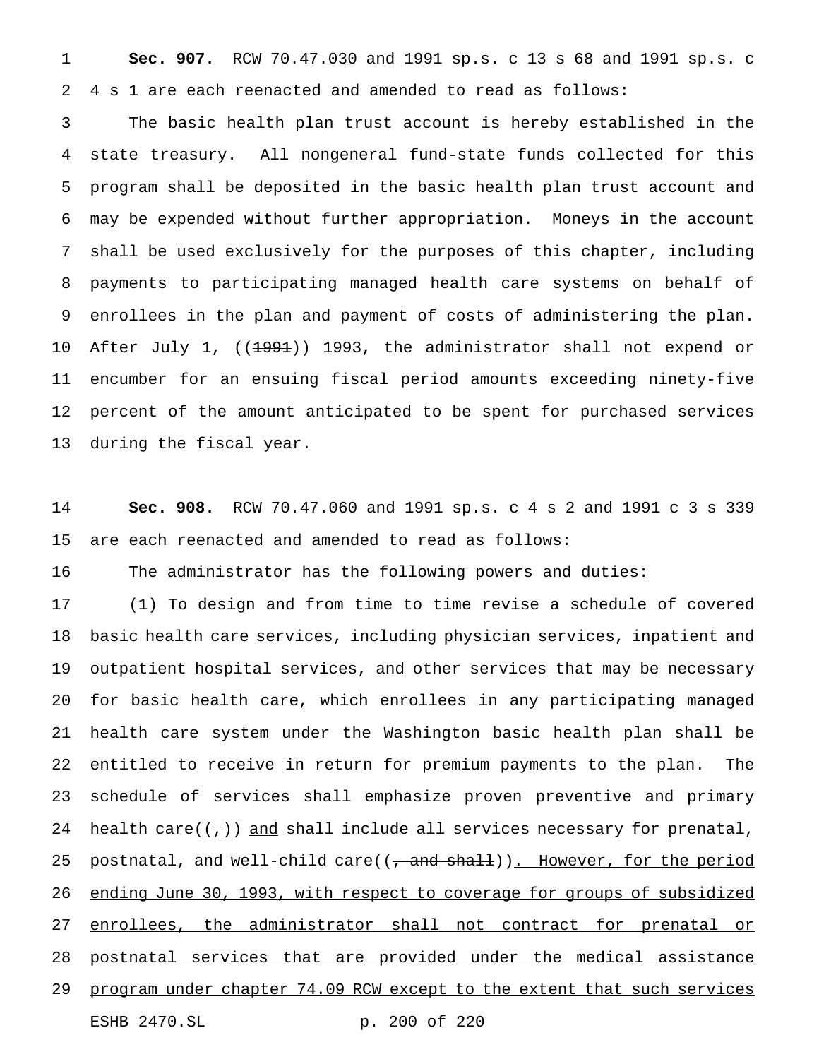**Sec. 907.** RCW 70.47.030 and 1991 sp.s. c 13 s 68 and 1991 sp.s. c 4 s 1 are each reenacted and amended to read as follows:

 The basic health plan trust account is hereby established in the state treasury. All nongeneral fund-state funds collected for this program shall be deposited in the basic health plan trust account and may be expended without further appropriation. Moneys in the account shall be used exclusively for the purposes of this chapter, including payments to participating managed health care systems on behalf of enrollees in the plan and payment of costs of administering the plan. 10 After July 1, ((<del>1991</del>)) 1993, the administrator shall not expend or encumber for an ensuing fiscal period amounts exceeding ninety-five percent of the amount anticipated to be spent for purchased services during the fiscal year.

 **Sec. 908.** RCW 70.47.060 and 1991 sp.s. c 4 s 2 and 1991 c 3 s 339 are each reenacted and amended to read as follows:

The administrator has the following powers and duties:

 (1) To design and from time to time revise a schedule of covered basic health care services, including physician services, inpatient and outpatient hospital services, and other services that may be necessary for basic health care, which enrollees in any participating managed health care system under the Washington basic health plan shall be entitled to receive in return for premium payments to the plan. The schedule of services shall emphasize proven preventive and primary 24 health care( $(\tau)$ ) and shall include all services necessary for prenatal, 25 postnatal, and well-child care( $(\tau$  and shall)). However, for the period ending June 30, 1993, with respect to coverage for groups of subsidized 27 enrollees, the administrator shall not contract for prenatal or postnatal services that are provided under the medical assistance 29 program under chapter 74.09 RCW except to the extent that such services ESHB 2470.SL p. 200 of 220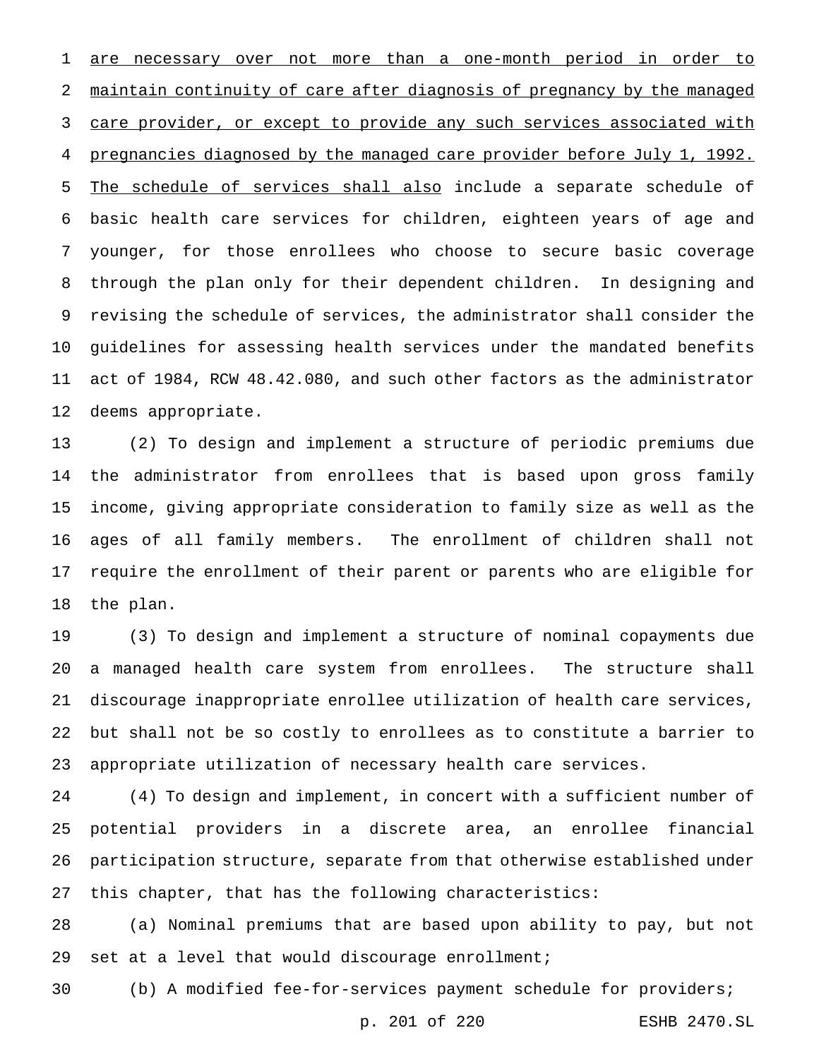are necessary over not more than a one-month period in order to maintain continuity of care after diagnosis of pregnancy by the managed care provider, or except to provide any such services associated with pregnancies diagnosed by the managed care provider before July 1, 1992. 5 The schedule of services shall also include a separate schedule of basic health care services for children, eighteen years of age and younger, for those enrollees who choose to secure basic coverage through the plan only for their dependent children. In designing and revising the schedule of services, the administrator shall consider the guidelines for assessing health services under the mandated benefits act of 1984, RCW 48.42.080, and such other factors as the administrator deems appropriate.

 (2) To design and implement a structure of periodic premiums due the administrator from enrollees that is based upon gross family income, giving appropriate consideration to family size as well as the ages of all family members. The enrollment of children shall not require the enrollment of their parent or parents who are eligible for the plan.

 (3) To design and implement a structure of nominal copayments due a managed health care system from enrollees. The structure shall discourage inappropriate enrollee utilization of health care services, but shall not be so costly to enrollees as to constitute a barrier to appropriate utilization of necessary health care services.

 (4) To design and implement, in concert with a sufficient number of potential providers in a discrete area, an enrollee financial participation structure, separate from that otherwise established under this chapter, that has the following characteristics:

 (a) Nominal premiums that are based upon ability to pay, but not set at a level that would discourage enrollment;

(b) A modified fee-for-services payment schedule for providers;

p. 201 of 220 ESHB 2470.SL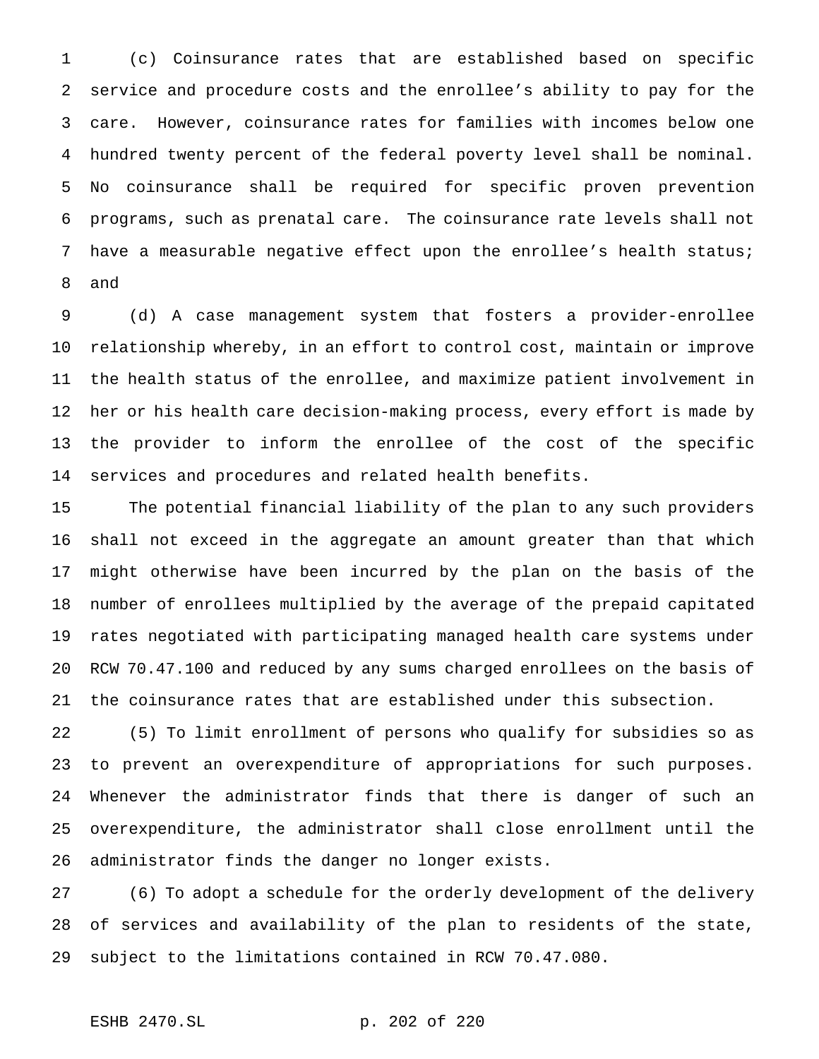(c) Coinsurance rates that are established based on specific service and procedure costs and the enrollee's ability to pay for the care. However, coinsurance rates for families with incomes below one hundred twenty percent of the federal poverty level shall be nominal. No coinsurance shall be required for specific proven prevention programs, such as prenatal care. The coinsurance rate levels shall not have a measurable negative effect upon the enrollee's health status; and

 (d) A case management system that fosters a provider-enrollee relationship whereby, in an effort to control cost, maintain or improve the health status of the enrollee, and maximize patient involvement in her or his health care decision-making process, every effort is made by the provider to inform the enrollee of the cost of the specific services and procedures and related health benefits.

 The potential financial liability of the plan to any such providers shall not exceed in the aggregate an amount greater than that which might otherwise have been incurred by the plan on the basis of the number of enrollees multiplied by the average of the prepaid capitated rates negotiated with participating managed health care systems under RCW 70.47.100 and reduced by any sums charged enrollees on the basis of the coinsurance rates that are established under this subsection.

 (5) To limit enrollment of persons who qualify for subsidies so as to prevent an overexpenditure of appropriations for such purposes. Whenever the administrator finds that there is danger of such an overexpenditure, the administrator shall close enrollment until the administrator finds the danger no longer exists.

 (6) To adopt a schedule for the orderly development of the delivery of services and availability of the plan to residents of the state, subject to the limitations contained in RCW 70.47.080.

ESHB 2470.SL p. 202 of 220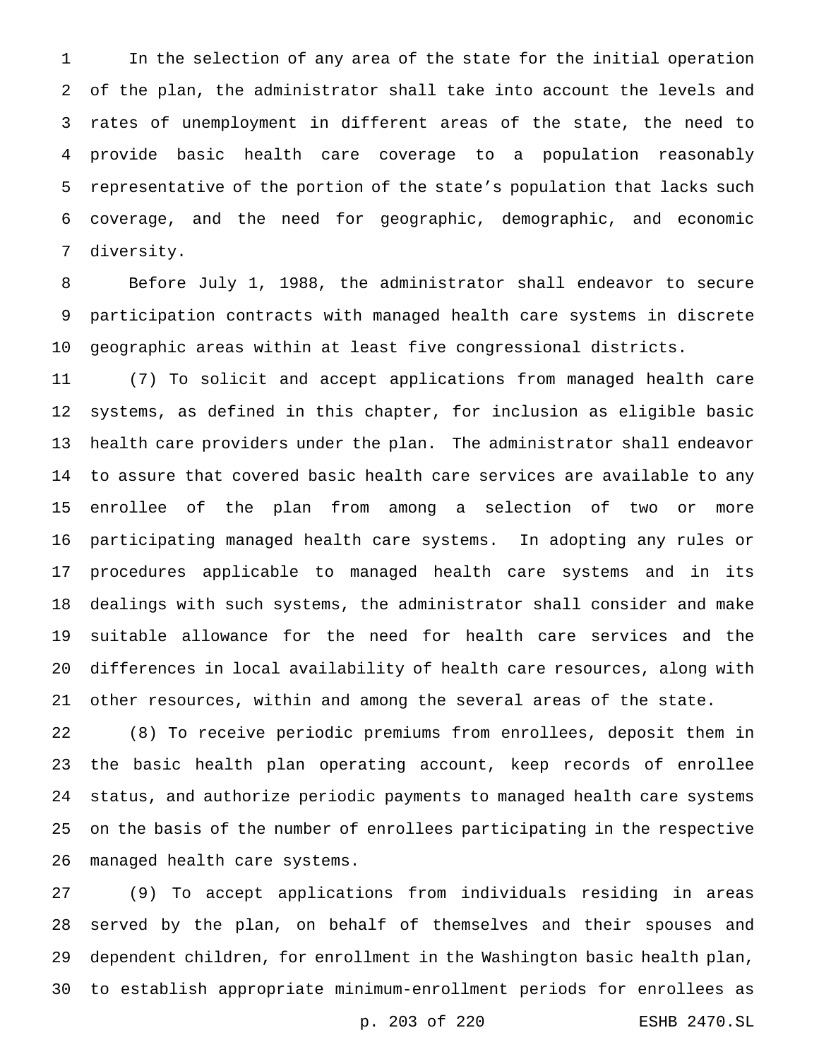In the selection of any area of the state for the initial operation of the plan, the administrator shall take into account the levels and rates of unemployment in different areas of the state, the need to provide basic health care coverage to a population reasonably representative of the portion of the state's population that lacks such coverage, and the need for geographic, demographic, and economic diversity.

 Before July 1, 1988, the administrator shall endeavor to secure participation contracts with managed health care systems in discrete geographic areas within at least five congressional districts.

 (7) To solicit and accept applications from managed health care systems, as defined in this chapter, for inclusion as eligible basic health care providers under the plan. The administrator shall endeavor to assure that covered basic health care services are available to any enrollee of the plan from among a selection of two or more participating managed health care systems. In adopting any rules or procedures applicable to managed health care systems and in its dealings with such systems, the administrator shall consider and make suitable allowance for the need for health care services and the differences in local availability of health care resources, along with other resources, within and among the several areas of the state.

 (8) To receive periodic premiums from enrollees, deposit them in the basic health plan operating account, keep records of enrollee status, and authorize periodic payments to managed health care systems on the basis of the number of enrollees participating in the respective managed health care systems.

 (9) To accept applications from individuals residing in areas served by the plan, on behalf of themselves and their spouses and dependent children, for enrollment in the Washington basic health plan, to establish appropriate minimum-enrollment periods for enrollees as

p. 203 of 220 ESHB 2470.SL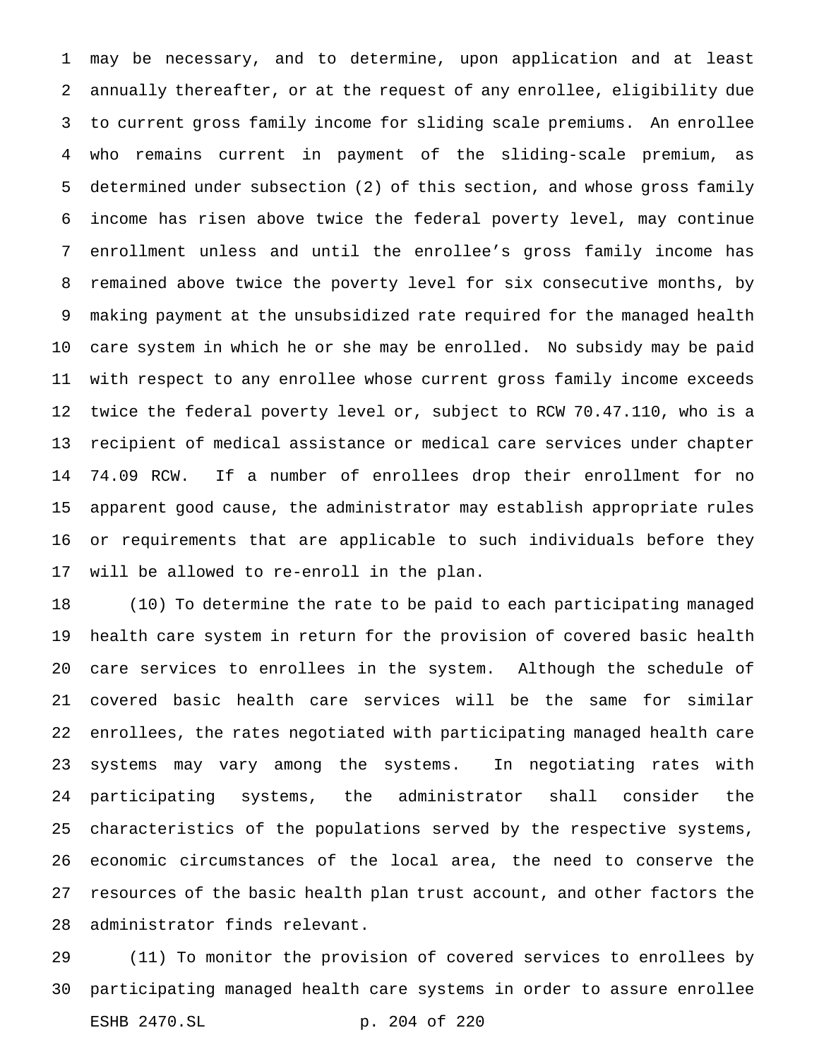may be necessary, and to determine, upon application and at least annually thereafter, or at the request of any enrollee, eligibility due to current gross family income for sliding scale premiums. An enrollee who remains current in payment of the sliding-scale premium, as determined under subsection (2) of this section, and whose gross family income has risen above twice the federal poverty level, may continue enrollment unless and until the enrollee's gross family income has remained above twice the poverty level for six consecutive months, by making payment at the unsubsidized rate required for the managed health care system in which he or she may be enrolled. No subsidy may be paid with respect to any enrollee whose current gross family income exceeds twice the federal poverty level or, subject to RCW 70.47.110, who is a recipient of medical assistance or medical care services under chapter 74.09 RCW. If a number of enrollees drop their enrollment for no apparent good cause, the administrator may establish appropriate rules or requirements that are applicable to such individuals before they will be allowed to re-enroll in the plan.

 (10) To determine the rate to be paid to each participating managed health care system in return for the provision of covered basic health care services to enrollees in the system. Although the schedule of covered basic health care services will be the same for similar enrollees, the rates negotiated with participating managed health care systems may vary among the systems. In negotiating rates with participating systems, the administrator shall consider the characteristics of the populations served by the respective systems, economic circumstances of the local area, the need to conserve the resources of the basic health plan trust account, and other factors the administrator finds relevant.

 (11) To monitor the provision of covered services to enrollees by participating managed health care systems in order to assure enrollee ESHB 2470.SL p. 204 of 220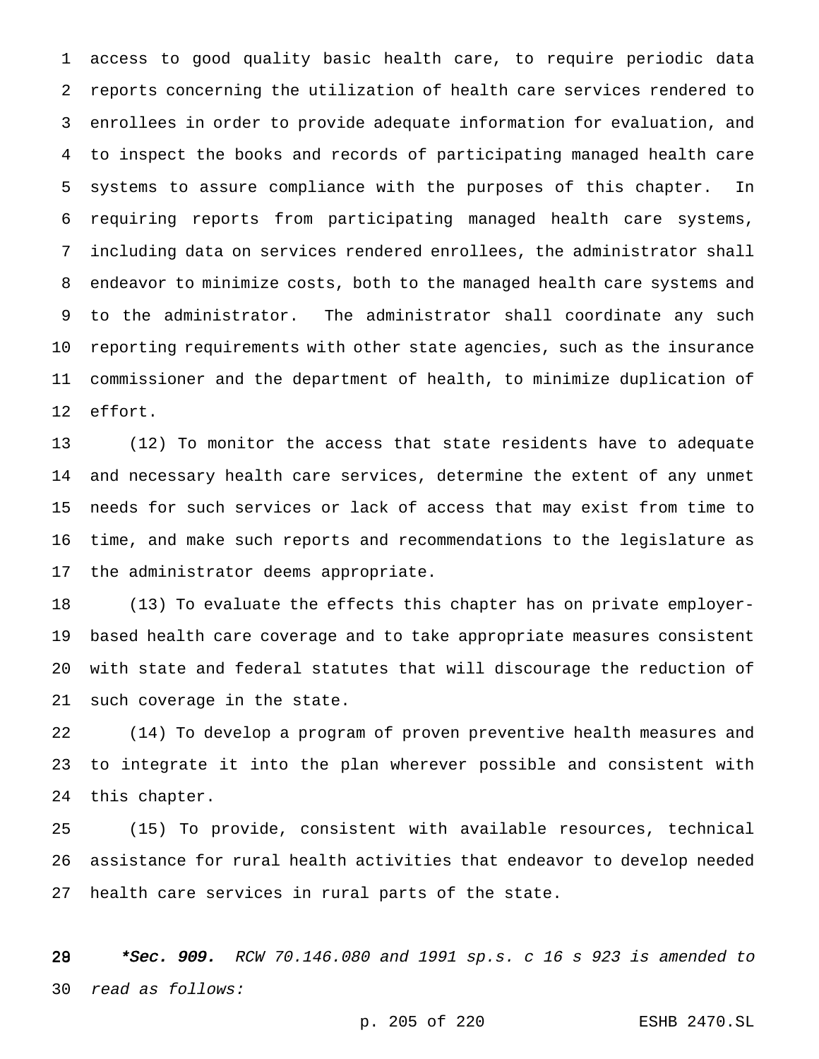access to good quality basic health care, to require periodic data reports concerning the utilization of health care services rendered to enrollees in order to provide adequate information for evaluation, and to inspect the books and records of participating managed health care systems to assure compliance with the purposes of this chapter. In requiring reports from participating managed health care systems, including data on services rendered enrollees, the administrator shall endeavor to minimize costs, both to the managed health care systems and to the administrator. The administrator shall coordinate any such reporting requirements with other state agencies, such as the insurance commissioner and the department of health, to minimize duplication of effort.

 (12) To monitor the access that state residents have to adequate and necessary health care services, determine the extent of any unmet needs for such services or lack of access that may exist from time to time, and make such reports and recommendations to the legislature as the administrator deems appropriate.

 (13) To evaluate the effects this chapter has on private employer- based health care coverage and to take appropriate measures consistent with state and federal statutes that will discourage the reduction of such coverage in the state.

 (14) To develop a program of proven preventive health measures and to integrate it into the plan wherever possible and consistent with this chapter.

 (15) To provide, consistent with available resources, technical assistance for rural health activities that endeavor to develop needed health care services in rural parts of the state.

28 \*Sec. 909. RCW 70.146.080 and 1991 sp.s. c 16 s 923 is amended to read as follows:

p. 205 of 220 ESHB 2470.SL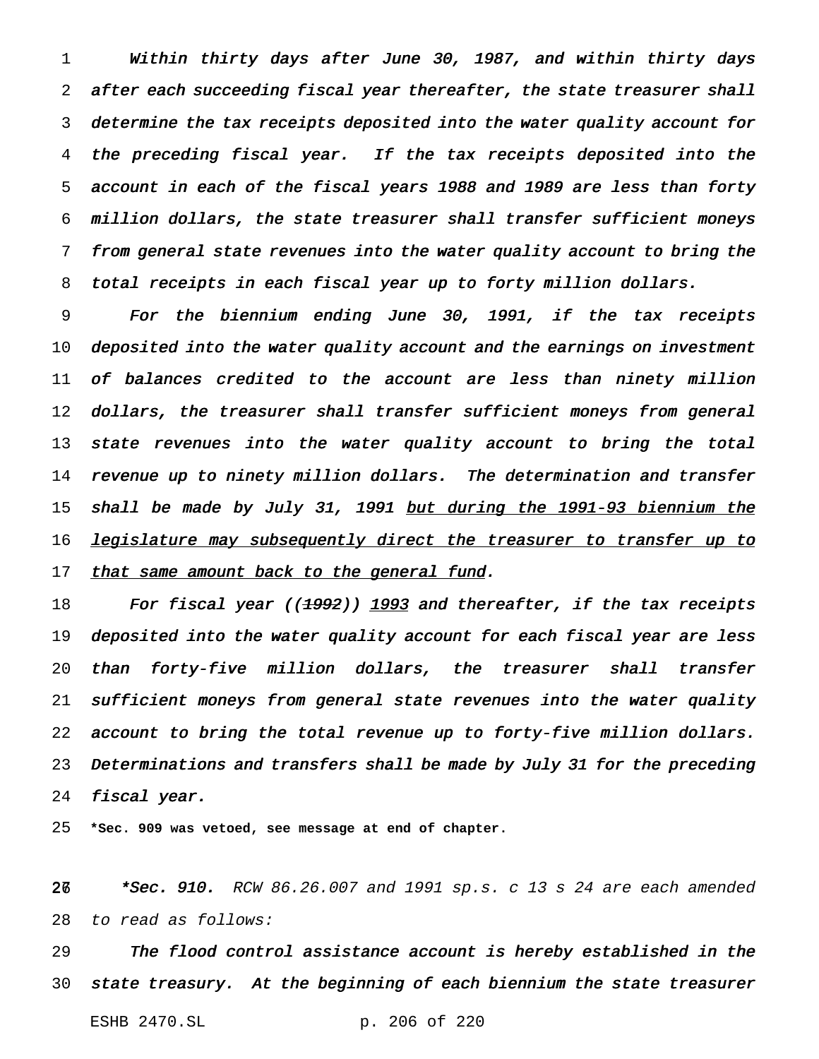Within thirty days after June 30, 1987, and within thirty days after each succeeding fiscal year thereafter, the state treasurer shall determine the tax receipts deposited into the water quality account for the preceding fiscal year. If the tax receipts deposited into the account in each of the fiscal years <sup>1988</sup> and <sup>1989</sup> are less than forty million dollars, the state treasurer shall transfer sufficient moneys from general state revenues into the water quality account to bring the total receipts in each fiscal year up to forty million dollars.

 For the biennium ending June 30, 1991, if the tax receipts 10 deposited into the water quality account and the earnings on investment of balances credited to the account are less than ninety million dollars, the treasurer shall transfer sufficient moneys from general 13 state revenues into the water quality account to bring the total revenue up to ninety million dollars. The determination and transfer 15 shall be made by July 31, 1991 <u>but during the 1991-93 biennium the</u> 16 <u>legislature may subsequently direct the treasurer to transfer up to</u> 17 that same amount back to the general fund.

18 For fiscal year ((1992)) 1993 and thereafter, if the tax receipts deposited into the water quality account for each fiscal year are less than forty-five million dollars, the treasurer shall transfer sufficient moneys from general state revenues into the water quality account to bring the total revenue up to forty-five million dollars. Determinations and transfers shall be made by July <sup>31</sup> for the preceding fiscal year.

**\*Sec. 909 was vetoed, see message at end of chapter.**

28 \*Sec. 910. RCW 86.26.007 and 1991 sp.s. c 13 s 24 are each amended to read as follows:

 The flood control assistance account is hereby established in the state treasury. At the beginning of each biennium the state treasurer ESHB 2470.SL p. 206 of 220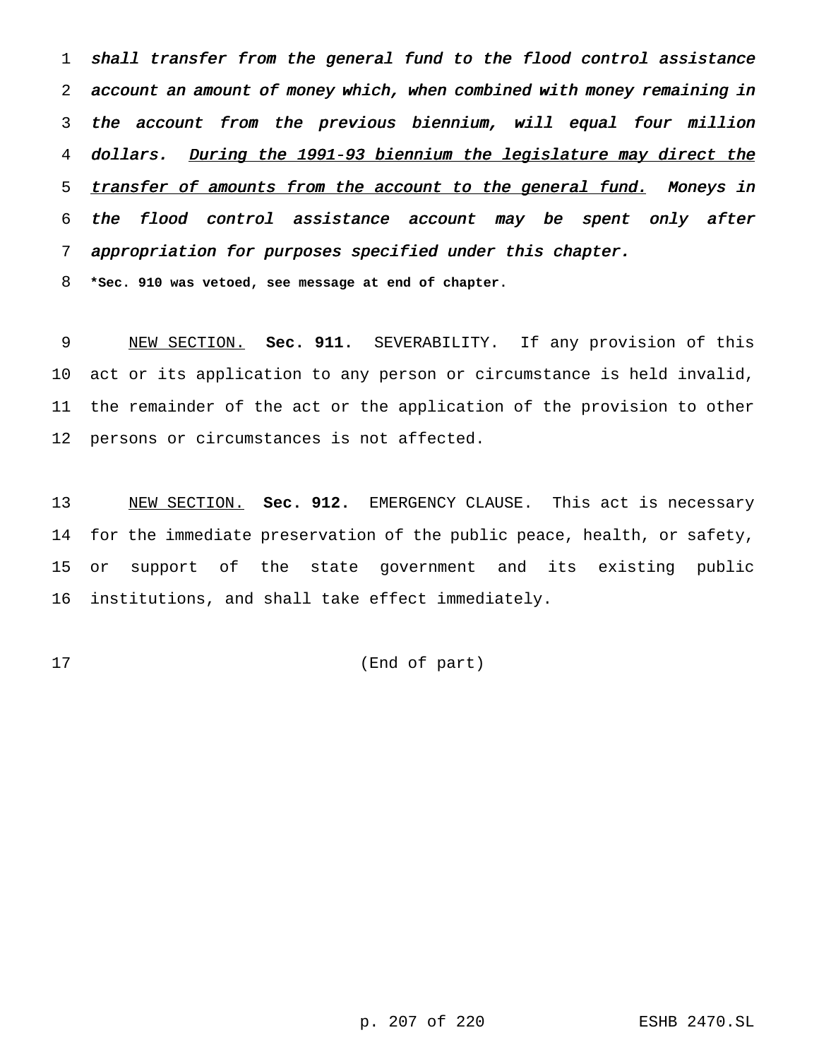shall transfer from the general fund to the flood control assistance account an amount of money which, when combined with money remaining in the account from the previous biennium, will equal four million 4 dollars. During the 1991-93 biennium the legislature may direct the 5 transfer of amounts from the account to the general fund. Moneys in the flood control assistance account may be spent only after appropriation for purposes specified under this chapter.

**\*Sec. 910 was vetoed, see message at end of chapter.**

 NEW SECTION. **Sec. 911.** SEVERABILITY. If any provision of this act or its application to any person or circumstance is held invalid, the remainder of the act or the application of the provision to other persons or circumstances is not affected.

 NEW SECTION. **Sec. 912.** EMERGENCY CLAUSE. This act is necessary for the immediate preservation of the public peace, health, or safety, or support of the state government and its existing public institutions, and shall take effect immediately.

(End of part)

p. 207 of 220 ESHB 2470.SL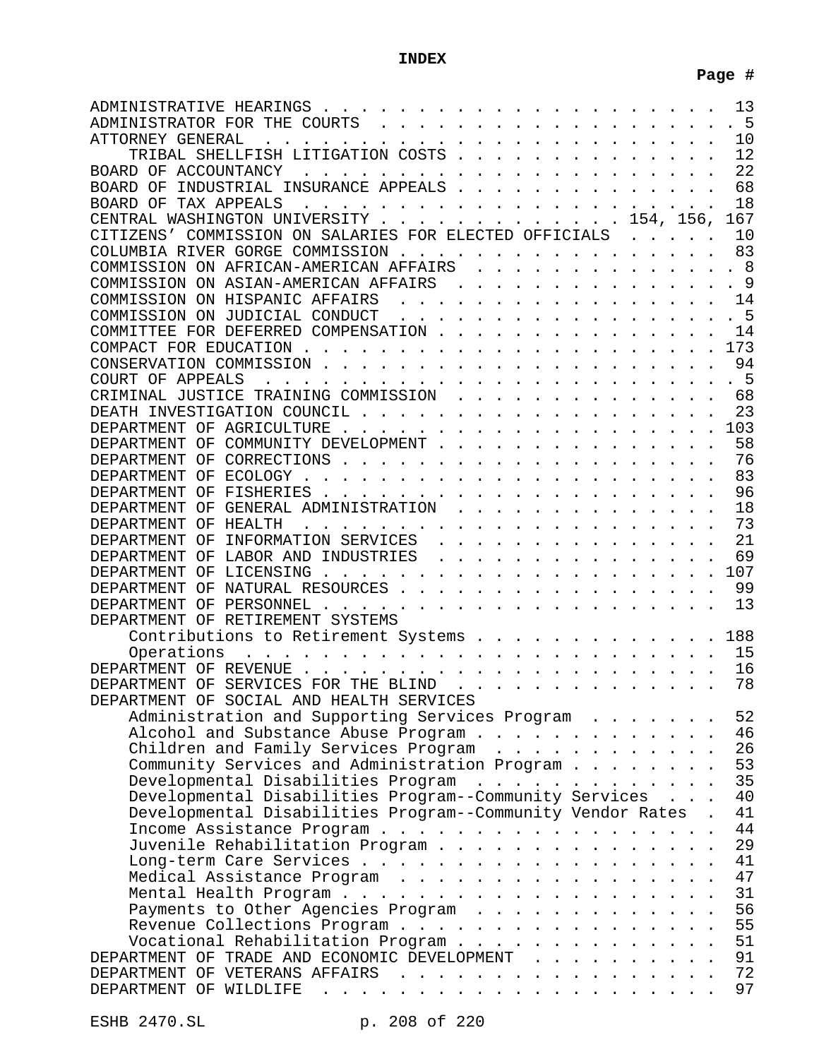# **INDEX**

| 10<br>ATTORNEY GENERAL<br>TRIBAL SHELLFISH LITIGATION COSTS<br>12                                                                                                                                                                                                   |
|---------------------------------------------------------------------------------------------------------------------------------------------------------------------------------------------------------------------------------------------------------------------|
|                                                                                                                                                                                                                                                                     |
|                                                                                                                                                                                                                                                                     |
| 22                                                                                                                                                                                                                                                                  |
| 68<br>INDUSTRIAL INSURANCE APPEALS<br>BOARD OF                                                                                                                                                                                                                      |
| 18<br>BOARD OF TAX APPEALS<br>the contract of the contract of the contract of the contract of the contract of the contract of the contract of the contract of the contract of the contract of the contract of the contract of the contract of the contract o<br>167 |
| CENTRAL WASHINGTON UNIVERSITY 154, 156,<br>CITIZENS' COMMISSION ON SALARIES FOR ELECTED OFFICIALS<br>10                                                                                                                                                             |
| 83                                                                                                                                                                                                                                                                  |
| COLUMBIA RIVER GORGE COMMISSION<br>. 8<br>COMMISSION ON AFRICAN-AMERICAN AFFAIRS                                                                                                                                                                                    |
| .<br>$\mathsf{Q}$<br>COMMISSION ON ASIAN-AMERICAN AFFAIRS                                                                                                                                                                                                           |
| . The contract of the contract of the contract of the contract $\mathcal{L}_\text{c}$<br>COMMISSION ON HISPANIC AFFAIRS<br>14                                                                                                                                       |
| 5<br>COMMISSION ON JUDICIAL CONDUCT                                                                                                                                                                                                                                 |
| COMMITTEE FOR DEFERRED COMPENSATION<br>14                                                                                                                                                                                                                           |
| 173                                                                                                                                                                                                                                                                 |
| 94                                                                                                                                                                                                                                                                  |
| 5                                                                                                                                                                                                                                                                   |
| CRIMINAL JUSTICE TRAINING COMMISSION<br>68                                                                                                                                                                                                                          |
| 23                                                                                                                                                                                                                                                                  |
| 103                                                                                                                                                                                                                                                                 |
| 58<br>DEPARTMENT OF COMMUNITY DEVELOPMENT                                                                                                                                                                                                                           |
| 76                                                                                                                                                                                                                                                                  |
| 83                                                                                                                                                                                                                                                                  |
| 96                                                                                                                                                                                                                                                                  |
| 18<br>DEPARTMENT OF GENERAL ADMINISTRATION                                                                                                                                                                                                                          |
| 73<br>DEPARTMENT OF HEALTH                                                                                                                                                                                                                                          |
| 21<br>DEPARTMENT OF INFORMATION SERVICES                                                                                                                                                                                                                            |
| 69<br>DEPARTMENT OF LABOR AND INDUSTRIES                                                                                                                                                                                                                            |
| 107                                                                                                                                                                                                                                                                 |
| DEPARTMENT OF NATURAL RESOURCES<br>99                                                                                                                                                                                                                               |
| 13                                                                                                                                                                                                                                                                  |
| DEPARTMENT OF RETIREMENT SYSTEMS                                                                                                                                                                                                                                    |
| Contributions to Retirement Systems<br>188                                                                                                                                                                                                                          |
| the contract of the contract of the contract of the contract of the contract of the contract of the contract of<br>15<br>Operations                                                                                                                                 |
| 16                                                                                                                                                                                                                                                                  |
| DEPARTMENT OF SERVICES FOR THE BLIND<br>78                                                                                                                                                                                                                          |
| DEPARTMENT OF SOCIAL AND HEALTH SERVICES                                                                                                                                                                                                                            |
| 52<br>Administration and Supporting Services Program                                                                                                                                                                                                                |
| Alcohol and Substance Abuse Program<br>46                                                                                                                                                                                                                           |
| 26<br>Children and Family Services Program                                                                                                                                                                                                                          |
| 53<br>Community Services and Administration Program                                                                                                                                                                                                                 |
| 35<br>Developmental Disabilities Program                                                                                                                                                                                                                            |
|                                                                                                                                                                                                                                                                     |
| Developmental Disabilities Program--Community Services<br>40                                                                                                                                                                                                        |
| Developmental Disabilities Program--Community Vendor Rates .<br>41                                                                                                                                                                                                  |
| 44                                                                                                                                                                                                                                                                  |
| 29<br>Juvenile Rehabilitation Program                                                                                                                                                                                                                               |
| 41                                                                                                                                                                                                                                                                  |
| 47<br>Medical Assistance Program                                                                                                                                                                                                                                    |
| 31                                                                                                                                                                                                                                                                  |
| 56<br>Payments to Other Agencies Program                                                                                                                                                                                                                            |
| 55<br>Revenue Collections Program                                                                                                                                                                                                                                   |
| 51<br>Vocational Rehabilitation Program                                                                                                                                                                                                                             |
| 91<br>DEPARTMENT OF TRADE AND ECONOMIC DEVELOPMENT<br>72<br>DEPARTMENT OF VETERANS AFFAIRS                                                                                                                                                                          |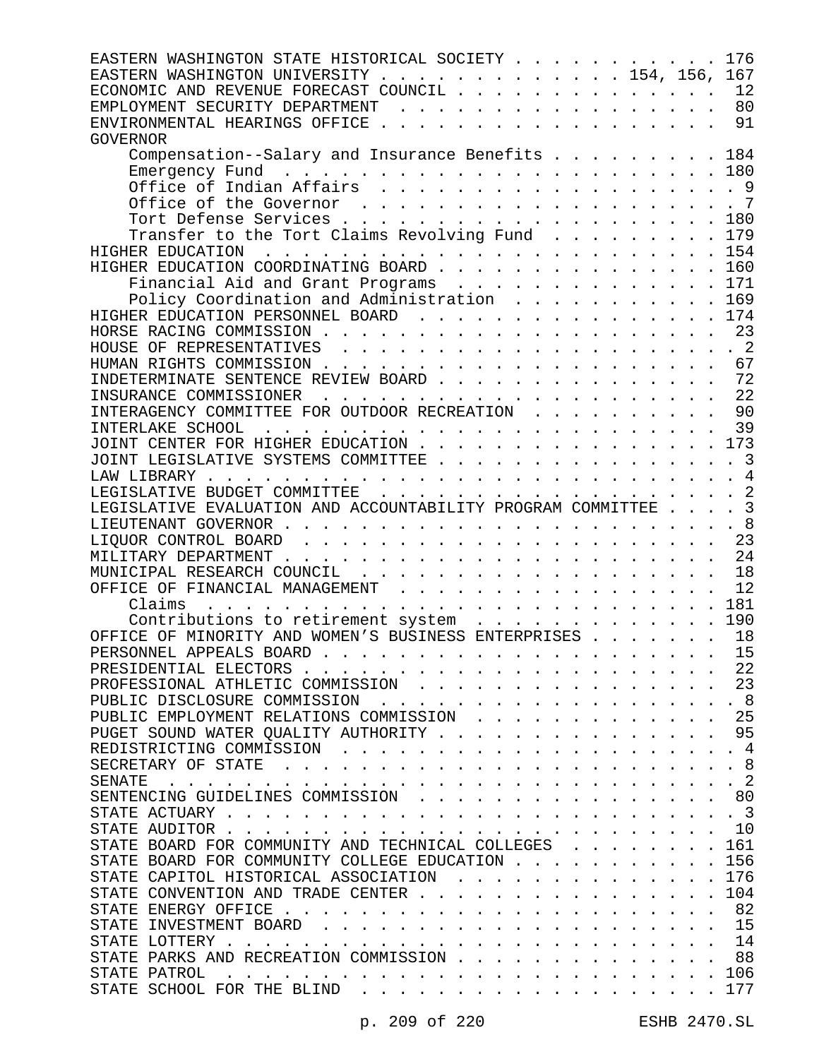| EASTERN WASHINGTON STATE HISTORICAL SOCIETY                                                                                                                                                                                             | 176            |
|-----------------------------------------------------------------------------------------------------------------------------------------------------------------------------------------------------------------------------------------|----------------|
| EASTERN WASHINGTON UNIVERSITY 154, 156, 167                                                                                                                                                                                             |                |
| ECONOMIC AND REVENUE FORECAST COUNCIL                                                                                                                                                                                                   | 12             |
| EMPLOYMENT SECURITY DEPARTMENT                                                                                                                                                                                                          | 80             |
|                                                                                                                                                                                                                                         | 91             |
| <b>GOVERNOR</b>                                                                                                                                                                                                                         |                |
| Compensation--Salary and Insurance Benefits 184                                                                                                                                                                                         |                |
|                                                                                                                                                                                                                                         |                |
| Office of Indian Affairs 9                                                                                                                                                                                                              |                |
|                                                                                                                                                                                                                                         |                |
| Tort Defense Services 180                                                                                                                                                                                                               |                |
| Transfer to the Tort Claims Revolving Fund 179                                                                                                                                                                                          |                |
|                                                                                                                                                                                                                                         |                |
| HIGHER EDUCATION COORDINATING BOARD 160                                                                                                                                                                                                 |                |
| Financial Aid and Grant Programs 171                                                                                                                                                                                                    |                |
| Policy Coordination and Administration 169                                                                                                                                                                                              |                |
| HIGHER EDUCATION PERSONNEL BOARD 174                                                                                                                                                                                                    |                |
|                                                                                                                                                                                                                                         | 23             |
|                                                                                                                                                                                                                                         |                |
|                                                                                                                                                                                                                                         | 67             |
| INDETERMINATE SENTENCE REVIEW BOARD 72                                                                                                                                                                                                  |                |
|                                                                                                                                                                                                                                         |                |
| INTERAGENCY COMMITTEE FOR OUTDOOR RECREATION                                                                                                                                                                                            | 90             |
|                                                                                                                                                                                                                                         | 39             |
| JOINT CENTER FOR HIGHER EDUCATION 173                                                                                                                                                                                                   |                |
| JOINT LEGISLATIVE SYSTEMS COMMITTEE 3                                                                                                                                                                                                   |                |
|                                                                                                                                                                                                                                         |                |
|                                                                                                                                                                                                                                         |                |
| LEGISLATIVE EVALUATION AND ACCOUNTABILITY PROGRAM COMMITTEE 3                                                                                                                                                                           |                |
|                                                                                                                                                                                                                                         | .8             |
|                                                                                                                                                                                                                                         |                |
|                                                                                                                                                                                                                                         | 23             |
|                                                                                                                                                                                                                                         |                |
|                                                                                                                                                                                                                                         | 18             |
| OFFICE OF FINANCIAL MANAGEMENT                                                                                                                                                                                                          | 12             |
| Claims<br>and a constitution of the constitution of the constitution of the constitution of the constitution of the constitution of the constitution of the constitution of the constitution of the constitution of the constitution of | 181            |
| Contributions to retirement system                                                                                                                                                                                                      | 190            |
| OFFICE OF MINORITY AND WOMEN'S BUSINESS ENTERPRISES                                                                                                                                                                                     | 18             |
| PERSONNEL APPEALS BOARD                                                                                                                                                                                                                 | 15             |
| PRESIDENTIAL ELECTORS                                                                                                                                                                                                                   | 22             |
| PROFESSIONAL ATHLETIC COMMISSION                                                                                                                                                                                                        | 23             |
| PUBLIC DISCLOSURE COMMISSION                                                                                                                                                                                                            | -8             |
| PUBLIC EMPLOYMENT RELATIONS COMMISSION                                                                                                                                                                                                  | 25             |
| PUGET SOUND WATER QUALITY AUTHORITY                                                                                                                                                                                                     | 95             |
| REDISTRICTING COMMISSION                                                                                                                                                                                                                | 4              |
| SECRETARY OF STATE                                                                                                                                                                                                                      | 8              |
| <b>SENATE</b>                                                                                                                                                                                                                           | $\overline{2}$ |
| SENTENCING GUIDELINES COMMISSION                                                                                                                                                                                                        | 80             |
| STATE ACTUARY.                                                                                                                                                                                                                          | $\overline{3}$ |
| STATE AUDITOR.                                                                                                                                                                                                                          | 10             |
| STATE BOARD FOR COMMUNITY AND TECHNICAL COLLEGES                                                                                                                                                                                        | 161            |
| STATE BOARD FOR COMMUNITY COLLEGE EDUCATION                                                                                                                                                                                             | 156            |
| STATE CAPITOL HISTORICAL ASSOCIATION                                                                                                                                                                                                    | 176            |
| STATE CONVENTION AND TRADE CENTER                                                                                                                                                                                                       | 104            |
| STATE ENERGY OFFICE.                                                                                                                                                                                                                    | 82             |
| STATE INVESTMENT BOARD                                                                                                                                                                                                                  | 15             |
| STATE LOTTERY .                                                                                                                                                                                                                         | 14             |
| STATE PARKS AND RECREATION COMMISSION                                                                                                                                                                                                   | 88             |
| STATE PATROL<br>STATE SCHOOL FOR THE BLIND                                                                                                                                                                                              | 106<br>177     |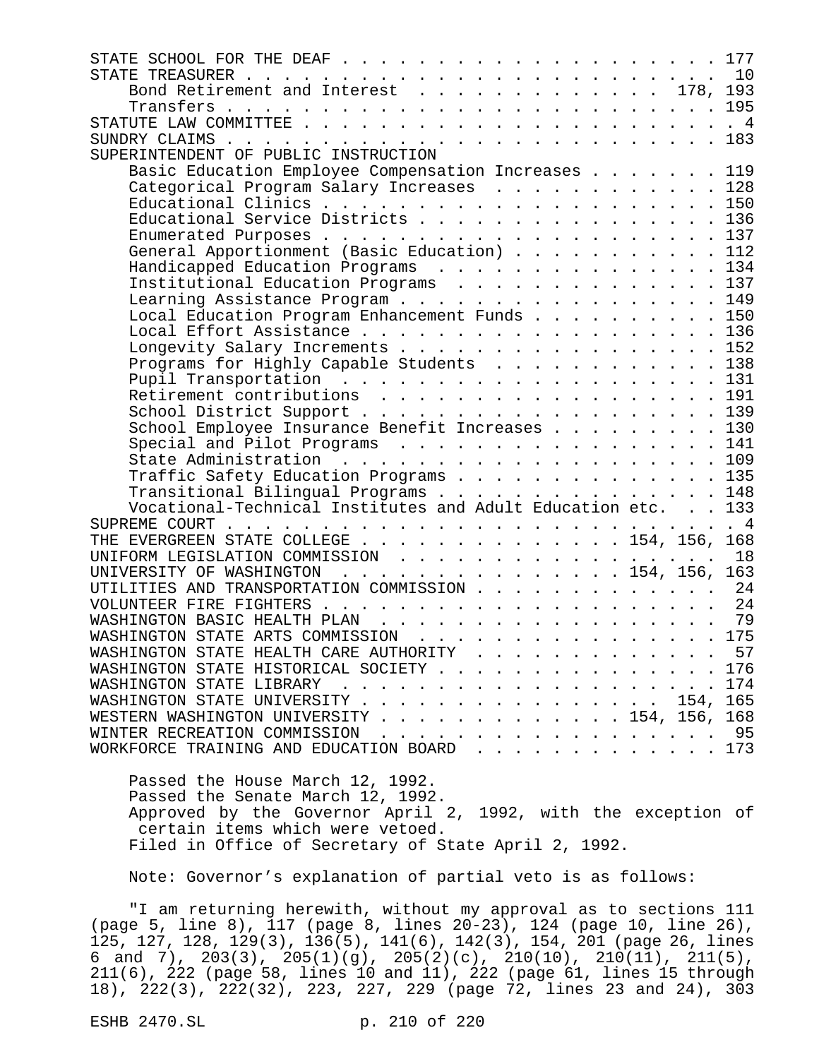| STATE SCHOOL FOR THE DEAF<br>177                                                                                                                                                                                                                                   |
|--------------------------------------------------------------------------------------------------------------------------------------------------------------------------------------------------------------------------------------------------------------------|
| 10                                                                                                                                                                                                                                                                 |
| Bond Retirement and Interest 178, 193                                                                                                                                                                                                                              |
|                                                                                                                                                                                                                                                                    |
| $4 \frac{4}{3}$                                                                                                                                                                                                                                                    |
|                                                                                                                                                                                                                                                                    |
| SUPERINTENDENT OF PUBLIC INSTRUCTION                                                                                                                                                                                                                               |
| Basic Education Employee Compensation Increases 119                                                                                                                                                                                                                |
| Categorical Program Salary Increases 128                                                                                                                                                                                                                           |
|                                                                                                                                                                                                                                                                    |
| Educational Service Districts 136                                                                                                                                                                                                                                  |
|                                                                                                                                                                                                                                                                    |
| General Apportionment (Basic Education) 112                                                                                                                                                                                                                        |
| Handicapped Education Programs 134                                                                                                                                                                                                                                 |
| Institutional Education Programs 137                                                                                                                                                                                                                               |
| Learning Assistance Program 149                                                                                                                                                                                                                                    |
| Local Education Program Enhancement Funds 150                                                                                                                                                                                                                      |
| Local Effort Assistance 136                                                                                                                                                                                                                                        |
| Longevity Salary Increments 152                                                                                                                                                                                                                                    |
| Programs for Highly Capable Students 138                                                                                                                                                                                                                           |
|                                                                                                                                                                                                                                                                    |
| Retirement contributions 191                                                                                                                                                                                                                                       |
| School District Support 139                                                                                                                                                                                                                                        |
| School Employee Insurance Benefit Increases 130                                                                                                                                                                                                                    |
| Special and Pilot Programs 141                                                                                                                                                                                                                                     |
|                                                                                                                                                                                                                                                                    |
| Traffic Safety Education Programs 135                                                                                                                                                                                                                              |
| Transitional Bilingual Programs 148                                                                                                                                                                                                                                |
| Vocational-Technical Institutes and Adult Education etc. 133                                                                                                                                                                                                       |
| $4 \frac{4}{3}$<br>SUPREME COURT.<br>. The contract of the contract of the contract of the contract of the contract of the contract of the contract of the contract of the contract of the contract of the contract of the contract of the contract of the contrac |
| THE EVERGREEN STATE COLLEGE 154, 156, 168                                                                                                                                                                                                                          |
| 18<br>UNIFORM LEGISLATION COMMISSION                                                                                                                                                                                                                               |
| UNIVERSITY OF WASHINGTON 154, 156, 163                                                                                                                                                                                                                             |
| UTILITIES AND TRANSPORTATION COMMISSION<br>24                                                                                                                                                                                                                      |
| 24                                                                                                                                                                                                                                                                 |
| 79                                                                                                                                                                                                                                                                 |
| WASHINGTON STATE ARTS COMMISSION 175                                                                                                                                                                                                                               |
| WASHINGTON STATE HEALTH CARE AUTHORITY<br>$\cdot$ $\cdot$ 57                                                                                                                                                                                                       |
| WASHINGTON STATE HISTORICAL SOCIETY 176                                                                                                                                                                                                                            |
| WASHINGTON STATE LIBRARY<br>. 174                                                                                                                                                                                                                                  |
| WASHINGTON STATE UNIVERSITY 154,<br>165                                                                                                                                                                                                                            |
| WESTERN WASHINGTON UNIVERSITY 154, 156, 168                                                                                                                                                                                                                        |
| 95                                                                                                                                                                                                                                                                 |
| WORKFORCE TRAINING AND EDUCATION BOARD173                                                                                                                                                                                                                          |
|                                                                                                                                                                                                                                                                    |
| Passed the House March 12, 1992.                                                                                                                                                                                                                                   |
| Passed the Senate March 12, 1992.                                                                                                                                                                                                                                  |

Approved by the Governor April 2, 1992, with the exception of certain items which were vetoed. Filed in Office of Secretary of State April 2, 1992.

Note: Governor's explanation of partial veto is as follows:

"I am returning herewith, without my approval as to sections 111 (page 5, line 8), 117 (page 8, lines 20-23), 124 (page 10, line 26), 125, 127, 128, 129(3), 136(5), 141(6), 142(3), 154, 201 (page 26, lines 6 and 7),  $203(3)$ ,  $205(1)(g)$ ,  $205(2)(c)$ ,  $210(10)$ ,  $210(11)$ ,  $211(5)$ , 211(6), 222 (page 58, lines 10 and 11), 222 (page 61, lines 15 through 18), 222(3), 222(32), 223, 227, 229 (page 72, lines 23 and 24), 303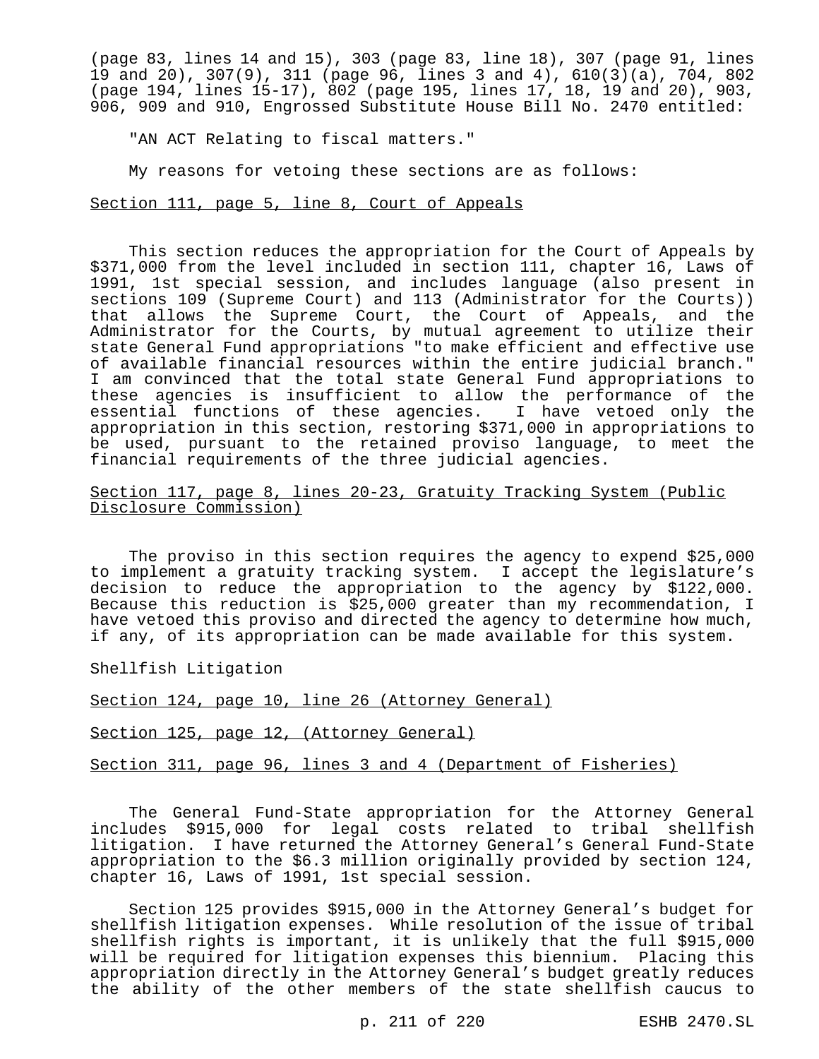(page 83, lines 14 and 15), 303 (page 83, line 18), 307 (page 91, lines 19 and 20), 307(9), 311 (page 96, lines 3 and 4), 610(3)(a), 704, 802 (page 194, lines 15-17), 802 (page 195, lines 17, 18, 19 and 20), 903, 906, 909 and 910, Engrossed Substitute House Bill No. 2470 entitled:

"AN ACT Relating to fiscal matters."

My reasons for vetoing these sections are as follows:

Section 111, page 5, line 8, Court of Appeals

This section reduces the appropriation for the Court of Appeals by \$371,000 from the level included in section 111, chapter 16, Laws of 1991, 1st special session, and includes language (also present in sections 109 (Supreme Court) and 113 (Administrator for the Courts)) that allows the Supreme Court, the Court of Appeals, and the Administrator for the Courts, by mutual agreement to utilize their state General Fund appropriations "to make efficient and effective use of available financial resources within the entire judicial branch." I am convinced that the total state General Fund appropriations to these agencies is insufficient to allow the performance of the essential functions of these agencies. I have vetoed only the appropriation in this section, restoring \$371,000 in appropriations to be used, pursuant to the retained proviso language, to meet the financial requirements of the three judicial agencies.

Section 117, page 8, lines 20-23, Gratuity Tracking System (Public Disclosure Commission)

The proviso in this section requires the agency to expend \$25,000 to implement a gratuity tracking system. I accept the legislature's decision to reduce the appropriation to the agency by \$122,000. Because this reduction is \$25,000 greater than my recommendation, I have vetoed this proviso and directed the agency to determine how much, if any, of its appropriation can be made available for this system.

Shellfish Litigation

Section 124, page 10, line 26 (Attorney General)

Section 125, page 12, (Attorney General)

Section 311, page 96, lines 3 and 4 (Department of Fisheries)

The General Fund-State appropriation for the Attorney General includes \$915,000 for legal costs related to tribal shellfish litigation. I have returned the Attorney General's General Fund-State appropriation to the \$6.3 million originally provided by section 124, chapter 16, Laws of 1991, 1st special session.

Section 125 provides \$915,000 in the Attorney General's budget for shellfish litigation expenses. While resolution of the issue of tribal shellfish rights is important, it is unlikely that the full \$915,000 will be required for litigation expenses this biennium. Placing this appropriation directly in the Attorney General's budget greatly reduces the ability of the other members of the state shellfish caucus to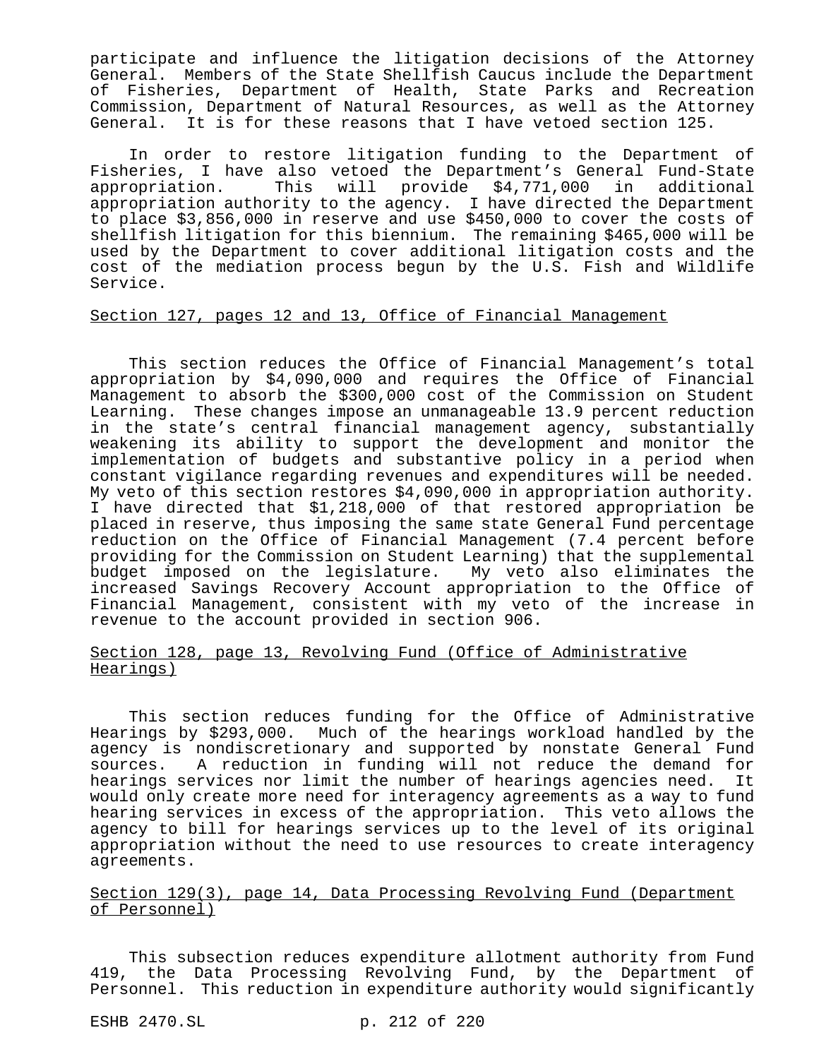participate and influence the litigation decisions of the Attorney General. Members of the State Shellfish Caucus include the Department of Fisheries, Department of Health, State Parks and Recreation Commission, Department of Natural Resources, as well as the Attorney General. It is for these reasons that I have vetoed section 125.

In order to restore litigation funding to the Department of Fisheries, I have also vetoed the Department's General Fund-State appropriation. This will provide \$4,771,000 in additional appropriation authority to the agency. I have directed the Department to place \$3,856,000 in reserve and use \$450,000 to cover the costs of shellfish litigation for this biennium. The remaining \$465,000 will be used by the Department to cover additional litigation costs and the cost of the mediation process begun by the U.S. Fish and Wildlife Service.

# Section 127, pages 12 and 13, Office of Financial Management

This section reduces the Office of Financial Management's total appropriation by \$4,090,000 and requires the Office of Financial Management to absorb the \$300,000 cost of the Commission on Student Learning. These changes impose an unmanageable 13.9 percent reduction in the state's central financial management agency, substantially weakening its ability to support the development and monitor the implementation of budgets and substantive policy in a period when constant vigilance regarding revenues and expenditures will be needed. My veto of this section restores \$4,090,000 in appropriation authority. I have directed that \$1,218,000 of that restored appropriation be placed in reserve, thus imposing the same state General Fund percentage reduction on the Office of Financial Management (7.4 percent before providing for the Commission on Student Learning) that the supplemental budget imposed on the legislature. My veto also eliminates the increased Savings Recovery Account appropriation to the Office of Financial Management, consistent with my veto of the increase in revenue to the account provided in section 906.

### Section 128, page 13, Revolving Fund (Office of Administrative Hearings)

This section reduces funding for the Office of Administrative Hearings by \$293,000. Much of the hearings workload handled by the agency is nondiscretionary and supported by nonstate General Fund sources. A reduction in funding will not reduce the demand for hearings services nor limit the number of hearings agencies need. It would only create more need for interagency agreements as a way to fund hearing services in excess of the appropriation. This veto allows the agency to bill for hearings services up to the level of its original appropriation without the need to use resources to create interagency agreements.

### Section 129(3), page 14, Data Processing Revolving Fund (Department of Personnel)

This subsection reduces expenditure allotment authority from Fund 419, the Data Processing Revolving Fund, by the Department of Personnel. This reduction in expenditure authority would significantly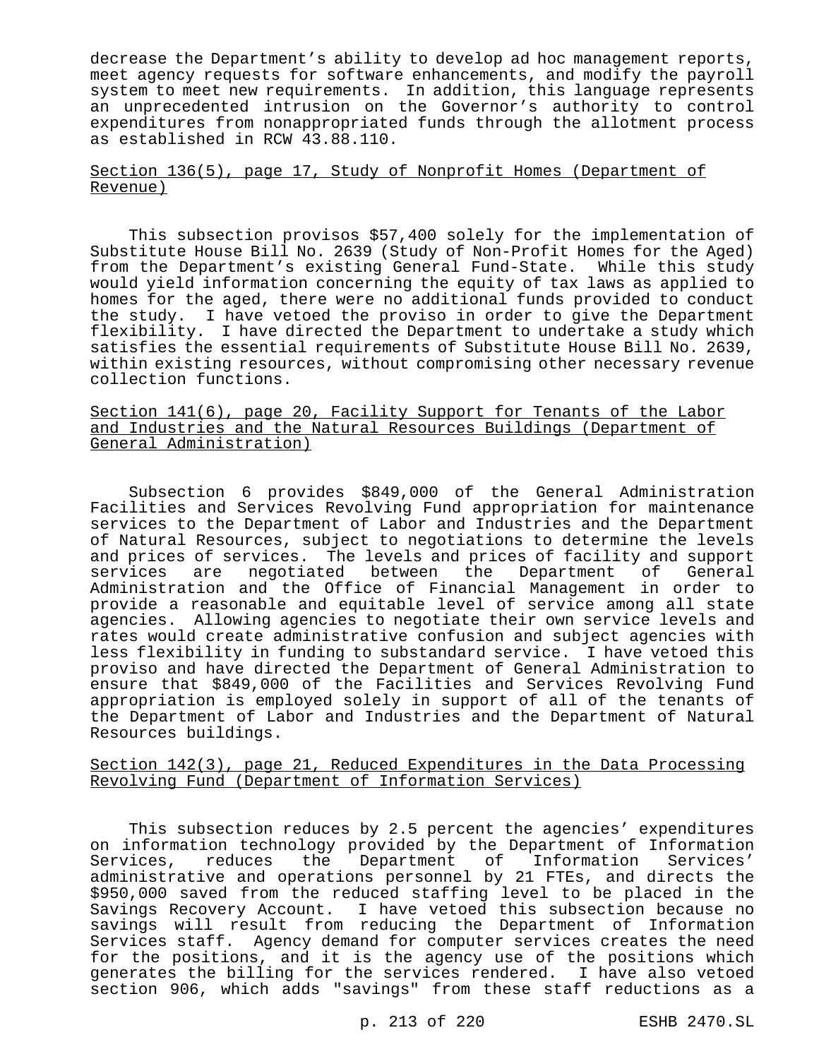decrease the Department's ability to develop ad hoc management reports, meet agency requests for software enhancements, and modify the payroll system to meet new requirements. In addition, this language represents an unprecedented intrusion on the Governor's authority to control expenditures from nonappropriated funds through the allotment process as established in RCW 43.88.110.

### Section 136(5), page 17, Study of Nonprofit Homes (Department of Revenue)

This subsection provisos \$57,400 solely for the implementation of Substitute House Bill No. 2639 (Study of Non-Profit Homes for the Aged) from the Department's existing General Fund-State. While this study would yield information concerning the equity of tax laws as applied to homes for the aged, there were no additional funds provided to conduct the study. I have vetoed the proviso in order to give the Department flexibility. I have directed the Department to undertake a study which satisfies the essential requirements of Substitute House Bill No. 2639, within existing resources, without compromising other necessary revenue collection functions.

# Section 141(6), page 20, Facility Support for Tenants of the Labor and Industries and the Natural Resources Buildings (Department of General Administration)

Subsection 6 provides \$849,000 of the General Administration Facilities and Services Revolving Fund appropriation for maintenance services to the Department of Labor and Industries and the Department of Natural Resources, subject to negotiations to determine the levels and prices of services. The levels and prices of facility and support<br>services are negotiated between the Department of General services are negotiated between the Department of Administration and the Office of Financial Management in order to provide a reasonable and equitable level of service among all state agencies. Allowing agencies to negotiate their own service levels and rates would create administrative confusion and subject agencies with less flexibility in funding to substandard service. I have vetoed this proviso and have directed the Department of General Administration to ensure that \$849,000 of the Facilities and Services Revolving Fund appropriation is employed solely in support of all of the tenants of the Department of Labor and Industries and the Department of Natural Resources buildings.

## Section 142(3), page 21, Reduced Expenditures in the Data Processing Revolving Fund (Department of Information Services)

This subsection reduces by 2.5 percent the agencies' expenditures on information technology provided by the Department of Information Services, reduces the Department of Information Services' administrative and operations personnel by 21 FTEs, and directs the \$950,000 saved from the reduced staffing level to be placed in the Savings Recovery Account. I have vetoed this subsection because no savings will result from reducing the Department of Information Services staff. Agency demand for computer services creates the need for the positions, and it is the agency use of the positions which generates the billing for the services rendered. I have also vetoed section 906, which adds "savings" from these staff reductions as a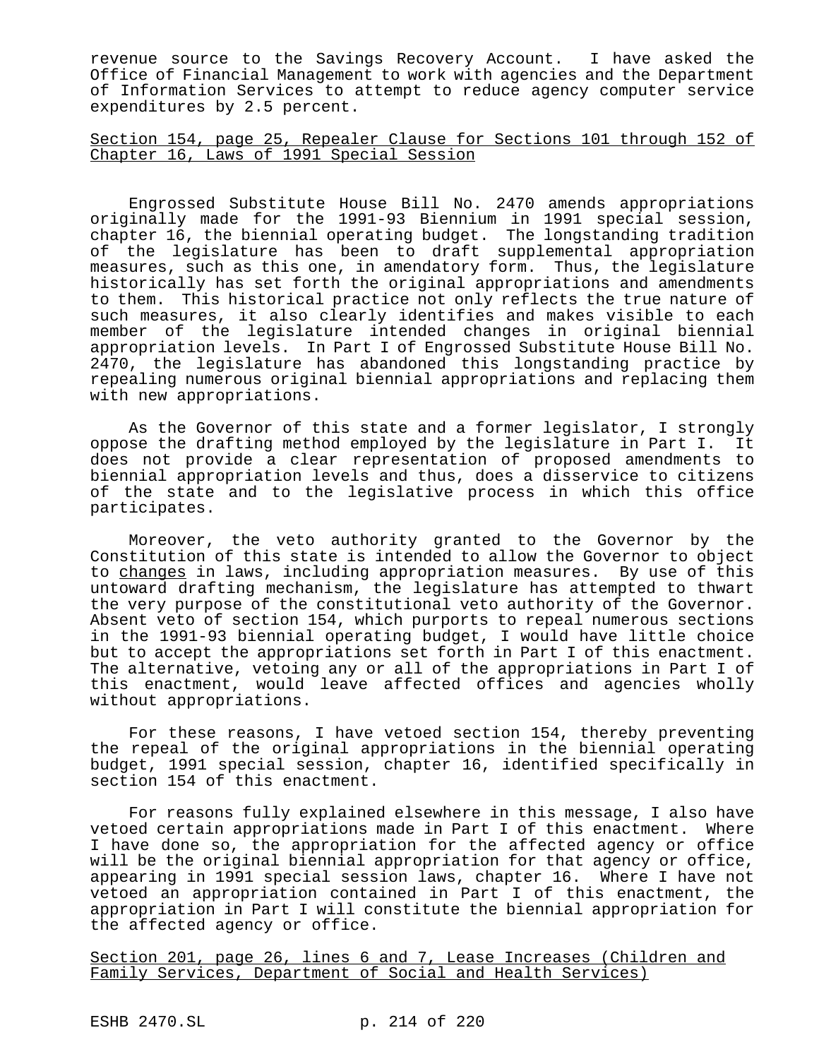revenue source to the Savings Recovery Account. I have asked the Office of Financial Management to work with agencies and the Department of Information Services to attempt to reduce agency computer service expenditures by 2.5 percent.

Section 154, page 25, Repealer Clause for Sections 101 through 152 of Chapter 16, Laws of 1991 Special Session

Engrossed Substitute House Bill No. 2470 amends appropriations originally made for the 1991-93 Biennium in 1991 special session, chapter 16, the biennial operating budget. The longstanding tradition of the legislature has been to draft supplemental appropriation measures, such as this one, in amendatory form. Thus, the legislature historically has set forth the original appropriations and amendments to them. This historical practice not only reflects the true nature of such measures, it also clearly identifies and makes visible to each member of the legislature intended changes in original biennial appropriation levels. In Part I of Engrossed Substitute House Bill No. 2470, the legislature has abandoned this longstanding practice by repealing numerous original biennial appropriations and replacing them with new appropriations.

As the Governor of this state and a former legislator, I strongly oppose the drafting method employed by the legislature in Part I. It does not provide a clear representation of proposed amendments to biennial appropriation levels and thus, does a disservice to citizens of the state and to the legislative process in which this office participates.

Moreover, the veto authority granted to the Governor by the Constitution of this state is intended to allow the Governor to object to changes in laws, including appropriation measures. By use of this untoward drafting mechanism, the legislature has attempted to thwart the very purpose of the constitutional veto authority of the Governor. Absent veto of section 154, which purports to repeal numerous sections in the 1991-93 biennial operating budget, I would have little choice but to accept the appropriations set forth in Part I of this enactment. The alternative, vetoing any or all of the appropriations in Part I of this enactment, would leave affected offices and agencies wholly without appropriations.

For these reasons, I have vetoed section 154, thereby preventing the repeal of the original appropriations in the biennial operating budget, 1991 special session, chapter 16, identified specifically in section 154 of this enactment.

For reasons fully explained elsewhere in this message, I also have vetoed certain appropriations made in Part I of this enactment. Where I have done so, the appropriation for the affected agency or office will be the original biennial appropriation for that agency or office, appearing in 1991 special session laws, chapter 16. Where I have not vetoed an appropriation contained in Part I of this enactment, the appropriation in Part I will constitute the biennial appropriation for the affected agency or office.

Section 201, page 26, lines 6 and 7, Lease Increases (Children and Family Services, Department of Social and Health Services)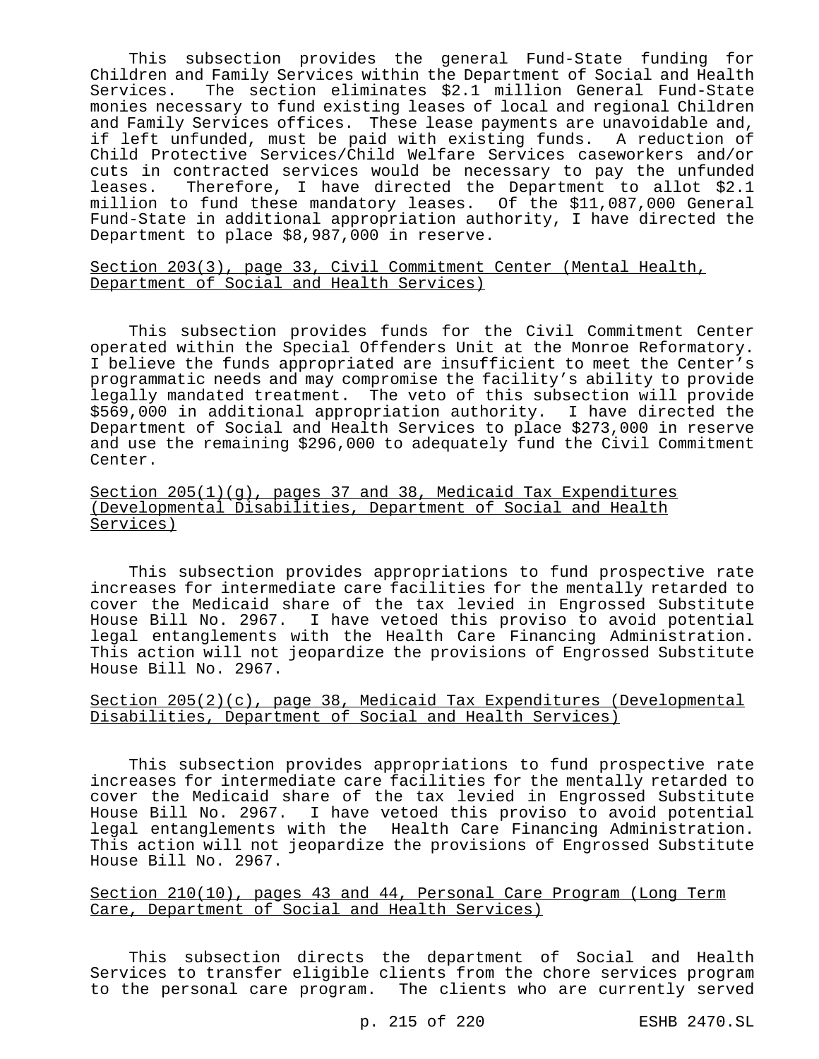This subsection provides the general Fund-State funding for Children and Family Services within the Department of Social and Health Services. The section eliminates \$2.1 million General Fund-State monies necessary to fund existing leases of local and regional Children and Family Services offices. These lease payments are unavoidable and, if left unfunded, must be paid with existing funds. A reduction of Child Protective Services/Child Welfare Services caseworkers and/or cuts in contracted services would be necessary to pay the unfunded leases. Therefore, I have directed the Department to allot \$2.1 million to fund these mandatory leases. Of the \$11,087,000 General Fund-State in additional appropriation authority, I have directed the Department to place \$8,987,000 in reserve.

Section 203(3), page 33, Civil Commitment Center (Mental Health, Department of Social and Health Services)

This subsection provides funds for the Civil Commitment Center operated within the Special Offenders Unit at the Monroe Reformatory. I believe the funds appropriated are insufficient to meet the Center's programmatic needs and may compromise the facility's ability to provide legally mandated treatment. The veto of this subsection will provide \$569,000 in additional appropriation authority. I have directed the Department of Social and Health Services to place \$273,000 in reserve and use the remaining \$296,000 to adequately fund the Civil Commitment Center.

Section 205(1)(g), pages 37 and 38, Medicaid Tax Expenditures (Developmental Disabilities, Department of Social and Health Services)

This subsection provides appropriations to fund prospective rate increases for intermediate care facilities for the mentally retarded to cover the Medicaid share of the tax levied in Engrossed Substitute House Bill No. 2967. I have vetoed this proviso to avoid potential legal entanglements with the Health Care Financing Administration. This action will not jeopardize the provisions of Engrossed Substitute House Bill No. 2967.

## Section  $205(2)(c)$ , page 38, Medicaid Tax Expenditures (Developmental Disabilities, Department of Social and Health Services)

This subsection provides appropriations to fund prospective rate increases for intermediate care facilities for the mentally retarded to cover the Medicaid share of the tax levied in Engrossed Substitute House Bill No. 2967. I have vetoed this proviso to avoid potential legal entanglements with the Health Care Financing Administration. This action will not jeopardize the provisions of Engrossed Substitute House Bill No. 2967.

Section 210(10), pages 43 and 44, Personal Care Program (Long Term Care, Department of Social and Health Services)

This subsection directs the department of Social and Health Services to transfer eligible clients from the chore services program to the personal care program. The clients who are currently served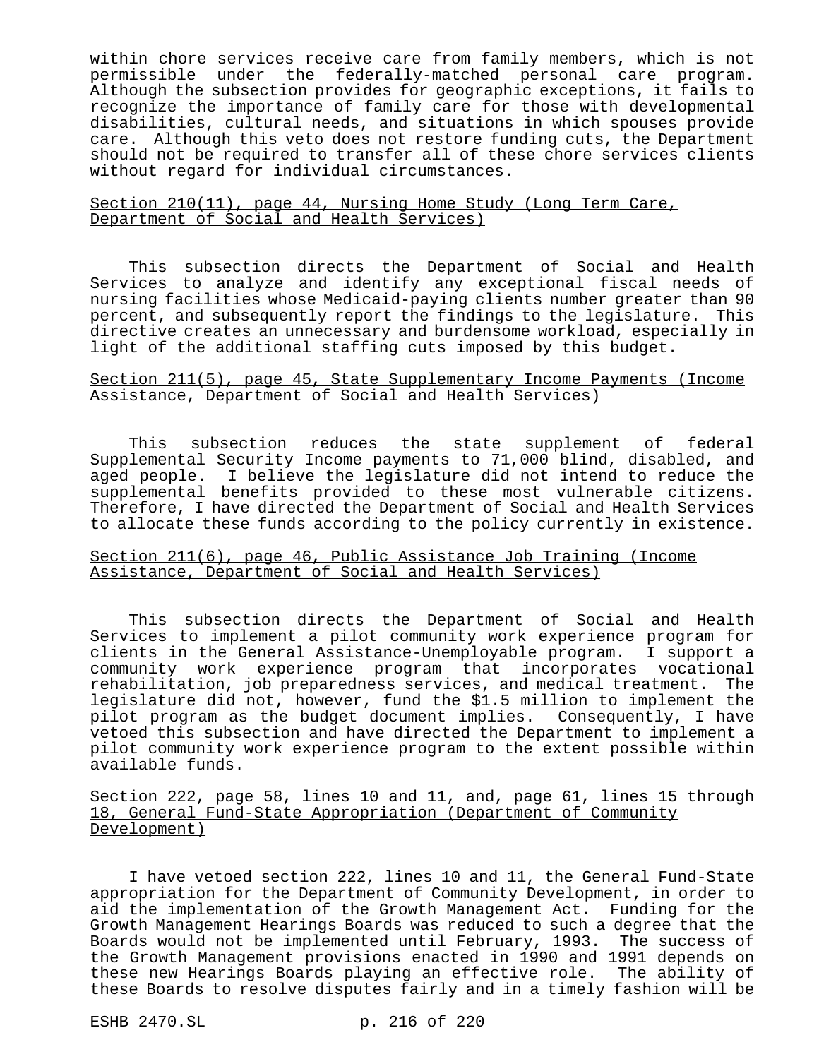within chore services receive care from family members, which is not permissible under the federally-matched personal care program. Although the subsection provides for geographic exceptions, it fails to recognize the importance of family care for those with developmental disabilities, cultural needs, and situations in which spouses provide care. Although this veto does not restore funding cuts, the Department should not be required to transfer all of these chore services clients without regard for individual circumstances.

## Section 210(11), page 44, Nursing Home Study (Long Term Care, Department of Social and Health Services)

This subsection directs the Department of Social and Health Services to analyze and identify any exceptional fiscal needs of nursing facilities whose Medicaid-paying clients number greater than 90 percent, and subsequently report the findings to the legislature. This directive creates an unnecessary and burdensome workload, especially in light of the additional staffing cuts imposed by this budget.

# Section 211(5), page 45, State Supplementary Income Payments (Income Assistance, Department of Social and Health Services)

This subsection reduces the state supplement of federal Supplemental Security Income payments to 71,000 blind, disabled, and aged people. I believe the legislature did not intend to reduce the supplemental benefits provided to these most vulnerable citizens. Therefore, I have directed the Department of Social and Health Services to allocate these funds according to the policy currently in existence.

### Section 211(6), page 46, Public Assistance Job Training (Income Assistance, Department of Social and Health Services)

This subsection directs the Department of Social and Health Services to implement a pilot community work experience program for clients in the General Assistance-Unemployable program. I support a community work experience program that incorporates vocational rehabilitation, job preparedness services, and medical treatment. The legislature did not, however, fund the \$1.5 million to implement the pilot program as the budget document implies. Consequently, I have vetoed this subsection and have directed the Department to implement a pilot community work experience program to the extent possible within available funds.

Section 222, page 58, lines 10 and 11, and, page 61, lines 15 through 18, General Fund-State Appropriation (Department of Community Development)

I have vetoed section 222, lines 10 and 11, the General Fund-State appropriation for the Department of Community Development, in order to aid the implementation of the Growth Management Act. Funding for the Growth Management Hearings Boards was reduced to such a degree that the Boards would not be implemented until February, 1993. The success of the Growth Management provisions enacted in 1990 and 1991 depends on these new Hearings Boards playing an effective role. The ability of these Boards to resolve disputes fairly and in a timely fashion will be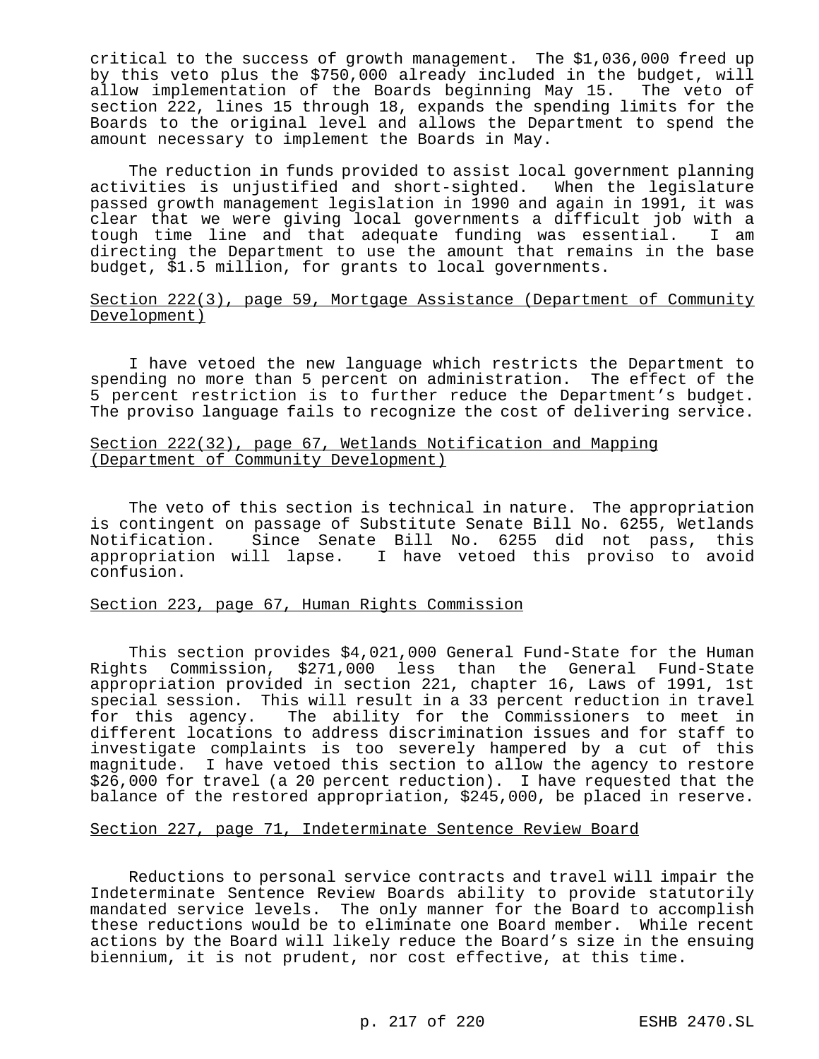critical to the success of growth management. The \$1,036,000 freed up by this veto plus the \$750,000 already included in the budget, will allow implementation of the Boards beginning May 15. The veto of section 222, lines 15 through 18, expands the spending limits for the Boards to the original level and allows the Department to spend the amount necessary to implement the Boards in May.

The reduction in funds provided to assist local government planning activities is unjustified and short-sighted. When the legislature passed growth management legislation in 1990 and again in 1991, it was clear that we were giving local governments a difficult job with a tough time line and that adequate funding was essential. I am directing the Department to use the amount that remains in the base budget, \$1.5 million, for grants to local governments.

### Section 222(3), page 59, Mortgage Assistance (Department of Community Development)

I have vetoed the new language which restricts the Department to spending no more than 5 percent on administration. The effect of the 5 percent restriction is to further reduce the Department's budget. The proviso language fails to recognize the cost of delivering service.

### Section 222(32), page 67, Wetlands Notification and Mapping (Department of Community Development)

The veto of this section is technical in nature. The appropriation is contingent on passage of Substitute Senate Bill No. 6255, Wetlands Notification. Since Senate Bill No. 6255 did not pass, this appropriation will lapse. I have vetoed this proviso to avoid confusion.

## Section 223, page 67, Human Rights Commission

This section provides \$4,021,000 General Fund-State for the Human Rights Commission, \$271,000 less than the General Fund-State appropriation provided in section 221, chapter 16, Laws of 1991, 1st special session. This will result in a 33 percent reduction in travel for this agency. The ability for the Commissioners to meet in different locations to address discrimination issues and for staff to investigate complaints is too severely hampered by a cut of this magnitude. I have vetoed this section to allow the agency to restore \$26,000 for travel (a 20 percent reduction). I have requested that the balance of the restored appropriation, \$245,000, be placed in reserve.

### Section 227, page 71, Indeterminate Sentence Review Board

Reductions to personal service contracts and travel will impair the Indeterminate Sentence Review Boards ability to provide statutorily mandated service levels. The only manner for the Board to accomplish these reductions would be to eliminate one Board member. While recent actions by the Board will likely reduce the Board's size in the ensuing biennium, it is not prudent, nor cost effective, at this time.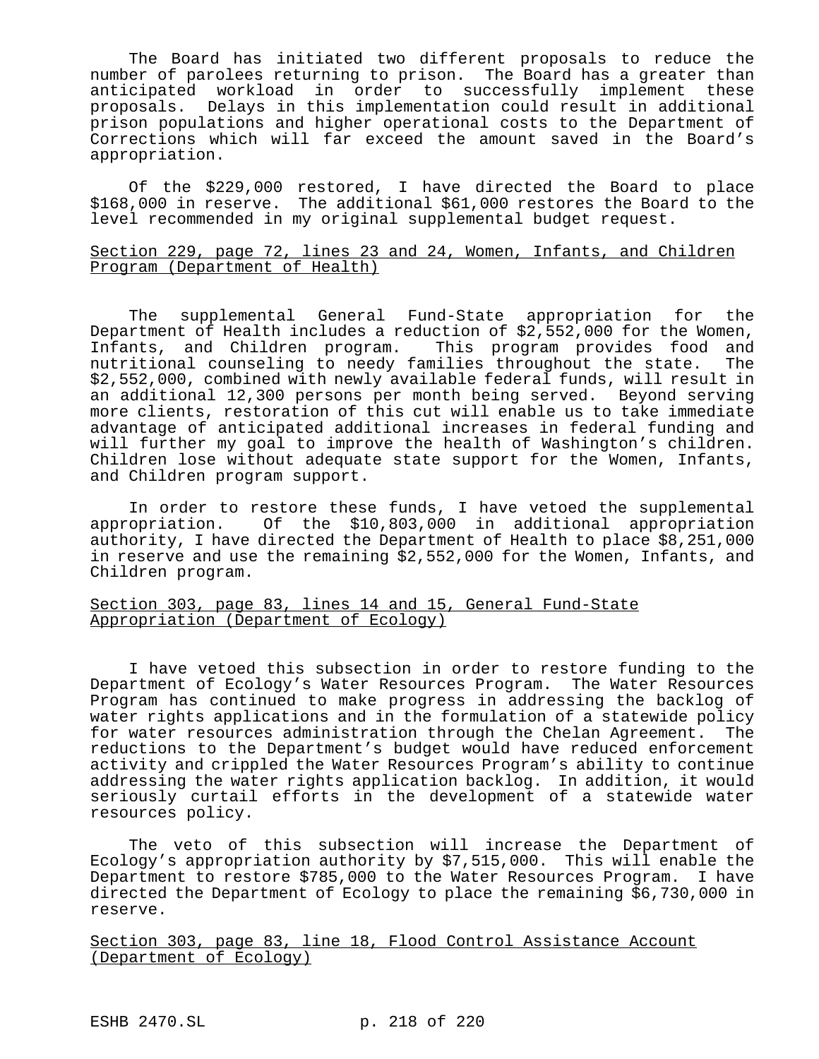The Board has initiated two different proposals to reduce the number of parolees returning to prison. The Board has a greater than anticipated workload in order to successfully implement these proposals. Delays in this implementation could result in additional prison populations and higher operational costs to the Department of Corrections which will far exceed the amount saved in the Board's appropriation.

Of the \$229,000 restored, I have directed the Board to place \$168,000 in reserve. The additional \$61,000 restores the Board to the level recommended in my original supplemental budget request.

### Section 229, page 72, lines 23 and 24, Women, Infants, and Children Program (Department of Health)

The supplemental General Fund-State appropriation for the Department of Health includes a reduction of \$2,552,000 for the Women, Infants, and Children program. This program provides food and nutritional counseling to needy families throughout the state. The \$2,552,000, combined with newly available federal funds, will result in an additional 12,300 persons per month being served. Beyond serving more clients, restoration of this cut will enable us to take immediate advantage of anticipated additional increases in federal funding and will further my goal to improve the health of Washington's children. Children lose without adequate state support for the Women, Infants, and Children program support.

In order to restore these funds, I have vetoed the supplemental appropriation. Of the \$10,803,000 in additional appropriation authority, I have directed the Department of Health to place \$8,251,000 in reserve and use the remaining \$2,552,000 for the Women, Infants, and Children program.

## Section 303, page 83, lines 14 and 15, General Fund-State Appropriation (Department of Ecology)

I have vetoed this subsection in order to restore funding to the Department of Ecology's Water Resources Program. The Water Resources Program has continued to make progress in addressing the backlog of water rights applications and in the formulation of a statewide policy for water resources administration through the Chelan Agreement. The reductions to the Department's budget would have reduced enforcement activity and crippled the Water Resources Program's ability to continue addressing the water rights application backlog. In addition, it would seriously curtail efforts in the development of a statewide water resources policy.

The veto of this subsection will increase the Department of Ecology's appropriation authority by \$7,515,000. This will enable the Department to restore \$785,000 to the Water Resources Program. I have directed the Department of Ecology to place the remaining \$6,730,000 in reserve.

Section 303, page 83, line 18, Flood Control Assistance Account (Department of Ecology)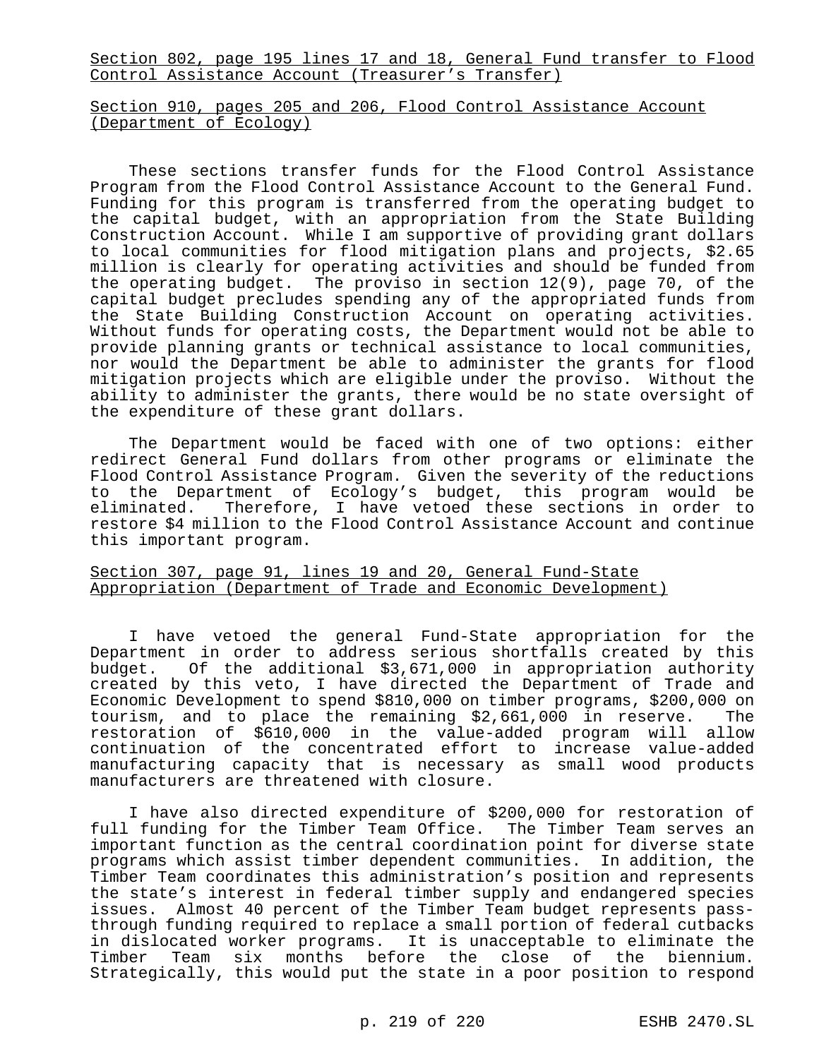Section 802, page 195 lines 17 and 18, General Fund transfer to Flood Control Assistance Account (Treasurer's Transfer)

### Section 910, pages 205 and 206, Flood Control Assistance Account (Department of Ecology)

These sections transfer funds for the Flood Control Assistance Program from the Flood Control Assistance Account to the General Fund. Funding for this program is transferred from the operating budget to the capital budget, with an appropriation from the State Building Construction Account. While I am supportive of providing grant dollars to local communities for flood mitigation plans and projects, \$2.65 million is clearly for operating activities and should be funded from the operating budget. The proviso in section 12(9), page 70, of the capital budget precludes spending any of the appropriated funds from the State Building Construction Account on operating activities. Without funds for operating costs, the Department would not be able to provide planning grants or technical assistance to local communities, nor would the Department be able to administer the grants for flood mitigation projects which are eligible under the proviso. Without the ability to administer the grants, there would be no state oversight of the expenditure of these grant dollars.

The Department would be faced with one of two options: either redirect General Fund dollars from other programs or eliminate the Flood Control Assistance Program. Given the severity of the reductions to the Department of Ecology's budget, this program would be eliminated. Therefore, I have vetoed these sections in order to restore \$4 million to the Flood Control Assistance Account and continue this important program.

## Section 307, page 91, lines 19 and 20, General Fund-State Appropriation (Department of Trade and Economic Development)

I have vetoed the general Fund-State appropriation for the Department in order to address serious shortfalls created by this budget. Of the additional \$3,671,000 in appropriation authority created by this veto, I have directed the Department of Trade and Economic Development to spend \$810,000 on timber programs, \$200,000 on tourism, and to place the remaining \$2,661,000 in reserve. The restoration of \$610,000 in the value-added program will allow continuation of the concentrated effort to increase value-added manufacturing capacity that is necessary as small wood products manufacturers are threatened with closure.

I have also directed expenditure of \$200,000 for restoration of full funding for the Timber Team Office. The Timber Team serves an important function as the central coordination point for diverse state programs which assist timber dependent communities. In addition, the Timber Team coordinates this administration's position and represents the state's interest in federal timber supply and endangered species issues. Almost 40 percent of the Timber Team budget represents passthrough funding required to replace a small portion of federal cutbacks in dislocated worker programs. It is unacceptable to eliminate the Timber Team six months before the close of the biennium. Strategically, this would put the state in a poor position to respond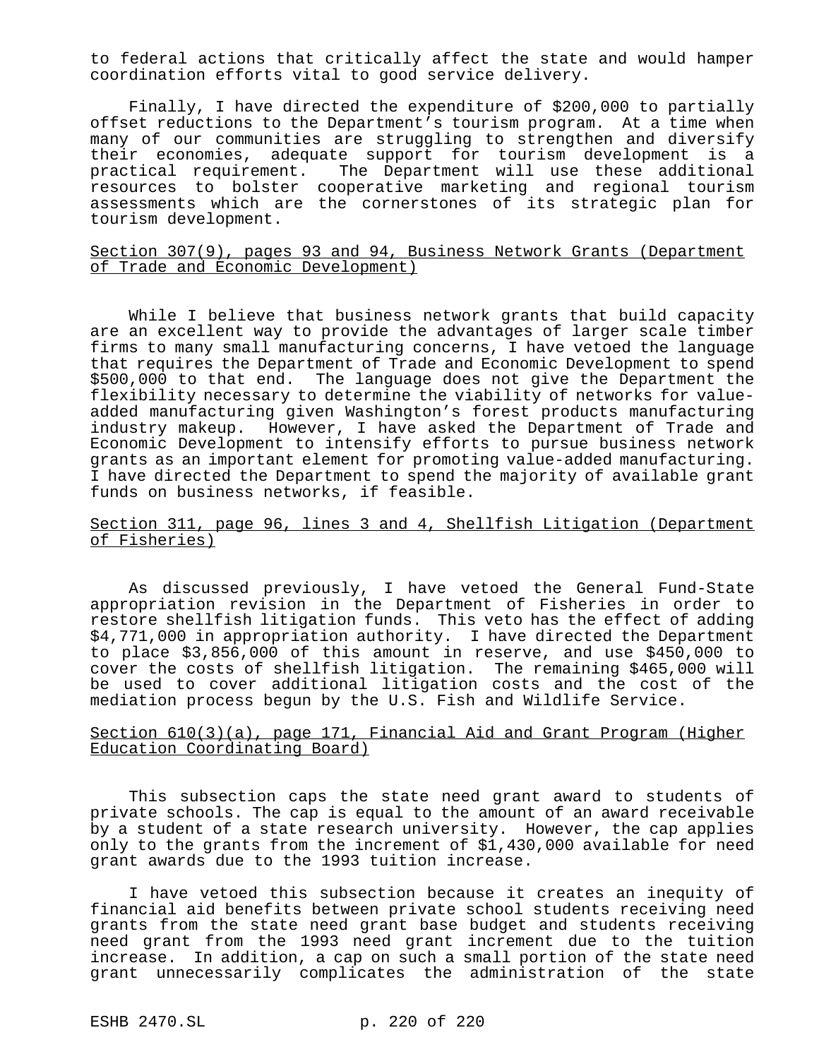to federal actions that critically affect the state and would hamper coordination efforts vital to good service delivery.

Finally, I have directed the expenditure of \$200,000 to partially offset reductions to the Department's tourism program. At a time when many of our communities are struggling to strengthen and diversify their economies, adequate support for tourism development is a practical requirement. The Department will use these additional resources to bolster cooperative marketing and regional tourism assessments which are the cornerstones of its strategic plan for tourism development.

### Section 307(9), pages 93 and 94, Business Network Grants (Department of Trade and Economic Development)

While I believe that business network grants that build capacity are an excellent way to provide the advantages of larger scale timber firms to many small manufacturing concerns, I have vetoed the language that requires the Department of Trade and Economic Development to spend \$500,000 to that end. The language does not give the Department the flexibility necessary to determine the viability of networks for valueadded manufacturing given Washington's forest products manufacturing industry makeup. However, I have asked the Department of Trade and Economic Development to intensify efforts to pursue business network grants as an important element for promoting value-added manufacturing. I have directed the Department to spend the majority of available grant funds on business networks, if feasible.

## Section 311, page 96, lines 3 and 4, Shellfish Litigation (Department of Fisheries)

As discussed previously, I have vetoed the General Fund-State appropriation revision in the Department of Fisheries in order to restore shellfish litigation funds. This veto has the effect of adding \$4,771,000 in appropriation authority. I have directed the Department to place \$3,856,000 of this amount in reserve, and use \$450,000 to cover the costs of shellfish litigation. The remaining \$465,000 will be used to cover additional litigation costs and the cost of the mediation process begun by the U.S. Fish and Wildlife Service.

#### Section 610(3)(a), page 171, Financial Aid and Grant Program (Higher Education Coordinating Board)

This subsection caps the state need grant award to students of private schools. The cap is equal to the amount of an award receivable by a student of a state research university. However, the cap applies only to the grants from the increment of \$1,430,000 available for need grant awards due to the 1993 tuition increase.

I have vetoed this subsection because it creates an inequity of financial aid benefits between private school students receiving need grants from the state need grant base budget and students receiving need grant from the 1993 need grant increment due to the tuition increase. In addition, a cap on such a small portion of the state need grant unnecessarily complicates the administration of the state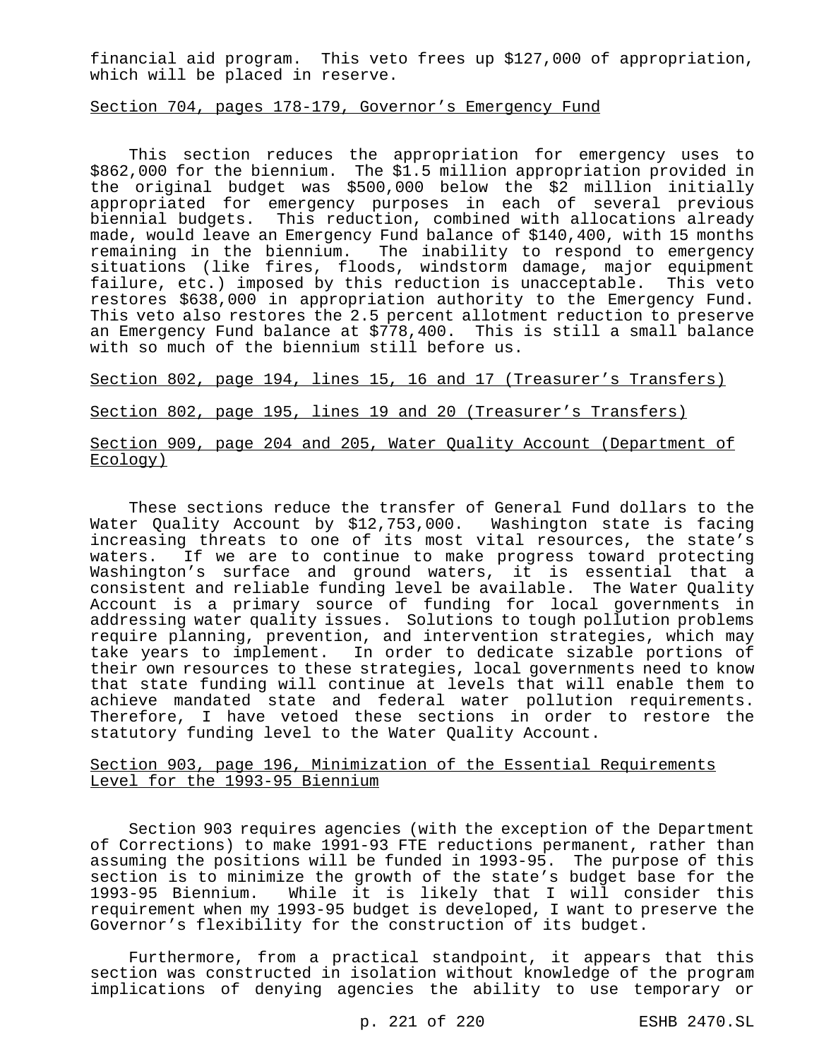financial aid program. This veto frees up \$127,000 of appropriation, which will be placed in reserve.

#### Section 704, pages 178-179, Governor's Emergency Fund

This section reduces the appropriation for emergency uses to \$862,000 for the biennium. The \$1.5 million appropriation provided in the original budget was \$500,000 below the \$2 million initially appropriated for emergency purposes in each of several previous biennial budgets. This reduction, combined with allocations already made, would leave an Emergency Fund balance of \$140,400, with 15 months remaining in the biennium. The inability to respond to emergency situations (like fires, floods, windstorm damage, major equipment failure, etc.) imposed by this reduction is unacceptable. This veto restores \$638,000 in appropriation authority to the Emergency Fund. This veto also restores the 2.5 percent allotment reduction to preserve an Emergency Fund balance at \$778,400. This is still a small balance with so much of the biennium still before us.

Section 802, page 194, lines 15, 16 and 17 (Treasurer's Transfers)

Section 802, page 195, lines 19 and 20 (Treasurer's Transfers)

## Section 909, page 204 and 205, Water Quality Account (Department of Ecology)

These sections reduce the transfer of General Fund dollars to the Water Quality Account by \$12,753,000. Washington state is facing increasing threats to one of its most vital resources, the state's waters. If we are to continue to make progress toward protecting Washington's surface and ground waters, it is essential that a consistent and reliable funding level be available. The Water Quality Account is a primary source of funding for local governments in addressing water quality issues. Solutions to tough pollution problems require planning, prevention, and intervention strategies, which may take years to implement. In order to dedicate sizable portions of their own resources to these strategies, local governments need to know that state funding will continue at levels that will enable them to achieve mandated state and federal water pollution requirements. Therefore, I have vetoed these sections in order to restore the statutory funding level to the Water Quality Account.

## Section 903, page 196, Minimization of the Essential Requirements Level for the 1993-95 Biennium

Section 903 requires agencies (with the exception of the Department of Corrections) to make 1991-93 FTE reductions permanent, rather than assuming the positions will be funded in 1993-95. The purpose of this section is to minimize the growth of the state's budget base for the 1993-95 Biennium. While it is likely that I will consider this requirement when my 1993-95 budget is developed, I want to preserve the Governor's flexibility for the construction of its budget.

Furthermore, from a practical standpoint, it appears that this section was constructed in isolation without knowledge of the program implications of denying agencies the ability to use temporary or